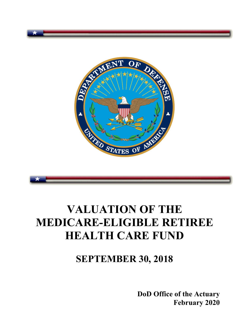



# **VALUATION OF THE MEDICARE-ELIGIBLE RETIREE HEALTH CARE FUND**

# **SEPTEMBER 30, 2018**

**DoD Office of the Actuary February 2020**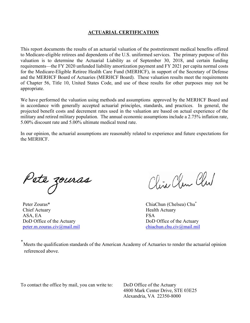#### **ACTUARIAL CERTIFICATION**

This report documents the results of an actuarial valuation of the postretirement medical benefits offered to Medicare-eligible retirees and dependents of the U.S. uniformed services. The primary purpose of this valuation is to determine the Actuarial Liability as of September 30, 2018, and certain funding requirements—the FY 2020 unfunded liability amortization payment and FY 2021 per capita normal costs for the Medicare-Eligible Retiree Health Care Fund (MERHCF), in support of the Secretary of Defense and the MERHCF Board of Actuaries (MERHCF Board). These valuation results meet the requirements of Chapter 56, Title 10, United States Code, and use of these results for other purposes may not be appropriate.

We have performed the valuation using methods and assumptions approved by the MERHCF Board and in accordance with generally accepted actuarial principles, standards, and practices. In general, the projected benefit costs and decrement rates used in the valuation are based on actual experience of the military and retired military population. The annual economic assumptions include a 2.75% inflation rate, 5.00% discount rate and 5.00% ultimate medical trend rate.

In our opinion, the actuarial assumptions are reasonably related to experience and future expectations for the MERHCF.

Pete zouras

Peter Zouras\* ChiaChun (Chelsea) Chu<sup>\*</sup> Chief Actuary **Health Actuary** Health Actuary ASA, EA FSA DoD Office of the Actuary DoD Office of the Actuary peter.m.zouras.civ@mail.mil chiachun.chu.civ@mail.mil

Clin Clem Club

Meets the qualification standards of the American Academy of Actuaries to render the actuarial opinion referenced above.

To contact the office by mail, you can write to: DoD Office of the Actuary

 4800 Mark Center Drive, STE 03E25 Alexandria, VA 22350-8000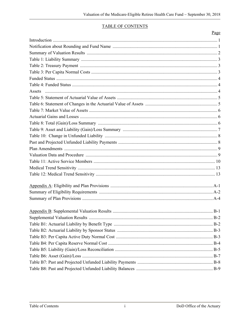#### **TABLE OF CONTENTS**

| Page |
|------|
|      |
|      |
|      |
|      |
|      |
|      |
|      |
|      |
|      |
|      |
|      |
|      |
|      |
|      |
|      |
|      |
|      |
|      |
|      |
|      |
|      |
|      |
|      |
|      |
|      |
|      |
|      |
|      |
|      |
|      |
|      |
|      |
|      |
|      |
|      |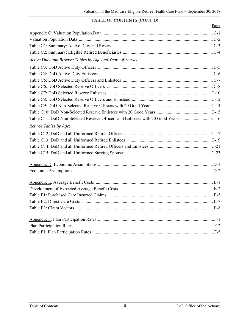#### TABLE OF CONTENTS (CONT'D**)**

|                                                             | Page |
|-------------------------------------------------------------|------|
|                                                             |      |
|                                                             |      |
|                                                             |      |
|                                                             |      |
| Active Duty and Reserve Tables by Age and Years of Service: |      |
|                                                             |      |
|                                                             |      |
|                                                             |      |
|                                                             |      |
|                                                             |      |
|                                                             |      |
|                                                             |      |
|                                                             |      |
|                                                             |      |
| Retiree Tables by Age:                                      |      |
|                                                             |      |
|                                                             |      |
|                                                             |      |
|                                                             |      |
|                                                             |      |
|                                                             |      |
|                                                             |      |
|                                                             |      |
|                                                             |      |
|                                                             |      |
|                                                             |      |
|                                                             |      |
|                                                             |      |
|                                                             |      |
|                                                             |      |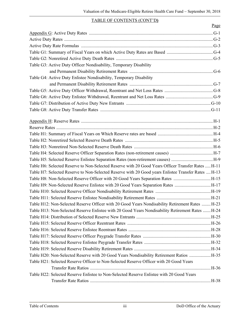#### TABLE OF CONTENTS (CONT'D**)**

| Page                                                                                                |
|-----------------------------------------------------------------------------------------------------|
|                                                                                                     |
|                                                                                                     |
|                                                                                                     |
|                                                                                                     |
|                                                                                                     |
| Table G3: Active Duty Officer Nondisability, Temporary Disability                                   |
|                                                                                                     |
| Table G4: Active Duty Enlistee Nondisability, Temporary Disability                                  |
|                                                                                                     |
|                                                                                                     |
|                                                                                                     |
|                                                                                                     |
|                                                                                                     |
|                                                                                                     |
|                                                                                                     |
|                                                                                                     |
|                                                                                                     |
|                                                                                                     |
|                                                                                                     |
|                                                                                                     |
| Table H5: Selected Reserve Enlistee Separation Rates (non-retirement causes) H-9                    |
| Table H6: Selected Reserve to Non-Selected Reserve with 20 Good Years Officer Transfer Rates  H-11  |
| Table H7: Selected Reserve to Non-Selected Reserve with 20 Good years Enlistee Transfer Rates  H-13 |
| Table H8: Non-Selected Reserve Officer with 20 Good Years Separation Rates H-15                     |
| Table H9: Non-Selected Reserve Enlistee with 20 Good Years Separation Rates H-17                    |
|                                                                                                     |
|                                                                                                     |
| Table H12: Non-Selected Reserve Officer with 20 Good Years Nondisability Retirement Rates  H-23     |
| Table H13: Non-Selected Reserve Enlistee with 20 Good Years Nondisability Retirement Rates  H-24    |
|                                                                                                     |
|                                                                                                     |
|                                                                                                     |
|                                                                                                     |
|                                                                                                     |
|                                                                                                     |
| Table H20: Non-Selected Reserve with 20 Good Years Nondisability Retirement Ratios  H-35            |
| Table H21: Selected Reserve Officer to Non-Selected Reserve Officer with 20 Good Years              |
|                                                                                                     |
| Table H22: Selected Reserve Enlistee to Non-Selected Reserve Enlistee with 20 Good Years            |
|                                                                                                     |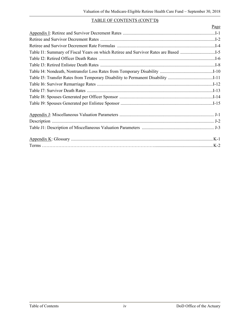#### TABLE OF CONTENTS (CONT'D**)**

| Page |
|------|
|      |
|      |
|      |
|      |
|      |
|      |
|      |
|      |
|      |
|      |
|      |
|      |
|      |
|      |
|      |
|      |
|      |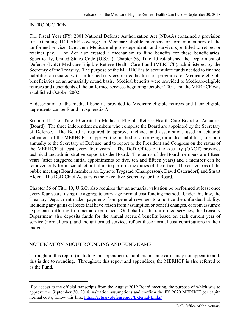#### **INTRODUCTION**

The Fiscal Year (FY) 2001 National Defense Authorization Act (NDAA) contained a provision for extending TRICARE coverage to Medicare-eligible members or former members of the uniformed services (and their Medicare-eligible dependents and survivors) entitled to retired or retainer pay. The Act also created a mechanism to fund benefits for these beneficiaries. Specifically, United States Code (U.S.C.), Chapter 56, Title 10 established the Department of Defense (DoD) Medicare-Eligible Retiree Health Care Fund (MERHCF), administered by the Secretary of the Treasury. The purpose of the MERHCF is to accumulate funds needed to finance liabilities associated with uniformed services retiree health care programs for Medicare-eligible beneficiaries on an actuarially sound basis. Medical benefits were provided to Medicare-eligible retirees and dependents of the uniformed services beginning October 2001, and the MERHCF was established October 2002.

A description of the medical benefits provided to Medicare-eligible retirees and their eligible dependents can be found in Appendix A.

Section 1114 of Title 10 created a Medicare-Eligible Retiree Health Care Board of Actuaries (Board). The three independent members who comprise the Board are appointed by the Secretary of Defense. The Board is required to approve methods and assumptions used in actuarial valuations of the MERHCF, to approve the method of amortizing unfunded liabilities, to report annually to the Secretary of Defense, and to report to the President and Congress on the status of the MERHCF at least every four years<sup>1</sup>. The DoD Office of the Actuary (OACT) provides technical and administrative support to the Board. The terms of the Board members are fifteen years (after staggered initial appointments of five, ten and fifteen years) and a member can be removed only for misconduct or failure to perform the duties of the office. The current (as of the public meeting) Board members are Lynette Trygstad (Chairperson), David Osterndorf, and Stuart Alden. The DoD Chief Actuary is the Executive Secretary for the Board.

Chapter 56 of Title 10, U.S.C. also requires that an actuarial valuation be performed at least once every four years, using the aggregate entry-age normal cost funding method. Under this law, the Treasury Department makes payments from general revenues to amortize the unfunded liability, including any gains or losses that have arisen from assumption or benefit changes, or from assumed experience differing from actual experience. On behalf of the uniformed services, the Treasury Department also deposits funds for the annual accrued benefits based on each current year of service (normal cost), and the uniformed services reflect these normal cost contributions in their budgets.

#### NOTIFICATION ABOUT ROUNDING AND FUND NAME

i<br>Li

Throughout this report (including the appendices), numbers in some cases may not appear to add; this is due to rounding. Throughout this report and appendices, the MERHCF is also referred to as the Fund.

<sup>1</sup>For access to the official transcripts from the August 2019 Board meeting, the purpose of which was to approve the September 30, 2018, valuation assumptions and confirm the FY 2020 MERHCF per capita normal costs, follow this link: https://actuary.defense.gov/External-Links/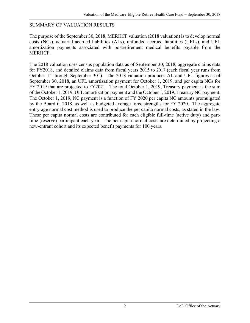#### SUMMARY OF VALUATION RESULTS

The purpose of the September 30, 2018, MERHCF valuation (2018 valuation) is to develop normal costs (NCs), actuarial accrued liabilities (ALs), unfunded accrued liabilities (UFLs), and UFL amortization payments associated with postretirement medical benefits payable from the MERHCF.

The 2018 valuation uses census population data as of September 30, 2018, aggregate claims data for FY2018, and detailed claims data from fiscal years 2015 to 2017 (each fiscal year runs from October  $1<sup>st</sup>$  through September  $30<sup>th</sup>$ ). The 2018 valuation produces AL and UFL figures as of September 30, 2018, an UFL amortization payment for October 1, 2019, and per capita NCs for FY 2019 that are projected to FY2021. The total October 1, 2019, Treasury payment is the sum of the October 1, 2019, UFL amortization payment and the October 1, 2019, Treasury NC payment. The October 1, 2019, NC payment is a function of FY 2020 per capita NC amounts promulgated by the Board in 2018, as well as budgeted average force strengths for FY 2020. The aggregate entry-age normal cost method is used to produce the per capita normal costs, as stated in the law. These per capita normal costs are contributed for each eligible full-time (active duty) and parttime (reserve) participant each year. The per capita normal costs are determined by projecting a new-entrant cohort and its expected benefit payments for 100 years.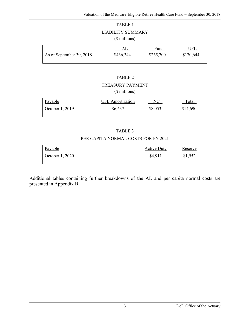#### TABLE 1

#### LIABILITY SUMMARY

#### (\$ millions)

|                          | AL        | Fund      | UFL       |
|--------------------------|-----------|-----------|-----------|
| As of September 30, 2018 | \$436,344 | \$265,700 | \$170,644 |

#### TABLE 2

## TREASURY PAYMENT

#### (\$ millions)

| Payable         | UFL Amortization | NС      | Total    |
|-----------------|------------------|---------|----------|
| October 1, 2019 | \$6,637          | \$8,053 | \$14,690 |

#### TABLE 3

#### PER CAPITA NORMAL COSTS FOR FY 2021

| Payable          | <b>Active Duty</b> | Reserve |
|------------------|--------------------|---------|
| October $1,2020$ | \$4,911            | \$1,952 |

Additional tables containing further breakdowns of the AL and per capita normal costs are presented in Appendix B.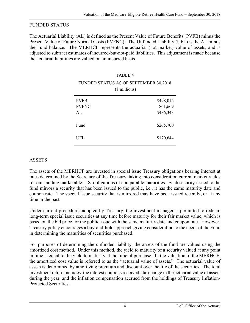#### FUNDED STATUS

The Actuarial Liability (AL) is defined as the Present Value of Future Benefits (PVFB) minus the Present Value of Future Normal Costs (PVFNC). The Unfunded Liability (UFL) is the AL minus the Fund balance. The MERHCF represents the actuarial (not market) value of assets, and is adjusted to subtract estimates of incurred-but-not-paid liabilities. This adjustment is made because the actuarial liabilities are valued on an incurred basis.

#### TABLE 4

#### FUNDED STATUS AS OF SEPTEMBER 30,2018 (\$ millions)

|              | $\overline{\phantom{a}}$ |
|--------------|--------------------------|
| <b>PVFB</b>  | \$498,012                |
| <b>PVFNC</b> | \$61,669                 |
| AL           | \$436,343                |
| Fund         | \$265,700                |
| <b>UFL</b>   | \$170,644                |

# ASSETS

The assets of the MERHCF are invested in special issue Treasury obligations bearing interest at rates determined by the Secretary of the Treasury, taking into consideration current market yields for outstanding marketable U.S. obligations of comparable maturities. Each security issued to the fund mirrors a security that has been issued to the public, i.e., it has the same maturity date and coupon rate. The special issue security that is mirrored may have been issued recently, or at any time in the past.

Under current procedures adopted by Treasury, the investment manager is permitted to redeem long-term special issue securities at any time before maturity for their fair market value, which is based on the bid price for the public issue with the same maturity date and coupon rate. However, Treasury policy encourages a buy-and-hold approach giving consideration to the needs of the Fund in determining the maturities of securities purchased.

For purposes of determining the unfunded liability, the assets of the fund are valued using the amortized cost method. Under this method, the yield to maturity of a security valued at any point in time is equal to the yield to maturity at the time of purchase. In the valuation of the MERHCF, the amortized cost value is referred to as the "actuarial value of assets." The actuarial value of assets is determined by amortizing premium and discount over the life of the securities. The total investment return includes: the interest coupons received, the change in the actuarial value of assets during the year, and the inflation compensation accrued from the holdings of Treasury Inflation-Protected Securities.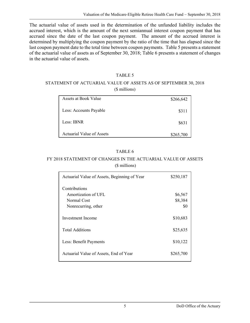The actuarial value of assets used in the determination of the unfunded liability includes the accrued interest, which is the amount of the next semiannual interest coupon payment that has accrued since the date of the last coupon payment. The amount of the accrued interest is determined by multiplying the coupon payment by the ratio of the time that has elapsed since the last coupon payment date to the total time between coupon payments. Table 5 presents a statement of the actuarial value of assets as of September 30, 2018; Table 6 presents a statement of changes in the actuarial value of assets.

#### TABLE 5

#### STATEMENT OF ACTUARIAL VALUE OF ASSETS AS OF SEPTEMBER 30, 2018 (\$ millions)

| Assets at Book Value             | \$266,642 |
|----------------------------------|-----------|
| Less: Accounts Payable           | \$311     |
| Less: IBNR                       | \$631     |
| <b>Actuarial Value of Assets</b> | \$265,700 |

#### TABLE 6

#### FY 2018 STATEMENT OF CHANGES IN THE ACTUARIAL VALUE OF ASSETS (\$ millions)

| Actuarial Value of Assets, Beginning of Year | \$250,187 |
|----------------------------------------------|-----------|
| Contributions                                |           |
| Amortization of UFL                          | \$6,567   |
| Normal Cost                                  | \$8,384   |
| Nonrecurring, other                          | \$0       |
| Investment Income                            | \$10,683  |
| Total Additions                              | \$25,635  |
|                                              |           |
| Less: Benefit Payments                       | \$10,122  |
|                                              |           |
| Actuarial Value of Assets, End of Year       | \$265,700 |
|                                              |           |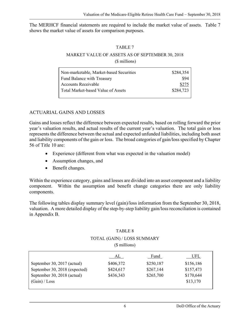The MERHCF financial statements are required to include the market value of assets. Table 7 shows the market value of assets for comparison purposes.

#### TABLE 7

#### MARKET VALUE OF ASSETS AS OF SEPTEMBER 30, 2018 (\$ millions)

| Non-marketable, Market-based Securities | \$284,354 |
|-----------------------------------------|-----------|
| <b>Fund Balance with Treasury</b>       | \$94      |
| Accounts Receivable                     | \$275     |
| Total Market-based Value of Assets      | \$284,723 |
|                                         |           |

## ACTUARIAL GAINS AND LOSSES

Gains and losses reflect the difference between expected results, based on rolling forward the prior year's valuation results, and actual results of the current year's valuation. The total gain or loss represents the difference between the actual and expected unfunded liabilities, including both asset and liability components of the gain or loss. The broad categories of gain/loss specified by Chapter 56 of Title 10 are:

- Experience (different from what was expected in the valuation model)
- Assumption changes, and
- Benefit changes.

Within the experience category, gains and losses are divided into an asset component and a liability component. Within the assumption and benefit change categories there are only liability components.

The following tables display summary level (gain)/loss information from the September 30, 2018, valuation. A more detailed display of the step-by-step liability gain/loss reconciliation is contained in Appendix B.

#### TABLE 8

#### TOTAL (GAIN) / LOSS SUMMARY

(\$ millions)

| AL        | Fund      | UFL       |
|-----------|-----------|-----------|
| \$406,372 | \$250,187 | \$156,186 |
| \$424,617 | \$267,144 | \$157,473 |
| \$436,343 | \$265,700 | \$170,644 |
|           |           | \$13,170  |
|           |           |           |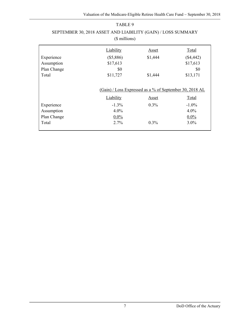## TABLE 9 SEPTEMBER 30, 2018 ASSET AND LIABILITY (GAIN) / LOSS SUMMARY (\$ millions)

|             | Liability            | Asset                                                                              | Total             |
|-------------|----------------------|------------------------------------------------------------------------------------|-------------------|
| Experience  | $(\$5,886)$          | \$1,444                                                                            | $(\$4,442)$       |
| Assumption  | \$17,613             |                                                                                    | \$17,613          |
| Plan Change | \$0                  |                                                                                    | \$0               |
| Total       | \$11,727             | \$1,444                                                                            | \$13,171          |
| Experience  | Liability<br>$-1.3%$ | (Gain) / Loss Expressed as a % of September 30, 2018 AL<br><b>Asset</b><br>$0.3\%$ | Total<br>$-1.0\%$ |
| Assumption  | $4.0\%$              |                                                                                    | 4.0%              |
|             |                      |                                                                                    |                   |
| Plan Change | $0.0\%$              |                                                                                    | $0.0\%$           |
| Total       | 2.7%                 | $0.3\%$                                                                            | $3.0\%$           |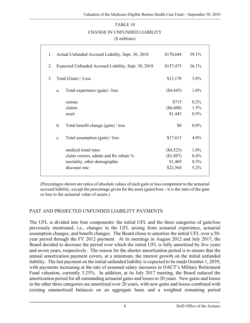#### TABLE 10

#### CHANGE IN UNFUNDED LIABILITY

(\$ millions)

| 1. |                | Actual Unfunded Accrued Liability, Sept. 30, 2018                                                            | \$170,644                                       | 39.1%                           |  |
|----|----------------|--------------------------------------------------------------------------------------------------------------|-------------------------------------------------|---------------------------------|--|
| 2. |                | Expected Unfunded Accrued Liability, Sept. 30, 2018                                                          | \$157,473                                       | 36.1%                           |  |
| 3. |                | Total (Gain) / Loss                                                                                          | \$13,170                                        | $3.0\%$                         |  |
|    | a.             | Total experience (gain) / loss                                                                               | $(\$4,443)$                                     | $1.0\%$                         |  |
|    |                | census<br>claims<br>asset                                                                                    | \$715<br>$(\$6,600)$<br>\$1,443                 | $0.2\%$<br>1.5%<br>0.5%         |  |
|    | $\mathbf b$ .  | Total benefit change (gain) / loss                                                                           | \$0                                             | $0.0\%$                         |  |
|    | $\mathbf{c}$ . | Total assumption $(gain) / loss$                                                                             | \$17,613                                        | $4.0\%$                         |  |
|    |                | medical trend rates<br>claim vectors, admin and Rx rebate %<br>mortality, other demographic<br>discount rate | $(\$4,523)$<br>(\$1,897)<br>\$1,469<br>\$22,564 | $1.0\%$<br>0.4%<br>0.3%<br>5.2% |  |
|    |                |                                                                                                              |                                                 |                                 |  |

(Percentages shown are ratios of absolute values of each gain or loss component to the actuarial accrued liability, except the percentage given for the asset (gain)/loss—it is the ratio of the gain or loss to the actuarial value of assets.)

#### PAST AND PROJECTED UNFUNDED LIABILITY PAYMENTS

The UFL is divided into four components: the initial UFL and the three categories of gain/loss previously mentioned, i.e., changes in the UFL arising from actuarial experience, actuarial assumption changes, and benefit changes. The Board chose to amortize the initial UFL over a 50 year period through the FY 2012 payment. At its meetings in August 2012 and July 2017, the Board decided to decrease the period over which the initial UFL is fully amortized by five years and seven years, respectively. The reason for the shorter amortization period is to ensure that the annual amortization payment covers, at a minimum, the interest growth on the initial unfunded liability. The last payment on the initial unfunded liability is expected to be made October 1, 2039, with payments increasing at the rate of assumed salary increases in OACT's Military Retirement Fund valuation, currently 3.25%. In addition, at its July 2017 meeting, the Board reduced the amortization period for all outstanding actuarial gains and losses to 20 years. New gains and losses in the other three categories are amortized over 20 years, with new gains and losses combined with existing unamortized balances on an aggregate basis and a weighted remaining period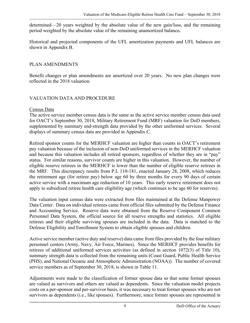determined—20 years weighted by the absolute value of the new gain/loss, and the remaining period weighted by the absolute value of the remaining unamortized balance**.**

Historical and projected components of the UFL amortization payments and UFL balances are shown in Appendix B.

#### PLAN AMENDMENTS

Benefit changes or plan amendments are amortized over 20 years. No new plan changes were reflected in the 2018 valuation.

#### VALUATION DATA AND PROCEDURE

#### Census Data

The active service member census data is the same as the active service member census data used for OACT's September 30, 2018, Military Retirement Fund (MRF) valuation for DoD members, supplemented by summary end-strength data provided by the other uniformed services. Several displays of summary census data are provided in Appendix C.

Retired sponsor counts for the MERHCF valuation are higher than counts in OACT's retirement pay valuation because of the inclusion of non-DoD uniformed services in the MERHCF valuation and because this valuation includes all retired sponsors, regardless of whether they are in "pay" status. For similar reasons, survivor counts are higher in this valuation. However, the number of eligible reserve retirees in the MERHCF is lower than the number of eligible reserve retirees in the MRF. This discrepancy results from P.L 110-181, enacted January 28, 2008, which reduces the retirement age (for retiree pay) below age 60 by three months for every 90 days of certain active service with a maximum age reduction of 10 years. This early reserve retirement does not apply to subsidized retiree health care eligibility age (which continues to be age 60 for reserves).

The valuation input census data were extracted from files maintained at the Defense Manpower Data Center. Data on individual retirees came from official files submitted by the Defense Finance and Accounting Service. Reserve data were obtained from the Reserve Component Common Personnel Data System, the official source for all reserve strengths and statistics. All eligible retirees and their eligible surviving spouses are included in the data. Data is matched to the Defense Eligibility and Enrollment System to obtain eligible spouses and children.

Active service member (active duty and reserve) data came from files provided by the four military personnel centers (Army, Navy, Air Force, Marines). Since the MERHCF provides benefits for retirees of additional uniformed services activities (as defined in section 1072(3) of Title 10), summary strength data is collected from the remaining units (Coast Guard, Public Health Service (PHS), and National Oceanic and Atmospheric Administration (NOAA)). The number of covered service members as of September 30, 2018, is shown in Table 11.

Adjustments were made to the classification of former spouse data so that some former spouses are valued as survivors and others are valued as dependents. Since the valuation model projects costs on a per-sponsor and per-survivor basis, it was necessary to treat former spouses who are not survivors as dependents (i.e., like spouses). Furthermore, since former spouses are represented in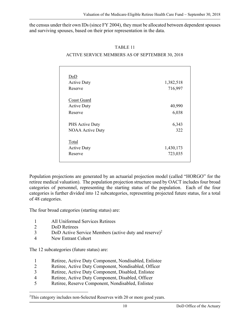the census under their own IDs (since FY 2004), they must be allocated between dependent spouses and surviving spouses, based on their prior representation in the data.

#### TABLE 11

#### ACTIVE SERVICE MEMBERS AS OF SEPTEMBER 30, 2018

| DoD                     |           |
|-------------------------|-----------|
| <b>Active Duty</b>      | 1,382,518 |
| Reserve                 | 716,997   |
|                         |           |
| Coast Guard             |           |
| <b>Active Duty</b>      | 40,990    |
| Reserve                 | 6,038     |
|                         |           |
| PHS Active Duty         | 6,343     |
| <b>NOAA Active Duty</b> | 322       |
|                         |           |
| Total                   |           |
| <b>Active Duty</b>      | 1,430,173 |
| Reserve                 | 723,035   |
|                         |           |

Population projections are generated by an actuarial projection model (called "HORGO" for the retiree medical valuation). The population projection structure used by OACT includes four broad categories of personnel, representing the starting status of the population. Each of the four categories is further divided into 12 subcategories, representing projected future status, for a total of 48 categories.

The four broad categories (starting status) are:

- 1 All Uniformed Services Retirees
- 2 DoD Retirees

i<br>Li

- 3 DoD Active Service Members (active duty and reserve)2
- 4 New Entrant Cohort

The 12 subcategories (future status) are:

- 1 Retiree, Active Duty Component, Nondisabled, Enlistee
- 2 Retiree, Active Duty Component, Nondisabled, Officer
- 3 Retiree, Active Duty Component, Disabled, Enlistee
- 4 Retiree, Active Duty Component, Disabled, Officer
- 5 Retiree, Reserve Component, Nondisabled, Enlistee

 $2$ This category includes non-Selected Reserves with 20 or more good years.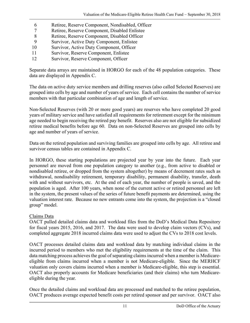- 6 Retiree, Reserve Component, Nondisabled, Officer
- 7 Retiree, Reserve Component, Disabled Enlistee
- 8 Retiree, Reserve Component, Disabled Officer
- 9 Survivor, Active Duty Component, Enlistee
- 10 Survivor, Active Duty Component, Officer
- 11 Survivor, Reserve Component, Enlistee
- 12 Survivor, Reserve Component, Officer

Separate data arrays are maintained in HORGO for each of the 48 population categories. These data are displayed in Appendix C.

The data on active duty service members and drilling reserves (also called Selected Reserves) are grouped into cells by age and number of years of service. Each cell contains the number of service members with that particular combination of age and length of service.

Non-Selected Reserves (with 20 or more good years) are reserves who have completed 20 good years of military service and have satisfied all requirements for retirement except for the minimum age needed to begin receiving the retired pay benefit. Reserves also are not eligible for subsidized retiree medical benefits before age 60. Data on non-Selected Reserves are grouped into cells by age and number of years of service.

Data on the retired population and surviving families are grouped into cells by age. All retiree and survivor census tables are contained in Appendix C.

In HORGO, these starting populations are projected year by year into the future. Each year personnel are moved from one population category to another (e.g., from active to disabled or nondisabled retiree, or dropped from the system altogether) by means of decrement rates such as withdrawal, nondisability retirement, temporary disability, permanent disability, transfer, death with and without survivors, etc. At the end of each year, the number of people is saved, and the population is aged. After 100 years, when none of the current active or retired personnel are left in the system, the present values of the series of future benefit payments are determined, using the valuation interest rate. Because no new entrants come into the system, the projection is a "closed group" model.

#### Claims Data

OACT pulled detailed claims data and workload files from the DoD's Medical Data Repository for fiscal years 2015, 2016, and 2017. The data were used to develop claim vectors (CVs), and completed aggregate 2018 incurred claims data were used to adjust the CVs to 2018 cost levels.

OACT processes detailed claims data and workload data by matching individual claims in the incurred period to members who met the eligibility requirements at the time of the claim. This data matching process achieves the goal of separating claims incurred when a member is Medicareeligible from claims incurred when a member is not Medicare-eligible. Since the MERHCF valuation only covers claims incurred when a member is Medicare-eligible, this step is essential. OACT also properly accounts for Medicare beneficiaries (and their claims) who turn Medicareeligible during the year.

Once the detailed claims and workload data are processed and matched to the retiree population, OACT produces average expected benefit costs per retired sponsor and per survivor. OACT also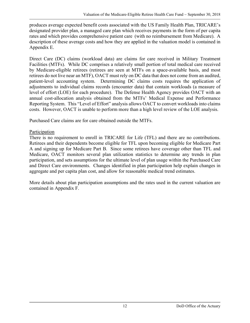produces average expected benefit costs associated with the US Family Health Plan, TRICARE's designated provider plan, a managed care plan which receives payments in the form of per capita rates and which provides comprehensive patient care (with no reimbursement from Medicare). A description of these average costs and how they are applied in the valuation model is contained in Appendix E.

Direct Care (DC) claims (workload data) are claims for care received in Military Treatment Facilities (MTFs). While DC comprises a relatively small portion of total medical care received by Medicare-eligible retirees (retirees are seen at MTFs on a space-available basis, and most retirees do not live near an MTF), OACT must rely on DC data that does not come from an audited, patient-level accounting system. Determining DC claims costs requires the application of adjustments to individual claims records (encounter data) that contain workloads (a measure of level of effort (LOE) for each procedure). The Defense Health Agency provides OACT with an annual cost-allocation analysis obtained from the MTFs' Medical Expense and Performance Reporting System. This "Level of Effort" analysis allows OACT to convert workloads into claims costs. However, OACT is unable to perform more than a high level review of the LOE analysis.

Purchased Care claims are for care obtained outside the MTFs.

## Participation

There is no requirement to enroll in TRICARE for Life (TFL) and there are no contributions. Retirees and their dependents become eligible for TFL upon becoming eligible for Medicare Part A and signing up for Medicare Part B. Since some retirees have coverage other than TFL and Medicare, OACT monitors several plan utilization statistics to determine any trends in plan participation, and sets assumptions for the ultimate level of plan usage within the Purchased Care and Direct Care environments. Changes identified in plan participation help explain changes in aggregate and per capita plan cost, and allow for reasonable medical trend estimates.

More details about plan participation assumptions and the rates used in the current valuation are contained in Appendix F.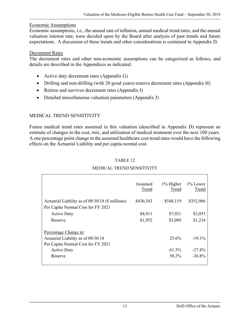#### Economic Assumptions

Economic assumptions, i.e., the annual rate of inflation, annual medical trend rates, and the annual valuation interest rate, were decided upon by the Board after analysis of past trends and future expectations. A discussion of these trends and other considerations is contained in Appendix D.

#### Decrement Rates

The decrement rates and other non-economic assumptions can be categorized as follows, and details are described in the Appendices as indicated:

- Active duty decrement rates (Appendix G)
- Drilling and non-drilling (with 20 good years) reserve decrement rates (Appendix H)
- Retiree and survivor decrement rates (Appendix I)
- Detailed miscellaneous valuation parameters (Appendix J)

## MEDICAL TREND SENSITIVITY

Future medical trend rates assumed in this valuation (described in Appendix D) represent an estimate of changes in the cost, mix, and utilization of medical treatment over the next 100 years. A one percentage point change in the assumed healthcare cost trend rates would have the following effects on the Actuarial Liability and per capita normal cost.

|                                                  | Assumed<br>Trend | 1% Higher<br>Trend | 1% Lower<br>Trend |
|--------------------------------------------------|------------------|--------------------|-------------------|
| Actuarial Liability as of 09/30/18 (\$ millions) | \$436,343        | \$548,119          | \$352,966         |
| Per Capita Normal Cost for FY 2021               |                  |                    |                   |
| <b>Active Duty</b>                               | \$4,911          | \$7,921            | \$3,053           |
| Reserve                                          | \$1,952          | \$3,089            | \$1,234           |
| Percentage Change in:                            |                  |                    |                   |
| Actuarial Liability as of 09/30/18               |                  | 25.6%              | $-19.1\%$         |
| Per Capita Normal Cost for FY 2021               |                  |                    |                   |
| <b>Active Duty</b>                               |                  | 61.3%              | $-37.8\%$         |
| Reserve                                          |                  | 58.2%              | $-36.8\%$         |
|                                                  |                  |                    |                   |

#### TABLE 12

#### MEDICAL TREND SENSITIVITY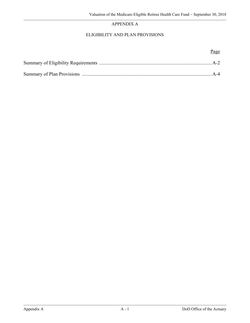#### APPENDIX A

#### ELIGIBILITY AND PLAN PROVISIONS

Page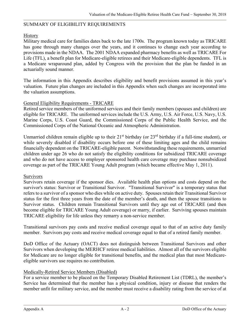#### SUMMARY OF ELIGIBILITY REQUIREMENTS

#### History

Military medical care for families dates back to the late 1700s. The program known today as TRICARE has gone through many changes over the years, and it continues to change each year according to provisions made in the NDAA. The 2001 NDAA expanded pharmacy benefits as well as TRICARE For Life (TFL), a benefit plan for Medicare-eligible retirees and their Medicare-eligible dependents. TFL is a Medicare wraparound plan, added by Congress with the provision that the plan be funded in an actuarially sound manner.

The information in this Appendix describes eligibility and benefit provisions assumed in this year's valuation. Future plan changes are included in this Appendix when such changes are incorporated into the valuation assumptions.

#### General Eligibility Requirements - TRICARE

Retired service members of the uniformed services and their family members (spouses and children) are eligible for TRICARE. The uniformed services include the U.S. Army, U.S. Air Force, U.S. Navy, U.S. Marine Corps, U.S. Coast Guard, the Commissioned Corps of the Public Health Service, and the Commissioned Corps of the National Oceanic and Atmospheric Administration.

Unmarried children remain eligible up to their  $21<sup>st</sup>$  birthday (or  $23<sup>rd</sup>$  birthday if a full-time student), or while severely disabled if disability occurs before one of these limiting ages and the child remains financially dependent on the TRICARE-eligible parent. Notwithstanding these requirements, unmarried children under age 26 who do not satisfy the eligibility conditions for subsidized TRICARE coverage and who do not have access to employer sponsored health care coverage may purchase nonsubsidized coverage as part of the TRICARE Young Adult program (which became effective May 1, 2011).

#### Survivors

Survivors retain coverage if the sponsor dies. Available health plan options and costs depend on the survivor's status: Survivor or Transitional Survivor. "Transitional Survivor" is a temporary status that refers to a survivor of a sponsor who dies while on active duty. Spouses retain their Transitional Survivor status for the first three years from the date of the member's death, and then the spouse transitions to Survivor status. Children remain Transitional Survivors until they age out of TRICARE (and then become eligible for TRICARE Young Adult coverage) or marry, if earlier. Surviving spouses maintain TRICARE eligibility for life unless they remarry a non-service member.

Transitional survivors pay costs and receive medical coverage equal to that of an active duty family member. Survivors pay costs and receive medical coverage equal to that of a retired family member.

DoD Office of the Actuary (OACT) does not distinguish between Transitional Survivors and other Survivors when developing the MERHCF retiree medical liabilities. Almost all of the survivors eligible for Medicare are no longer eligible for transitional benefits, and the medical plan that most Medicareeligible survivors use requires no contribution.

#### Medically-Retired Service Members (Disabled)

For a service member to be placed on the Temporary Disabled Retirement List (TDRL), the member's Service has determined that the member has a physical condition, injury or disease that renders the member unfit for military service, and the member must receive a disability rating from the service of at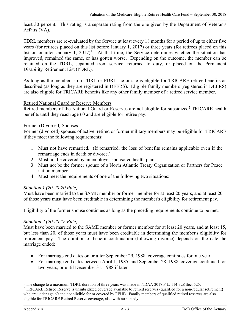least 30 percent. This rating is a separate rating from the one given by the Department of Veteran's Affairs (VA).

TDRL members are re-evaluated by the Service at least every 18 months for a period of up to either five years (for retirees placed on this list before January 1, 2017) or three years (for retirees placed on this list on or after January 1,  $2017$ <sup>1</sup>. At that time, the Service determines whether the situation has improved, remained the same, or has gotten worse. Depending on the outcome, the member can be retained on the TDRL, separated from service, returned to duty, or placed on the Permanent Disability Retirement List (PDRL).

As long as the member is on TDRL or PDRL, he or she is eligible for TRICARE retiree benefits as described (as long as they are registered in DEERS). Eligible family members (registered in DEERS) are also eligible for TRICARE benefits like any other family member of a retired service member.

#### Retired National Guard or Reserve Members

Retired members of the National Guard or Reserves are not eligible for subsidized<sup>2</sup> TRICARE health benefits until they reach age 60 and are eligible for retiree pay.

#### Former (Divorced) Spouses

Former (divorced) spouses of active, retired or former military members may be eligible for TRICARE if they meet the following requirements:

- 1. Must not have remarried. (If remarried, the loss of benefits remains applicable even if the remarriage ends in death or divorce.)
- 2. Must not be covered by an employer-sponsored health plan.
- 3. Must not be the former spouse of a North Atlantic Treaty Organization or Partners for Peace nation member.
- 4. Must meet the requirements of one of the following two situations:

#### *Situation 1 (20-20-20 Rule)*

Must have been married to the SAME member or former member for at least 20 years, and at least 20 of those years must have been creditable in determining the member's eligibility for retirement pay.

Eligibility of the former spouse continues as long as the preceding requirements continue to be met.

#### <sup>U</sup>*Situation 2 (20-20-15 Rule)*

Must have been married to the SAME member or former member for at least 20 years, and at least 15, but less than 20, of those years must have been creditable in determining the member's eligibility for retirement pay. The duration of benefit continuation (following divorce) depends on the date the marriage ended:

- For marriage end dates on or after September 29, 1988, coverage continues for one year
- For marriage end dates between April 1, 1985, and September 28, 1988, coverage continued for two years, or until December 31, 1988 if later

 $\overline{a}$ 

<sup>&</sup>lt;sup>1</sup> The change to a maximum TDRL duration of three years was made in NDAA 2017 P.L. 114-328 Sec. 525.<br><sup>2</sup> TRICARE Retired Reserve is unsubsidized coverage available to retired reserves (qualified for a non-regula

<sup>&</sup>lt;sup>2</sup> TRICARE Retired Reserve is unsubsidized coverage available to retired reserves (qualified for a non-regular retirement) who are under age 60 and not eligible for or covered by FEHB. Family members of qualified retired reserves are also eligible for TRICARE Retired Reserve coverage, also with no subsidy.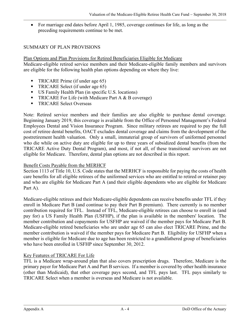For marriage end dates before April 1, 1985, coverage continues for life, as long as the preceding requirements continue to be met.

#### SUMMARY OF PLAN PROVISIONS

Plan Options and Plan Provisions for Retired Beneficiaries Eligible for Medicare Medicare-eligible retired service members and their Medicare-eligible family members and survivors are eligible for the following health plan options depending on where they live:

- $\blacksquare$  TRICARE Prime (if under age 65)
- $\blacksquare$  TRICARE Select (if under age 65)
- $\blacksquare$  US Family Health Plan (in specific U.S. locations)
- **FIRICARE For Life (with Medicare Part A & B coverage)**
- TRICARE Select Overseas

Note: Retired service members and their families are also eligible to purchase dental coverage. Beginning January 2019, this coverage is available from the Office of Personnel Management's Federal Employees Dental and Vision Insurance Program. Since military retirees are required to pay the full cost of retiree dental benefits, OACT excludes dental coverage and claims from the development of the postretirement health valuation. Only a small, immaterial group of survivors of uniformed personnel who die while on active duty are eligible for up to three years of subsidized dental benefits (from the TRICARE Active Duty Dental Program), and most, if not all, of these transitional survivors are not eligible for Medicare. Therefore, dental plan options are not described in this report.

#### Benefit Costs Payable from the MERHCF

Section 1113 of Title 10, U.S. Code states that the MERHCF is responsible for paying the costs of health care benefits for all eligible retirees of the uniformed services who are entitled to retired or retainer pay and who are eligible for Medicare Part A (and their eligible dependents who are eligible for Medicare Part A).

Medicare-eligible retirees and their Medicare-eligible dependents can receive benefits under TFL if they enroll in Medicare Part B (and continue to pay their Part B premium). There currently is no member contribution required for TFL. Instead of TFL, Medicare-eligible retirees can choose to enroll in (and pay for) a US Family Health Plan (USFHP), if the plan is available in the members' location. The member contribution and copayments for USFHP are waived if the member pays for Medicare Part B. Medicare-eligible retired beneficiaries who are under age 65 can also elect TRICARE Prime, and the member contribution is waived if the member pays for Medicare Part B. Eligibility for USFHP when a member is eligible for Medicare due to age has been restricted to a grandfathered group of beneficiaries who have been enrolled in USFHP since September 30, 2012.

#### Key Features of TRICARE For Life

TFL is a Medicare wrap-around plan that also covers prescription drugs. Therefore, Medicare is the primary payer for Medicare Part A and Part B services. If a member is covered by other health insurance (other than Medicaid), that other coverage pays second, and TFL pays last. TFL pays similarly to TRICARE Select when a member is overseas and Medicare is not available.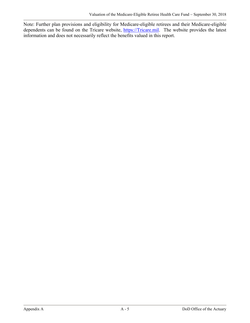Note: Further plan provisions and eligibility for Medicare-eligible retirees and their Medicare-eligible dependents can be found on the Tricare website, https://Tricare.mil. The website provides the latest information and does not necessarily reflect the benefits valued in this report.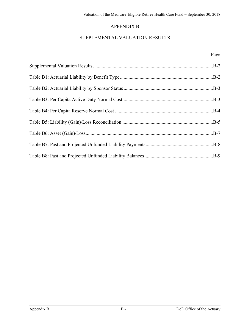## APPENDIX B

## SUPPLEMENTAL VALUATION RESULTS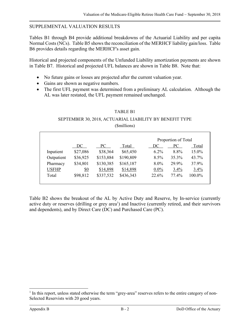#### SUPPLEMENTAL VALUATION RESULTS

Tables B1 through B4 provide additional breakdowns of the Actuarial Liability and per capita Normal Costs (NCs). Table B5 shows the reconciliation of the MERHCF liability gain/loss. Table B6 provides details regarding the MERHCF's asset gain.

Historical and projected components of the Unfunded Liability amortization payments are shown in Table B7. Historical and projected UFL balances are shown in Table B8. Note that:

- No future gains or losses are projected after the current valuation year.
- Gains are shown as negative numbers.
- The first UFL payment was determined from a preliminary AL calculation. Although the AL was later restated, the UFL payment remained unchanged.

#### TABLE B1

#### SEPTEMBER 30, 2018, ACTUARIAL LIABILITY BY BENEFIT TYPE (\$millions)

|              |                   |           |           |         | Proportion of Total |        |  |  |
|--------------|-------------------|-----------|-----------|---------|---------------------|--------|--|--|
|              | DC                | PC.       | Total     | DC      | PC                  | Total  |  |  |
| Inpatient    | \$27,086          | \$38,364  | \$65,450  | $6.2\%$ | 8.8%                | 15.0%  |  |  |
| Outpatient   | \$36,925          | \$153,884 | \$190,809 | 8.5%    | 35.3%               | 43.7%  |  |  |
| Pharmacy     | \$34,801          | \$130,385 | \$165,187 | $8.0\%$ | 29.9%               | 37.9%  |  |  |
| <b>USFHP</b> | $\underline{\$0}$ | \$14,898  | \$14,898  | $0.0\%$ | 3.4%                | 3.4%   |  |  |
| Total        | \$98,812          | \$337,532 | \$436,343 | 22.6%   | 77.4%               | 100.0% |  |  |
|              |                   |           |           |         |                     |        |  |  |

Table B2 shows the breakout of the AL by Active Duty and Reserve, by In-service (currently active duty or reserves (drilling or grey area<sup>1</sup>) and Inactive (currently retired, and their survivors and dependents), and by Direct Care (DC) and Purchased Care (PC).

 $\overline{a}$ 

<sup>&</sup>lt;sup>1</sup> In this report, unless stated otherwise the term "grey-area" reserves refers to the entire category of non-Selected Reservists with 20 good years.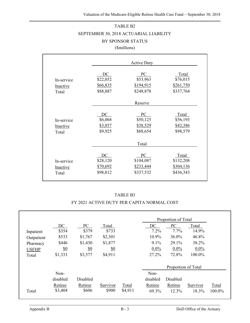## TABLE B2 SEPTEMBER 30, 2018 ACTUARIAL LIABILITY BY SPONSOR STATUS (\$millions)

|                                        |                                               | <b>Active Duty</b>                        |                                              |
|----------------------------------------|-----------------------------------------------|-------------------------------------------|----------------------------------------------|
| In-service<br>Inactive<br>Total        | DC<br>\$22,052<br>\$66,835<br>\$88,887        | PC<br>\$53,963<br>\$194,915<br>\$248,878  | Total<br>\$76,015<br>\$261,750<br>\$337,764  |
|                                        |                                               | Reserve                                   |                                              |
| In-service<br>Inactive<br>Total        | DC<br>\$6,068<br>\$3,857<br>\$9,925           | PC<br>\$50,125<br>\$38,529<br>\$88,654    | Total<br>\$56,193<br>\$42,386<br>\$98,579    |
|                                        |                                               | Total                                     |                                              |
| In-service<br><b>Inactive</b><br>Total | DC<br>\$28,120<br><u>\$70,692</u><br>\$98,812 | PC<br>\$104,087<br>\$233,444<br>\$337,532 | Total<br>\$132,208<br>\$304,136<br>\$436,343 |

#### TABLE B3

#### FY 2021 ACTIVE DUTY PER CAPITA NORMAL COST

|              |            |                   |            |         |          | Proportion of Total |          |        |
|--------------|------------|-------------------|------------|---------|----------|---------------------|----------|--------|
|              | DC         | PC                | Total      |         | DC       | PC                  | Total    |        |
| Inpatient    | \$354      | \$379             | \$733      |         | 7.2%     | 7.7%                | 14.9%    |        |
| Outpatient   | \$533      | \$1,767           | \$2,301    |         | 10.9%    | 36.0%               | 46.8%    |        |
| Pharmacy     | \$446      | \$1,430           | \$1,877    |         | 9.1%     | 29.1%               | 38.2%    |        |
| <b>USFHP</b> | <u>\$0</u> | $\underline{\$0}$ | <u>\$0</u> |         | $0.0\%$  | $0.0\%$             | $0.0\%$  |        |
| Total        | \$1,333    | \$3,577           | \$4,911    |         | 27.2%    | 72.8%               | 100.0%   |        |
|              |            |                   |            |         |          | Proportion of Total |          |        |
|              | Non-       |                   |            |         | Non-     |                     |          |        |
|              | disabled   | Disabled          |            |         | disabled | Disabled            |          |        |
|              | Retiree    | Retiree           | Survivor   | Total   | Retiree  | Retiree             | Survivor | Total  |
| Total        | \$3,404    | \$606             | \$900      | \$4,911 | 69.3%    | 12.3%               | 18.3%    | 100.0% |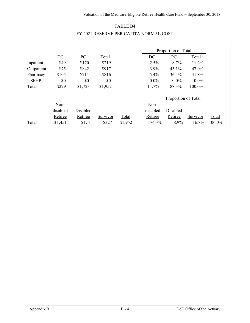|              |          |                   |            |              |          | Proportion of Total |          |        |
|--------------|----------|-------------------|------------|--------------|----------|---------------------|----------|--------|
|              | DC       | PC                | Total      |              | DC       | PC                  | Total    |        |
| Inpatient    | \$49     | \$170             | \$219      |              | 2.5%     | 8.7%                | 11.2%    |        |
| Outpatient   | \$75     | \$842             | \$917      |              | 3.9%     | 43.1%               | 47.0%    |        |
| Pharmacy     | \$105    | \$711             | \$816      |              | 5.4%     | $36.4\%$            | 41.8%    |        |
| <b>USFHP</b> | \$0      | $\underline{\$0}$ | <u>\$0</u> |              | $0.0\%$  | $0.0\%$             | $0.0\%$  |        |
| Total        | \$229    | \$1,723           | \$1,952    |              | 11.7%    | 88.3%               | 100.0%   |        |
|              |          |                   |            |              |          | Proportion of Total |          |        |
|              | Non-     |                   |            |              | Non-     |                     |          |        |
|              | disabled | Disabled          |            |              | disabled | Disabled            |          |        |
|              | Retiree  | Retiree           | Survivor   | <b>Total</b> | Retiree  | Retiree             | Survivor | Total  |
| Total        | \$1,451  | \$174             | \$327      | \$1,952      | 74.3%    | 8.9%                | 16.8%    | 100.0% |

## TABLE B4 FY 2021 RESERVE PER CAPITA NORMAL COST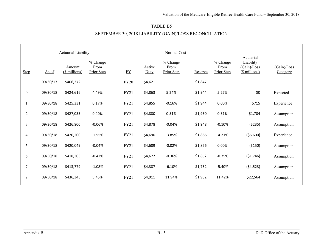#### TABLE B5

#### SEPTEMBER 30, 2018 LIABILITY (GAIN)/LOSS RECONCILIATION

|                  |          | <b>Actuarial Liability</b> |                                |             | Normal Cost    |                                |         |                                |                                                        |                         |
|------------------|----------|----------------------------|--------------------------------|-------------|----------------|--------------------------------|---------|--------------------------------|--------------------------------------------------------|-------------------------|
| <b>Step</b>      | As of    | Amount<br>(\$ millions)    | % Change<br>From<br>Prior Step | $FY$        | Active<br>Duty | % Change<br>From<br>Prior Step | Reserve | % Change<br>From<br>Prior Step | Actuarial<br>Liability<br>(Gain)/Loss<br>(\$ millions) | (Gain)/Loss<br>Category |
|                  | 09/30/17 | \$406,372                  |                                | <b>FY20</b> | \$4,621        |                                | \$1,847 |                                |                                                        |                         |
| $\boldsymbol{0}$ | 09/30/18 | \$424,616                  | 4.49%                          | FY21        | \$4,863        | 5.24%                          | \$1,944 | 5.27%                          | \$0                                                    | Expected                |
| 1                | 09/30/18 | \$425,331                  | 0.17%                          | <b>FY21</b> | \$4,855        | $-0.16%$                       | \$1,944 | 0.00%                          | \$715                                                  | Experience              |
| $\sqrt{2}$       | 09/30/18 | \$427,035                  | 0.40%                          | FY21        | \$4,880        | 0.51%                          | \$1,950 | 0.31%                          | \$1,704                                                | Assumption              |
| $\mathfrak{Z}$   | 09/30/18 | \$426,800                  | $-0.06%$                       | FY21        | \$4,878        | $-0.04%$                       | \$1,948 | $-0.10%$                       | (5235)                                                 | Assumption              |
| $\overline{4}$   | 09/30/18 | \$420,200                  | $-1.55%$                       | <b>FY21</b> | \$4,690        | $-3.85%$                       | \$1,866 | $-4.21%$                       | ( \$6,600)                                             | Experience              |
| 5                | 09/30/18 | \$420,049                  | $-0.04%$                       | FY21        | \$4,689        | $-0.02%$                       | \$1,866 | 0.00%                          | ( \$150)                                               | Assumption              |
| 6                | 09/30/18 | \$418,303                  | $-0.42%$                       | FY21        | \$4,672        | $-0.36%$                       | \$1,852 | $-0.75%$                       | (51, 746)                                              | Assumption              |
| $\overline{7}$   | 09/30/18 | \$413,779                  | $-1.08%$                       | FY21        | \$4,387        | $-6.10%$                       | \$1,752 | $-5.40%$                       | (54, 523)                                              | Assumption              |
| $\,8\,$          | 09/30/18 | \$436,343                  | 5.45%                          | <b>FY21</b> | \$4,911        | 11.94%                         | \$1,952 | 11.42%                         | \$22,564                                               | Assumption              |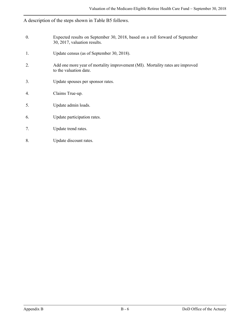## A description of the steps shown in Table B5 follows.

| 0. | Expected results on September 30, 2018, based on a roll forward of September<br>30, 2017, valuation results. |
|----|--------------------------------------------------------------------------------------------------------------|
| 1. | Update census (as of September 30, 2018).                                                                    |
| 2. | Add one more year of mortality improvement (MI). Mortality rates are improved<br>to the valuation date.      |
| 3. | Update spouses per sponsor rates.                                                                            |
| 4. | Claims True-up.                                                                                              |
| 5. | Update admin loads.                                                                                          |
| 6. | Update participation rates.                                                                                  |
| 7. | Update trend rates.                                                                                          |
| 8. | Update discount rates.                                                                                       |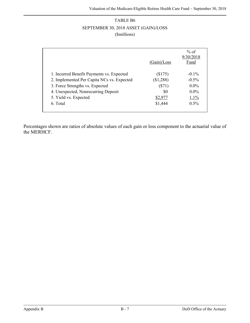## TABLE B6 SEPTEMBER 30, 2018 ASSET (GAIN)/LOSS (\$millions)

|                                            |             | % of              |
|--------------------------------------------|-------------|-------------------|
|                                            | (Gain)/Loss | 9/30/2018<br>Fund |
| 1. Incurred Benefit Payments vs. Expected  | (\$175)     | $-0.1\%$          |
| 2. Implemented Per Capita NCs vs. Expected | (\$1,288)   | $-0.5\%$          |
| 3. Force Strengths vs. Expected            | ( \$71)     | $0.0\%$           |
| 4. Unexpected, Nonrecurring Deposit        | \$0         | $0.0\%$           |
| 5. Yield vs. Expected                      | \$2,977     | 1.1%              |
| 6. Total                                   | \$1,444     | $0.5\%$           |

Percentages shown are ratios of absolute values of each gain or loss component to the actuarial value of the MERHCF.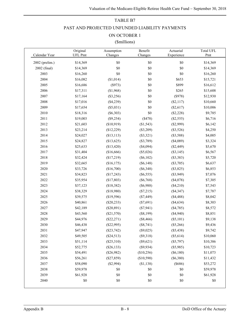## TABLE B7 PAST AND PROJECTED UNFUNDED LIABILITY PAYMENTS

#### ON OCTOBER 1

#### (\$millions)

| Calendar Year  | Original<br><b>UFL Pmt</b> | Assumption<br>Changes | Benefit<br>Changes | Actuarial<br>Experience | Total UFL<br>Pmt |
|----------------|----------------------------|-----------------------|--------------------|-------------------------|------------------|
| 2002 (prelim.) | \$14,369                   | \$0                   | \$0                | \$0                     | \$14,369         |
| 2002 (final)   | \$14,369                   | \$0                   | \$0                | \$0                     | \$14,369         |
| 2003           | \$16,260                   | \$0                   | \$0                | \$0                     | \$16,260         |
| 2004           | \$16,082                   | (\$1,014)             | \$0                | \$653                   | \$15,721         |
| 2005           | \$16,686                   | (\$973)               | \$0                | \$899                   | \$16,612         |
| 2006           | \$17,311                   | (\$1,968)             | \$0                | \$265                   | \$15,608         |
| 2007           | \$17,164                   | (\$3,256)             | \$0                | (\$978)                 | \$12,930         |
| 2008           | \$17,016                   | (\$4,239)             | \$0                | (\$2,117)               | \$10,660         |
| 2009           | \$17,654                   | (\$5,031)             | \$0                | (\$2,617)               | \$10,006         |
| 2010           | \$18,316                   | $(\$6,303)$           | \$0                | (\$2,228)               | \$9,785          |
| 2011           | \$19,003                   | (\$9,254)             | (\$478)            | $(\$2,555)$             | \$6,716          |
| 2012           | \$21,603                   | (\$10,919)            | (\$1,543)          | (\$2,999)               | \$6,142          |
| 2013           | \$23,214                   | (\$12,229)            | (\$3,209)          | (\$3,526)               | \$4,250          |
| 2014           | \$24,027                   | (\$13,113)            | (\$3,321)          | (\$3,588)               | \$4,005          |
| 2015           | \$24,827                   | (\$13,625)            | (\$3,789)          | (\$4,089)               | \$3,324          |
| 2016           | \$25,633                   | (\$13,420)            | (\$4,094)          | $(\$2,449)$             | \$5,670          |
| 2017           | \$31,404                   | (\$16,666)            | (\$5,026)          | (\$3,145)               | \$6,567          |
| 2018           | \$32,424                   | (\$17,219)            | $(\$6,102)$        | (\$3,383)               | \$5,720          |
| 2019           | \$32,665                   | (\$16,175)            | $(\$6,148)$        | (\$3,705)               | \$6,637          |
| 2020           | \$33,726                   | (\$16,700)            | $(\$6,348)$        | (\$3,825)               | \$6,853          |
| 2021           | \$34,823                   | (\$17,243)            | $(\$6,555)$        | $(\$3,949)$             | \$7,076          |
| 2022           | \$35,954                   | (\$17,803)            | $(\$6,768)$        | (\$4,078)               | \$7,305          |
| 2023           | \$37,123                   | (\$18,382)            | (\$6,988)          | $(\$4,210)$             | \$7,543          |
| 2024           | \$38,329                   | (\$18,980)            | (\$7,215)          | (\$4,347)               | \$7,787          |
| 2025           | \$39,575                   | (\$19,596)            | $(\$7,449)$        | (\$4,488)               | \$8,042          |
| 2026           | \$40,861                   | $(\$20,233)$          | (\$7,691)          | (\$4,634)               | \$8,303          |
| 2027           | \$42,189                   | $(\$20,891)$          | (\$7,941)          | (\$4,785)               | \$8,572          |
| 2028           | \$43,560                   | (\$21,570)            | $(\$8,199)$        | (\$4,940)               | \$8,851          |
| 2029           | \$44,976                   | $(\$22,271)$          | (\$8,466)          | (\$5,101)               | \$9,138          |
| 2030           | \$46,438                   | (\$22,995)            | $(\$8,741)$        | (\$5,266)               | \$9,436          |
| 2031           | \$47,947                   | (\$23,742)            | (\$9,025)          | (\$5,438)               | \$9,742          |
| 2032           | \$49,505                   | $(\$24,513)$          | (\$9,318)          | (\$5,614)               | \$10,060         |
| 2033           | \$51,114                   | $(\$25,310)$          | (\$9,621)          | (\$5,797)               | \$10,386         |
| 2034           | \$52,775                   | $(\$26,133)$          | (\$9,934)          | (\$5,985)               | \$10,723         |
| 2035           | \$54,491                   | (\$26,982)            | (\$10,256)         | (\$6,180)               | \$11,073         |
| 2036           | \$56,261                   | $(\$27,859)$          | (\$10,590)         | (\$6,380)               | \$11,432         |
| 2037           | \$58,090                   | (\$2,994)             | ( \$1,138)         | (\$686)                 | \$53,272         |
| 2038           | \$59,978                   | \$0                   | \$0                | \$0                     | \$59,978         |
| 2039           | \$61,928                   | \$0                   | \$0                | \$0                     | \$61,928         |
| 2040           | $\$0$                      | $\$0$                 | \$0                | \$0                     | \$0              |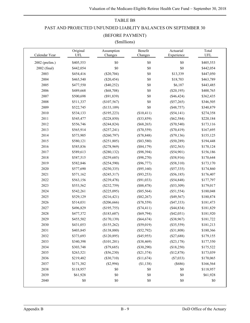#### TABLE B8

#### PAST AND PROJECTED UNFUNDED LIABLITY BALANCES ON SEPTEMBER 30

#### (BEFORE PAYMENT)

#### (\$millions)

|                | Original  | Assumption        | Benefit      | Actuarial    | Total     |
|----------------|-----------|-------------------|--------------|--------------|-----------|
| Calendar Year  | UFL       | Changes           | Changes      | Experience   | UFL       |
| 2002 (prelim.) | \$405,553 | $\$0$             | $\$0$        | \$0          | \$405,553 |
| 2002 (final)   | \$442,054 | $\$0$             | $\$0$        | \$0          | \$442,054 |
| 2003           | \$454,416 | (\$20,704)        | \$0          | \$13,339     | \$447,050 |
| 2004           | \$465,540 | $(\$20,454)$      | $\$0$        | \$18,703     | \$463,789 |
| 2005           | \$477,550 | $(\$40,252)$      | \$0          | \$6,187      | \$443,485 |
| 2006           | \$489,668 | $(\$68,708)$      | \$0          | (\$20,195)   | \$400,765 |
| 2007           | \$500,698 | (\$91,839)        | $\$0$        | (\$46,424)   | \$362,435 |
| 2008           | \$511,337 | (\$107,567)       | $\$0$        | $(\$57,265)$ | \$346,505 |
| 2009           | \$522,745 | $($ \$133,109 $)$ | \$0          | (\$48,757)   | \$340,879 |
| 2010           | \$534,133 | (\$195,223)       | (\$10,411)   | (\$54,141)   | \$274,358 |
| 2011           | \$545,477 | $(\$228,850)$     | (\$33,859)   | $(\$62,584)$ | \$220,184 |
| 2012           | \$556,746 | (\$244,824)       | $(\$68,265)$ | $(\$70,540)$ | \$173,116 |
| 2013           | \$565,914 | $(\$257,241)$     | $(\$70,559)$ | $(\$70,419)$ | \$167,695 |
| 2014           | \$573,905 | $(\$260,797)$     | $(\$78,848)$ | $(\$79,136)$ | \$155,125 |
| 2015           | \$580,121 | (\$251,805)       | $(\$83,580)$ | $(\$50,289)$ | \$194,448 |
| 2016           | \$585,836 | $(\$278,969)$     | (\$84,179)   | $(\$52,563)$ | \$170,124 |
| 2017           | \$589,613 | $(\$280,132)$     | (\$98,394)   | $(\$54,901)$ | \$156,186 |
| 2018           | \$587,515 | $(\$259,685)$     | $(\$98,270)$ | (\$58,916)   | \$170,644 |
| 2019           | \$582,846 | (\$254,590)       | $(\$96,777)$ | (\$58,310)   | \$173,170 |
| 2020           | \$577,690 | $(\$250,335)$     | (\$95,160)   | (\$57,335)   | \$174,860 |
| 2021           | \$571,162 | $(\$245,317)$     | (\$93,253)   | (\$56,185)   | \$176,407 |
| 2022           | \$563,156 | (\$239,478)       | $(\$91,033)$ | (\$54,848)   | \$177,797 |
| 2023           | \$553,562 | $(\$232,759)$     | (\$88,478)   | (\$53,309)   | \$179,017 |
| 2024           | \$542,261 | $(\$225,095)$     | $(\$85,564)$ | $(\$51,554)$ | \$180,048 |
| 2025           | \$529,129 | (\$216,421)       | $(\$82,267)$ | (\$49,567)   | \$180,874 |
| 2026           | \$514,031 | $(\$206,666)$     | $(*78,559)$  | (\$47,333)   | \$181,473 |
| 2027           | \$496,829 | (\$195,755)       | (\$74,411)   | (\$44,834)   | \$181,829 |
| 2028           | \$477,372 | (\$183,607)       | $(\$69,794)$ | (\$42,051)   | \$181,920 |
| 2029           | \$455,502 | (\$170, 139)      | $(\$64,674)$ | (\$38,967)   | \$181,722 |
| 2030           | \$431,053 | (\$155,262)       | (\$59,019)   | (\$35,559)   | \$181,213 |
| 2031           | \$403,845 | (\$138,880)       | $(\$52,792)$ | (\$31,808)   | \$180,366 |
| 2032           | \$373,693 | (\$120,895)       | $(\$45,955)$ | $(\$27,688)$ | \$179,155 |
| 2033           | \$340,398 | (\$101,201)       | (\$38,469)   | $(\$23,178)$ | \$177,550 |
| 2034           | \$303,748 | $(\$79,685)$      | $(\$30,290)$ | (\$18,250)   | \$175,522 |
| 2035           | \$263,521 | (\$56,230)        | (\$21,374)   | (\$12,878)   | \$173,039 |
| 2036           | \$219,482 | $(\$30,710)$      | (\$11,674)   | (\$7,033)    | \$170,065 |
| 2037           | \$171,382 | (\$2,994)         | ( \$1,138)   | (\$686)      | \$166,564 |
| 2038           | \$118,957 | \$0               | \$0          | \$0          | \$118,957 |
| 2039           | \$61,928  | $\$0$             | \$0          | \$0          | \$61,928  |
| 2040           | \$0       | $\$0$             | $\$0$        | \$0          | \$0       |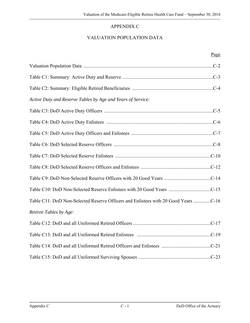## APPENDIX C

## VALUATION POPULATION DATA

| Active Duty and Reserve Tables by Age and Years of Service:                        |
|------------------------------------------------------------------------------------|
|                                                                                    |
|                                                                                    |
|                                                                                    |
|                                                                                    |
|                                                                                    |
|                                                                                    |
|                                                                                    |
|                                                                                    |
| Table C11: DoD Non-Selected Reserve Officers and Enlistees with 20 Good Years C-16 |
| Retiree Tables by Age:                                                             |
|                                                                                    |
|                                                                                    |
|                                                                                    |
|                                                                                    |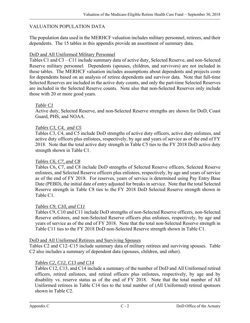#### VALUATION POPULATION DATA

The population data used in the MERHCF valuation includes military personnel, retirees, and their dependents. The 15 tables in this appendix provide an assortment of summary data.

#### DoD and All Uniformed Military Personnel

Tables C1 and C3 – C11 include summary data of active duty, Selected Reserve, and non-Selected Reserve military personnel. Dependents (spouses, children, and survivors) are not included in these tables. The MERHCF valuation includes assumptions about dependents and projects costs for dependents based on an analysis of retiree dependents and survivor data. Note that full-time Selected Reserves are included in the active duty counts, and only the part-time Selected Reserves are included in the Selected Reserve counts. Note also that non-Selected Reserves only include those with 20 or more good years.

#### *Table C1*

Active duty, Selected Reserve, and non-Selected Reserve strengths are shown for DoD, Coast Guard, PHS, and NOAA.

#### *Tables C3, C4, and C5*

Tables C3, C4, and C5 include DoD strengths of active duty officers, active duty enlistees, and active duty officers plus enlistees, respectively, by age and years of service as of the end of FY 2018. Note that the total active duty strength in Table C5 ties to the FY 2018 DoD active duty strength shown in Table C1.

#### *Tables C6, C7, and C8*

Tables C6, C7, and C8 include DoD strengths of Selected Reserve officers, Selected Reserve enlistees, and Selected Reserve officers plus enlistees, respectively, by age and years of service as of the end of FY 2018. For reserves, years of service is determined using Pay Entry Base Date (PEBD), the initial date of entry adjusted for breaks in service. Note that the total Selected Reserve strength in Table C8 ties to the FY 2018 DoD Selected Reserve strength shown in Table C1.

#### *Tables C9, C10, and C11*

Tables C9, C10 and C11 include DoD strengths of non-Selected Reserve officers, non-Selected Reserve enlistees, and non-Selected Reserve officers plus enlistees, respectively, by age and years of service as of the end of FY 2018. Note that the total non-Selected Reserve strength in Table C11 ties to the FY 2018 DoD non-Selected Reserve strength shown in Table C1.

#### DoD and All Uniformed Retirees and Surviving Spouses

Tables C2 and C12–C15 include summary data of military retirees and surviving spouses. Table C2 also includes a summary of dependent data (spouses, children, and other).

#### *Tables C2, C12, C13 and C14*

Tables C12, C13, and C14 include a summary of the number of DoD and All Uniformed retired officers, retired enlistees, and retired officers plus enlistees, respectively, by age and by disability vs. reserve status as of the end of FY 2018. Note that the total number of All Uniformed retirees in Table C14 ties to the total number of (All Uniformed) retired sponsors shown in Table C2.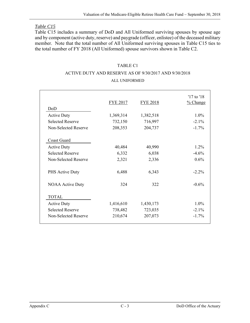#### *Table C15*

Table C15 includes a summary of DoD and All Uniformed surviving spouses by spouse age and by component (active duty, reserve) and paygrade (officer, enlistee) of the deceased military member. Note that the total number of All Uniformed surviving spouses in Table C15 ties to the total number of FY 2018 (All Uniformed) spouse survivors shown in Table C2.

#### TABLE C1

## ACTIVE DUTY AND RESERVE AS OF 9/30/2017 AND 9/30/2018

#### ALL UNIFORMED

|                         | <b>FYE 2017</b> | <b>FYE 2018</b> | '17 to '18<br>$%$ Change |
|-------------------------|-----------------|-----------------|--------------------------|
| DoD                     |                 |                 |                          |
| <b>Active Duty</b>      | 1,369,314       | 1,382,518       | $1.0\%$                  |
| <b>Selected Reserve</b> | 732,150         | 716,997         | $-2.1\%$                 |
| Non-Selected Reserve    | 208,353         | 204,737         | $-1.7%$                  |
| <b>Coast Guard</b>      |                 |                 |                          |
| <b>Active Duty</b>      | 40,484          | 40,990          | 1.2%                     |
| <b>Selected Reserve</b> | 6,332           | 6,038           | $-4.6%$                  |
| Non-Selected Reserve    | 2,321           | 2,336           | 0.6%                     |
| PHS Active Duty         | 6,488           | 6,343           | $-2.2\%$                 |
| <b>NOAA Active Duty</b> | 324             | 322             | $-0.6%$                  |
| <b>TOTAL</b>            |                 |                 |                          |
| <b>Active Duty</b>      | 1,416,610       | 1,430,173       | $1.0\%$                  |
| <b>Selected Reserve</b> | 738,482         | 723,035         | $-2.1\%$                 |
| Non-Selected Reserve    | 210,674         | 207,073         | $-1.7\%$                 |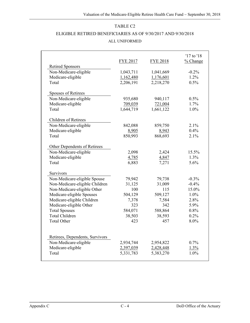# ELIGIBLE RETIRED BENEFICIARIES AS OF 9/30/2017 AND 9/30/2018 ALL UNIFORMED

|                                 | <b>FYE 2017</b> | <b>FYE 2018</b> | '17 to '18<br>% Change |
|---------------------------------|-----------------|-----------------|------------------------|
| <b>Retired Sponsors</b>         |                 |                 |                        |
| Non-Medicare-eligible           | 1,043,711       | 1,041,669       | $-0.2%$                |
| Medicare-eligible               | 1,162,480       | 1,176,601       | 1.2%                   |
| Total                           | 2,206,191       | 2,218,270       | 0.5%                   |
| Spouses of Retirees             |                 |                 |                        |
| Non-Medicare-eligible           | 935,680         | 940,117         | 0.5%                   |
| Medicare-eligible               | 709,039         | 721,004         | 1.7%                   |
| Total                           | 1,644,719       | 1,661,122       | 1.0%                   |
|                                 |                 |                 |                        |
| Children of Retirees            |                 |                 |                        |
| Non-Medicare-eligible           | 842,088         | 859,750         | 2.1%                   |
| Medicare-eligible               | 8,905           | 8,943           | 0.4%                   |
| Total                           | 850,993         | 868,693         | 2.1%                   |
|                                 |                 |                 |                        |
| Other Dependents of Retirees    |                 |                 |                        |
| Non-Medicare-eligible           | 2,098           | 2,424           | 15.5%                  |
| Medicare-eligible               | 4,785           | 4,847           | 1.3%                   |
| Total                           | 6,883           | 7,271           | 5.6%                   |
|                                 |                 |                 |                        |
| Survivors                       |                 |                 |                        |
| Non-Medicare-eligible Spouse    | 79,942          | 79,738          | $-0.3%$                |
| Non-Medicare-eligible Children  | 31,125          | 31,009          | $-0.4%$                |
| Non-Medicare-eligible Other     | 100             | 115             | 15.0%                  |
| Medicare-eligible Spouses       | 504,129         | 509,127         | 1.0%                   |
| Medicare-eligible Children      | 7,378           | 7,584           | 2.8%                   |
| Medicare-eligible Other         | 323             | 342             | 5.9%                   |
| <b>Total Spouses</b>            | 584,071         | 588,864         | 0.8%                   |
| <b>Total Children</b>           | 38,503          | 38,593          | 0.2%                   |
| <b>Total Other</b>              | 423             | 457             | 8.0%                   |
|                                 |                 |                 |                        |
|                                 |                 |                 |                        |
| Retirees, Dependents, Survivors |                 |                 |                        |
| Non-Medicare-eligible           | 2,934,744       | 2,954,822       | 0.7%                   |
| Medicare-eligible               | 2,397,039       | 2,428,448       | 1.3%                   |
| Total                           | 5,331,783       | 5,383,270       | 1.0%                   |
|                                 |                 |                 |                        |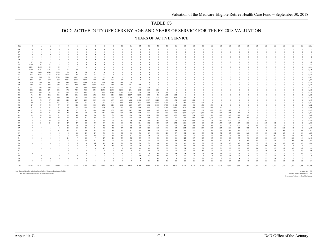#### DOD ACTIVE DUTY OFFICERS BY AGE AND YEARS OF SERVICE FOR THE FY 2018 VALUATION

#### YEARS OF ACTIVE SERVICE

| Age          | $\overline{0}$               |            | $\overline{2}$     | $\overline{3}$        | $\overline{4}$     | $\overline{5}$ | 6                                                                                | $\mathcal{I}$  | 8              | 9              | 10         | $\perp\!\!\!\perp$ | 12              | 13                             | 14                         | 15                               | 16                   | 17                   | 18                       | 19                   | 20                   | $21\,$               | 22                   | 23                   | 24                    | 25                   | 26                   | 27                   | 28         | 29             | $30+$      | Total                |
|--------------|------------------------------|------------|--------------------|-----------------------|--------------------|----------------|----------------------------------------------------------------------------------|----------------|----------------|----------------|------------|--------------------|-----------------|--------------------------------|----------------------------|----------------------------------|----------------------|----------------------|--------------------------|----------------------|----------------------|----------------------|----------------------|----------------------|-----------------------|----------------------|----------------------|----------------------|------------|----------------|------------|----------------------|
| 16           | $\overline{0}$               |            |                    |                       |                    |                |                                                                                  |                |                |                | $\theta$   | $\Omega$           | $\Omega$        | $\Omega$                       | $\theta$                   | $\overline{0}$                   | $\Omega$             | $\theta$             | $\Omega$                 | $\theta$             | $\theta$             | $\theta$             | $\Omega$             | $\theta$             | $\theta$              | $\theta$             | $\theta$             | $\theta$             |            |                |            | $\overline{0}$       |
| 17           | $\theta$                     |            |                    |                       |                    |                |                                                                                  |                |                |                |            |                    |                 |                                | $\Omega$                   | $\Omega$                         | $\Omega$             | $\Omega$             | $\Omega$                 | $\theta$             | $\theta$             | $\Omega$             | $\theta$             | $\theta$             | $\theta$              | $\theta$             | $\Omega$             | $\Omega$             |            |                |            | $\overline{0}$       |
| 18           | $\overline{0}$               |            |                    |                       |                    |                |                                                                                  |                |                |                |            |                    |                 |                                | $\Omega$                   | $\Omega$                         | $\Omega$             | $\theta$             | $\theta$                 | $\theta$             |                      |                      | $\theta$             | $\theta$             |                       | $\Omega$             | $\Omega$             | $\Omega$             |            |                |            | $\theta$             |
| 19<br>$20\,$ | 5                            |            | $\sim$             |                       |                    |                |                                                                                  |                |                |                |            |                    |                 |                                | $\Omega$<br>$\theta$       | $\Omega$<br>$\Omega$             | $\Omega$             | $\Omega$<br>$\theta$ | $\Omega$<br>$\Omega$     | $\theta$<br>$\theta$ | $\Omega$<br>$\theta$ | $\Omega$<br>$\Omega$ | $\Omega$<br>$\theta$ | $\theta$<br>$\theta$ | $\Omega$              | $\Omega$<br>$\Omega$ | $\Omega$<br>$\Omega$ | $\Omega$<br>$\Omega$ |            | $\Omega$       |            | $\overline{2}$<br>12 |
| 21           | 37                           | 10         | $\overline{4}$     |                       |                    |                |                                                                                  |                |                |                |            |                    |                 | $\Omega$                       | $\Omega$                   | $\theta$                         | $\Omega$             | $\Omega$             | $\Omega$                 | $\theta$             | $\Omega$             | $\Omega$             | $\Omega$             | $\theta$             | $\Omega$              | $\theta$             | $\Omega$             | $\Omega$             |            | $\Omega$       |            | 52                   |
| 22           | 2,249                        | 68         | 27                 | $\mathbf{8}$          | $\overline{2}$     |                |                                                                                  |                |                |                |            |                    |                 |                                | $\Omega$                   | $\Omega$                         |                      | $\theta$             | $\Omega$                 | $\theta$             | $\Omega$             | $\Omega$             | $\Omega$             | $\Omega$             |                       | $\Omega$             | $\Omega$             | $\Omega$             |            |                |            | 2,354                |
| 23           | 4,259                        | 2,496      | 89                 | 35                    |                    |                |                                                                                  |                |                |                |            |                    |                 |                                | $\bf{0}$                   | $\overline{0}$                   | $\Omega$             | $\bf{0}$             | $\bf{0}$                 | $\ddot{\phantom{0}}$ | $\theta$             | $\theta$             | $\theta$             | $\overline{0}$       | $\Omega$              | $\overline{0}$       | $\Omega$             | $\Omega$             |            |                |            | 6,894                |
| 24           | 2,009                        | 4,783      | 2,246              | 74                    | 26                 | $30^{\circ}$   |                                                                                  |                |                |                |            |                    |                 |                                | $\Omega$                   | $\Omega$                         |                      |                      | $\Omega$                 |                      | $\theta$             | $\Omega$             | $\theta$             | $\theta$             |                       | $\Omega$             | $\Omega$             | $\Omega$             |            |                |            | 9,175                |
| 25           | 783                          | 2,484      | 4,243              | 2,288                 | 88                 | 42             | 34                                                                               | 17             |                |                |            |                    |                 |                                | $\Omega$                   | $\Omega$                         |                      | $\theta$             | $\bf{0}$                 | $\theta$             | $\theta$             | $\Omega$             | $\Omega$             | $\theta$             | $\Omega$              | $\theta$             | $\Omega$             | $\Omega$             |            |                |            | 9,979                |
| 26           | 664                          | 1.056      | 2,207              | 4,284                 | 2,004              | 84             | 53                                                                               | 65             | 26             |                | $\Omega$   |                    |                 |                                | $\Omega$                   | $\Omega$                         | $\Omega$             | $\theta$             | $\Omega$                 | $\theta$             | $\theta$             | $\Omega$             | $\Omega$             | $\Omega$             | $\Omega$              | $\theta$             | $\Omega$             | $\Omega$             |            |                |            | 10,444               |
| 27           | 650                          | 806        | 931                | 2,398                 | 3,898              | 1,837          | 110                                                                              | 69             | 61             | 41             |            |                    |                 |                                | $\Omega$                   | $\Omega$                         | $\Omega$             | $\theta$             | $\Omega$                 | $\theta$             |                      | $\Omega$             | $\theta$             | $\theta$             |                       | $\Omega$             | $\Omega$             |                      |            |                |            | 10,803               |
| 28           | 502                          | 834        | 810                | 969                   | 2,086              | 3,664          | 1,818                                                                            | 129            | 116            | 101            | 62         | $\theta$           | $\Omega$        |                                | $\Omega$                   | $\Omega$                         | $\Omega$             | $\theta$             | $\Omega$                 | $\theta$             | $\theta$             | $\theta$             | $\theta$             | $\theta$             | $\Omega$              | $\theta$             | $\Omega$             | $\Omega$             |            |                |            | 11,092               |
| 29           | 370                          | 530        | 832                | 740                   | 836                | 1,977          | 3,480                                                                            | 1,543          | 159            | 114            | 149        | $100\,$            | $\overline{1}$  | $\theta$                       | $\Omega$                   | $\overline{0}$                   | $\Omega$             | $\theta$             | $\Omega$                 | $\theta$             | $\theta$             | $\Omega$             | $\Omega$             | $\theta$             | $\Omega$              | $\Omega$             | $\Omega$             | $\Omega$             |            |                |            | 10,831               |
| 30<br>31     | 290<br>211                   | 415<br>295 | 542<br>444         | 737<br>507            | 665<br>682         | 870<br>754     | 1,816<br>883                                                                     | 2,942<br>1,618 | 1,376<br>2,566 | 159<br>1,337   | 154<br>201 | 211<br>211         | 142<br>327      | $\overline{\mathbf{3}}$<br>179 | $\theta$<br>$\overline{2}$ | $\overline{0}$<br>$\overline{0}$ | $\bf{0}$<br>$\Omega$ | $\Omega$<br>$\theta$ | $\mathbf{0}$<br>$\Omega$ | $\theta$<br>$\theta$ | $\Omega$<br>$\theta$ | $\theta$<br>$\Omega$ | $\theta$<br>$\Omega$ | $\theta$<br>$\theta$ | $\Omega$<br>$\Omega$  | $\theta$<br>$\Omega$ | $\theta$<br>$\Omega$ | $\theta$<br>$\Omega$ | $\Omega$   | $\Omega$       | $\Omega$   | 10,321<br>10,216     |
| 32           | 142                          | 222        | 273                | 396                   | 472                | 745            | 714                                                                              | 873            | 1,530          | 2,560          | 1,280      | 241                | 294             | 384                            | 221                        | $\overline{4}$                   | $\bf{0}$             | $\theta$             | $\Omega$                 | $\theta$             | $\Omega$             | $\Omega$             | $\Omega$             | $\Omega$             | $\Omega$              | $\Omega$             | $\Omega$             | $\Omega$             | $\theta$   |                |            | 10,351               |
| 33           | 122                          | 186        | 243                | 277                   | 375                | 504            | 697                                                                              | 721            | 848            | 1,418          | 2,367      | 1,328              | 276             | 350                            | 529                        | 269                              | $\overline{2}$       | $\overline{c}$       | $\mathbf{0}$             | $\theta$             | $\theta$             | $\Omega$             | $\theta$             | $\overline{0}$       | $\Omega$              | $\Omega$             | $\Omega$             | $\theta$             |            |                |            | 10,515               |
| 34           | 96                           | 111        | 162                | 186                   | 251                | 386            | 512                                                                              | 652            | 708            | 821            | 1,211      | 2,217              | 1,280           | 332                            | 476                        | 562                              | 352                  | -6                   | $\theta$                 | $\mathbf{0}$         | $\overline{0}$       | $\Omega$             | $\overline{0}$       | $\overline{0}$       | $\theta$              | $\overline{0}$       | $\Omega$             | $\theta$             | $\theta$   |                | $\Omega$   | 10,321               |
| 35           | 68                           | 115        | 141                | 149                   | 189                | 248            | 344                                                                              | 454            | 641            | 594            | 671        | 1,156              | 2,105           | 1,161                          | 401                        | 497                              | 604                  | 337                  | 5                        | $\theta$             | $\Omega$             | $\Omega$             | $\theta$             | $\theta$             | $\Omega$              | $\Omega$             | $\Omega$             | $\Omega$             |            |                |            | 9,879                |
| 36           | 43                           | 70         | 97                 | 126                   | 148                | 207            | 245                                                                              | 365            | 460            | 607            | 563        | 614                | 1,100           | 1,997                          | 1,214                      | 438                              | 474                  | 663                  | 382                      | $\sim$               | $\bf{0}$             | $\Omega$             | $\Omega$             | $\overline{0}$       | $\Omega$              | $\Omega$             | $\Omega$             | $\Omega$             | $\Omega$   |                |            | 9,817                |
| 37           | 49                           | 51         | 88                 | 101                   | 96                 | 150            | 216                                                                              | 251            | 336            | 405            | 519        | 519                | 576             | 1.064                          | 1,843                      | 1,162                            | 373                  | 457                  | 695                      | 408                  | $\overline{4}$       | $\theta$             | $\Omega$             | $\theta$             | $\Omega$              | $\Omega$             | $\Omega$             | $\Omega$             |            |                |            | 9,362                |
| 38           | 29                           | 39         | 50                 | 77                    | 89                 | 126            | 143                                                                              | 180            | 232            | 326            | 362        | 513                | 539             | 592                            | 1,108                      | 1,754                            | 1,152                | 381                  | 490                      | 670                  | 379                  | $\overline{1}$       | $\theta$             | $\theta$             | $\Omega$              | $\theta$             | $\Omega$             | $\Omega$             | $\theta$   |                |            | 9,232                |
| 39           | 21                           | 34         | 33                 | 51                    | 50                 | 97             | 134                                                                              | 145            | 199            | 229            | 261        | 348                | 444             | 543                            | 731                        | 1,151                            | 1,650                | 1,075                | 454                      | 542                  | 665                  | 310                  | $\theta$             | $\theta$             | $\Omega$              | $\theta$             | $\Omega$             | $\Omega$             |            |                |            | 9,168                |
| 40<br>41     | 27<br>24                     | 22<br>30   | 39                 | 34<br>30 <sup>2</sup> | 49<br>40           | 67<br>49       | 91<br>69                                                                         | 113<br>90      | 149            | 155            | 215        | 247<br>154         | 343             | 418<br>291                     | 545<br>462                 | 666<br>560                       | 1,029                | 1.643<br>1,005       | 1,110<br>1,621           | 359                  | 400                  | 526<br>391           | 209<br>384           | $\overline{1}$       | $\Omega$              | $\theta$<br>$\theta$ | $\Omega$<br>$\Omega$ | $\Omega$<br>$\Omega$ |            |                |            | 8,459<br>8,099       |
| 42           | 22                           | $22\,$     | 34<br>34           | 31                    | 25                 | 46             | 43                                                                               | 70             | 116<br>79      | 132<br>89      | 167<br>110 | 138                | 242<br>198      | 254                            | 326                        | 445                              | 678<br>495           | 621                  | 994                      | 1,060<br>1,477       | 312<br>826           | 312                  | 348                  | 155<br>329           | $\overline{2}$<br>127 | $\theta$             | $\theta$             | $\Omega$             | $\theta$   |                |            | 7,462                |
| 43           | 7                            | 24         | 19                 | 27                    | 27                 | 39             | 56                                                                               | 58             | 74             | 73             | 90         | 103                | 139             | 189                            | 266                        | 335                              | 441                  | 468                  | 569                      | 953                  | 1,145                | 779                  | 286                  | 281                  | 301                   | 136                  | $\overline{2}$       | $\Omega$             |            |                |            | 6,887                |
| 44           | -8                           | 21         | 18                 | 25                    | 42                 | 27             | 40                                                                               | 51             | 83             | 63             | 82         | 104                | 119             | 145                            | 217                        | 281                              | 325                  | 438                  | 483                      | 526                  | 731                  | 946                  | 676                  | 211                  | 250                   | 272                  | 107                  | $\overline{0}$       | $\Omega$   | $\Omega$       |            | 6,291                |
| 45           | -8                           | 13         | 13                 | 15                    | 27                 | 27             | 18                                                                               | 35             | 49             | 60             | 68         | 78                 | 111             | 132                            | 173                        | 197                              | 272                  | 306                  | 395                      | 464                  | 433                  | 577                  | 857                  | 607                  | 200                   | 248                  | 263                  | 102                  | $\Omega$   | $\Omega$       |            | 5,750                |
| 46           | $\overline{4}$               |            | 7                  | 12                    | 18                 | 26             | 33                                                                               | 37             | 45             | 49             | 61         | 65                 | 86              | 105                            | 156                        | 161                              | 225                  | 248                  | 288                      | 389                  | 349                  | 382                  | 558                  | 816                  | 539                   | 188                  | 223                  | 227                  | 127        | $\overline{0}$ |            | 5,430                |
| 47           | 7                            |            |                    |                       | 18                 | 18             | 33                                                                               | 31             | 42             | 52             | 47         | 52                 | 83              | 120                            | 104                        | 146                              | 193                  | 202                  | 230                      | 259                  | 285                  | 323                  | 358                  | 483                  | 782                   | 543                  | 188                  | 166                  | 232        | 113            |            | 5,137                |
| 48           | $\sim$                       |            | $\sim$             | 11                    | 12                 | 21             | 40                                                                               | 38             | 44             | 35             | 61         | 61                 | 67              | 89                             | 123                        | 127                              | 163                  | 162                  | 211                      | 271                  | 194                  | 236                  | 296                  | 307                  | 470                   | 724                  | 471                  | 154                  | 161        | 232            |            | 4,897                |
| 49           | $\overline{1}$               |            |                    |                       | $\mathbf{\hat{x}}$ | 12             | 25                                                                               | 29             | 36             | 41             | 54         | 46                 | 76              | 69                             | 101                        | 128                              | 137                  | 134                  | 161                      | 175                  | 172                  | 172                  | 183                  | 206                  | 261                   | 413                  | 508                  | 382                  | 127        | 148            | 204        | 4,025                |
| 50<br>51     | $\ddot{3}$<br>$\overline{0}$ |            | $\mathbf{R}$       |                       | 7<br>11            | 14             | 13<br>14                                                                         | 15<br>$\cdot$  | 22<br>17       | 33<br>26       | 32<br>35   | 31<br>32           | 57<br>35        | 59<br>45                       | 78<br>60                   | 100<br>58                        | 130<br>101           | 116<br>124           | 152<br>117               | 110<br>115           | 130<br>97            | 105<br>96            | 129<br>89            | 145<br>93            | 182<br>91             | 217<br>155           | 317<br>159           | 400<br>254           | 299<br>307 | 89<br>238      | 260<br>244 | 3,258<br>2,640       |
| 52           | $\mathbf{1}$                 |            | $\mathbf{\Lambda}$ |                       |                    |                | 12                                                                               | 11             | 17             | 26             | 27         | 33                 | 30              | 36                             | 44                         | 69                               | 84                   | 88                   | 94                       | 87                   | 68                   | 50                   | 60                   | 75                   | 93                    | 99                   | 117                  | 148                  | 177        | 305            | 296        | 2,169                |
| 53           | $\overline{0}$               |            |                    |                       |                    |                |                                                                                  | 16             | 12             | 11             | 23         | 20                 | 30 <sup>°</sup> | 32                             | 44                         | 46                               | 39                   | 46                   | 82                       | 73                   | 57                   | 51                   | 45                   | 65                   | 44                    | 78                   | 97                   | 94                   | 87         | 188            | 345        | 1,651                |
| 54           |                              |            | $\overline{4}$     |                       |                    |                |                                                                                  |                | 9              | 14             | 11         | 23                 | 24              | 26                             | 34                         | 54                               | 45                   | 56                   | 54                       | 64                   | 44                   | 46                   | 39                   | 54                   | 46                    | 46                   | 61                   | 63                   | 76         | 75             | 334        | 1,337                |
| 55           | $\mathbf{1}$                 |            |                    |                       |                    |                |                                                                                  |                | 17             |                |            | 15                 | 12              | 19                             | 25                         | 35                               | 36                   | 34                   | 41                       | 38                   | 40                   | 36                   | 30                   | 35                   | 28                    | 21                   | 36                   | 50                   | 52         | 63             | 248        | 954                  |
| 56           | $\mathbf{1}$                 |            |                    |                       |                    |                |                                                                                  |                |                |                | 11         |                    | 11              | 17                             | 20                         | 25                               | 27                   | 30                   | 40                       | 51                   | 32                   | 25                   | 29                   | 28                   | 22                    | 37                   | 25                   | 31                   | 34         | 43             | 187        | 765                  |
| 57           | $\overline{0}$               |            |                    |                       |                    |                |                                                                                  |                |                |                |            |                    | 12              |                                | 13                         | 23                               | 14                   | 34                   | 29                       | 38                   | 14                   | 11                   | 25                   | 19                   | 15                    | 16                   | 19                   | 36                   | 22         | 37             | 140        | 570                  |
| 58           | $\mathbf{1}$                 |            |                    |                       |                    |                |                                                                                  |                |                |                |            |                    | 12              | 11                             | 12                         | 12                               | -8                   | 10                   | 29                       | 28                   | 21                   | 18                   | 14                   | 15                   | 14                    | $22\,$               | 19                   | 14                   | 15         | 19             | 112        | 438                  |
| 59           | $\mathbf{1}$                 |            | $\theta$           |                       | $\Omega$           |                | $\overline{3}$                                                                   |                | $\overline{2}$ | $\overline{0}$ | -1         | 7                  | $\overline{4}$  | $\overline{2}$                 | 11                         | - 9                              | 9                    | 17                   | 21                       | 21                   | 12                   | $\mathbf{\hat{z}}$   | 13                   | $\overline{4}$       | 10                    | 13                   | 20                   | 11                   | 7          | 10             | 77         | 295                  |
| 60+          | $\theta$                     |            | $\overline{2}$     |                       |                    |                | $\overline{4}$                                                                   |                | $\mathcal{L}$  | $\overline{4}$ | $\sim$     |                    | Q               | 11                             | 11                         | 16                               | 18                   | 20                   | 26                       | 33                   | 28                   | 20                   | 27                   | 25                   | 13                    | 23                   | 28                   | 20                   | 23         | 25             | 123        | 534                  |
| Total        |                              |            |                    |                       |                    |                | 12,725 14,774 13,674 13,630 12,276 12,108 11,732 10,664 10,088 9,603 8,924 8,698 |                |                |                |            |                    | 8,784           | 8,684                          | 9,352                      |                                  | 9,330 9,076          | 8,722                | 8,772                    | 8,215                | 6,439                | 5,423                | 4,657                | 3,955                | 3,492                 |                      | 3,252 2,662 2,152    |                      | 1,749      | 1,587          |            | 2,668 247,868        |

Note: Extracted from files maintained by the Defense Manpower Data Center (DMDC).

Age is age nearest birthday as of the end of the fiscal year.

Average Age 35.5

Average Years of Active Service 10.9 Department of Defense - Office of the Actuary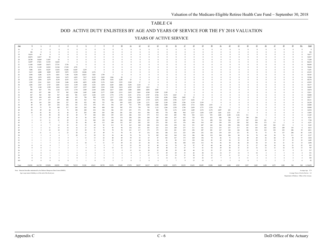#### DOD ACTIVE DUTY ENLISTEES BY AGE AND YEARS OF SERVICE FOR THE FY 2018 VALUATION

#### YEARS OF ACTIVE SERVICE

| Age          | $\Omega$        |                      | $\overline{2}$   | $\overline{\mathbf{3}}$ | $\overline{4}$  |                | 6                          | 7                                               | 8                    | - 9                      | 10                   | $\underline{11}$ | 12             | 13         | 14                   | 15                   | 16                   | 17         | 18         | 19         | 20                                                                                                                                             | 21             | $22\,$     | 23             | 24          | 25                 | 26                | 27                      | 28       | 29                   | $30+$         | Total            |
|--------------|-----------------|----------------------|------------------|-------------------------|-----------------|----------------|----------------------------|-------------------------------------------------|----------------------|--------------------------|----------------------|------------------|----------------|------------|----------------------|----------------------|----------------------|------------|------------|------------|------------------------------------------------------------------------------------------------------------------------------------------------|----------------|------------|----------------|-------------|--------------------|-------------------|-------------------------|----------|----------------------|---------------|------------------|
| 16           | $\overline{0}$  | $\theta$             | $\theta$         | $\Omega$                | $\Omega$        | $\theta$       | $\theta$                   | $\overline{0}$                                  | $\theta$             | $\Omega$                 | $\Omega$             | $\theta$         | $\theta$       | $\sqrt{ }$ | $\theta$             | $\overline{0}$       | $\Omega$             | $\Omega$   | $\theta$   | $\theta$   | $\Omega$                                                                                                                                       | $\theta$       | $\Omega$   | $\overline{0}$ | $\Omega$    | $\theta$           | $\theta$          | $\theta$                |          |                      |               | $\sqrt{ }$       |
| 17           | 106             | $\theta$             | $\theta$         |                         |                 |                | $\Omega$                   |                                                 | $\Omega$             |                          |                      |                  |                |            | $\Omega$             | $\Omega$             |                      |            |            |            |                                                                                                                                                |                | $\Omega$   | $\theta$       | $\Omega$    |                    |                   |                         |          |                      |               | 106              |
| 18           | 16,616          | 61                   | $\theta$         |                         |                 |                | $\Omega$                   | $\Omega$                                        | $\Omega$             |                          | $\Omega$             |                  |                |            | $\Omega$             | $\Omega$             |                      |            | $\Omega$   |            |                                                                                                                                                |                |            | $\theta$       |             |                    |                   |                         |          |                      |               | 16,677           |
| 19           | 40,872          | 14,017               | 38               | $\Omega$                | $\Omega$        |                | $\Omega$                   | $\Omega$                                        | $\Omega$             |                          | $\Omega$             |                  |                |            | $\Omega$             | $\Omega$             | $\Omega$             |            |            |            |                                                                                                                                                |                | $\Omega$   | - 0            | $\Omega$    |                    |                   |                         |          |                      |               | 54,927           |
| 20           | 28,708          | 36,669               | 11,807           | 24                      | $\overline{0}$  |                | $\Omega$                   | $\Omega$                                        |                      |                          | $\Omega$             |                  |                |            | $\Omega$             |                      |                      |            |            |            |                                                                                                                                                |                | -0         | $\Omega$       |             |                    |                   |                         |          |                      |               | 77,208           |
| 21           | 16,997          | 27,821               | 31,593           | 10,203                  | $\sim$          | $\theta$       | $\Omega$                   | $\Omega$                                        | $\Omega$             |                          | $\Omega$             |                  | $\Omega$       |            | $\Omega$             |                      | $\Omega$             |            | $\Omega$   |            |                                                                                                                                                |                | $\Omega$   | - 0            | $\Omega$    |                    |                   | $\Omega$                | $\Omega$ | $\Omega$             |               | 86,618           |
| $22\,$<br>23 | 11,448<br>8,736 | 16,405               | 24,672           | 27,761                  | 5,756<br>17,238 | - 6<br>4,791   | $\theta$<br>$\overline{5}$ | $\ddot{\phantom{0}}$                            | $\Omega$<br>$\theta$ |                          | $\Omega$<br>$\Omega$ |                  |                |            | $\Omega$<br>$\Omega$ | $\Omega$             | $\Omega$<br>$\Omega$ |            |            |            |                                                                                                                                                |                | $\Omega$   | -0             |             |                    |                   |                         |          | -0<br>$\Omega$       |               | 86,048<br>78,426 |
| 24           | 7,006           | 11,189<br>8,551      | 14,922<br>10,287 | 21,544<br>13,052        | 15,046          | 14,487         | 3,259                      | $\ddot{\phantom{0}}$<br>$\overline{\mathbf{3}}$ | $\theta$             |                          | $\Omega$             |                  |                |            | $\Omega$             |                      |                      |            |            |            |                                                                                                                                                |                |            |                |             |                    |                   |                         |          | $\Omega$             |               | 71,691           |
| 25           | 5,415           | 6,808                | 8,009            | 8,955                   | 9,872           | 13,539         | 10,246                     | 2,376                                           | $\overline{2}$       | $\Omega$                 | $\Omega$             | $\Omega$         |                |            | $\Omega$             |                      | $\Omega$             |            |            |            |                                                                                                                                                |                | $\Omega$   | -0             |             |                    |                   | $\Omega$                |          |                      |               | 65,223           |
| 26           | 3,994           | 5,206                | 6,376            | 6,861                   | 7,198           | 9,250          | 10,015                     | 7,843                                           | 1,799                | $\overline{\phantom{a}}$ | $\theta$             |                  |                |            | $\Omega$             |                      |                      |            |            |            |                                                                                                                                                |                |            | -0             |             |                    |                   |                         |          | $\Omega$             |               | 58,545           |
| $27\,$       | 2,961           | 3,979                | 4,922            | 5,434                   | 5,475           | 6,852          | 7,017                      | 8,129                                           | 5,829                | 1,966                    | 20                   |                  | $\Omega$       |            | $\Omega$             | $\Omega$             | $\Omega$             |            |            |            |                                                                                                                                                |                | $\Omega$   | - 0            | $\Omega$    |                    |                   | $\Omega$                | $\Omega$ | $\Omega$             |               | 52,586           |
| 28           | 2,169           | 2,856                | 3,679            | 4,238                   | 4,555           | 5,331          | 5,151                      | 5,684                                           | 6,788                | 5,652                    | 2,248                | 25               | $\Omega$       | $\Omega$   | $\Omega$             |                      |                      |            |            |            |                                                                                                                                                |                | $\Omega$   | -0             |             |                    |                   | $\Omega$                | $\Omega$ | $\Omega$             |               | 48,376           |
| 29           | 1,595           | 2,161                | 2,621            | 3,160                   | 3,446           | 4,180          | 4,053                      | 4,220                                           | 5,176                | 5,634                    | 5,555                | 2,108            | 17             | $\Omega$   | $\Omega$             | $\Omega$             | $\Omega$             |            | $\Omega$   |            |                                                                                                                                                |                | $\Omega$   | - 0            | $\Omega$    |                    |                   | -0                      | $\Omega$ | $\Omega$             |               | 43,925           |
| 30           | 1,092           | 1,567                | 1,767            | 2,081                   | 2,518           | 3,199          | 3,389                      | 3,352                                           | 3,870                | 4,205                    | 4,882                | 5,294            | 2,144          | 17         | $\Omega$             | $\Omega$             |                      |            |            |            |                                                                                                                                                |                | $\Omega$   |                |             |                    |                   |                         |          |                      |               | 39,377           |
| 31           | 781             | 1,148                | 1,399            | 1,616                   | 1,822           | 2,327          | 2,557                      | 2,865                                           | 3,234                | 3,380                    | 3,614                | 4,529            | 5,387          | 1,813      | 11                   | $\ddot{\phantom{0}}$ | $\Omega$             |            |            |            |                                                                                                                                                |                | $\Omega$   | - 0            |             |                    |                   | $\Omega$                | $\Omega$ | $\Omega$             |               | 36,483           |
| 32           | 588             | 827                  | 976              | 1,102                   | 1,374           | 1,754          | 1,949                      | 2,104                                           | 2,696                | 2.617                    | 2,820                | 3,408            | 4.866          | 4,892      | 2,095                | 5                    | $\theta$             |            |            |            |                                                                                                                                                |                |            | $\theta$       |             |                    |                   |                         |          |                      |               | 34,074           |
| 33           | 432             | 657                  | 686              | 757                     | 962             | 1,260          | 1,445                      | 1,648                                           | 2,177                | 2,209                    | 2,313                | 2,652            | 3,665          | 4,360      | 5,389                | 2,189                | $\mathbf{\hat{x}}$   | $\theta$   | $\Omega$   | $\theta$   |                                                                                                                                                |                | $\Omega$   | $\theta$       | $\Omega$    |                    |                   | $\Omega$                | $\Omega$ |                      |               | 32,811           |
| 34           | 367             | 543                  | 545              | 567                     | 628             | 901            | 1,107                      | 1,228                                           | 1,555                | 1,772                    | 1,770                | 2,181            | 2,716          | 2,787      | 4,766                | 5,170                | 2,265                | 13         | $\Omega$   |            |                                                                                                                                                |                |            |                |             |                    |                   |                         |          |                      |               | 30,880           |
| 35           | 285             | 434                  | 429              | 442                     | 440             | 635            | 796                        | 998                                             | 1,252                | 1.217                    | 1,320                | 1,704            | 2.014          | 2.198      | 3,238                | 4,106                | 5.066                | 2,482      | 22         | $\theta$   | $\Omega$                                                                                                                                       |                | $\Omega$   | $\theta$       |             |                    |                   |                         |          |                      |               | 29,077           |
| 36           | 135             | 377                  | 337              | 357                     | 380             | 491            | 563                        | 734                                             | 976                  | 1,001                    | 1,062                | 1,288            | 1,695          | 1,719      | 2,476                | 2,944                | 3,796                | 5,137      | 2,636      | 17         | $\Omega$                                                                                                                                       |                |            |                |             |                    |                   |                         |          |                      |               | 28,121           |
| 37           | 86              | 143                  | 293              | 260                     | 327             | 392            | 422                        | 492                                             | 723                  | 756                      | 859                  | 1,022            | 1,240          | 1,371      | 1,847                | 2,149                | 2,595                | 3,786      | 5,139      | 2,339      |                                                                                                                                                | $\Omega$       | $\Omega$   | $\theta$       |             |                    |                   |                         |          |                      |               | 26,250           |
| 38           | 49              | 69                   | 145              | 232                     | 236             | 321            | 310                        | 370                                             | 551                  | 556                      | 647                  | 732              | 975            | 1,048      | 1,486                | 1,600                | 1,921                | 2,504      | 3,712      | 5,058      | 1,553                                                                                                                                          | $\overline{4}$ | $\sqrt{ }$ |                |             |                    |                   |                         |          |                      |               | 24,080           |
|              | 50              | 73                   | 79               | 100                     | 217             | 243            | 262                        | 306                                             | 408                  | 385                      | 502                  | 579              | 730            | 795        | 1,133                | 1,266                | 1,558                | 1,796      | 2,459      | 3,773      | 3,154                                                                                                                                          | 975            |            | $\theta$       |             |                    |                   |                         |          |                      |               | 20,848           |
|              | 38              | 49                   | 60               | 41                      | 74              | 190            | 208                        | 234                                             | 336                  | 346                      | 335                  | 455              | 572            | 596        | 882                  | 991                  | 1,176                | 1,329      | 1,689      | 2,374      | 2,178                                                                                                                                          | 2,097          | 683        | $\theta$       | $\theta$    |                    |                   |                         |          |                      |               | 16,934           |
| 41           | 18              | 42                   | 50               | 32                      | 44              | 87             | 203                        | 190                                             | 265                  | 240                      | 281                  | 320              | 416            | 506        | 658                  | 778                  | 886                  | 964        | 1,227      | 1,638      | 1,387                                                                                                                                          | 1,661          | 1,521      | 473            |             | $\theta$           |                   |                         |          |                      |               | 13,893           |
| 42           | $\overline{2}$  | 30                   | 50               | 38                      | 43              | 49             | 97                         | 180                                             | 204                  | 195                      | 223                  | 286              | 310            | 375        | 512                  | 529                  | 685                  | 790        | 922        | 1,211      | 953                                                                                                                                            | 1,081          | 1,240      | 1,126          | 311         |                    |                   | $\Omega$                |          |                      |               | 11,445           |
| 43           |                 | 13                   | 25               | 25                      | 39              | 43             | 56                         | 145                                             | 211                  | 156                      | 174                  | 204              | 256            | 268        | 397                  | 438                  | 567                  | 652        | 728        | 874        | 633                                                                                                                                            | 668            | 768        | 917            | 700         | 284                |                   | $\Omega$                |          | $\Omega$             |               | 9,251            |
| 44<br>45     |                 | 13                   | 11<br>12         | 21                      | 29<br>23        | 32<br>26       | 54<br>40                   | 100                                             | 130                  | 144<br>109               | 166                  | 209<br>167       | 202            | 253<br>183 | 324<br>274           | 383<br>303           | 417                  | 496        | 551<br>436 | 731<br>518 | 498                                                                                                                                            | 510<br>359     | 568        | 557<br>385     | 567         | 634<br>504         | 181<br>373        | $\Omega$<br>115         | $\Omega$ | $\Omega$<br>$\theta$ |               | 7,784<br>6,251   |
|              |                 |                      |                  | 12                      | 23              | 21             | 35                         | 89<br>69                                        | 113<br>92            | 113                      | 132<br>93            | 163              | 202<br>168     | 200        | 218                  | 258                  | 355<br>258           | 376<br>321 | 351        | 407        | 397<br>242                                                                                                                                     | 304            | 379<br>290 | 296            | 362<br>259  | 315                | 285               | 302                     | 133      | $\overline{2}$       |               | 5,243            |
| 47           |                 |                      | 11               | 15                      | 16              | 16             | 27                         | 65                                              | 91                   | 95                       | 94                   | 136              | 151            | 201        | 221                  | 214                  | 240                  | 277        | 311        | 361        | 212                                                                                                                                            | 215            | 237        | 217            | 141         | 185                | 182               | 228                     | 289      | 155                  |               | 4,613            |
| 48           |                 |                      | 12               | 10                      | 14              | 15             | 29                         | 51                                              | 70                   | 78                       | 78                   | 121              | 117            | 172        | 175                  | 232                  | 241                  | 255        | 256        | 287        | 201                                                                                                                                            | 167            | 182        | 146            | 146         | 134                | 122               | 138                     | 232      | 286                  |               | 4,011            |
| 49           |                 | 11                   |                  |                         | 23              | 30             | 19                         | 47                                              | 49                   | 73                       | 70                   | 91               | 97             | 116        | 166                  | 188                  | 214                  | 223        | 250        | 232        | 126                                                                                                                                            | 139            | 129        | 121            | 92          | 91                 | 75                | 79                      | 137      | 204                  |               | 3,192            |
| 50           |                 |                      |                  |                         |                 | 20             | $\overline{11}$            | 29                                              | 53                   | 54                       | 46                   | 78               | 76             | 74         | 102                  | 182                  | 160                  | 154        | 186        | 186        | 118                                                                                                                                            | 104            | 106        | 84             | 54          | 70                 | 68                | 50                      | 76       | 111                  | 67            | 2,337            |
| 51           |                 |                      |                  |                         |                 |                | 13                         | 15                                              | 22                   | 40                       | 49                   | 59               | 53             | 67         | 87                   | 103                  | 147                  | 175        | 169        | 156        | 79                                                                                                                                             | 66             | 75         | 62             | 49          | 49                 | 36                | 60                      | 57       | 50                   |               | 1,824            |
| 52           |                 |                      |                  |                         |                 |                |                            | 11                                              | 21                   | 22                       | 45                   | 61               | 60             | 54         | 54                   | 81                   | 90                   | 113        | 138        | 124        | 93                                                                                                                                             | 62             | 58         | $52\,$         | 34          | 29                 | 35                | 34                      | 37       | 35                   | 35            | 1.403            |
| 53           |                 |                      | $\tau$           |                         |                 |                | 10                         | $\overline{7}$                                  | 11                   | 15                       | 29                   | 32               | 23             | 28         | 54                   | 56                   | 86                   | 108        | 124        | 112        | 78                                                                                                                                             | 56             | 39         | 46             | 20          | 30                 | 19                | 18                      | 21       | 33                   | 15            | 1,094            |
| 54           | $\theta$        |                      |                  |                         |                 |                |                            |                                                 | $\mathbf Q$          |                          | 18                   | 23               | 34             | 35         | 44                   | 63                   | 70                   | 74         | 97         | 97         | 60                                                                                                                                             | 46             | 36         | 32             | 31          | 27                 | 20                | 18                      | 16       | 23                   | $\mathcal{D}$ | 935              |
| 55           | $\Omega$        |                      |                  |                         |                 |                |                            |                                                 |                      | 15                       | 12                   | 17               | 13             | 32         | 39                   | 40                   | 53                   | 67         | 77         | 61         | 54                                                                                                                                             | 29             | 28         | 21             | 23          | 16                 | 12                | 12                      | 16       | 18                   | 13            | 707              |
| 56           |                 |                      |                  |                         |                 |                |                            |                                                 |                      | $\sim$                   | $\circ$              | 15               | 16             | 20         | 32                   | 48                   | 39                   | 49         | 44         | 53         | 25                                                                                                                                             | 27             | 26         | 17             | 11          | $\mathbf{\hat{z}}$ | 10                | 6                       | 11       | $\cdot$              |               | 517              |
| 57           |                 |                      |                  |                         |                 |                | $\overline{2}$             | $\overline{4}$                                  |                      |                          |                      | $\mathbf{q}$     | $\sim$         | 17         | 15                   | 29                   | 29                   | 33         | 42         | 28         | 14                                                                                                                                             | 14             | 17         | 14             | $\mathbf Q$ | 10                 |                   | $\overline{\mathbf{3}}$ |          |                      |               | 331              |
| 58           | $\theta$        |                      |                  |                         |                 |                |                            |                                                 |                      |                          |                      |                  |                | 12         |                      | 19                   | 19                   | 31         | 30         | 23         | 12                                                                                                                                             | 13             |            | 13             |             |                    |                   |                         |          |                      |               | 251              |
|              | $\theta$        | $\ddot{\phantom{0}}$ | $\theta$         |                         |                 | $\overline{0}$ |                            | $\overline{2}$                                  | $\theta$             | $\overline{2}$           | $\overline{2}$       |                  | $\overline{2}$ | 6          | 6                    | 14                   | 21                   | 17         | 19         | 22         | 13                                                                                                                                             |                | 8          | $\overline{4}$ | 11          | $\overline{4}$     |                   |                         |          |                      |               | 185              |
| 60+          | $\theta$        | $\theta$             | $\theta$         | $\Omega$                | $\Omega$        |                |                            | $\Omega$                                        |                      | $\mathbf{R}$             |                      |                  |                | $\theta$   |                      |                      | $\mathcal{I}$        | $\ddot{q}$ | 15         | 10         | $\mathbf{\hat{x}}$                                                                                                                             | $\overline{3}$ |            |                | $\Omega$    |                    |                   |                         |          |                      |               | 92               |
| Total        |                 | 150,581 141,739      | 125,850 108,991  |                         |                 |                |                            |                                                 |                      |                          |                      |                  |                |            |                      |                      |                      |            |            |            | 77,858 70,519 53,381 43,611 38,739 33,076 29,482 27,978 28,227 24,217 26,715 24,382 22,971 22,233 21,633 20,695 12,096 8,608 6,408 4,583 2,827 |                |            |                |             |                    | 2,402 1,428 1,075 |                         | 1,040    | 944                  |               | 360 1,134,650    |
|              |                 |                      |                  |                         |                 |                |                            |                                                 |                      |                          |                      |                  |                |            |                      |                      |                      |            |            |            |                                                                                                                                                |                |            |                |             |                    |                   |                         |          |                      |               |                  |

Note: Extracted from files maintained by the Defense Manpower Data Center (DMDC). Age is age nearest birthday as of the end of the fiscal year.

Average Age 27.9 Average Years of Active Service 6.2

Department of Defense - Office of the Actuary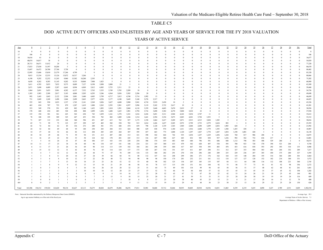#### DOD ACTIVE DUTY OFFICERS AND ENLISTEES BY AGE AND YEARS OF SERVICE FOR THE FY 2018 VALUATION

#### YEARS OF ACTIVE SERVICE

| Age      | $\bf{0}$         |                                | $\overline{2}$   | $\overline{\mathbf{3}}$ | $\overline{4}$  | 5              |                                                                                                              | $7\phantom{.0}$         | 8                    | 9                    | 10                   | $\overline{11}$      | 12                   | 13                   | 14                   | 15                   | 16                   | 17                   | 18                   | 19                   | 20                                        | $\overline{21}$ | $\overline{22}$         | $\overline{23}$ | 24                   | 25         | $\overline{26}$         | 27         | 28                           | $\overline{29}$                  | $30+$      | Total            |
|----------|------------------|--------------------------------|------------------|-------------------------|-----------------|----------------|--------------------------------------------------------------------------------------------------------------|-------------------------|----------------------|----------------------|----------------------|----------------------|----------------------|----------------------|----------------------|----------------------|----------------------|----------------------|----------------------|----------------------|-------------------------------------------|-----------------|-------------------------|-----------------|----------------------|------------|-------------------------|------------|------------------------------|----------------------------------|------------|------------------|
| 16       | $\Omega$         | $\Omega$                       | $\Omega$         | $\theta$                | $\theta$        | $\Omega$       |                                                                                                              | $\Omega$                | $\Omega$             | $\Omega$             | $\Omega$             | $\Omega$             | $\theta$             | $\theta$             | $\Omega$             | $\theta$             | $\theta$             | $\Omega$             | $\Omega$             | $\Omega$             | $\theta$                                  | $\Omega$        | $\theta$                | $\theta$        | $\Omega$             | $\Omega$   |                         |            | $\theta$                     | $\Omega$                         |            |                  |
| 17       | 106              | $\Omega$                       | $\Omega$         | $\Omega$                |                 |                |                                                                                                              |                         |                      |                      |                      | $\Omega$             | $\Omega$             | $\Omega$             | $\Omega$             | $\Omega$             | $\Omega$             |                      | $\Omega$             | $\Omega$             | $\Omega$                                  |                 |                         |                 | $\Omega$             |            |                         |            | $\Omega$                     |                                  |            | 106              |
| 18       | 16,616           | 61                             | $\Omega$         | $\theta$                |                 | $\Omega$       |                                                                                                              | $\Omega$                | $\Omega$             | $\Omega$             | $\Omega$             | $\Omega$             | $\Omega$             | $\theta$             | $\Omega$             | $\Omega$             | $\theta$             | $\Omega$             | $\Omega$             | $\Omega$             | $\theta$                                  | $\Omega$        | $\Omega$                |                 | $\Omega$             |            |                         |            | $\Omega$                     | $\Omega$                         |            | 16,677           |
| 19       | 40,874           | 14,017                         | 38               | $\theta$                | $\Omega$        | $\Omega$       |                                                                                                              |                         | $\Omega$             | $\Omega$             |                      | $\Omega$             | $\Omega$             | $\theta$             | $\Omega$             | $\theta$             | $\theta$             |                      | $\Omega$             |                      | $\theta$                                  |                 | $\Omega$                |                 | $\Omega$             |            |                         |            | $\Omega$                     | $\Omega$                         |            | 54,929           |
| 20       | 28,713           | 36,671                         | 11,812           | 24                      |                 | $\Omega$       |                                                                                                              |                         | $\Omega$             | $\Omega$             |                      | $\mathbf{0}$         | $\Omega$             | $\Omega$             | $\Omega$             | $\Omega$             | $\Omega$             |                      | $\Omega$             |                      | $\theta$                                  |                 |                         |                 | $\Omega$             |            |                         |            | $\Omega$                     | $\mathbf{0}$                     |            | 77,220           |
| 21       | 17,033           | 27,830                         | 31,597           | 10,204                  | -5              | $\Omega$       |                                                                                                              |                         | $\Omega$             | $\mathbf{0}$         |                      | $\Omega$             | $\Omega$             | $\theta$             | $\Omega$             | $\Omega$             | $\theta$             |                      | $\Omega$             |                      | $\theta$                                  |                 | $\Omega$                |                 | $\Omega$             |            |                         |            | $\theta$                     | $\mathbf{0}$                     |            | 86,670           |
| 22<br>23 | 13,697<br>12,995 | 16,472<br>13,686               | 24,700<br>15,010 | 27,768<br>21,579        | 5,758<br>17,246 | -6<br>4,799    | -5                                                                                                           | $\Omega$<br>$\Omega$    | $\Omega$<br>$\Omega$ | $\Omega$<br>$\Omega$ | $\Omega$<br>$\theta$ | $\Omega$<br>$\Omega$ | $\Omega$<br>$\Omega$ | $\theta$<br>$\theta$ | $\Omega$<br>$\Omega$ | $\Omega$<br>$\Omega$ | $\theta$<br>$\theta$ | $\Omega$<br>$\Omega$ | $\Omega$<br>$\Omega$ | $\Omega$<br>$\Omega$ | $\theta$<br>$\theta$                      | $\Omega$        | $\Omega$<br>$\Omega$    |                 | $\Omega$<br>$\Omega$ |            |                         |            | $\Omega$<br>$\Omega$         | $\Omega$<br>$\Omega$             |            | 88,402<br>85,320 |
| 24       | 9,015            | 13,334                         | 12,533           | 13,126                  | 15,072          | 14,517         | 3,266                                                                                                        | $\overline{\mathbf{3}}$ | $\mathbf{0}$         | $\mathbf{0}$         | $\Omega$             | $\mathbf{0}$         | $\Omega$             | $\theta$             | $\Omega$             | $\theta$             | $\theta$             | $\Omega$             | $\Omega$             | $\Omega$             | $\theta$                                  |                 | $\Omega$                |                 | $\Omega$             |            |                         |            | $\theta$                     | $\Omega$                         |            | 80,866           |
| 25       | 6,198            | 9,292                          | 12,252           | 11,243                  | 9,960           | 13,582         | 10,280                                                                                                       | 2,393                   | $\overline{2}$       | $\bf{0}$             | $\Omega$             | $\mathbf{0}$         | $\mathbf{0}$         | $\overline{0}$       | $\theta$             | $\Omega$             | $\theta$             | $\theta$             | $\Omega$             | $\Omega$             | $\overline{0}$                            | $\Omega$        | $\theta$                |                 | $\Omega$             |            |                         |            | $\mathbf{0}$                 | $\bf{0}$                         |            | 75,202           |
| 26       | 4,658            | 6,262                          | 8,583            | 11,145                  | 9,202           | 9,335          | 10,068                                                                                                       | 7,908                   | 1,825                | 3                    | $\mathbf{0}$         | $\mathbf{0}$         | $\Omega$             | $\theta$             | $\Omega$             | $\Omega$             | $\theta$             | $\Omega$             | $\Omega$             | $\Omega$             | $\theta$                                  |                 | $\Omega$                |                 | $\Omega$             |            |                         |            | $\mathbf{0}$                 | $\Omega$                         |            | 68,989           |
| $27\,$   | 3,611            | 4,785                          | 5,853            | 7,832                   | 9,373           | 8,689          | 7,127                                                                                                        | 8,198                   | 5,890                | 2,008                | 21                   |                      | $\overline{0}$       | $\ddot{\phantom{0}}$ | $\theta$             | $\mathbf{0}$         | $\theta$             | $\Omega$             | $\theta$             |                      | $\theta$                                  |                 |                         |                 | $\Omega$             |            |                         |            | $\mathbf{0}$                 | $\mathbf{0}$                     |            | 63,389           |
| 28       | 2,671            | 3,690                          | 4,489            | 5,207                   | 6,641           | 8,994          | 6,969                                                                                                        | 5,812                   | 6,905                | 5,753                | 2,311                | 25                   | $\overline{0}$       | $\ddot{\phantom{0}}$ | $\theta$             | $\Omega$             | $\theta$             |                      |                      |                      | $\theta$                                  |                 |                         |                 | $\Omega$             |            |                         |            | $\Omega$                     | $\Omega$                         |            | 59,468           |
| 29       | 1,964            | 2,691                          | 3,453            | 3,901                   | 4,282           | 6,157          | 7,532                                                                                                        | 5,763                   | 5,335                | 5,749                | 5,703                | 2,209                | 18                   | $\Omega$             | $\Omega$             | $\Omega$             | $\theta$             | $\Omega$             | $\Omega$             | $\Omega$             | $\Omega$                                  | $\Omega$        | $\Omega$                |                 | $\Omega$             |            |                         |            | $\Omega$                     | $\Omega$                         |            | 54,756           |
| 30       | 1,383            | 1,983                          | 2,309            | 2,817                   | 3,183           | 4,068          | 5,205                                                                                                        | 6,293                   | 5,246                | 4,364                | 5,036                | 5,505                | 2,286                | 20                   | $\Omega$             | $\Omega$             | $\theta$             |                      | $\Omega$             | $\Omega$             | $\theta$                                  |                 | $\Omega$                |                 | $\Omega$             |            |                         |            | $\Omega$                     | $\Omega$                         |            | 49,698           |
| 31       | 992              | 1,443                          | 1,843            | 2,122                   | 2,504           | 3,081          | 3,440                                                                                                        | 4,483                   | 5,799                | 4,717                | 3,815                | 4,740                | 5,714                | 1,992                | 13                   | $\theta$             | $\theta$             | $\Omega$             | $\Omega$             | $\Omega$             | $\overline{0}$                            |                 | $\Omega$                |                 | $\Omega$             |            |                         |            | $\Omega$                     | $\mathbf{0}$                     |            | 46,699           |
| 32       | 731              | 1,049                          | 1,249            | 1,498                   | 1,846           | 2,499          | 2,663                                                                                                        | 2,977                   | 4,226                | 5,177                | 4,100                | 3,649                | 5,160                | 5,276                | 2,317                | $\overline{9}$       | $\theta$             | $\Omega$             | $\Omega$             | $\Omega$             | $\theta$                                  |                 | $\theta$                |                 | $\Omega$             |            |                         |            | $\Omega$                     | $\Omega$                         |            | 44,425           |
| 33       | 555              | 843                            | 930              | 1,033                   | 1,337           | 1,765          | 2,141                                                                                                        | 2,369                   | 3,026                | 3,627                | 4,680                | 3,980                | 3,941                | 4,710                | 5,919                | 2,458                | 10                   | $\overline{2}$       | $\overline{0}$       | $\Omega$             | $\theta$                                  | $\Omega$        | $\theta$                |                 | $\Omega$             |            |                         |            | $\mathbf{0}$                 | $\overline{0}$                   |            | 43,326           |
| 34       | 463              | 654                            | 707              | 753                     | 879             | 1,287          | 1,619                                                                                                        | 1,880                   | 2,263                | 2,593                | 2,981                | 4,397                | 3,996                | 3,119                | 5,242                | 5,732                | 2,617                | 19                   | $\Omega$             |                      | $\theta$                                  |                 |                         |                 | $\Omega$             |            |                         |            | $\Omega$                     | $\Omega$                         |            | 41,201           |
| 35       | 353              | 549                            | 570              | 591                     | 629             | 882            | 1,140                                                                                                        | 1,452                   | 1,893                | 1,810                | 1,991                | 2,860                | 4,118                | 3,359                | 3,640                | 4,603                | 5,670                | 2,819                | 27                   | $\Omega$             | $\theta$                                  |                 |                         |                 | $\Omega$             |            |                         |            | $\Omega$                     | $\Omega$                         |            | 38,956           |
| 36       | 178              | 448                            | 434              | 483                     | 528             | 698            | 808                                                                                                          | 1,099                   | 1,436                | 1,608                | 1,625                | 1,901                | 2,794                | 3,716                | 3,690                | 3,382                | 4,270                | 5,800                | 3,018                | $22\,$               | $\theta$                                  | $\Omega$        | $\theta$<br>$\theta$    |                 | $\Omega$<br>$\Omega$ |            |                         |            | $\theta$<br>$\theta$         | $\theta$<br>$\Omega$             |            | 37,938           |
| 37<br>38 | 135<br>78        | 194                            | 381<br>195       | 361<br>309              | 423<br>325      | 542<br>447     | 638<br>453                                                                                                   | 743<br>550              | 1,059<br>782         | 1,161                | 1,378<br>1,009       | 1,541<br>1,246       | 1,816<br>1,514       | 2,436                | 3,691<br>2,594       | 3,311<br>3,354       | 2,968<br>3,073       | 4,242<br>2,885       | 5,834<br>4,201       | 2,747<br>5,728       | 11<br>1,933                               | $\Omega$<br>5   | $\overline{0}$          |                 | $\Omega$             |            |                         |            |                              |                                  | $\Omega$   | 35,612<br>33,312 |
| 39       | 71               | 108<br>107                     | 112              | 152                     | 268             | 340            | 396                                                                                                          | 451                     | 607                  | 882<br>615           | 763                  | 927                  | 1,173                | 1,641<br>1,338       | 1,864                | 2,417                | 3,209                | 2,871                | 2,913                | 4,315                | 3,820                                     | 1,285           | $\overline{\mathbf{3}}$ | $\theta$        | $\Omega$             |            |                         |            | $\mathbf{0}$<br>$\mathbf{0}$ | $\overline{0}$<br>$\overline{0}$ |            | 30,016           |
| 40       | 65               | 71                             | 99               | 75                      | 123             | 257            | 299                                                                                                          | 347                     | 485                  | 502                  | 550                  | 703                  | 915                  | 1,014                | 1,426                | 1,657                | 2,205                | 2,972                | 2,799                | 2,733                | 2,579                                     | 2,624           | 892                     |                 | $\Omega$             |            |                         |            | $\mathbf{0}$                 | $\mathbf{0}$                     |            | 25,393           |
| 41       | 42               | 72                             | 84               | 62                      | 85              | 136            | 272                                                                                                          | 280                     | 381                  | 372                  | 448                  | 474                  | 659                  | 798                  | 1,120                | 1,339                | 1,565                | 1,969                | 2,848                | 2,698                | 1,699                                     | 2,052           | 1,905                   | 628             | $\mathbf{3}$         |            |                         |            | $\Omega$                     | $\Omega$                         |            | 21,992           |
| 42       | 24               | 52                             | 84               | 69                      | 68              | 95             | 140                                                                                                          | 250                     | 283                  | 284                  | 333                  | 424                  | 508                  | 629                  | 838                  | 974                  | 1,180                | 1,411                | 1,916                | 2,688                | 1,779                                     | 1.393           | 1,588                   | 1,455           | 438                  |            | $\Omega$                |            | $\Omega$                     | $\Omega$                         |            | 18,907           |
| 43       | 14               | 37                             | 44               | 52                      | 66              | 82             | 112                                                                                                          | 204                     | 285                  | 229                  | 264                  | 307                  | 395                  | 457                  | 663                  | 773                  | 1,008                | 1,120                | 1,297                | 1,827                | 1,778                                     | 1,447           | 1,054                   | 1,198           | 1,001                | 420        | $\overline{\mathbf{3}}$ |            | $\theta$                     | $\Omega$                         |            | 16,138           |
| 44       | 10               | 34                             | 29               | 46                      | 71              | 59             | 94                                                                                                           | 151                     | 213                  | 207                  | 248                  | 313                  | 321                  | 398                  | 542                  | 664                  | 742                  | 935                  | 1,034                | 1,257                | 1,229                                     | 1,456           | 1,244                   | 768             | 817                  | 906        | 288                     |            | $\theta$                     | $\theta$                         |            | 14,075           |
| 45       | 11               | 16                             | 25               | $22\,$                  | 50              | 53             | 58                                                                                                           | 124                     | 162                  | 170                  | 201                  | 245                  | 313                  | 316                  | 447                  | 500                  | 627                  | 683                  | 832                  | 983                  | 830                                       | 937             | 1,236                   | 992             | 562                  | 752        | 636                     | 217        | $\overline{2}$               | $\mathbf{0}$                     |            | 12,001           |
| 46       | $\sim$           | $\sim$                         | 14               | 24                      | 41              | 47             | 68                                                                                                           | 106                     | 137                  | 163                  | 154                  | 228                  | 254                  | 306                  | 374                  | 419                  | 483                  | 569                  | 640                  | 796                  | 591                                       | 686             | 848                     | 1,112           | 798                  | 503        | 508                     | 529        | 260                          | 2                                |            | 10,673           |
| 47       | 14               | 11                             | 17               | 23                      | 34              | 34             | 60                                                                                                           | 96                      | 134                  | 147                  | 141                  | 188                  | 234                  | 321                  | 325                  | 360                  | 433                  | 479                  | 542                  | 620                  | 497                                       | 538             | 595                     | 700             | 923                  | 728        | 370                     | 394        | 521                          | 268                              |            | 9,750            |
| 48       |                  | 11                             | 17               | 21                      | 26              | 36             | 69                                                                                                           | 90                      | 114                  | 113                  | 139                  | 182                  | 184                  | 261                  | 298                  | 359                  | 404                  | 417                  | 467                  | 558                  | 395                                       | 403             | 478                     | 453             | 616                  | 858        | 593                     | 292        | 393                          | 518                              | 135        | 8,908            |
| 49       | $\overline{4}$   | 15                             | 12               | 12                      | 31              | 42             | 44                                                                                                           | 76                      | 85                   | 114                  | 124                  | 137                  | 173                  | 185                  | 267                  | 316                  | 351                  | 357                  | 411                  | 407                  | 298                                       | 311             | 312                     | 327             | 353                  | 504        | 583                     | 461        | 264                          | 352                              | 289        | 7,217            |
| 50       | $\overline{4}$   | $\overline{4}$<br>$\mathbf{R}$ |                  | 12<br>11                | 12<br>20        | 34<br>14       | 24<br>27                                                                                                     | 44<br>24                | 75<br>39             | 87                   | 78                   | 109                  | 134                  | 133<br>112           | 180<br>147           | 282<br>161           | 291                  | 270                  | 338                  | 296<br>271           | 248                                       | 209<br>162      | 235<br>164              | 229<br>155      | 236<br>140           | 287        | 385                     | 450<br>314 | 375<br>364                   | 200<br>288                       | 327<br>301 | 5,595            |
| 51<br>52 |                  | $\mathbf{3}$                   |                  | $\mathbf{\hat{z}}$      | 10              | 12             | 17                                                                                                           | 22                      | 38                   | 66<br>48             | 84<br>72             | 91<br>94             | 88<br>90             | 90                   | 98                   | 150                  | 248<br>174           | 299<br>201           | 286<br>232           | 211                  | 176<br>161                                | 112             | 118                     | 127             | 127                  | 204<br>128 | 195<br>152              | 182        | 214                          | 340                              | 331        | 4,464<br>3,572   |
| 53       |                  | $\mathbf{3}$                   |                  | 5                       | 13              | $10\,$         | 18                                                                                                           | 23                      | 23                   | 26                   | 52                   | 52                   | 53                   | 60                   | 98                   | 102                  | 125                  | 154                  | 207                  | 185                  | 135                                       | 107             | 84                      | 111             | 64                   | 108        | 116                     | 112        | 108                          | 221                              | 360        | 2,745            |
| 54       |                  |                                |                  | 9                       |                 | 12             | 13                                                                                                           | 15                      | 18                   | 21                   | 29                   | 46                   | 58                   | 61                   | 78                   | 117                  | 115                  | 130                  | 151                  | 161                  | 104                                       | 92              | 75                      | 86              | 77                   | 73         | 81                      | 81         | 92                           | 98                               | 356        | 2,272            |
| 55       |                  | $\Omega$                       |                  | $\boldsymbol{8}$        |                 | 5              | 16                                                                                                           | 16                      | 26                   | 24                   | 20                   | 32                   | 25                   | 51                   | 64                   | 75                   | 89                   | 101                  | 118                  | 99                   | 94                                        | 65              | 58                      | 56              | 51                   | 37         | 48                      | 62         | 68                           | 81                               | 261        | 1,661            |
| 56       | $\mathcal{D}$    |                                |                  |                         |                 |                | 10                                                                                                           | 10                      | 16                   | 12                   | 20                   | 23                   | 27                   | 37                   | 52                   | 73                   | 66                   | 79                   | 84                   | 104                  | 57                                        | 52              | 55                      | 45              | 33                   | 45         | 35                      | 37         | 45                           | 52                               | 198        | 1,282            |
| 57       |                  |                                | 3                | $\overline{4}$          |                 | $\overline{4}$ |                                                                                                              | -6                      | $\overline{9}$       | 8                    | 14                   | 16                   | 17                   | 23                   | 28                   | 52                   | 43                   | 67                   | 72                   | 67                   | 28                                        | 25              | 42                      | 33              | 24                   | 26         | 21                      | 39         | 25                           | 45                               | 144        | 901              |
| 58       |                  | $\Omega$                       |                  |                         |                 |                | $\sim$                                                                                                       |                         | $\overline{4}$       | 13                   | $\overline{9}$       | 10                   | 15                   | 23                   | 20                   | 31                   | 27                   | 41                   | 59                   | 51                   | 33                                        | 31              | 25                      | 28              | 20                   | 30         | 19                      | 19         | 19                           | 24                               | 116        | 689              |
| 59       |                  | $\Omega$                       | $\Omega$         |                         |                 | $\Omega$       | $\overline{4}$                                                                                               | $\overline{\mathbf{3}}$ | 2                    | 2                    | 3                    | 10                   | -6                   | 8                    | 17                   | 23                   | 30                   | 34                   | 40                   | 43                   | 25                                        | 15              | 21                      | -8              | 21                   | 17         | 26                      | 16         | 11                           | 12                               | 79         | 480              |
| $60+$    | $\Omega$         | $\Omega$                       | $\mathcal{L}$    |                         |                 | $\gamma$       | -5                                                                                                           | $\overline{\mathbf{3}}$ | $\mathcal{R}$        | $\tau$               | $\mathbf{\hat{z}}$   | $\mathbf{Q}$         | 11                   | 11                   | 15                   | 19                   | 25                   | 29                   | 41                   | 44                   | 36                                        | 23              | 30                      | 25              | 13                   | 26         | 29                      | 22         | 25                           | 28                               | 130        | 626              |
| Total    |                  |                                |                  |                         |                 |                | 163,306 156,512 139,524 122,620 90,134 82,627 65,113 54,275 48,828 42,679 38,406 36,676 37,011 32,901 36,068 |                         |                      |                      |                      |                      |                      |                      |                      |                      |                      |                      |                      |                      | 33,712 32,046 30,955 30,405 28,910 18,536 | 14,031          | 11,065                  | 8,539           | 6.319 5,655          |            | 4,090                   | 3,227      | 2,789                        | 2,531                            | 3.029      | 1,382,518        |

Note: Extracted from files maintained by the Defense Manpower Data Center (DMDC).

Age is age nearest birthday as of the end of the fiscal year.

Average Age 29.3 Average Years of Active Service 7.1 Department of Defense - Office of the Actuary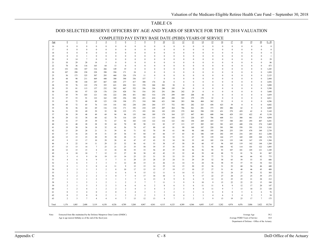#### DOD SELECTED RESERVE OFFICERS BY AGE AND YEARS OF SERVICE FOR THE FY 2018 VALUATION

|          |                              |                                         |                                |                     |                     |                              |                                            |                                  |                     |                  |                     |                     |                     | CONIFECTED FAT ENTINT DASE DATE (FEBD) TEANS OF SENVICE |                              |                     |                  |                   |                     |                  |                 |                  |
|----------|------------------------------|-----------------------------------------|--------------------------------|---------------------|---------------------|------------------------------|--------------------------------------------|----------------------------------|---------------------|------------------|---------------------|---------------------|---------------------|---------------------------------------------------------|------------------------------|---------------------|------------------|-------------------|---------------------|------------------|-----------------|------------------|
| Age      | $\boldsymbol{0}$             | $\mathbf{1}$                            | $\overline{2}$                 | $\overline{3}$      | $\overline{4}$      | $\overline{2}$               | $6\phantom{.}6$                            | $\mathcal{I}$                    | $\underline{8}$     | $\overline{9}$   | 10                  | $11\,$              | 12                  | 13                                                      | 14                           | 15                  | 16               | 17                | 18                  | 19               | 20              | $0 - 20$         |
| 16       | $\boldsymbol{0}$             | $\bf{0}$                                | $\boldsymbol{0}$               | $\mathbf{0}$        | $\boldsymbol{0}$    | $\mathbf{0}$                 | $\boldsymbol{0}$                           | $\bf{0}$                         | $\boldsymbol{0}$    | $\boldsymbol{0}$ | $\boldsymbol{0}$    | $\bf 0$             | $\mathbf{0}$        | $\mathbf{0}$                                            | $\mathbf{0}$                 | $\boldsymbol{0}$    | $\boldsymbol{0}$ | $\bf{0}$          | $\boldsymbol{0}$    | $\boldsymbol{0}$ | $\theta$        | $\boldsymbol{0}$ |
| 17       | $\bf{0}$                     | $\mathbf{0}$                            | $\bf{0}$                       | $\Omega$            | $\theta$            | $\theta$                     | $\theta$                                   | $\mathbf{0}$                     | $\mathbf{0}$        | $\mathbf{0}$     | $\theta$            | $\mathbf{0}$        | $\bf{0}$            | $\theta$                                                | $\mathbf{0}$                 | $\mathbf{0}$        | $\boldsymbol{0}$ | $\mathbf{0}$      | $\mathbf{0}$        | $\bf{0}$         | $\mathbf{0}$    | $\boldsymbol{0}$ |
| 18       | $\mathbf{0}$                 | $\Omega$                                | $\mathbf{0}$                   | $\Omega$            | $\theta$            | $\Omega$                     | $\theta$                                   | $\mathbf{0}$                     | $\mathbf{0}$        | $\mathbf{0}$     | $\theta$            | $\Omega$            | $\theta$            | $\theta$                                                | $\Omega$                     | $\Omega$            | $\theta$         | $\Omega$          | $\Omega$            | $\mathbf{0}$     | $\theta$        | $\boldsymbol{0}$ |
| 19       | $\Omega$                     | $\mathbf{0}$                            | $\overline{1}$                 |                     | $\Omega$            | $\Omega$                     | $\theta$                                   | $\Omega$                         | $\Omega$            | $\mathbf{0}$     | $\mathbf{0}$        | $\Omega$            | $\Omega$            | $\theta$                                                | $\Omega$                     | $\theta$            | $\theta$         | $\theta$          | $\Omega$            | $\Omega$         | $\theta$        | $\mathbf{1}$     |
| 20       | 8                            | 14                                      | $7\phantom{.0}$                | $\Omega$            | $\boldsymbol{0}$    | $\Omega$                     | $\Omega$                                   | $\mathbf{0}$                     | $\Omega$            | $\theta$         | $\Omega$            | $\mathbf{0}$        | $\overline{0}$      | $\theta$                                                | $\Omega$                     | $\mathbf{0}$        | $\theta$         | $\theta$          | $\Omega$            | $\mathbf{0}$     | $\theta$        | $29\,$           |
| 21       | 10                           | 29                                      | 28                             | 14                  | 5                   | $\mathbf{0}$                 | $\mathbf{0}$                               | $\Omega$                         | $\mathbf{0}$        | $\theta$         | $\bf{0}$            | $\bf{0}$            | $\theta$            | $\bf{0}$                                                | $\Omega$                     | $\bf{0}$            | $\mathbf{0}$     | $\bf{0}$          | $\Omega$            | $\mathbf{0}$     | $\theta$        | 86               |
| 22       | 78                           | 36                                      | 116                            | 165                 | 64                  | 13                           | $\bf{0}$                                   | $\bf{0}$                         | $\bf{0}$            | $\mathbf{0}$     | $\bf{0}$            | $\bf{0}$            | $\bf{0}$            | $\bf{0}$                                                | $\Omega$                     | $\mathbf{0}$        | $\bf{0}$         | $\bf{0}$          | $\bf{0}$            | $\bf{0}$         | $\theta$        | 473              |
| 23       | 152                          | 156                                     | 187                            | 316                 | 266                 | 149                          | 19                                         | $\bf{0}$                         | $\boldsymbol{0}$    | $\mathbf{0}$     | $\bf{0}$            | $\Omega$            | $\mathbf{0}$        | $\mathbf{0}$                                            | $\theta$                     | $\bf{0}$            | $\theta$         | $\bf{0}$          | $\Omega$            | $\bf{0}$         | $\Omega$        | 1,245            |
| 24       | 107                          | 290                                     | 238                            | 228                 | 398                 | 394                          | 171                                        | 24                               | $\boldsymbol{0}$    | $\mathbf{0}$     | $\bf{0}$            | $\bf{0}$            | $\bf{0}$            | $\theta$                                                | $\Omega$                     | $\mathbf{0}$        | $\theta$         | $\Omega$          | $\Omega$            | $\bf{0}$         | $\Omega$        | 1,850            |
| 25       | 56                           | 173                                     | 325                            | 307                 | 293                 | 460                          | 326                                        | 174                              | 11                  | $\mathbf{0}$     | $\bf{0}$            |                     | $\theta$            | $\bf{0}$                                                | $\Omega$                     | $\theta$            | $\mathbf{0}$     | $\bf{0}$          | $\Omega$            | $\Omega$         | $\theta$        | 2,125            |
| 26       | 44                           | 90                                      | 211                            | 469                 | 440                 | 300                          | 390                                        | 336                              | 157                 | $7\phantom{.0}$  | $\bf{0}$            | $\mathbf{0}$        | $\overline{0}$      | $\theta$                                                | $\Omega$                     | $\bf{0}$            | $\mathbf{0}$     | $\theta$          | $\Omega$            | $\bf{0}$         | $\Omega$        | 2,444            |
| 27       | 44                           | 90                                      | 144                            | 287                 | 667                 | 420                          | 277                                        | 417                              | 308                 | 176              | 26                  | $\mathbf{0}$        | $\mathbf{0}$        | $\theta$                                                | $\Omega$                     | $\theta$            | $\theta$         | $\Omega$          | $\Omega$            | $\mathbf{0}$     | $\Omega$        | 2,856            |
| 28       | 53                           | 76                                      | 122                            | 170                 | 355                 | 621                          | 494                                        | 321                              | 378                 | 268              | 201                 | 30                  | $\mathbf{0}$        | $\theta$                                                | $\theta$                     | $\theta$            | $\theta$         | $\theta$          | $\Omega$            | $\theta$         | $\theta$        | 3,090            |
| 29       | 53                           | 81                                      | 113                            | 157                 | 232                 | 382                          | 667                                        | 522                              | 356                 | 326              | 280                 | 195                 | 34                  | $\mathbf{0}$                                            | $\theta$                     | $\theta$            | $\theta$         | $\theta$          | $\Omega$            | $\theta$         | $\theta$        | 3,398            |
| 30       | 63                           | 84                                      | 97                             | 128                 | 176                 | 234                          | 428                                        | 741                              | 516                 | 292              | 291                 | 286                 | 242                 | 29                                                      | $\theta$                     | $\theta$            | $\theta$         | $\theta$          | $\Omega$            | $\theta$         | $\theta$        | 3,608            |
| 31       | 43                           | 79                                      | 103                            | 121                 | 156                 | 222                          | 296                                        | 451                              | 682                 | 514              | 270                 | 299                 | 369                 | 208                                                     | 44                           | $\bf{0}$            | $\mathbf{0}$     | $\theta$          | $\mathbf{0}$        | $\mathbf{0}$     | $\theta$        | 3,859            |
| 32       | 57                           | 53                                      | 91                             | 122                 | 162                 | 189                          | 256                                        | 320                              | 431                 | 634              | 483                 | 288                 | 343                 | 279                                                     | 270                          | 32                  | $\bf{0}$         | $\mathbf{0}$      | $\Omega$            | $\mathbf{0}$     | $\theta$        | 4,011            |
| 33       | 41                           | 75                                      | 68                             | 89                  | 123                 | 158                          | 194                                        | 271                              | 310                 | 380              | 621                 | 548                 | 283                 | 306                                                     | 404                          | 362                 | 53               | $\mathbf{0}$      | $\mathbf{0}$        | $\mathbf{0}$     | $\theta$        | 4,286            |
| 34       | 45                           | 72                                      | 65                             | 76                  | 118                 | 141                          | 182                                        | 230                              | 250                 | 264              | 377                 | 752                 | 583                 | 282                                                     | 325                          | 438                 | 423              | 59                | $\bf{0}$            | $\mathbf{0}$     | $\theta$        | 4,682            |
| 35       | 36                           | 56                                      | 64                             | 69                  | 116                 | 134                          | 171                                        | 192                              | 210                 | 229              | 207                 | 364                 | 786                 | 561                                                     | 281                          | 373                 | 492              | 486               | 62                  | $\mathbf{0}$     | $\theta$        | 4,889            |
| 36       | 31                           | 59                                      | 49                             | 59                  | 52                  | 98                           | 135                                        | 171                              | 193                 | 201              | 183                 | 229                 | 379                 | 862                                                     | 598                          | 339                 | 431              | 579               | 459                 | 62               | $\theta$        | 5,169            |
| 37       | 30                           | 39                                      | 48                             | 49                  | 69                  | 94                           | 96                                         | 135                              | 166                 | 189              | 179                 | 164                 | 227                 | 447                                                     | 801                          | 608                 | 346              | 429               | 555                 | 422              | 45              | 5,138            |
| 38       | 29                           | 52                                      | 38                             | 60                  | 62                  | 78                           | 116                                        | 129                              | 135                 | 133              | 149                 | 168                 | 173                 | 220                                                     | 427                          | 786                 | 608              | 311               | 380                 | 461              | 379             | 4,894            |
| 39       | 32                           | 37                                      | 29                             | 39                  | 72                  | 67                           | 92                                         | 103                              | 110                 | 122              | 116                 | 122                 | 182                 | 194                                                     | 269                          | 435                 | 737              | 540               | 283                 | 293              | 407             | 4,281            |
| 40       | 21                           | 40                                      | 28                             | 28                  | 39                  | 64                           | 70                                         | 89                               | 98                  | 121              | 82                  | 87                  | 113                 | 157                                                     | 205                          | 265                 | 381              | 623               | 448                 | 236              | 274             | 3,469            |
| 41       | 19                           | 30                                      | 36                             | 18                  | 32                  | 41                           | 56                                         | 74                               | 67                  | 88               | 65                  | 81                  | 99                  | 140                                                     | 187                          | 220                 | 301              | 380               | 558                 | 391              | 218             | 3,101            |
| 42       | 21                           | 29                                      | 28                             | 21                  | 31                  | 39                           | 41                                         | $71\,$                           | 82                  | 70               | 59                  | 61                  | $90\,$              | 98                                                      | 140                          | 193                 | 246              | 253               | 339                 | 478              | 349             | 2,739            |
| 43       | 17                           | 16                                      | 24                             | $18\,$              | 31                  | 29                           | 36                                         | 53                               | 84                  | 65               | 66                  | 57                  | 65                  | 82                                                      | 106                          | 149                 | 202              | 195               | 216                 | 283              | 412             | 2,206            |
| 44       | 13                           | 15                                      | 23                             | 20                  | 39                  | 30                           | 28                                         | 51                               | 50                  | 64               | 54                  | 52                  | 51                  | 67                                                      | 95                           | 139                 | 164              | 177               | 169                 | 209              | 248             | 1,758            |
| 45       | $\overline{9}$               | 15                                      | 17                             | 10                  | 29                  | 28                           | 41                                         | 47                               | 47                  | 43               | 52                  | 34                  | 50                  | 55                                                      | 69                           | 105                 | 124              | 135               | 148                 | 167              | 159             | 1,384            |
| 46       | $\,$ 8 $\,$                  | 22                                      | 14                             | 11                  | 29                  | 25                           | 32                                         | 56                               | 41                  | 53               | 38                  | 47                  | 50                  | 59                                                      | 60                           | 97                  | 96               | 105               | 119                 | 162              | 144             | 1,268            |
| 47       | 13                           | 13                                      | 14                             | $7\phantom{.0}$     | 23                  | 21                           | 23                                         | 35                               | 50                  | 39               | 37                  | 36                  | 35                  | 46                                                      | 72                           | 96                  | 106              | 92                | 114                 | 101              | 122             | 1,095            |
| 48       | 12                           | 15                                      | 15                             | 8                   | 13                  | 18                           | 30                                         | 55                               | 33                  | 56               | 45                  | 37                  | 38                  | 56                                                      | 56                           | 95                  | 93               | 107               | 101                 | 105              | 121             | 1,109            |
| 49       | 6                            | 10                                      | 10                             | $\tau$              | 12                  | 15                           | 27                                         | 38                               | 38                  | 42               | 42                  | 35                  | 32                  | 48                                                      | 59                           | 68                  | 88               | 72                | 81                  | 76               | 81              | 887              |
| 50       | 3                            | $\overline{4}$                          | 9                              | 14                  | 19                  | 15                           | 14                                         | 25                               | 25                  | 31               | 35                  | 33                  | 33                  | 29                                                      | 39                           | 77                  | 73               | 73                | 66                  | 66               | 92              | 775              |
| 51       | 4                            | 6                                       | 6                              | 9                   | 5                   | $\tau$                       | 11                                         | 29                               | 23                  | $28\,$           | 25                  | 24                  | 31                  | 29                                                      | 29                           | 52                  | 58               | 65                | 59                  | 53               | 53              | 606              |
| 52       | $\mathbf{1}$                 | 6                                       | 5                              | 3                   | $\mathbf{3}$        | 5                            | 12                                         | $20\,$                           | 15                  | 21               | 26                  | 21                  | 14                  | 31                                                      | 24                           | 36                  | 58               | 55                | 57                  | 55               | 54              | 522              |
| 53       | $\bf{0}$                     | $\mathbf{1}$<br>$\overline{\mathbf{3}}$ | 5                              | $\mathbf{0}$<br>5   | $\overline{4}$<br>2 | 11                           | 9                                          | $12\,$<br>17                     | 15                  | 14               | 25                  | 14                  | 15                  | $20\,$                                                  | $22\,$                       | 36                  | 31               | 52                | 60                  | 56               | 46              | 448              |
| 54       | $\overline{c}$               | $\overline{c}$                          | 3<br>1                         |                     |                     | 8                            | 10                                         | 9                                | 15                  | 15               | 17                  | 19<br>8             | 17                  | $10\,$                                                  | 27                           | $27\,$              | 31               | 41                | 48                  | 46               | 45              | 408              |
| 55       | 3                            | $\overline{c}$                          |                                | -1                  | 1                   | $\Omega$                     | 6                                          |                                  | 15                  | 12               | 11                  |                     | 14                  | 12<br>$\overline{9}$                                    | 17                           | 33                  | 33               | 24                | 27                  | 38               | 32<br>39        | 303              |
| 56       | 3<br>$\mathbf{1}$            | $\overline{\mathbf{3}}$                 | $\overline{2}$<br>$\mathbf{1}$ | $\overline{c}$<br>2 | 3<br>3              | -1                           | $7\phantom{.0}$<br>$\overline{\mathbf{3}}$ | 8                                | 17<br>6             | 18<br>13         | 10<br>8             | 5<br>9              | 6<br>8              | 6                                                       | 17<br>9                      | $22\,$<br>12        | $27\,$<br>21     | 28<br>25          | 23<br>25            | 25<br>21         |                 | 273<br>212       |
| 57       | 3                            | -1                                      | 5                              | 1                   | $\overline{c}$      | -1                           | $\overline{2}$                             | 7<br>5                           | $7\phantom{.0}$     | $7\phantom{.0}$  | 11                  |                     | 9                   | 9                                                       | 10                           | 9                   |                  | 22                |                     | 25               | 28              | 184              |
| 58       | $\overline{2}$               | $\mathbf{1}$                            | 3                              |                     | $\overline{c}$      | 3                            | 6                                          | 6                                |                     | $\overline{2}$   | 8                   | 3                   | 5                   | 6                                                       |                              |                     | 15<br>8          | 9                 | 22<br>12            | 17               | 15<br>20        | 147              |
| 59       |                              |                                         |                                | 3                   |                     |                              |                                            |                                  | 6                   |                  |                     | 6                   |                     |                                                         | 11                           | 11                  |                  |                   |                     |                  |                 |                  |
| 60       | $\mathbf{1}$<br>$\mathbf{0}$ | $\overline{c}$<br>3                     | 4                              | 1<br>$\Omega$       | 2<br>2              | $\overline{c}$               | 2<br>$\overline{3}$                        | $\overline{4}$                   | $\overline{3}$<br>2 | $\overline{4}$   | 5<br>$\overline{2}$ | 2<br>$\overline{2}$ | 5<br>$\overline{2}$ | $\overline{4}$<br>$\overline{2}$                        | 8                            | 11                  | 9<br>8           | $\tau$<br>$\bf 8$ | 13                  | 10               | 21              | 120              |
| 61       | $\mathbf{0}$                 | $\overline{c}$                          | $\overline{4}$<br>$\bf{0}$     | $\mathbf{0}$        | $\mathbf 2$         | $\mathbf{0}$<br>$\mathbf{1}$ | 2                                          | $\overline{4}$<br>$\overline{2}$ | $\overline{2}$      | 3<br>3           | 5                   | $\bf{0}$            | $\overline{4}$      | $\mathbf{1}$                                            | 6<br>$\overline{\mathbf{3}}$ | 8<br>$\overline{4}$ |                  | 3                 | 5<br>$\overline{4}$ | 6<br>5           | 6<br>5          | 76<br>54         |
| 62<br>63 | $\overline{c}$               | $\overline{\mathbf{3}}$                 | $\tau$                         | $\overline{4}$      | $\overline{4}$      | $\overline{4}$               | $\overline{7}$                             | 13                               | 12                  | 13               | $\overline{4}$      | $7\phantom{.0}$     | $\overline{2}$      | $\overline{2}$                                          | $\overline{\mathbf{3}}$      | 9                   | 6<br>13          | 19                | 23                  | 17               | $7\phantom{.0}$ | 175              |
|          |                              |                                         |                                |                     |                     |                              |                                            |                                  |                     |                  |                     |                     |                     |                                                         |                              |                     |                  |                   |                     |                  |                 |                  |
| Total    | 1,176                        | 1,885                                   | 2,408                          | 3,119               | 4,158               | 4,526                        | 4,789                                      | 5,268                            | 4.967               | 4,561            | 4,115               | 4,125               | 4,389               | 4,366                                                   | 4,693                        | 5,147               | 5,282            | 4,974             | 4,476               | 3,886            | 3,422           | 85,734           |

#### COMPLETED PAY ENTRY BASE DATE (PEBD) YEARS OF SERVICE

Note: Extracted from files maintained by the Defense Manpower Data Center (DMDC). Average Age 39.2 Age is age nearest birthday as of the end of the fiscal year. Average PEBD Years of Service 14.8

Department of Defense - Office of the Actuary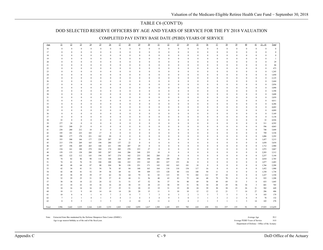### TABLE C6 (CONT'D)

#### DOD SELECTED RESERVE OFFICERS BY AGE AND YEARS OF SERVICE FOR THE FY 2018 VALUATION

| Age      | 21                   | $\overline{22}$          | $\overline{23}$              | $\overline{24}$      | 25                                   | $\underline{26}$     | 27                           | $\overline{28}$      | 29                       | 30                   | 31                       | 32                       | $\overline{33}$              | 34                       | 35                       | 36                   | 37                           | $\frac{38}{5}$               | 39                           | 40                       | 41                       | $21 - 41$                | Total          |
|----------|----------------------|--------------------------|------------------------------|----------------------|--------------------------------------|----------------------|------------------------------|----------------------|--------------------------|----------------------|--------------------------|--------------------------|------------------------------|--------------------------|--------------------------|----------------------|------------------------------|------------------------------|------------------------------|--------------------------|--------------------------|--------------------------|----------------|
| 16       | $\bf{0}$             | $\bf{0}$                 | $\bf{0}$                     | $\boldsymbol{0}$     | $\bf{0}$                             | $\bf{0}$             | $\theta$                     | $\bf{0}$             | $\bf{0}$                 | $\bf{0}$             | $\boldsymbol{0}$         | $\bf{0}$                 | $\bf{0}$                     | $\bf{0}$                 | $\bf{0}$                 | $\boldsymbol{0}$     | $\bf{0}$                     | $\boldsymbol{0}$             | $\mathbf{0}$                 | $\bf{0}$                 | $\bf{0}$                 | $\mathbf{0}$             | $\mathbf{0}$   |
| 17       | $\bf{0}$             | $\bf{0}$                 | $\bf{0}$                     | $\bf{0}$             | $\bf{0}$                             | $\bf{0}$             | $\mathbf{0}$                 | $\bf{0}$             | $\bf{0}$                 | $\bf{0}$             | $\bf{0}$                 | $\bf{0}$                 | $\bf{0}$                     | $\bf{0}$                 | $\mathbf{0}$             | $\bf{0}$             | $\bf{0}$                     | $\boldsymbol{0}$             | $\bf{0}$                     | $\bf{0}$                 | $\bf{0}$                 | $\bf{0}$                 | $\mathbf 0$    |
| 18       | $\mathbf{0}$         | $\bf{0}$                 | $\mathbf{0}$                 | $\bf{0}$             | $\boldsymbol{0}$                     | $\mathbf{0}$         | $\mathbf{0}$                 | $\mathbf{0}$         | $\bf{0}$                 | $\theta$             | $\bf{0}$                 | $\mathbf{0}$             | $\theta$                     | $\bf{0}$                 | $\mathbf{0}$             | $\bf{0}$             | $\bf{0}$                     | $\mathbf{0}$                 | $\bf{0}$                     | $\mathbf{0}$             | $\mathbf{0}$             | $\Omega$                 | $\mathbf{0}$   |
| 19       | $\mathbf{0}$         | $\bf{0}$                 | $\bf{0}$                     | $\bf{0}$             | $\boldsymbol{0}$                     | $\bf{0}$             | $\mathbf{0}$                 | $\bf{0}$             | $\bf{0}$                 | $\bf{0}$             | $\bf{0}$                 | $\bf{0}$                 | $\bf{0}$                     | $\bf{0}$                 | $\mathbf{0}$             | $\bf{0}$             | $\bf{0}$                     | $\bf{0}$                     | $\bf{0}$                     | $\bf{0}$                 | $\bf{0}$                 | $\bf{0}$                 | $\mathbf{1}$   |
| 20       | $\Omega$             | $\bf{0}$                 | $\theta$                     | $\theta$             | $\bf{0}$                             | $\mathbf{0}$         | $\mathbf{0}$                 | $\theta$             | $\bf{0}$                 | $\bf{0}$             | $\bf{0}$                 | $\bf{0}$                 | $\mathbf{0}$                 | $\bf{0}$                 | $\Omega$                 | $\bf{0}$             | $\bf{0}$                     | $\mathbf{0}$                 | $\mathbf{0}$                 | $\bf{0}$                 | $\theta$                 | $\Omega$                 | 29             |
| 21       | $\bf{0}$             | $\mathbf{0}$             | $\mathbf{0}$                 | $\bf{0}$             | $\bf{0}$                             | $\bf{0}$             | $\mathbf{0}$                 | $\mathbf{0}$         | $\mathbf{0}$             | $\bf{0}$             | $\,0\,$                  | $\mathbf{0}$             | $\mathbf{0}$                 | $\mathbf{0}$             | $\mathbf{0}$             | $\bf{0}$             | $\bf{0}$                     | $\mathbf{0}$                 | $\mathbf{0}$                 | $\mathbf{0}$             | $\mathbf{0}$             | $\mathbf{0}$             | 86             |
| 22       | $\bf{0}$             | $\bf{0}$                 | $\mathbf{0}$                 | $\boldsymbol{0}$     | $\bf{0}$                             | $\bf{0}$             | $\boldsymbol{0}$             | $\bf{0}$             | $\bf{0}$                 | $\bf{0}$             | $\bf{0}$                 | $\bf{0}$                 | $\bf{0}$                     | $\bf{0}$                 | $\mathbf{0}$             | $\bf{0}$             | $\boldsymbol{0}$             | $\bf{0}$                     | $\boldsymbol{0}$             | $\bf{0}$                 | $\mathbf{0}$             | $\mathbf{0}$             | 473            |
| 23       | $\bf{0}$             | $\mathbf{0}$             | $\mathbf{0}$                 | $\bf{0}$             | $\mathbf{0}$                         | $\bf{0}$             | $\mathbf{0}$                 | $\mathbf{0}$         | $\bf{0}$                 | $\bf{0}$             | $\,0\,$                  | $\bf{0}$                 | $\mathbf{0}$                 | $\boldsymbol{0}$         | $\mathbf{0}$             | $\bf{0}$             | $\boldsymbol{0}$             | $\mathbf{0}$                 | $\bf{0}$                     | $\mathbf{0}$             | $\mathbf{0}$             | $\mathbf{0}$             | 1,245          |
| 24       | $\bf{0}$             | $\bf{0}$                 | $\bf{0}$                     | $\bf{0}$             | $\boldsymbol{0}$                     | $\bf{0}$             | $\boldsymbol{0}$             | $\bf{0}$             | $\bf{0}$                 | $\bf{0}$             | $\bf{0}$                 | $\bf{0}$                 | $\mathbf{0}$                 | $\bf{0}$                 | $\Omega$                 | $\bf{0}$             | $\bf{0}$                     | $\bf{0}$                     | $\boldsymbol{0}$             | $\bf{0}$                 | $\bf{0}$                 | $\bf{0}$                 | 1,850          |
| 25       | $\bf{0}$<br>$\bf{0}$ | $\mathbf{0}$<br>$\bf{0}$ | $\mathbf{0}$<br>$\mathbf{0}$ | $\bf{0}$<br>$\bf{0}$ | $\boldsymbol{0}$<br>$\boldsymbol{0}$ | $\bf{0}$<br>$\bf{0}$ | $\mathbf{0}$<br>$\mathbf{0}$ | $\theta$<br>$\theta$ | $\mathbf{0}$             | $\bf{0}$<br>$\bf{0}$ | $\mathbf{0}$<br>$\bf{0}$ | $\mathbf{0}$             | $\mathbf{0}$<br>$\mathbf{0}$ | $\mathbf{0}$<br>$\bf{0}$ | $\mathbf{0}$<br>$\Omega$ | $\bf{0}$<br>$\bf{0}$ | $\bf{0}$<br>$\bf{0}$         | $\mathbf{0}$<br>$\bf{0}$     | $\mathbf{0}$<br>$\bf{0}$     | $\mathbf{0}$<br>$\bf{0}$ | $\mathbf{0}$             | $\mathbf{0}$<br>$\Omega$ | 2,125<br>2,444 |
| 26<br>27 | $\Omega$             | $\mathbf{0}$             | $\theta$                     | $\bf{0}$             | $\mathbf{0}$                         | $\theta$             | $\theta$                     | $\theta$             | $\bf{0}$<br>$\mathbf{0}$ | $\theta$             | $\mathbf{0}$             | $\bf{0}$<br>$\mathbf{0}$ | $\theta$                     | $\mathbf{0}$             | $\Omega$                 | $\mathbf{0}$         | $\bf{0}$                     | $\Omega$                     | $\theta$                     | $\mathbf{0}$             | $\bf{0}$<br>$\mathbf{0}$ | $\theta$                 | 2,856          |
| 28       | $\mathbf{0}$         | $\bf{0}$                 | $\bf{0}$                     | $\bf{0}$             | $\boldsymbol{0}$                     | $\bf{0}$             | $\mathbf{0}$                 | $\bf{0}$             | $\bf{0}$                 | $\bf{0}$             | $\bf{0}$                 | $\bf{0}$                 | $\mathbf{0}$                 | $\bf{0}$                 | $\Omega$                 | $\bf{0}$             | $\bf{0}$                     | $\theta$                     | $\bf{0}$                     | $\bf{0}$                 | $\bf{0}$                 | $\theta$                 | 3,090          |
| 29       | $\mathbf{0}$         | $\bf{0}$                 | $\theta$                     | $\bf{0}$             | $\boldsymbol{0}$                     | $\theta$             | $\mathbf{0}$                 | $\mathbf{0}$         | $\bf{0}$                 | $\theta$             | $\bf{0}$                 | $\bf{0}$                 | $\theta$                     | $\bf{0}$                 | $\Omega$                 | $\bf{0}$             | $\bf{0}$                     | $\mathbf{0}$                 | $\mathbf{0}$                 | $\mathbf{0}$             | $\mathbf{0}$             | $\Omega$                 | 3,398          |
| 30       | $\mathbf{0}$         | $\bf{0}$                 | $\bf{0}$                     | $\bf{0}$             | $\boldsymbol{0}$                     | $\bf{0}$             | $\mathbf{0}$                 | $\bf{0}$             | $\bf{0}$                 | $\bf{0}$             | $\bf{0}$                 | $\bf{0}$                 | $\bf{0}$                     | $\bf{0}$                 | $\Omega$                 | $\bf{0}$             | $\bf{0}$                     | $\bf{0}$                     | $\bf{0}$                     | $\bf{0}$                 | $\bf{0}$                 | $\mathbf{0}$             | 3,608          |
| 31       | $\mathbf{0}$         | $\mathbf{0}$             | $\theta$                     | $\theta$             | $\boldsymbol{0}$                     | $\bf{0}$             | $\mathbf{0}$                 | $\mathbf{0}$         | $\bf{0}$                 | $\bf{0}$             | $\bf{0}$                 | $\bf{0}$                 | $\mathbf{0}$                 | $\mathbf{0}$             | $\Omega$                 | $\bf{0}$             | $\bf{0}$                     | $\mathbf{0}$                 | $\mathbf{0}$                 | $\mathbf{0}$             | $\mathbf{0}$             | $\theta$                 | 3,859          |
| 32       | $\mathbf{0}$         | $\bf{0}$                 | $\bf{0}$                     | $\bf{0}$             | $\boldsymbol{0}$                     | $\bf{0}$             | $\mathbf{0}$                 | $\theta$             | $\bf{0}$                 | $\bf{0}$             | $\bf{0}$                 | $\bf{0}$                 | $\mathbf{0}$                 | $\bf{0}$                 | $\Omega$                 | $\bf{0}$             | $\bf{0}$                     | $\bf{0}$                     | $\mathbf{0}$                 | $\bf{0}$                 | $\bf{0}$                 | $\mathbf{0}$             | 4,011          |
| 33       | $\bf{0}$             | $\bf{0}$                 | $\Omega$                     | $\theta$             | $\boldsymbol{0}$                     | $\Omega$             | $\boldsymbol{0}$             | $\theta$             | $\mathbf{0}$             | $\mathbf{0}$         | $\bf{0}$                 | $\bf{0}$                 | $\mathbf{0}$                 | $\boldsymbol{0}$         | $\Omega$                 | $\theta$             | $\boldsymbol{0}$             | $\mathbf{0}$                 | $\mathbf{0}$                 | $\mathbf{0}$             | $\mathbf{0}$             | $\theta$                 | 4,286          |
| 34       | $\bf{0}$             | $\mathbf{0}$             | $\mathbf{0}$                 | $\bf{0}$             | $\bf{0}$                             | $\bf{0}$             | $\mathbf{0}$                 | $\mathbf{0}$         | $\bf{0}$                 | $\bf{0}$             | $\boldsymbol{0}$         | $\bf{0}$                 | $\mathbf{0}$                 | $\boldsymbol{0}$         | $\mathbf{0}$             | $\bf{0}$             | $\bf{0}$                     | $\mathbf{0}$                 | $\bf{0}$                     | $\mathbf{0}$             | $\mathbf{0}$             | $\mathbf{0}$             | 4,682          |
| 35       | $\bf{0}$             | $\bf{0}$                 | $\bf{0}$                     | $\bf{0}$             | $\boldsymbol{0}$                     | $\bf{0}$             | $\boldsymbol{0}$             | $\bf{0}$             | $\bf{0}$                 | $\bf{0}$             | $\bf{0}$                 | $\bf{0}$                 | $\mathbf{0}$                 | $\bf{0}$                 | $\mathbf{0}$             | $\bf{0}$             | $\bf{0}$                     | $\boldsymbol{0}$             | $\bf{0}$                     | $\bf{0}$                 | $\bf{0}$                 | $\theta$                 | 4,889          |
| 36       | $\bf{0}$             | $\mathbf{0}$             | $\mathbf{0}$                 | $\bf{0}$             | $\boldsymbol{0}$                     | $\mathbf{0}$         | $\mathbf{0}$                 | $\theta$             | $\bf{0}$                 | $\bf{0}$             | $\mathbf{0}$             | $\mathbf{0}$             | $\mathbf{0}$                 | $\mathbf{0}$             | $\mathbf{0}$             | $\boldsymbol{0}$     | $\boldsymbol{0}$             | $\mathbf{0}$                 | $\bf{0}$                     | $\mathbf{0}$             | $\mathbf{0}$             | $\mathbf{0}$             | 5,169          |
| 37       | $\bf{0}$             | $\bf{0}$                 | $\mathbf{0}$                 | $\bf{0}$             | $\mathbf{0}$                         | $\bf{0}$             | $\mathbf{0}$                 | $\theta$             | $\bf{0}$                 | $\bf{0}$             | $\bf{0}$                 | $\bf{0}$                 | $\mathbf{0}$                 | $\bf{0}$                 | $\Omega$                 | $\bf{0}$             | $\bf{0}$                     | $\Omega$                     | $\bf{0}$                     | $\bf{0}$                 | $\bf{0}$                 | $\Omega$                 | 5,138          |
| 38       | 32                   | $\mathbf{0}$             | $\Omega$                     | $\bf{0}$             | $\theta$                             | $\theta$             | $\theta$                     | $\theta$             | $\mathbf{0}$             | $\mathbf{0}$         | $\mathbf{0}$             | $\mathbf{0}$             | $\theta$                     | $\mathbf{0}$             | $\Omega$                 | $\mathbf{0}$         | $\bf{0}$                     | $\theta$                     | $\theta$                     | $\mathbf{0}$             | $\mathbf{0}$             | 32                       | 4,926          |
| 39       | 277                  | 34                       | $\bf{0}$                     | $\bf{0}$             | $\mathbf{0}$                         | $\bf{0}$             | $\mathbf{0}$                 | $\theta$             | $\mathbf{0}$             | 0                    | $\bf{0}$                 | $\bf{0}$                 | $\mathbf{0}$                 | $\bf{0}$                 | $\Omega$                 | $\bf{0}$             | $\boldsymbol{0}$             | $\Omega$                     | $\mathbf{0}$                 | $\bf{0}$                 | $\bf{0}$                 | 311                      | 4,592          |
| 40       | 333                  | 240                      | 23                           | $\bf{0}$             | $\mathbf{0}$                         | $\theta$             | $\bf{0}$                     | $\mathbf{0}$         | $\bf{0}$                 | $\theta$             | $\bf{0}$                 | $\mathbf{0}$             | $\theta$                     | $\mathbf{0}$             | $\Omega$                 | $\bf{0}$             | $\bf{0}$                     | $\mathbf{0}$                 | $\mathbf{0}$                 | $\mathbf{0}$             | $\bf{0}$                 | 596                      | 4,065          |
| 41       | 238                  | 280                      | 212                          | 18                   | $\bf{0}$                             | $\bf{0}$             | $\bf{0}$                     | $\bf{0}$             | $\bf{0}$                 | $\bf{0}$             | $\bf{0}$                 | $\bf{0}$                 | $\bf{0}$                     | $\bf{0}$                 | $\Omega$                 | $\bf{0}$             | $\bf{0}$                     | $\bf{0}$                     | $\bf{0}$                     | $\bf{0}$                 | $\bf{0}$                 | 748                      | 3,849          |
| 42       | 195                  | 181                      | 223                          | 183                  | 17                                   | $\bf{0}$             | $\bf{0}$                     | $\theta$             | $\bf{0}$                 | $\mathbf{0}$         | $\bf{0}$                 | $\bf{0}$                 | $\mathbf{0}$                 | $\mathbf{0}$             | $\Omega$                 | $\bf{0}$             | $\bf{0}$                     | $\mathbf{0}$                 | $\mathbf{0}$                 | $\mathbf{0}$             | $\bf{0}$                 | 799                      | 3,538          |
| 43       | 308                  | 177                      | 178                          | 221                  | 182                                  | 20                   | $\bf{0}$                     | $\bf{0}$             | $\bf{0}$                 | $\bf{0}$             | $\bf{0}$                 | $\bf{0}$                 | $\mathbf{0}$                 | $\bf{0}$                 | $\Omega$                 | $\bf{0}$             | $\bf{0}$                     | $\bf{0}$                     | $\mathbf{0}$                 | $\bf{0}$                 | $\bf{0}$                 | 1,086                    | 3,292          |
| 44       | 355                  | 308                      | 166                          | 177                  | 228                                  | 207                  | 16                           | $\bf{0}$             | $\bf{0}$                 | $\mathbf{0}$         | $\bf{0}$                 | $\mathbf{0}$             | $\mathbf{0}$<br>$\mathbf{0}$ | $\boldsymbol{0}$         | $\Omega$<br>$\Omega$     | $\bf{0}$             | $\bf{0}$                     | $\mathbf{0}$                 | $\mathbf{0}$<br>$\mathbf{0}$ | $\mathbf{0}$             | $\boldsymbol{0}$         | 1,457                    | 3,215          |
| 45       | 213<br>167           | 370<br>196               | 269<br>269                   | 165<br>265           | 194<br>168                           | 280<br>221           | 137<br>190                   | 22<br>207            | $\bf{0}$<br>29           | $\bf{0}$<br>$\bf{0}$ | $\bf{0}$<br>$\bf{0}$     | $\bf{0}$<br>$\bf{0}$     | $\mathbf{0}$                 | $\bf{0}$<br>$\bf{0}$     | $\mathbf{0}$             | $\bf{0}$<br>$\theta$ | $\bf{0}$<br>$\boldsymbol{0}$ | $\boldsymbol{0}$<br>$\bf{0}$ | $\boldsymbol{0}$             | $\bf{0}$<br>$\bf{0}$     | $\bf{0}$<br>$\bf{0}$     | 1,650<br>1,712           | 3,034<br>2,980 |
| 46<br>47 | 154                  | 161                      | 188                          | 279                  | 264                                  | 174                  | 202                          | 270                  | 253                      | 27                   | $\bf{0}$                 | $\mathbf{0}$             | $\mathbf{0}$                 | $\mathbf{0}$             | $\mathbf{0}$             | $\boldsymbol{0}$     | $\boldsymbol{0}$             | $\mathbf{0}$                 | $\mathbf{0}$                 | $\mathbf{0}$             | $\boldsymbol{0}$         | 1,972                    | 3,067          |
| 48       | 159                  | 133                      | 138                          | 200                  | 305                                  | 287                  | 164                          | 206                  | 348                      | 253                  | 10                       | $\bf{0}$                 | $\bf{0}$                     | $\bf{0}$                 | $\Omega$                 | $\bf{0}$             | $\bf{0}$                     | $\bf{0}$                     | $\bf{0}$                     | $\bf{0}$                 | $\bf{0}$                 | 2,203                    | 3,312          |
| 49       | 102                  | 122                      | 112                          | 143                  | 194                                  | 347                  | 274                          | 162                  | 233                      | 282                  | 260                      | 25                       | $\mathbf{0}$                 | $\mathbf{0}$             | $\mathbf{0}$             | $\mathbf{0}$         | $\bf{0}$                     | $\bf{0}$                     | $\mathbf{0}$                 | $\mathbf{0}$             | $\boldsymbol{0}$         | 2,257                    | 3,144          |
| 50       | 74                   | 82                       | 86                           | 90                   | 114                                  | 168                  | 264                          | 287                  | 180                      | 198                  | 248                      | 199                      | 20                           | $\boldsymbol{0}$         | $\Omega$                 | $\bf{0}$             | $\boldsymbol{0}$             | $\Omega$                     | $\mathbf{0}$                 | $\bf{0}$                 | $\bf{0}$                 | 2,010                    | 2,785          |
| 51       | 74                   | 61                       | 76                           | 91                   | 104                                  | 100                  | 146                          | 222                  | 253                      | 143                  | 201                      | 227                      | 153                          | 26                       | $\mathbf{0}$             | $\bf{0}$             | $\bf{0}$                     | $\mathbf{0}$                 | $\mathbf{0}$                 | $\mathbf{0}$             | $\bf{0}$                 | 1,877                    | 2,483          |
| 52       | 40                   | $48\,$                   | 64                           | 87                   | $80\,$                               | 104                  | 96                           | 138                  | 251                      | 171                  | 143                      | 182                      | 163                          | 181                      | 18                       | $\bf{0}$             | $\bf{0}$                     | $\mathbf{0}$                 | $\bf{0}$                     | $\bf{0}$                 | $\bf{0}$                 | 1,766                    | 2,288          |
| 53       | 42                   | 34                       | 41                           | 51                   | 54                                   | 78                   | 85                           | 84                   | 140                      | 163                  | 164                      | 118                      | 110                          | 154                      | 117                      | 16                   | $\bf{0}$                     | $\mathbf{0}$                 | $\mathbf{0}$                 | $\mathbf{0}$             | $\,0\,$                  | 1,452                    | 1,900          |
| 54       | 42                   | 48                       | 41                           | 52                   | 39                                   | 56                   | 69                           | 81                   | 99                       | 109                  | 133                      | 120                      | 80                           | 116                      | 140                      | 94                   | 11                           | $\boldsymbol{0}$             | $\bf{0}$                     | $\bf{0}$                 | $\bf{0}$                 | 1.330                    | 1,738          |
| 55       | 45                   | 38                       | 39                           | 39                   | 37                                   | $62\,$               | 54                           | 64                   | 79                       | 81                   | 83                       | 115                      | 95                           | 75                       | 102                      | 112                  | 97                           | $10\,$                       | $\bf{0}$                     | $\bf{0}$                 | $\,0\,$                  | 1,227                    | 1,530          |
| 56       | 32                   | 29                       | 25                           | 31                   | 39                                   | $37\,$               | 41                           | 44                   | 51                       | 56                   | 40                       | 63                       | 83                           | 75                       | 64                       | 68                   | 79                           | 70                           | $\,$ 8 $\,$                  | $\bf{0}$                 | $\bf{0}$                 | 935                      | 1,208          |
| 57       | 30                   | 36                       | $18\,$                       | 22                   | 24                                   | $32\,$               | 31                           | 51                   | 47                       | 52                   | 36                       | 37                       | 54                           | 80                       | 69                       | 58                   | 49                           | 69                           | 33                           | 5                        | $\boldsymbol{0}$         | 833                      | 1,045          |
| 58       | 23                   | 18                       | 22                           | 18                   | 16                                   | 16                   | 24                           | 38                   | 35                       | 28                   | 23                       | 30                       | 39                           | 31                       | 56                       | 34                   | 28                           | 29                           | 56                           | 34                       | $\overline{\mathbf{3}}$  | 601                      | 785            |
| 59       | 18                   | 16                       | 14                           | 16                   | $22\,$                               | $17\,$               | 25                           | 31                   | 20                       | 23                   | 19                       | 31                       | 19                           | 28                       | 24                       | 39                   | 30                           | 30                           | 23                           | 26                       | 31                       | 502                      | 649            |
| 60       | 18                   | 11                       | 9                            | 10                   | 14                                   | 10                   | 14                           | 20                   | 20                       | 15                   | 11                       | 9                        | 10                           | 10                       | 12                       | 12                   | 12                           | 21                           | $7\phantom{.0}$              | 14                       | 27                       | 286                      | 406            |
| 61       | 10                   | 8                        | 6                            | $\mathbf{1}$         | $\overline{4}$                       | $7\phantom{.0}$      | $\overline{2}$               | 8                    | $7\phantom{.0}$          | $\tau$               | $\mathbf{3}$             | $\bf{0}$                 | 3                            | $\sqrt{2}$               | $\mathbf{3}$             | $\mathbf{3}$         | $\boldsymbol{7}$             | 5                            | 5                            | $\overline{3}$           | 9                        | 103                      | 179            |
|          |                      |                          |                              |                      |                                      |                      |                              |                      |                          |                      |                          |                          |                              |                          |                          |                      |                              |                              |                              |                          |                          |                          |                |

#### COMPLETED PAY ENTRY BASE DATE (PEBD) YEARS OF SERVICE

Note: Extracted from files maintained by the Defense Manpower Data Center (DMDC). Average Age 39.2<br>Average PEBD Years of Service 14.8<br>Average PEBD Years of Service 14.8

Age is age nearest birthday as of the end of the fiscal year. Average PEBD Years of Service 14.8

Department of Defense - Office of the Actuary

 7 2 1 4 1 5 4 3 4 5 4 9 3 0 3 1 3 2 2 6 9 78 132 8 9 5 1 3 5 5 4 10 4 11 4 3 4 2 1 5 1 1 3 14 103 278 Total 2,996 2,642 2,225 2,164 2,103 2,233 1,843 1,942 2,059 1,617 1,389 1,169 835 782 610 438 321 237 135 91 93 27,925 113,659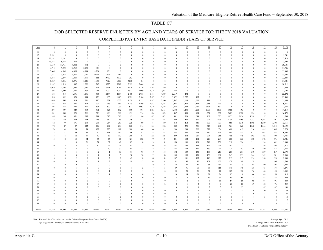#### DOD SELECTED RESERVE ENLISTEES BY AGE AND YEARS OF SERVICE FOR THE FY 2018 VALUATION

COMPLETED PAY ENTRY BASE DATE (PEBD) YEARS OF SERVICE

| Age   | $\underline{0}$         | $\perp$        | $\overline{2}$          | $\overline{3}$ | $\overline{4}$  | $\overline{5}$  | $6\phantom{.}6$         | $\mathcal{I}$  | $\mathbf{8}$   | $\overline{2}$          | $10\,$        | $11\,$         | 12               | 13             | 14             | 15                      | 16           | 17             | $18\,$       | 19                      | 20                 | $0 - 20$     |
|-------|-------------------------|----------------|-------------------------|----------------|-----------------|-----------------|-------------------------|----------------|----------------|-------------------------|---------------|----------------|------------------|----------------|----------------|-------------------------|--------------|----------------|--------------|-------------------------|--------------------|--------------|
|       |                         |                |                         |                |                 |                 |                         |                |                |                         |               |                |                  |                |                |                         |              |                |              |                         |                    |              |
| 16    | $\bf{0}$                | $\bf{0}$       | $\bf{0}$                | $\mathbf{0}$   | $\bf{0}$        | $\bf{0}$        | $\overline{0}$          | $\mathbf{0}$   | $\mathbf{0}$   | $\bf{0}$                | $\theta$      | $\overline{0}$ | $\mathbf{0}$     | $\bf{0}$       | $\mathbf{0}$   | $\theta$                | $\bf{0}$     | $\bf{0}$       | $\bf{0}$     | $\bf{0}$                | $\mathbf{0}$       | $\bf{0}$     |
| 17    | 1,201                   | $\mathbf{0}$   | $\mathbf{0}$            | $\mathbf{0}$   | $\theta$        | $\mathbf{0}$    | $\overline{0}$          | $\mathbf{0}$   | $\mathbf{0}$   | $\mathbf{0}$            | $\theta$      | $\mathbf{0}$   | $\mathbf{0}$     | $\mathbf{0}$   | $\overline{0}$ | $\theta$                | $\mathbf{0}$ | $\mathbf{0}$   | $\mathbf{0}$ | $\mathbf{0}$            | $\mathbf{0}$       | 1,201        |
| 18    | 11,292                  | 1,131          | $\bf{0}$                | $\bf{0}$       | $\mathbf{0}$    | $\Omega$        | $\overline{0}$          | $\theta$       | $\mathbf{0}$   | $\mathbf{0}$            | $\theta$      | $\theta$       | $\mathbf{0}$     | $\theta$       | $\mathbf{0}$   | $\theta$                | $\mathbf{0}$ | $\mathbf{0}$   | $\bf{0}$     | $\mathbf{0}$            | $\Omega$           | 12,423       |
| 19    | 13,243                  | 9,847          | 906                     | $\bf{0}$       | $\mathbf{0}$    | $\Omega$        | $\theta$                | $\mathbf{0}$   | $\mathbf{0}$   | $\bf{0}$                | $\theta$      | $\theta$       | $\mathbf{0}$     | $\Omega$       | $\theta$       | $\Omega$                | $\theta$     | $\Omega$       | $\theta$     | $\theta$                | $\theta$           | 23,996       |
| 20    | 7,650                   | 11,761         | 8,402                   | 872            | $\mathbf{0}$    | $\Omega$        | $\theta$                | $\Omega$       | $\theta$       | $\bf{0}$                | $\theta$      | $\Omega$       | $\Omega$         | $\theta$       | $\theta$       | $\Omega$                | $\bf{0}$     | $\Omega$       | $\theta$     | $\theta$                | $\theta$           | 28,685       |
| 21    | 4,715                   | 7,292          | 10,769                  | 8,150          | 820             | $\mathbf{0}$    | $\overline{0}$          | $\mathbf{0}$   | $\mathbf{0}$   | $\Omega$                | $\theta$      | $\Omega$       | $\mathbf{0}$     | $\Omega$       | $\Omega$       | $\theta$                | $\bf{0}$     | $\Omega$       | $\theta$     | $\theta$                |                    | 31,746       |
| 22    | 3,005                   | 4,585          | 6,965                   | 10,389         | 8,204           | 836             | $\overline{0}$          | $\mathbf{0}$   | $\theta$       | $\theta$                | $\mathbf{0}$  | $\theta$       | $\mathbf{0}$     | $\mathbf{0}$   | $\mathbf{0}$   | $\theta$                | $\bf{0}$     | $\Omega$       | $\mathbf{0}$ | $\mathbf{0}$            | $\theta$           | 33,985       |
| 23    | 2,321                   | 3,083          | 4,408                   | 7,010          | 10,744          | 7,675           | 461                     | $\Omega$       | $\mathbf{0}$   | $\Omega$                | $\theta$      | $\Omega$       | $\Omega$         | $\theta$       | $\Omega$       | $\theta$                | $\theta$     | $\Omega$       | $\Omega$     | $\theta$                | $\Omega$           | 35,703       |
|       |                         |                |                         |                |                 |                 |                         |                |                |                         |               |                |                  |                |                |                         |              |                |              |                         |                    |              |
| 24    | 1,844                   | 2,277          | 3,004                   | 4,575          | 7,111           | 10,437          | 3,973                   | 262            | $\mathbf{0}$   | $\bf{0}$                | $\theta$      | $\Omega$       | $\Omega$         | $\Omega$       | $\theta$       | $\theta$                | $\theta$     | $\Omega$       | $\theta$     | $\theta$                | $\Omega$           | 33,483       |
| 25    | 1,529                   | 1,836          | 2,376                   | 3,121          | 4,837           | 7,829           | 6,558                   | 3,230          | 184            | $\mathbf{0}$            | $\mathbf{0}$  | $\theta$       | $\Omega$         | $\Omega$       | $\theta$       | $\Omega$                | $\theta$     | $\overline{0}$ | $\theta$     | $\theta$                | $\theta$           | 31,501       |
| 26    | 1,187                   | 1,519          | 1,937                   | 2,236          | 3,243           | 5,223           | 5,208                   | 5,392          | 2,404          | 161                     | $\bf{0}$      | $\theta$       | $\Omega$         | $\Omega$       | $\theta$       | $\theta$                | $\bf{0}$     | $\Omega$       | $\Omega$     | $\mathbf{0}$            | $\theta$           | 28,512       |
| 27    | 1,039                   | 1,265          | 1,638                   | 1,781          | 2,473           | 3,651           | 3,704                   | 4,829          | 4,376          | 2,545                   | 339           | $\bf{0}$       | $\mathbf{0}$     | $\theta$       | $\theta$       | $\Omega$                | $\theta$     | $\overline{0}$ | $\theta$     | $\theta$                | $\theta$           | 27,640       |
| 28    | 896                     | 1,009          | 1,377                   | 1,465          | 1,913           | 2,772           | 2,712                   | 3,527          | 4,009          | 4,116                   | 2,933         | 374            | $\boldsymbol{0}$ | $\mathbf{0}$   | $\theta$       | $\theta$                | $\mathbf{0}$ | $\mathbf{0}$   | $\theta$     | $\theta$                | $\theta$           | 27,104       |
| 29    | 684                     | 813            | 1,196                   | 1,176          | 1,473           | 2,144           | 2,014                   | 2,408          | 2,966          | 3,461                   | 4,047         | 2,617          | 292              | $\bf{0}$       | $\mathbf{0}$   | $\theta$                | $\mathbf{0}$ | $\overline{0}$ | $\theta$     | $\mathbf{0}$            | $\theta$           | 25,292       |
| 30    | 526                     | 692            | 974                     | 919            | 1,126           | 1,653           | 1,605                   | 1,921          | 2,186          | 2,677                   | 3,323         | 3,372          | 2,277            | 187            | $\bf{0}$       | $\theta$                | $\theta$     | $\Omega$       | $\theta$     | $\theta$                | $\theta$           | 23,439       |
| 31    | 446                     | 565            | 816                     | 731            | 880             | 1,221           | 1,223                   | 1,538          | 1,755          | 1,977                   | 2,390         | 2,537          | 3,119            | 1,666          | 181            | $\theta$                | $\mathbf{0}$ | $\Omega$       | $\mathbf{0}$ | $\theta$                | $\theta$           | 21,046       |
| 32    | 367                     | 456            | 678                     | 593            | 702             | 966             | 909                     | 1,215          | 1,409          | 1,633                   | 1,747         | 1,948          | 2,476            | 2,325          | 1,658          | 199                     | $\Omega$     | $\Omega$       | $\theta$     | $\theta$                |                    | 19,281       |
| 33    | 308                     | 387            | 536                     | 479            | 571             | 800             | 739                     | 927            | 1,093          | 1,310                   | 1,376         | 1,457          | 1,704            | 1,762          | 2,373          | 1,832                   | 218          | $\Omega$       | $\theta$     | $\theta$                | $\theta$           | 17,872       |
|       |                         |                |                         |                |                 |                 |                         |                |                |                         |               |                |                  |                |                |                         |              |                |              | $\theta$                | $\theta$           |              |
| 34    | 293                     | 307            | 440                     | 393            | 491             | 625             | 612                     | 690            | 891            | 1,021                   | 1,115         | 1,138          | 1,230            | 1,201          | 2,006          | 2,600                   | 1,965        | 193            | $\mathbf{0}$ |                         |                    | 17,213       |
| 35    | 281                     | 300            | 373                     | 306            | 378             | 468             | 518                     | 591            | 714            | 826                     | 822           | 867            | 999              | 904            | 1,334          | 1,957                   | 2,689        | 1,928          | 224          | $\bf{0}$                | $\theta$           | 16,479       |
| 36    | 145                     | 286            | 371                     | 295            | 291             | 393             | 390                     | 512            | 586            | 677                     | 672           | 682            | 723              | 698            | 963            | 1,375                   | 1.935        | 2,836          | 1,798        | 157                     | $\theta$           | 15,786       |
| 37    | 75                      | 140            | 390                     | 245            | 216             | 362             | 283                     | 349            | 472            | 544                     | 522           | 550            | 583              | 619            | 794            | 1,005                   | 1,251        | 1,809          | 2,353        | 1,402                   | 101                | 14,066       |
| 38    | 62                      | 79             | 176                     | 278            | 235             | 264             | 267                     | 325            | 400            | 464                     | 439           | 458            | 464              | 440            | 600            | 777                     | 986          | 1,218          | 1,605        | 1,869                   | 1,108              | 12,515       |
| 39    | $70\,$                  | 87             | 97                      | 142            | 279             | 247             | 234                     | 262            | 314            | 361                     | 356           | 342            | 370              | 358            | 515            | 601                     | 764          | 862            | 1,060        | 1,364                   | 1,513              | 10,199       |
| 40    | 70                      | 93             | 66                      | 79             | 132             | 273             | 189                     | 208            | 260            | 300                     | 311           | 299            | 299              | 302            | 373            | 534                     | 600          | 652            | 756          | 895                     | 1,085              | 7,776        |
| 41    | 18                      | 71             | 70                      | 57             | 60              | 111             | 187                     | 196            | 247            | 258                     | 271           | 232            | 247              | 228            | 310            | 441                     | 481          | 555            | 611          | 663                     | 748                | 6,063        |
| 42    | $\overline{a}$          | 16             | $62\,$                  | 59             | 40              | 63              | 112                     | 208            | 181            | 235                     | 221           | 209            | 214              | 227            | 274            | 315                     | 405          | 445            | 503          | 492                     | 500                | 4,785        |
| 43    |                         | $\overline{2}$ | 14                      | 54             | 63              | 66              | 61                      | 121            | 202            | 179                     | 195           | 201            | 182              | 182            | 228            | 294                     | 356          | 366            | 388          | 372                     | 396                | 3,926        |
| 44    |                         | -1             | $\overline{4}$          | 21             | 51              | 57              | 49                      | 107            | 150            | 194                     | 163           | 158            | 190              | 169            | 218            | 230                     | 318          | 326            | 311          | 324                     | 342                | 3,384        |
| 45    | $\Omega$                | $\mathbf{3}$   | $\overline{\mathbf{3}}$ | $\bf{0}$       | 10 <sup>°</sup> | 54              | 34                      | 91             | 121            | 140                     | 174           | 137            | 146              | 154            | 166            | 229                     | 282          | 273            | 317          | 284                     | 294                | 2,912        |
| 46    | $\overline{\mathbf{3}}$ | $\overline{2}$ | $\mathfrak{D}$          | $\mathbf{1}$   | $\Omega$        | 10 <sup>2</sup> | 32                      | 84             | 122            | 128                     | 135           | 165            | 134              | 129            | 160            | 244                     | 274          | 287            | 280          | 280                     | 315                | 2,787        |
|       |                         |                | $\mathbf{1}$            |                |                 |                 |                         |                |                |                         |               |                |                  |                |                |                         |              |                |              |                         |                    |              |
| 47    |                         | $\mathbf{0}$   |                         | $\mathbf{1}$   | $\overline{2}$  | $\mathbf{1}$    | 13                      | 71             | 96             | 149                     | 118           | 132            | 143              | 131            | 167            | 213                     | 269          | 261            | 260          | 280                     | 269                | 2,578        |
| 48    | $\overline{\mathbf{3}}$ | $\theta$       | $\theta$                | $\mathbf{1}$   | $\mathbf{1}$    | $\mathbf{1}$    | $\overline{\mathbf{3}}$ | 58             | 90             | 99                      | 98            | 105            | 133              | 131            | 158            | 191                     | 249          | 235            | 244          | 249                     | 281                | 2,330        |
| 49    | $\theta$                | $\bf{0}$       | $\overline{2}$          | $\mathbf{0}$   | $\mathbf{1}$    | $\overline{2}$  | $\overline{0}$          | 42             | 58             | 100                     | 82            | 107            | 101              | 107            | 146            | 172                     | 219          | 217            | 234          | 258                     | 220                | 2,068        |
| 50    | $\Omega$                | $\overline{2}$ | $\theta$                | $\mathbf{0}$   | $\mathbf{1}$    | $\overline{2}$  | 1                       | 18             | 52             | 49                      | 82            | 82             | 96               | 90             | 108            | 150                     | 178          | 198            | 178          | 211                     | 206                | 1,704        |
| 51    |                         | $\mathbf{0}$   | $\theta$                | $\mathbf{1}$   | $\theta$        | $\Omega$        | $\mathbf{1}$            | $\overline{2}$ | 21             | 49                      | 55            | 86             | 59               | 57             | 65             | 164                     | 204          | 175            | 168          | 160                     | 197                | 1,465        |
| 52    | $\Omega$                | $\theta$       | $\mathbf{1}$            | $\Omega$       | $\theta$        | $\theta$        | $\mathbf{1}$            | $\overline{1}$ | $\overline{2}$ | 17                      | 55            | 49             | 76               | 60             | 63             | 115                     | 171          | 176            | 136          | 175                     | 173                | 1,271        |
| 53    |                         | $\theta$       | $\Omega$                | $\mathbf{1}$   | $\theta$        | $\mathbf{1}$    | $\mathbf{1}$            | $\overline{2}$ | 1              | $\overline{\mathbf{3}}$ | 10            | 55             | 29               | 58             | 51             | 71                      | 127          | 138            | 176          | 160                     | 150                | 1,035        |
| 54    | $\Omega$                | $\theta$       | $\Omega$                | $\mathbf{0}$   | $\theta$        | -1              | $\overline{0}$          | $\theta$       | $\mathbf{0}$   | $\bf{0}$                | -1            | 19             | 14               | 21             | 38             | 74                      | 93           | 110            | 140          | 148                     | 156                | 815          |
| 55    | $\Omega$                | -1             | $\theta$                | $\theta$       | $\Omega$        | $\Omega$        | $\Omega$                | $\theta$       | $\theta$       | $\theta$                | $\Omega$      | 2              | 3                | 6              | 17             | 54                      | 63           | 99             | 118          | 145                     | 142                | 650          |
| 56    | $\Omega$                | $\Omega$       | $\Omega$                | $\Omega$       | $\Omega$        | $\Omega$        | $\theta$                | $\theta$       | $\mathbf{1}$   | $\Omega$                | $\theta$      | $\overline{3}$ | 2                | $\mathbf{3}$   | 8              | 18                      | 54           | 56             | 95           | 104                     | 96                 | 440          |
| 57    | $\Omega$                | $\theta$       | $\Omega$                | $\theta$       | $\theta$        | $\Omega$        | $\theta$                | $\theta$       | $\theta$       | $\theta$                | $\mathcal{L}$ | $\Omega$       | $\mathbf{1}$     | $\mathfrak{D}$ | $\overline{5}$ | $\overline{8}$          | 20           | 28             | 59           | 58                      | 76                 | 259          |
| 58    | $\Omega$                | $\theta$       | $\Omega$                | $\theta$       | $\theta$        | $\theta$        | $\Omega$                | $\Omega$       | $\theta$       | $\theta$                | $\mathbf{1}$  | $\theta$       | $\Omega$         | $\mathbf{1}$   | 2              | $\overline{\mathbf{3}}$ | 8            | 23             | 51           | 47                      | 47                 | 183          |
| 59    | $\Omega$                | $\mathbf{0}$   | $\Omega$                | $\mathbf{0}$   | $\Omega$        | $\theta$        | $\mathbf{0}$            | $\bf{0}$       | $\mathbf{0}$   | $\theta$                | $\theta$      | $\theta$       | $\boldsymbol{0}$ | $\mathbf{1}$   | 1              | $\theta$                | 5            | 13             | 10           | 30                      | 20                 | $80\,$       |
|       | $\Omega$                |                |                         |                |                 |                 |                         |                |                |                         | $\theta$      |                |                  |                |                | $\overline{2}$          |              |                |              |                         | 12                 |              |
| 60    |                         | $\mathbf{0}$   | $\Omega$                | $\mathbf{0}$   | $\Omega$        | $\mathbf{0}$    | $\overline{0}$          | $\bf{0}$       | $\bf{0}$       | $\bf{0}$                |               |                | $\mathbf{0}$     | $\mathbf{0}$   | $\mathbf{0}$   |                         | -1           | $\overline{2}$ | 10           | 14                      |                    | $42\,$       |
| 61    |                         | $\theta$       | $\Omega$                | $\Omega$       | $\Omega$        | $\theta$        | $\theta$                | $\theta$       | $\theta$       | $\Omega$                | $\Omega$      | $\theta$       | $\theta$         | $\Omega$       | $\theta$       | $\Omega$                | $\theta$     | 1              | $\mathbf{1}$ | $\overline{\mathbf{3}}$ | $\mathbf{\hat{z}}$ | 14           |
| 62    | $\Omega$                | $\theta$       | $\Omega$                | $\Omega$       | $\Omega$        | $\theta$        | $\theta$                | $\theta$       | $\theta$       | $\Omega$                | $\Omega$      | $\theta$       | $\theta$         | $\theta$       | $\theta$       | $\theta$                | $\theta$     | $\theta$       | $\mathbf{1}$ | $\mathbf{1}$            | 5                  | $\tau$       |
| 63    | $\Omega$                | $\theta$       | $\Omega$                | $\Omega$       | $\Omega$        | $\theta$        | $\theta$                | $\theta$       | $\theta$       | $\theta$                | $\theta$      | $\theta$       | $\Omega$         | $\theta$       | $\theta$       | $\theta$                | $\theta$     | $\theta$       | $\mathbf{0}$ |                         | $\Omega$           | $\mathbf{1}$ |
|       |                         |                |                         |                |                 |                 |                         |                |                |                         |               |                |                  |                |                |                         |              |                |              |                         |                    |              |
| Total | 53,286                  | 49,909         | 48,055                  | 45,432         | 46,349          | 48,210          | 32,095                  | 29,188         | 25,364         | 23,674                  | 22,056        | 18,385         | 16,307           | 12,219         | 12,982         | 13,869                  | 14,186       | 13,483         | 12,088       | 10,147                  | 8,460              | 555,742      |

Note: Extracted from files maintained by the Defense Manpower Data Center (DMDC). Average Age 30.2

A verage PEBD Years of the end of the fiscal year. A verage PEBD Years of Service 8.3

Department of Defense - Office of the Actuary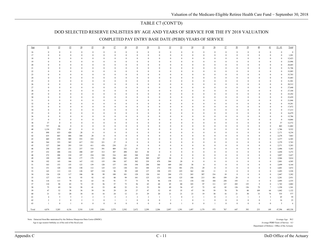### TABLE C7 (CONT'D)

#### DOD SELECTED RESERVE ENLISTEES BY AGE AND YEARS OF SERVICE FOR THE FY 2018 VALUATION

COMPLETED PAY ENTRY BASE DATE (PEBD) YEARS OF SERVICE

| Age      | $21\,$         | $22\,$               | 23                   | 24                   | 25                      | 26                      | 27                   | $28\,$               | $29\,$               | 30                   | 31                   | 32                   | 33                   | 34                   | 35                   | 36                   | 37                       | 38                           | 39                           | $40\,$                  | 41                      | $21 - 41$                    | Total           |
|----------|----------------|----------------------|----------------------|----------------------|-------------------------|-------------------------|----------------------|----------------------|----------------------|----------------------|----------------------|----------------------|----------------------|----------------------|----------------------|----------------------|--------------------------|------------------------------|------------------------------|-------------------------|-------------------------|------------------------------|-----------------|
| 16       | $\mathbf{0}$   | $\bf{0}$             | $\theta$             | $\bf{0}$             | $\boldsymbol{0}$        | $\bf{0}$                | $\bf{0}$             | $\mathbf{0}$         | $\bf{0}$             | $\mathbf{0}$         | $\bf{0}$             | $\theta$             | $\bf{0}$             | $\overline{0}$       | $\bf{0}$             | $\mathbf{0}$         | $\mathbf{0}$             | $\boldsymbol{0}$             | $\boldsymbol{0}$             | $\bf{0}$                | $\theta$                | $\boldsymbol{0}$             | $\overline{0}$  |
| 17       | $\theta$       | $\mathbf{0}$         | $\theta$             | $\mathbf{0}$         | $\mathbf{0}$            | $\theta$                | $\mathbf{0}$         | $\Omega$             | $\mathbf{0}$         | $\theta$             | $\theta$             | $\Omega$             | $\theta$             | $\Omega$             | $\theta$             | $\mathbf{0}$         | $\mathbf{0}$             | $\mathbf{0}$                 | $\mathbf{0}$                 | $\mathbf{0}$            | $\theta$                | $\overline{0}$               | 1,201           |
| 18       | $\Omega$       | $\theta$             | $\theta$             | $\theta$             | $\mathbf{0}$            | $\theta$                | $\theta$             | $\Omega$             | $\theta$             | $\theta$             | $\theta$             | $\theta$             | $\theta$             | $\theta$             | $\theta$             | $\Omega$             | $\mathbf{0}$             | $\mathbf{0}$                 | $\theta$                     | $\theta$                | $\Omega$                | $\Omega$                     | 12,423          |
| 19       | $\mathbf{0}$   | $\bf{0}$             | $\mathbf{0}$         | $\mathbf{0}$         | $\overline{0}$          | $\theta$                | $\theta$             | $\theta$             | $\theta$             | $\theta$             | $\theta$             | $\theta$             | $\theta$             | $\theta$             | $\Omega$             | $\mathbf{0}$         | $\bf{0}$                 | $\overline{0}$               | $\mathbf{0}$                 | $\theta$                | $\Omega$                | $\Omega$                     | 23,996          |
| 20       | $\mathbf{0}$   | $\mathbf{0}$         | $\mathbf{0}$         | $\mathbf{0}$         | $\bf{0}$                | $\theta$                | $\mathbf{0}$         | $\mathbf{0}$         | $\mathbf{0}$         | $\overline{0}$       | $\theta$             | $\mathbf{0}$         | $\mathbf{0}$         | $\overline{0}$       | $\theta$             | $\mathbf{0}$         | $\bf{0}$                 | $\bf{0}$                     | $\mathbf{0}$                 | $\Omega$                | $\mathbf{0}$            | $\theta$                     | 28,685          |
| 21       | $\mathbf{0}$   | $\mathbf{0}$         | $\bf{0}$             | $\mathbf{0}$         | $\bf{0}$                | $\theta$                | $\theta$             | $\mathbf{0}$         | $\theta$             | $\theta$             | $\theta$             | $\bf{0}$             | $\bf{0}$             | $\overline{0}$       | $\Omega$             | $\mathbf{0}$         | $\bf{0}$                 | $\bf{0}$                     | $\bf{0}$                     | $\theta$                | $\mathbf{0}$            | $\theta$                     | 31,746          |
| $22\,$   | $\mathbf{0}$   | $\theta$             | $\mathbf{0}$         | $\mathbf{0}$         | $\bf{0}$                | $\theta$                | $\mathbf{0}$         | $\Omega$             | $\theta$             | $\overline{0}$       | $\Omega$             | $\theta$             | $\theta$             | $\overline{0}$       | $\Omega$             | $\mathbf{0}$         | $\bf{0}$                 | $\bf{0}$                     | $\mathbf{0}$                 | $\Omega$                | $\theta$                | $\theta$                     | 33,985          |
| 23       | $\theta$       | $\mathbf{0}$         | $\mathbf{0}$         | $\mathbf{0}$         | $\overline{0}$          | $\theta$                | $\theta$             | $\Omega$             | $\theta$             | $\theta$             | $\Omega$             | $\theta$             | $\mathbf{0}$         | $\theta$             | $\theta$             | $\mathbf{0}$         | $\mathbf{0}$             | $\overline{0}$               | $\mathbf{0}$                 | $\theta$                | $\mathbf{0}$            | $\theta$                     | 35,703          |
| 24       | $\Omega$       | $\Omega$             | $\theta$             | $\theta$             | $\mathbf{0}$            | $\theta$                | $\theta$             | $\Omega$             | $\theta$             | $\theta$             | $\Omega$             | $\theta$             | $\theta$             | $\Omega$             | $\Omega$             | $\Omega$             | $\mathbf{0}$             | $\theta$                     | $\mathbf{0}$                 | $\theta$                | $\Omega$                | $\Omega$                     | 33,483          |
| 25       | $\theta$       | $\theta$             | $\theta$             | $\theta$             | $\bf{0}$                | $\theta$                | $\theta$             | $\Omega$             | $\theta$             | $\theta$             | $\Omega$             | $\theta$             | $\theta$             | $\theta$             | $\Omega$             | $\Omega$             | $\mathbf{0}$             | $\theta$                     | $\mathbf{0}$                 | $\Omega$                | $\Omega$                | $\theta$                     | 31,501          |
| 26       | $\theta$       | $\Omega$             | $\theta$             | $\theta$             | $\mathbf{0}$            | $\theta$                | $\theta$             | $\Omega$             | $\theta$             | $\theta$             | $\Omega$             | $\Omega$             | $\Omega$             | $\theta$             | $\Omega$             | $\Omega$             | $\theta$                 | $\mathbf{0}$                 | $\mathbf{0}$                 | $\theta$                | $\Omega$                | $\theta$                     | 28,512          |
| 27       | $\theta$       | $\theta$             | $\mathbf{0}$         | $\theta$             | $\bf{0}$                | $\theta$                | $\theta$             | $\theta$             | $\theta$             | $\theta$             | $\theta$             | $\theta$             | $\theta$             | $\Omega$             | $\Omega$             | $\Omega$             | $\mathbf{0}$             | $\mathbf{0}$                 | $\mathbf{0}$                 | $\Omega$                | $\theta$                | $\theta$                     | 27,640          |
| 28       | $\mathbf{0}$   | $\bf{0}$             | $\mathbf{0}$         | $\mathbf{0}$         | $\bf{0}$                | $\mathbf{0}$            | $\theta$             | $\bf{0}$             | $\theta$             | $\theta$             | $\Omega$             | $\mathbf{0}$         | $\mathbf{0}$         | $\mathbf{0}$         | $\Omega$             | 0                    | $\bf{0}$                 | $\bf{0}$                     | $\mathbf{0}$                 | $\theta$                | $\mathbf{0}$            | $\mathbf{0}$                 | 27,104          |
| 29       | $\theta$       | $\Omega$             | $\theta$             | $\theta$             | $\theta$                | $\theta$                | $\theta$             | $\theta$             | $\theta$             | $\theta$             | $\Omega$             | $\theta$             | $\theta$             | $\theta$             | $\Omega$             | $\Omega$             | $\mathbf{0}$             | $\theta$                     | $\theta$                     | $\theta$                | $\theta$                | $\theta$                     | 25,292          |
| 30       | $\Omega$       | $\Omega$             | $\mathbf{0}$         | $\mathbf{0}$         | $\mathbf{0}$            | $\theta$                | $\theta$             | $\theta$             | $\theta$             | $\theta$             | $\Omega$             | $\theta$             | $\theta$             | $\theta$             | $\Omega$             | $\Omega$             | $\bf{0}$                 | $\overline{0}$               | $\mathbf{0}$                 | $\theta$                | $\Omega$                | $\Omega$                     | 23,439          |
| 31       | $\mathbf{0}$   | $\theta$             | $\mathbf{0}$         | $\theta$             | $\bf{0}$                | $\theta$                | $\mathbf{0}$         | $\Omega$             | $\mathbf{0}$         | $\overline{0}$       | $\theta$             | $\mathbf{0}$         | $\theta$             | $\overline{0}$       | $\theta$             | $\mathbf{0}$         | $\bf{0}$                 | $\bf{0}$                     | $\bf{0}$                     | $\Omega$                | $\mathbf{0}$            | $\Omega$                     | 21,046          |
| 32       | $\mathbf{0}$   | $\mathbf{0}$         | $\bf{0}$             | $\mathbf{0}$         | $\bf{0}$                | $\theta$                | $\theta$             | $\theta$             | $\mathbf{0}$         | $\overline{0}$       | $\Omega$             | $\boldsymbol{0}$     | $\bf{0}$             | $\overline{0}$       | $\Omega$             | $\mathbf{0}$         | $\bf{0}$                 | $\bf{0}$                     | $\mathbf{0}$                 | $\Omega$                | $\mathbf{0}$            | $\theta$                     | 19,281          |
| 33       | $\mathbf{0}$   | $\theta$             | $\mathbf{0}$         | $\theta$             | $\bf{0}$                | $\theta$                | $\mathbf{0}$         | $\Omega$             | $\theta$             | $\overline{0}$       | $\Omega$             | $\theta$             | $\theta$             | $\theta$             | $\Omega$             | $\mathbf{0}$         | $\bf{0}$                 | $\bf{0}$                     | $\mathbf{0}$                 | $\theta$                | $\theta$                | $\theta$                     | 17,872          |
| 34       | $\theta$       | $\theta$             | $\mathbf{0}$         | $\mathbf{0}$         | $\overline{0}$          | $\theta$                | $\theta$             | $\Omega$             | $\theta$             | $\theta$             | $\Omega$             | $\boldsymbol{0}$     | $\mathbf{0}$         | $\theta$             | $\Omega$             | $\mathbf{0}$         | $\bf{0}$                 | $\overline{0}$               | $\mathbf{0}$                 | $\Omega$                | $\mathbf{0}$            | $\mathbf{0}$                 | 17,213          |
| 35       | $\theta$       | $\Omega$             | $\theta$             | $\theta$             | $\mathbf{0}$            | $\theta$                | $\theta$             | $\Omega$             | $\theta$             | $\theta$             | $\theta$             | $\Omega$             | $\theta$             | $\theta$             | $\Omega$             | $\Omega$             | $\mathbf{0}$             | $\theta$                     | $\mathbf{0}$                 | $\theta$                | $\theta$                | $\theta$                     | 16,479          |
| 36       | $\theta$       | $\theta$<br>$\theta$ | $\theta$<br>$\theta$ | $\theta$<br>$\theta$ | $\mathbf{0}$            | $\Omega$<br>$\Omega$    | $\theta$             | $\Omega$             | $\theta$             | $\theta$<br>$\theta$ | $\Omega$<br>$\Omega$ | $\theta$<br>$\theta$ | $\theta$<br>$\Omega$ | $\theta$<br>$\Omega$ | $\Omega$             | $\Omega$             | $\mathbf{0}$<br>$\theta$ | $\theta$                     | $\mathbf{0}$                 | $\Omega$<br>$\Omega$    | $\Omega$<br>$\Omega$    | $\mathbf{0}$<br>$\mathbf{0}$ | 15,786          |
| 37       | $\theta$<br>57 | $\theta$             | $\theta$             | $\theta$             | $\mathbf{0}$            | $\theta$                | $\Omega$<br>$\theta$ | $\Omega$<br>$\Omega$ | $\theta$<br>$\theta$ | $\theta$             | $\Omega$             | $\theta$             | $\theta$             | $\theta$             | $\Omega$             | $\Omega$<br>$\Omega$ | $\mathbf{0}$             | $\mathbf{0}$<br>$\mathbf{0}$ | $\theta$                     | $\Omega$                | $\theta$                |                              | 14,066          |
| 38<br>39 | 757            | 46                   | $\theta$             | $\mathbf{0}$         | $\bf{0}$<br>$\bf{0}$    | $\theta$                | $\theta$             | $\bf{0}$             | $\theta$             | $\theta$             | $\Omega$             | $\theta$             | $\mathbf{0}$         | $\mathbf{0}$         | $\Omega$<br>$\Omega$ | $\mathbf{0}$         |                          | $\overline{0}$               | $\mathbf{0}$<br>$\mathbf{0}$ | $\theta$                | $\mathbf{0}$            | 57<br>803                    | 12,572          |
| 40       | 1,134          | 570                  | 42                   | $\bf{0}$             | $\bf{0}$                | $\mathbf{0}$            | $\theta$             | $\mathbf{0}$         | $\theta$             | $\theta$             | $\Omega$             | $\theta$             | $\mathbf{0}$         | $\mathbf{0}$         | $\bf{0}$             | $\mathbf{0}$         | $\bf{0}$<br>$\bf{0}$     | $\overline{0}$               | $\mathbf{0}$                 | $\theta$                | $\mathbf{0}$            | 1,746                        | 11,002<br>9,522 |
| 41       | 890            | 833                  | 420                  | 28                   | $\bf{0}$                | $\theta$                | $\mathbf{0}$         | $\Omega$             | $\theta$             | $\theta$             | $\theta$             | $\mathbf{0}$         | $\mathbf{0}$         | $\Omega$             | $\Omega$             | $\Omega$             | $\mathbf{0}$             | $\bf{0}$                     | $\mathbf{0}$                 | $\bf{0}$                | $\mathbf{0}$            | 2,171                        | 8,234           |
| 42       | 635            | 665                  | 606                  | 344                  | 28                      | $\theta$                | $\mathbf{0}$         | $\Omega$             | $\theta$             | $\overline{0}$       | $\Omega$             | $\theta$             | $\theta$             | $\Omega$             | $\Omega$             | $\mathbf{0}$         | $\bf{0}$                 | $\bf{0}$                     | $\mathbf{0}$                 | $\bf{0}$                | $\theta$                | 2,278                        | 7,063           |
| 43       | 469            | 478                  | 509                  | 553                  | 335                     | 33                      | $\mathbf{0}$         | $\theta$             | $\theta$             | $\theta$             | $\Omega$             | $\theta$             | $\theta$             | $\Omega$             | $\theta$             | $\Omega$             | $\mathbf{0}$             | $\theta$                     | $\mathbf{0}$                 | $\Omega$                | $\theta$                | 2,377                        | 6,303           |
| 44       | 364            | 353                  | 365                  | 417                  | 532                     | 321                     | $27\,$               | $\mathbf{0}$         | $\theta$             | $\theta$             | $\Omega$             | $\mathbf{0}$         | $\theta$             | $\theta$             |                      | $\Omega$             | $\bf{0}$                 | $\overline{0}$               | $\mathbf{0}$                 | $\theta$                | $\theta$                | 2,379                        | 5,763           |
| 45       | 327            | 268                  | 293                  | 335                  | 411                     | 476                     | 238                  | 23                   | $\bf{0}$             | $\overline{0}$       | $\theta$             | $\theta$             | $\theta$             | $\mathbf{0}$         | $\Omega$             | $\Omega$             | $\bf{0}$                 | $\overline{0}$               | $\mathbf{0}$                 | $\bf{0}$                | $\theta$                | 2,371                        | 5,283           |
| 46       | 258            | 265                  | 231                  | 257                  | 318                     | 391                     | 409                  | 332                  | 35                   | $\mathbf{0}$         | $\theta$             | $\mathbf{0}$         | $\theta$             | $\Omega$             | $\Omega$             | $\Omega$             | $\bf{0}$                 | $\bf{0}$                     | $\mathbf{0}$                 | $\bf{0}$                | $\theta$                | 2,496                        | 5,283           |
| 47       | 232            | 208                  | 216                  | 200                  | 247                     | 313                     | 387                  | 498                  | 363                  | 30                   | $\bf{0}$             | $\theta$             | $\theta$             | $\mathbf{0}$         | $\Omega$             | $\Omega$             | $\mathbf{0}$             | $\bf{0}$                     | $\mathbf{0}$                 | $\theta$                | $\Omega$                | 2,694                        | 5,272           |
| 48       | 272            | 208                  | 218                  | 197                  | 224                     | 320                     | 316                  | 442                  | 548                  | 329                  | 23                   | $\theta$             | $\theta$             | $\Omega$             | $\Omega$             | $\Omega$             | $\mathbf{0}$             | $\mathbf{0}$                 | $\theta$                     | $\mathbf{0}$            | $\Omega$                | 3,097                        | 5,427           |
| 49       | 199            | 189                  | 186                  | 177                  | 179                     | 223                     | 206                  | 282                  | 459                  | 509                  | 307                  | 30                   | $\bf{0}$             | $\theta$             | $\theta$             | $\mathbf{0}$         | $\bf{0}$                 | $\overline{0}$               | $\mathbf{0}$                 | $\theta$                | $\theta$                | 2,946                        | 5,014           |
| 50       | 192            | 143                  | 166                  | 167                  | 152                     | 155                     | 196                  | 187                  | 302                  | 339                  | 478                  | 304                  | $20\,$               | $\mathbf{0}$         | $\Omega$             | $\mathbf{0}$         | $\bf{0}$                 | $\overline{0}$               | $\mathbf{0}$                 | $\bf{0}$                | $\mathbf{0}$            | 2,801                        | 4,505           |
| 51       | 163            | 153                  | 155                  | 123                  | 139                     | 120                     | 157                  | 158                  | 194                  | 248                  | 360                  | 449                  | 242                  | $38\,$               | $\bf{0}$             | $\mathbf{0}$         | $\bf{0}$                 | $\bf{0}$                     | $\mathbf{0}$                 | $\theta$                | $\theta$                | 2,699                        | 4,164           |
| 52       | 151            | 120                  | 130                  | 130                  | 112                     | 125                     | 123                  | 130                  | 161                  | 188                  | 271                  | 354                  | 301                  | 276                  | 29                   | $\mathbf{0}$         | $\bf{0}$                 | $\bf{0}$                     | $\mathbf{0}$                 | $\bf{0}$                | $\mathbf{0}$            | 2,601                        | 3,872           |
| 53       | 143            | 113                  | 121                  | 128                  | 107                     | 110                     | 96                   | 99                   | 149                  | 137                  | 198                  | 253                  | 225                  | 362                  | 241                  | 11                   | $\mathbf{0}$             | $\overline{0}$               | $\mathbf{0}$                 | $\theta$                | $\mathbf{0}$            | 2,493                        | 3,528           |
| 54       | 126            | 128                  | 117                  | 106                  | 98                      | 99                      | 100                  | 101                  | 128                  | 120                  | 161                  | 204                  | 173                  | 265                  | 307                  | 216                  | 18                       | $\overline{0}$               | $\mathbf{0}$                 | $\mathbf{0}$            | $\theta$                | 2,467                        | 3,282           |
| 55       | 127            | 114                  | 81                   | 93                   | 92                      | 62                      | 80                   | 99                   | 101                  | 125                  | 121                  | 144                  | 125                  | 180                  | 213                  | 301                  | 199                      | 24                           | $\bf{0}$                     | $\mathbf{0}$            | $\Omega$                | 2,281                        | 2,931           |
| 56       | 118            | 113                  | 79                   | 61                   | 63                      | $81\,$                  | 91                   | 77                   | 75                   | 78                   | 96                   | 138                  | 111                  | 134                  | 142                  | 184                  | 250                      | 193                          | 11                           | $\bf{0}$                | $\mathbf{0}$            | 2,095                        | 2,535           |
| 57       | 110            | 98                   | 83                   | 72                   | 55                      | 56                      | 57                   | 73                   | 56                   | 65                   | 68                   | 85                   | 80                   | 103                  | 97                   | 111                  | 127                      | 203                          | 135                          | 9                       | $\theta$                | 1,743                        | 2,002           |
| 58       | 75             | 69                   | 54                   | 58                   | 41                      | 53                      | 40                   | 52                   | 51                   | 53                   | 50                   | 69                   | 56                   | 67                   | 75                   | 62                   | 85                       | 126                          | 136                          | 79                      | $7\overline{ }$         | 1,358                        | 1,541           |
| 59       | 47             | 32                   | 38                   | 34                   | 39                      | 34                      | 29                   | 24                   | 27                   | 47                   | 52                   | 43                   | 35                   | 47                   | 54                   | 59                   | 70                       | 78                           | 80                           | 109                     | 64                      | 1,042                        | 1,122           |
| 60       | 21             | 32                   | 20                   | 34                   | 18                      | 16                      | 24                   | 12                   | 21                   | 29                   | 20                   | 21                   | 21                   | 23                   | 19                   | 30                   | 16                       | 21                           | 30                           | 33                      | 74                      | 535                          | 577             |
| 61       | $\overline{4}$ | $\sqrt{5}$           | $\overline{5}$       | $\overline{2}$       | $\overline{2}$          | $\overline{\mathbf{3}}$ | $\overline{2}$       | $\overline{2}$       | $\overline{2}$       | $\overline{2}$       | $\mathbf{1}$         | $\mathbf{1}$         | $\boldsymbol{0}$     | $\sqrt{2}$           | $\overline{1}$       | $\mathbf{0}$         | $\overline{c}$           | $\sqrt{2}$                   | $\overline{1}$               | $\overline{\mathbf{3}}$ | $\overline{\mathbf{3}}$ | 45                           | 59              |
| 62       | $\sqrt{2}$     | $\overline{2}$       | $\mathbf{0}$         | $\overline{2}$       | $\overline{\mathbf{3}}$ | $\theta$                | $\mathbf{1}$         | -1                   | $\bf{0}$             | $\overline{0}$       | $\bf{0}$             | $\sqrt{2}$           | $\mathbf{1}$         | $\theta$             | $\mathbf{1}$         | $\mathbf{0}$         | $\bf{0}$                 | $\boldsymbol{0}$             | $\bf{0}$                     | $\theta$                | $\mathbf{1}$            | $16\,$                       | $23\,$          |
| 63       | $\overline{1}$ | $\mathbf{0}$         | $\mathbf{1}$         | $\mathbf{0}$         | $\boldsymbol{0}$        | $\theta$                | $\boldsymbol{0}$     | $\mathbf{0}$         | $\boldsymbol{0}$     | $\overline{0}$       | $\mathbf{0}$         | $\theta$             | $\mathbf{1}$         | $\mathbf{0}$         | $\boldsymbol{0}$     | $\mathbf{1}$         | $\mathbf{0}$             | $\theta$                     | $\mathbf{0}$                 | $\theta$                | $\mathbf{0}$            | 5                            | 6               |
| Total    | 6,874          | 5,205                | 4,136                | 3,518                | 3,195                   | 2,991                   | 2,579                | 2,592                | 2,672                | 2,299                | 2,206                | 2,097                | 1,391                | 1,497                | 1,179                | 975                  | 767                      | 647                          | 393                          | 233                     | 149                     | 47,596                       | 603,338         |

Note: Extracted from files maintained by the Defense Manpower Data Center (DMDC).

Age is age nearest birthday as of the end of the fiscal year.

Average Age 30.2

Average PEBD Years of Service 8.3

Department of Defense - Office of the Actuary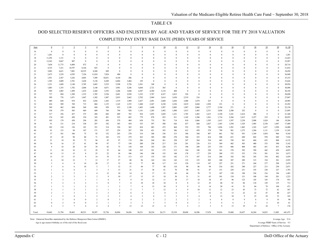#### DOD SELECTED RESERVE OFFICERS AND ENLISTEES BY AGE AND YEARS OF SERVICE FOR THE FY 2018 VALUATION

COMPLETED PAY ENTRY BASE DATE (PEBD) YEARS OF SERVICE

| Age      | $\overline{0}$            | $\perp$                                   | $\overline{2}$                 | $\overline{3}$             | $\overline{4}$                          | $\mathfrak{s}$                   | 6                        | $\mathcal{I}$        | 8                    | $\overline{9}$                | 10                  | 11                         | 12                                          | 13                | 14                                                 | 15                             | 16                   | 17                            | 18            | 19                       | 20                   | $0 - 20$         |
|----------|---------------------------|-------------------------------------------|--------------------------------|----------------------------|-----------------------------------------|----------------------------------|--------------------------|----------------------|----------------------|-------------------------------|---------------------|----------------------------|---------------------------------------------|-------------------|----------------------------------------------------|--------------------------------|----------------------|-------------------------------|---------------|--------------------------|----------------------|------------------|
| 16       | $\theta$                  | $\bf{0}$                                  | $\Omega$                       | $\Omega$                   | $\theta$                                | $\Omega$                         | $\theta$                 | $\theta$             | $\theta$             | $\Omega$                      | $\theta$            | $\theta$                   | $\theta$                                    | $\theta$          | $\theta$                                           | $\mathbf{0}$                   | $\theta$             | $\mathbf{0}$                  | $\mathbf{0}$  | $\theta$                 | $\theta$             | $\Omega$         |
| 17       | 1,201                     | $\mathbf{0}$                              | $\mathbf{0}$                   | $\theta$                   | $\theta$                                | $\Omega$                         | $\theta$                 | $\theta$             | $\mathbf{0}$         | $\Omega$                      | $\theta$            | $\theta$                   | $\theta$                                    | $\theta$          | $\theta$                                           | $\theta$                       | $\theta$             | $\theta$                      | $\theta$      | $\mathbf{0}$             | $\theta$             | 1,201            |
| 18       | 11,292                    | 1,131                                     | $\mathbf{0}$                   | $\theta$                   | $\theta$                                | $\Omega$                         | $\theta$                 | $\theta$             | $\theta$             | $\Omega$                      | $\theta$            | $\Omega$                   | $\theta$                                    | $\theta$          | $\theta$                                           | $\theta$                       | $\theta$             | $\theta$                      | $\theta$      | $\mathbf{0}$             | $\Omega$             | 12,423           |
| 19       | 13,243                    | 9,847                                     | 907                            | $\mathbf{0}$               | $\theta$                                | $\Omega$                         | $\Omega$                 | $\theta$             | $\theta$             | $\Omega$                      | $\theta$            | $\Omega$                   | $\theta$                                    | $\theta$          | $\Omega$                                           | $\theta$                       | $\Omega$             | $\bf{0}$                      | $\theta$      | $\mathbf{0}$             |                      | 23,997           |
| 20       | 7,658                     | 11,775                                    | 8,409                          | 872                        | $\theta$                                | $\Omega$                         | $\Omega$                 | $\theta$             | $\theta$             | $\Omega$                      | $\Omega$            | $\theta$                   | $\Omega$                                    | $\theta$          | $\Omega$                                           | $\Omega$                       | $\Omega$             | $\Omega$                      | $\theta$      | $\theta$                 |                      | 28,714           |
| 21       | 4,725                     | 7,321                                     | 10,797                         | 8,164                      | 825                                     | $\theta$                         | $\theta$                 | $\Omega$             | $\theta$             | $\Omega$                      | $\theta$            | $\Omega$                   | $\theta$                                    | $\theta$          | $\Omega$                                           | $\theta$                       | $\Omega$             | $\theta$                      | $\theta$      | $\theta$                 |                      | 31,832           |
| 22       | 3,083                     | 4,621                                     | 7,081                          | 10,555                     | 8,268                                   | 849                              | $\mathbf{0}$             | $\theta$             | $\theta$             | $\Omega$                      | $\Omega$            | $\theta$                   | $\theta$                                    | $\theta$          | $\Omega$                                           | $\theta$                       | $\theta$             | $\theta$                      | $\Omega$      | $\theta$                 | $\theta$             | 34,458           |
| 23       | 2,473                     | 3,239                                     | 4,595                          | 7,326                      | 11,010                                  | 7,824                            | 480                      | $\bf{0}$             | $\bf{0}$             | $\Omega$                      | $\mathbf{0}$        | $\theta$                   | $\theta$                                    | $\mathbf{0}$      | $\mathbf{0}$                                       | $\mathbf{0}$                   | $\mathbf{0}$         | $\Omega$                      | $\mathbf{0}$  | $\bf{0}$                 | $\Omega$             | 36,948           |
| 24       | 1,951                     | 2,567                                     | 3,242                          | 4,803                      | 7,509                                   | 10,831                           | 4,144                    | 286                  | $\mathbf{0}$         | $\Omega$                      | $\mathbf{0}$        | $\theta$                   | $\theta$                                    | $\theta$          | $\Omega$                                           | $\theta$                       | $\mathbf{0}$         | $\theta$                      | $^{0}$        | $\mathbf{0}$             | $\Omega$             | 35,333           |
| 25       | 1,585                     | 2,009                                     | 2,701                          | 3,428                      | 5,130                                   | 8,289                            | 6,884                    | 3,404                | 195                  | $\Omega$                      | $\theta$            | $\theta$                   | $\Omega$                                    | $\theta$          | $\Omega$                                           | $\theta$                       | $\theta$             | $\theta$                      | $\theta$      | $\theta$                 |                      | 33,626           |
| 26       | 1,231                     | 1,609                                     | 2,148                          | 2,705                      | 3,683                                   | 5,523                            | 5,598                    | 5,728                | 2,561                | 168                           | $\theta$            | $\theta$                   | $\theta$                                    | $\theta$          | $\Omega$                                           | $\theta$                       | $\theta$             | $\Omega$                      | $\Omega$      | $\theta$                 | $\Omega$             | 30,956           |
| 27       | 1,083                     | 1,355                                     | 1,782                          | 2,068                      | 3,140                                   | 4,071                            | 3,981                    | 5,246                | 4,684                | 2,721                         | 365                 | $\bf{0}$                   | $\theta$                                    | $\mathbf{0}$      | $\Omega$                                           | $\theta$                       | $\theta$             | $\theta$                      | $\theta$      | $\theta$                 | $\theta$             | 30,496           |
| 28       | 949                       | 1,085                                     | 1,499                          | 1,635                      | 2,268                                   | 3,393                            | 3,206                    | 3,848                | 4,387                | 4,384                         | 3,134               | 404                        | $\theta$                                    | $\mathbf{0}$      | $\Omega$<br>$\Omega$                               | $\Omega$<br>$\theta$           | $\Omega$<br>$\Omega$ | $\Omega$<br>$\Omega$          | 0<br>$\Omega$ | $\theta$<br>$\mathbf{0}$ | $\Omega$             | 30,194           |
| 29<br>30 | 737<br>589                | 894<br>776                                | 1,309<br>1,071                 | 1,333<br>1,047             | 1,705<br>1,302                          | 2,526<br>1,887                   | 2,681<br>2,033           | 2,930<br>2,662       | 3,322<br>2,702       | 3,787<br>2,969                | 4,327<br>3,614      | 2,812<br>3,658             | 326<br>2,519                                | $\bf{0}$<br>216   | $\Omega$                                           | $\theta$                       | $\theta$             | $\Omega$                      | $\Omega$      | $\mathbf{0}$             | $\Omega$             | 28,690<br>27,047 |
| 31       | 489                       | 644                                       | 919                            | 852                        | 1,036                                   | 1,443                            | 1,519                    | 1,989                | 2,437                | 2,491                         | 2,660               | 2,836                      | 3,488                                       | 1,874             | 225                                                | $\theta$                       | $\theta$             | $\theta$                      | $\theta$      | $\theta$                 |                      | 24,905           |
| 32       | 424                       | 509                                       | 769                            | 715                        | 864                                     | 1,155                            | 1,165                    | 1,535                | 1,840                | 2,267                         | 2,230               | 2,236                      | 2,819                                       | 2,604             | 1,928                                              | 231                            | $\bf{0}$             | $\overline{0}$                | $\theta$      | $\mathbf{0}$             |                      | 23,292           |
| 33       | 349                       | 462                                       | 604                            | 568                        | 694                                     | 958                              | 933                      | 1,198                | 1,403                | 1,690                         | 1,997               | 2,005                      | 1,987                                       | 2,068             | 2,777                                              | 2,194                          | 271                  | $\bf{0}$                      | $\mathbf{0}$  | $\bf{0}$                 | $\theta$             | 22,158           |
| 34       | 338                       | 379                                       | 505                            | 469                        | 609                                     | 766                              | 794                      | 920                  | 1,141                | 1,285                         | 1,492               | 1,890                      | 1,813                                       | 1,483             | 2,331                                              | 3,038                          | 2,388                | 252                           | $\bf{0}$      | $\boldsymbol{0}$         | $\Omega$             | 21,895           |
| 35       | 317                       | 356                                       | 437                            | 375                        | 494                                     | 602                              | 689                      | 783                  | 924                  | 1,055                         | 1,029               | 1,231                      | 1,785                                       | 1,465             | 1,615                                              | 2,330                          | 3,181                | 2,414                         | 286           | $\mathbf{0}$             | $\Omega$             | 21,368           |
| 36       | 176                       | 345                                       | 420                            | 354                        | 343                                     | 491                              | 525                      | 683                  | 779                  | 878                           | 855                 | 911                        | 1,102                                       | 1,560             | 1,561                                              | 1,714                          | 2,366                | 3,415                         | 2,257         | 219                      | $\Omega$             | 20,955           |
| 37       | 105                       | 179                                       | 438                            | 294                        | 285                                     | 456                              | 379                      | 484                  | 638                  | 733                           | 701                 | 714                        | 810                                         | 1,066             | 1,595                                              | 1,613                          | 1,597                | 2,238                         | 2,908         | 1,824                    | 146                  | 19,204           |
| 38       | 91                        | 131                                       | 214                            | 338                        | 297                                     | 342                              | 383                      | 454                  | 535                  | 597                           | 588                 | 626                        | 637                                         | 660               | 1,027                                              | 1,563                          | 1,594                | 1,529                         | 1,985         | 2,330                    | 1,487                | 17,409           |
| 39       | 102                       | 124                                       | 126                            | 181                        | 351                                     | 314                              | 326                      | 365                  | 424                  | 483                           | 472                 | 464                        | 552                                         | 552               | 784                                                | 1,036                          | 1,501                | 1,402                         | 1,343         | 1,657                    | 1,920                | 14,480           |
| 40       | 91                        | 133                                       | 94                             | 107                        | 171                                     | 337                              | 259                      | 297                  | 358                  | 421                           | 393                 | 386                        | 412                                         | 459               | 578                                                | 799                            | 981                  | 1,275                         | 1,204         | 1,131                    | 1,359                | 11,245           |
| 41       | 37                        | 101                                       | 106                            | 75                         | 92                                      | 152                              | 243                      | 270                  | 314                  | 346                           | 336                 | 313                        | 346                                         | 368               | 497                                                | 661                            | 782                  | 935                           | 1,169         | 1,054                    | 966                  | 9,164            |
| 42       | 25                        | 45                                        | 90                             | 80                         | 71                                      | 102                              | 153                      | 279                  | 263                  | 305                           | 280                 | 270                        | 304                                         | 325               | 414                                                | 508                            | 651                  | 698                           | 842           | 970                      | 849                  | 7,524            |
| 43       | 21                        | 18                                        | 38                             | 72                         | 94                                      | 95                               | 97                       | 174                  | 286                  | 244                           | 261                 | 258                        | 247                                         | 264               | 334                                                | 443                            | 558                  | 561                           | 604           | 655                      | 808                  | 6,132            |
| 44       | 14                        | 16                                        | 27                             | 41                         | 90                                      | 87                               | 77                       | 158                  | 200                  | 258                           | 217                 | 210                        | 241                                         | 236               | 313                                                | 369                            | 482                  | 503                           | 480           | 533                      | 590                  | 5,142            |
| 45       | 9                         | 18                                        | 20                             | 10                         | 39<br>29                                | 82<br>35                         | 75                       | 138                  | 168                  | 183                           | 226                 | 171                        | 196                                         | 209               | 235                                                | 334                            | 406                  | 408                           | 465           | 451                      | 453                  | 4,296            |
| 46<br>47 | 11<br>14                  | 24<br>13                                  | 16<br>15                       | 12<br>8                    | 25                                      | $22\,$                           | 64<br>36                 | 140<br>106           | 163<br>146           | 181<br>188                    | 173<br>155          | 212<br>168                 | 184<br>178                                  | 188<br>177        | 220<br>239                                         | 341<br>309                     | 370<br>375           | 392<br>353                    | 399<br>374    | 442<br>381               | 459<br>391           | 4,055<br>3,673   |
| 48       | 15                        | 15                                        | 15                             | 9                          | 14                                      | 19                               | 33                       | 113                  | 123                  | 155                           | 143                 | 142                        | 171                                         | 187               | 214                                                | 286                            | 342                  | 342                           | 345           | 354                      | 402                  | 3,439            |
| 49       | 6                         | 10 <sup>°</sup>                           | 12                             | $7\phantom{.0}$            | 13                                      | 17                               | 27                       | $80\,$               | 96                   | 142                           | 124                 | 142                        | 133                                         | 155               | 205                                                | 240                            | 307                  | 289                           | 315           | 334                      | 301                  | 2,955            |
| 50       | 3                         | 6                                         | $\overline{Q}$                 | 14                         | 20                                      | 17                               | 15                       | 43                   | 77                   | 80                            | 117                 | 115                        | 129                                         | 119               | 147                                                | 227                            | 251                  | 271                           | 244           | 277                      | 298                  | 2,479            |
| 51       | 5                         | 6                                         | 6                              | 10                         | 5                                       | $7\phantom{.0}$                  | 12                       | 31                   | 44                   | 77                            | 80                  | 110                        | 90                                          | 86                | 94                                                 | 216                            | 262                  | 240                           | 227           | 213                      | 250                  | 2,071            |
| 52       | $\overline{1}$            | 6                                         | 6                              | 3                          | $\overline{3}$                          | 5                                | 13                       | 21                   | 17                   | 38                            | 81                  | 70                         | 90                                          | 91                | 87                                                 | 151                            | 229                  | 231                           | 193           | 230                      | 227                  | 1,793            |
| 53       |                           |                                           | 5                              |                            | $\boldsymbol{\Delta}$                   | 12                               | 10                       | 14                   | 16                   | 17                            | 35                  | 69                         | 44                                          | 78                | 73                                                 | 107                            | 158                  | 190                           | 236           | 216                      | 196                  | 1,483            |
| 54       | $\overline{2}$            | $\overline{3}$                            | $\overline{\mathbf{3}}$        | $\overline{5}$             | $\mathfrak{D}$                          | 9                                | 10                       | 17                   | 15                   | 15                            | 18                  | 38                         | 31                                          | 31                | 65                                                 | 101                            | 124                  | 151                           | 188           | 194                      | 201                  | 1,223            |
| 55       | 3                         | $\overline{\mathbf{3}}$                   | $\mathbf{1}$                   |                            | $\mathbf{1}$                            | $\overline{4}$                   | 6                        | 9                    | 15                   | 12                            | 11                  | 10                         | 17                                          | 18                | 34                                                 | 87                             | 96                   | 123                           | 145           | 183                      | 174                  | 953              |
| 56       | 3                         | $\overline{2}$                            | $\overline{2}$                 | 2                          | 3                                       | $\mathbf{0}$                     | $7\phantom{.0}$          | 8                    | 18                   | 18                            | 10                  | -8                         | 8                                           | 12                | 25                                                 | 40                             | 81                   | 84                            | 118           | 129                      | 135                  | 713              |
| 57       | $\overline{1}$            | $\overline{\mathbf{3}}$                   | $\mathbf{1}$                   | $\overline{2}$             | $\overline{3}$                          | $\overline{1}$                   | 3                        | 7                    | 6                    | 13                            | 10                  | 9                          | 9                                           | 8                 | 14                                                 | 20                             | 41                   | 53                            | 84            | 79                       | 104                  | 471              |
| 58       | $\overline{\mathbf{3}}$   | $\overline{1}$                            | 5                              |                            | $\overline{c}$                          | $\overline{1}$                   | $\overline{c}$           | 5                    | $7\phantom{.0}$      | $7\phantom{.0}$               | 12                  | $\overline{3}$             | 9                                           | 10                | 12                                                 | 12                             | 23                   | 45                            | 73            | 72                       | $62\,$               | 367              |
| 59       | 2                         |                                           | $\overline{\mathbf{3}}$        | $\overline{3}$             | $\overline{\mathfrak{Z}}$               | $\overline{3}$                   | 6                        | 6                    | 6                    | $\overline{2}$                | $\boldsymbol{8}$    | 6                          | 5                                           | $\overline{7}$    | 12                                                 | 11                             | 13                   | 22                            | 22            | 47                       | 40                   | 227              |
| 60       |                           | $\overline{2}$                            | $\overline{4}$                 |                            | $\overline{c}$                          | 2                                | $\overline{c}$           | $\overline{4}$       | 3                    | $\overline{4}$                | 5                   | $\overline{\mathbf{3}}$    | 5                                           | $\overline{4}$    | 8                                                  | 13                             | 10                   | 9                             | 23            | 24                       | 33                   | 162              |
| 61       |                           | 3                                         | $\overline{4}$                 | $\theta$                   | $\overline{c}$                          | $\theta$                         | 3                        | $\overline{4}$       | $\overline{c}$       | 3                             | $\overline{c}$      | $\overline{2}$             | $\overline{2}$                              | $\overline{2}$    | 6                                                  | 8                              | 8                    | 9                             | 6             | $\mathbf Q$              | 14                   | $90\,$           |
| 62<br>63 | $\theta$<br>$\mathcal{D}$ | $\overline{2}$<br>$\overline{\mathbf{3}}$ | $\mathbf{0}$<br>$\overline{7}$ | $\theta$<br>$\overline{A}$ | $\overline{2}$<br>$\boldsymbol{\Delta}$ | $\overline{1}$<br>$\overline{A}$ | $\overline{2}$<br>$\tau$ | $\overline{2}$<br>13 | $\overline{c}$<br>12 | $\overline{\mathbf{3}}$<br>13 | 5<br>$\overline{A}$ | $\theta$<br>$\overline{7}$ | $\overline{4}$<br>$\overline{\mathfrak{Z}}$ | $\mathbf{1}$<br>2 | $\overline{\mathbf{3}}$<br>$\overline{\mathbf{3}}$ | $\overline{4}$<br>$\mathbf{Q}$ | 6<br>13              | $\overline{\mathbf{3}}$<br>19 | 5<br>23       | 6<br>18                  | 10<br>$\overline{7}$ | 61<br>176        |
|          |                           |                                           |                                |                            |                                         |                                  |                          |                      |                      |                               |                     |                            |                                             |                   |                                                    |                                |                      |                               |               |                          |                      |                  |
| Total    | 54,462                    | 51,794                                    | 50,463                         | 48,551                     | 50,507                                  | 52,736                           | 36,884                   | 34,456               | 30,331               | 28,234                        | 26,171              | 22,510                     | 20,696                                      | 16,586            | 17,676                                             | 19,016                         | 19,468               | 18,457                        | 16,564        | 14,033                   | 11,882               | 641,475          |

Note: Extracted from files maintained by the Defense Manpower Data Center (DMDC).

Age is age nearest birthday as of the end of the fiscal year.

Average Age 31.6

Department of Defense - Office of the Actuary Average PEBD Years of Service 9.3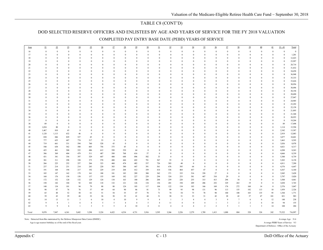### TABLE C8 (CONT'D)

#### DOD SELECTED RESERVE OFFICERS AND ENLISTEES BY AGE AND YEARS OF SERVICE FOR THE FY 2018 VALUATION

COMPLETED PAY ENTRY BASE DATE (PEBD) YEARS OF SERVICE

| Age      | 21                   | 22                           | 23                           | 24                            | 25                   | 26                       | 27                   | 28                   | 29                   | 30                   | 31                       | 32                   | 33                            | 34                       | 35                   | 36                            | 37                       | 38                           | 39                             | 40                   | 41                           | $21 - 41$                | Total            |
|----------|----------------------|------------------------------|------------------------------|-------------------------------|----------------------|--------------------------|----------------------|----------------------|----------------------|----------------------|--------------------------|----------------------|-------------------------------|--------------------------|----------------------|-------------------------------|--------------------------|------------------------------|--------------------------------|----------------------|------------------------------|--------------------------|------------------|
| 16       | $\theta$             | $\theta$                     | $\theta$                     | $\Omega$                      | $\theta$             | $\theta$                 | $\theta$             | $\bf{0}$             | $\mathbf{0}$         | $\theta$             | $\theta$                 | $\theta$             | $\mathbf{0}$                  | $\theta$                 | $\theta$             | $\Omega$                      | $\mathbf{0}$             | $\mathbf{0}$                 | $\mathbf{0}$                   | $\Omega$             | $\Omega$                     | $\theta$                 | $\mathbf{0}$     |
| 17       | $\theta$             | $\theta$                     | $\theta$                     | $\theta$                      | $\Omega$             | $\mathbf{0}$             | $\theta$             | $\mathbf{0}$         | $\theta$             | $\theta$             | $\bf{0}$                 | $\mathbf{0}$         | $\mathbf{0}$                  | $\theta$                 | $\Omega$             | $\theta$                      | $\theta$                 | $\mathbf{0}$                 | $\mathbf{0}$                   | $\Omega$             | $\mathbf{0}$                 | $\theta$                 | 1,201            |
| 18       | $\theta$             | $\theta$                     | $\theta$                     | $\Omega$                      | $\Omega$             | $\Omega$                 | $\theta$             | $\bf{0}$             | $\Omega$             | $\theta$             | $\Omega$                 | $\theta$             | $\Omega$                      | $\theta$                 | $\Omega$             | $\Omega$                      | $\Omega$                 | $\mathbf{0}$                 | $\mathbf{0}$                   | $\Omega$             | $\theta$                     | $\theta$                 | 12,423           |
| 19       | $\Omega$             | $\mathbf{0}$                 | $\mathbf{0}$                 | $\theta$                      | $\Omega$             | $\mathbf{0}$             | $\theta$             | $\overline{0}$       | $\mathbf{0}$         | $\theta$             | $\mathbf{0}$             | $\bf{0}$             | $\overline{0}$                | $\theta$                 | $\Omega$             | $\mathbf{0}$                  | $\mathbf{0}$             | $\theta$                     | $\mathbf{0}$                   | $\Omega$             | $\mathbf{0}$                 | $\theta$                 | 23,997           |
| 20       | $\theta$             | $\theta$                     | $\mathbf{0}$                 | $\Omega$                      |                      | $\Omega$                 | $\theta$             | $\mathbf{0}$         | $\Omega$             |                      | $\mathbf{0}$             | $\bf{0}$             | $\Omega$                      | $\theta$                 |                      | $\Omega$                      | $\mathbf{0}$             | $\theta$                     | $\mathbf{0}$                   |                      | $\mathbf{0}$                 | $\mathbf{0}$             | 28,714           |
| 21       | $\theta$             | $\theta$                     | $\theta$                     | $\theta$                      | $\Omega$             | $\mathbf{0}$             | $\theta$             | $\mathbf{0}$         | $\theta$             | $\theta$             | $\mathbf{0}$             | $\bf{0}$             | $\theta$                      | $\theta$                 | $\Omega$             | $\Omega$                      | $\mathbf{0}$             | $\theta$                     | $\mathbf{0}$                   | $\Omega$             | $\mathbf{0}$                 | $\theta$                 | 31,832           |
| $22\,$   | $\theta$             | $\mathbf{0}$                 | $\mathbf{0}$                 | $\theta$                      |                      | $\mathbf{0}$             | $\mathbf{0}$         | $\mathbf{0}$         | $\theta$             | $\mathbf{0}$         | $\bf{0}$                 | $\bf{0}$             | $\overline{0}$                | $\mathbf{0}$             | $\Omega$             | $\mathbf{0}$                  | $\mathbf{0}$             | $\mathbf{0}$                 | $\mathbf{0}$                   | $\Omega$             | $\mathbf{0}$                 | $\mathbf{0}$             | 34,458           |
| 23       | $\Omega$             | $\theta$                     | $\mathbf{0}$                 | $\theta$                      | $\Omega$             | $\mathbf{0}$             | $\theta$             | $\bf{0}$             | $\theta$             | $\theta$             | $\mathbf{0}$             | $\theta$             | $\overline{0}$                | $\theta$                 | $\Omega$             | $\mathbf{0}$                  | $\mathbf{0}$             | $\mathbf{0}$                 | $\overline{0}$                 | $\Omega$             | $\mathbf{0}$                 | $\theta$                 | 36,948           |
| 24       | $\theta$             | $\mathbf{0}$                 | $\mathbf{0}$                 | $\Omega$                      |                      | $\Omega$                 | $\theta$             | $\mathbf{0}$         | $\Omega$             | $\theta$             | $\bf{0}$                 | $\bf{0}$             | $\theta$                      | $\theta$                 | $\Omega$             | $\Omega$                      | $\Omega$                 | $\theta$                     | $\mathbf{0}$                   | $\Omega$             | $\mathbf{0}$                 | $\theta$                 | 35,333           |
| 25       | $\theta$             | $\theta$                     | $\theta$                     | $\Omega$                      |                      | $\Omega$                 | $\theta$             | $\theta$             | $\theta$             | $\theta$             | $\theta$                 | $\theta$             | $\theta$                      | $\theta$                 |                      |                               | $\theta$                 | $\theta$                     | $\mathbf{0}$                   |                      | $\Omega$                     | $\theta$                 | 33,626           |
| 26       | $\theta$             | $\theta$                     | $\theta$                     | $\Omega$                      |                      | $\Omega$                 | $\theta$             | $\theta$             | $\theta$             | $\Omega$             | $\theta$                 | $\mathbf{0}$         | $\theta$                      | $\theta$                 |                      | $\Omega$                      | $\theta$                 | $\theta$                     | $\theta$                       | $\Omega$             | $\theta$                     | $\theta$                 | 30,956           |
| 27       | $\theta$             | $\theta$                     | $\theta$                     | $\theta$                      | $\Omega$             | $\mathbf{0}$             | $\theta$             | $\bf{0}$             | $\Omega$             | $\theta$             | $\Omega$                 | $\bf{0}$             | $\Omega$                      | $\theta$                 | $\Omega$             | $\Omega$                      | $\Omega$                 | $\mathbf{0}$                 | $\mathbf{0}$                   | $\Omega$             | $\theta$                     | $\theta$                 | 30,496           |
| 28       | $\Omega$             | $\theta$                     | $\Omega$                     | $\Omega$                      |                      | $\Omega$                 | $\theta$             | $\bf{0}$             | $\Omega$             | $\Omega$             | $\Omega$                 | $\theta$             | $\Omega$                      | $\theta$                 | $\Omega$             | $\Omega$                      | $\Omega$                 | $\theta$                     | $\theta$                       | $\Omega$             | $\mathbf{0}$                 | $\theta$                 | 30,194           |
| 29       | $\theta$             | $\theta$                     | $\theta$                     | $\Omega$                      | $\Omega$             | $\Omega$                 | $\theta$             | $\theta$             | $\Omega$             | $\theta$             | $\Omega$                 | $\theta$             | $\Omega$                      | $\theta$                 |                      | $\Omega$                      | $\theta$                 | $\theta$                     | $\theta$                       | $\Omega$             | $\Omega$                     | $\theta$                 | 28,690           |
| 30       | $\theta$             | $\theta$                     | $\theta$                     | $\theta$                      | $\Omega$             | $\Omega$                 | $\theta$             | $\theta$             | $\theta$             | $\theta$             | $\Omega$                 | $\theta$             | $\Omega$                      | $\theta$                 | $\Omega$             | $\Omega$                      | $\Omega$                 | $\theta$                     | $\theta$                       | $\Omega$             | $\Omega$                     |                          | 27,047           |
| 31       | $\theta$             | $\mathbf{0}$                 | $\mathbf{0}$                 | $\theta$                      |                      | $\mathbf{0}$             | $\mathbf{0}$         | $\overline{0}$       | $\theta$             | $\mathbf{0}$         | $\bf{0}$                 | $\mathbf{0}$         | $\overline{0}$                | $\mathbf{0}$             |                      | 0                             | $\mathbf{0}$             | $\mathbf{0}$                 | $\mathbf{0}$                   | $\Omega$             | $\mathbf{0}$                 | $\mathbf{0}$             | 24,905           |
| 32       | $\mathbf{0}$         | $\mathbf{0}$                 | $\mathbf{0}$                 | $\mathbf{0}$                  |                      | $\mathbf{0}$             | $\mathbf{0}$         | $\bf{0}$             | $\mathbf{0}$         | $\theta$             | $\mathbf{0}$             | $\bf{0}$             | $\overline{0}$                | $\theta$                 | $\Omega$             | $\mathbf{0}$                  | $\mathbf{0}$             | $\mathbf{0}$                 | $\mathbf{0}$                   | $\Omega$             | $\mathbf{0}$                 | $\theta$                 | 23,292           |
| 33       | $\theta$<br>$\theta$ | $\mathbf{0}$<br>$\mathbf{0}$ | $\mathbf{0}$<br>$\mathbf{0}$ | $\Omega$<br>$\theta$          | $\Omega$<br>$\Omega$ | $\mathbf{0}$             | $\theta$<br>$\theta$ | $\bf{0}$             | $\theta$<br>$\theta$ | $\theta$<br>$\theta$ | $\bf{0}$                 | $\bf{0}$             | $\overline{0}$                | $\mathbf{0}$<br>$\theta$ | $\Omega$             | $\Omega$                      | $\mathbf{0}$             | $\mathbf{0}$<br>$\mathbf{0}$ | $\mathbf{0}$<br>$\overline{0}$ | $\Omega$             | $\mathbf{0}$<br>$\mathbf{0}$ | $\mathbf{0}$<br>$\theta$ | 22,158           |
| 34<br>35 | $\theta$             | $\theta$                     | $\theta$                     | $\Omega$                      |                      | $\mathbf{0}$<br>$\Omega$ | $\theta$             | $\bf{0}$<br>$\theta$ | $\theta$             | $\theta$             | $\mathbf{0}$<br>$\theta$ | $\bf{0}$<br>$\theta$ | $\bf{0}$<br>$\theta$          | $\theta$                 | $\Omega$             | $\mathbf{0}$<br>$\theta$      | $\mathbf{0}$<br>$\theta$ | $\theta$                     | $\mathbf{0}$                   | $\Omega$<br>$\Omega$ | $\mathbf{0}$                 | $\theta$                 | 21,895<br>21,368 |
| 36       | $\theta$             | $\mathbf{0}$                 | $\overline{0}$               | $\theta$                      |                      | $\mathbf{0}$             | $\mathbf{0}$         | $\overline{0}$       | $\theta$             |                      | $\bf{0}$                 | $\mathbf{0}$         | $\mathbf{0}$                  | $\theta$                 |                      | $\mathbf{0}$                  | $\mathbf{0}$             | $\mathbf{0}$                 | $\mathbf{0}$                   | $\Omega$             | $\mathbf{0}$                 | $\theta$                 | 20,955           |
| 37       | $\theta$             | $\bf{0}$                     | $\mathbf{0}$                 | $\Omega$                      |                      | $\Omega$                 | $\theta$             | $\theta$             | $\Omega$             | $\theta$             | $\theta$                 | $\bf{0}$             | $\Omega$                      | $\theta$                 |                      | $\Omega$                      | $\theta$                 | $\theta$                     | $\mathbf{0}$                   | $\Omega$             | $\mathbf{0}$                 | $\mathbf{0}$             | 19,204           |
| 38       | 89                   | $\mathbf{0}$                 | $\mathbf{0}$                 | $\Omega$                      |                      | $\Omega$                 | $\theta$             | $\Omega$             | $\Omega$             | $\theta$             | $\theta$                 | $\theta$             | $\Omega$                      | $\theta$                 |                      | $\Omega$                      | $\theta$                 | $\theta$                     | $\mathbf{0}$                   | $\Omega$             | $\theta$                     | 89                       | 17,498           |
| 39       | 1,034                | 80                           | $\bf{0}$                     | $\Omega$                      | $\Omega$             | $\Omega$                 | $\Omega$             | $\bf{0}$             | $\Omega$             | $\Omega$             | $\theta$                 | $\theta$             | $\theta$                      | $\Omega$                 | $\Omega$             | $\Omega$                      | $\Omega$                 | $\theta$                     | $\theta$                       | $\Omega$             | $\theta$                     | 1,114                    | 15,594           |
| 40       | 1,467                | 810                          | 65                           | $\theta$                      | $\Omega$             | $\Omega$                 | $\theta$             | $\theta$             | $\theta$             | $\theta$             | $\theta$                 | $\theta$             | $\theta$                      | $\theta$                 | $\Omega$             | $\Omega$                      | $\theta$                 | $\theta$                     | $\theta$                       | $\Omega$             | $\Omega$                     | 2,342                    | 13,587           |
| 41       | 1,128                | 1,113                        | 632                          | 46                            | $\mathbf{0}$         | $\theta$                 | $\mathbf{0}$         | $\mathbf{0}$         | $\mathbf{0}$         | $\mathbf{0}$         | $\mathbf{0}$             | $\mathbf{0}$         | $\overline{0}$                | $\bf{0}$                 | $\Omega$             | $\mathbf{0}$                  | $\mathbf{0}$             | $\mathbf{0}$                 | $\mathbf{0}$                   | $\theta$             | $\theta$                     | 2,919                    | 12,083           |
| 42       | 830                  | 846                          | 829                          | 527                           | 45                   | $\theta$                 | $\mathbf{0}$         | $\mathbf{0}$         | $\mathbf{0}$         | $\theta$             | $\mathbf{0}$             | $\mathbf{0}$         | $\overline{0}$                | $\theta$                 |                      | $\Omega$                      | $\mathbf{0}$             | $\mathbf{0}$                 | $\mathbf{0}$                   | $\theta$             | $\mathbf{0}$                 | 3,077                    | 10,601           |
| 43       | 777                  | 655                          | 687                          | 774                           | 517                  | 53                       | $\bf{0}$             | $\bf{0}$             | $\theta$             | $\Omega$             | $\mathbf{0}$             | $\bf{0}$             | $\overline{0}$                | $\theta$                 | $\Omega$             | $\Omega$                      | $\mathbf{0}$             | $\mathbf{0}$                 | $\mathbf{0}$                   | $\theta$             | $\theta$                     | 3,463                    | 9,595            |
| 44       | 719                  | 661                          | 531                          | 594                           | 760                  | 528                      | 43                   | $\bf{0}$             | $\theta$             | $\theta$             | $\bf{0}$                 | $\bf{0}$             | $\theta$                      | $\theta$                 | $\Omega$             | $\Omega$                      | $\Omega$                 | $\theta$                     | $\mathbf{0}$                   | $\Omega$             | $\mathbf{0}$                 | 3,836                    | 8,978            |
| 45       | 540                  | 638                          | 562                          | 500                           | 605                  | 756                      | 375                  | 45                   | $\overline{0}$       | $\theta$             | $\bf{0}$                 | $\mathbf{0}$         | $\mathbf{0}$                  | $\theta$                 | $\Omega$             | $\mathbf{0}$                  | $\mathbf{0}$             | $\mathbf{0}$                 | $\mathbf{0}$                   | $\mathbf{0}$         | $\Omega$                     | 4,021                    | 8,317            |
| 46       | 425                  | 461                          | 500                          | 522                           | 486                  | 612                      | 599                  | 539                  | 64                   | $\overline{0}$       | $\mathbf{0}$             | $\bf{0}$             | $\overline{0}$                | $\theta$                 | $\Omega$             | $\theta$                      | $\Omega$                 | $\mathbf{0}$                 | $\mathbf{0}$                   | $\Omega$             | $\mathbf{0}$                 | 4,208                    | 8,263            |
| 47       | 386                  | 369                          | 404                          | 479                           | 511                  | 487                      | 589                  | 768                  | 616                  | 57                   | $\overline{0}$           | $\bf{0}$             | $\Omega$                      | $\theta$                 |                      |                               | $\mathbf{0}$             | $\theta$                     | $\mathbf{0}$                   | $\Omega$             | $\theta$                     | 4,666                    | 8,339            |
| 48       | 431                  | 341                          | 356                          | 397                           | 529                  | 607                      | 480                  | 648                  | 896                  | 582                  | 33                       | $\bf{0}$             | $\theta$                      | $\theta$                 |                      |                               | $\theta$                 | $\theta$                     | $\mathbf{0}$                   | $\Omega$             | $\theta$                     | 5,300                    | 8,739            |
| 49       | 301                  | 311                          | 298                          | 320                           | 373                  | 570                      | 480                  | 444                  | 692                  | 791                  | 567                      | 55                   | $\mathbf{0}$                  | $\theta$                 | $\Omega$             | $\Omega$                      | $\Omega$                 | $\theta$                     | $\theta$                       | $\theta$             | $\Omega$                     | 5,203                    | 8,158            |
| 50       | 266                  | 225                          | 252                          | 257                           | 266                  | 323                      | 460                  | 474                  | 482                  | 537                  | 726                      | 503                  | 40                            | $\theta$                 | $\Omega$             | $\Omega$                      | $\theta$                 | $\theta$                     | $\mathbf{0}$                   | $\theta$             | $\theta$                     | 4,811                    | 7,290            |
| 51       | 237                  | 214                          | 231                          | 214                           | 243                  | 220                      | 303                  | 380                  | 447                  | 391                  | 561                      | 676                  | 395                           | 64                       | $\Omega$             | $\Omega$                      | $\Omega$                 | $\theta$                     | $\mathbf{0}$                   | $\Omega$             | $\theta$                     | 4,576                    | 6,647            |
| 52       | 191                  | 168                          | 194                          | 217                           | 192                  | 229                      | 219                  | 268                  | 412                  | 359                  | 414                      | 536                  | 464                           | 457                      | 47                   | $\mathbf{0}$                  | $\Omega$                 | $\theta$                     | $\theta$                       | $\Omega$             | $\theta$                     | 4,367                    | 6,160            |
| 53       | 185                  | 147                          | 162                          | 179                           | 161                  | 188                      | 181                  | 183                  | 289                  | 300                  | 362                      | 371                  | 335                           | 516                      | 358                  | 27                            | $\mathbf{0}$             | $\theta$                     | $\theta$                       | $\Omega$             | $\theta$                     | 3,945                    | 5,428            |
| 54       | 168                  | 176                          | 158                          | 158                           | 137                  | 155                      | 169                  | 182                  | 227                  | 229                  | 294                      | 324                  | 253                           | 381                      | 447                  | 310                           | 29                       | $\theta$                     | $\overline{0}$                 | $\Omega$             | $\theta$                     | 3,797                    | 5,020            |
| 55       | 172                  | 152                          | 120                          | 132                           | 129                  | 124                      | 134                  | 163                  | 180                  | 206                  | 204                      | 259                  | 220                           | 255                      | 315                  | 413                           | 296                      | 34                           | $\bf{0}$                       | $\bf{0}$             | $\mathbf{0}$                 | 3,508                    | 4,461            |
| 56       | 150                  | 142                          | 104                          | 92                            | $102\,$              | 118                      | 132                  | 121                  | 126                  | 134                  | 136                      | 201                  | 194                           | 209                      | 206                  | 252                           | 329                      | 263                          | 19                             | $\bf{0}$             | $\mathbf{0}$                 | 3,030                    | 3,743            |
| 57       | 140                  | 134                          | 101                          | 94                            | 79                   | $88\,$                   | $88\,$               | 124                  | 103                  | 117                  | 104                      | $122\,$              | 134                           | 183                      | 166                  | 169                           | 176                      | $272\,$                      | 168                            | 14                   | $\mathbf{0}$                 | 2,576                    | 3,047            |
| 58<br>59 | 98<br>65             | 87<br>48                     | 76<br>52                     | 76<br>50                      | 57<br>61             | 69<br>51                 | 64<br>54             | 90<br>55             | 86<br>47             | 81<br>70             | 73<br>71                 | 99<br>74             | 95<br>54                      | 98<br>75                 | 131<br>78            | 96<br>98                      | 113<br>100               | 155<br>108                   | 192<br>103                     | 113<br>135           | 10<br>95                     | 1,959<br>1,544           | 2,326<br>1,771   |
|          |                      |                              |                              |                               |                      |                          |                      |                      |                      |                      |                          |                      |                               |                          |                      |                               |                          |                              |                                |                      |                              |                          |                  |
| 60<br>61 | 39<br>14             | 43<br>13                     | 29<br>11                     | 44<br>$\overline{\mathbf{3}}$ | 32<br>6              | 26<br>$10\,$             | 38<br>$\overline{4}$ | 32<br>10             | 41<br>- 9            | 44<br>9              | 31<br>$\overline{4}$     | 30<br>$\mathbf{1}$   | 31<br>$\overline{\mathbf{3}}$ | 33<br>$\overline{4}$     | 31<br>$\overline{4}$ | 42<br>$\overline{\mathbf{3}}$ | 28<br>9                  | 42<br>$7\phantom{.0}$        | 37<br>6                        | 47<br>6              | 101<br>12                    | 821<br>148               | 983<br>238       |
| 62       | $\overline{9}$       | $\overline{4}$               | $\mathbf{1}$                 | 6                             | $\overline{4}$       | 5                        | 5                    | $\overline{4}$       | $\overline{4}$       | 5                    | $\overline{4}$           | 11                   | $\overline{4}$                | $\overline{0}$           | $\overline{4}$       | -1                            | $\overline{\mathbf{3}}$  | $\overline{c}$               | $\overline{\mathbf{c}}$        | 6                    | 10                           | 94                       | 155              |
| 63       | $\mathbf{Q}$         | $\overline{9}$               | 6                            | $\mathbf{1}$                  | $\overline{3}$       | $\overline{5}$           | 5                    | $\overline{4}$       | 10                   | $\overline{4}$       | 11                       | $\overline{4}$       | $\overline{4}$                | $\overline{4}$           | $\sqrt{2}$           | $\overline{c}$                | 5                        | $\mathbf{1}$                 | $\overline{1}$                 | $\overline{3}$       | 14                           | 108                      | 284              |
|          |                      |                              |                              |                               |                      |                          |                      |                      |                      |                      |                          |                      |                               |                          |                      |                               |                          |                              |                                |                      |                              |                          |                  |
| Total    | 9,870                | 7,847                        | 6,361                        | 5,682                         | 5,298                | 5,224                    | 4,422                | 4,534                | 4,731                | 3,916                | 3,595                    | 3,266                | 2,226                         | 2,279                    | 1,789                | 1,413                         | 1,088                    | 884                          | 528                            | 324                  | 242                          | 75,522                   | 716,997          |

Note: Extracted from files maintained by the Defense Manpower Data Center (DMDC).

Age is age nearest birthday as of the end of the fiscal year.

Average Age 31.6 Average PEBD Years of Service 9.3

Department of Defense - Office of the Actuary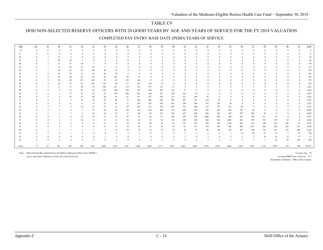## DOD NON-SELECTED RESERVE OFFICERS WITH 20 GOOD YEARS BY AGE AND YEARS OF SERVICE FOR THE FY 2018 VALUATION

| Age<br>$\leq$ 37 | $\leq$ 19      | 19             | 20                    | 21                      |          |                 |                |          |                 |          |                        |                |                |                |                |          |                 |                |                 |          |                |              |          |     |        |
|------------------|----------------|----------------|-----------------------|-------------------------|----------|-----------------|----------------|----------|-----------------|----------|------------------------|----------------|----------------|----------------|----------------|----------|-----------------|----------------|-----------------|----------|----------------|--------------|----------|-----|--------|
|                  |                |                |                       |                         | 22       | $\overline{23}$ | 24             | 25       | $\overline{26}$ | 27       | $\overline{28}$        | 29             | 30             | 31             | 32             | 33       | $\overline{34}$ | 35             | $\overline{36}$ | 37       | $\frac{38}{5}$ | 39           | 40       | 41  | Total  |
|                  | $\Omega$       | $\theta$       | $\theta$              | $\Omega$                | 0        | $\Omega$        | $\theta$       | $\Omega$ | $\Omega$        | $\Omega$ | $\Omega$               | $\theta$       | $\Omega$       | $\theta$       |                | $\theta$ |                 | $\Omega$       | $\Omega$        | $\Omega$ | $\Omega$       | $\Omega$     |          |     |        |
| 37               | $\Omega$       | 11             | $\Omega$              | $\Omega$                | $\Omega$ | $\Omega$        | $\Omega$       |          |                 | $\Omega$ | $\theta$               | $\Omega$       | $\Omega$       | $\Omega$       |                | $\Omega$ |                 |                |                 | $\Omega$ | $\Omega$       | $\Omega$     |          |     | 11     |
| 38               |                |                | 22                    |                         |          |                 | $\Omega$       |          |                 |          | $\Omega$               |                |                |                |                | $\Omega$ |                 |                |                 | $\Omega$ |                |              |          |     | 28     |
| 39               |                |                | 26                    | 38                      |          |                 | $\Omega$       |          |                 |          | $\theta$               |                | $\Omega$       |                |                | $\Omega$ |                 |                |                 | $\Omega$ | $\Omega$       | $\Omega$     |          |     | 69     |
|                  |                | $\gamma$       | 13                    | 37                      | 36       | $\overline{7}$  | $\Omega$       |          |                 |          | $\theta$               | $\Omega$       | $\theta$       |                |                | $\Omega$ |                 |                |                 | $\Omega$ | $\Omega$       | $\Omega$     |          |     | 96     |
|                  |                |                | 13                    | 42                      | 52       | 42              | $\overline{2}$ | $\Omega$ |                 |          | $\Omega$               |                | $\theta$       |                |                | $\Omega$ |                 |                |                 | $\Omega$ |                | $\Omega$     |          |     | 153    |
| 42               |                |                | 38                    | 26                      | 36       | 60              | 60             | 12       | $\Omega$        |          | $\Omega$               | $\Omega$       | $\Omega$       |                |                | $\theta$ |                 |                |                 | $\Omega$ | $\Omega$       | $\Omega$     |          |     | 234    |
|                  |                | $\mathbf{3}$   | 61                    | 70                      | 33       | 41              | 89             | 78       | 8               |          | $\mathbf{0}$           |                | $\theta$       |                |                | $\Omega$ |                 |                |                 | $\Omega$ | $\Omega$       | $\Omega$     |          |     | 383    |
|                  |                | $\Omega$       | 29                    | 96                      | 91       | 59              | 82             | 107      | 95              | 12       | $\theta$               |                | $\Omega$       |                |                | $\theta$ |                 |                |                 | $\Omega$ |                | $\Omega$     |          |     | 570    |
| 45               |                | $\mathbf{3}$   | 18                    | 46                      | 152      | 140             | 55             | 83       | 135             | 80       | 13                     | $\Omega$       | $\Omega$       |                |                | $\Omega$ |                 |                |                 | $\Omega$ |                | $\Omega$     |          |     | 725    |
|                  |                |                | 24                    | 35                      | 81       | 165             | 124            | 82       | 117             | 136      | 130                    | 19             | $\mathbf{0}$   | $\Omega$       |                | $\Omega$ |                 |                |                 | $\Omega$ |                | $\Omega$     |          |     | 919    |
|                  |                |                | 11                    | 37                      | 48       | 74              | 168            | 211      | 114             | 122      | 197                    | 217            | 31             | $\Omega$       |                | $\theta$ |                 |                |                 | $\Omega$ |                | $\theta$     |          |     | 1,232  |
|                  |                | $\Omega$       | Q                     | 31                      | 42       | 54              | 145            | 248      | 258             | 135      | 184                    | 267            | 231            | 17             | $\Omega$       | $\Omega$ |                 |                |                 | $\Omega$ |                | $\Omega$     | $^{0}$   |     | 1,624  |
| 49               |                |                | $\overline{7}$        | 17                      | 35       | 45              | 52             | 130      | 304             | 381      | 160                    | 227            | 259            | 281            | 32             | $\Omega$ |                 |                |                 | $\Omega$ | $\Omega$       | $\theta$     | $\Omega$ |     | 1,934  |
| 50               |                |                | 6                     | 10 <sup>10</sup>        | 19       | 40              | 49             | 61       | 151             | 357      | 477                    | 193            | 223            | 371            | 299            | 36       |                 |                |                 | $\Omega$ | $\Omega$       | $\theta$     | $\Omega$ |     | 2,293  |
| 51               |                | $\overline{2}$ | -5                    | 5                       | 14       | 24              | 39             | 48       | 73              | 184      | 494                    | 582            | 220            | 303            | 397            | 314      | 58              | $\Omega$       |                 | $\Omega$ |                |              |          |     | 2,763  |
| 52               |                | $\Omega$       | $\tilde{\mathcal{L}}$ | 11                      | 11       | 17              | 22             | 50       | 71              | 105      | 255                    | 639            | 691            | 298            | 369            | 332      | 339             | 36             |                 | $\bf{0}$ |                | $\Omega$     |          |     | 3,252  |
| 53               |                | $\Omega$       | $\mathbf{a}$          | 6                       | 10       | 22              | 21             | 33       | 58              | 101      | 123                    | 330            | 687            | 754            | 344            | 315      | 375             | 367            | 40              | $\Omega$ | $\Omega$       | $\theta$     |          |     | 3,591  |
| 54               |                |                |                       | 6                       |          | 15              | 20             | 34       | $44\,$          | 64       | 103                    | 200            | 378            | 828            | 878            | 292      | 347             | 442            | 373             | 45       | $\Omega$       | $\Omega$     |          |     | 4,079  |
| 55               |                |                |                       | $\overline{7}$          | 5        | 10              | 16             | 27       | 37              | 60       | 95                     | 151            | 239            | 473            | 960            | 884      | 342             | 392            | 437             | 426      | 36             | $\mathbf{0}$ | $\Omega$ |     | 4,602  |
| 56               |                | $\Omega$       |                       |                         | 10       | 10              | 13             | 19       | 26              | 23       | 56                     | 117            | 168            | 229            | 476            | 1,046    | 858             | 298            | 361             | 392      | 311            | 35           | $\theta$ |     | 4,455  |
| 57               |                | $\Omega$       | $\mathcal{L}$         | $\overline{\mathbf{3}}$ | 18       | 12              | 12             | 13       | 26              | 29       | 47                     | 87             | 121            | 188            | 298            | 502      | 825             | 1,041          | 381             | 395      | 373            | 257          | 18       |     | 4,650  |
| 58               |                | $\Omega$       |                       | 6                       | 6        |                 | 15             | 13       | $22\,$          | 24       | 49                     | 55             | 73             | 137            | 221            | 289      | 420             | 1,154          | 862             | 332      | 330            | 323          | 220      | 16  | 4,575  |
| 59               |                | $\Omega$       |                       | $\overline{\mathbf{3}}$ | 6        | 4               | 11             | 13       | 14              | 29       | 32                     | 56             | 54             | 87             | 151            | 215      | 243             | 506            | 805             | 1,231    | 302            | 262          | 287      | 251 | 4,566  |
| 60               |                |                |                       |                         | 2        |                 | -5             | 11       | 10              | 12       | 23                     | 25             | 35             | 36             | 55             | 96       | 129             | 193            | 281             | 530      | 374            | 127          | 125      | 268 | 2,343  |
| 61               |                | $\Omega$       |                       |                         |          | $\Omega$        | $\theta$       | $\Omega$ | -3              |          | $\overline{0}$         | $\overline{4}$ | $\overline{4}$ | $\overline{2}$ | 5              | -6       | -8              | 7              | 14              | 20       | 32             | 25           | 8        | 15  | 156    |
| 62               |                | $\Omega$       |                       | $\Omega$                | 0        | $\Omega$        |                |          | $\Omega$        |          | $\theta$               | $\Omega$       |                |                | $\Omega$       |          |                 | 5              |                 | 2        | 10             | 16           | 15       | 13  | 72     |
| 63               |                | $\Omega$       |                       | $\Omega$                | 0        | $\theta$        | $\overline{0}$ | 2        | $\Omega$        |          | $\boldsymbol{\Lambda}$ | $\mathcal{L}$  | 5              | $\mathbf Q$    | $\overline{4}$ | 5        | 5               | $\overline{2}$ | 5               | 7        | $\overline{7}$ | 24           | 36       | 224 | 346    |
| Total            | $\overline{0}$ | 37             | 301                   | 543                     | 720      | 847             | 1,002          | 1,276    | 1,567           | 1,862    | 2,443                  | 3,171          | 3,425          | 4,017          | 4,491          | 4,335    | 3,951           | 4,443          | 3,563           | 3,382    | 1,776          | 1,070        | 710      | 788 | 49,721 |

#### COMPLETED PAY ENTRY BASE DATE (PEBD) YEARS OF SERVICE

Note: Extracted from files maintained by the Defense Manpower Data Center (DMDC). Average Age 54 and the Second Average Age 54 and the Second Average Age 54 and the Second Average Age 54 and the Second Average Age 54 and t

Age is age nearest birthday as of the end of the fiscal year.

Average PEBD Years of Service 31.9 Department of Defense - Office of the Actuary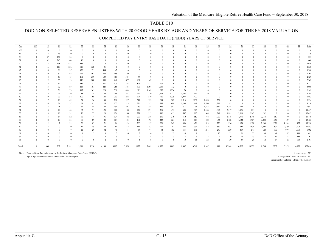## DOD NON-SELECTED RESERVE ENLISTEES WITH 20 GOOD YEARS BY AGE AND YEARS OF SERVICE FOR THE FY 2018 VALUATION

| Age    | $\leq$ 19      | 19             | 20             | 21           | 22       | 23       | 24             | 25       | 26           | 27                       | 28                 | 29       | 30       | 31    | 32       | 33                      | 34             | 35 <sub>2</sub> | 36       | 37             | 38       | 39           | 40       | 41    | Total   |
|--------|----------------|----------------|----------------|--------------|----------|----------|----------------|----------|--------------|--------------------------|--------------------|----------|----------|-------|----------|-------------------------|----------------|-----------------|----------|----------------|----------|--------------|----------|-------|---------|
| $<$ 37 | $\theta$       | $\theta$       | $\Omega$       | $\Omega$     |          |          |                | $\theta$ | $\Omega$     | $\Omega$                 | $\theta$           |          |          |       | $\theta$ | $\Omega$                | $\Omega$       |                 |          | $\sqrt{ }$     |          | $\Omega$     |          |       |         |
| 37     | $\Omega$       | 113            | 16             | $\mathbf{0}$ | $\Omega$ |          | $\Omega$       | $\Omega$ | $\mathbf{0}$ | $\Omega$                 | $\Omega$           |          |          |       | $\Omega$ | $\Omega$                | $\Omega$       | $\theta$        |          | $\Omega$       |          | $\Omega$     |          |       | 129     |
| 38     | $\theta$       | 37             | 162            | 34           | $\Omega$ |          |                |          | $\Omega$     | $\Omega$                 | $\Omega$           |          |          |       | $\theta$ | $\Omega$                | $\Omega$       |                 |          | $\Omega$       |          | $\Omega$     |          |       | 233     |
| 39     | $\Omega$       | 32             | 245            | 344          | 40       | $\Omega$ | $\Omega$       |          | 0            | $\Omega$                 | $\theta$           |          |          |       | $\theta$ | $\Omega$                |                |                 |          | $\Omega$       |          | $\Omega$     |          |       | 660     |
| 40     | $\Omega$       | 18             | 158            | 432          | 386      | 35       | $\Omega$       | $\Omega$ | $^{0}$       | $\Omega$                 | $\Omega$           |          |          |       | $\theta$ | $\Omega$                | $\Omega$       | $\theta$        |          | $\Omega$       |          | $\Omega$     |          |       | 1,029   |
|        | $\Omega$       | 16             | 113            | 326          | 515      | 358      | 31             | $\theta$ | $\mathbf{0}$ | $\Omega$                 | $\Omega$           |          |          |       | $\theta$ | $\Omega$                | $\theta$       | 0               |          | $\Omega$       |          | $\Omega$     | $\Omega$ |       | 1,360   |
| 42     | $\Omega$       |                | 86             | 197          | 430      | 571      | 404            | 47       | $\mathbf{0}$ | $\Omega$                 | $\Omega$           |          |          |       | $\theta$ | $\Omega$                | $\Omega$       |                 |          | $\Omega$       |          | $\Omega$     | $\Omega$ |       | 1,740   |
| 43     | $\Omega$       | $\mathbf Q$    | 52             | 168          | 272      | 407      | 660            | 486      | 49           | $\Omega$                 | $\Omega$           |          |          |       |          | $\Omega$                |                |                 |          | $\Omega$       |          | $\Omega$     |          |       | 2,104   |
|        | $\Omega$       | $\overline{4}$ | 50             | 113          | 191      | 269      | 603            | 769      | 585          | 44                       | $\mathbf{0}$       |          |          |       |          | $\Omega$                | $\theta$       | $\theta$        |          | $\Omega$       |          | $\Omega$     | $^{0}$   |       | 2,629   |
| 45     | $\Omega$       | 12             | 35             | 113          | 148      | 200      | 388            | 640      | 877          | 481                      | 67                 | $\Omega$ |          |       | $\theta$ | $\Omega$                | $\theta$       |                 |          | $\Omega$       |          | $\Omega$     | $\theta$ |       | 2,962   |
| 46     | $\Omega$       | -5             | 34             | 78           | 132      | 181      | 271            | 470      | 742          | 895                      | 812                | 101      | $\Omega$ |       | $\theta$ | $\Omega$                | $\theta$       |                 |          | $\Omega$       |          | $\Omega$     |          |       | 3,721   |
|        | $\Omega$       | $\mathbf{3}$   | 32             | 87           | 113      | 181      | 228            | 358      | 584          | 893                      | 1,291              | 1,085    | 112      |       | $\theta$ | $\mathbf{0}$            | $\Omega$       | $\theta$        |          | $\Omega$       |          | $\Omega$     | $\Omega$ |       | 4,968   |
| 48     | $\Omega$       | $\mathcal{I}$  | 36             | 73           | 117      | 161      | 228            | 351      | 439          | 696                      | 1,102              | 1,632    | 1,236    | 70    | $\Omega$ | $\Omega$                | $\Omega$       | 0               |          | $\Omega$       | $\Omega$ | $\Omega$     | $\Omega$ |       | 6,149   |
| 49     | $\Omega$       | -5             | 25             | 56           | 88       | 118      | 183            | 286      | 387          | 467                      | 720                | 1,274    | 1,727    | 1,298 | 113      | $\overline{0}$          | $\Omega$       | $\theta$        |          | $\Omega$       |          | $\Omega$     |          |       | 6,748   |
| 50     | $\Omega$       | $\mathbf Q$    | 20             | 58           | 100      | 108      | 148            | 203      | 288          | 394                      | 570                | 920      | 1,335    | 1,977 | 1,422    | 131                     | $\Omega$       | $\mathbf{0}$    |          | $\Omega$       |          | $\Omega$     | $\Omega$ |       | 7,683   |
| 51     | $\Omega$       | $\tau$         | 16             | 42           | 59       | 96       | 139            | 210      | 227          | 311                      | 392                | 614      | 902      | 1,513 | 2,050    | 1,456                   | 259            | $\mathbf{0}$    |          | $\Omega$       |          | $\Omega$     | $\Omega$ |       | 8,294   |
| 52     |                |                | 24             | 37           | 69       | 85       | 126            | 177      | 218          | 276                      | 352                | 537      | 699      | 1,134 | 1,668    | 1,760                   | 1,799          | 183             | $\Omega$ | $\Omega$       |          | $\Omega$     |          |       | 9,150   |
| 53     | $\Omega$       |                | 21             | 31           | 62       | 84       | 125            | 151      | 201          | 237                      | 358                | 456      | 582      | 811   | 1,206    | 1,423                   | 2,312          | 1,744           | 174      | $\overline{0}$ | $\Omega$ | $\Omega$     | $^{0}$   |       | 9,982   |
| 54     | $\Omega$       |                | 24             | 44           | 63       | 71       | 120            | 162      | 188          | 224                      | 291                | 369      | 491      | 694   | 967      | 1,106                   | 1,892          | 2,517           | 1,976    | 251            | $\theta$ | $\mathbf{0}$ | $\Omega$ |       | 11,457  |
| 55     | $\Omega$       |                | 10             | 32           | 70       | 77       | 120            | 126      | 186          | 229                      | 253                | 380      | 455      | 597   | 807      | 948                     | 1,349          | 1,985           | 2,610    | 2,142          | 232      | $\Omega$     | $\theta$ |       | 12,612  |
| 56     | $\Omega$       | $\mathcal{Z}$  | 14             | 52           | 66       | 74       | 96             | 134      | 172          | 207                      | 246                | 270      | 370      | 510   | 652      | 778                     | 1,070          | 1,418           | 1,991    | 2,749          | 2,118    | 157          | $\Omega$ |       | 13,148  |
| 57     | $\Omega$       | $\mathcal{L}$  | 10             | 34           | 65       | 89       | 88             | 104      | 135          | 181                      | 193                | 243      | 324      | 414   | 517      | 580                     | 864            | 1,122           | 1,522    | 1,957          | 3,000    | 1,860        | 129      |       | 13,435  |
| 58     | $\Omega$       | $\gamma$       | $\overline{7}$ | 22           | 50       | 83       | 71             | 86       | 123          | 200                      | 197                | 221      | 262      | 363   | 421      | 513                     | 720            | 936             | 1,159    | 1,528          | 2,200    | 2,579        | 1,509    | 137   | 13,390  |
| 59     | $\Omega$       |                | $\overline{7}$ | 10           | 31       | 45       | 74             | 81       | 112          | 111                      | 153                | 167      | 182      | 274   | 334      | 432                     | 557            | 653             | 842      | 1,030          | 1,497    | 1,804        | 2,479    | 1,705 | 12,583  |
| 60     | $\Omega$       | $\Omega$       | $\mathbf{3}$   |              | 11       | 29       | 32             | 40       | 51           | 64                       | 74                 | 74       | 103      | 155   | 178      | 211                     | 249            | 320             | 417      | 541            | 620      | 733          | 997      | 1,993 | 6,902   |
| 61     | $\Omega$       |                | $\Omega$       | $\theta$     |          |          | $\Omega$       | 3        | -6           | 3                        |                    |          | 12       | 14    | 8        | 22                      | 15             | 22              | 21       | 33             | 36       | 41           | 57       | 188   | 495     |
| 62     | $\Omega$       |                | $^{\circ}$     | $\Omega$     | $\Omega$ |          | $\bf{0}$       | $\theta$ |              | $\overline{2}$           | $\overline{4}$     |          |          |       | 9        | $\overline{\mathbf{3}}$ | $\overline{2}$ | 9               | 18       | 13             | 17       | 19           | 22       | 135   | 262     |
| 63     | $\Omega$       | $\Omega$       | $\Omega$       | $\Omega$     | $\Omega$ | $\theta$ | $\overline{2}$ | $\theta$ | $\Omega$     | $\overline{\phantom{a}}$ | $\mathbf{\hat{x}}$ |          | 8        | 10    | 18       | 24                      | 31             | 39              | 37       | 29             | 64       | 64           | 82       | 764   | 1,191   |
| Total  | $\overline{0}$ | 306            | 1,202          | 2,391        | 3,081    | 3.330    | 4,139          | 4,887    | 5,574        | 5,922                    | 7,089              | 8,355    | 8,802    | 9,837 | 10,369   | 9,387                   | 11,119         | 10,948          | 10,767   | 10,272         | 9,784    | 7,257        | 5,275    | 4,923 | 155,016 |
|        |                |                |                |              |          |          |                |          |              |                          |                    |          |          |       |          |                         |                |                 |          |                |          |              |          |       |         |

### COMPLETED PAY ENTRY BASE DATE (PEBD) YEARS OF SERVICE

Note: Extracted from files maintained by the Defense Manpower Data Center (DMDC). Average Age 53.3

Age is age nearest birthday as of the end of the fiscal year.

Average PEBD Years of Service 32.2 Department of Defense - Office of the Actuary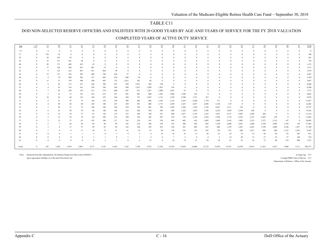#### DOD NON-SELECTED RESERVE OFFICERS AND ENLISTEES WITH 20 GOOD YEARS BY AGE AND YEARS OF SERVICE FOR THE FY 2018 VALUATION

#### COMPLETED YEARS OF ACTIVE DUTY SERVICE

| $\overline{22}$<br>$\overline{23}$<br>$\overline{24}$<br>$\overline{25}$<br>$\frac{27}{2}$<br>$\underline{28}$<br>$\overline{29}$<br>$\frac{30}{2}$<br>$\frac{32}{2}$<br>$\frac{34}{5}$<br>35<br>36<br>37<br>$38\,$<br>40<br>19<br>$\overline{20}$<br>$\overline{26}$<br>$\overline{31}$<br>$\overline{33}$<br>$\frac{39}{2}$<br>41<br>$\leq$ 19<br>$\overline{21}$<br>Age<br>$37$<br>$\Omega$<br>$\overline{0}$<br>$\theta$<br>$\Omega$<br>$\Omega$<br>$\theta$<br>$\theta$<br>$\mathbf{0}$<br>$\Omega$<br>$\Omega$<br>37<br>124<br>16<br>$\theta$<br>$\Omega$<br>$\Omega$<br>$\Omega$<br>$\Omega$<br>$\Omega$<br>$\Omega$<br>$\Omega$<br>185<br>38<br>38<br>38<br>$\Omega$<br>271<br>33<br>381<br>44<br>39<br>$\Omega$<br>$\Omega$<br>$\Omega$<br>$\Omega$<br>$\Omega$<br>$\Omega$<br>$\Omega$<br>20<br>469<br>423<br>42<br>171<br>$\Omega$<br>$\Omega$<br>$\theta$<br>40<br>$\Omega$<br>$\Omega$<br>0<br>$\Omega$<br>$\Omega$<br>126<br>368<br>567<br>33<br>17<br>401<br>$\overline{0}$<br>$\bf{0}$<br>$\Omega$<br>$\Omega$<br>$\sqrt{ }$<br>41<br>$\Omega$<br>$\Omega$<br>125<br>467<br>464<br>5<br>223<br>631<br>59<br>$\Omega$<br>42<br>$\Omega$<br>113<br>448<br>564<br>57<br>12<br>238<br>305<br>749<br>43<br>$\Omega$<br>$\Omega$<br>79<br>327<br>876<br>680<br>209<br>282<br>685<br>56<br>$\Omega$<br>44<br>$\overline{4}$<br>723<br>561<br>53<br>159<br>300<br>340<br>15<br>443<br>1,012<br>80<br>$\Omega$<br>45<br>$\Omega$<br>58<br>552<br>113<br>213<br>346<br>1,031<br>942<br>120<br>396<br>859<br>$\overline{0}$<br>9<br>$\Omega$<br>46<br>$\Omega$<br>$\Omega$<br>568<br>43<br>124<br>161<br>256<br>396<br>699<br>1,015<br>1,489<br>1,301<br>143<br>47<br>$\overline{4}$<br>$\Omega$<br>1,287<br>1,900<br>1,467<br>45<br>104<br>159<br>215<br>374<br>600<br>697<br>831<br>87<br>$\overline{7}$<br>48<br>$\Omega$<br>$\Omega$<br>$\Omega$<br>32<br>1,986<br>1,580<br>73<br>123<br>163<br>235<br>417<br>691<br>847<br>1,501<br>145<br>$\tau$<br>880<br>$\theta$<br>49<br>1,558<br>167<br>26<br>68<br>197<br>264<br>439<br>751<br>1,113<br>2,348<br>1,721<br>50<br>119<br>148<br>1,047<br>10<br>$\theta$<br>21<br>120<br>258<br>496<br>1,195<br>1,122<br>2,448<br>1,770<br>317<br>47<br>73<br>178<br>300<br>886<br>1,816<br>$\overline{0}$<br>9<br>$\Omega$<br>-51<br>$\Omega$<br>29<br>80<br>227<br>1,175<br>1,389<br>2,037<br>2,092<br>2,138<br>219<br>48<br>102<br>381<br>1,433<br>52<br>148<br>289<br>608<br>$\theta$<br>$\overline{4}$<br>$\bf{0}$<br>$\Omega$<br>24<br>37<br>72<br>184<br>338<br>786<br>1,269<br>1,566<br>1,550<br>2,687<br>2,111<br>106<br>146<br>259<br>481<br>1,738<br>214<br>53<br>3<br>$\bf{0}$<br>$\Omega$<br>$\bf{0}$<br>$\Omega$<br>196<br>2,239<br>2,959<br>25<br>50<br>232<br>288<br>569<br>869<br>1,522<br>1,845<br>2,349<br>296<br>70<br>140<br>394<br>1,398<br>54<br>86<br>6<br>$\Omega$<br>$\Omega$<br>$\Omega$<br>1,691<br>2,377<br>2,568<br>13<br>39<br>75<br>136<br>153<br>223<br>289<br>348<br>531<br>694<br>1,071<br>1,767<br>1,832<br>3,047<br>268<br>55<br>87<br>$\theta$<br>$\overline{4}$<br>$\Omega$<br>3,141<br>192<br>15<br>56<br>76<br>84<br>109<br>153<br>198<br>230<br>387<br>539<br>1,128<br>1,824<br>1,928<br>1,716<br>2,352<br>2,429<br>$\mathbf{0}$<br>56<br>302<br>739<br>1,689<br>1,903<br>2,352<br>12<br>37<br>117<br>161<br>210<br>330<br>445<br>816<br>1,082<br>2,163<br>3,373<br>2,118<br>147<br>57<br>2<br>83<br>101<br>100<br>241<br>602<br>1,140<br>1,860<br>1,730<br>154<br>58<br>28<br>56<br>86<br>99<br>145<br>224<br>246<br>276<br>335<br>642<br>802<br>2,090<br>2,021<br>2,530<br>2,902<br>$\overline{\mathcal{L}}$<br>89<br>500<br>485<br>2,766<br>13<br>37<br>85<br>94<br>126<br>140<br>185<br>223<br>236<br>361<br>647<br>800<br>1,159<br>1,647<br>2,261<br>1,799<br>2,066<br>1,957<br>59<br>49<br>8<br>233<br>1,071<br>1,122<br>2,262<br>13<br>37<br>51<br>61<br>76<br>97<br>99<br>138<br>191<br>307<br>378<br>513<br>698<br>994<br>860<br>-8<br>30<br>60<br>203<br>28<br>29<br>35<br>66<br>65<br>9<br>10<br>16<br>13<br>23<br>53<br>68<br>$\theta$<br>$\mathbf{3}$<br>$\sim$<br>$\overline{4}$<br>16<br>-61<br>$\Omega$<br>37<br>14<br>20<br>35<br>148<br>62<br>$\theta$<br>$\theta$<br>5<br>-9<br>15<br>27<br>$\Omega$<br>$\overline{4}$<br>12<br>30<br>36<br>41<br>43<br>119<br><sup>2</sup><br>$\mathbf{0}$<br>14<br>19<br>21<br>36<br>72<br>88<br>988<br>63<br>$\Omega$<br>$\theta$<br>$\Omega$<br>$\overline{2}$<br>1,502<br>2,934<br>4,177<br>6,162<br>11,526<br>12,228<br>14,330<br>13,653<br>11,561<br>8,327<br>343<br>3,801<br>5,141<br>7,142<br>7,784<br>9,532<br>13,854<br>14,860<br>13,722<br>15,070<br>15,391<br>5,986<br>5,711<br>Total |  |  |  |  |  |  |  |  |  |  |  |  |                                         |
|-----------------------------------------------------------------------------------------------------------------------------------------------------------------------------------------------------------------------------------------------------------------------------------------------------------------------------------------------------------------------------------------------------------------------------------------------------------------------------------------------------------------------------------------------------------------------------------------------------------------------------------------------------------------------------------------------------------------------------------------------------------------------------------------------------------------------------------------------------------------------------------------------------------------------------------------------------------------------------------------------------------------------------------------------------------------------------------------------------------------------------------------------------------------------------------------------------------------------------------------------------------------------------------------------------------------------------------------------------------------------------------------------------------------------------------------------------------------------------------------------------------------------------------------------------------------------------------------------------------------------------------------------------------------------------------------------------------------------------------------------------------------------------------------------------------------------------------------------------------------------------------------------------------------------------------------------------------------------------------------------------------------------------------------------------------------------------------------------------------------------------------------------------------------------------------------------------------------------------------------------------------------------------------------------------------------------------------------------------------------------------------------------------------------------------------------------------------------------------------------------------------------------------------------------------------------------------------------------------------------------------------------------------------------------------------------------------------------------------------------------------------------------------------------------------------------------------------------------------------------------------------------------------------------------------------------------------------------------------------------------------------------------------------------------------------------------------------------------------------------------------------------------------------------------------------------------------------------------------------------------------------------------------------------------------------------------------------------------------------------------------------------------------------------------------------------------------------------------------------------------------------------------------------------------------------------------------------------------------------------------------------------------------------------------------------------------------------------------------------------------------------------------------------------------------------------------------------------------------------------------------------------------------------------------------------------------------------------------------------------------------------------------------------------------------------------------------------------------------------------------------------------------------------------------------------------------------------------------------------------------------------------------------------------------------------------------------------------------------------------------------------------------------------------------------------------------------------------------------------------------------------------------------------------------------------------------------------------------------------------------------------------------|--|--|--|--|--|--|--|--|--|--|--|--|-----------------------------------------|
|                                                                                                                                                                                                                                                                                                                                                                                                                                                                                                                                                                                                                                                                                                                                                                                                                                                                                                                                                                                                                                                                                                                                                                                                                                                                                                                                                                                                                                                                                                                                                                                                                                                                                                                                                                                                                                                                                                                                                                                                                                                                                                                                                                                                                                                                                                                                                                                                                                                                                                                                                                                                                                                                                                                                                                                                                                                                                                                                                                                                                                                                                                                                                                                                                                                                                                                                                                                                                                                                                                                                                                                                                                                                                                                                                                                                                                                                                                                                                                                                                                                                                                                                                                                                                                                                                                                                                                                                                                                                                                                                                                                                                                               |  |  |  |  |  |  |  |  |  |  |  |  | $\ensuremath{\underline{\text{Total}}}$ |
|                                                                                                                                                                                                                                                                                                                                                                                                                                                                                                                                                                                                                                                                                                                                                                                                                                                                                                                                                                                                                                                                                                                                                                                                                                                                                                                                                                                                                                                                                                                                                                                                                                                                                                                                                                                                                                                                                                                                                                                                                                                                                                                                                                                                                                                                                                                                                                                                                                                                                                                                                                                                                                                                                                                                                                                                                                                                                                                                                                                                                                                                                                                                                                                                                                                                                                                                                                                                                                                                                                                                                                                                                                                                                                                                                                                                                                                                                                                                                                                                                                                                                                                                                                                                                                                                                                                                                                                                                                                                                                                                                                                                                                               |  |  |  |  |  |  |  |  |  |  |  |  | $\theta$                                |
|                                                                                                                                                                                                                                                                                                                                                                                                                                                                                                                                                                                                                                                                                                                                                                                                                                                                                                                                                                                                                                                                                                                                                                                                                                                                                                                                                                                                                                                                                                                                                                                                                                                                                                                                                                                                                                                                                                                                                                                                                                                                                                                                                                                                                                                                                                                                                                                                                                                                                                                                                                                                                                                                                                                                                                                                                                                                                                                                                                                                                                                                                                                                                                                                                                                                                                                                                                                                                                                                                                                                                                                                                                                                                                                                                                                                                                                                                                                                                                                                                                                                                                                                                                                                                                                                                                                                                                                                                                                                                                                                                                                                                                               |  |  |  |  |  |  |  |  |  |  |  |  | 140                                     |
|                                                                                                                                                                                                                                                                                                                                                                                                                                                                                                                                                                                                                                                                                                                                                                                                                                                                                                                                                                                                                                                                                                                                                                                                                                                                                                                                                                                                                                                                                                                                                                                                                                                                                                                                                                                                                                                                                                                                                                                                                                                                                                                                                                                                                                                                                                                                                                                                                                                                                                                                                                                                                                                                                                                                                                                                                                                                                                                                                                                                                                                                                                                                                                                                                                                                                                                                                                                                                                                                                                                                                                                                                                                                                                                                                                                                                                                                                                                                                                                                                                                                                                                                                                                                                                                                                                                                                                                                                                                                                                                                                                                                                                               |  |  |  |  |  |  |  |  |  |  |  |  | 261                                     |
|                                                                                                                                                                                                                                                                                                                                                                                                                                                                                                                                                                                                                                                                                                                                                                                                                                                                                                                                                                                                                                                                                                                                                                                                                                                                                                                                                                                                                                                                                                                                                                                                                                                                                                                                                                                                                                                                                                                                                                                                                                                                                                                                                                                                                                                                                                                                                                                                                                                                                                                                                                                                                                                                                                                                                                                                                                                                                                                                                                                                                                                                                                                                                                                                                                                                                                                                                                                                                                                                                                                                                                                                                                                                                                                                                                                                                                                                                                                                                                                                                                                                                                                                                                                                                                                                                                                                                                                                                                                                                                                                                                                                                                               |  |  |  |  |  |  |  |  |  |  |  |  | 729                                     |
|                                                                                                                                                                                                                                                                                                                                                                                                                                                                                                                                                                                                                                                                                                                                                                                                                                                                                                                                                                                                                                                                                                                                                                                                                                                                                                                                                                                                                                                                                                                                                                                                                                                                                                                                                                                                                                                                                                                                                                                                                                                                                                                                                                                                                                                                                                                                                                                                                                                                                                                                                                                                                                                                                                                                                                                                                                                                                                                                                                                                                                                                                                                                                                                                                                                                                                                                                                                                                                                                                                                                                                                                                                                                                                                                                                                                                                                                                                                                                                                                                                                                                                                                                                                                                                                                                                                                                                                                                                                                                                                                                                                                                                               |  |  |  |  |  |  |  |  |  |  |  |  | 1,125                                   |
|                                                                                                                                                                                                                                                                                                                                                                                                                                                                                                                                                                                                                                                                                                                                                                                                                                                                                                                                                                                                                                                                                                                                                                                                                                                                                                                                                                                                                                                                                                                                                                                                                                                                                                                                                                                                                                                                                                                                                                                                                                                                                                                                                                                                                                                                                                                                                                                                                                                                                                                                                                                                                                                                                                                                                                                                                                                                                                                                                                                                                                                                                                                                                                                                                                                                                                                                                                                                                                                                                                                                                                                                                                                                                                                                                                                                                                                                                                                                                                                                                                                                                                                                                                                                                                                                                                                                                                                                                                                                                                                                                                                                                                               |  |  |  |  |  |  |  |  |  |  |  |  | 1,513                                   |
|                                                                                                                                                                                                                                                                                                                                                                                                                                                                                                                                                                                                                                                                                                                                                                                                                                                                                                                                                                                                                                                                                                                                                                                                                                                                                                                                                                                                                                                                                                                                                                                                                                                                                                                                                                                                                                                                                                                                                                                                                                                                                                                                                                                                                                                                                                                                                                                                                                                                                                                                                                                                                                                                                                                                                                                                                                                                                                                                                                                                                                                                                                                                                                                                                                                                                                                                                                                                                                                                                                                                                                                                                                                                                                                                                                                                                                                                                                                                                                                                                                                                                                                                                                                                                                                                                                                                                                                                                                                                                                                                                                                                                                               |  |  |  |  |  |  |  |  |  |  |  |  | 1,974                                   |
|                                                                                                                                                                                                                                                                                                                                                                                                                                                                                                                                                                                                                                                                                                                                                                                                                                                                                                                                                                                                                                                                                                                                                                                                                                                                                                                                                                                                                                                                                                                                                                                                                                                                                                                                                                                                                                                                                                                                                                                                                                                                                                                                                                                                                                                                                                                                                                                                                                                                                                                                                                                                                                                                                                                                                                                                                                                                                                                                                                                                                                                                                                                                                                                                                                                                                                                                                                                                                                                                                                                                                                                                                                                                                                                                                                                                                                                                                                                                                                                                                                                                                                                                                                                                                                                                                                                                                                                                                                                                                                                                                                                                                                               |  |  |  |  |  |  |  |  |  |  |  |  | 2,487                                   |
|                                                                                                                                                                                                                                                                                                                                                                                                                                                                                                                                                                                                                                                                                                                                                                                                                                                                                                                                                                                                                                                                                                                                                                                                                                                                                                                                                                                                                                                                                                                                                                                                                                                                                                                                                                                                                                                                                                                                                                                                                                                                                                                                                                                                                                                                                                                                                                                                                                                                                                                                                                                                                                                                                                                                                                                                                                                                                                                                                                                                                                                                                                                                                                                                                                                                                                                                                                                                                                                                                                                                                                                                                                                                                                                                                                                                                                                                                                                                                                                                                                                                                                                                                                                                                                                                                                                                                                                                                                                                                                                                                                                                                                               |  |  |  |  |  |  |  |  |  |  |  |  | 3,199                                   |
|                                                                                                                                                                                                                                                                                                                                                                                                                                                                                                                                                                                                                                                                                                                                                                                                                                                                                                                                                                                                                                                                                                                                                                                                                                                                                                                                                                                                                                                                                                                                                                                                                                                                                                                                                                                                                                                                                                                                                                                                                                                                                                                                                                                                                                                                                                                                                                                                                                                                                                                                                                                                                                                                                                                                                                                                                                                                                                                                                                                                                                                                                                                                                                                                                                                                                                                                                                                                                                                                                                                                                                                                                                                                                                                                                                                                                                                                                                                                                                                                                                                                                                                                                                                                                                                                                                                                                                                                                                                                                                                                                                                                                                               |  |  |  |  |  |  |  |  |  |  |  |  | 3,687                                   |
|                                                                                                                                                                                                                                                                                                                                                                                                                                                                                                                                                                                                                                                                                                                                                                                                                                                                                                                                                                                                                                                                                                                                                                                                                                                                                                                                                                                                                                                                                                                                                                                                                                                                                                                                                                                                                                                                                                                                                                                                                                                                                                                                                                                                                                                                                                                                                                                                                                                                                                                                                                                                                                                                                                                                                                                                                                                                                                                                                                                                                                                                                                                                                                                                                                                                                                                                                                                                                                                                                                                                                                                                                                                                                                                                                                                                                                                                                                                                                                                                                                                                                                                                                                                                                                                                                                                                                                                                                                                                                                                                                                                                                                               |  |  |  |  |  |  |  |  |  |  |  |  | 4,640                                   |
|                                                                                                                                                                                                                                                                                                                                                                                                                                                                                                                                                                                                                                                                                                                                                                                                                                                                                                                                                                                                                                                                                                                                                                                                                                                                                                                                                                                                                                                                                                                                                                                                                                                                                                                                                                                                                                                                                                                                                                                                                                                                                                                                                                                                                                                                                                                                                                                                                                                                                                                                                                                                                                                                                                                                                                                                                                                                                                                                                                                                                                                                                                                                                                                                                                                                                                                                                                                                                                                                                                                                                                                                                                                                                                                                                                                                                                                                                                                                                                                                                                                                                                                                                                                                                                                                                                                                                                                                                                                                                                                                                                                                                                               |  |  |  |  |  |  |  |  |  |  |  |  | 6,200                                   |
|                                                                                                                                                                                                                                                                                                                                                                                                                                                                                                                                                                                                                                                                                                                                                                                                                                                                                                                                                                                                                                                                                                                                                                                                                                                                                                                                                                                                                                                                                                                                                                                                                                                                                                                                                                                                                                                                                                                                                                                                                                                                                                                                                                                                                                                                                                                                                                                                                                                                                                                                                                                                                                                                                                                                                                                                                                                                                                                                                                                                                                                                                                                                                                                                                                                                                                                                                                                                                                                                                                                                                                                                                                                                                                                                                                                                                                                                                                                                                                                                                                                                                                                                                                                                                                                                                                                                                                                                                                                                                                                                                                                                                                               |  |  |  |  |  |  |  |  |  |  |  |  | 7,773                                   |
|                                                                                                                                                                                                                                                                                                                                                                                                                                                                                                                                                                                                                                                                                                                                                                                                                                                                                                                                                                                                                                                                                                                                                                                                                                                                                                                                                                                                                                                                                                                                                                                                                                                                                                                                                                                                                                                                                                                                                                                                                                                                                                                                                                                                                                                                                                                                                                                                                                                                                                                                                                                                                                                                                                                                                                                                                                                                                                                                                                                                                                                                                                                                                                                                                                                                                                                                                                                                                                                                                                                                                                                                                                                                                                                                                                                                                                                                                                                                                                                                                                                                                                                                                                                                                                                                                                                                                                                                                                                                                                                                                                                                                                               |  |  |  |  |  |  |  |  |  |  |  |  | 8,682                                   |
|                                                                                                                                                                                                                                                                                                                                                                                                                                                                                                                                                                                                                                                                                                                                                                                                                                                                                                                                                                                                                                                                                                                                                                                                                                                                                                                                                                                                                                                                                                                                                                                                                                                                                                                                                                                                                                                                                                                                                                                                                                                                                                                                                                                                                                                                                                                                                                                                                                                                                                                                                                                                                                                                                                                                                                                                                                                                                                                                                                                                                                                                                                                                                                                                                                                                                                                                                                                                                                                                                                                                                                                                                                                                                                                                                                                                                                                                                                                                                                                                                                                                                                                                                                                                                                                                                                                                                                                                                                                                                                                                                                                                                                               |  |  |  |  |  |  |  |  |  |  |  |  | 9,976                                   |
|                                                                                                                                                                                                                                                                                                                                                                                                                                                                                                                                                                                                                                                                                                                                                                                                                                                                                                                                                                                                                                                                                                                                                                                                                                                                                                                                                                                                                                                                                                                                                                                                                                                                                                                                                                                                                                                                                                                                                                                                                                                                                                                                                                                                                                                                                                                                                                                                                                                                                                                                                                                                                                                                                                                                                                                                                                                                                                                                                                                                                                                                                                                                                                                                                                                                                                                                                                                                                                                                                                                                                                                                                                                                                                                                                                                                                                                                                                                                                                                                                                                                                                                                                                                                                                                                                                                                                                                                                                                                                                                                                                                                                                               |  |  |  |  |  |  |  |  |  |  |  |  | 11,057                                  |
|                                                                                                                                                                                                                                                                                                                                                                                                                                                                                                                                                                                                                                                                                                                                                                                                                                                                                                                                                                                                                                                                                                                                                                                                                                                                                                                                                                                                                                                                                                                                                                                                                                                                                                                                                                                                                                                                                                                                                                                                                                                                                                                                                                                                                                                                                                                                                                                                                                                                                                                                                                                                                                                                                                                                                                                                                                                                                                                                                                                                                                                                                                                                                                                                                                                                                                                                                                                                                                                                                                                                                                                                                                                                                                                                                                                                                                                                                                                                                                                                                                                                                                                                                                                                                                                                                                                                                                                                                                                                                                                                                                                                                                               |  |  |  |  |  |  |  |  |  |  |  |  | 12,402                                  |
|                                                                                                                                                                                                                                                                                                                                                                                                                                                                                                                                                                                                                                                                                                                                                                                                                                                                                                                                                                                                                                                                                                                                                                                                                                                                                                                                                                                                                                                                                                                                                                                                                                                                                                                                                                                                                                                                                                                                                                                                                                                                                                                                                                                                                                                                                                                                                                                                                                                                                                                                                                                                                                                                                                                                                                                                                                                                                                                                                                                                                                                                                                                                                                                                                                                                                                                                                                                                                                                                                                                                                                                                                                                                                                                                                                                                                                                                                                                                                                                                                                                                                                                                                                                                                                                                                                                                                                                                                                                                                                                                                                                                                                               |  |  |  |  |  |  |  |  |  |  |  |  | 13,573                                  |
|                                                                                                                                                                                                                                                                                                                                                                                                                                                                                                                                                                                                                                                                                                                                                                                                                                                                                                                                                                                                                                                                                                                                                                                                                                                                                                                                                                                                                                                                                                                                                                                                                                                                                                                                                                                                                                                                                                                                                                                                                                                                                                                                                                                                                                                                                                                                                                                                                                                                                                                                                                                                                                                                                                                                                                                                                                                                                                                                                                                                                                                                                                                                                                                                                                                                                                                                                                                                                                                                                                                                                                                                                                                                                                                                                                                                                                                                                                                                                                                                                                                                                                                                                                                                                                                                                                                                                                                                                                                                                                                                                                                                                                               |  |  |  |  |  |  |  |  |  |  |  |  | 15,536                                  |
|                                                                                                                                                                                                                                                                                                                                                                                                                                                                                                                                                                                                                                                                                                                                                                                                                                                                                                                                                                                                                                                                                                                                                                                                                                                                                                                                                                                                                                                                                                                                                                                                                                                                                                                                                                                                                                                                                                                                                                                                                                                                                                                                                                                                                                                                                                                                                                                                                                                                                                                                                                                                                                                                                                                                                                                                                                                                                                                                                                                                                                                                                                                                                                                                                                                                                                                                                                                                                                                                                                                                                                                                                                                                                                                                                                                                                                                                                                                                                                                                                                                                                                                                                                                                                                                                                                                                                                                                                                                                                                                                                                                                                                               |  |  |  |  |  |  |  |  |  |  |  |  | 17,214                                  |
|                                                                                                                                                                                                                                                                                                                                                                                                                                                                                                                                                                                                                                                                                                                                                                                                                                                                                                                                                                                                                                                                                                                                                                                                                                                                                                                                                                                                                                                                                                                                                                                                                                                                                                                                                                                                                                                                                                                                                                                                                                                                                                                                                                                                                                                                                                                                                                                                                                                                                                                                                                                                                                                                                                                                                                                                                                                                                                                                                                                                                                                                                                                                                                                                                                                                                                                                                                                                                                                                                                                                                                                                                                                                                                                                                                                                                                                                                                                                                                                                                                                                                                                                                                                                                                                                                                                                                                                                                                                                                                                                                                                                                                               |  |  |  |  |  |  |  |  |  |  |  |  | 17,603                                  |
|                                                                                                                                                                                                                                                                                                                                                                                                                                                                                                                                                                                                                                                                                                                                                                                                                                                                                                                                                                                                                                                                                                                                                                                                                                                                                                                                                                                                                                                                                                                                                                                                                                                                                                                                                                                                                                                                                                                                                                                                                                                                                                                                                                                                                                                                                                                                                                                                                                                                                                                                                                                                                                                                                                                                                                                                                                                                                                                                                                                                                                                                                                                                                                                                                                                                                                                                                                                                                                                                                                                                                                                                                                                                                                                                                                                                                                                                                                                                                                                                                                                                                                                                                                                                                                                                                                                                                                                                                                                                                                                                                                                                                                               |  |  |  |  |  |  |  |  |  |  |  |  | 18,085                                  |
|                                                                                                                                                                                                                                                                                                                                                                                                                                                                                                                                                                                                                                                                                                                                                                                                                                                                                                                                                                                                                                                                                                                                                                                                                                                                                                                                                                                                                                                                                                                                                                                                                                                                                                                                                                                                                                                                                                                                                                                                                                                                                                                                                                                                                                                                                                                                                                                                                                                                                                                                                                                                                                                                                                                                                                                                                                                                                                                                                                                                                                                                                                                                                                                                                                                                                                                                                                                                                                                                                                                                                                                                                                                                                                                                                                                                                                                                                                                                                                                                                                                                                                                                                                                                                                                                                                                                                                                                                                                                                                                                                                                                                                               |  |  |  |  |  |  |  |  |  |  |  |  | 17,965                                  |
|                                                                                                                                                                                                                                                                                                                                                                                                                                                                                                                                                                                                                                                                                                                                                                                                                                                                                                                                                                                                                                                                                                                                                                                                                                                                                                                                                                                                                                                                                                                                                                                                                                                                                                                                                                                                                                                                                                                                                                                                                                                                                                                                                                                                                                                                                                                                                                                                                                                                                                                                                                                                                                                                                                                                                                                                                                                                                                                                                                                                                                                                                                                                                                                                                                                                                                                                                                                                                                                                                                                                                                                                                                                                                                                                                                                                                                                                                                                                                                                                                                                                                                                                                                                                                                                                                                                                                                                                                                                                                                                                                                                                                                               |  |  |  |  |  |  |  |  |  |  |  |  | 17,149                                  |
|                                                                                                                                                                                                                                                                                                                                                                                                                                                                                                                                                                                                                                                                                                                                                                                                                                                                                                                                                                                                                                                                                                                                                                                                                                                                                                                                                                                                                                                                                                                                                                                                                                                                                                                                                                                                                                                                                                                                                                                                                                                                                                                                                                                                                                                                                                                                                                                                                                                                                                                                                                                                                                                                                                                                                                                                                                                                                                                                                                                                                                                                                                                                                                                                                                                                                                                                                                                                                                                                                                                                                                                                                                                                                                                                                                                                                                                                                                                                                                                                                                                                                                                                                                                                                                                                                                                                                                                                                                                                                                                                                                                                                                               |  |  |  |  |  |  |  |  |  |  |  |  | 9,245                                   |
|                                                                                                                                                                                                                                                                                                                                                                                                                                                                                                                                                                                                                                                                                                                                                                                                                                                                                                                                                                                                                                                                                                                                                                                                                                                                                                                                                                                                                                                                                                                                                                                                                                                                                                                                                                                                                                                                                                                                                                                                                                                                                                                                                                                                                                                                                                                                                                                                                                                                                                                                                                                                                                                                                                                                                                                                                                                                                                                                                                                                                                                                                                                                                                                                                                                                                                                                                                                                                                                                                                                                                                                                                                                                                                                                                                                                                                                                                                                                                                                                                                                                                                                                                                                                                                                                                                                                                                                                                                                                                                                                                                                                                                               |  |  |  |  |  |  |  |  |  |  |  |  | 651                                     |
|                                                                                                                                                                                                                                                                                                                                                                                                                                                                                                                                                                                                                                                                                                                                                                                                                                                                                                                                                                                                                                                                                                                                                                                                                                                                                                                                                                                                                                                                                                                                                                                                                                                                                                                                                                                                                                                                                                                                                                                                                                                                                                                                                                                                                                                                                                                                                                                                                                                                                                                                                                                                                                                                                                                                                                                                                                                                                                                                                                                                                                                                                                                                                                                                                                                                                                                                                                                                                                                                                                                                                                                                                                                                                                                                                                                                                                                                                                                                                                                                                                                                                                                                                                                                                                                                                                                                                                                                                                                                                                                                                                                                                                               |  |  |  |  |  |  |  |  |  |  |  |  | 334                                     |
|                                                                                                                                                                                                                                                                                                                                                                                                                                                                                                                                                                                                                                                                                                                                                                                                                                                                                                                                                                                                                                                                                                                                                                                                                                                                                                                                                                                                                                                                                                                                                                                                                                                                                                                                                                                                                                                                                                                                                                                                                                                                                                                                                                                                                                                                                                                                                                                                                                                                                                                                                                                                                                                                                                                                                                                                                                                                                                                                                                                                                                                                                                                                                                                                                                                                                                                                                                                                                                                                                                                                                                                                                                                                                                                                                                                                                                                                                                                                                                                                                                                                                                                                                                                                                                                                                                                                                                                                                                                                                                                                                                                                                                               |  |  |  |  |  |  |  |  |  |  |  |  | 1,537                                   |
|                                                                                                                                                                                                                                                                                                                                                                                                                                                                                                                                                                                                                                                                                                                                                                                                                                                                                                                                                                                                                                                                                                                                                                                                                                                                                                                                                                                                                                                                                                                                                                                                                                                                                                                                                                                                                                                                                                                                                                                                                                                                                                                                                                                                                                                                                                                                                                                                                                                                                                                                                                                                                                                                                                                                                                                                                                                                                                                                                                                                                                                                                                                                                                                                                                                                                                                                                                                                                                                                                                                                                                                                                                                                                                                                                                                                                                                                                                                                                                                                                                                                                                                                                                                                                                                                                                                                                                                                                                                                                                                                                                                                                                               |  |  |  |  |  |  |  |  |  |  |  |  | 204,737                                 |

Note: Extracted from files maintained by the Defense Manpower Data Center (DMDC).

Age is age nearest birthday as of the end of the fiscal year.

Average PEBD Years of Service 32.2 Department of Defense - Office of the Actuary Average Age 53.5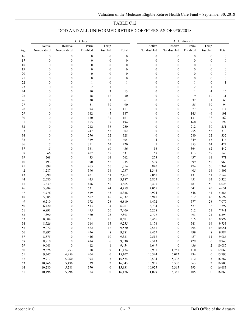| DOD AND ALL UNIFORMED RETIRED OFFICERS AS OF 9/30/2018 |  |  |
|--------------------------------------------------------|--|--|
|                                                        |  |  |

|        |                  |                  | DoD Only         |                  |                  | All Uniformed    |                  |                  |                  |                  |  |
|--------|------------------|------------------|------------------|------------------|------------------|------------------|------------------|------------------|------------------|------------------|--|
|        | Active           | Reserve          | Perm             | Temp             |                  | Active           | Reserve          | Perm             | Temp             |                  |  |
| Age    | Nondisabled      | Nondisabled      | Disabled         | Disabled         | Total            | Nondisabled      | Nondisabled      | Disabled         | Disabled         | Total            |  |
| 16     | $\boldsymbol{0}$ | $\boldsymbol{0}$ | $\boldsymbol{0}$ | $\boldsymbol{0}$ | $\boldsymbol{0}$ | $\boldsymbol{0}$ | $\boldsymbol{0}$ | $\boldsymbol{0}$ | $\boldsymbol{0}$ | $\boldsymbol{0}$ |  |
| 17     | $\boldsymbol{0}$ | $\boldsymbol{0}$ | $\boldsymbol{0}$ | $\boldsymbol{0}$ | $\boldsymbol{0}$ | $\boldsymbol{0}$ | $\boldsymbol{0}$ | $\boldsymbol{0}$ | $\boldsymbol{0}$ | $\boldsymbol{0}$ |  |
| $18\,$ | $\boldsymbol{0}$ | $\boldsymbol{0}$ | $\boldsymbol{0}$ | $\boldsymbol{0}$ | $\boldsymbol{0}$ | $\boldsymbol{0}$ | $\boldsymbol{0}$ | $\boldsymbol{0}$ | $\boldsymbol{0}$ | $\boldsymbol{0}$ |  |
| 19     | $\boldsymbol{0}$ | $\boldsymbol{0}$ | $\boldsymbol{0}$ | $\boldsymbol{0}$ | $\boldsymbol{0}$ | $\boldsymbol{0}$ | $\boldsymbol{0}$ | $\boldsymbol{0}$ | $\boldsymbol{0}$ | $\boldsymbol{0}$ |  |
| 20     | $\boldsymbol{0}$ | $\boldsymbol{0}$ | $\boldsymbol{0}$ | $\boldsymbol{0}$ | $\boldsymbol{0}$ | $\boldsymbol{0}$ | $\boldsymbol{0}$ | $\boldsymbol{0}$ | $\boldsymbol{0}$ | $\boldsymbol{0}$ |  |
| 21     | $\mathbf{0}$     | $\boldsymbol{0}$ | $\boldsymbol{0}$ | $\boldsymbol{0}$ | $\boldsymbol{0}$ | $\boldsymbol{0}$ | $\boldsymbol{0}$ | $\boldsymbol{0}$ | $\boldsymbol{0}$ | $\boldsymbol{0}$ |  |
| $22\,$ | $\boldsymbol{0}$ | $\boldsymbol{0}$ | $\mathbf{1}$     | $\boldsymbol{0}$ | 1                | $\boldsymbol{0}$ | $\boldsymbol{0}$ | $\mathbf{1}$     | $\boldsymbol{0}$ | $\mathbf{1}$     |  |
| 23     | $\boldsymbol{0}$ | $\boldsymbol{0}$ | $\mathbf{2}$     | $\mathbf{1}$     | 3                | $\boldsymbol{0}$ | $\boldsymbol{0}$ | $\sqrt{2}$       | $\mathbf{1}$     | $\sqrt{3}$       |  |
| 24     | $\boldsymbol{0}$ | $\boldsymbol{0}$ | $10\,$           | $\sqrt{3}$       | 13               | $\boldsymbol{0}$ | $\boldsymbol{0}$ | $11\,$           | $\overline{4}$   | 15               |  |
| 25     | $\boldsymbol{0}$ | $\boldsymbol{0}$ | $18\,$           | 12               | 30               | $\boldsymbol{0}$ | $\boldsymbol{0}$ | 19               | 12               | $3\sqrt{1}$      |  |
| 26     | $\boldsymbol{0}$ | $\boldsymbol{0}$ | 30               | 31               | 61               | $\boldsymbol{0}$ | $\boldsymbol{0}$ | 32               | 31               | 63               |  |
| 27     | $\mathbf{0}$     | $\boldsymbol{0}$ | 51               | 39               | 90               | $\boldsymbol{0}$ | $\boldsymbol{0}$ | 55               | 39               | 94               |  |
| 28     | $\boldsymbol{0}$ | $\boldsymbol{0}$ | 74               | 37               | 111              | $\boldsymbol{0}$ | $\boldsymbol{0}$ | 77               | 37               | 114              |  |
| 29     | $\boldsymbol{0}$ | $\boldsymbol{0}$ | 142              | 45               | 187              | $\boldsymbol{0}$ | $\boldsymbol{0}$ | 145              | 46               | 191              |  |
| 30     | $\boldsymbol{0}$ | $\boldsymbol{0}$ | 130              | 37               | 167              | $\boldsymbol{0}$ | $\boldsymbol{0}$ | 131              | 38               | 169              |  |
| $31\,$ | $\boldsymbol{0}$ | $\boldsymbol{0}$ | 155              | 39               | 194              | $\boldsymbol{0}$ | $\boldsymbol{0}$ | 160              | 39               | 199              |  |
| 32     | $\boldsymbol{0}$ | $\boldsymbol{0}$ | 212              | 38               | 250              | $\boldsymbol{0}$ | $\boldsymbol{0}$ | 212              | 39               | 251              |  |
| 33     | $\boldsymbol{0}$ | $\boldsymbol{0}$ | 247              | 55               | 302              | $\boldsymbol{0}$ | $\boldsymbol{0}$ | 255              | 55               | 310              |  |
| 34     | $\boldsymbol{0}$ | $\boldsymbol{0}$ | 276              | 52               | 328              | $\boldsymbol{0}$ | $\boldsymbol{0}$ | 280              | 52               | 332              |  |
| 35     | 4                | $\boldsymbol{0}$ | 339              | 62               | 405              | $\overline{4}$   | $\boldsymbol{0}$ | 349              | 63               | 416              |  |
| 36     | $\tau$           | $\boldsymbol{0}$ | 351              | 62               | 420              | $\tau$           | $\boldsymbol{0}$ | 353              | 64               | 424              |  |
| 37     | 15               | $\boldsymbol{0}$ | 361              | 60               | 436              | 16               | $\boldsymbol{0}$ | 364              | 62               | 442              |  |
| 38     | 66               | $\boldsymbol{0}$ | 407              | 58               | 531              | 68               | $\boldsymbol{0}$ | 413              | 59               | 540              |  |
| 39     | 268              | $\boldsymbol{0}$ | 433              | 61               | 762              | 273              | $\boldsymbol{0}$ | 437              | 61               | 771              |  |
| 40     | 493              | $\boldsymbol{0}$ | 390              | 52               | 935              | 509              | $\boldsymbol{0}$ | 399              | 52               | 960              |  |
| 41     | 799              | $\boldsymbol{0}$ | 465              | 50               | 1,314            | 840              | $\boldsymbol{0}$ | 474              | 50               | 1,364            |  |
| 42     | 1,287            | $\boldsymbol{0}$ | 396              | 54               | 1,737            | 1,346            | $\boldsymbol{0}$ | 405              | 54               | 1,805            |  |
| 43     | 1,990            | $\boldsymbol{0}$ | 421              | 51               | 2,462            | 2,060            | $\boldsymbol{0}$ | 431              | 51               | 2,542            |  |
| 44     | 2,680            | $\boldsymbol{0}$ | 445              | 62               | 3,187            | 2,805            | $\boldsymbol{0}$ | 451              | 64               | 3,320            |  |
| 45     | 3,339            | $\boldsymbol{0}$ | 476              | 50               | 3,865            | 3,495            | $\boldsymbol{0}$ | 481              | 50               | 4,026            |  |
| 46     | 3,884            | $\boldsymbol{0}$ | 531              | 44               | 4,459            | 4,065            | $\boldsymbol{0}$ | 541              | 45               | 4,651            |  |
| 47     | 4,776            | $\boldsymbol{0}$ | 539              | 43               | 5,358            | 4,994            | $\boldsymbol{0}$ | 548              | 44               | 5,586            |  |
| 48     | 5,685            | $\boldsymbol{0}$ | 602              | 45               | 6,332            | 5,940            | $\boldsymbol{0}$ | 612              | 45               | 6,597            |  |
| 49     | 6,210            | $\boldsymbol{0}$ | 572              | 28               | 6,810            | 6,472            | $\boldsymbol{0}$ | 577              | 28               | 7,077            |  |
| 50     | 6,420            | $\boldsymbol{0}$ | 513              | 34               | 6,967            | 6,734            | $\boldsymbol{0}$ | 527              | 36               | 7,297            |  |
| 51     | 6,891            | $\boldsymbol{0}$ | 495              | 20               | 7,406            | 7,208            | $\boldsymbol{0}$ | 512              | 21               | 7,741            |  |
| 52     | 7,390            | $\boldsymbol{0}$ | 480              | 23               | 7,893            | 7,777            | $\boldsymbol{0}$ | 493              | 24               | 8,294            |  |
| 53     | 8,084            | $\mathbf{0}$     | 501              | 16               | 8,601            | 8,466            | $\mathbf{0}$     | 515              | 16               | 8,997            |  |
| 54     | 8,726            | $\boldsymbol{0}$ | 514              | 15               | 9,255            | 9,176            | $\boldsymbol{0}$ | 541              | 16               | 9,733            |  |
| 55     | 9,072            | $\boldsymbol{0}$ | 482              | $16\,$           | 9,570            | 9,541            | $\boldsymbol{0}$ | 494              | 16               | 10,051           |  |
| 56     | 8,897            | $\boldsymbol{0}$ | 476              | $\,$ 8 $\,$      | 9,381            | 9,477            | $\boldsymbol{0}$ | 499              | $\,8\,$          | 9,984            |  |
| 57     | 8,875            | $\boldsymbol{0}$ | 446              | $10\,$           | 9,331            | 9,518            | $\boldsymbol{0}$ | 457              | 11               | 9,986            |  |
| 58     | 8,910            | $\boldsymbol{0}$ | 414              | 6                | 9,330            | 9,513            | $\boldsymbol{0}$ | 429              | 6                | 9,948            |  |
| 59     | 9,041            | $\boldsymbol{0}$ | 412              | $\mathbf{1}$     | 9,454            | 9,649            | $\boldsymbol{0}$ | 436              | $\overline{c}$   | 10,087           |  |
| 60     | 9,326            | 1,753            | 388              | $\boldsymbol{7}$ | 11,474           | 9,901            | 1,751            | 410              | 7                | 12,069           |  |
| 61     | 9,747            | 4,956            | 404              | $\boldsymbol{0}$ | 15,107           | 10,344           | 5,012            | 434              | $\boldsymbol{0}$ | 15,790           |  |
| 62     | 9,917            | 5,260            | 394              | 3                | 15,574           | 10,534           | 5,338            | 412              | 3                | 16,287           |  |
| 63     | 10,266           | 5,436            | 339              | $\boldsymbol{2}$ | 16,043           | 10,905           | 5,530            | 363              | 2                | 16,800           |  |
| 64     | 10,280           | 5,281            | 370              | $\boldsymbol{0}$ | 15,931           | 10,925           | 5,365            | 393              | $\boldsymbol{0}$ | 16,683           |  |
| 65     | 10,496           | 5,296            | 384              | $\boldsymbol{0}$ | 16,176           | 11,079           | 5,385            | 405              | $\mathbf{0}$     | 16,869           |  |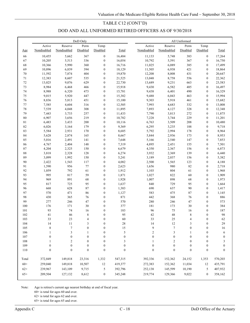## TABLE C12 (CONT'D)

# DOD AND ALL UNIFORMED RETIRED OFFICERS AS OF 9/30/2018

|             |                  |                  | DoD Only         |                                      |                  | All Uniformed    |                  |                   |                                      |                  |  |
|-------------|------------------|------------------|------------------|--------------------------------------|------------------|------------------|------------------|-------------------|--------------------------------------|------------------|--|
|             | Active           | Reserve          | Perm             | Temp                                 |                  | Active           | Reserve          | Perm              | Temp                                 |                  |  |
| Age         | Nondisabled      | Nondisabled      | Disabled         | Disabled                             | Total            | Nondisabled      | Nondisabled      | Disabled          | Disabled                             | Total            |  |
| 66          | 10,455           | 5,662            | 367              | $\boldsymbol{0}$                     | 16,484           | 11,133           | 5,748            | 383               | $\boldsymbol{0}$                     | 17,264           |  |
| 67          | 10,205           | 5,513            | 336              | $\boldsymbol{0}$                     | 16,054           | 10,792           | 5,591            | 367               | $\overline{0}$                       | 16,750           |  |
| 68          | 10,366           | 5,990            | 360              | $\boldsymbol{0}$                     | 16,716           | 11,025           | 6,089            | 385               | $\overline{0}$                       | 17,499           |  |
| 69          | 10,896           | 6,839            | 394              | $\boldsymbol{0}$                     | 18,129           | 11,505           | 6,938            | 421               | $\overline{0}$                       | 18,864           |  |
| $70\,$      | 11,592           | 7,874            | 404              | $\boldsymbol{0}$                     | 19,870           | 12,208           | 8,008            | 431               | $\boldsymbol{0}$                     | 20,647           |  |
| 71          | 12,383           | 8,607            | 535              | $\boldsymbol{0}$                     | 21,525           | 13,048           | 8,758            | 556               | $\boldsymbol{0}$                     | 22,362           |  |
| $72\,$      | 13,025           | 9,076            | 629              | $\boldsymbol{0}$                     | 22,730           | 13,689           | 9,231            | 663               | $\boldsymbol{0}$                     | 23,583           |  |
| 73          | 8,984            | 6,468            | 466              | $\boldsymbol{0}$                     | 15,918           | 9,430            | 6,582            | 485               | $\boldsymbol{0}$                     | 16,497           |  |
| 74          | 8,988            | 6,320            | 473              | $\boldsymbol{0}$                     | 15,781           | 9,438            | 6,401            | 490               | $\boldsymbol{0}$                     | 16,329           |  |
| 75          | 9,015            | 5,920            | 447              | $\boldsymbol{0}$                     | 15,382           | 9,488            | 6,043            | 463               | $\boldsymbol{0}$                     | 15,994           |  |
| 76          | 8,836            | 5,813            | 451              | $\boldsymbol{0}$                     | 15,100           | 9,303            | 5,918            | 461               | $\boldsymbol{0}$                     | 15,682           |  |
| 77          | 7,585            | 4,604            | 316              | $\boldsymbol{0}$                     | 12,505           | 7,993            | 4,683            | 332               | $\overline{0}$                       | 13,008           |  |
| 78          | 7,539            | 4,048            | 308              | $\boldsymbol{0}$                     | 11,895           | 7,893            | 4,127            | 328               | $\boldsymbol{0}$                     | 12,348           |  |
| 79          | 7,443            | 3,733            | 257              | $\boldsymbol{0}$                     | 11,433           | 7,790            | 3,813            | 272               | $\overline{0}$                       | 11,875           |  |
| $80\,$      | 6,907            | 3,656            | 219              | $\boldsymbol{0}$                     | 10,782           | 7,228            | 3,744            | 229               | $\boldsymbol{0}$                     | 11,201           |  |
| $8\sqrt{1}$ | 6,483            | 3,433            | 200              | $\boldsymbol{0}$                     | 10,116           | 6,763            | 3,509            | 208               | $\boldsymbol{0}$                     | 10,480           |  |
| 82          | 6,026            | 3,164            | 179              | $\boldsymbol{0}$                     | 9,369            | 6,295            | 3,235            | 188               | $\boldsymbol{0}$                     | 9,718            |  |
| 83          | 5,584            | 2,931            | 170              | $\boldsymbol{0}$                     | 8,685            | 5,792            | 2,994            | 178               | $\boldsymbol{0}$                     | 8,964            |  |
| 84          | 5,628            | 2,874            | 165              | $\boldsymbol{0}$                     | 8,667            | 5,844            | 2,936            | 173               | $\boldsymbol{0}$                     | 8,953            |  |
| 85          | 5,016            | 2,491            | 141              | $\boldsymbol{0}$                     | 7,648            | 5,166            | 2,540            | 147               | $\boldsymbol{0}$                     | 7,853            |  |
| 86          | 4,767            | 2,404            | 148              | $\boldsymbol{0}$                     | 7,319            | 4,895            | 2,451            | 155               | $\boldsymbol{0}$                     | 7,501            |  |
| 87          | 4,204            | 2,325            | 150              | $\boldsymbol{0}$                     | 6,679            | 4,350            | 2,367            | 156               | $\boldsymbol{0}$                     | 6,873            |  |
| 88          | 3,818            | 2,328            | 128              | $\boldsymbol{0}$                     | 6,274            | 3,932            | 2,369            | 139               | $\boldsymbol{0}$                     | 6,440            |  |
| 89          | 3,099            | 1,992            | 150              | $\boldsymbol{0}$                     | 5,241            | 3,189            | 2,037            | 156               | $\boldsymbol{0}$                     | 5,382            |  |
| 90          | 2,422            | 1,543            | 117              | $\boldsymbol{0}$                     | 4,082            | 2,500            | 1,565            | 123               | $\boldsymbol{0}$                     | 4,188            |  |
| 91          | 1,590            | 956              | 77               | $\boldsymbol{0}$                     | 2,623            | 1,656            | 980              | 82                | $\boldsymbol{0}$                     | 2,718            |  |
| 92          | 1,059            | 792              | 61               | $\boldsymbol{0}$                     | 1,912            | 1,103            | 804              | 61                | $\boldsymbol{0}$                     | 1,968            |  |
| 93          | 995              | 817              | 59               | $\boldsymbol{0}$                     | 1,871            | 1,027            | 822              | 60                | $\boldsymbol{0}$                     | 1,909            |  |
| 94          | 969              | 891              | 68               | $\boldsymbol{0}$                     | 1,928            | 1,007            | 898              | 68                | $\boldsymbol{0}$                     | 1,973            |  |
| 95          | 817              | 725              | 95               | $\boldsymbol{0}$                     | 1,637            | 840              | 729              | 95                | $\boldsymbol{0}$                     | 1,664            |  |
| 96          | 668              | 628              | 87               | $\boldsymbol{0}$                     | 1,383            | 690              | 637              | 90                | $\boldsymbol{0}$                     | 1,417            |  |
| 97          | 570              | 471              | 86               | $\boldsymbol{0}$                     | 1,127            | 583              | 475              | 87                | $\boldsymbol{0}$                     | 1,145            |  |
| 98          | 430              | 365              | 76               | $\boldsymbol{0}$                     | 871              | 442              | 368              | 76                | $\boldsymbol{0}$                     | 886              |  |
| 99          | 277              | 246              | 47               | $\boldsymbol{0}$                     | 570<br>377       | 280              | 246              | 47                | $\boldsymbol{0}$                     | 573              |  |
| 100         | 176              | 171              | 30               | $\boldsymbol{0}$                     |                  | 181              | 173              | 30                | $\boldsymbol{0}$                     | 384<br>187       |  |
| 101<br>102  | 93<br>41         | 74<br>46         | 16               | $\boldsymbol{0}$<br>$\boldsymbol{0}$ | 183<br>95        | 96<br>42         | 75<br>48         | 16<br>$\,$ 8 $\,$ | $\boldsymbol{0}$<br>$\boldsymbol{0}$ | 98               |  |
| 103         | 33               | 23               | $\,$ 8 $\,$<br>4 | $\Omega$                             | 60               | 33               | 25               | 4                 | $\Omega$                             | 62               |  |
| 104         | 14               | 11               | 3                | $\boldsymbol{0}$                     | 28               | 14               | 12               | 3                 | $\boldsymbol{0}$                     | 29               |  |
| 105         | $\,$ $\,$        | $\boldsymbol{7}$ | $\boldsymbol{0}$ | $\boldsymbol{0}$                     | 15               | 9                | $\boldsymbol{7}$ | $\boldsymbol{0}$  | $\boldsymbol{0}$                     | 16               |  |
| 106         | 1                | $\sqrt{3}$       | 1                | $\boldsymbol{0}$                     | $\sqrt{5}$       | $\mathfrak{2}$   | $\mathfrak z$    | 1                 | $\boldsymbol{0}$                     | 6                |  |
| 107         | $\boldsymbol{0}$ | $\boldsymbol{0}$ | $\boldsymbol{0}$ | $\boldsymbol{0}$                     | $\boldsymbol{0}$ | $\boldsymbol{0}$ | $\boldsymbol{0}$ | $\boldsymbol{0}$  | $\boldsymbol{0}$                     | $\boldsymbol{0}$ |  |
| 108         | 1                | $\overline{c}$   | $\boldsymbol{0}$ | $\boldsymbol{0}$                     | 3                | 1                | $\mathbf{2}$     | $\boldsymbol{0}$  | $\boldsymbol{0}$                     | 3                |  |
| 109         | $\boldsymbol{0}$ | $\boldsymbol{0}$ | $\boldsymbol{0}$ | $\boldsymbol{0}$                     | $\boldsymbol{0}$ | $\boldsymbol{0}$ | $\boldsymbol{0}$ | $\boldsymbol{0}$  | $\boldsymbol{0}$                     | $\boldsymbol{0}$ |  |
| 110         | $\boldsymbol{0}$ | $\boldsymbol{0}$ | $\boldsymbol{0}$ | $\boldsymbol{0}$                     | $\boldsymbol{0}$ | $\boldsymbol{0}$ | $\boldsymbol{0}$ | $\boldsymbol{0}$  | $\boldsymbol{0}$                     | $\boldsymbol{0}$ |  |
|             |                  |                  |                  |                                      |                  |                  |                  |                   |                                      |                  |  |
| Total       | 372,849          | 149,818          | 23,316           | 1,332                                | 547,315          | 392,336          | 152,362          | 24,152            | 1,353                                | 570,203          |  |
| $60+$       | 259,040          | 149,818          | 10,507           | $12\,$                               | 419,377          | 272,383          | 152,362          | 11,034            | 12                                   | 435,791          |  |
| $62+$       | 239,967          | 143,109          | 9,715            | 5                                    | 392,796          | 252,138          | 145,599          | 10,190            | 5                                    | 407,932          |  |
| $65+$       | 209,504          | 127,132          | 8,612            | $\boldsymbol{0}$                     | 345,248          | 219,774          | 129,366          | 9,022             | $\boldsymbol{0}$                     | 358,162          |  |
|             |                  |                  |                  |                                      |                  |                  |                  |                   |                                      |                  |  |

Note: Age is retiree's current age nearest birthday at end of fiscal year.

60+ is total for ages 60 and over.

62+ is total for ages 62 and over.

65+ is total for ages 65 and over.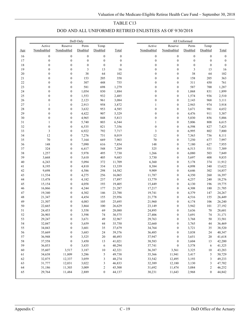# TABLE C13 DOD AND ALL UNIFORMED RETIRED ENLISTEES AS OF 9/30/2018

|          |                  |                                  | DoD Only         |                  |                  | All Uniformed    |                                      |                  |                  |                  |  |
|----------|------------------|----------------------------------|------------------|------------------|------------------|------------------|--------------------------------------|------------------|------------------|------------------|--|
|          | Active           | Reserve                          | Perm             | Temp             |                  | Active           | Reserve                              | Perm             | Temp             |                  |  |
| Age      | Nondisabled      | Nondisabled                      | Disabled         | Disabled         | Total            | Nondisabled      | Nondisabled                          | Disabled         | Disabled         | Total            |  |
| 16       | $\boldsymbol{0}$ | $\boldsymbol{0}$                 | $\boldsymbol{0}$ | $\boldsymbol{0}$ | $\boldsymbol{0}$ | $\boldsymbol{0}$ | $\boldsymbol{0}$                     | $\boldsymbol{0}$ | $\boldsymbol{0}$ | $\boldsymbol{0}$ |  |
| 17       | $\boldsymbol{0}$ | $\boldsymbol{0}$                 | $\boldsymbol{0}$ | $\boldsymbol{0}$ | $\boldsymbol{0}$ | $\boldsymbol{0}$ | $\boldsymbol{0}$                     | $\boldsymbol{0}$ | $\boldsymbol{0}$ | $\boldsymbol{0}$ |  |
| 18       | $\boldsymbol{0}$ | $\boldsymbol{0}$                 | $\boldsymbol{0}$ | $\boldsymbol{0}$ | $\boldsymbol{0}$ | $\boldsymbol{0}$ | $\boldsymbol{0}$                     | $\boldsymbol{0}$ | $\boldsymbol{0}$ | $\boldsymbol{0}$ |  |
| 19       | $\boldsymbol{0}$ | $\boldsymbol{0}$                 | $\mathfrak{Z}$   | 13               | 16               | $\boldsymbol{0}$ | $\boldsymbol{0}$                     | $\mathfrak{Z}$   | 13               | 16               |  |
| $20\,$   | $\boldsymbol{0}$ | $\boldsymbol{0}$                 | 38               | 64               | 102              | $\boldsymbol{0}$ | $\boldsymbol{0}$                     | 38               | 64               | 102              |  |
| 21       | $\boldsymbol{0}$ | $\boldsymbol{0}$                 | 153              | 205              | 358              | $\boldsymbol{0}$ | $\boldsymbol{0}$                     | 158              | 205              | 363              |  |
| $22\,$   | $\boldsymbol{0}$ | $\boldsymbol{0}$                 | 307              | 448              | 755              | $\boldsymbol{0}$ | $\boldsymbol{0}$                     | 311              | 450              | 761              |  |
| 23       | $\boldsymbol{0}$ | $\boldsymbol{0}$                 | 581              | 698              | 1,279            | $\boldsymbol{0}$ | $\boldsymbol{0}$                     | 587              | 700              | 1,287            |  |
| 24       | $\boldsymbol{0}$ | $\boldsymbol{0}$                 | 1,054            | 830              | 1,884            | $\boldsymbol{0}$ | $\boldsymbol{0}$                     | 1,068            | 831              | 1,899            |  |
| 25       | $\boldsymbol{0}$ | $\boldsymbol{0}$                 | 1,553            | 932              | 2,485            | $\boldsymbol{0}$ | $\boldsymbol{0}$                     | 1,574            | 936              | 2,510            |  |
| 26       | $\boldsymbol{0}$ | $\boldsymbol{0}$                 | 2,123            | 961              | 3,084            | $\boldsymbol{0}$ | $\boldsymbol{0}$                     | 2,143            | 968              | 3,111            |  |
| $27\,$   | 1                | $\boldsymbol{0}$                 | 2,913            | 958              | 3,872            | 1                | $\boldsymbol{0}$                     | 2,943            | 974              | 3,918            |  |
| $28\,$   | $\boldsymbol{0}$ | $\boldsymbol{0}$                 | 3,632            | 953              | 4,585            | $\boldsymbol{0}$ | $\boldsymbol{0}$                     | 3,671            | 981              | 4,652            |  |
| 29       | $\boldsymbol{0}$ | $\boldsymbol{0}$                 | 4,422            | 907              | 5,329            | $\boldsymbol{0}$ | $\boldsymbol{0}$                     | 4,476            | 911              | 5,387            |  |
| $30\,$   | $\boldsymbol{0}$ | $\boldsymbol{0}$                 | 4,965            | 848              | 5,813            | $\boldsymbol{0}$ | $\boldsymbol{0}$                     | 5,030            | 856              | 5,886            |  |
| 31       | 1                | $\boldsymbol{0}$                 | 5,740            | 803              | 6,544            | $\mathbf{1}$     | $\boldsymbol{0}$                     | 5,806            | 808              | 6,615            |  |
| 32       | $\boldsymbol{0}$ | $\boldsymbol{0}$                 | 6,535            | 821              | 7,356            | $\boldsymbol{0}$ | $\boldsymbol{0}$                     | 6,598            | 827              | 7,425            |  |
| 33       | 3                | $\boldsymbol{0}$                 | 6,922            | 792              | 7,717            | 3                | $\boldsymbol{0}$                     | 6,995            | 802              | 7,800            |  |
| 34       | 12               | $\boldsymbol{0}$                 | 7,276            | 731              | 8,019            | $12\,$           | $\boldsymbol{0}$                     | 7,363            | 736              | 8,111            |  |
| 35       | $70\,$           | $\boldsymbol{0}$                 | 7,164            | 669              | 7,903            | $70\,$           | $\boldsymbol{0}$                     | 7,250            | 677              | 7,997            |  |
| 36       | 148              | $\boldsymbol{0}$                 | 7,090            | 616              | 7,854            | 148              | $\boldsymbol{0}$                     | 7,180            | 627              | 7,955            |  |
| 37       | 324              | $\boldsymbol{0}$                 | 6,417            | 548              | 7,289            | 325              | $\boldsymbol{0}$                     | 6,513            | 551              | 7,389            |  |
| 38       | 1,257            | $\boldsymbol{0}$                 | 5,978            | 495              | 7,730            | 1,266            | $\boldsymbol{0}$                     | 6,080            | 503              | 7,849            |  |
| 39       | 3,668            | $\boldsymbol{0}$                 | 5,610            | 405              | 9,683            | 3,730            | $\boldsymbol{0}$                     | 5,697            | 408              | 9,835            |  |
| $40\,$   | 6,243            | $\boldsymbol{0}$                 | 5,094            | 372              | 11,709           | 6,360            | $\boldsymbol{0}$                     | 5,178            | 374              | 11,912           |  |
| 41       | 8,195            | $\boldsymbol{0}$                 | 4,810            | 334              | 13,339           | 8,384            | $\boldsymbol{0}$                     | 4,898            | 340              | 13,622           |  |
| 42       | 9,698            | $\boldsymbol{0}$                 | 4,586            | 298              | 14,582           | 9,909            | $\boldsymbol{0}$                     | 4,646            | 302              | 14,857           |  |
| 43       | 11,534           | $\boldsymbol{0}$                 | 4,275            | 256              | 16,065           | 11,787           | $\boldsymbol{0}$                     | 4,350            | 260              | 16,397           |  |
| 44       | 13,478           | $\boldsymbol{0}$                 | 4,182            | 237              | 17,897           | 13,779           | $\boldsymbol{0}$                     | 4,257            | 240              | 18,276           |  |
| 45       | 15,154           | $\boldsymbol{0}$                 | 4,058            | 193              | 19,405           | 15,449           | $\boldsymbol{0}$                     | 4,130            | 196              | 19,775           |  |
| 46       | 16,866           | $\boldsymbol{0}$                 | 4,244            | 177              | 21,287           | 17,217           | $\boldsymbol{0}$                     | 4,308            | 180              | 21,705           |  |
| 47       | 19,340           | $\boldsymbol{0}$                 | 4,302            | 146              | 23,788           | 19,741           | $\boldsymbol{0}$                     | 4,379            | 147              | 24,267           |  |
| 48       | 21,347           | $\boldsymbol{0}$                 | 4,454            | 155              | 25,956           | 21,778           | $\boldsymbol{0}$                     | 4,516            | 155              | 26,449           |  |
| 49       | 21,507           | $\boldsymbol{0}$                 | 4,083            | 105              | 25,695           | 21,960           | $\boldsymbol{0}$                     | 4,174            | 106              | 26,240           |  |
| 50       | 22,665           | $\boldsymbol{0}$                 | 3,864            | 100              | 26,629           | 23,149           | $\boldsymbol{0}$                     | 3,942            | 101              | 27,192           |  |
| 51<br>52 | 24,453<br>26,903 | $\boldsymbol{0}$                 | 3,558<br>3,598   | 69<br>74         | 28,080           | 24,895           | $\boldsymbol{0}$<br>$\boldsymbol{0}$ | 3,636            | 70<br>74         | 28,601           |  |
| 53       | 29,247           | $\boldsymbol{0}$<br>$\mathbf{0}$ | 3,671            | 49               | 30,575<br>32,967 | 27,406<br>29,763 | $\mathbf{0}$                         | 3,691<br>3,768   | 50               | 31,171           |  |
| 54       | 32,047           | $\boldsymbol{0}$                 | 3,659            | 44               | 35,750           | 32,660           | $\boldsymbol{0}$                     | 3,765            | 44               | 33,581<br>36,469 |  |
| 55       | 34,043           | $\boldsymbol{0}$                 | 3,601            | 35               | 37,679           | 34,764           | $\boldsymbol{0}$                     | 3,721            | 35               | 38,520           |  |
| 56       | 35,669           | $\boldsymbol{0}$                 | 3,683            | 24               | 39,376           | 36,485           | $\boldsymbol{0}$                     | 3,838            | 24               | 40,347           |  |
| 57       | 36,948           | $\boldsymbol{0}$                 | 3,525            | 20               | 40,493           | 37,947           | $\boldsymbol{0}$                     | 3,651            | 20               | 41,618           |  |
| 58       | 37,558           | $\boldsymbol{0}$                 | 3,450            | 13               | 41,021           | 38,583           | $\boldsymbol{0}$                     | 3,604            | 13               | 42,200           |  |
| 59       | 36,853           | $\boldsymbol{0}$                 | 3,435            | 6                | 40,294           | 37,741           | $\boldsymbol{0}$                     | 3,578            | 6                | 41,325           |  |
| 60       | 35,607           | 3,517                            | 3,187            | $10\,$           | 42,321           | 36,387           | 3,561                                | 3,325            | 10               | 43,283           |  |
| 61       | 34,638           | 11,809                           | 3,286            | $\sqrt{5}$       | 49,738           | 35,366           | 11,941                               | 3,417            | 5                | 50,729           |  |
| 62       | 32,875           | 12,337                           | 3,059            | 3                | 48,274           | 33,542           | 12,495                               | 3,193            | 3                | 49,233           |  |
| 63       | 31,777           | 12,031                           | 3,022            | 3                | 46,833           | 32,389           | 12,180                               | 3,130            | 3                | 47,702           |  |
| 64       | 31,186           | 11,303                           | 3,009            | $\sqrt{2}$       | 45,500           | 31,692           | 11,474                               | 3,084            | $\mathbf{2}$     | 46,252           |  |
| 65       | 29,764           | 11,484                           | 2,889            | $\boldsymbol{0}$ | 44,137           | 30,231           | 11,643                               | 2,968            | $\boldsymbol{0}$ | 44,842           |  |
|          |                  |                                  |                  |                  |                  |                  |                                      |                  |                  |                  |  |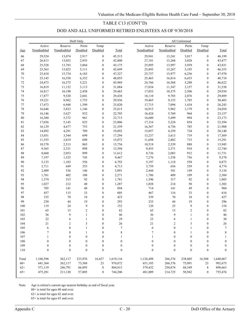# TABLE C13 (CONT'D) DOD AND ALL UNIFORMED RETIRED ENLISTEES AS OF 9/30/2018

| Reserve<br>Active<br>Temp<br>Active<br>Reserve<br>Temp<br>Perm<br>Perm<br>Nondisabled<br>Nondisabled<br>Disabled<br>Disabled<br>Nondisabled<br>Nondisabled<br>Disabled<br>Disabled<br>Total<br>Total<br>Age<br>13,074<br>2,917<br>$\boldsymbol{0}$<br>45,515<br>29,941<br>3,017<br>$\boldsymbol{0}$<br>46,199<br>66<br>29,524<br>13,241<br>$\boldsymbol{0}$<br>$\boldsymbol{0}$<br>67<br>26,813<br>13,052<br>2,935<br>42,800<br>27,181<br>13,268<br>3,028<br>43,477<br>$\mathbf{0}$<br>3,939<br>$\boldsymbol{0}$<br>68<br>25,528<br>13,783<br>3,864<br>43,175<br>25,895<br>13,997<br>43,831<br>$\boldsymbol{0}$<br>69<br>25,563<br>15,025<br>5,111<br>$\mathbf{0}$<br>45,699<br>25,893<br>15,267<br>5,193<br>46,353<br>$70\,$<br>25,737<br>6,256<br>25,410<br>15,734<br>6,183<br>$\boldsymbol{0}$<br>47,327<br>15,977<br>$\boldsymbol{0}$<br>47,970<br>16,558<br>$\boldsymbol{0}$<br>48,055<br>16,814<br>6,433<br>$\boldsymbol{0}$<br>48,710<br>71<br>25,145<br>6,352<br>25,463<br>72<br>$\mathbf{0}$<br>45,969<br>5,288<br>$\boldsymbol{0}$<br>24,473<br>16,275<br>5,221<br>24,766<br>16,568<br>46,622<br>73<br>$\mathbf{0}$<br>$\boldsymbol{0}$<br>16,819<br>11,152<br>3,113<br>31,084<br>17,034<br>11,347<br>3,157<br>31,538<br>74<br>$\mathbf{0}$<br>$\boldsymbol{0}$<br>16,817<br>10,190<br>2,458<br>29,465<br>17,053<br>10,375<br>2,506<br>29,934<br>75<br>$\boldsymbol{0}$<br>2,076<br>$\boldsymbol{0}$<br>17,877<br>9,520<br>2,041<br>29,438<br>18,110<br>9,703<br>29,889<br>76<br>19,221<br>$\boldsymbol{0}$<br>29,936<br>1,785<br>$\boldsymbol{0}$<br>8,962<br>1,753<br>19,465<br>9,153<br>30,403<br>77<br>$\mathbf{0}$<br>1,434<br>$\boldsymbol{0}$<br>17,473<br>6,948<br>1,399<br>25,820<br>17,715<br>7,094<br>26,243<br>$78\,$<br>$\mathbf{0}$<br>$\boldsymbol{0}$<br>16,646<br>5,823<br>23,615<br>16,913<br>5,962<br>1,179<br>24,054<br>1,146<br>$\mathbf{0}$<br>5,769<br>964<br>$\boldsymbol{0}$<br>79<br>16,146<br>5,627<br>932<br>22,705<br>16,424<br>23,157<br>80<br>961<br>22,713<br>16,680<br>5,499<br>994<br>16,380<br>5,372<br>$\boldsymbol{0}$<br>$\boldsymbol{0}$<br>23,173<br>825<br>$\boldsymbol{0}$<br>23,006<br>17,316<br>5,224<br>854<br>$\boldsymbol{0}$<br>81<br>17,036<br>5,145<br>23,394<br>82<br>4,677<br>753<br>$\mathbf{0}$<br>785<br>$\boldsymbol{0}$<br>16,129<br>21,559<br>16,367<br>4,756<br>21,908<br>709<br>$\mathbf{0}$<br>724<br>$\boldsymbol{0}$<br>83<br>14,892<br>4,291<br>19,892<br>15,057<br>4,359<br>20,140<br>699<br>$\mathbf{0}$<br>719<br>$\boldsymbol{0}$<br>84<br>13,051<br>3,544<br>17,294<br>13,237<br>3,613<br>17,569<br>85<br>698<br>$\boldsymbol{0}$<br>11,694<br>2,882<br>715<br>$\boldsymbol{0}$<br>11,555<br>2,819<br>15,072<br>15,291<br>10,378<br>$\boldsymbol{0}$<br>2,539<br>888<br>$\boldsymbol{0}$<br>86<br>2,513<br>865<br>13,756<br>10,518<br>13,945<br>87<br>$\mathbf{0}$<br>918<br>$\boldsymbol{0}$<br>9,365<br>2,331<br>898<br>12,594<br>9,455<br>2,371<br>12,744<br>88<br>899<br>$\mathbf{0}$<br>912<br>$\boldsymbol{0}$<br>8,660<br>2,053<br>11,612<br>8,736<br>2,083<br>11,731<br>$\mathbf{0}$<br>$\boldsymbol{0}$<br>9,570<br>89<br>7,197<br>1,525<br>745<br>9,467<br>7,276<br>1,538<br>756<br>90<br>5,133<br>556<br>$\boldsymbol{0}$<br>5,197<br>558<br>6,873<br>1,103<br>6,792<br>1,118<br>$\boldsymbol{0}$<br>3,711<br>649<br>353<br>$\boldsymbol{0}$<br>4,713<br>3,759<br>656<br>359<br>$\boldsymbol{0}$<br>4,774<br>91<br>92<br>2,409<br>146<br>$\boldsymbol{0}$<br>3,091<br>2,444<br>541<br>149<br>$\boldsymbol{0}$<br>3,134<br>536<br>402<br>$\boldsymbol{0}$<br>409<br>$\boldsymbol{0}$<br>2,304<br>93<br>1,761<br>108<br>2,271<br>1,786<br>109<br>92<br>$\boldsymbol{0}$<br>$\boldsymbol{0}$<br>94<br>1,374<br>315<br>1,781<br>1,396<br>317<br>92<br>1,805<br>95<br>1,027<br>212<br>48<br>$\boldsymbol{0}$<br>1,287<br>214<br>$50\,$<br>1,302<br>1,038<br>$\boldsymbol{0}$<br>705<br>48<br>$\boldsymbol{0}$<br>894<br>141<br>49<br>$\boldsymbol{0}$<br>904<br>96<br>141<br>714<br>97<br>457<br>33<br>$\boldsymbol{0}$<br>605<br>33<br>$\boldsymbol{0}$<br>616<br>115<br>467<br>116<br>70<br>18<br>$\boldsymbol{0}$<br>70<br>18<br>$\boldsymbol{0}$<br>427<br>98<br>335<br>423<br>339<br>44<br>$\mathbf{0}$<br>293<br>19<br>$\boldsymbol{0}$<br>296<br>99<br>230<br>19<br>233<br>44<br>9<br>119<br>24<br>$\boldsymbol{0}$<br>152<br>120<br>25<br>9<br>$\boldsymbol{0}$<br>154<br>100<br>82<br>65<br>15<br>$\boldsymbol{2}$<br>$\boldsymbol{0}$<br>65<br>15<br>$\boldsymbol{2}$<br>$\boldsymbol{0}$<br>82<br>101<br>9<br>$\boldsymbol{0}$<br>46<br>9<br>102<br>36<br>$\mathbf{1}$<br>36<br>$\mathbf{1}$<br>$\boldsymbol{0}$<br>46<br>22<br>$\mathbf{0}$<br>29<br>30<br>103<br>6<br>23<br>6<br>0<br>$\overline{\mathbf{c}}$<br>26<br>$21\,$<br>104<br>21<br>3<br>$\boldsymbol{0}$<br>$\overline{c}$<br>3<br>$\boldsymbol{0}$<br>26<br>$\epsilon$<br>$\boldsymbol{0}$<br>$\tau$<br>6<br>$\tau$<br>105<br>$\boldsymbol{0}$<br>$\boldsymbol{0}$<br>1<br>$\boldsymbol{0}$<br>1<br>7<br>$\boldsymbol{0}$<br>$\,$ 8 $\,$<br>8<br>106<br>$\mathbf{1}$<br>$\boldsymbol{0}$<br>7<br>$\boldsymbol{0}$<br>0<br>1<br>$\boldsymbol{0}$<br>107<br>$\boldsymbol{0}$<br>$\boldsymbol{0}$<br>$\mathbf{1}$<br>$\boldsymbol{0}$<br>$\boldsymbol{0}$<br>$\boldsymbol{0}$<br>1<br>1<br>1<br>$\mathbf{0}$<br>$\boldsymbol{0}$<br>108<br>$\boldsymbol{0}$<br>$\boldsymbol{0}$<br>$\boldsymbol{0}$<br>$\mathbf{0}$<br>$\mathbf{0}$<br>$\boldsymbol{0}$<br>$\boldsymbol{0}$<br>$\boldsymbol{0}$<br>109<br>$\boldsymbol{0}$<br>$\boldsymbol{0}$<br>$\boldsymbol{0}$<br>$\boldsymbol{0}$<br>$\boldsymbol{0}$<br>$\boldsymbol{0}$<br>$\boldsymbol{0}$<br>$\boldsymbol{0}$<br>$\boldsymbol{0}$<br>0<br>$\boldsymbol{0}$<br>$\boldsymbol{0}$<br>$\boldsymbol{0}$<br>$\boldsymbol{0}$<br>$\boldsymbol{0}$<br>$\boldsymbol{0}$<br>$\boldsymbol{0}$<br>$\boldsymbol{0}$<br>$\boldsymbol{0}$<br>110<br>$\boldsymbol{0}$<br>233,976<br>1,106,596<br>262,117<br>16,427<br>1,619,116<br>1,126,498<br>266,376<br>238,605<br>16,588<br>1,648,067<br>Total<br>$60+$<br>641,364<br>262,117<br>73,368<br>23<br>976,872<br>75,091<br>23<br>992,675<br>651,185<br>266,376<br>$62+$<br>571,119<br>246,791<br>66,895<br>8<br>579,432<br>250,874<br>68,349<br>8<br>898,663<br>884,813<br>$65+$<br>475,281<br>57,805<br>$\boldsymbol{0}$<br>744,206<br>481,809<br>214,725<br>58,942<br>$\boldsymbol{0}$<br>755,476<br>211,120 |  | DoD Only |  |  | All Uniformed |  |
|-------------------------------------------------------------------------------------------------------------------------------------------------------------------------------------------------------------------------------------------------------------------------------------------------------------------------------------------------------------------------------------------------------------------------------------------------------------------------------------------------------------------------------------------------------------------------------------------------------------------------------------------------------------------------------------------------------------------------------------------------------------------------------------------------------------------------------------------------------------------------------------------------------------------------------------------------------------------------------------------------------------------------------------------------------------------------------------------------------------------------------------------------------------------------------------------------------------------------------------------------------------------------------------------------------------------------------------------------------------------------------------------------------------------------------------------------------------------------------------------------------------------------------------------------------------------------------------------------------------------------------------------------------------------------------------------------------------------------------------------------------------------------------------------------------------------------------------------------------------------------------------------------------------------------------------------------------------------------------------------------------------------------------------------------------------------------------------------------------------------------------------------------------------------------------------------------------------------------------------------------------------------------------------------------------------------------------------------------------------------------------------------------------------------------------------------------------------------------------------------------------------------------------------------------------------------------------------------------------------------------------------------------------------------------------------------------------------------------------------------------------------------------------------------------------------------------------------------------------------------------------------------------------------------------------------------------------------------------------------------------------------------------------------------------------------------------------------------------------------------------------------------------------------------------------------------------------------------------------------------------------------------------------------------------------------------------------------------------------------------------------------------------------------------------------------------------------------------------------------------------------------------------------------------------------------------------------------------------------------------------------------------------------------------------------------------------------------------------------------------------------------------------------------------------------------------------------------------------------------------------------------------------------------------------------------------------------------------------------------------------------------------------------------------------------------------------------------------------------------------------------------------------------------------------------------------------------------------------------------------------------------------------------------------------------------------------------------------------------------------------------------------------------------------------------------------------------------------------------------------------------------------------------------------------------------------------------------------------------------------------------------------------------------------------------------------------------------------------------------------------------------------------------------------------------------------------------------------------------------------------------------------------------------------------------------------------------------------------------------------------------------------------------------------------------------------------------------------------------------------------------------------------------------------------------------------------------------------------------------------------------------------------------------------------------------------------------------------------------------------------------------------------------------------------------------------------------------------------------------------------------------------------------------------------------------------------------------------------------------------------------------------------------------------------------------------------------------------------------------------------------------------------------------------------------------------------------------------------------------------------------------------------------------------------------------------------------------------------------------------------------------------------------------------------------------------------------------------------------------------------------------------------------------------------------------------------------------------------------------------------------------------------------------------------------------------------------------------------------------------|--|----------|--|--|---------------|--|
|                                                                                                                                                                                                                                                                                                                                                                                                                                                                                                                                                                                                                                                                                                                                                                                                                                                                                                                                                                                                                                                                                                                                                                                                                                                                                                                                                                                                                                                                                                                                                                                                                                                                                                                                                                                                                                                                                                                                                                                                                                                                                                                                                                                                                                                                                                                                                                                                                                                                                                                                                                                                                                                                                                                                                                                                                                                                                                                                                                                                                                                                                                                                                                                                                                                                                                                                                                                                                                                                                                                                                                                                                                                                                                                                                                                                                                                                                                                                                                                                                                                                                                                                                                                                                                                                                                                                                                                                                                                                                                                                                                                                                                                                                                                                                                                                                                                                                                                                                                                                                                                                                                                                                                                                                                                                                                                                                                                                                                                                                                                                                                                                                                                                                                                                                                                                                                                                                                                                                                                                                                                                                                                                                                                                                                                                                                                                                                   |  |          |  |  |               |  |
|                                                                                                                                                                                                                                                                                                                                                                                                                                                                                                                                                                                                                                                                                                                                                                                                                                                                                                                                                                                                                                                                                                                                                                                                                                                                                                                                                                                                                                                                                                                                                                                                                                                                                                                                                                                                                                                                                                                                                                                                                                                                                                                                                                                                                                                                                                                                                                                                                                                                                                                                                                                                                                                                                                                                                                                                                                                                                                                                                                                                                                                                                                                                                                                                                                                                                                                                                                                                                                                                                                                                                                                                                                                                                                                                                                                                                                                                                                                                                                                                                                                                                                                                                                                                                                                                                                                                                                                                                                                                                                                                                                                                                                                                                                                                                                                                                                                                                                                                                                                                                                                                                                                                                                                                                                                                                                                                                                                                                                                                                                                                                                                                                                                                                                                                                                                                                                                                                                                                                                                                                                                                                                                                                                                                                                                                                                                                                                   |  |          |  |  |               |  |
|                                                                                                                                                                                                                                                                                                                                                                                                                                                                                                                                                                                                                                                                                                                                                                                                                                                                                                                                                                                                                                                                                                                                                                                                                                                                                                                                                                                                                                                                                                                                                                                                                                                                                                                                                                                                                                                                                                                                                                                                                                                                                                                                                                                                                                                                                                                                                                                                                                                                                                                                                                                                                                                                                                                                                                                                                                                                                                                                                                                                                                                                                                                                                                                                                                                                                                                                                                                                                                                                                                                                                                                                                                                                                                                                                                                                                                                                                                                                                                                                                                                                                                                                                                                                                                                                                                                                                                                                                                                                                                                                                                                                                                                                                                                                                                                                                                                                                                                                                                                                                                                                                                                                                                                                                                                                                                                                                                                                                                                                                                                                                                                                                                                                                                                                                                                                                                                                                                                                                                                                                                                                                                                                                                                                                                                                                                                                                                   |  |          |  |  |               |  |
|                                                                                                                                                                                                                                                                                                                                                                                                                                                                                                                                                                                                                                                                                                                                                                                                                                                                                                                                                                                                                                                                                                                                                                                                                                                                                                                                                                                                                                                                                                                                                                                                                                                                                                                                                                                                                                                                                                                                                                                                                                                                                                                                                                                                                                                                                                                                                                                                                                                                                                                                                                                                                                                                                                                                                                                                                                                                                                                                                                                                                                                                                                                                                                                                                                                                                                                                                                                                                                                                                                                                                                                                                                                                                                                                                                                                                                                                                                                                                                                                                                                                                                                                                                                                                                                                                                                                                                                                                                                                                                                                                                                                                                                                                                                                                                                                                                                                                                                                                                                                                                                                                                                                                                                                                                                                                                                                                                                                                                                                                                                                                                                                                                                                                                                                                                                                                                                                                                                                                                                                                                                                                                                                                                                                                                                                                                                                                                   |  |          |  |  |               |  |
|                                                                                                                                                                                                                                                                                                                                                                                                                                                                                                                                                                                                                                                                                                                                                                                                                                                                                                                                                                                                                                                                                                                                                                                                                                                                                                                                                                                                                                                                                                                                                                                                                                                                                                                                                                                                                                                                                                                                                                                                                                                                                                                                                                                                                                                                                                                                                                                                                                                                                                                                                                                                                                                                                                                                                                                                                                                                                                                                                                                                                                                                                                                                                                                                                                                                                                                                                                                                                                                                                                                                                                                                                                                                                                                                                                                                                                                                                                                                                                                                                                                                                                                                                                                                                                                                                                                                                                                                                                                                                                                                                                                                                                                                                                                                                                                                                                                                                                                                                                                                                                                                                                                                                                                                                                                                                                                                                                                                                                                                                                                                                                                                                                                                                                                                                                                                                                                                                                                                                                                                                                                                                                                                                                                                                                                                                                                                                                   |  |          |  |  |               |  |
|                                                                                                                                                                                                                                                                                                                                                                                                                                                                                                                                                                                                                                                                                                                                                                                                                                                                                                                                                                                                                                                                                                                                                                                                                                                                                                                                                                                                                                                                                                                                                                                                                                                                                                                                                                                                                                                                                                                                                                                                                                                                                                                                                                                                                                                                                                                                                                                                                                                                                                                                                                                                                                                                                                                                                                                                                                                                                                                                                                                                                                                                                                                                                                                                                                                                                                                                                                                                                                                                                                                                                                                                                                                                                                                                                                                                                                                                                                                                                                                                                                                                                                                                                                                                                                                                                                                                                                                                                                                                                                                                                                                                                                                                                                                                                                                                                                                                                                                                                                                                                                                                                                                                                                                                                                                                                                                                                                                                                                                                                                                                                                                                                                                                                                                                                                                                                                                                                                                                                                                                                                                                                                                                                                                                                                                                                                                                                                   |  |          |  |  |               |  |
|                                                                                                                                                                                                                                                                                                                                                                                                                                                                                                                                                                                                                                                                                                                                                                                                                                                                                                                                                                                                                                                                                                                                                                                                                                                                                                                                                                                                                                                                                                                                                                                                                                                                                                                                                                                                                                                                                                                                                                                                                                                                                                                                                                                                                                                                                                                                                                                                                                                                                                                                                                                                                                                                                                                                                                                                                                                                                                                                                                                                                                                                                                                                                                                                                                                                                                                                                                                                                                                                                                                                                                                                                                                                                                                                                                                                                                                                                                                                                                                                                                                                                                                                                                                                                                                                                                                                                                                                                                                                                                                                                                                                                                                                                                                                                                                                                                                                                                                                                                                                                                                                                                                                                                                                                                                                                                                                                                                                                                                                                                                                                                                                                                                                                                                                                                                                                                                                                                                                                                                                                                                                                                                                                                                                                                                                                                                                                                   |  |          |  |  |               |  |
|                                                                                                                                                                                                                                                                                                                                                                                                                                                                                                                                                                                                                                                                                                                                                                                                                                                                                                                                                                                                                                                                                                                                                                                                                                                                                                                                                                                                                                                                                                                                                                                                                                                                                                                                                                                                                                                                                                                                                                                                                                                                                                                                                                                                                                                                                                                                                                                                                                                                                                                                                                                                                                                                                                                                                                                                                                                                                                                                                                                                                                                                                                                                                                                                                                                                                                                                                                                                                                                                                                                                                                                                                                                                                                                                                                                                                                                                                                                                                                                                                                                                                                                                                                                                                                                                                                                                                                                                                                                                                                                                                                                                                                                                                                                                                                                                                                                                                                                                                                                                                                                                                                                                                                                                                                                                                                                                                                                                                                                                                                                                                                                                                                                                                                                                                                                                                                                                                                                                                                                                                                                                                                                                                                                                                                                                                                                                                                   |  |          |  |  |               |  |
|                                                                                                                                                                                                                                                                                                                                                                                                                                                                                                                                                                                                                                                                                                                                                                                                                                                                                                                                                                                                                                                                                                                                                                                                                                                                                                                                                                                                                                                                                                                                                                                                                                                                                                                                                                                                                                                                                                                                                                                                                                                                                                                                                                                                                                                                                                                                                                                                                                                                                                                                                                                                                                                                                                                                                                                                                                                                                                                                                                                                                                                                                                                                                                                                                                                                                                                                                                                                                                                                                                                                                                                                                                                                                                                                                                                                                                                                                                                                                                                                                                                                                                                                                                                                                                                                                                                                                                                                                                                                                                                                                                                                                                                                                                                                                                                                                                                                                                                                                                                                                                                                                                                                                                                                                                                                                                                                                                                                                                                                                                                                                                                                                                                                                                                                                                                                                                                                                                                                                                                                                                                                                                                                                                                                                                                                                                                                                                   |  |          |  |  |               |  |
|                                                                                                                                                                                                                                                                                                                                                                                                                                                                                                                                                                                                                                                                                                                                                                                                                                                                                                                                                                                                                                                                                                                                                                                                                                                                                                                                                                                                                                                                                                                                                                                                                                                                                                                                                                                                                                                                                                                                                                                                                                                                                                                                                                                                                                                                                                                                                                                                                                                                                                                                                                                                                                                                                                                                                                                                                                                                                                                                                                                                                                                                                                                                                                                                                                                                                                                                                                                                                                                                                                                                                                                                                                                                                                                                                                                                                                                                                                                                                                                                                                                                                                                                                                                                                                                                                                                                                                                                                                                                                                                                                                                                                                                                                                                                                                                                                                                                                                                                                                                                                                                                                                                                                                                                                                                                                                                                                                                                                                                                                                                                                                                                                                                                                                                                                                                                                                                                                                                                                                                                                                                                                                                                                                                                                                                                                                                                                                   |  |          |  |  |               |  |
|                                                                                                                                                                                                                                                                                                                                                                                                                                                                                                                                                                                                                                                                                                                                                                                                                                                                                                                                                                                                                                                                                                                                                                                                                                                                                                                                                                                                                                                                                                                                                                                                                                                                                                                                                                                                                                                                                                                                                                                                                                                                                                                                                                                                                                                                                                                                                                                                                                                                                                                                                                                                                                                                                                                                                                                                                                                                                                                                                                                                                                                                                                                                                                                                                                                                                                                                                                                                                                                                                                                                                                                                                                                                                                                                                                                                                                                                                                                                                                                                                                                                                                                                                                                                                                                                                                                                                                                                                                                                                                                                                                                                                                                                                                                                                                                                                                                                                                                                                                                                                                                                                                                                                                                                                                                                                                                                                                                                                                                                                                                                                                                                                                                                                                                                                                                                                                                                                                                                                                                                                                                                                                                                                                                                                                                                                                                                                                   |  |          |  |  |               |  |
|                                                                                                                                                                                                                                                                                                                                                                                                                                                                                                                                                                                                                                                                                                                                                                                                                                                                                                                                                                                                                                                                                                                                                                                                                                                                                                                                                                                                                                                                                                                                                                                                                                                                                                                                                                                                                                                                                                                                                                                                                                                                                                                                                                                                                                                                                                                                                                                                                                                                                                                                                                                                                                                                                                                                                                                                                                                                                                                                                                                                                                                                                                                                                                                                                                                                                                                                                                                                                                                                                                                                                                                                                                                                                                                                                                                                                                                                                                                                                                                                                                                                                                                                                                                                                                                                                                                                                                                                                                                                                                                                                                                                                                                                                                                                                                                                                                                                                                                                                                                                                                                                                                                                                                                                                                                                                                                                                                                                                                                                                                                                                                                                                                                                                                                                                                                                                                                                                                                                                                                                                                                                                                                                                                                                                                                                                                                                                                   |  |          |  |  |               |  |
|                                                                                                                                                                                                                                                                                                                                                                                                                                                                                                                                                                                                                                                                                                                                                                                                                                                                                                                                                                                                                                                                                                                                                                                                                                                                                                                                                                                                                                                                                                                                                                                                                                                                                                                                                                                                                                                                                                                                                                                                                                                                                                                                                                                                                                                                                                                                                                                                                                                                                                                                                                                                                                                                                                                                                                                                                                                                                                                                                                                                                                                                                                                                                                                                                                                                                                                                                                                                                                                                                                                                                                                                                                                                                                                                                                                                                                                                                                                                                                                                                                                                                                                                                                                                                                                                                                                                                                                                                                                                                                                                                                                                                                                                                                                                                                                                                                                                                                                                                                                                                                                                                                                                                                                                                                                                                                                                                                                                                                                                                                                                                                                                                                                                                                                                                                                                                                                                                                                                                                                                                                                                                                                                                                                                                                                                                                                                                                   |  |          |  |  |               |  |
|                                                                                                                                                                                                                                                                                                                                                                                                                                                                                                                                                                                                                                                                                                                                                                                                                                                                                                                                                                                                                                                                                                                                                                                                                                                                                                                                                                                                                                                                                                                                                                                                                                                                                                                                                                                                                                                                                                                                                                                                                                                                                                                                                                                                                                                                                                                                                                                                                                                                                                                                                                                                                                                                                                                                                                                                                                                                                                                                                                                                                                                                                                                                                                                                                                                                                                                                                                                                                                                                                                                                                                                                                                                                                                                                                                                                                                                                                                                                                                                                                                                                                                                                                                                                                                                                                                                                                                                                                                                                                                                                                                                                                                                                                                                                                                                                                                                                                                                                                                                                                                                                                                                                                                                                                                                                                                                                                                                                                                                                                                                                                                                                                                                                                                                                                                                                                                                                                                                                                                                                                                                                                                                                                                                                                                                                                                                                                                   |  |          |  |  |               |  |
|                                                                                                                                                                                                                                                                                                                                                                                                                                                                                                                                                                                                                                                                                                                                                                                                                                                                                                                                                                                                                                                                                                                                                                                                                                                                                                                                                                                                                                                                                                                                                                                                                                                                                                                                                                                                                                                                                                                                                                                                                                                                                                                                                                                                                                                                                                                                                                                                                                                                                                                                                                                                                                                                                                                                                                                                                                                                                                                                                                                                                                                                                                                                                                                                                                                                                                                                                                                                                                                                                                                                                                                                                                                                                                                                                                                                                                                                                                                                                                                                                                                                                                                                                                                                                                                                                                                                                                                                                                                                                                                                                                                                                                                                                                                                                                                                                                                                                                                                                                                                                                                                                                                                                                                                                                                                                                                                                                                                                                                                                                                                                                                                                                                                                                                                                                                                                                                                                                                                                                                                                                                                                                                                                                                                                                                                                                                                                                   |  |          |  |  |               |  |
|                                                                                                                                                                                                                                                                                                                                                                                                                                                                                                                                                                                                                                                                                                                                                                                                                                                                                                                                                                                                                                                                                                                                                                                                                                                                                                                                                                                                                                                                                                                                                                                                                                                                                                                                                                                                                                                                                                                                                                                                                                                                                                                                                                                                                                                                                                                                                                                                                                                                                                                                                                                                                                                                                                                                                                                                                                                                                                                                                                                                                                                                                                                                                                                                                                                                                                                                                                                                                                                                                                                                                                                                                                                                                                                                                                                                                                                                                                                                                                                                                                                                                                                                                                                                                                                                                                                                                                                                                                                                                                                                                                                                                                                                                                                                                                                                                                                                                                                                                                                                                                                                                                                                                                                                                                                                                                                                                                                                                                                                                                                                                                                                                                                                                                                                                                                                                                                                                                                                                                                                                                                                                                                                                                                                                                                                                                                                                                   |  |          |  |  |               |  |
|                                                                                                                                                                                                                                                                                                                                                                                                                                                                                                                                                                                                                                                                                                                                                                                                                                                                                                                                                                                                                                                                                                                                                                                                                                                                                                                                                                                                                                                                                                                                                                                                                                                                                                                                                                                                                                                                                                                                                                                                                                                                                                                                                                                                                                                                                                                                                                                                                                                                                                                                                                                                                                                                                                                                                                                                                                                                                                                                                                                                                                                                                                                                                                                                                                                                                                                                                                                                                                                                                                                                                                                                                                                                                                                                                                                                                                                                                                                                                                                                                                                                                                                                                                                                                                                                                                                                                                                                                                                                                                                                                                                                                                                                                                                                                                                                                                                                                                                                                                                                                                                                                                                                                                                                                                                                                                                                                                                                                                                                                                                                                                                                                                                                                                                                                                                                                                                                                                                                                                                                                                                                                                                                                                                                                                                                                                                                                                   |  |          |  |  |               |  |
|                                                                                                                                                                                                                                                                                                                                                                                                                                                                                                                                                                                                                                                                                                                                                                                                                                                                                                                                                                                                                                                                                                                                                                                                                                                                                                                                                                                                                                                                                                                                                                                                                                                                                                                                                                                                                                                                                                                                                                                                                                                                                                                                                                                                                                                                                                                                                                                                                                                                                                                                                                                                                                                                                                                                                                                                                                                                                                                                                                                                                                                                                                                                                                                                                                                                                                                                                                                                                                                                                                                                                                                                                                                                                                                                                                                                                                                                                                                                                                                                                                                                                                                                                                                                                                                                                                                                                                                                                                                                                                                                                                                                                                                                                                                                                                                                                                                                                                                                                                                                                                                                                                                                                                                                                                                                                                                                                                                                                                                                                                                                                                                                                                                                                                                                                                                                                                                                                                                                                                                                                                                                                                                                                                                                                                                                                                                                                                   |  |          |  |  |               |  |
|                                                                                                                                                                                                                                                                                                                                                                                                                                                                                                                                                                                                                                                                                                                                                                                                                                                                                                                                                                                                                                                                                                                                                                                                                                                                                                                                                                                                                                                                                                                                                                                                                                                                                                                                                                                                                                                                                                                                                                                                                                                                                                                                                                                                                                                                                                                                                                                                                                                                                                                                                                                                                                                                                                                                                                                                                                                                                                                                                                                                                                                                                                                                                                                                                                                                                                                                                                                                                                                                                                                                                                                                                                                                                                                                                                                                                                                                                                                                                                                                                                                                                                                                                                                                                                                                                                                                                                                                                                                                                                                                                                                                                                                                                                                                                                                                                                                                                                                                                                                                                                                                                                                                                                                                                                                                                                                                                                                                                                                                                                                                                                                                                                                                                                                                                                                                                                                                                                                                                                                                                                                                                                                                                                                                                                                                                                                                                                   |  |          |  |  |               |  |
|                                                                                                                                                                                                                                                                                                                                                                                                                                                                                                                                                                                                                                                                                                                                                                                                                                                                                                                                                                                                                                                                                                                                                                                                                                                                                                                                                                                                                                                                                                                                                                                                                                                                                                                                                                                                                                                                                                                                                                                                                                                                                                                                                                                                                                                                                                                                                                                                                                                                                                                                                                                                                                                                                                                                                                                                                                                                                                                                                                                                                                                                                                                                                                                                                                                                                                                                                                                                                                                                                                                                                                                                                                                                                                                                                                                                                                                                                                                                                                                                                                                                                                                                                                                                                                                                                                                                                                                                                                                                                                                                                                                                                                                                                                                                                                                                                                                                                                                                                                                                                                                                                                                                                                                                                                                                                                                                                                                                                                                                                                                                                                                                                                                                                                                                                                                                                                                                                                                                                                                                                                                                                                                                                                                                                                                                                                                                                                   |  |          |  |  |               |  |
|                                                                                                                                                                                                                                                                                                                                                                                                                                                                                                                                                                                                                                                                                                                                                                                                                                                                                                                                                                                                                                                                                                                                                                                                                                                                                                                                                                                                                                                                                                                                                                                                                                                                                                                                                                                                                                                                                                                                                                                                                                                                                                                                                                                                                                                                                                                                                                                                                                                                                                                                                                                                                                                                                                                                                                                                                                                                                                                                                                                                                                                                                                                                                                                                                                                                                                                                                                                                                                                                                                                                                                                                                                                                                                                                                                                                                                                                                                                                                                                                                                                                                                                                                                                                                                                                                                                                                                                                                                                                                                                                                                                                                                                                                                                                                                                                                                                                                                                                                                                                                                                                                                                                                                                                                                                                                                                                                                                                                                                                                                                                                                                                                                                                                                                                                                                                                                                                                                                                                                                                                                                                                                                                                                                                                                                                                                                                                                   |  |          |  |  |               |  |
|                                                                                                                                                                                                                                                                                                                                                                                                                                                                                                                                                                                                                                                                                                                                                                                                                                                                                                                                                                                                                                                                                                                                                                                                                                                                                                                                                                                                                                                                                                                                                                                                                                                                                                                                                                                                                                                                                                                                                                                                                                                                                                                                                                                                                                                                                                                                                                                                                                                                                                                                                                                                                                                                                                                                                                                                                                                                                                                                                                                                                                                                                                                                                                                                                                                                                                                                                                                                                                                                                                                                                                                                                                                                                                                                                                                                                                                                                                                                                                                                                                                                                                                                                                                                                                                                                                                                                                                                                                                                                                                                                                                                                                                                                                                                                                                                                                                                                                                                                                                                                                                                                                                                                                                                                                                                                                                                                                                                                                                                                                                                                                                                                                                                                                                                                                                                                                                                                                                                                                                                                                                                                                                                                                                                                                                                                                                                                                   |  |          |  |  |               |  |
|                                                                                                                                                                                                                                                                                                                                                                                                                                                                                                                                                                                                                                                                                                                                                                                                                                                                                                                                                                                                                                                                                                                                                                                                                                                                                                                                                                                                                                                                                                                                                                                                                                                                                                                                                                                                                                                                                                                                                                                                                                                                                                                                                                                                                                                                                                                                                                                                                                                                                                                                                                                                                                                                                                                                                                                                                                                                                                                                                                                                                                                                                                                                                                                                                                                                                                                                                                                                                                                                                                                                                                                                                                                                                                                                                                                                                                                                                                                                                                                                                                                                                                                                                                                                                                                                                                                                                                                                                                                                                                                                                                                                                                                                                                                                                                                                                                                                                                                                                                                                                                                                                                                                                                                                                                                                                                                                                                                                                                                                                                                                                                                                                                                                                                                                                                                                                                                                                                                                                                                                                                                                                                                                                                                                                                                                                                                                                                   |  |          |  |  |               |  |
|                                                                                                                                                                                                                                                                                                                                                                                                                                                                                                                                                                                                                                                                                                                                                                                                                                                                                                                                                                                                                                                                                                                                                                                                                                                                                                                                                                                                                                                                                                                                                                                                                                                                                                                                                                                                                                                                                                                                                                                                                                                                                                                                                                                                                                                                                                                                                                                                                                                                                                                                                                                                                                                                                                                                                                                                                                                                                                                                                                                                                                                                                                                                                                                                                                                                                                                                                                                                                                                                                                                                                                                                                                                                                                                                                                                                                                                                                                                                                                                                                                                                                                                                                                                                                                                                                                                                                                                                                                                                                                                                                                                                                                                                                                                                                                                                                                                                                                                                                                                                                                                                                                                                                                                                                                                                                                                                                                                                                                                                                                                                                                                                                                                                                                                                                                                                                                                                                                                                                                                                                                                                                                                                                                                                                                                                                                                                                                   |  |          |  |  |               |  |
|                                                                                                                                                                                                                                                                                                                                                                                                                                                                                                                                                                                                                                                                                                                                                                                                                                                                                                                                                                                                                                                                                                                                                                                                                                                                                                                                                                                                                                                                                                                                                                                                                                                                                                                                                                                                                                                                                                                                                                                                                                                                                                                                                                                                                                                                                                                                                                                                                                                                                                                                                                                                                                                                                                                                                                                                                                                                                                                                                                                                                                                                                                                                                                                                                                                                                                                                                                                                                                                                                                                                                                                                                                                                                                                                                                                                                                                                                                                                                                                                                                                                                                                                                                                                                                                                                                                                                                                                                                                                                                                                                                                                                                                                                                                                                                                                                                                                                                                                                                                                                                                                                                                                                                                                                                                                                                                                                                                                                                                                                                                                                                                                                                                                                                                                                                                                                                                                                                                                                                                                                                                                                                                                                                                                                                                                                                                                                                   |  |          |  |  |               |  |
|                                                                                                                                                                                                                                                                                                                                                                                                                                                                                                                                                                                                                                                                                                                                                                                                                                                                                                                                                                                                                                                                                                                                                                                                                                                                                                                                                                                                                                                                                                                                                                                                                                                                                                                                                                                                                                                                                                                                                                                                                                                                                                                                                                                                                                                                                                                                                                                                                                                                                                                                                                                                                                                                                                                                                                                                                                                                                                                                                                                                                                                                                                                                                                                                                                                                                                                                                                                                                                                                                                                                                                                                                                                                                                                                                                                                                                                                                                                                                                                                                                                                                                                                                                                                                                                                                                                                                                                                                                                                                                                                                                                                                                                                                                                                                                                                                                                                                                                                                                                                                                                                                                                                                                                                                                                                                                                                                                                                                                                                                                                                                                                                                                                                                                                                                                                                                                                                                                                                                                                                                                                                                                                                                                                                                                                                                                                                                                   |  |          |  |  |               |  |
|                                                                                                                                                                                                                                                                                                                                                                                                                                                                                                                                                                                                                                                                                                                                                                                                                                                                                                                                                                                                                                                                                                                                                                                                                                                                                                                                                                                                                                                                                                                                                                                                                                                                                                                                                                                                                                                                                                                                                                                                                                                                                                                                                                                                                                                                                                                                                                                                                                                                                                                                                                                                                                                                                                                                                                                                                                                                                                                                                                                                                                                                                                                                                                                                                                                                                                                                                                                                                                                                                                                                                                                                                                                                                                                                                                                                                                                                                                                                                                                                                                                                                                                                                                                                                                                                                                                                                                                                                                                                                                                                                                                                                                                                                                                                                                                                                                                                                                                                                                                                                                                                                                                                                                                                                                                                                                                                                                                                                                                                                                                                                                                                                                                                                                                                                                                                                                                                                                                                                                                                                                                                                                                                                                                                                                                                                                                                                                   |  |          |  |  |               |  |
|                                                                                                                                                                                                                                                                                                                                                                                                                                                                                                                                                                                                                                                                                                                                                                                                                                                                                                                                                                                                                                                                                                                                                                                                                                                                                                                                                                                                                                                                                                                                                                                                                                                                                                                                                                                                                                                                                                                                                                                                                                                                                                                                                                                                                                                                                                                                                                                                                                                                                                                                                                                                                                                                                                                                                                                                                                                                                                                                                                                                                                                                                                                                                                                                                                                                                                                                                                                                                                                                                                                                                                                                                                                                                                                                                                                                                                                                                                                                                                                                                                                                                                                                                                                                                                                                                                                                                                                                                                                                                                                                                                                                                                                                                                                                                                                                                                                                                                                                                                                                                                                                                                                                                                                                                                                                                                                                                                                                                                                                                                                                                                                                                                                                                                                                                                                                                                                                                                                                                                                                                                                                                                                                                                                                                                                                                                                                                                   |  |          |  |  |               |  |
|                                                                                                                                                                                                                                                                                                                                                                                                                                                                                                                                                                                                                                                                                                                                                                                                                                                                                                                                                                                                                                                                                                                                                                                                                                                                                                                                                                                                                                                                                                                                                                                                                                                                                                                                                                                                                                                                                                                                                                                                                                                                                                                                                                                                                                                                                                                                                                                                                                                                                                                                                                                                                                                                                                                                                                                                                                                                                                                                                                                                                                                                                                                                                                                                                                                                                                                                                                                                                                                                                                                                                                                                                                                                                                                                                                                                                                                                                                                                                                                                                                                                                                                                                                                                                                                                                                                                                                                                                                                                                                                                                                                                                                                                                                                                                                                                                                                                                                                                                                                                                                                                                                                                                                                                                                                                                                                                                                                                                                                                                                                                                                                                                                                                                                                                                                                                                                                                                                                                                                                                                                                                                                                                                                                                                                                                                                                                                                   |  |          |  |  |               |  |
|                                                                                                                                                                                                                                                                                                                                                                                                                                                                                                                                                                                                                                                                                                                                                                                                                                                                                                                                                                                                                                                                                                                                                                                                                                                                                                                                                                                                                                                                                                                                                                                                                                                                                                                                                                                                                                                                                                                                                                                                                                                                                                                                                                                                                                                                                                                                                                                                                                                                                                                                                                                                                                                                                                                                                                                                                                                                                                                                                                                                                                                                                                                                                                                                                                                                                                                                                                                                                                                                                                                                                                                                                                                                                                                                                                                                                                                                                                                                                                                                                                                                                                                                                                                                                                                                                                                                                                                                                                                                                                                                                                                                                                                                                                                                                                                                                                                                                                                                                                                                                                                                                                                                                                                                                                                                                                                                                                                                                                                                                                                                                                                                                                                                                                                                                                                                                                                                                                                                                                                                                                                                                                                                                                                                                                                                                                                                                                   |  |          |  |  |               |  |
|                                                                                                                                                                                                                                                                                                                                                                                                                                                                                                                                                                                                                                                                                                                                                                                                                                                                                                                                                                                                                                                                                                                                                                                                                                                                                                                                                                                                                                                                                                                                                                                                                                                                                                                                                                                                                                                                                                                                                                                                                                                                                                                                                                                                                                                                                                                                                                                                                                                                                                                                                                                                                                                                                                                                                                                                                                                                                                                                                                                                                                                                                                                                                                                                                                                                                                                                                                                                                                                                                                                                                                                                                                                                                                                                                                                                                                                                                                                                                                                                                                                                                                                                                                                                                                                                                                                                                                                                                                                                                                                                                                                                                                                                                                                                                                                                                                                                                                                                                                                                                                                                                                                                                                                                                                                                                                                                                                                                                                                                                                                                                                                                                                                                                                                                                                                                                                                                                                                                                                                                                                                                                                                                                                                                                                                                                                                                                                   |  |          |  |  |               |  |
|                                                                                                                                                                                                                                                                                                                                                                                                                                                                                                                                                                                                                                                                                                                                                                                                                                                                                                                                                                                                                                                                                                                                                                                                                                                                                                                                                                                                                                                                                                                                                                                                                                                                                                                                                                                                                                                                                                                                                                                                                                                                                                                                                                                                                                                                                                                                                                                                                                                                                                                                                                                                                                                                                                                                                                                                                                                                                                                                                                                                                                                                                                                                                                                                                                                                                                                                                                                                                                                                                                                                                                                                                                                                                                                                                                                                                                                                                                                                                                                                                                                                                                                                                                                                                                                                                                                                                                                                                                                                                                                                                                                                                                                                                                                                                                                                                                                                                                                                                                                                                                                                                                                                                                                                                                                                                                                                                                                                                                                                                                                                                                                                                                                                                                                                                                                                                                                                                                                                                                                                                                                                                                                                                                                                                                                                                                                                                                   |  |          |  |  |               |  |
|                                                                                                                                                                                                                                                                                                                                                                                                                                                                                                                                                                                                                                                                                                                                                                                                                                                                                                                                                                                                                                                                                                                                                                                                                                                                                                                                                                                                                                                                                                                                                                                                                                                                                                                                                                                                                                                                                                                                                                                                                                                                                                                                                                                                                                                                                                                                                                                                                                                                                                                                                                                                                                                                                                                                                                                                                                                                                                                                                                                                                                                                                                                                                                                                                                                                                                                                                                                                                                                                                                                                                                                                                                                                                                                                                                                                                                                                                                                                                                                                                                                                                                                                                                                                                                                                                                                                                                                                                                                                                                                                                                                                                                                                                                                                                                                                                                                                                                                                                                                                                                                                                                                                                                                                                                                                                                                                                                                                                                                                                                                                                                                                                                                                                                                                                                                                                                                                                                                                                                                                                                                                                                                                                                                                                                                                                                                                                                   |  |          |  |  |               |  |
|                                                                                                                                                                                                                                                                                                                                                                                                                                                                                                                                                                                                                                                                                                                                                                                                                                                                                                                                                                                                                                                                                                                                                                                                                                                                                                                                                                                                                                                                                                                                                                                                                                                                                                                                                                                                                                                                                                                                                                                                                                                                                                                                                                                                                                                                                                                                                                                                                                                                                                                                                                                                                                                                                                                                                                                                                                                                                                                                                                                                                                                                                                                                                                                                                                                                                                                                                                                                                                                                                                                                                                                                                                                                                                                                                                                                                                                                                                                                                                                                                                                                                                                                                                                                                                                                                                                                                                                                                                                                                                                                                                                                                                                                                                                                                                                                                                                                                                                                                                                                                                                                                                                                                                                                                                                                                                                                                                                                                                                                                                                                                                                                                                                                                                                                                                                                                                                                                                                                                                                                                                                                                                                                                                                                                                                                                                                                                                   |  |          |  |  |               |  |
|                                                                                                                                                                                                                                                                                                                                                                                                                                                                                                                                                                                                                                                                                                                                                                                                                                                                                                                                                                                                                                                                                                                                                                                                                                                                                                                                                                                                                                                                                                                                                                                                                                                                                                                                                                                                                                                                                                                                                                                                                                                                                                                                                                                                                                                                                                                                                                                                                                                                                                                                                                                                                                                                                                                                                                                                                                                                                                                                                                                                                                                                                                                                                                                                                                                                                                                                                                                                                                                                                                                                                                                                                                                                                                                                                                                                                                                                                                                                                                                                                                                                                                                                                                                                                                                                                                                                                                                                                                                                                                                                                                                                                                                                                                                                                                                                                                                                                                                                                                                                                                                                                                                                                                                                                                                                                                                                                                                                                                                                                                                                                                                                                                                                                                                                                                                                                                                                                                                                                                                                                                                                                                                                                                                                                                                                                                                                                                   |  |          |  |  |               |  |
|                                                                                                                                                                                                                                                                                                                                                                                                                                                                                                                                                                                                                                                                                                                                                                                                                                                                                                                                                                                                                                                                                                                                                                                                                                                                                                                                                                                                                                                                                                                                                                                                                                                                                                                                                                                                                                                                                                                                                                                                                                                                                                                                                                                                                                                                                                                                                                                                                                                                                                                                                                                                                                                                                                                                                                                                                                                                                                                                                                                                                                                                                                                                                                                                                                                                                                                                                                                                                                                                                                                                                                                                                                                                                                                                                                                                                                                                                                                                                                                                                                                                                                                                                                                                                                                                                                                                                                                                                                                                                                                                                                                                                                                                                                                                                                                                                                                                                                                                                                                                                                                                                                                                                                                                                                                                                                                                                                                                                                                                                                                                                                                                                                                                                                                                                                                                                                                                                                                                                                                                                                                                                                                                                                                                                                                                                                                                                                   |  |          |  |  |               |  |
|                                                                                                                                                                                                                                                                                                                                                                                                                                                                                                                                                                                                                                                                                                                                                                                                                                                                                                                                                                                                                                                                                                                                                                                                                                                                                                                                                                                                                                                                                                                                                                                                                                                                                                                                                                                                                                                                                                                                                                                                                                                                                                                                                                                                                                                                                                                                                                                                                                                                                                                                                                                                                                                                                                                                                                                                                                                                                                                                                                                                                                                                                                                                                                                                                                                                                                                                                                                                                                                                                                                                                                                                                                                                                                                                                                                                                                                                                                                                                                                                                                                                                                                                                                                                                                                                                                                                                                                                                                                                                                                                                                                                                                                                                                                                                                                                                                                                                                                                                                                                                                                                                                                                                                                                                                                                                                                                                                                                                                                                                                                                                                                                                                                                                                                                                                                                                                                                                                                                                                                                                                                                                                                                                                                                                                                                                                                                                                   |  |          |  |  |               |  |
|                                                                                                                                                                                                                                                                                                                                                                                                                                                                                                                                                                                                                                                                                                                                                                                                                                                                                                                                                                                                                                                                                                                                                                                                                                                                                                                                                                                                                                                                                                                                                                                                                                                                                                                                                                                                                                                                                                                                                                                                                                                                                                                                                                                                                                                                                                                                                                                                                                                                                                                                                                                                                                                                                                                                                                                                                                                                                                                                                                                                                                                                                                                                                                                                                                                                                                                                                                                                                                                                                                                                                                                                                                                                                                                                                                                                                                                                                                                                                                                                                                                                                                                                                                                                                                                                                                                                                                                                                                                                                                                                                                                                                                                                                                                                                                                                                                                                                                                                                                                                                                                                                                                                                                                                                                                                                                                                                                                                                                                                                                                                                                                                                                                                                                                                                                                                                                                                                                                                                                                                                                                                                                                                                                                                                                                                                                                                                                   |  |          |  |  |               |  |
|                                                                                                                                                                                                                                                                                                                                                                                                                                                                                                                                                                                                                                                                                                                                                                                                                                                                                                                                                                                                                                                                                                                                                                                                                                                                                                                                                                                                                                                                                                                                                                                                                                                                                                                                                                                                                                                                                                                                                                                                                                                                                                                                                                                                                                                                                                                                                                                                                                                                                                                                                                                                                                                                                                                                                                                                                                                                                                                                                                                                                                                                                                                                                                                                                                                                                                                                                                                                                                                                                                                                                                                                                                                                                                                                                                                                                                                                                                                                                                                                                                                                                                                                                                                                                                                                                                                                                                                                                                                                                                                                                                                                                                                                                                                                                                                                                                                                                                                                                                                                                                                                                                                                                                                                                                                                                                                                                                                                                                                                                                                                                                                                                                                                                                                                                                                                                                                                                                                                                                                                                                                                                                                                                                                                                                                                                                                                                                   |  |          |  |  |               |  |
|                                                                                                                                                                                                                                                                                                                                                                                                                                                                                                                                                                                                                                                                                                                                                                                                                                                                                                                                                                                                                                                                                                                                                                                                                                                                                                                                                                                                                                                                                                                                                                                                                                                                                                                                                                                                                                                                                                                                                                                                                                                                                                                                                                                                                                                                                                                                                                                                                                                                                                                                                                                                                                                                                                                                                                                                                                                                                                                                                                                                                                                                                                                                                                                                                                                                                                                                                                                                                                                                                                                                                                                                                                                                                                                                                                                                                                                                                                                                                                                                                                                                                                                                                                                                                                                                                                                                                                                                                                                                                                                                                                                                                                                                                                                                                                                                                                                                                                                                                                                                                                                                                                                                                                                                                                                                                                                                                                                                                                                                                                                                                                                                                                                                                                                                                                                                                                                                                                                                                                                                                                                                                                                                                                                                                                                                                                                                                                   |  |          |  |  |               |  |
|                                                                                                                                                                                                                                                                                                                                                                                                                                                                                                                                                                                                                                                                                                                                                                                                                                                                                                                                                                                                                                                                                                                                                                                                                                                                                                                                                                                                                                                                                                                                                                                                                                                                                                                                                                                                                                                                                                                                                                                                                                                                                                                                                                                                                                                                                                                                                                                                                                                                                                                                                                                                                                                                                                                                                                                                                                                                                                                                                                                                                                                                                                                                                                                                                                                                                                                                                                                                                                                                                                                                                                                                                                                                                                                                                                                                                                                                                                                                                                                                                                                                                                                                                                                                                                                                                                                                                                                                                                                                                                                                                                                                                                                                                                                                                                                                                                                                                                                                                                                                                                                                                                                                                                                                                                                                                                                                                                                                                                                                                                                                                                                                                                                                                                                                                                                                                                                                                                                                                                                                                                                                                                                                                                                                                                                                                                                                                                   |  |          |  |  |               |  |
|                                                                                                                                                                                                                                                                                                                                                                                                                                                                                                                                                                                                                                                                                                                                                                                                                                                                                                                                                                                                                                                                                                                                                                                                                                                                                                                                                                                                                                                                                                                                                                                                                                                                                                                                                                                                                                                                                                                                                                                                                                                                                                                                                                                                                                                                                                                                                                                                                                                                                                                                                                                                                                                                                                                                                                                                                                                                                                                                                                                                                                                                                                                                                                                                                                                                                                                                                                                                                                                                                                                                                                                                                                                                                                                                                                                                                                                                                                                                                                                                                                                                                                                                                                                                                                                                                                                                                                                                                                                                                                                                                                                                                                                                                                                                                                                                                                                                                                                                                                                                                                                                                                                                                                                                                                                                                                                                                                                                                                                                                                                                                                                                                                                                                                                                                                                                                                                                                                                                                                                                                                                                                                                                                                                                                                                                                                                                                                   |  |          |  |  |               |  |
|                                                                                                                                                                                                                                                                                                                                                                                                                                                                                                                                                                                                                                                                                                                                                                                                                                                                                                                                                                                                                                                                                                                                                                                                                                                                                                                                                                                                                                                                                                                                                                                                                                                                                                                                                                                                                                                                                                                                                                                                                                                                                                                                                                                                                                                                                                                                                                                                                                                                                                                                                                                                                                                                                                                                                                                                                                                                                                                                                                                                                                                                                                                                                                                                                                                                                                                                                                                                                                                                                                                                                                                                                                                                                                                                                                                                                                                                                                                                                                                                                                                                                                                                                                                                                                                                                                                                                                                                                                                                                                                                                                                                                                                                                                                                                                                                                                                                                                                                                                                                                                                                                                                                                                                                                                                                                                                                                                                                                                                                                                                                                                                                                                                                                                                                                                                                                                                                                                                                                                                                                                                                                                                                                                                                                                                                                                                                                                   |  |          |  |  |               |  |
|                                                                                                                                                                                                                                                                                                                                                                                                                                                                                                                                                                                                                                                                                                                                                                                                                                                                                                                                                                                                                                                                                                                                                                                                                                                                                                                                                                                                                                                                                                                                                                                                                                                                                                                                                                                                                                                                                                                                                                                                                                                                                                                                                                                                                                                                                                                                                                                                                                                                                                                                                                                                                                                                                                                                                                                                                                                                                                                                                                                                                                                                                                                                                                                                                                                                                                                                                                                                                                                                                                                                                                                                                                                                                                                                                                                                                                                                                                                                                                                                                                                                                                                                                                                                                                                                                                                                                                                                                                                                                                                                                                                                                                                                                                                                                                                                                                                                                                                                                                                                                                                                                                                                                                                                                                                                                                                                                                                                                                                                                                                                                                                                                                                                                                                                                                                                                                                                                                                                                                                                                                                                                                                                                                                                                                                                                                                                                                   |  |          |  |  |               |  |
|                                                                                                                                                                                                                                                                                                                                                                                                                                                                                                                                                                                                                                                                                                                                                                                                                                                                                                                                                                                                                                                                                                                                                                                                                                                                                                                                                                                                                                                                                                                                                                                                                                                                                                                                                                                                                                                                                                                                                                                                                                                                                                                                                                                                                                                                                                                                                                                                                                                                                                                                                                                                                                                                                                                                                                                                                                                                                                                                                                                                                                                                                                                                                                                                                                                                                                                                                                                                                                                                                                                                                                                                                                                                                                                                                                                                                                                                                                                                                                                                                                                                                                                                                                                                                                                                                                                                                                                                                                                                                                                                                                                                                                                                                                                                                                                                                                                                                                                                                                                                                                                                                                                                                                                                                                                                                                                                                                                                                                                                                                                                                                                                                                                                                                                                                                                                                                                                                                                                                                                                                                                                                                                                                                                                                                                                                                                                                                   |  |          |  |  |               |  |
|                                                                                                                                                                                                                                                                                                                                                                                                                                                                                                                                                                                                                                                                                                                                                                                                                                                                                                                                                                                                                                                                                                                                                                                                                                                                                                                                                                                                                                                                                                                                                                                                                                                                                                                                                                                                                                                                                                                                                                                                                                                                                                                                                                                                                                                                                                                                                                                                                                                                                                                                                                                                                                                                                                                                                                                                                                                                                                                                                                                                                                                                                                                                                                                                                                                                                                                                                                                                                                                                                                                                                                                                                                                                                                                                                                                                                                                                                                                                                                                                                                                                                                                                                                                                                                                                                                                                                                                                                                                                                                                                                                                                                                                                                                                                                                                                                                                                                                                                                                                                                                                                                                                                                                                                                                                                                                                                                                                                                                                                                                                                                                                                                                                                                                                                                                                                                                                                                                                                                                                                                                                                                                                                                                                                                                                                                                                                                                   |  |          |  |  |               |  |
|                                                                                                                                                                                                                                                                                                                                                                                                                                                                                                                                                                                                                                                                                                                                                                                                                                                                                                                                                                                                                                                                                                                                                                                                                                                                                                                                                                                                                                                                                                                                                                                                                                                                                                                                                                                                                                                                                                                                                                                                                                                                                                                                                                                                                                                                                                                                                                                                                                                                                                                                                                                                                                                                                                                                                                                                                                                                                                                                                                                                                                                                                                                                                                                                                                                                                                                                                                                                                                                                                                                                                                                                                                                                                                                                                                                                                                                                                                                                                                                                                                                                                                                                                                                                                                                                                                                                                                                                                                                                                                                                                                                                                                                                                                                                                                                                                                                                                                                                                                                                                                                                                                                                                                                                                                                                                                                                                                                                                                                                                                                                                                                                                                                                                                                                                                                                                                                                                                                                                                                                                                                                                                                                                                                                                                                                                                                                                                   |  |          |  |  |               |  |
|                                                                                                                                                                                                                                                                                                                                                                                                                                                                                                                                                                                                                                                                                                                                                                                                                                                                                                                                                                                                                                                                                                                                                                                                                                                                                                                                                                                                                                                                                                                                                                                                                                                                                                                                                                                                                                                                                                                                                                                                                                                                                                                                                                                                                                                                                                                                                                                                                                                                                                                                                                                                                                                                                                                                                                                                                                                                                                                                                                                                                                                                                                                                                                                                                                                                                                                                                                                                                                                                                                                                                                                                                                                                                                                                                                                                                                                                                                                                                                                                                                                                                                                                                                                                                                                                                                                                                                                                                                                                                                                                                                                                                                                                                                                                                                                                                                                                                                                                                                                                                                                                                                                                                                                                                                                                                                                                                                                                                                                                                                                                                                                                                                                                                                                                                                                                                                                                                                                                                                                                                                                                                                                                                                                                                                                                                                                                                                   |  |          |  |  |               |  |
|                                                                                                                                                                                                                                                                                                                                                                                                                                                                                                                                                                                                                                                                                                                                                                                                                                                                                                                                                                                                                                                                                                                                                                                                                                                                                                                                                                                                                                                                                                                                                                                                                                                                                                                                                                                                                                                                                                                                                                                                                                                                                                                                                                                                                                                                                                                                                                                                                                                                                                                                                                                                                                                                                                                                                                                                                                                                                                                                                                                                                                                                                                                                                                                                                                                                                                                                                                                                                                                                                                                                                                                                                                                                                                                                                                                                                                                                                                                                                                                                                                                                                                                                                                                                                                                                                                                                                                                                                                                                                                                                                                                                                                                                                                                                                                                                                                                                                                                                                                                                                                                                                                                                                                                                                                                                                                                                                                                                                                                                                                                                                                                                                                                                                                                                                                                                                                                                                                                                                                                                                                                                                                                                                                                                                                                                                                                                                                   |  |          |  |  |               |  |
|                                                                                                                                                                                                                                                                                                                                                                                                                                                                                                                                                                                                                                                                                                                                                                                                                                                                                                                                                                                                                                                                                                                                                                                                                                                                                                                                                                                                                                                                                                                                                                                                                                                                                                                                                                                                                                                                                                                                                                                                                                                                                                                                                                                                                                                                                                                                                                                                                                                                                                                                                                                                                                                                                                                                                                                                                                                                                                                                                                                                                                                                                                                                                                                                                                                                                                                                                                                                                                                                                                                                                                                                                                                                                                                                                                                                                                                                                                                                                                                                                                                                                                                                                                                                                                                                                                                                                                                                                                                                                                                                                                                                                                                                                                                                                                                                                                                                                                                                                                                                                                                                                                                                                                                                                                                                                                                                                                                                                                                                                                                                                                                                                                                                                                                                                                                                                                                                                                                                                                                                                                                                                                                                                                                                                                                                                                                                                                   |  |          |  |  |               |  |
|                                                                                                                                                                                                                                                                                                                                                                                                                                                                                                                                                                                                                                                                                                                                                                                                                                                                                                                                                                                                                                                                                                                                                                                                                                                                                                                                                                                                                                                                                                                                                                                                                                                                                                                                                                                                                                                                                                                                                                                                                                                                                                                                                                                                                                                                                                                                                                                                                                                                                                                                                                                                                                                                                                                                                                                                                                                                                                                                                                                                                                                                                                                                                                                                                                                                                                                                                                                                                                                                                                                                                                                                                                                                                                                                                                                                                                                                                                                                                                                                                                                                                                                                                                                                                                                                                                                                                                                                                                                                                                                                                                                                                                                                                                                                                                                                                                                                                                                                                                                                                                                                                                                                                                                                                                                                                                                                                                                                                                                                                                                                                                                                                                                                                                                                                                                                                                                                                                                                                                                                                                                                                                                                                                                                                                                                                                                                                                   |  |          |  |  |               |  |

Note: Age is retiree's current age nearest birthday at end of fiscal year.

60+ is total for ages 60 and over.

62+ is total for ages 62 and over.

65+ is total for ages 65 and over.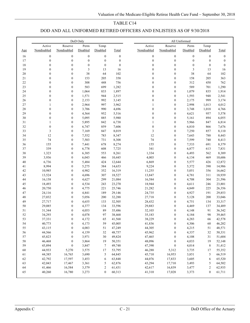### DOD AND ALL UNIFORMED RETIRED OFFICERS AND ENLISTEES AS OF 9/30/2018

|          |                  |                                  | DoD Only         |                  |                  | All Uniformed |                  |                              |                  |                  |                  |
|----------|------------------|----------------------------------|------------------|------------------|------------------|---------------|------------------|------------------------------|------------------|------------------|------------------|
|          | Active           | Reserve                          | Perm             | Temp             |                  |               | Active           | Reserve                      | Perm             | Temp             |                  |
| Age      | Nondisabled      | Nondisabled                      | Disabled         | Disabled         | Total            |               | Nondisabled      | Nondisabled                  | Disabled         | Disabled         | Total            |
| 16       | $\boldsymbol{0}$ | $\boldsymbol{0}$                 | $\boldsymbol{0}$ | $\boldsymbol{0}$ | $\boldsymbol{0}$ |               | $\boldsymbol{0}$ | $\boldsymbol{0}$             | $\boldsymbol{0}$ | $\boldsymbol{0}$ | $\boldsymbol{0}$ |
| 17       | $\boldsymbol{0}$ | $\boldsymbol{0}$                 | $\boldsymbol{0}$ | $\boldsymbol{0}$ | $\boldsymbol{0}$ |               | $\boldsymbol{0}$ | $\boldsymbol{0}$             | $\boldsymbol{0}$ | $\boldsymbol{0}$ | $\boldsymbol{0}$ |
| 18       | $\boldsymbol{0}$ | $\mathbf{0}$                     | $\boldsymbol{0}$ | $\mathbf{0}$     | $\boldsymbol{0}$ |               | $\boldsymbol{0}$ | $\boldsymbol{0}$             | $\mathbf{0}$     | $\mathbf{0}$     | $\boldsymbol{0}$ |
| 19       | $\boldsymbol{0}$ | $\mathbf{0}$                     | 3                | 13               | 16               |               | $\boldsymbol{0}$ | $\boldsymbol{0}$             | 3                | 13               | 16               |
| 20       | $\boldsymbol{0}$ | $\mathbf{0}$                     | 38               | 64               | 102              |               | $\boldsymbol{0}$ | $\boldsymbol{0}$             | 38               | 64               | 102              |
| 21       | $\boldsymbol{0}$ | $\boldsymbol{0}$                 | 153              | 205              | 358              |               | $\boldsymbol{0}$ | $\boldsymbol{0}$             | 158              | 205              | 363              |
| 22       | $\boldsymbol{0}$ | $\mathbf{0}$                     | 308              | 448              | 756              |               | $\boldsymbol{0}$ | $\boldsymbol{0}$             | 312              | 450              | 762              |
| 23       | $\boldsymbol{0}$ | $\mathbf{0}$                     | 583              | 699              | 1,282            |               | $\boldsymbol{0}$ | $\boldsymbol{0}$             | 589              | 701              | 1,290            |
| 24       | $\boldsymbol{0}$ | $\mathbf{0}$                     | 1,064            | 833              | 1,897            |               | $\boldsymbol{0}$ | $\boldsymbol{0}$             | 1,079            | 835              | 1,914            |
| 25       | $\boldsymbol{0}$ | $\mathbf{0}$                     | 1,571            | 944              | 2,515            |               | $\boldsymbol{0}$ | $\boldsymbol{0}$             | 1,593            | 948              | 2,541            |
| 26       | $\boldsymbol{0}$ | $\mathbf{0}$                     | 2,153            | 992              | 3,145            |               | $\boldsymbol{0}$ | $\boldsymbol{0}$             | 2,175            | 999              | 3,174            |
| 27       | 1                | $\mathbf{0}$                     | 2,964            | 997              | 3,962            |               | $\mathbf{1}$     | $\boldsymbol{0}$             | 2,998            | 1,013            | 4,012            |
| 28       | $\mathbf{0}$     | $\mathbf{0}$                     | 3,706            | 990              | 4,696            |               | $\mathbf{0}$     | $\boldsymbol{0}$             | 3,748            | 1,018            | 4,766            |
| 29       | $\boldsymbol{0}$ | $\boldsymbol{0}$                 | 4,564            | 952              | 5,516            |               | $\boldsymbol{0}$ | $\boldsymbol{0}$             | 4,621            | 957              | 5,578            |
| 30       | $\boldsymbol{0}$ | $\mathbf{0}$                     | 5,095            | 885              | 5,980            |               | $\boldsymbol{0}$ | $\boldsymbol{0}$             | 5,161            | 894              | 6,055            |
| 31       | $\mathbf{1}$     | $\mathbf{0}$                     | 5,895            | 842              | 6,738            |               | $\mathbf{1}$     | $\boldsymbol{0}$             | 5,966            | 847              | 6,814            |
| 32       | $\boldsymbol{0}$ | $\mathbf{0}$                     | 6,747            | 859              | 7,606            |               | $\boldsymbol{0}$ | $\boldsymbol{0}$             | 6,810            | 866              | 7,676            |
| 33       | 3                | $\mathbf{0}$                     | 7,169            | 847              | 8,019            |               | 3                | $\boldsymbol{0}$             | 7,250            | 857              | 8,110            |
| 34       | 12               | $\boldsymbol{0}$                 | 7,552            | 783              | 8,347            |               | 12               | $\boldsymbol{0}$             | 7,643            | 788              | 8,443            |
| 35       | 74               | $\boldsymbol{0}$                 | 7,503            | 731              | 8,308            |               | 74               | $\boldsymbol{0}$             | 7,599            | 740              | 8,413            |
| 36       | 155              | $\mathbf{0}$                     | 7,441            | 678              | 8,274            |               | 155              | $\boldsymbol{0}$             | 7,533            | 691              | 8,379            |
| 37       | 339              | $\mathbf{0}$                     | 6,778            | 608              | 7,725            |               | 341              | $\boldsymbol{0}$             | 6,877            | 613              | 7,831            |
| 38       | 1,323            | $\mathbf{0}$                     | 6,385            | 553              | 8,261            |               | 1,334            | $\boldsymbol{0}$             | 6,493            | 562              | 8,389            |
| 39       | 3,936            | $\mathbf{0}$                     | 6,043            | 466              | 10,445           |               | 4,003            | $\boldsymbol{0}$             | 6,134            | 469              | 10,606           |
| 40       | 6,736            | $\boldsymbol{0}$                 | 5,484            | 424              | 12,644           |               | 6,869            | $\boldsymbol{0}$             | 5,577            | 426              | 12,872           |
| 41       | 8,994            | $\mathbf{0}$                     | 5,275            | 384              | 14,653           |               | 9,224            | $\boldsymbol{0}$             | 5,372            | 390              | 14,986           |
| 42       | 10,985           | $\mathbf{0}$                     | 4,982            | 352              | 16,319           |               | 11,255           | $\boldsymbol{0}$             | 5,051            | 356              | 16,662           |
| 43       | 13,524           | $\mathbf{0}$                     | 4,696            | 307              | 18,527           |               | 13,847           | $\boldsymbol{0}$             | 4,781            | 311              | 18,939           |
| 44       | 16,158           | $\boldsymbol{0}$                 | 4,627            | 299              | 21,084           |               | 16,584           | $\boldsymbol{0}$             | 4,708            | 304              | 21,596           |
| 45       | 18,493           | $\mathbf{0}$                     | 4,534            | 243              | 23,270           |               | 18,944           | $\boldsymbol{0}$             | 4,611            | 246              | 23,801           |
| 46       | 20,750           | $\mathbf{0}$                     | 4,775            | 221              | 25,746           |               | 21,282           | $\boldsymbol{0}$             | 4,849            | 225              | 26,356           |
| 47       | 24,116           | $\mathbf{0}$                     | 4,841            | 189              | 29,146           |               | 24,735           | $\boldsymbol{0}$             | 4,927            | 191              | 29,853           |
| 48       | 27,032           | $\mathbf{0}$                     | 5,056            | 200              | 32,288           |               | 27,718           | $\boldsymbol{0}$             | 5,128            | 200              | 33,046           |
| 49       | 27,717           | $\boldsymbol{0}$                 | 4,655            | 133              | 32,505           |               | 28,432           | $\boldsymbol{0}$             | 4,751            | 134              | 33,317           |
| 50       | 29,085           | $\boldsymbol{0}$                 | 4,377            | 134              | 33,596           |               | 29,883           | $\boldsymbol{0}$             | 4,469            | 137              | 34,489           |
| 51<br>52 | 31,344           | $\boldsymbol{0}$                 | 4,053            | 89               | 35,486           |               | 32,103           | $\boldsymbol{0}$             | 4,148            | 91               | 36,342           |
|          | 34,293           | $\boldsymbol{0}$<br>$\mathbf{0}$ | 4,078            | 97               | 38,468           |               | 35,183           | $\boldsymbol{0}$<br>$\Omega$ | 4,184            | 98               | 39,465           |
| 53<br>54 | 37,331<br>40,773 | $\boldsymbol{0}$                 | 4,172<br>4,173   | 65<br>59         | 41,568<br>45,005 |               | 38,229<br>41,836 | $\boldsymbol{0}$             | 4,283<br>4,306   | 66<br>60         | 42,578<br>46,202 |
| 55       | 43,115           | $\boldsymbol{0}$                 | 4,083            | 51               | 47,249           |               | 44,305           | $\boldsymbol{0}$             | 4,215            | 51               | 48,571           |
| 56       | 44,566           | $\boldsymbol{0}$                 | 4,159            | 32               | 48,757           |               | 45,962           | $\boldsymbol{0}$             | 4,337            | 32               | 50,331           |
| 57       | 45,823           | $\boldsymbol{0}$                 | 3,971            | 30               | 49,824           |               | 47,465           | 0                            | 4,108            |                  |                  |
| 58       | 46,468           | $\boldsymbol{0}$                 | 3,864            | 19               | 50,351           |               | 48,096           | $\boldsymbol{0}$             | 4,033            | 31<br>19         | 51,604<br>52,148 |
| 59       | 45,894           | $\boldsymbol{0}$                 | 3,847            | $7\phantom{.0}$  | 49,748           |               | 47,390           | $\boldsymbol{0}$             | 4,014            | 8                | 51,412           |
| 60       | 44,933           | 5,270                            | 3,575            | 17               | 53,795           |               | 46,288           | 5,312                        | 3,735            | 17               | 55,352           |
| 61       | 44,385           | 16,765                           | 3,690            | 5                | 64,845           |               | 45,710           | 16,953                       | 3,851            | 5                | 66,519           |
| 62       | 42,792           | 17,597                           | 3,453            | 6                | 63,848           |               | 44,076           | 17,833                       | 3,605            | 6                | 65,520           |
| 63       | 42,043           | 17,467                           | 3,361            | 5                | 62,876           |               | 43,294           | 17,710                       | 3,493            | 5                | 64,502           |
| 64       | 41,466           | 16,584                           | 3,379            | $\overline{c}$   | 61,431           |               | 42,617           | 16,839                       | 3,477            | 2                | 62,935           |
| 65       | 40,260           | 16,780                           | 3,273            | $\mathbf{0}$     | 60,313           |               | 41,310           | 17,028                       | 3,373            | $\mathbf{0}$     | 61,711           |
|          |                  |                                  |                  |                  |                  |               |                  |                              |                  |                  |                  |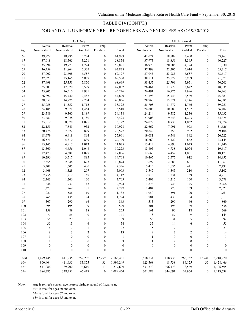### TABLE C14 (CONT'D)

# DOD AND ALL UNIFORMED RETIRED OFFICERS AND ENLISTEES AS OF 9/30/2018

|          |                  |                  | DoD Only         |                                      |                  |                  |                  | All Uniformed    |                                      |                  |
|----------|------------------|------------------|------------------|--------------------------------------|------------------|------------------|------------------|------------------|--------------------------------------|------------------|
|          | Active           | Reserve          | Perm             | Temp                                 |                  | Active           | Reserve          | Perm             | Temp                                 |                  |
| Age      | Nondisabled      | Nondisabled      | Disabled         | Disabled                             | Total            | Nondisabled      | Nondisabled      | Disabled         | Disabled                             | Total            |
| 66       | 39,979           | 18,736           | 3,284            | $\boldsymbol{0}$                     | 61,999           | 41,074           | 18,989           | 3,400            | $\boldsymbol{0}$                     | 63,463           |
| 67       | 37,018           | 18,565           | 3,271            | $\boldsymbol{0}$                     | 58,854           | 37,973           | 18,859           | 3,395            | $\boldsymbol{0}$                     | 60,227           |
| 68       | 35,894           | 19,773           | 4,224            | $\boldsymbol{0}$                     | 59,891           | 36,920           | 20,086           | 4,324            | $\boldsymbol{0}$                     | 61,330           |
| 69       | 36,459           | 21,864           | 5,505            | $\boldsymbol{0}$                     | 63,828           | 37,398           | 22,205           | 5,614            | $\overline{0}$                       | 65,217           |
| $70\,$   | 37,002           | 23,608           | 6,587            | $\boldsymbol{0}$                     | 67,197           | 37,945           | 23,985           | 6,687            | $\boldsymbol{0}$                     | 68,617           |
| 71       | 37,528           | 25,165           | 6,887            | $\boldsymbol{0}$                     | 69,580           | 38,511           | 25,572           | 6,989            | $\boldsymbol{0}$                     | 71,072           |
| $72\,$   | 37,498           | 25,351           | 5,850            | $\boldsymbol{0}$                     | 68,699           | 38,455           | 25,799           | 5,951            | $\boldsymbol{0}$                     | 70,205           |
| 73       | 25,803           | 17,620           | 3,579            | $\boldsymbol{0}$                     | 47,002           | 26,464           | 17,929           | 3,642            | $\boldsymbol{0}$                     | 48,035           |
| 74       | 25,805           | 16,510           | 2,931            | $\boldsymbol{0}$                     | 45,246           | 26,491           | 16,776           | 2,996            | $\boldsymbol{0}$                     | 46,263           |
| 75       | 26,892           | 15,440           | 2,488            | $\boldsymbol{0}$                     | 44,820           | 27,598           | 15,746           | 2,539            | $\boldsymbol{0}$                     | 45,883           |
| 76       | 28,057           | 14,775           | 2,204            | $\boldsymbol{0}$                     | 45,036           | 28,768           | 15,071           | 2,246            | $\boldsymbol{0}$                     | 46,085           |
| $77\,$   | 25,058           | 11,552           | 1,715            | $\boldsymbol{0}$                     | 38,325           | 25,708           | 11,777           | 1,766            | $\boldsymbol{0}$                     | 39,251           |
| 78       | 24,185           | 9,871            | 1,454            | $\boldsymbol{0}$                     | 35,510           | 24,806           | 10,089           | 1,507            | $\boldsymbol{0}$                     | 36,402           |
| 79       | 23,589           | 9,360            | 1,189            | $\boldsymbol{0}$                     | 34,138           | 24,214           | 9,582            | 1,236            | $\boldsymbol{0}$                     | 35,032           |
| $80\,$   | 23,287           | 9,028            | 1,180            | $\boldsymbol{0}$                     | 33,495           | 23,908           | 9,243            | 1,223            | $\boldsymbol{0}$                     | 34,374           |
| $81\,$   | 23,519           | 8,578            | 1,025            | $\boldsymbol{0}$                     | 33,122           | 24,079           | 8,733            | 1,062            | $\boldsymbol{0}$                     | 33,874           |
| 82       | 22,155           | 7,841            | 932              | $\boldsymbol{0}$                     | 30,928           | 22,662           | 7,991            | 973              | $\boldsymbol{0}$                     | 31,626           |
| 83       | 20,476           | 7,222            | 879              | $\boldsymbol{0}$                     | 28,577           | 20,849           | 7,353            | 902              | $\boldsymbol{0}$                     | 29,104           |
| 84       | 18,679           | 6,418            | 864              | $\boldsymbol{0}$                     | 25,961           | 19,081           | 6,549            | 892              | $\boldsymbol{0}$                     | 26,522           |
| 85       | 16,571           | 5,310            | 839              | $\boldsymbol{0}$                     | 22,720           | 16,860           | 5,422            | 862              | $\boldsymbol{0}$                     | 23,144           |
| 86       | 15,145           | 4,917            | 1,013            | $\boldsymbol{0}$                     | 21,075           | 15,413           | 4,990            | 1,043            | $\boldsymbol{0}$                     | 21,446           |
| $\bf 87$ | 13,569           | 4,656            | 1,048            | $\boldsymbol{0}$                     | 19,273           | 13,805           | 4,738            | 1,074            | $\boldsymbol{0}$                     | 19,617           |
| $\bf 88$ | 12,478           | 4,381            | 1,027            | $\boldsymbol{0}$                     | 17,886           | 12,668           | 4,452            | 1,051            | $\boldsymbol{0}$                     | 18,171           |
| 89       | 10,296           | 3,517            | 895              | $\boldsymbol{0}$                     | 14,708           | 10,465           | 3,575            | 912              | $\boldsymbol{0}$                     | 14,952           |
| 90       | 7,555            | 2,646            | 673              | $\boldsymbol{0}$                     | 10,874           | 7,697            | 2,683            | 681              | $\boldsymbol{0}$                     | 11,061           |
| 91       | 5,301            | 1,605            | 430              | $\boldsymbol{0}$                     | 7,336            | 5,415            | 1,636            | 441              | $\boldsymbol{0}$                     | 7,492            |
| 92       | 3,468            | 1,328            | 207              | $\boldsymbol{0}$                     | 5,003            | 3,547            | 1,345            | 210              | $\boldsymbol{0}$                     | 5,102            |
| 93       | 2,756            | 1,219            | 167              | $\boldsymbol{0}$                     | 4,142            | 2,813            | 1,231            | 169              | $\boldsymbol{0}$                     | 4,213            |
| 94       | 2,343            | 1,206            | 160              | $\boldsymbol{0}$                     | 3,709            | 2,403            | 1,215            | 160              | $\boldsymbol{0}$                     | 3,778            |
| 95       | 1,844            | 937              | 143              | $\boldsymbol{0}$                     | 2,924            | 1,878            | 943              | 145              | $\boldsymbol{0}$<br>$\boldsymbol{0}$ | 2,966            |
| 96       | 1,373            | 769              | 135              | $\boldsymbol{0}$                     | 2,277            | 1,404            | 778              | 139              |                                      | 2,321            |
| 97<br>98 | 1,027<br>765     | 586<br>435       | 119<br>94        | $\boldsymbol{0}$<br>$\boldsymbol{0}$ | 1,732<br>1,294   | 1,050<br>781     | 591<br>438       | 120<br>94        | 0<br>$\boldsymbol{0}$                | 1,761<br>1,313   |
| 99       | 507              | 290              | 66               | $\boldsymbol{0}$                     | 863              | 513              | 290              | 66               | $\boldsymbol{0}$                     | 869              |
| 100      | 295              | 195              | 39               | $\boldsymbol{0}$                     | 529              | 301              | 198              | 39               | $\boldsymbol{0}$                     | 538              |
| 101      | 158              | 89               | 18               | $\boldsymbol{0}$                     | 265              | 161              | 90               | 18               | $\boldsymbol{0}$                     | 269              |
| 102      | 77               | 55               | 9                | $\boldsymbol{0}$                     | 141              | $78\,$           | 57               | 9                | $\boldsymbol{0}$                     | 144              |
| 103      | 55               | 29               | 5                | $\theta$                             | 89               | 56               | 31               | 5                | $\theta$                             | 92               |
| 104      | 35               | 13               | 6                | $\boldsymbol{0}$                     | 54               | 35               | 14               | 6                | $\boldsymbol{0}$                     | 55               |
| 105      | 14               | $\tau$           | 1                | $\boldsymbol{0}$                     | $22\,$           | 15               | $\tau$           | 1                | $\boldsymbol{0}$                     | 23               |
| 106      | $\,$ 8 $\,$      | 3                | $\boldsymbol{2}$ | $\boldsymbol{0}$                     | 13               | 9                | 3                | $\boldsymbol{2}$ | $\boldsymbol{0}$                     | $14\,$           |
| 107      | 1                | $\boldsymbol{0}$ | $\boldsymbol{0}$ | $\boldsymbol{0}$                     | 1                | 1                | $\boldsymbol{0}$ | $\boldsymbol{0}$ | 0                                    | 1                |
| 108      | 1                | 2                | $\boldsymbol{0}$ | $\boldsymbol{0}$                     | 3                |                  | 2                | $\boldsymbol{0}$ | 0                                    | 3                |
| 109      | $\boldsymbol{0}$ | $\boldsymbol{0}$ | $\mathbf{0}$     | $\boldsymbol{0}$                     | $\boldsymbol{0}$ | $\boldsymbol{0}$ | $\boldsymbol{0}$ | $\boldsymbol{0}$ | $\boldsymbol{0}$                     | $\boldsymbol{0}$ |
| 110      | $\boldsymbol{0}$ | $\boldsymbol{0}$ | $\boldsymbol{0}$ | $\boldsymbol{0}$                     | $\boldsymbol{0}$ | $\boldsymbol{0}$ | $\boldsymbol{0}$ | $\boldsymbol{0}$ | $\boldsymbol{0}$                     | $\boldsymbol{0}$ |
|          |                  |                  |                  |                                      |                  |                  |                  |                  |                                      |                  |
| Total    | 1,479,445        | 411,935          | 257,292          | 17,759                               | 2,166,431        | 1,518,834        | 418,738          | 262,757          | 17,941                               | 2,218,270        |
| $60+$    | 900,404          | 411,935          | 83,875           | 35                                   | 1,396,249        | 923,568          | 418,738          | 86,125           | 35                                   | 1,428,466        |
| $62+$    | 811,086          | 389,900          | 76,610           | 13                                   | 1,277,609        | 831,570          | 396,473          | 78,539           | 13                                   | 1,306,595        |
| $65+$    | 684,785          | 338,252          | 66,417           | $\boldsymbol{0}$                     | 1,089,454        | 701,583          | 344,091          | 67,964           | $\boldsymbol{0}$                     | 1,113,638        |
|          |                  |                  |                  |                                      |                  |                  |                  |                  |                                      |                  |

Note: Age is retiree's current age nearest birthday at end of fiscal year.

60+ is total for ages 60 and over.

62+ is total for ages 62 and over.

65+ is total for ages 65 and over.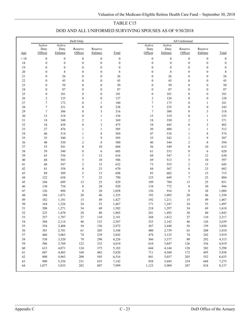### DOD AND ALL UNIFORMED SURVIVING SPOUSES AS OF 9/30/2018

|      |                  |                  | DoD Only         |                  |                  |                  |                  | All Uniformed    |                  |                  |
|------|------------------|------------------|------------------|------------------|------------------|------------------|------------------|------------------|------------------|------------------|
|      | Active<br>Duty   | Active<br>Duty   | Reserve          | Reserve          |                  | Active<br>Duty   | Active<br>Duty   | Reserve          | Reserve          |                  |
| Age  | Officer          | Enlistee         | Officer          | Enlistee         | Total            | Officer          | Enlistee         | Officer          | Enlistee         | Total            |
| < 18 | $\boldsymbol{0}$ | $\boldsymbol{0}$ | $\boldsymbol{0}$ | $\boldsymbol{0}$ | $\boldsymbol{0}$ | $\boldsymbol{0}$ | $\boldsymbol{0}$ | $\boldsymbol{0}$ | $\boldsymbol{0}$ | $\boldsymbol{0}$ |
| 18   | $\boldsymbol{0}$ | $\boldsymbol{0}$ | $\boldsymbol{0}$ | $\boldsymbol{0}$ | $\boldsymbol{0}$ | $\boldsymbol{0}$ | $\boldsymbol{0}$ | $\boldsymbol{0}$ | $\boldsymbol{0}$ | $\boldsymbol{0}$ |
| 19   | $\boldsymbol{0}$ | $\boldsymbol{0}$ | $\boldsymbol{0}$ | $\boldsymbol{0}$ | $\boldsymbol{0}$ | $\boldsymbol{0}$ | $\boldsymbol{0}$ | $\boldsymbol{0}$ | $\boldsymbol{0}$ | $\boldsymbol{0}$ |
| 20   | $\boldsymbol{0}$ | 8                | $\mathbf{0}$     | $\boldsymbol{0}$ | $\,$ $\,$        | $\boldsymbol{0}$ | $\,$ $\,$        | $\boldsymbol{0}$ | $\boldsymbol{0}$ | $\,$ $\,$        |
| 21   | $\boldsymbol{0}$ | 26               | $\boldsymbol{0}$ | $\boldsymbol{0}$ | 26               | $\boldsymbol{0}$ | 26               | $\boldsymbol{0}$ | $\boldsymbol{0}$ | 26               |
| 22   | $\boldsymbol{0}$ | 45               | $\boldsymbol{0}$ | $\boldsymbol{0}$ | 45               | $\boldsymbol{0}$ | 45               | $\boldsymbol{0}$ | $\boldsymbol{0}$ | 45               |
| 23   | $\boldsymbol{0}$ | 50               | $\boldsymbol{0}$ | $\boldsymbol{0}$ | 50               | $\boldsymbol{0}$ | 50               | $\boldsymbol{0}$ | $\boldsymbol{0}$ | 50               |
| 24   | $\boldsymbol{0}$ | 87               | $\boldsymbol{0}$ | $\boldsymbol{0}$ | 87               | $\boldsymbol{0}$ | 87               | $\boldsymbol{0}$ | $\boldsymbol{0}$ | $\bf 87$         |
| 25   | $\boldsymbol{0}$ | 101              | $\boldsymbol{0}$ | $\boldsymbol{0}$ | 101              | $\boldsymbol{0}$ | 101              | $\boldsymbol{0}$ | $\boldsymbol{0}$ | 101              |
| 26   | $\sqrt{2}$       | 125              | $\boldsymbol{0}$ | $\boldsymbol{0}$ | 127              | $\overline{c}$   | 126              | $\boldsymbol{0}$ | $\boldsymbol{0}$ | 128              |
| 27   | $\boldsymbol{7}$ | 172              | $\boldsymbol{0}$ | $\mathbf{1}$     | 180              | $\tau$           | 173              | $\boldsymbol{0}$ | $\mathbf{1}$     | 181              |
| 28   | $\boldsymbol{7}$ | 231              | $\boldsymbol{0}$ | $\boldsymbol{0}$ | 238              | $\tau$           | 235              | $\boldsymbol{0}$ | $\boldsymbol{0}$ | 242              |
| 29   | $\boldsymbol{7}$ | 306              | $\boldsymbol{0}$ | $\overline{3}$   | 316              | $\tau$           | 308              | $\boldsymbol{0}$ | 3                | 318              |
| 30   | 15               | 318              | $\boldsymbol{0}$ | $\mathbf{1}$     | 334              | 15               | 319              | $\boldsymbol{0}$ | $\mathbf{1}$     | 335              |
| 31   | 18               | 348              | $\mathbf{2}$     | $\mathbf{1}$     | 369              | 18               | 350              | $\mathfrak{2}$   | $\mathbf{1}$     | 371              |
| 32   | 34               | 438              | $\boldsymbol{0}$ | $\mathfrak{Z}$   | 475              | 34               | 445              | $\boldsymbol{0}$ | 3                | 482              |
| 33   | 27               | 476              | $\mathbf{1}$     | $\mathbf{1}$     | 505              | 30               | 480              | $\mathbf{1}$     | $\mathbf{1}$     | 512              |
| 34   | 46               | 514              | 1                | $\,$ 8 $\,$      | 569              | 47               | 518              | $\mathbf{1}$     | 8                | 574              |
| 35   | 35               | 540              | $\mathbf{1}$     | 9                | 585              | 35               | 542              | $\mathbf{1}$     | 9                | 587              |
| 36   | 40               | 530              | $\mathbf{2}$     | $\,$ 8 $\,$      | 580              | $40\,$           | 544              | $\mathfrak{2}$   | $\,$ $\,$        | 594              |
| 37   | 53               | 541              | $\boldsymbol{0}$ | 10               | 604              | 56               | 549              | $\boldsymbol{0}$ | 10               | 615              |
| 38   | 59               | 540              | $\boldsymbol{0}$ | 6                | 605              | 61               | 553              | $\boldsymbol{0}$ | 6                | 620              |
| 39   | 65               | 536              | 3                | 12               | 616              | 68               | 547              | 3                | 12               | 630              |
| 40   | 68               | 503              | 5                | 10               | 586              | 69               | 513              | 5                | $10\,$           | 597              |
| 41   | 68               | 547              | $\overline{c}$   | 15               | 632              | 73               | 555              | $\sqrt{2}$       | 15               | 645              |
| 42   | 81               | 558              | 8                | 23               | 670              | 84               | 567              | $\,$ $\,$        | 23               | 682              |
| 43   | 89               | 589              | 5                | 15               | 698              | 93               | 602              | $\sqrt{5}$       | 15               | 715              |
| 44   | 122              | 638              | 7                | 23               | 790              | 125              | 649              | $\tau$           | 23               | 804              |
| 45   | 104              | 689              | 13               | 23               | 829              | 109              | 704              | 13               | 25               | 851              |
| 46   | 130              | 754              | $\,$ 8 $\,$      | $28\,$           | 920              | 134              | 772              | $\,8\,$          | 30               | 944              |
| 47   | 126              | 896              | $\,$ 8 $\,$      | $28\,$           | 1,058            | 136              | 916              | $\,$ 8 $\,$      | 28               | 1,088            |
| 48   | 188              | 1,071            | 20               | 46               | 1,325            | 192              | 1,092            | 20               | 46               | 1,350            |
| 49   | 182              | 1,181            | 15               | 49               | 1,427            | 192              | 1,211            | 15               | 49               | 1,467            |
| 50   | 164              | 1,226            | 24               | 53               | 1,467            | 171              | 1,247            | 24               | 55               | 1,497            |
| 51   | 208              | 1,271            | 34               | 69               | 1,582            | 218              | 1,297            | 34               | 69               | 1,618            |
| 52   | 225              | 1,470            | 28               | $80\,$           | 1,803            | 241              | 1,492            | 30               | 80               | 1,843            |
| 53   | 257              | 1,787            | $27\,$           | 110              | 2,181            | 268              | 1,812            | 27               | 110              | 2,217            |
| 54   | 304              | 2,114            | $46\,$           | 123              | 2,587            | 325              | 2,142            | 46               | 126              | 2,639            |
| 55   | 354              | 2,408            | 54               | 156              | 2,972            | 367              | 2,448            | 56               | 159              | 3,030            |
| 56   | 381              | 2,701            | 61               | 205              | 3,348            | 400              | 2,739            | 63               | $208\,$          | 3,410            |
| 57   | 466              | 3,063            | $74\,$           | 239              | 3,842            | 478              | 3,125            | 74               | 242              | 3,919            |
| 58   | 538              | 3,320            | $78\,$           | 290              | 4,226            | 566              | 3,377            | 80               | 292              | 4,315            |
| 59   | 586              | 3,769            | 122              | 333              | 4,810            | 610              | 3,847            | 126              | 336              | 4,919            |
| 60   | 613              | 4,071            | 124              | 375              | 5,183            | 644              | 4,144            | 128              | 382              | 5,298            |
| 61   | 687              | 4,483            | 168              | 482              | 5,820            | 711              | 4,560            | 172              | 495              | 5,938            |
| 62   | 808              | 4,963            | 200              | 545              | 6,516            | 841              | 5,037            | 203              | 552              | 6,633            |
| 63   | 900              | 5,356            | 231              | 655              | 7,142            | 928              | 5,445            | 234              | 668              | 7,275            |
| 64   | 1,077            | 5,833            | 282              | 807              | 7,999            | 1,123            | 5,909            | 287              | 818              | 8,137            |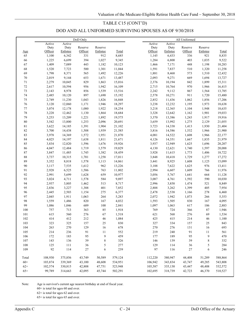### TABLE C15 (CONT'D)

### DOD AND ALL UNIFORMED SURVIVING SPOUSES AS OF 9/30/2018

|                |                   |                    | DoD Only |                  |         |                    |                    | All Uniformed |                  |         |
|----------------|-------------------|--------------------|----------|------------------|---------|--------------------|--------------------|---------------|------------------|---------|
|                | Active            | Active             |          |                  |         | Active             | Active             |               |                  |         |
|                | Duty              | Duty               | Reserve  | Reserve          |         | Duty               | Duty               | Reserve       | Reserve          |         |
| Age            | Officer           | Enlistee           | Officer  | Enlistee         | Total   | Officer            | Enlistee           | Officer       | Enlistee         | Total   |
| 65             | 1,100             | 6,342              | 331      | 912              | 8,685   | 1,145              | 6,433              | 336           | 921              | 8,835   |
| 66             | 1,225             | 6,699              | 394      | 1,027            | 9,345   | 1,284              | 6,800              | 403           | 1,035            | 9,522   |
| 67             | 1,409             | 7,089              | 443      | 1,182            | 10,123  | 1,466              | 7,171              | 448           | 1,198            | 10,283  |
| 68             | 1,520             | 7,723              | 500      | 1,301            | 11,044  | 1,591              | 7,837              | 510           | 1,320            | 11,258  |
| 69             | 1,798             | 8,371              | 565      | 1,492            | 12,226  | 1,881              | 8,468              | 573           | 1,510            | 12,432  |
| $70\,$         | 2,019             | 9,144              | 653      | 1,671            | 13,487  | 2,093              | 9,271              | 669           | 1,694            | 13,727  |
| 71             | 2,279             | 10,045             | 829      | 1,863            | 15,016  | 2,376              | 10,194             | 842           | 1,899            | 15,311  |
| $72\,$         | 2,617             | 10,594             | 956      | 1,942            | 16,109  | 2,715              | 10,764             | 970           | 1,966            | 16,415  |
| $73\,$         | 2,143             | 8,978              | 856      | 1,539            | 13,516  | 2,242              | 9,112              | 867           | 1,564            | 13,785  |
| 74             | 2,485             | 10,120             | 897      | 1,690            | 15,192  | 2,578              | 10,271             | 911           | 1,720            | 15,480  |
| $75\,$         | 2,749             | 11,230             | 1,043    | 1,826            | 16,848  | 2,852              | 11,436             | 1,062         | 1,856            | 17,206  |
| 76             | 3,120             | 12,060             | 1,171    | 1,946            | 18,297  | 3,238              | 12,232             | 1,195         | 1,973            | 18,638  |
| $77 \,$        | 3,074             | 12,178             | 1,080    | 1,922            | 18,254  | 3,218              | 12,365             | 1,104         | 1,948            | 18,635  |
| $78\,$         | 3,228             | 12,462             | 1,130    | 1,864            | 18,684  | 3,328              | 12,642             | 1,162         | 1,901            | 19,033  |
| 79             | 3,253             | 13,209             | 1,221    | 1,892            | 19,575  | 3,370              | 13,386             | 1,243         | 1,917            | 19,916  |
| $80\,$         | 3,542             | 13,800             | 1,253    | 2,096            | 20,691  | 3,659              | 13,992             | 1,275         | 2,129            | 21,055  |
| $8\sqrt{1}$    | 3,622             | 14,185             | 1,391    | 1,904            | 21,102  | 3,723              | 14,338             | 1,413         | 1,930            | 21,404  |
| 82             | 3,700             | 14,438             | 1,508    | 1,939            | 21,585  | 3,816              | 14,586             | 1,532         | 1,966            | 21,900  |
| 83             | 3,978             | 14,369             | 1,572    | 1,951            | 21,870  | 4,081              | 14,522             | 1,608         | 1,966            | 22,177  |
| 84             | 4,025             | 14,197             | 1,638    | 1,811            | 21,671  | 4,126              | 14,351             | 1,667         | 1,835            | 21,979  |
| 85             | 3,834             | 12,820             | 1,596    | 1,676            | 19,926  | 3,937              | 12,949             | 1,625         | 1,696            | 20,207  |
| 86             | 4,047             | 12,484             | 1,719    | 1,579            | 19,829  | 4,130              | 12,621             | 1,740         | 1,597            | 20,088  |
| 87             | 3,847             | 11,485             | 1,745    | 1,382            | 18,459  | 3,928              | 11,615             | 1,773         | 1,406            | 18,722  |
| $\bf 88$       | 3,737             | 10,315             | 1,701    | 1,258            | 17,011  | 3,848              | 10,418             | 1,729         | 1,277            | 17,272  |
| 89             | 3,352             | 8,818              | 1,578    | 1,113            | 14,861  | 3,441              | 8,925              | 1,608         | 1,125            | 15,099  |
| $90\,$         | 3,117             | 7,535              | 1,612    | 962              | 13,226  | 3,188              | 7,622              | 1,625         | 976              | 13,411  |
| 91             | 2,928             | 6,525              | 1,586    | 763              | 11,802  | 2,994              | 6,607              | 1,609         | 766              | 11,976  |
| 92             | 2,991             | 5,699              | 1,628    | 659              | 10,977  | 3,056              | 5,767              | 1,641         | 664              | 11,128  |
| 93             | 3,024             | 4,711              | 1,578    | 584              | 9,897   | 3,087              | 4,761              | 1,592         | 590              | 10,030  |
| 94             | 2,937             | 3,805              | 1,462    | 513              | 8,717   | 2,996              | 3,858              | 1,474         | 521              | 8,849   |
| 95             | 2,836             | 3,227              | 1,388    | 401              | 7,852   | 2,888              | 3,262              | 1,399         | 405              | 7,954   |
| 96             | 2,445             | 2,503              | 1,154    | 275              | 6,377   | 2,478              | 2,538              | 1,166         | 278              | 6,460   |
| 97             | 2,045             | 1,911              | 1,063    | 264              | 5,283   | 2,072              | 1,942              | 1,073         | 266              | 5,353   |
| 98             | 1,559             | 1,486              | 820      | 167              | 4,032   | 1,593              | 1,505              | 830           | 167              | 4,095   |
| 99             | 1,086             | 1,046              | 609      | 100              | 2,841   | 1,097              | 1,063              | 617           | 106              | 2,883   |
| 100            | 757               | 713                | 363      | 85               | 1,918   | 769                | 724                | 366           | 87               | 1,946   |
| 101            | 615               | 560                | 276      | 67               | 1,518   | 621                | 568                | 276           | 69               | 1,534   |
| 102            | 414               | 412                | 212      | 46               | 1,084   | 425                | 415                | $214\,$       | 46               | 1,100   |
| 103            | 323               | 325                | 157      | 25               | 830     | 327                | 334                | 157           | 25               | 843     |
| 104            | 263               | 270                | 129      | $16\,$           | 678     | 270                | 276                | 131           | 16               | 693     |
| 105            | 214               | 236                | 91       | 11               | 552     | 219                | 240                | 91            | 11               | 561     |
| 106            | 172               | 183                | 95       | 9                | 459     | 177                | 189                | 95            | 9                | 470     |
| 107            | 143               | 136                | 39       | $\,$ 8 $\,$      | 326     | 146                | 139                | 39            | $\,$ 8 $\,$      | 332     |
| 108            | 125               | 111                | 36       | 5                | 277     | 129                | 114                | 36            | 5                | 284     |
| 109            | 92                | 114                | 27       | 6                | 239     | 97                 | 116                | 27            | 6                | 246     |
|                |                   |                    |          |                  |         |                    |                    |               |                  |         |
| Total          | 108,930           | 375,856            | 43,749   | 50,589           | 579,124 | 112,220            | 380,947            | 44,408        | 51,289           | 588,864 |
| $60+$          | 103,874           | 339,369            | 43,100   | 48,608           | 534,951 | 106,942            | 343,834            | 43,747        | 49,285           | 543,808 |
| $62+$<br>$65+$ | 102,574<br>99,789 | 330,815<br>314,663 | 42,808   | 47,751<br>45,744 | 523,948 | 105,587<br>102,695 | 335,130<br>318,739 | 43,447        | 48,408<br>46,370 | 532,572 |
|                |                   |                    | 42,095   |                  | 502,291 |                    |                    | 42,723        |                  | 510,527 |

Note: Age is survivor's current age nearest birthday at end of fiscal year.

60+ is total for ages 60 and over.

62+ is total for ages 62 and over.

65+ is total for ages 65 and over.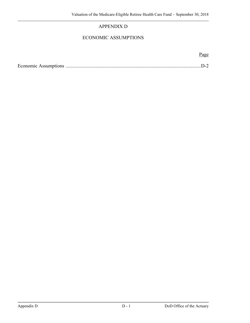# APPENDIX D

# ECONOMIC ASSUMPTIONS

Page

|--|--|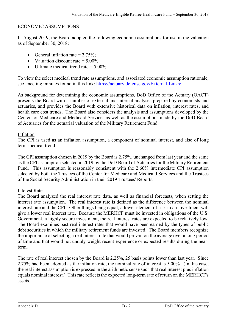## ECONOMIC ASSUMPTIONS

In August 2019, the Board adopted the following economic assumptions for use in the valuation as of September 30, 2018:

- General inflation rate  $= 2.75\%$ ;
- Valuation discount rate  $= 5.00\%$ ;
- Ultimate medical trend rate  $= 5.00\%$ .

To view the select medical trend rate assumptions, and associated economic assumption rationale, see meeting minutes found in this link: https://actuary.defense.gov/External-Links/

As background for determining the economic assumptions, DoD Office of the Actuary (OACT) presents the Board with a number of external and internal analyses prepared by economists and actuaries, and provides the Board with extensive historical data on inflation, interest rates, and health care cost trends. The Board also considers the analysis and assumptions developed by the Center for Medicare and Medicaid Services as well as the assumptions made by the DoD Board of Actuaries for the actuarial valuation of the Military Retirement Fund.

## Inflation

The CPI is used as an inflation assumption, a component of nominal interest, and also of long term-medical trend.

The CPI assumption chosen in 2019 by the Board is 2.75%, unchanged from last year and the same as the CPI assumption selected in 2019 by the DoD Board of Actuaries for the Military Retirement Fund. This assumption is reasonably consistent with the 2.60% intermediate CPI assumption selected by both the Trustees of the Center for Medicare and Medicaid Services and the Trustees of the Social Security Administration in their 2019 Trustees' Reports.

# Interest Rate

The Board analyzed the real interest rate data, as well as financial forecasts, when setting the interest rate assumption. The real interest rate is defined as the difference between the nominal interest rate and the CPI. Other things being equal, a lower element of risk in an investment will give a lower real interest rate. Because the MERHCF must be invested in obligations of the U.S. Government, a highly secure investment, the real interest rates are expected to be relatively low. The Board examines past real interest rates that would have been earned by the types of public debt securities in which the military retirement funds are invested. The Board members recognize the importance of selecting a real interest rate that would prevail on the average over a long period of time and that would not unduly weight recent experience or expected results during the nearterm.

The rate of real interest chosen by the Board is 2.25%, 25 basis points lower than last year. Since 2.75% had been adopted as the inflation rate, the nominal rate of interest is 5.00%. (In this case, the real interest assumption is expressed in the arithmetic sense such that real interest plus inflation equals nominal interest.) This rate reflects the expected long-term rate of return on the MERHCF's assets.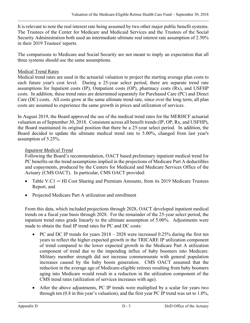It is relevant to note the real interest rate being assumed by two other major public benefit systems. The Trustees of the Center for Medicare and Medicaid Services and the Trustees of the Social Security Administration both used an intermediate ultimate real interest rate assumption of 2.50% in their 2019 Trustees' reports.

The comparisons to Medicare and Social Security are not meant to imply an expectation that all three systems should use the same assumptions.

# Medical Trend Rates

Medical trend rates are used in the actuarial valuation to project the starting average plan costs to each future year's cost level. During a 25-year select period, there are separate trend rate assumptions for Inpatient costs (IP), Outpatient costs (OP), pharmacy costs (Rx), and USFHP costs. In addition, these trend rates are determined separately for Purchased Care (PC) and Direct Care (DC) costs. All costs grow at the same ultimate trend rate, since over the long term, all plan costs are assumed to experience the same growth in prices and utilization of services.

In August 2019, the Board approved the use of the medical trend rates for the MERHCF actuarial valuation as of September 30, 2018. Consistent across all benefit trends (IP, OP, Rx, and USFHP), the Board maintained its original position that there be a 25-year select period. In addition, the Board decided to update the ultimate medical trend rate to 5.00%, changed from last year's assumption of 5.25%.

# *Inpatient Medical Trend*

Following the Board's recommendation, OACT based preliminary inpatient medical trend for PC benefits on the trend assumptions implied in the projections of Medicare Part A deductibles and copayments, produced by the Centers for Medicaid and Medicare Services Office of the Actuary (CMS OACT). In particular, CMS OACT provided:

- Table V.C1 HI Cost Sharing and Premium Amounts, from its 2019 Medicare Trustees Report, and
- Projected Medicare Part A utilization and enrollment

From this data, which included projections through 2028, OACT developed inpatient medical trends on a fiscal year basis through 2028. For the remainder of the 25-year select period, the inpatient trend rates grade linearly to the ultimate assumption of 5.00%. Adjustments were made to obtain the final IP trend rates for PC and DC costs:

- PC and DC IP trends for years  $2018 2028$  were increased 0.25% during the first ten years to reflect the higher expected growth in the TRICARE IP utilization component of trend compared to the lower expected growth in the Medicare Part A utilization component of trend due to the impending influx of baby boomers into Medicare. Military member strength did not increase commensurate with general population increases caused by the baby boom generation. CMS OACT assumed that the reduction in the average age of Medicare-eligible retirees resulting from baby boomers aging into Medicare would result in a reduction in the utilization component of the CMS trend rates (utilization of services increases with age).
- After the above adjustments, PC IP trends were multiplied by a scalar for years two through ten (0.8 in this year's valuation), and the first year PC IP trend was set to 1.0%,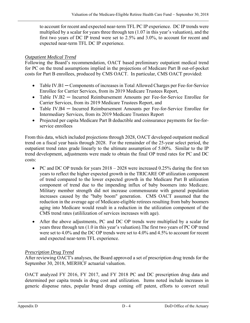to account for recent and expected near-term TFL PC IP experience. DC IP trends were multiplied by a scalar for years three through ten (1.07 in this year's valuation), and the first two years of DC IP trend were set to 2.5% and 3.0%, to account for recent and expected near-term TFL DC IP experience.

# *Outpatient Medical Trend*

Following the Board's recommendation, OACT based preliminary outpatient medical trend for PC on the trend assumptions implied in the projections of Medicare Part B out-of-pocket costs for Part B enrollees, produced by CMS OACT. In particular, CMS OACT provided:

- Table IV.B1 Components of increases in Total Allowed Charges per Fee-for-Service Enrollee for Carrier Services, from its 2019 Medicare Trustees Report,
- Table IV.B2 Incurred Reimbursement Amounts per Fee-for-Service Enrollee for Carrier Services, from its 2019 Medicare Trustees Report, and
- Table IV.B4 ─ Incurred Reimbursement Amounts per Fee-for-Service Enrollee for Intermediary Services, from its 2019 Medicare Trustees Report
- Projected per capita Medicare Part B deductible and coinsurance payments for fee-forservice enrollees

From this data, which included projections through 2028, OACT developed outpatient medical trend on a fiscal year basis through 2028. For the remainder of the 25-year select period, the outpatient trend rates grade linearly to the ultimate assumption of 5.00%. Similar to the IP trend development, adjustments were made to obtain the final OP trend rates for PC and DC costs:

- PC and DC OP trends for years  $2018 2028$  were increased 0.25% during the first ten years to reflect the higher expected growth in the TRICARE OP utilization component of trend compared to the lower expected growth in the Medicare Part B utilization component of trend due to the impending influx of baby boomers into Medicare. Military member strength did not increase commensurate with general population increases caused by the "baby boom" generation. CMS OACT assumed that the reduction in the average age of Medicare-eligible retirees resulting from baby boomers aging into Medicare would result in a reduction in the utilization component of the CMS trend rates (utililization of services increases with age).
- After the above adjustments, PC and DC OP trends were multiplied by a scalar for years three through ten (1.0 in this year's valuation).The first two years of PC OP trend were set to 4.0% and the DC OP trends were set to 4.0% and 4.5% to account for recent and expected near-term TFL experience.

# *Prescription Drug Trend*

After reviewing OACT's analyses, the Board approved a set of prescription drug trends for the September 30, 2018, MERHCF actuarial valuation.

OACT analyzed FY 2016, FY 2017, and FY 2018 PC and DC prescription drug data and determined per capita trends in drug cost and utilization. Items noted include increases in generic dispense rates, popular brand drugs coming off patent, efforts to convert retail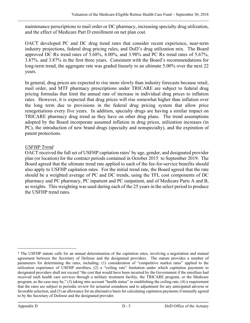maintenance perscriptions to mail order or DC pharmacy, increasing specialty drug utilization, and the effect of Medicare Part D enrollment on net plan cost.

OACT developed PC and DC drug trend rates that consider recent experience, near-term industry projections, federal drug pricing rules, and DoD's drug utilization mix. The Board approved DC Rx trend rates of 5.68%, 4.00%, and 3.98% and PC Rx trend rates of 5.67%, 3.87%. and 3.87% in the first three years. Consistent with the Board's recommendations for long-term trend, the aggregate rate was graded linearly to an ultimate 5.00% over the next 22 years.

In general, drug prices are expected to rise more slowly than industry forecasts because retail, mail order, and MTF pharmacy prescriptions under TRICARE are subject to federal drug pricing formulas that limit the annual rate of increase in individual drug prices to inflation rates. However, it is expected that drug prices will rise somewhat higher than inflation over the long term due to provisions in the federal drug pricing system that allow price renegotiations every five years. In addition, specialty drugs are having a similar impact on TRICARE pharmacy drug trend as they have on other drug plans. The trend assumptions adopted by the Board incorporate assumed inflation in drug prices, utilization increases (in PC), the introduction of new brand drugs (specialty and nonspecialty), and the expiration of patent protections.

# *USFHP Trend*

OACT received the full set of USFHP capitation rates<sup>1</sup> by age, gender, and designated provider plan (or location) for the contract periods contained in October 2015 to September 2019. The Board agreed that the ultimate trend rate applied to each of the fee-for-service benefits should also apply to USFHP capitation rates. For the initial trend rate, the Board agreed that the rate should be a weighted average of PC and DC trends, using the TFL cost components of DC pharmacy and PC pharmacy, PC inpatient and PC outpatient, and of Medicare Parts A and B, as weights. This weighting was used during each of the 25 years in the select period to produce the USFHP trend rates.

i

<sup>&</sup>lt;sup>1</sup> The USFHP statute calls for an annual determination of the capitation rates, involving a negotiation and mutual agreement between the Secretary of Defense and the designated providers. The statute provides a number of parameters for determining the rates, including: (1) consideration of "competitive market rates" applied to the utilization experience of USFHP enrollees, (2) a "ceiling rate" limitation under which capitation payments to designated providers shall not exceed "the cost that would have been incurred by the Government if the enrollees had received such health care services through a military treatment facility, the TRICARE program, or the Medicare program, as the case may be," (3) taking into account "health status" in establishing the ceiling rate, (4) a requirement that the rates are subject to periodic review for actuarial soundness and to adjustment for any anticipated adverse or favorable selection, and (5) an allowance for an alternative basis for calculating capitation payments if mutually agreed to by the Secretary of Defense and the designated provider.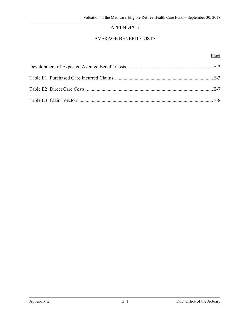# APPENDIX E

# AVERAGE BENEFIT COSTS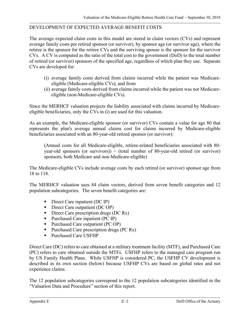## DEVELOPMENT OF EXPECTED AVERAGE BENEFIT COSTS

The average expected claim costs in this model are stored in claim vectors (CVs) and represent average family costs per retired sponsor (or survivor), by sponsor age (or survivor age), where the retiree is the sponsor for the retiree CVs and the surviving spouse is the sponsor for the survivor CVs. A CV is computed as the ratio of the total cost to the government (DoD) to the total number of retired (or survivor) sponsors of the specified age, regardless of which plan they use. Separate CVs are developed for:

- (i) average family costs derived from claims incurred while the patient was Medicareeligible (Medicare-eligible CVs), and from
- (ii) average family costs derived from claims incurred while the patient was not Medicareeligible (non-Medicare-eligible CVs).

Since the MERHCF valuation projects the liability associated with claims incurred by Medicareeligible beneficiaries, only the CVs in (i) are used for this valuation.

As an example, the Medicare-eligible sponsor (or survivor) CVs contain a value for age 80 that represents the plan's average annual claims cost for claims incurred by Medicare-eligible beneficiaries associated with an 80-year-old retired sponsor (or survivor):

(Annual costs for all Medicare-eligible, retiree-related beneficiaries associated with 80 year-old sponsors (or survivors))  $\div$  (total number of 80-year-old retired (or survivor) sponsors, both Medicare and non-Medicare-eligible)

The Medicare-eligible CVs include average costs by each retired (or survivor) sponsor age from 18 to 118.

The MERHCF valuation uses 84 claim vectors, derived from seven benefit categories and 12 population subcategories. The seven benefit categories are:

- Direct Care inpatient (DC IP)
- Direct Care outpatient  $(DC OP)$
- Direct Care prescription drugs (DC Rx)
- Purchased Care inpatient  $(PC IP)$
- Purchased Care outpatient (PC OP)
- Purchased Care prescription drugs  $(PC Rx)$
- Purchased Care USFHP

Direct Care (DC) refers to care obtained at a military treatment facility (MTF), and Purchased Care (PC) refers to care obtained outside the MTFs. USFHP refers to the managed care program run by US Family Health Plans. While USFHP is considered PC, the USFHP CV development is described in its own section (below) because USFHP CVs are based on global rates and not experience claims.

The 12 population subcategories correspond to the 12 population subcategories identified in the "Valuation Data and Procedure" section of this report.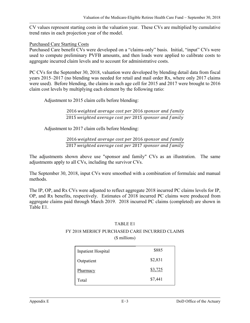CV values represent starting costs in the valuation year. These CVs are multiplied by cumulative trend rates in each projection year of the model.

### Purchased Care Starting Costs

Purchased Care benefit CVs were developed on a "claims-only" basis. Initial, "input" CVs were used to compute preliminary PVFB amounts, and then loads were applied to calibrate costs to aggregate incurred claim levels and to account for administrative costs.

PC CVs for the September 30, 2018, valuation were developed by blending detail data from fiscal years 2015–2017 (no blending was needed for retail and mail order Rx, where only 2017 claims were used). Before blending, the claims in each age cell for 2015 and 2017 were brought to 2016 claim cost levels by multiplying each element by the following ratio:

Adjustment to 2015 claim cells before blending:

2016 weighted average cost per 2016 sponsor and family 2015 weighted average cost per 2015 sponsor and family

Adjustment to 2017 claim cells before blending:

2016 weighted average cost per 2016 sponsor and family 2017 weighted average cost per 2017 sponsor and family

The adjustments shown above use "sponsor and family" CVs as an illustration. The same adjustments apply to all CVs, including the survivor CVs.

The September 30, 2018, input CVs were smoothed with a combination of formulaic and manual methods.

The IP, OP, and Rx CVs were adjusted to reflect aggregate 2018 incurred PC claims levels for IP, OP, and Rx benefits, respectively. Estimates of 2018 incurred PC claims were produced from aggregate claims paid through March 2019. 2018 incurred PC claims (completed) are shown in Table E1.

## TABLE E1

### FY 2018 MERHCF PURCHASED CARE INCURRED CLAIMS (\$ millions)

| Inpatient Hospital | \$885   |
|--------------------|---------|
| Outpatient         | \$2,831 |
| Pharmacy           | \$3,725 |
| Total              | \$7,441 |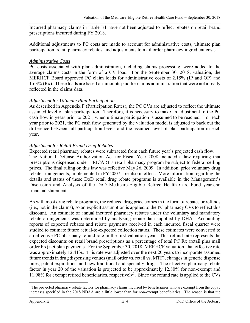Incurred pharmacy claims in Table E1 have not been adjusted to reflect rebates on retail brand prescriptions incurred during FY 2018.

Additional adjustments to PC costs are made to account for administrative costs, ultimate plan participation, retail pharmacy rebates, and adjustments to mail order pharmacy ingredient costs.

## *Administrative Costs*

PC costs associated with plan administration, including claims processing, were added to the average claims costs in the form of a CV load. For the September 30, 2018, valuation, the MERHCF Board approved PC claim loads for administrative costs of 2.15% (IP and OP) and 1.63% (Rx). These loads are based on amounts paid for claims administration that were not already reflected in the claims data.

## *Adjustment for Ultimate Plan Participation*

As described in Appendix F (Participation Rates), the PC CVs are adjusted to reflect the ultimate assumed level of plan participation. Therefore, it is necessary to make an adjustment to the PC cash flow in years prior to 2021, when ultimate participation is assumed to be reached. For each year prior to 2021, the PC cash flow generated by the valuation model is adjusted to back out the difference between full participation levels and the assumed level of plan participation in each year.

# *Adjustment for Retail Brand Drug Rebates*

Expected retail pharmacy rebates were subtracted from each future year's projected cash flow. The National Defense Authorization Act for Fiscal Year 2008 included a law requiring that prescriptions dispensed under TRICARE's retail pharmacy program be subject to federal ceiling prices. The final ruling on this law was effective May 26, 2009. In addition, prior voluntary drug rebate arrangements, implemented in FY 2007, are also in effect. More information regarding the details and status of these DoD retail drug rebate programs is available in the Management's Discussion and Analysis of the DoD Medicare-Eligible Retiree Health Care Fund year-end financial statement.

As with most drug rebate programs, the reduced drug price comes in the form of rebates or refunds (i.e., not in the claims), so an explicit assumption is applied to the PC pharmacy CVs to reflect this discount. An estimate of annual incurred pharmacy rebates under the voluntary and mandatory rebate arrangements was determined by analyzing rebate data supplied by DHA. Accounting reports of expected rebates and rebate payments received in each incurred fiscal quarter were studied to estimate future actual-to-expected collection ratios. These estimates were converted to an effective PC pharmacy refund rate in the first valuation year. This refund rate represents the expected discounts on retail brand prescriptions as a percentage of total PC Rx (retail plus mail order Rx) net plan payments. For the September 30, 2018, MERHCF valuation, that effective rate was approximately 12.41%. This rate was adjusted over the next 20 years to incorporate assumed future trends in drug dispensing venues (mail order vs. retail vs. MTF), changes in generic dispense rates, patent expirations, and new traditional and specialty drugs. The effective pharmacy rebate factor in year 20 of the valuation is projected to be approximately 12.80% for non-exempt and 11.98% for exempt retired beneficiaries, respectively<sup>1</sup>. Since the refund rate is applied to the CVs

 $\overline{a}$ <sup>1</sup> The projected pharmacy rebate factors for pharmacy claims incurred by beneficiaries who are exempt from the copay increases specified in the 2018 NDAA are a little lower than for non-exempt beneficiaries. The reason is that the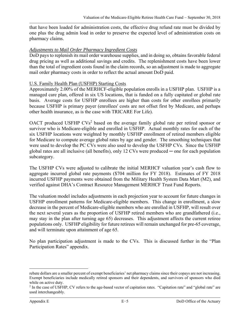that have been loaded for administration costs, the effective drug refund rate must be divided by one plus the drug admin load in order to preserve the expected level of administration costs on pharmacy claims.

## *Adjustments to Mail Order Pharmacy Ingredient Costs*

DoD pays to replenish its mail order warehouse supplies, and in doing so, obtains favorable federal drug pricing as well as additional savings and credits. The replenishment costs have been lower than the total of ingredient costs found in the claim records, so an adjustment is made to aggregate mail order pharmacy costs in order to reflect the actual amount DoD paid.

### U.S. Family Health Plan (USFHP) Starting Costs

Approximately 2.00% of the MERHCF-eligible population enrolls in a USFHP plan. USFHP is a managed care plan, offered in six US locations, that is funded on a fully capitated or global rate basis. Average costs for USFHP enrollees are higher than costs for other enrollees primarily because USFHP is primary payer (enrollees' costs are not offset first by Medicare, and perhaps other health insurance, as is the case with TRICARE For Life).

OACT produced USFHP CVs<sup>2</sup> based on the average family global rate per retired sponsor or survivor who is Medicare-eligible and enrolled in USFHP. Actual monthly rates for each of the six USFHP locations were weighted by monthly USFHP enrollment of retired members eligible for Medicare to compute average global rates by age and gender. The smoothing techniques that were used to develop the PC CVs were also used to develop the USFHP CVs. Since the USFHP global rates are all inclusive (all benefits), only  $12 \text{ CVs}$  were produced — one for each population subcategory.

The USFHP CVs were adjusted to calibrate the initial MERHCF valuation year's cash flow to aggregate incurred global rate payments (\$704 million for FY 2018). Estimates of FY 2018 incurred USFHP payments were obtained from the Military Health System Data Mart (M2), and verified against DHA's Contract Resource Management MERHCF Trust Fund Reports.

The valuation model includes adjustments in each projection year to account for future changes in USFHP enrollment patterns for Medicare-eligible members. This change in enrollment, a slow decrease in the percent of Medicare-eligible members who are enrolled in USFHP, will result over the next several years as the proportion of USFHP retired members who are grandfathered (i.e., may stay in the plan after turning age 65) decreases. This adjustment affects the current retiree populations only. USFHP eligibility for future retirees will remain unchanged for pre-65 coverage, and will terminate upon attainment of age 65.

No plan participation adjustment is made to the CVs. This is discussed further in the "Plan Participation Rates" appendix.

 $\overline{a}$ 

rebate dollars are a smaller percent of exempt beneficiaries' net pharmacy claims since their copays are not increasing. Exempt beneficiaries include medically retired sponsors and their dependents, and survivors of sponsors who died while on active duty.

<sup>&</sup>lt;sup>2</sup> In the case of USFHP, CV refers to the age-based vector of capitation rates. "Capitation rate" and "global rate" are used interchangeably.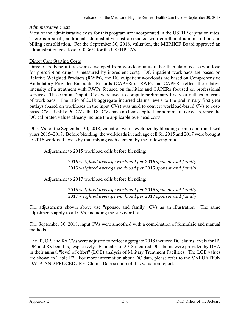# *Administrative Costs*

Most of the administrative costs for this program are incorporated in the USFHP capitation rates. There is a small, additional administrative cost associated with enrollment administration and billing consolidation. For the September 30, 2018, valuation, the MERHCF Board approved an administration cost load of 0.36% for the USFHP CVs.

## Direct Care Starting Costs

Direct Care benefit CVs were developed from workload units rather than claim costs (workload for prescription drugs is measured by ingredient cost). DC inpatient workloads are based on Relative Weighted Products (RWPs), and DC outpatient workloads are based on Comprehensive Ambulatory Provider Encounter Records (CAPERs). RWPs and CAPERs reflect the relative intensity of a treatment with RWPs focused on facilities and CAPERs focused on professional services. These initial "input" CVs were used to compute preliminary first year outlays in terms of workloads. The ratio of 2018 aggregate incurred claims levels to the preliminary first year outlays (based on workloads in the input CVs) was used to convert workload-based CVs to costbased CVs. Unlike PC CVs, the DC CVs have no loads applied for administrative costs, since the DC calibrated values already include the applicable overhead costs.

DC CVs for the September 30, 2018, valuation were developed by blending detail data from fiscal years 2015–2017. Before blending, the workloads in each age cell for 2015 and 2017 were brought to 2016 workload levels by multiplying each element by the following ratio:

Adjustment to 2015 workload cells before blending:

2016 weighted average workload per 2016 sponsor and family 2015 weighted average workload per 2015 sponsor and family

Adjustment to 2017 workload cells before blending:

2016 weighted average workload per 2016 sponsor and family 2017 weighted average workload per 2017 sponsor and family

The adjustments shown above use "sponsor and family" CVs as an illustration. The same adjustments apply to all CVs, including the survivor CVs.

The September 30, 2018, input CVs were smoothed with a combination of formulaic and manual methods.

The IP, OP, and Rx CVs were adjusted to reflect aggregate 2018 incurred DC claims levels for IP, OP, and Rx benefits, respectively. Estimates of 2018 incurred DC claims were provided by DHA in their annual "level of effort" (LOE) analysis of Military Treatment Facilities. The LOE values are shown in Table E2. For more information about DC data, please refer to the VALUATION DATA AND PROCEDURE, Claims Data section of this valuation report.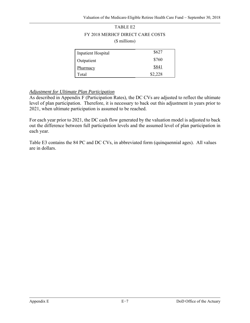# TABLE E2 FY 2018 MERHCF DIRECT CARE COSTS (\$ millions)

| <b>Inpatient Hospital</b> | \$627   |
|---------------------------|---------|
| Outpatient                | \$760   |
| Pharmacy                  | \$841   |
| Total                     | \$2,228 |

## *Adjustment for Ultimate Plan Participation*

As described in Appendix F (Participation Rates), the DC CVs are adjusted to reflect the ultimate level of plan participation. Therefore, it is necessary to back out this adjustment in years prior to 2021, when ultimate participation is assumed to be reached.

For each year prior to 2021, the DC cash flow generated by the valuation model is adjusted to back out the difference between full participation levels and the assumed level of plan participation in each year.

Table E3 contains the 84 PC and DC CVs, in abbreviated form (quinquennial ages). All values are in dollars.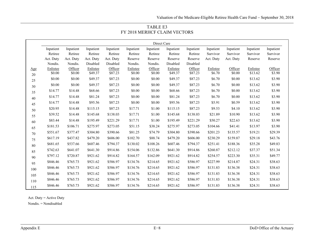| TABLE E3                     |
|------------------------------|
| FY 2018 MERHCF CLAIM VECTORS |

|     |                    |                   |                     |                    |                    | Direct Care       |                     |                    |                    |                   |                     |                   |  |
|-----|--------------------|-------------------|---------------------|--------------------|--------------------|-------------------|---------------------|--------------------|--------------------|-------------------|---------------------|-------------------|--|
|     | Inpatient          | Inpatient         | Inpatient           | Inpatient          | Inpatient          | Inpatient         | Inpatient           | Inpatient          | Inpatient          | Inpatient         | Inpatient           | Inpatient         |  |
|     | Retiree            | Retiree           | Retiree             | Retiree            | Retiree            | Retiree           | Retiree             | Retiree            | Survivor           | Survivor          | Survivor            | Survivor          |  |
|     | Act. Duty          | Act. Duty         | Act. Duty           | Act. Duty          | Reserve            | Reserve           | Reserve             | Reserve            | Act. Duty          | Act. Duty         | Reserve             | Reserve           |  |
|     | Nondis.            | Nondis.           | Disabled            | Disabled           | Nondis.            | Nondis.           | Disabled            | Disabled           |                    |                   |                     |                   |  |
| Age | Enlistee<br>\$0.00 | Officer<br>\$0.00 | Enlistee<br>\$49.37 | Officer<br>\$87.23 | Enlistee<br>\$0.00 | Officer<br>\$0.00 | Enlistee<br>\$49.37 | Officer<br>\$87.23 | Enlistee<br>\$6.70 | Officer<br>\$0.00 | Enlistee<br>\$13.62 | Officer<br>\$3.90 |  |
| 20  | \$0.00             | \$0.00            | \$49.37             | \$87.23            | \$0.00             | \$0.00            | \$49.37             | \$87.23            | \$6.70             | \$0.00            | \$13.62             | \$3.90            |  |
| 25  | \$0.00             | \$0.00            | \$49.37             | \$87.23            | \$0.00             | \$0.00            | \$49.37             | \$87.23            | \$6.70             | \$0.00            | \$13.62             | \$3.90            |  |
| 30  |                    |                   |                     |                    |                    |                   |                     |                    |                    |                   |                     |                   |  |
| 35  | \$14.77            | \$14.48           | \$68.66             | \$87.23            | \$0.00             | \$0.00            | \$68.66             | \$87.23            | \$6.70             | \$0.00            | \$13.62             | \$3.90            |  |
| 40  | \$14.77            | \$14.48           | \$81.24             | \$87.23            | \$0.00             | \$0.00            | \$81.24             | \$87.23            | \$6.70             | \$0.00            | \$13.62             | \$3.90            |  |
| 45  | \$14.77            | \$14.48           | \$95.56             | \$87.23            | \$0.00             | \$0.00            | \$95.56             | \$87.23            | \$5.91             | \$0.59            | \$13.62             | \$3.90            |  |
| 50  | \$20.95            | \$14.48           | \$115.15            | \$87.23            | \$17.71            | \$1.00            | \$115.15            | \$87.23            | \$9.53             | \$4.10            | \$13.62             | \$3.90            |  |
| 55  | \$39.52            | \$14.48           | \$145.68            | \$138.03           | \$17.71            | \$1.00            | \$145.68            | \$138.03           | \$21.89            | \$10.90           | \$13.62             | \$3.90            |  |
| 60  | \$83.44            | \$14.48           | \$195.49            | \$221.29           | \$17.71            | \$1.00            | \$195.49            | \$221.29           | \$50.27            | \$22.63           | \$13.62             | \$3.90            |  |
| 65  | \$181.53           | \$106.71          | \$275.97            | \$273.05           | \$51.15            | \$38.24           | \$275.97            | \$273.05           | \$104.66           | \$41.41           | \$13.97             | \$3.90            |  |
| 70  | \$551.67           | \$377.47          | \$304.80            | \$390.66           | \$81.25            | \$74.79           | \$304.80            | \$390.66           | \$201.23           | \$135.57          | \$19.21             | \$29.39           |  |
| 75  | \$617.19           | \$437.82          | \$479.20            | \$606.00           | \$102.70           | \$88.74           | \$479.20            | \$606.00           | \$230.29           | \$159.87          | \$29.18             | \$43.76           |  |
| 80  | \$681.65           | \$537.66          | \$607.46            | \$794.37           | \$130.02           | \$108.26          | \$607.46            | \$794.37           | \$251.41           | \$188.36          | \$35.28             | \$49.83           |  |
| 85  | \$742.63           | \$641.07          | \$641.30            | \$914.86           | \$154.06           | \$132.86          | \$641.30            | \$914.86           | \$260.87           | \$212.12          | \$37.37             | \$51.34           |  |
| 90  | \$797.12           | \$720.87          | \$921.62            | \$914.82           | \$164.57           | \$162.09          | \$921.62            | \$914.82           | \$254.57           | \$223.30          | \$35.31             | \$49.77           |  |
| 95  | \$846.46           | \$765.73          | \$921.62            | \$586.97           | \$134.76           | \$214.65          | \$921.62            | \$586.97           | \$227.99           | \$214.87          | \$24.31             | \$38.63           |  |
| 100 | \$846.46           | \$765.73          | \$921.62            | \$586.97           | \$134.76           | \$214.65          | \$921.62            | \$586.97           | \$131.83           | \$136.38          | \$24.31             | \$38.63           |  |
| 105 | \$846.46           | \$765.73          | \$921.62            | \$586.97           | \$134.76           | \$214.65          | \$921.62            | \$586.97           | \$131.83           | \$136.38          | \$24.31             | \$38.63           |  |
| 110 | \$846.46           | \$765.73          | \$921.62            | \$586.97           | \$134.76           | \$214.65          | \$921.62            | \$586.97           | \$131.83           | \$136.38          | \$24.31             | \$38.63           |  |
| 115 | \$846.46           | \$765.73          | \$921.62            | \$586.97           | \$134.76           | \$214.65          | \$921.62            | \$586.97           | \$131.83           | \$136.38          | \$24.31             | \$38.63           |  |

Act. Duty = Active Duty

Nondis. = Nondisabled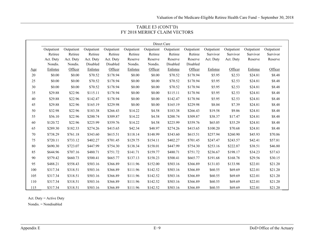### TABLE E3 (CONT'D) FY 2018 MERHCF CLAIM VECTORS

|        |            |            |            |            |            | Direct Care |            |            |            |            |            |            |  |
|--------|------------|------------|------------|------------|------------|-------------|------------|------------|------------|------------|------------|------------|--|
|        | Outpatient | Outpatient | Outpatient | Outpatient | Outpatient | Outpatient  | Outpatient | Outpatient | Outpatient | Outpatient | Outpatient | Outpatient |  |
|        | Retiree    | Retiree    | Retiree    | Retiree    | Retiree    | Retiree     | Retiree    | Retiree    | Survivor   | Survivor   | Survivor   | Survivor   |  |
|        | Act. Duty  | Act. Duty  | Act. Duty  | Act. Duty  | Reserve    | Reserve     | Reserve    | Reserve    | Act. Duty  | Act. Duty  | Reserve    | Reserve    |  |
|        | Nondis.    | Nondis.    | Disabled   | Disabled   | Nondis.    | Nondis.     | Disabled   | Disabled   |            |            |            |            |  |
| Age    | Enlistee   | Officer    | Enlistee   | Officer    | Enlistee   | Officer     | Enlistee   | Officer    | Enlistee   | Officer    | Enlistee   | Officer    |  |
| $20\,$ | \$0.00     | \$0.00     | \$70.52    | \$178.94   | \$0.00     | \$0.00      | \$70.52    | \$178.94   | \$5.95     | \$2.53     | \$24.81    | \$8.48     |  |
| 25     | \$0.00     | \$0.00     | \$70.52    | \$178.94   | \$0.00     | \$0.00      | \$70.52    | \$178.94   | \$5.95     | \$2.53     | \$24.81    | \$8.48     |  |
| 30     | \$0.00     | \$0.00     | \$70.52    | \$178.94   | \$0.00     | \$0.00      | \$70.52    | \$178.94   | \$5.95     | \$2.53     | \$24.81    | \$8.48     |  |
| 35     | \$29.88    | \$22.96    | \$115.11   | \$178.94   | \$0.00     | \$0.00      | \$115.11   | \$178.94   | \$5.95     | \$2.53     | \$24.81    | \$8.48     |  |
| $40\,$ | \$29.88    | \$22.96    | \$142.47   | \$178.94   | \$0.00     | \$0.00      | \$142.47   | \$178.94   | \$5.95     | \$2.53     | \$24.81    | \$8.48     |  |
| 45     | \$29.88    | \$22.96    | \$165.19   | \$229.98   | \$0.00     | \$0.00      | \$165.19   | \$229.98   | \$8.04     | \$7.39     | \$24.81    | \$8.48     |  |
| 50     | \$32.98    | \$22.96    | \$183.38   | \$266.43   | \$14.22    | \$4.58      | \$183.38   | \$266.43   | \$19.58    | \$9.86     | \$24.81    | \$8.48     |  |
| 55     | \$56.10    | \$22.96    | \$200.74   | \$309.87   | \$14.22    | \$4.58      | \$200.74   | \$309.87   | \$38.37    | \$17.47    | \$24.81    | \$8.48     |  |
| 60     | \$120.72   | \$22.96    | \$225.99   | \$359.76   | \$14.22    | \$4.58      | \$225.99   | \$359.76   | \$65.05    | \$35.29    | \$24.81    | \$8.48     |  |
| 65     | \$289.30   | \$182.33   | \$274.26   | \$415.65   | \$42.34    | \$48.97     | \$274.26   | \$415.65   | \$100.20   | \$70.68    | \$24.81    | \$8.48     |  |
| 70     | \$738.29   | \$761.18   | \$343.60   | \$615.51   | \$118.14   | \$148.99    | \$343.60   | \$615.51   | \$257.94   | \$260.90   | \$45.93    | \$70.86    |  |
| 75     | \$720.11   | \$733.12   | \$402.27   | \$701.45   | \$129.75   | \$154.11    | \$402.27   | \$701.45   | \$247.47   | \$243.57   | \$42.41    | \$57.81    |  |
| 80     | \$690.30   | \$723.07   | \$447.99   | \$754.30   | \$138.34   | \$158.01    | \$447.99   | \$754.30   | \$253.16   | \$222.87   | \$38.51    | \$46.80    |  |
| 85     | \$644.96   | \$707.16   | \$480.71   | \$751.72   | \$141.71   | \$159.77    | \$480.71   | \$751.72   | \$236.67   | \$198.17   | \$34.23    | \$37.63    |  |
| 90     | \$579.42   | \$660.73   | \$500.41   | \$665.77   | \$137.13   | \$158.23    | \$500.41   | \$665.77   | \$191.68   | \$168.78   | \$29.56    | \$30.15    |  |
| 95     | \$488.21   | \$558.43   | \$503.16   | \$366.89   | \$111.96   | \$152.00    | \$503.16   | \$366.89   | \$131.03   | \$133.98   | \$22.01    | \$21.20    |  |
| 100    | \$317.34   | \$318.51   | \$503.16   | \$366.89   | \$111.96   | \$142.52    | \$503.16   | \$366.89   | \$60.55    | \$69.69    | \$22.01    | \$21.20    |  |
| 105    | \$317.34   | \$318.51   | \$503.16   | \$366.89   | \$111.96   | \$142.52    | \$503.16   | \$366.89   | \$60.55    | \$69.69    | \$22.01    | \$21.20    |  |
| 110    | \$317.34   | \$318.51   | \$503.16   | \$366.89   | \$111.96   | \$142.52    | \$503.16   | \$366.89   | \$60.55    | \$69.69    | \$22.01    | \$21.20    |  |
| 115    | \$317.34   | \$318.51   | \$503.16   | \$366.89   | \$111.96   | \$142.52    | \$503.16   | \$366.89   | \$60.55    | \$69.69    | \$22.01    | \$21.20    |  |

Act. Duty = Active Duty

Nondis. = Nondisabled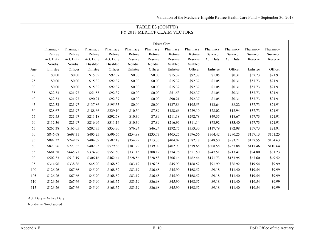| TABLE E3 (CONT'D)            |
|------------------------------|
| FY 2018 MERHCF CLAIM VECTORS |

|     |           |           |           |           |          | Direct Care |          |          |           |           |          |          |
|-----|-----------|-----------|-----------|-----------|----------|-------------|----------|----------|-----------|-----------|----------|----------|
|     | Pharmacy  | Pharmacy  | Pharmacy  | Pharmacy  | Pharmacy | Pharmacy    | Pharmacy | Pharmacy | Pharmacy  | Pharmacy  | Pharmacy | Pharmacy |
|     | Retiree   | Retiree   | Retiree   | Retiree   | Retiree  | Retiree     | Retiree  | Retiree  | Survivor  | Survivor  | Survivor | Survivor |
|     | Act. Duty | Act. Duty | Act. Duty | Act. Duty | Reserve  | Reserve     | Reserve  | Reserve  | Act. Duty | Act. Duty | Reserve  | Reserve  |
|     | Nondis.   | Nondis.   | Disabled  | Disabled  | Nondis.  | Nondis.     | Disabled | Disabled |           |           |          |          |
| Age | Enlistee  | Officer   | Enlistee  | Officer   | Enlistee | Officer     | Enlistee | Officer  | Enlistee  | Officer   | Enlistee | Officer  |
| 20  | \$0.00    | \$0.00    | \$15.32   | \$92.37   | \$0.00   | \$0.00      | \$15.32  | \$92.37  | \$1.05    | \$0.31    | \$57.73  | \$21.91  |
| 25  | \$0.00    | \$0.00    | \$15.32   | \$92.37   | \$0.00   | \$0.00      | \$15.32  | \$92.37  | \$1.05    | \$0.31    | \$57.73  | \$21.91  |
| 30  | \$0.00    | \$0.00    | \$15.32   | \$92.37   | \$0.00   | \$0.00      | \$15.32  | \$92.37  | \$1.05    | \$0.31    | \$57.73  | \$21.91  |
| 35  | \$22.33   | \$21.97   | \$51.53   | \$92.37   | \$0.00   | \$0.00      | \$51.53  | \$92.37  | \$1.05    | \$0.31    | \$57.73  | \$21.91  |
| 40  | \$22.33   | \$21.97   | \$90.21   | \$92.37   | \$0.00   | \$0.00      | \$90.21  | \$92.37  | \$1.05    | \$0.31    | \$57.73  | \$21.91  |
| 45  | \$22.33   | \$21.97   | \$137.86  | \$195.55  | \$0.00   | \$0.00      | \$137.86 | \$195.55 | \$13.64   | \$8.22    | \$57.73  | \$21.91  |
| 50  | \$28.67   | \$21.97   | \$188.66  | \$229.10  | \$10.30  | \$7.89      | \$188.66 | \$229.10 | \$28.02   | \$12.94   | \$57.73  | \$21.91  |
| 55  | \$52.55   | \$21.97   | \$211.18  | \$292.78  | \$10.30  | \$7.89      | \$211.18 | \$292.78 | \$49.35   | \$18.67   | \$57.73  | \$21.91  |
| 60  | \$112.36  | \$21.97   | \$216.96  | \$311.14  | \$10.30  | \$7.89      | \$216.96 | \$311.14 | \$78.92   | \$33.40   | \$57.73  | \$21.91  |
| 65  | \$265.38  | \$165.05  | \$292.75  | \$353.30  | \$76.24  | \$46.24     | \$292.75 | \$353.30 | \$117.79  | \$72.98   | \$57.73  | \$21.91  |
| 70  | \$846.68  | \$698.31  | \$405.25  | \$596.56  | \$254.98 | \$235.73    | \$405.25 | \$596.56 | \$364.42  | \$290.25  | \$157.13 | \$151.25 |
| 75  | \$892.32  | \$749.37  | \$404.09  | \$582.18  | \$354.29 | \$313.33    | \$404.09 | \$582.18 | \$348.50  | \$283.71  | \$137.55 | \$134.63 |
| 80  | \$823.26  | \$727.82  | \$402.93  | \$579.68  | \$381.29 | \$339.09    | \$402.93 | \$579.68 | \$308.58  | \$257.88  | \$117.46 | \$110.64 |
| 85  | \$681.58  | \$645.71  | \$374.76  | \$551.50  | \$331.15 | \$308.12    | \$374.76 | \$551.50 | \$247.51  | \$213.41  | \$94.80  | \$81.23  |
| 90  | \$502.33  | \$513.19  | \$306.16  | \$462.44  | \$228.56 | \$228.58    | \$306.16 | \$462.44 | \$171.73  | \$153.95  | \$67.60  | \$49.52  |
| 95  | \$314.96  | \$338.86  | \$45.90   | \$168.52  | \$83.19  | \$126.35    | \$45.90  | \$168.52 | \$91.99   | \$86.92   | \$19.54  | \$9.99   |
| 100 | \$126.26  | \$67.66   | \$45.90   | \$168.52  | \$83.19  | \$36.68     | \$45.90  | \$168.52 | \$9.18    | \$11.40   | \$19.54  | \$9.99   |
| 105 | \$126.26  | \$67.66   | \$45.90   | \$168.52  | \$83.19  | \$36.68     | \$45.90  | \$168.52 | \$9.18    | \$11.40   | \$19.54  | \$9.99   |
| 110 | \$126.26  | \$67.66   | \$45.90   | \$168.52  | \$83.19  | \$36.68     | \$45.90  | \$168.52 | \$9.18    | \$11.40   | \$19.54  | \$9.99   |
| 115 | \$126.26  | \$67.66   | \$45.90   | \$168.52  | \$83.19  | \$36.68     | \$45.90  | \$168.52 | \$9.18    | \$11.40   | \$19.54  | \$9.99   |

Act. Duty = Active Duty

Nondis. = Nondisabled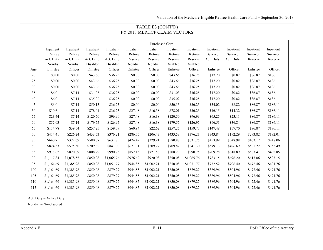| TABLE E3 (CONT'D)            |
|------------------------------|
| FY 2018 MERHCF CLAIM VECTORS |

|        | <b>Purchased Care</b> |            |           |            |           |            |           |            |           |           |           |           |
|--------|-----------------------|------------|-----------|------------|-----------|------------|-----------|------------|-----------|-----------|-----------|-----------|
|        | Inpatient             | Inpatient  | Inpatient | Inpatient  | Inpatient | Inpatient  | Inpatient | Inpatient  | Inpatient | Inpatient | Inpatient | Inpatient |
|        | Retiree               | Retiree    | Retiree   | Retiree    | Retiree   | Retiree    | Retiree   | Retiree    | Survivor  | Survivor  | Survivor  | Survivor  |
|        | Act. Duty             | Act. Duty  | Act. Duty | Act. Duty  | Reserve   | Reserve    | Reserve   | Reserve    | Act. Duty | Act. Duty | Reserve   | Reserve   |
|        | Nondis.               | Nondis.    | Disabled  | Disabled   | Nondis.   | Nondis.    | Disabled  | Disabled   |           |           |           |           |
| Age    | Enlistee              | Officer    | Enlistee  | Officer    | Enlistee  | Officer    | Enlistee  | Officer    | Enlistee  | Officer   | Enlistee  | Officer   |
| $20\,$ | \$0.00                | \$0.00     | \$43.66   | \$36.25    | \$0.00    | \$0.00     | \$43.66   | \$36.25    | \$17.20   | \$0.82    | \$86.87   | \$186.11  |
| 25     | \$0.00                | \$0.00     | \$43.66   | \$36.25    | \$0.00    | \$0.00     | \$43.66   | \$36.25    | \$17.20   | \$0.82    | \$86.87   | \$186.11  |
| 30     | \$0.00                | \$0.00     | \$43.66   | \$36.25    | \$0.00    | \$0.00     | \$43.66   | \$36.25    | \$17.20   | \$0.82    | \$86.87   | \$186.11  |
| 35     | \$6.01                | \$7.14     | \$31.03   | \$36.25    | \$0.00    | \$0.00     | \$31.03   | \$36.25    | \$17.20   | \$0.82    | \$86.87   | \$186.11  |
| 40     | \$6.01                | \$7.14     | \$35.02   | \$36.25    | \$0.00    | \$0.00     | \$35.02   | \$36.25    | \$17.20   | \$0.82    | \$86.87   | \$186.11  |
| 45     | \$6.01                | \$7.14     | \$50.13   | \$36.25    | \$0.00    | \$0.00     | \$50.13   | \$36.25    | \$34.02   | \$8.82    | \$86.87   | \$186.11  |
| 50     | \$10.61               | \$7.14     | \$78.01   | \$36.25    | \$27.48   | \$16.38    | \$78.01   | \$36.25    | \$46.15   | \$14.32   | \$86.87   | \$186.11  |
| 55     | \$23.44               | \$7.14     | \$120.50  | \$96.99    | \$27.48   | \$16.38    | \$120.50  | \$96.99    | \$65.25   | \$23.11   | \$86.87   | \$186.11  |
| 60     | \$52.03               | \$7.14     | \$179.55  | \$126.95   | \$27.48   | \$16.38    | \$179.55  | \$126.95   | \$96.51   | \$36.84   | \$86.87   | \$186.11  |
| 65     | \$114.78              | \$39.54    | \$257.25  | \$159.77   | \$60.94   | \$22.62    | \$257.25  | \$159.77   | \$147.48  | \$57.70   | \$86.87   | \$186.11  |
| 70     | \$414.41              | \$226.24   | \$433.53  | \$376.21   | \$286.75  | \$206.43   | \$433.53  | \$376.21   | \$343.84  | \$192.29  | \$293.82  | \$192.01  |
| 75     | \$640.71              | \$372.69   | \$580.87  | \$631.75   | \$474.42  | \$329.91   | \$580.87  | \$631.75   | \$453.99  | \$348.98  | \$403.12  | \$248.06  |
| 80     | \$824.53              | \$575.50   | \$709.82  | \$841.30   | \$671.91  | \$509.27   | \$709.82  | \$841.30   | \$579.13  | \$496.69  | \$505.22  | \$355.49  |
| 85     | \$978.62              | \$820.89   | \$808.29  | \$990.75   | \$852.15  | \$721.58   | \$808.29  | \$990.75   | \$709.28  | \$618.89  | \$583.41  | \$492.85  |
| 90     | \$1,117.84            | \$1,078.55 | \$850.08  | \$1,065.76 | \$976.62  | \$920.08   | \$850.08  | \$1,065.76 | \$783.15  | \$696.20  | \$615.86  | \$593.15  |
| 95     | \$1,164.69            | \$1,385.98 | \$850.08  | \$1,051.77 | \$944.85  | \$1,002.21 | \$850.08  | \$1,051.77 | \$732.52  | \$706.40  | \$472.46  | \$491.76  |
| 100    | \$1,164.69            | \$1,385.98 | \$850.08  | \$879.27   | \$944.85  | \$1,002.21 | \$850.08  | \$879.27   | \$389.96  | \$504.96  | \$472.46  | \$491.76  |
| 105    | \$1,164.69            | \$1,385.98 | \$850.08  | \$879.27   | \$944.85  | \$1,002.21 | \$850.08  | \$879.27   | \$389.96  | \$504.96  | \$472.46  | \$491.76  |
| 110    | \$1,164.69            | \$1,385.98 | \$850.08  | \$879.27   | \$944.85  | \$1,002.21 | \$850.08  | \$879.27   | \$389.96  | \$504.96  | \$472.46  | \$491.76  |
| 115    | \$1,164.69            | \$1,385.98 | \$850.08  | \$879.27   | \$944.85  | \$1,002.21 | \$850.08  | \$879.27   | \$389.96  | \$504.96  | \$472.46  | \$491.76  |

Act. Duty = Active Duty

Nondis. = Nondisabled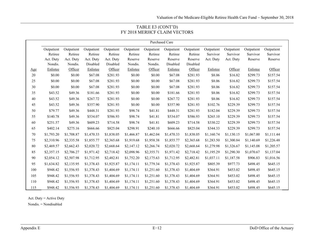### TABLE E3 (CONT'D) FY 2018 MERHCF CLAIM VECTORS

|     | Purchased Care |            |            |            |            |            |            |            |            |            |            |            |
|-----|----------------|------------|------------|------------|------------|------------|------------|------------|------------|------------|------------|------------|
|     | Outpatient     | Outpatient | Outpatient | Outpatient | Outpatient | Outpatient | Outpatient | Outpatient | Outpatient | Outpatient | Outpatient | Outpatient |
|     | Retiree        | Retiree    | Retiree    | Retiree    | Retiree    | Retiree    | Retiree    | Retiree    | Survivor   | Survivor   | Survivor   | Survivor   |
|     | Act. Duty      | Act. Duty  | Act. Duty  | Act. Duty  | Reserve    | Reserve    | Reserve    | Reserve    | Act. Duty  | Act. Duty  | Reserve    | Reserve    |
|     | Nondis.        | Nondis.    | Disabled   | Disabled   | Nondis.    | Nondis.    | Disabled   | Disabled   |            |            |            |            |
| Age | Enlistee       | Officer    | Enlistee   | Officer    | Enlistee   | Officer    | Enlistee   | Officer    | Enlistee   | Officer    | Enlistee   | Officer    |
| 20  | \$0.00         | \$0.00     | \$67.08    | \$281.93   | \$0.00     | \$0.00     | \$67.08    | \$281.93   | \$8.06     | \$16.82    | \$299.73   | \$157.54   |
| 25  | \$0.00         | \$0.00     | \$67.08    | \$281.93   | \$0.00     | \$0.00     | \$67.08    | \$281.93   | \$8.06     | \$16.82    | \$299.73   | \$157.54   |
| 30  | \$0.00         | \$0.00     | \$67.08    | \$281.93   | \$0.00     | \$0.00     | \$67.08    | \$281.93   | \$8.06     | \$16.82    | \$299.73   | \$157.54   |
| 35  | \$43.52        | \$49.36    | \$181.66   | \$281.93   | \$0.00     | \$0.00     | \$181.66   | \$281.93   | \$8.06     | \$16.82    | \$299.73   | \$157.54   |
| 40  | \$43.52        | \$49.36    | \$267.72   | \$281.93   | \$0.00     | \$0.00     | \$267.72   | \$281.93   | \$8.06     | \$16.82    | \$299.73   | \$157.54   |
| 45  | \$43.52        | \$49.36    | \$357.90   | \$281.93   | \$0.00     | \$0.00     | \$357.90   | \$281.93   | \$102.76   | \$229.39   | \$299.73   | \$157.54   |
| 50  | \$79.77        | \$49.36    | \$448.31   | \$281.93   | \$98.74    | \$41.81    | \$448.31   | \$281.93   | \$182.04   | \$229.39   | \$299.73   | \$157.54   |
| 55  | \$140.78       | \$49.36    | \$534.07   | \$586.93   | \$98.74    | \$41.81    | \$534.07   | \$586.93   | \$265.10   | \$229.39   | \$299.73   | \$157.54   |
| 60  | \$251.57       | \$49.36    | \$609.23   | \$714.58   | \$98.74    | \$41.81    | \$609.23   | \$714.58   | \$330.22   | \$229.39   | \$299.73   | \$157.54   |
| 65  | \$402.14       | \$275.16   | \$666.66   | \$825.04   | \$298.91   | \$240.10   | \$666.66   | \$825.04   | \$344.33   | \$229.39   | \$299.73   | \$157.54   |
| 70  | \$1,793.20     | \$1,708.87 | \$1,470.33 | \$1,838.05 | \$1,466.87 | \$1,462.04 | \$1,470.33 | \$1,838.05 | \$1,160.74 | \$1,130.15 | \$1,067.00 | \$1,111.44 |
| 75  | \$2,310.96     | \$2,335.58 | \$1,855.77 | \$2,365.68 | \$1,919.68 | \$1,958.38 | \$1,855.77 | \$2,365.68 | \$1,283.50 | \$1,300.84 | \$1,140.69 | \$1,226.48 |
| 80  | \$2,469.57     | \$2,662.43 | \$2,020.72 | \$2,668.64 | \$2,147.12 | \$2,266.74 | \$2,020.72 | \$2,668.64 | \$1,279.98 | \$1,326.67 | \$1,145.08 | \$1,205.57 |
| 85  | \$2,357.15     | \$2,706.27 | \$1,971.42 | \$2,718.42 | \$2,098.96 | \$2,355.71 | \$1,971.42 | \$2,718.42 | \$1,195.29 | \$1,290.30 | \$1,070.67 | \$1,137.04 |
| 90  | \$2,054.12     | \$2,507.98 | \$1,712.95 | \$2,482.81 | \$1,752.20 | \$2,175.63 | \$1,712.95 | \$2,482.81 | \$1,037.11 | \$1,187.58 | \$906.83   | \$1,016.56 |
| 95  | \$1,634.82     | \$2,135.95 | \$1,378.43 | \$1,925.87 | \$1,174.11 | \$1,779.34 | \$1,378.43 | \$1,925.87 | \$805.39   | \$977.73   | \$498.45   | \$645.15   |
| 100 | \$948.42       | \$1,556.93 | \$1,378.43 | \$1,404.69 | \$1,174.11 | \$1,251.60 | \$1,378.43 | \$1,404.69 | \$364.91   | \$453.02   | \$498.45   | \$645.15   |
| 105 | \$948.42       | \$1,556.93 | \$1,378.43 | \$1,404.69 | \$1,174.11 | \$1,251.60 | \$1,378.43 | \$1,404.69 | \$364.91   | \$453.02   | \$498.45   | \$645.15   |
| 110 | \$948.42       | \$1,556.93 | \$1,378.43 | \$1,404.69 | \$1,174.11 | \$1,251.60 | \$1,378.43 | \$1,404.69 | \$364.91   | \$453.02   | \$498.45   | \$645.15   |
| 115 | \$948.42       | \$1,556.93 | \$1,378.43 | \$1,404.69 | \$1,174.11 | \$1,251.60 | \$1,378.43 | \$1,404.69 | \$364.91   | \$453.02   | \$498.45   | \$645.15   |

Act. Duty = Active Duty

Nondis. = Nondisabled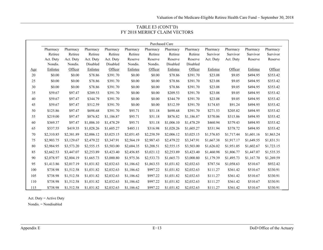### TABLE E3 (CONT'D) FY 2018 MERHCF CLAIM VECTORS

|     |            |            |            |            |            | Purchased Care |            |            |            |            |            |            |
|-----|------------|------------|------------|------------|------------|----------------|------------|------------|------------|------------|------------|------------|
|     | Pharmacy   | Pharmacy   | Pharmacy   | Pharmacy   | Pharmacy   | Pharmacy       | Pharmacy   | Pharmacy   | Pharmacy   | Pharmacy   | Pharmacy   | Pharmacy   |
|     | Retiree    | Retiree    | Retiree    | Retiree    | Retiree    | Retiree        | Retiree    | Retiree    | Survivor   | Survivor   | Survivor   | Survivor   |
|     | Act. Duty  | Act. Duty  | Act. Duty  | Act. Duty  | Reserve    | Reserve        | Reserve    | Reserve    | Act. Duty  | Act. Duty  | Reserve    | Reserve    |
|     | Nondis.    | Nondis.    | Disabled   | Disabled   | Nondis.    | Nondis.        | Disabled   | Disabled   |            |            |            |            |
| Age | Enlistee   | Officer    | Enlistee   | Officer    | Enlistee   | Officer        | Enlistee   | Officer    | Enlistee   | Officer    | Enlistee   | Officer    |
| 20  | \$0.00     | \$0.00     | \$78.86    | \$391.70   | \$0.00     | \$0.00         | \$78.86    | \$391.70   | \$23.08    | \$9.05     | \$494.95   | \$353.42   |
| 25  | \$0.00     | \$0.00     | \$78.86    | \$391.70   | \$0.00     | \$0.00         | \$78.86    | \$391.70   | \$23.08    | \$9.05     | \$494.95   | \$353.42   |
| 30  | \$0.00     | \$0.00     | \$78.86    | \$391.70   | \$0.00     | \$0.00         | \$78.86    | \$391.70   | \$23.08    | \$9.05     | \$494.95   | \$353.42   |
| 35  | \$59.67    | \$97.47    | \$209.53   | \$391.70   | \$0.00     | \$0.00         | \$209.53   | \$391.70   | \$23.08    | \$9.05     | \$494.95   | \$353.42   |
| 40  | \$59.67    | \$97.47    | \$344.79   | \$391.70   | \$0.00     | \$0.00         | \$344.79   | \$391.70   | \$23.08    | \$9.05     | \$494.95   | \$353.42   |
| 45  | \$59.67    | \$97.47    | \$512.59   | \$391.70   | \$0.00     | \$0.00         | \$512.59   | \$391.70   | \$174.85   | \$91.24    | \$494.95   | \$353.42   |
| 50  | \$125.86   | \$97.47    | \$698.68   | \$391.70   | \$95.71    | \$51.18        | \$698.68   | \$391.70   | \$271.53   | \$205.82   | \$494.95   | \$353.42   |
| 55  | \$219.00   | \$97.47    | \$876.82   | \$1,186.87 | \$95.71    | \$51.18        | \$876.82   | \$1,186.87 | \$370.06   | \$315.86   | \$494.95   | \$353.42   |
| 60  | \$369.37   | \$97.47    | \$1,006.10 | \$1,478.29 | \$95.71    | \$51.18        | \$1,006.10 | \$1,478.29 | \$460.94   | \$379.43   | \$494.95   | \$353.42   |
| 65  | \$537.55   | \$419.35   | \$1,028.26 | \$1,605.27 | \$485.11   | \$316.98       | \$1,028.26 | \$1,605.27 | \$531.94   | \$378.72   | \$494.95   | \$353.42   |
| 70  | \$2,310.85 | \$2,381.89 | \$2,006.12 | \$3,025.15 | \$2,051.45 | \$2,258.59     | \$2,006.12 | \$3,025.15 | \$1,576.85 | \$1,717.44 | \$1,601.16 | \$1,863.24 |
| 75  | \$2,903.75 | \$3,129.67 | \$2,479.22 | \$3,347.91 | \$2,564.19 | \$2,987.43     | \$2,479.22 | \$3,347.91 | \$1,667.38 | \$1,917.17 | \$1,649.55 | \$1,831.51 |
| 80  | \$2,984.95 | \$3,573.20 | \$2,555.15 | \$3,503.00 | \$2,684.35 | \$3,208.51     | \$2,555.15 | \$3,503.00 | \$1,626.02 | \$1,951.05 | \$1,602.67 | \$1,723.15 |
| 85  | \$2,662.53 | \$3,447.07 | \$2,253.89 | \$3,423.40 | \$2,456.85 | \$3,021.12     | \$2,253.89 | \$3,423.40 | \$1,460.98 | \$1,806.77 | \$1,447.07 | \$1,535.35 |
| 90  | \$2,078.97 | \$2,804.19 | \$1,665.73 | \$3,000.80 | \$1,975.36 | \$2,533.73     | \$1,665.73 | \$3,000.80 | \$1,179.39 | \$1,495.73 | \$1,167.70 | \$1,269.59 |
| 95  | \$1,413.86 | \$2,017.19 | \$1,031.82 | \$2,032.63 | \$1,186.62 | \$1,863.53     | \$1,031.82 | \$2,032.63 | \$787.54   | \$1,058.63 | \$510.67   | \$932.42   |
| 100 | \$738.98   | \$1,512.58 | \$1,031.82 | \$2,032.63 | \$1,186.62 | \$997.22       | \$1,031.82 | \$2,032.63 | \$111.27   | \$361.42   | \$510.67   | \$330.91   |
| 105 | \$738.98   | \$1,512.58 | \$1,031.82 | \$2,032.63 | \$1,186.62 | \$997.22       | \$1,031.82 | \$2,032.63 | \$111.27   | \$361.42   | \$510.67   | \$330.91   |
| 110 | \$738.98   | \$1,512.58 | \$1,031.82 | \$2,032.63 | \$1,186.62 | \$997.22       | \$1,031.82 | \$2,032.63 | \$111.27   | \$361.42   | \$510.67   | \$330.91   |
| 115 | \$738.98   | \$1,512.58 | \$1,031.82 | \$2,032.63 | \$1,186.62 | \$997.22       | \$1,031.82 | \$2,032.63 | \$111.27   | \$361.42   | \$510.67   | \$330.91   |

Act. Duty = Active Duty

Nondis. = Nondisabled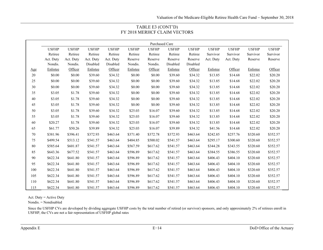| TABLE E3 (CONT'D)            |
|------------------------------|
| FY 2018 MERHCF CLAIM VECTORS |

|     | Purchased Care |              |              |              |              |              |              |              |              |              |              |              |
|-----|----------------|--------------|--------------|--------------|--------------|--------------|--------------|--------------|--------------|--------------|--------------|--------------|
|     | <b>USFHP</b>   | <b>USFHP</b> | <b>USFHP</b> | <b>USFHP</b> | <b>USFHP</b> | <b>USFHP</b> | <b>USFHP</b> | <b>USFHP</b> | <b>USFHP</b> | <b>USFHP</b> | <b>USFHP</b> | <b>USFHP</b> |
|     | Retiree        | Retiree      | Retiree      | Retiree      | Retiree      | Retiree      | Retiree      | Retiree      | Survivor     | Survivor     | Survivor     | Survivor     |
|     | Act. Duty      | Act. Duty    | Act. Duty    | Act. Duty    | Reserve      | Reserve      | Reserve      | Reserve      | Act. Duty    | Act. Duty    | Reserve      | Reserve      |
|     | Nondis.        | Nondis.      | Disabled     | Disabled     | Nondis.      | Nondis.      | Disabled     | Disabled     |              |              |              |              |
| Age | Enlistee       | Officer      | Enlistee     | Officer      | Enlistee     | Officer      | Enlistee     | Officer      | Enlistee     | Officer      | Enlistee     | Officer      |
| 20  | \$0.00         | \$0.00       | \$39.60      | \$34.32      | \$0.00       | \$0.00       | \$39.60      | \$34.32      | \$13.85      | \$14.68      | \$22.02      | \$20.20      |
| 25  | \$0.00         | \$0.00       | \$39.60      | \$34.32      | \$0.00       | \$0.00       | \$39.60      | \$34.32      | \$13.85      | \$14.68      | \$22.02      | \$20.20      |
| 30  | \$0.00         | \$0.00       | \$39.60      | \$34.32      | \$0.00       | \$0.00       | \$39.60      | \$34.32      | \$13.85      | \$14.68      | \$22.02      | \$20.20      |
| 35  | \$3.05         | \$1.78       | \$39.60      | \$34.32      | \$0.00       | \$0.00       | \$39.60      | \$34.32      | \$13.85      | \$14.68      | \$22.02      | \$20.20      |
| 40  | \$3.05         | \$1.78       | \$39.60      | \$34.32      | \$0.00       | \$0.00       | \$39.60      | \$34.32      | \$13.85      | \$14.68      | \$22.02      | \$20.20      |
| 45  | \$3.05         | \$1.78       | \$39.60      | \$34.32      | \$0.00       | \$0.00       | \$39.60      | \$34.32      | \$13.85      | \$14.68      | \$22.02      | \$20.20      |
| 50  | \$3.05         | \$1.78       | \$39.60      | \$34.32      | \$25.03      | \$16.07      | \$39.60      | \$34.32      | \$13.85      | \$14.68      | \$22.02      | \$20.20      |
| 55  | \$3.05         | \$1.78       | \$39.60      | \$34.32      | \$25.03      | \$16.07      | \$39.60      | \$34.32      | \$13.85      | \$14.68      | \$22.02      | \$20.20      |
| 60  | \$20.27        | \$1.78       | \$39.60      | \$34.32      | \$25.03      | \$16.07      | \$39.60      | \$34.32      | \$13.85      | \$14.68      | \$22.02      | \$20.20      |
| 65  | \$61.77        | \$50.26      | \$39.89      | \$34.32      | \$25.03      | \$16.07      | \$39.89      | \$34.32      | \$41.56      | \$14.68      | \$22.02      | \$20.20      |
| 70  | \$381.96       | \$396.41     | \$372.93     | \$463.64     | \$371.40     | \$372.78     | \$372.93     | \$463.64     | \$242.85     | \$257.76     | \$320.60     | \$352.57     |
| 75  | \$499.54       | \$513.12     | \$541.57     | \$463.64     | \$484.85     | \$500.02     | \$541.57     | \$463.64     | \$295.17     | \$300.60     | \$320.60     | \$352.57     |
| 80  | \$585.64       | \$601.87     | \$541.57     | \$463.64     | \$567.59     | \$617.62     | \$541.57     | \$463.64     | \$344.28     | \$343.55     | \$320.60     | \$352.57     |
| 85  | \$643.36       | \$677.52     | \$541.57     | \$463.64     | \$596.89     | \$617.62     | \$541.57     | \$463.64     | \$384.55     | \$386.55     | \$320.60     | \$352.57     |
| 90  | \$622.34       | \$641.80     | \$541.57     | \$463.64     | \$596.89     | \$617.62     | \$541.57     | \$463.64     | \$406.43     | \$404.10     | \$320.60     | \$352.57     |
| 95  | \$622.34       | \$641.80     | \$541.57     | \$463.64     | \$596.89     | \$617.62     | \$541.57     | \$463.64     | \$406.43     | \$404.10     | \$320.60     | \$352.57     |
| 100 | \$622.34       | \$641.80     | \$541.57     | \$463.64     | \$596.89     | \$617.62     | \$541.57     | \$463.64     | \$406.43     | \$404.10     | \$320.60     | \$352.57     |
| 105 | \$622.34       | \$641.80     | \$541.57     | \$463.64     | \$596.89     | \$617.62     | \$541.57     | \$463.64     | \$406.43     | \$404.10     | \$320.60     | \$352.57     |
| 110 | \$622.34       | \$641.80     | \$541.57     | \$463.64     | \$596.89     | \$617.62     | \$541.57     | \$463.64     | \$406.43     | \$404.10     | \$320.60     | \$352.57     |
| 115 | \$622.34       | \$641.80     | \$541.57     | \$463.64     | \$596.89     | \$617.62     | \$541.57     | \$463.64     | \$406.43     | \$404.10     | \$320.60     | \$352.57     |

Act. Duty = Active Duty

Nondis. = Nondisabled

Since the USFHP CVs are developed by dividing aggregate USFHP costs by the total number of retired (or survivor) sponsors, and only approximately 2% of retirees enroll in USFHP, the CVs are not a fair representation of USFHP global rates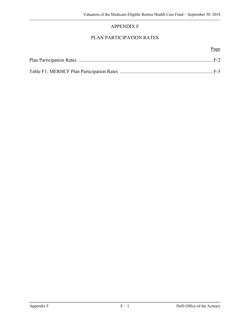# APPENDIX F

# PLAN PARTICIPATION RATES

#### Page **Page**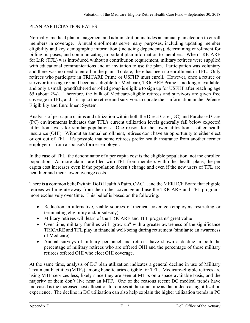### PLAN PARTICIPATION RATES

Normally, medical plan management and administration includes an annual plan election to enroll members in coverage. Annual enrollments serve many purposes, including updating member eligibility and key demographic information (including dependents), determining enrollment for billing purposes, and communicating important plan information to members. When TRICARE for Life (TFL) was introduced without a contribution requirement, military retirees were supplied with educational communications and an invitation to use the plan. Participation was voluntary and there was no need to enroll in the plan. To date, there has been no enrollment in TFL. Only retirees who participate in TRICARE Prime or USFHP must enroll. However, once a retiree or survivor turns age 65 and becomes eligible for Medicare, TRICARE Prime is no longer available, and only a small, grandfathered enrolled group is eligible to sign up for USFHP after reaching age 65 (about 2%). Therefore, the bulk of Medicare-eligible retirees and survivors are given free coverage in TFL, and it is up to the retiree and survivors to update their information in the Defense Eligibility and Enrollment System.

Analysis of per capita claims and utilization within both the Direct Care (DC) and Purchased Care (PC) environments indicates that TFL's current utilization levels generally fall below expected utilization levels for similar populations. One reason for the lower utilization is other health insurance (OHI). Without an annual enrollment, retirees don't have an opportunity to either elect or opt out of TFL. It's possible that some retirees prefer health insurance from another former employer or from a spouse's former employer.

In the case of TFL, the denominator of a per capita cost is the eligible population, not the enrolled population. As more claims are filed with TFL from members with other health plans, the per capita cost increases even if the population doesn't change and even if the new users of TFL are healthier and incur lower average costs.

There is a common belief within DoD Health Affairs, OACT, and the MERHCF Board that eligible retirees will migrate away from their other coverage and use the TRICARE and TFL programs more exclusively over time. This belief is based on the following:

- Reduction in alternative, viable sources of medical coverage (employers restricting or terminating eligibility and/or subsidy)
- Military retirees will learn of the TRICARE and TFL programs' great value
- Over time, military families will "grow up" with a greater awareness of the significance TRICARE and TFL play in financial well-being during retirement (similar to an awareness of Medicare)
- Annual surveys of military personnel and retirees have shown a decline in both the percentage of military retirees who are offered OHI and the percentage of those military retirees offered OHI who elect OHI coverage.

At the same time, analysis of DC plan utilization indicates a general decline in use of Military Treatment Facilities (MTFs) among beneficiaries eligible for TFL. Medicare-eligible retirees are using MTF services less, likely since they are seen at MTFs on a space available basis, and the majority of them don't live near an MTF. One of the reasons recent DC medical trends have increased is the increased cost allocation to retirees at the same time as flat or decreasing utilization experience. The decline in DC utilization can also help explain the higher utilization trends in PC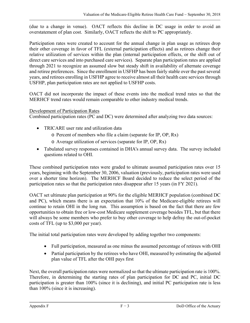(due to a change in venue). OACT reflects this decline in DC usage in order to avoid an overstatement of plan cost. Similarly, OACT reflects the shift to PC appropriately.

Participation rates were created to account for the annual change in plan usage as retirees drop their other coverage in favor of TFL (external participation effects) and as retirees change their relative utilization of services within the plan (internal participation effects, or the shift out of direct care services and into purchased care services). Separate plan participation rates are applied through 2021 to recognize an assumed slow but steady shift in availability of alternate coverage and retiree preferences. Since the enrollment in USFHP has been fairly stable over the past several years, and retirees enrolling in USFHP agree to receive almost all their health care services through USFHP, plan participation rates are not applied to USFHP costs.

OACT did not incorporate the impact of these events into the medical trend rates so that the MERHCF trend rates would remain comparable to other industry medical trends.

### Development of Participation Rates

Combined participation rates (PC and DC) were determined after analyzing two data sources:

- TRICARE user rate and utilization data
	- o Percent of members who file a claim (separate for IP, OP, Rx)
	- o Average utilization of services (separate for IP, OP, Rx)
- Tabulated survey responses contained in DHA's annual survey data. The survey included questions related to OHI.

These combined participation rates were graded to ultimate assumed participation rates over 15 years, beginning with the September 30, 2006, valuation (previously, participation rates were used over a shorter time horizon). The MERHCF Board decided to reduce the select period of the participation rates so that the participation rates disappear after 15 years (in FY 2021).

OACT set ultimate plan participation at 90% for the eligible MERHCF population (combined DC and PC), which means there is an expectation that 10% of the Medicare-eligible retirees will continue to retain OHI in the long run. This assumption is based on the fact that there are few opportunities to obtain free or low-cost Medicare supplement coverage besides TFL, but that there will always be some members who prefer to buy other coverage to help defray the out-of-pocket costs of TFL (up to \$3,000 per year).

The initial total participation rates were developed by adding together two components:

- Full participation, measured as one minus the assumed percentage of retirees with OHI
- Partial participation by the retirees who have OHI, measured by estimating the adjusted plan value of TFL after the OHI pays first

Next, the overall participation rates were normalized so that the ultimate participation rate is 100%. Therefore, in determining the starting rates of plan participation for DC and PC, initial DC participation is greater than 100% (since it is declining), and initial PC participation rate is less than 100% (since it is increasing).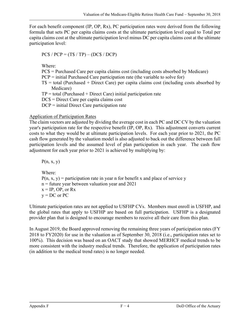For each benefit component (IP, OP, Rx), PC participation rates were derived from the following formula that sets PC per capita claims costs at the ultimate participation level equal to Total per capita claims cost at the ultimate participation level minus DC per capita claims cost at the ultimate participation level:

$$
PC$ / PCP = (T$ / TP) - (DC$ / DCP)
$$

Where:

- PC\$ = Purchased Care per capita claims cost (including costs absorbed by Medicare)
- PCP = initial Purchased Care participation rate (the variable to solve for)
- $TS = total$  (Purchased + Direct Care) per capita claims cost (including costs absorbed by Medicare)

 $TP = total$  (Purchased + Direct Care) initial participation rate

DC\$ = Direct Care per capita claims cost

DCP = initial Direct Care participation rate

## Application of Participation Rates

The claim vectors are adjusted by dividing the average cost in each PC and DC CV by the valuation year's participation rate for the respective benefit (IP, OP, Rx). This adjustment converts current costs to what they would be at ultimate participation levels. For each year prior to 2021, the PC cash flow generated by the valuation model is also adjusted to back out the difference between full participation levels and the assumed level of plan participation in each year. The cash flow adjustment for each year prior to 2021 is achieved by multiplying by:

 $P(n, x, y)$ 

Where:

 $P(n, x, y)$  = participation rate in year n for benefit x and place of service y  $n =$  future year between valuation year and 2021  $x = IP$ , OP, or Rx  $y = DC$  or PC

Ultimate participation rates are not applied to USFHP CVs. Members must enroll in USFHP, and the global rates that apply to USFHP are based on full participation. USFHP is a designated provider plan that is designed to encourage members to receive all their care from this plan.

In August 2019, the Board approved removing the remaining three years of participation rates (FY 2018 to FY2020) for use in the valuation as of September 30, 2018 (i.e., participation rates set to 100%). This decision was based on an OACT study that showed MERHCF medical trends to be more consistent with the industry medical trends. Therefore, the application of participation rates (in addition to the medical trend rates) is no longer needed.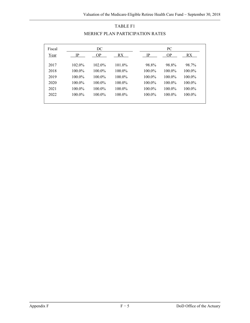| Fiscal |           | DC        |           |           | PC        |           |
|--------|-----------|-----------|-----------|-----------|-----------|-----------|
| Year   | IP        | <b>OP</b> | RX.       | IP        | <b>OP</b> | RX.       |
| 2017   | $102.0\%$ | $102.0\%$ | 101.0%    | 98.8%     | 98.8%     | 98.7%     |
| 2018   | 100.0%    | $100.0\%$ | $100.0\%$ | $100.0\%$ | $100.0\%$ | 100.0%    |
| 2019   | $100.0\%$ | $100.0\%$ | 100.0%    | 100.0%    | $100.0\%$ | $100.0\%$ |
| 2020   | 100.0%    | $100.0\%$ | 100.0%    | $100.0\%$ | $100.0\%$ | 100.0%    |
| 2021   | 100.0%    | $100.0\%$ | $100.0\%$ | $100.0\%$ | $100.0\%$ | $100.0\%$ |
| 2022   | $100.0\%$ | $100.0\%$ | $100.0\%$ | $100.0\%$ | $100.0\%$ | $100.0\%$ |
|        |           |           |           |           |           |           |

# TABLE F1 MERHCF PLAN PARTICIPATION RATES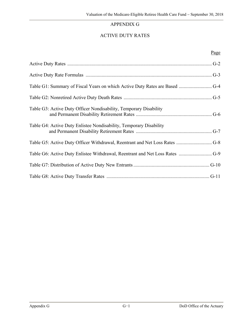# APPENDIX G

# ACTIVE DUTY RATES

### Page

| Table G1: Summary of Fiscal Years on which Active Duty Rates are Based  G-4  |
|------------------------------------------------------------------------------|
|                                                                              |
| Table G3: Active Duty Officer Nondisability, Temporary Disability            |
| Table G4: Active Duty Enlistee Nondisability, Temporary Disability           |
|                                                                              |
| Table G6: Active Duty Enlistee Withdrawal, Reentrant and Net Loss Rates  G-9 |
|                                                                              |
|                                                                              |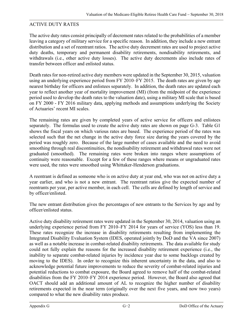## ACTIVE DUTY RATES

The active duty rates consist principally of decrement rates related to the probabilities of a member leaving a category of military service for a specific reason. In addition, they include a new entrant distribution and a set of reentrant ratios. The active duty decrement rates are used to project active duty deaths, temporary and permanent disability retirements, nondisability retirements, and withdrawals (i.e., other active duty losses). The active duty decrements also include rates of transfer between officer and enlisted status.

Death rates for non-retired active duty members were updated in the September 30, 2015, valuation using an underlying experience period from FY 2010–FY 2015. The death rates are given by age nearest birthday for officers and enlistees separately. In addition, the death rates are updated each year to reflect another year of mortality improvement (MI) (from the midpoint of the experience period used to develop the death rates to the valuation date), using a military MI scale that is based on FY 2000 - FY 2016 military data, applying methods and assumptions underlying the Society of Actuaries' recent MI scales.

The remaining rates are given by completed years of active service for officers and enlistees separately. The formulas used to create the active duty rates are shown on page G-3. Table G1 shows the fiscal years on which various rates are based. The experience period of the rates was selected such that the net change in the active duty force size during the years covered by the period was roughly zero. Because of the large number of cases available and the need to avoid smoothing through real discontinuities, the nondisability retirement and withdrawal rates were not graduated (smoothed). The remaining rates were broken into ranges where assumptions of continuity were reasonable. Except for a few of these ranges where means or ungraduated rates were used, the rates were smoothed using Whittaker-Henderson graduations.

A reentrant is defined as someone who is on active duty at year end, who was not on active duty a year earlier, and who is not a new entrant. The reentrant ratios give the expected number of reentrants per year, per active member, in each cell. The cells are defined by length of service and by officer/enlisted.

The new entrant distribution gives the percentages of new entrants to the Services by age and by officer/enlisted status.

Active duty disability retirement rates were updated in the September 30, 2014, valuation using an underlying experience period from FY 2010–FY 2014 for years of service (YOS) less than 19. These rates recognize the increase in disability retirements resulting from implementing the Integrated Disability Evaluation System (IDES, operated jointly by DoD and the VA since 2007) as well as a notable increase in combat-related disability retirements. The data available for study could not fully explain the reasons for the increased disability retirement experience (i.e., the inability to separate combat-related injuries by incidence year due to some backlogs created by moving to the IDES). In order to recognize this inherent uncertainty in the data, and also to acknowledge potential future improvements to reduce the severity of combat-related injuries and potential reductions to combat exposure, the Board agreed to remove half of the combat-related disabilities from the FY 2010–FY 2014 experience period. However, the Board also agreed that OACT should add an additional amount of AL to recognize the higher number of disability retirements expected in the near term (originally over the next five years, and now two years) compared to what the new disability rates produce.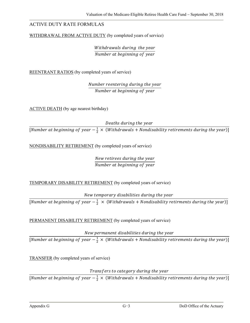### ACTIVE DUTY RATE FORMULAS

WITHDRAWAL FROM ACTIVE DUTY (by completed years of service)

Withdrawals during the year Number at beginning of year

REENTRANT RATIOS (by completed years of service)

Number reentering during the year Number at beginning of year

ACTIVE DEATH (by age nearest birthday)

Deaths during the year

[Number at beginning of year  $-\frac{1}{2} \times$  (Withdrawals + Nondisability retirements during the year)]

NONDISABILITY RETIREMENT (by completed years of service)

New retirees during the year Number at beginning of year

TEMPORARY DISABILITY RETIREMENT (by completed years of service)

New temporary disabilities during the year

[Number at beginning of year  $-\frac{1}{2} \times$  (Withdrawals + Nondisability retirments during the year)]

PERMANENT DISABILITY RETIREMENT (by completed years of service)

New permanent disabilities during the year [Number at beginning of year  $-\frac{1}{2} \times$  (Withdrawals + Nondisability retirements during the year)]

TRANSFER (by completed years of service)

Transfers to category during the year

[Number at beginning of year  $-\frac{1}{2} \times$  (Withdrawals + Nondisability retirements during the year)]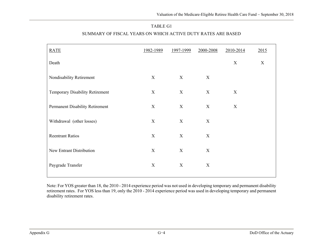#### TABLE G1

| <b>RATE</b>                     | 1982-1989        | 1997-1999        | 2000-2008        | 2010-2014 | 2015 |
|---------------------------------|------------------|------------------|------------------|-----------|------|
| Death                           |                  |                  |                  | X         | X    |
| Nondisability Retirement        | $\mathbf X$      | X                | $\boldsymbol{X}$ |           |      |
| Temporary Disability Retirement | $\mathbf X$      | X                | X                | X         |      |
| Permanent Disability Retirement | $\mathbf X$      | X                | $\mathbf X$      | X         |      |
| Withdrawal (other losses)       | $\boldsymbol{X}$ | $\boldsymbol{X}$ | $\mathbf X$      |           |      |
| <b>Reentrant Ratios</b>         | X                | X                | $\mathbf X$      |           |      |
| New Entrant Distribution        | X                | $\boldsymbol{X}$ | $\boldsymbol{X}$ |           |      |
| Paygrade Transfer               | $\mathbf X$      | $\boldsymbol{X}$ | $\boldsymbol{X}$ |           |      |
|                                 |                  |                  |                  |           |      |

### SUMMARY OF FISCAL YEARS ON WHICH ACTIVE DUTY RATES ARE BASED

Note: For YOS greater than 18, the 2010 - 2014 experience period was not used in developing temporary and permanent disability retirement rates. For YOS less than 19, only the 2010 - 2014 experience period was used in developing temporary and permanent disability retirement rates.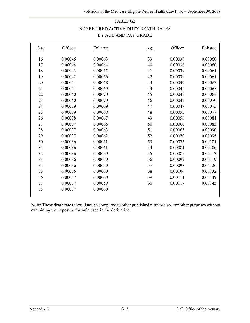# TABLE G2 NONRETIRED ACTIVE DUTY DEATH RATES BY AGE AND PAY GRADE

| <u>Age</u> | Officer | Enlistee | Age | Officer | Enlistee |
|------------|---------|----------|-----|---------|----------|
| 16         | 0.00045 | 0.00063  | 39  | 0.00038 | 0.00060  |
| 17         | 0.00044 | 0.00064  | 40  | 0.00038 | 0.00060  |
| 18         | 0.00043 | 0.00065  | 41  | 0.00039 | 0.00061  |
| 19         | 0.00042 | 0.00066  | 42  | 0.00039 | 0.00061  |
| 20         | 0.00041 | 0.00068  | 43  | 0.00040 | 0.00063  |
| 21         | 0.00041 | 0.00069  | 44  | 0.00042 | 0.00065  |
| 22         | 0.00040 | 0.00070  | 45  | 0.00044 | 0.00067  |
| 23         | 0.00040 | 0.00070  | 46  | 0.00047 | 0.00070  |
| 24         | 0.00039 | 0.00069  | 47  | 0.00049 | 0.00073  |
| 25         | 0.00039 | 0.00068  | 48  | 0.00053 | 0.00077  |
| 26         | 0.00038 | 0.00067  | 49  | 0.00056 | 0.00081  |
| 27         | 0.00037 | 0.00065  | 50  | 0.00060 | 0.00085  |
| 28         | 0.00037 | 0.00063  | 51  | 0.00065 | 0.00090  |
| 29         | 0.00037 | 0.00062  | 52  | 0.00070 | 0.00095  |
| 30         | 0.00036 | 0.00061  | 53  | 0.00075 | 0.00101  |
| 31         | 0.00036 | 0.00061  | 54  | 0.00081 | 0.00106  |
| 32         | 0.00036 | 0.00059  | 55  | 0.00086 | 0.00113  |
| 33         | 0.00036 | 0.00059  | 56  | 0.00092 | 0.00119  |
| 34         | 0.00036 | 0.00059  | 57  | 0.00098 | 0.00126  |
| 35         | 0.00036 | 0.00060  | 58  | 0.00104 | 0.00132  |
| 36         | 0.00037 | 0.00060  | 59  | 0.00111 | 0.00139  |
| 37         | 0.00037 | 0.00059  | 60  | 0.00117 | 0.00145  |
| 38         | 0.00037 | 0.00060  |     |         |          |
|            |         |          |     |         |          |

Note: These death rates should not be compared to other published rates or used for other purposes without examining the exposure formula used in the derivation.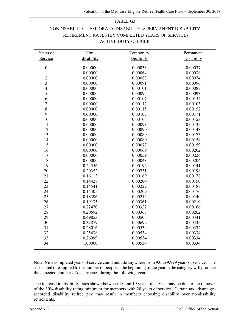#### TABLE G3

## NONDISABILITY, TEMPORARY DISABILITY & PERMANENT DISABILITY RETIREMENT RATES (BY COMPLETED YEARS OF SERVICE) ACTIVE DUTY OFFICER

| Years of         | Non-       | Temporary  | Permanent  |
|------------------|------------|------------|------------|
| Service          | disability | Disability | Disability |
|                  |            |            |            |
| $\boldsymbol{0}$ | 0.00000    | 0.00033    | 0.00037    |
| $\,1$            | 0.00000    | 0.00064    | 0.00038    |
| $\overline{c}$   | 0.00000    | 0.00083    | 0.00074    |
| $\overline{3}$   | 0.00000    | 0.00091    | 0.00096    |
| $\overline{4}$   | 0.00000    | 0.00101    | 0.00087    |
| 5                | 0.00000    | 0.00095    | 0.00093    |
| 6                | 0.00000    | 0.00107    | 0.00154    |
| $\overline{7}$   | 0.00000    | 0.00112    | 0.00103    |
| $\,8\,$          | 0.00000    | 0.00115    | 0.00152    |
| 9                | 0.00000    | 0.00103    | 0.00171    |
| 10               | 0.00000    | 0.00105    | 0.00153    |
| 11               | 0.00000    | 0.00098    | 0.00135    |
| 12               | 0.00000    | 0.00090    | 0.00148    |
| 13               | 0.00000    | 0.00080    | 0.00175    |
| 14               | 0.00000    | 0.00080    | 0.00154    |
| 15               | 0.00000    | 0.00077    | 0.00159    |
| 16               | 0.00000    | 0.00069    | 0.00202    |
| 17               | 0.00000    | 0.00059    | 0.00224    |
| 18               | 0.00000    | 0.00048    | 0.00204    |
| 19               | 0.24556    | 0.00192    | 0.00141    |
| 20               | 0.20352    | 0.00231    | 0.00198    |
| 21               | 0.16113    | 0.00169    | 0.00178    |
| 22               | 0.14428    | 0.00204    | 0.00150    |
| 23               | 0.14541    | 0.00222    | 0.00187    |
| 24               | 0.14305    | 0.00209    | 0.00176    |
| 25               | 0.18396    | 0.00214    | 0.00140    |
| 26               | 0.19135    | 0.00361    | 0.00210    |
| 27               | 0.22470    | 0.00322    | 0.00166    |
| 28               | 0.20692    | 0.00367    | 0.00262    |
| 29               | 0.49853    | 0.00505    | 0.00341    |
| 30               | 0.37879    | 0.00692    | 0.00435    |
| 31               | 0.28016    | 0.00534    | 0.00334    |
| 32               | 0.25438    | 0.00534    | 0.00334    |
| 33               | 0.26999    | 0.00534    | 0.00334    |
| 34               | 1.00000    | 0.00534    | 0.00334    |
|                  |            |            |            |

Note: Nine completed years of service could include anywhere from 9.0 to 9.999 years of service. The associated rate applied to the number of people at the beginning of the year in the category will produce the expected number of occurrences during the following year.

The increase in disability rates shown between 18 and 19 years of service may be due to the removal of the 30% disability rating minimum for members with 20 years of service. Certain tax advantages accorded disability retired pay may result in members choosing disability over nondisability retirements.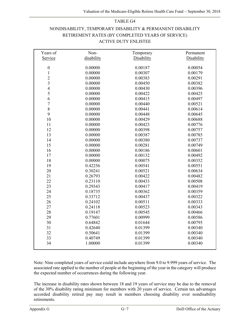#### TABLE G4

# NONDISABILITY, TEMPORARY DISABILITY & PERMANENT DISABILITY RETIREMENT RATES (BY COMPLETED YEARS OF SERVICE) ACTIVE DUTY ENLISTEE

| Years of         | Non-       | Temporary  | Permanent  |
|------------------|------------|------------|------------|
| Service          | disability | Disability | Disability |
|                  |            |            |            |
| $\boldsymbol{0}$ | 0.00000    | 0.00187    | 0.00054    |
| $\mathbf 1$      | 0.00000    | 0.00307    | 0.00179    |
| $\overline{c}$   | 0.00000    | 0.00383    | 0.00291    |
| $\overline{3}$   | 0.00000    | 0.00450    | 0.00382    |
| $\overline{4}$   | 0.00000    | 0.00430    | 0.00396    |
| 5                | 0.00000    | 0.00422    | 0.00425    |
| 6                | 0.00000    | 0.00415    | 0.00497    |
| $\overline{7}$   | 0.00000    | 0.00440    | 0.00521    |
| $\bar{8}$        | 0.00000    | 0.00441    | 0.00614    |
| 9                | 0.00000    | 0.00448    | 0.00645    |
| 10               | 0.00000    | 0.00429    | 0.00688    |
| 11               | 0.00000    | 0.00423    | 0.00776    |
| 12               | 0.00000    | 0.00398    | 0.00757    |
| 13               | 0.00000    | 0.00387    | 0.00785    |
| 14               | 0.00000    | 0.00380    | 0.00737    |
| 15               | 0.00000    | 0.00281    | 0.00749    |
| 16               | 0.00000    | 0.00186    | 0.00601    |
| 17               | 0.00000    | 0.00132    | 0.00492    |
| 18               | 0.00000    | 0.00075    | 0.00352    |
| 19               | 0.42256    | 0.00541    | 0.00551    |
| 20               | 0.30241    | 0.00521    | 0.00634    |
| 21               | 0.26793    | 0.00422    | 0.00482    |
| 22               | 0.23110    | 0.00433    | 0.00508    |
| 23               | 0.29343    | 0.00417    | 0.00419    |
| 24               | 0.18735    | 0.00362    | 0.00359    |
| 25               | 0.33712    | 0.00437    | 0.00322    |
| 26               | 0.24102    | 0.00511    | 0.00333    |
| 27               | 0.24118    | 0.00523    | 0.00343    |
| 28               | 0.19147    | 0.00545    | 0.00466    |
| 29               | 0.77601    | 0.00999    | 0.00586    |
| 30               | 0.64842    | 0.01644    | 0.00795    |
| 31               | 0.42640    | 0.01399    | 0.00340    |
| 32               | 0.50641    | 0.01399    | 0.00340    |
| 33               | 0.40749    | 0.01399    | 0.00340    |
| 34               | 1.00000    | 0.01399    | 0.00340    |
|                  |            |            |            |

Note: Nine completed years of service could include anywhere from 9.0 to 9.999 years of service. The associated rate applied to the number of people at the beginning of the year in the category will produce the expected number of occurrences during the following year.

The increase in disability rates shown between 18 and 19 years of service may be due to the removal of the 30% disability rating minimum for members with 20 years of service. Certain tax advantages accorded disability retired pay may result in members choosing disability over nondisability retirements.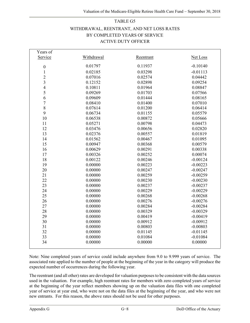# TABLE G5 WITHDRAWAL, REENTRANT, AND NET LOSS RATES BY COMPLETED YEARS OF SERVICE ACTIVE DUTY OFFICER

| Years of         |            |           |                 |
|------------------|------------|-----------|-----------------|
| Service          | Withdrawal | Reentrant | <b>Net Loss</b> |
| $\boldsymbol{0}$ | 0.01797    | 0.11937   | $-0.10140$      |
| $\mathbf{1}$     | 0.02185    | 0.03298   | $-0.01113$      |
| $\overline{2}$   | 0.07016    | 0.02574   | 0.04442         |
| $\overline{3}$   | 0.12152    | 0.02898   | 0.09254         |
| $\overline{4}$   | 0.10811    | 0.01964   | 0.08847         |
| 5                | 0.09269    | 0.01703   | 0.07566         |
| 6                | 0.09609    | 0.01444   | 0.08165         |
| $\overline{7}$   | 0.08410    | 0.01400   | 0.07010         |
| 8                | 0.07614    | 0.01200   | 0.06414         |
| 9                | 0.06734    | 0.01155   | 0.05579         |
| 10               | 0.06538    | 0.00872   | 0.05666         |
| 11               | 0.05271    | 0.00798   | 0.04473         |
| 12               | 0.03476    | 0.00656   | 0.02820         |
| 13               | 0.02376    | 0.00557   | 0.01819         |
| 14               | 0.01562    | 0.00467   | 0.01095         |
| 15               | 0.00947    | 0.00368   | 0.00579         |
| 16               | 0.00629    | 0.00291   | 0.00338         |
| 17               | 0.00326    | 0.00252   | 0.00074         |
| 18               | 0.00122    | 0.00246   | $-0.00124$      |
| 19               | 0.00000    | 0.00223   | $-0.00223$      |
| 20               | 0.00000    | 0.00247   | $-0.00247$      |
| 21               | 0.00000    | 0.00259   | $-0.00259$      |
| 22               | 0.00000    | 0.00230   | $-0.00230$      |
| 23               | 0.00000    | 0.00237   | $-0.00237$      |
| 24               | 0.00000    | 0.00229   | $-0.00229$      |
| 25               | 0.00000    | 0.00268   | $-0.00268$      |
| 26               | 0.00000    | 0.00276   | $-0.00276$      |
| 27               | 0.00000    | 0.00284   | $-0.00284$      |
| 28               | 0.00000    | 0.00329   | $-0.00329$      |
| 29               | 0.00000    | 0.00419   | $-0.00419$      |
| 30               | 0.00000    | 0.00912   | $-0.00912$      |
| 31               | 0.00000    | 0.00803   | $-0.00803$      |
| 32               | 0.00000    | 0.01145   | $-0.01145$      |
| 33               | 0.00000    | 0.01084   | $-0.01084$      |
| 34               | 0.00000    | 0.00000   | 0.00000         |
|                  |            |           |                 |

Note: Nine completed years of service could include anywhere from 9.0 to 9.999 years of service. The associated rate applied to the number of people at the beginning of the year in the category will produce the expected number of occurrences during the following year.

The reentrant (and all other) rates are developed for valuation purposes to be consistent with the data sources used in the valuation. For example, high reentrant rates for members with zero completed years of service at the beginning of the year reflect members showing up on the valuation data files with one completed year of service at year end, who were not on the data files at the beginning of the year, and who were not new entrants. For this reason, the above rates should not be used for other purposes.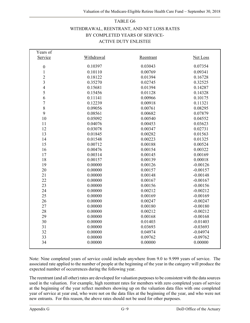# TABLE G6 WITHDRAWAL, REENTRANT, AND NET LOSS RATES BY COMPLETED YEARS OF SERVICE-ACTIVE DUTY ENLISTEE

| Years of                |            |           |            |
|-------------------------|------------|-----------|------------|
| Service                 | Withdrawal | Reentrant | Net Loss   |
| $\boldsymbol{0}$        | 0.10397    | 0.03043   | 0.07354    |
| $\mathbf{1}$            | 0.10110    | 0.00769   | 0.09341    |
| $\overline{2}$          | 0.18122    | 0.01394   | 0.16728    |
| $\overline{\mathbf{3}}$ | 0.35270    | 0.02745   | 0.32525    |
| $\overline{4}$          | 0.15681    | 0.01394   | 0.14287    |
| 5                       | 0.15456    | 0.01128   | 0.14328    |
| 6                       | 0.11141    | 0.00966   | 0.10175    |
| $\overline{7}$          | 0.12239    | 0.00918   | 0.11321    |
| 8                       | 0.09056    | 0.00761   | 0.08295    |
| 9                       | 0.08561    | 0.00682   | 0.07879    |
| 10                      | 0.05092    | 0.00540   | 0.04552    |
| 11                      | 0.04076    | 0.00453   | 0.03623    |
| 12                      | 0.03078    | 0.00347   | 0.02731    |
| 13                      | 0.01845    | 0.00282   | 0.01563    |
| 14                      | 0.01548    | 0.00223   | 0.01325    |
| 15                      | 0.00712    | 0.00188   | 0.00524    |
| 16                      | 0.00476    | 0.00154   | 0.00322    |
| 17                      | 0.00314    | 0.00145   | 0.00169    |
| 18                      | 0.00157    | 0.00139   | 0.00018    |
| 19                      | 0.00000    | 0.00126   | $-0.00126$ |
| 20                      | 0.00000    | 0.00157   | $-0.00157$ |
| 21                      | 0.00000    | 0.00148   | $-0.00148$ |
| 22                      | 0.00000    | 0.00167   | $-0.00167$ |
| 23                      | 0.00000    | 0.00156   | $-0.00156$ |
| 24                      | 0.00000    | 0.00212   | $-0.00212$ |
| 25                      | 0.00000    | 0.00169   | $-0.00169$ |
| 26                      | 0.00000    | 0.00247   | $-0.00247$ |
| 27                      | 0.00000    | 0.00180   | $-0.00180$ |
| 28                      | 0.00000    | 0.00212   | $-0.00212$ |
| 29                      | 0.00000    | 0.00168   | $-0.00168$ |
| 30                      | 0.00000    | 0.01403   | $-0.01403$ |
| 31                      | 0.00000    | 0.03693   | $-0.03693$ |
| 32                      | 0.00000    | 0.04974   | $-0.04974$ |
| 33                      | 0.00000    | 0.09762   | $-0.09762$ |
| 34                      | 0.00000    | 0.00000   | 0.00000    |
|                         |            |           |            |

Note: Nine completed years of service could include anywhere from 9.0 to 9.999 years of service. The associated rate applied to the number of people at the beginning of the year in the category will produce the expected number of occurrences during the following year.

The reentrant (and all other) rates are developed for valuation purposes to be consistent with the data sources used in the valuation. For example, high reentrant rates for members with zero completed years of service at the beginning of the year reflect members showing up on the valuation data files with one completed year of service at year end, who were not on the data files at the beginning of the year, and who were not new entrants. For this reason, the above rates should not be used for other purposes.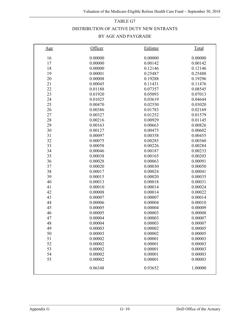### TABLE G7

### DISTRIBUTION OF ACTIVE DUTY NEW ENTRANTS

### BY AGE AND PAYGRADE

| Age | Officer | Enlistee | <b>Total</b> |
|-----|---------|----------|--------------|
| 16  | 0.00000 | 0.00000  | 0.00000      |
| 17  | 0.00000 | 0.00142  | 0.00142      |
| 18  | 0.00000 | 0.12146  | 0.12146      |
| 19  | 0.00001 | 0.25487  | 0.25488      |
| 20  | 0.00008 | 0.19288  | 0.19296      |
| 21  | 0.00045 | 0.11431  | 0.11476      |
| 22  | 0.01188 | 0.07357  | 0.08545      |
| 23  | 0.01920 | 0.05093  | 0.07013      |
| 24  | 0.01025 | 0.03619  | 0.04644      |
| 25  | 0.00470 | 0.02550  | 0.03020      |
| 26  | 0.00386 | 0.01783  | 0.02169      |
| 27  | 0.00327 | 0.01252  | 0.01579      |
| 28  | 0.00216 | 0.00929  | 0.01145      |
| 29  | 0.00163 | 0.00663  | 0.00826      |
| 30  | 0.00127 | 0.00475  | 0.00602      |
| 31  | 0.00097 | 0.00358  | 0.00455      |
| 32  | 0.00075 | 0.00285  | 0.00360      |
| 33  | 0.00058 | 0.00226  | 0.00284      |
| 34  | 0.00046 | 0.00187  | 0.00233      |
| 35  | 0.00038 | 0.00165  | 0.00203      |
| 36  | 0.00028 | 0.00063  | 0.00091      |
| 37  | 0.00020 | 0.00030  | 0.00050      |
| 38  | 0.00017 | 0.00024  | 0.00041      |
| 39  | 0.00015 | 0.00020  | 0.00035      |
| 40  | 0.00013 | 0.00018  | 0.00031      |
| 41  | 0.00010 | 0.00014  | 0.00024      |
| 42  | 0.00008 | 0.00014  | 0.00022      |
| 43  | 0.00007 | 0.00007  | 0.00014      |
| 44  | 0.00006 | 0.00004  | 0.00010      |
| 45  | 0.00005 | 0.00004  | 0.00009      |
| 46  | 0.00005 | 0.00003  | 0.00008      |
| 47  | 0.00004 | 0.00003  | 0.00007      |
| 48  | 0.00004 | 0.00003  | 0.00007      |
| 49  | 0.00003 | 0.00002  | 0.00005      |
| 50  | 0.00003 | 0.00002  | 0.00005      |
| 51  | 0.00002 | 0.00001  | 0.00003      |
| 52  | 0.00002 | 0.00001  | 0.00003      |
| 53  | 0.00002 | 0.00001  | 0.00003      |
| 54  | 0.00002 | 0.00001  | 0.00003      |
| 55  | 0.00002 | 0.00001  | 0.00003      |
|     | 0.06348 | 0.93652  | 1.00000      |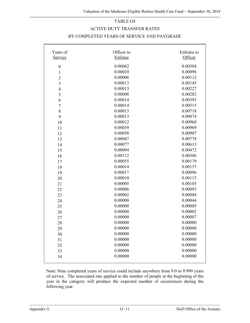#### TABLE G8

#### ACTIVE DUTY TRANSFER RATES

#### BY COMPLETED YEARS OF SERVICE AND PAYGRADE

| Years of         | Officer to | Enlistee to |
|------------------|------------|-------------|
| Service          | Enlistee   | Officer     |
| $\boldsymbol{0}$ | 0.00042    | 0.00304     |
| $\mathbf{1}$     | 0.00010    | 0.00096     |
| $\overline{2}$   | 0.00006    | 0.00112     |
| 3                | 0.00013    | 0.00145     |
| $\overline{4}$   | 0.00013    | 0.00227     |
| 5                | 0.00008    | 0.00282     |
| 6                | 0.00014    | 0.00393     |
| $\boldsymbol{7}$ | 0.00014    | 0.00515     |
| 8                | 0.00013    | 0.00718     |
| 9                | 0.00013    | 0.00874     |
| 10               | 0.00012    | 0.00968     |
| 11               | 0.00039    | 0.00969     |
| 12               | 0.00058    | 0.00907     |
| 13               | 0.00047    | 0.00778     |
| 14               | 0.00077    | 0.00613     |
| 15               | 0.00094    | 0.00472     |
| 16               | 0.00112    | 0.00306     |
| 17               | 0.00055    | 0.00179     |
| 18               | 0.00014    | 0.00137     |
| 19               | 0.00017    | 0.00096     |
| 20               | 0.00010    | 0.00115     |
| 21               | 0.00005    | 0.00105     |
| 22               | 0.00006    | 0.00093     |
| 23               | 0.00002    | 0.00088     |
| 24               | 0.00000    | 0.00044     |
| 25               | 0.00000    | 0.00005     |
| 26               | 0.00000    | 0.00002     |
| 27               | 0.00000    | 0.00007     |
| 28               | 0.00000    | 0.00000     |
| 29               | 0.00000    | 0.00000     |
| 30               | 0.00000    | 0.00000     |
| 31               | 0.00000    | 0.00000     |
| 32               | 0.00000    | 0.00000     |
| 33               | 0.00000    | 0.00000     |
| 34               | 0.00000    | 0.00000     |
|                  |            |             |

Note: Nine completed years of service could include anywhere from 9.0 to 9.999 years of service. The associated rate applied to the number of people at the beginning of the year in the category will produce the expected number of occurrences during the following year.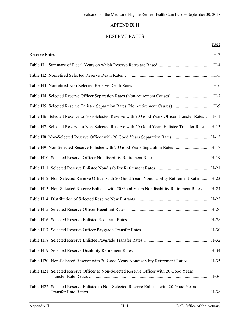# APPENDIX H

### RESERVE RATES

### Page

| Table H4: Selected Reserve Officer Separation Rates (Non-retirement Causes) H-7                     |
|-----------------------------------------------------------------------------------------------------|
| Table H5: Selected Reserve Enlistee Separation Rates (Non-retirement Causes) H-9                    |
| Table H6: Selected Reserve to Non-Selected Reserve with 20 Good Years Officer Transfer Rates  H-11  |
| Table H7: Selected Reserve to Non-Selected Reserve with 20 Good Years Enlistee Transfer Rates  H-13 |
| Table H8: Non-Selected Reserve Officer with 20 Good Years Separation Rates H-15                     |
| Table H9: Non-Selected Reserve Enlistee with 20 Good Years Separation Rates H-17                    |
|                                                                                                     |
|                                                                                                     |
| Table H12: Non-Selected Reserve Officer with 20 Good Years Nondisability Retirement Rates  H-23     |
| Table H13: Non-Selected Reserve Enlistee with 20 Good Years Nondisability Retirement Rates  H-24    |
|                                                                                                     |
|                                                                                                     |
|                                                                                                     |
|                                                                                                     |
|                                                                                                     |
|                                                                                                     |
| Table H20: Non-Selected Reserve with 20 Good Years Nondisability Retirement Ratios  H-35            |
| Table H21: Selected Reserve Officer to Non-Selected Reserve Officer with 20 Good Years              |
| Table H22: Selected Reserve Enlistee to Non-Selected Reserve Enlistee with 20 Good Years            |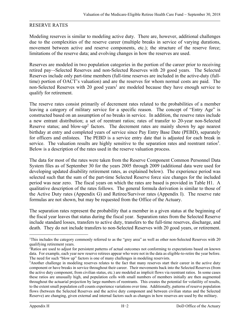### RESERVE RATES

Modeling reserves is similar to modeling active duty. There are, however, additional challenges due to the complexities of the reserve career (multiple breaks in service of varying durations, movement between active and reserve components, etc.); the structure of the reserve force; limitations of the reserve data; and evolving changes in how the reserves are used.

Reserves are modeled in two population categories in the portion of the career prior to receiving retired pay–-Selected Reserves and non-Selected Reserves with 20 good years. The Selected Reserves include only part-time members (full-time reserves are included in the active-duty (fulltime) portion of OACT's valuation) and are the reserves for whom normal costs are paid. The non-Selected Reserves with 20 good years<sup>1</sup> are modeled because they have enough service to qualify for retirement.

The reserve rates consist primarily of decrement rates related to the probabilities of a member leaving a category of military service for a specific reason. The concept of "Entry Age" is constructed based on an assumption of no breaks in service. In addition, the reserve rates include a new entrant distribution; a set of reentrant ratios; rates of transfer to 20-year non-Selected Reserve status; and blow-up<sup>2</sup> factors. The decrement rates are mainly shown by age nearest birthday at entry and completed years of service since Pay Entry Base Date (PEBD), separately for officers and enlistees. The PEBD is a service entry date that is adjusted for each break in service. The valuation results are highly sensitive to the separation rates and reentrant ratios<sup>3</sup>. Below is a description of the rates used in the reserve valuation process.

The data for most of the rates were taken from the Reserve Component Common Personnel Data System files as of September 30 for the years 2005 through 2009 (additional data were used for developing updated disability retirement rates, as explained below). The experience period was selected such that the sum of the part-time Selected Reserve force size changes for the included period was near zero. The fiscal years on which the rates are based is provided in Table H1. A qualitative description of the rates follows. The general formula derivation is similar to those of the Active Duty rates (Appendix G) and Retiree/Survivor rates (Appendix I). The reserve rate formulas are not shown, but may be requested from the Office of the Actuary.

The separation rates represent the probability that a member in a given status at the beginning of the fiscal year leaves that status during the fiscal year. Separation rates from the Selected Reserve include standard losses, transfers to active duty, transfers to the full-time reserves, discharge, and death. They do not include transfers to non-Selected Reserves with 20 good years, or retirement.

 $\overline{\phantom{0}}$ 

<sup>&</sup>lt;sup>1</sup>This includes the category commonly referred to as the "grey area" as well as other non-Selected Reserves with 20 qualifying retirement years.

<sup>2</sup> Ratios are used to adjust for persistent patterns of actual outcomes not conforming to expectations based on known data. For example, each year new reserve retirees appear who were not in the data as eligible-to-retire the year before. The need for such "blow up" factors is one of many challenges in modeling reservists.

<sup>3</sup> Another challenge in modeling reserves relates to the fact that many reserves start their career in the active duty component or have breaks in service throughout their career. Their movements back into the Selected Reserves (from the active duty component, from civilian status, etc.) are modeled as implicit flows via reentrant ratios. In some cases these ratios are unusually high, and population cells with small numbers of members initially are then augmented throughout the actuarial projection by large numbers of reentrants. This creates the potential for volatility of results, to the extent small population cell counts experience variations over time. Additionally, patterns of reserve population flows (between the Selected Reserves and the active duty component and between civilian status and the Selected Reserve) are changing, given external and internal factors such as changes in how reserves are used by the military.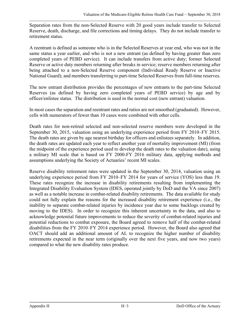Separation rates from the non-Selected Reserve with 20 good years include transfer to Selected Reserve, death, discharge, and file corrections and timing delays. They do not include transfer to retirement status.

A reentrant is defined as someone who is in the Selected Reserves at year end, who was not in the same status a year earlier, and who is not a new entrant (as defined by having greater than zero completed years of PEBD service). It can include transfers from active duty; former Selected Reserve or active duty members returning after breaks in service; reserve members returning after being attached to a non-Selected Reserve component (Individual Ready Reserve or Inactive National Guard); and members transferring to part-time Selected Reserves from full-time reserves.

The new entrant distribution provides the percentages of new entrants to the part-time Selected Reserves (as defined by having zero completed years of PEBD service) by age and by officer/enlistee status. The distribution is used in the normal cost (new entrant) valuation.

In most cases the separation and reentrant rates and ratios are not smoothed (graduated). However, cells with numerators of fewer than 10 cases were combined with other cells.

Death rates for non-retired selected and non-selected reserve members were developed in the September 30, 2015, valuation using an underlying experience period from FY 2010–FY 2015. The death rates are given by age nearest birthday for officers and enlistees separately. In addition, the death rates are updated each year to reflect another year of mortality improvement (MI) (from the midpoint of the experience period used to develop the death rates to the valuation date), using a military MI scale that is based on FY 2000-FY 2016 military data, applying methods and assumptions underlying the Society of Actuaries' recent MI scales.

Reserve disability retirement rates were updated in the September 30, 2014, valuation using an underlying experience period from FY 2010–FY 2014 for years of service (YOS) less than 19. These rates recognize the increase in disability retirements resulting from implementing the Integrated Disability Evaluation System (IDES, operated jointly by DoD and the VA since 2007) as well as a notable increase in combat-related disability retirements. The data available for study could not fully explain the reasons for the increased disability retirement experience (i.e., the inability to separate combat-related injuries by incidence year due to some backlogs created by moving to the IDES). In order to recognize this inherent uncertainty in the data, and also to acknowledge potential future improvements to reduce the severity of combat-related injuries and potential reductions to combat exposure, the Board agreed to remove half of the combat-related disabilities from the FY 2010–FY 2014 experience period. However, the Board also agreed that OACT should add an additional amount of AL to recognize the higher number of disability retirements expected in the near term (originally over the next five years, and now two years) compared to what the new disability rates produce.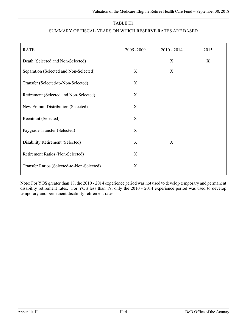#### TABLE H1

#### SUMMARY OF FISCAL YEARS ON WHICH RESERVE RATES ARE BASED

| <b>RATE</b>                                | 2005-2009 | $2010 - 2014$ | 2015 |
|--------------------------------------------|-----------|---------------|------|
| Death (Selected and Non-Selected)          |           | X             | X    |
| Separation (Selected and Non-Selected)     | X         | X             |      |
| Transfer (Selected-to-Non-Selected)        | X         |               |      |
| Retirement (Selected and Non-Selected)     | X         |               |      |
| New Entrant Distribution (Selected)        | X         |               |      |
| Reentrant (Selected)                       | X         |               |      |
| Paygrade Transfer (Selected)               | X         |               |      |
| Disability Retirement (Selected)           | X         | X             |      |
| Retirement Ratios (Non-Selected)           | X         |               |      |
| Transfer Ratios (Selected-to-Non-Selected) | X         |               |      |

Note: For YOS greater than 18, the 2010 - 2014 experience period was not used to develop temporary and permanent disability retirement rates. For YOS less than 19, only the 2010 - 2014 experience period was used to develop temporary and permanent disability retirement rates.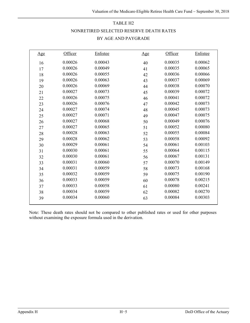# TABLE H2 NONRETIRED SELECTED RESERVE DEATH RATES BY AGE AND PAYGRADE

| <u>Age</u> | Officer | Enlistee | <u>Age</u> | Officer | Enlistee |
|------------|---------|----------|------------|---------|----------|
| 16         | 0.00026 | 0.00043  | 40         | 0.00035 | 0.00062  |
| 17         | 0.00026 | 0.00049  | 41         | 0.00035 | 0.00065  |
| 18         | 0.00026 | 0.00055  | 42         | 0.00036 | 0.00066  |
| 19         | 0.00026 | 0.00063  | 43         | 0.00037 | 0.00069  |
| 20         | 0.00026 | 0.00069  | 44         | 0.00038 | 0.00070  |
| 21         | 0.00027 | 0.00073  | 45         | 0.00039 | 0.00072  |
| 22         | 0.00026 | 0.00075  | 46         | 0.00041 | 0.00072  |
| 23         | 0.00026 | 0.00076  | 47         | 0.00042 | 0.00073  |
| 24         | 0.00027 | 0.00074  | 48         | 0.00045 | 0.00073  |
| 25         | 0.00027 | 0.00071  | 49         | 0.00047 | 0.00075  |
| 26         | 0.00027 | 0.00068  | 50         | 0.00049 | 0.00076  |
| 27         | 0.00027 | 0.00065  | 51         | 0.00052 | 0.00080  |
| 28         | 0.00028 | 0.00063  | 52         | 0.00055 | 0.00084  |
| 29         | 0.00028 | 0.00062  | 53         | 0.00058 | 0.00092  |
| 30         | 0.00029 | 0.00061  | 54         | 0.00061 | 0.00103  |
| 31         | 0.00030 | 0.00061  | 55         | 0.00064 | 0.00115  |
| 32         | 0.00030 | 0.00061  | 56         | 0.00067 | 0.00131  |
| 33         | 0.00031 | 0.00060  | 57         | 0.00070 | 0.00149  |
| 34         | 0.00031 | 0.00059  | 58         | 0.00073 | 0.00168  |
| 35         | 0.00032 | 0.00059  | 59         | 0.00075 | 0.00190  |
| 36         | 0.00033 | 0.00059  | 60         | 0.00078 | 0.00215  |
| 37         | 0.00033 | 0.00058  | 61         | 0.00080 | 0.00241  |
| 38         | 0.00034 | 0.00059  | 62         | 0.00082 | 0.00270  |
| 39         | 0.00034 | 0.00060  | 63         | 0.00084 | 0.00303  |
|            |         |          |            |         |          |

Note: These death rates should not be compared to other published rates or used for other purposes without examining the exposure formula used in the derivation.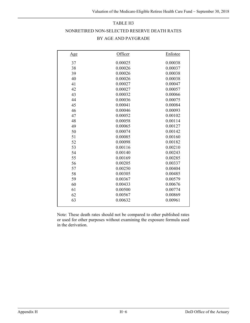### TABLE H3

#### NONRETIRED NON-SELECTED RESERVE DEATH RATES

| <u>Age</u> | Officer | Enlistee |
|------------|---------|----------|
| 37         | 0.00025 | 0.00038  |
| 38         | 0.00026 | 0.00037  |
| 39         | 0.00026 | 0.00038  |
| 40         | 0.00026 | 0.00038  |
| 41         | 0.00027 | 0.00047  |
| 42         | 0.00027 | 0.00057  |
| 43         | 0.00032 | 0.00066  |
| 44         | 0.00036 | 0.00075  |
| 45         | 0.00041 | 0.00084  |
| 46         | 0.00046 | 0.00093  |
| 47         | 0.00052 | 0.00102  |
| 48         | 0.00058 | 0.00114  |
| 49         | 0.00065 | 0.00127  |
| 50         | 0.00074 | 0.00142  |
| 51         | 0.00085 | 0.00160  |
| 52         | 0.00098 | 0.00182  |
| 53         | 0.00116 | 0.00210  |
| 54         | 0.00140 | 0.00243  |
| 55         | 0.00169 | 0.00285  |
| 56         | 0.00205 | 0.00337  |
| 57         | 0.00250 | 0.00404  |
| 58         | 0.00305 | 0.00485  |
| 59         | 0.00367 | 0.00579  |
| 60         | 0.00433 | 0.00676  |
| 61         | 0.00500 | 0.00774  |
| 62         | 0.00567 | 0.00869  |
| 63         | 0.00632 | 0.00961  |
|            |         |          |

### BY AGE AND PAYGRADE

Note: These death rates should not be compared to other published rates or used for other purposes without examining the exposure formula used in the derivation.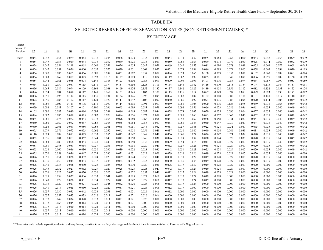# TABLE H4 SELECTED RESERVE OFFICER SEPARATION RATES (NON-RETIREMENT CAUSES) \*

BY ENTRY AGE

| Years of<br>22<br>23<br>24<br>29<br>32<br>33<br>38<br>17<br>18<br>19<br>$\overline{20}$<br>21<br>25<br>$\overline{26}$<br>27<br>28<br>30<br>$\overline{31}$<br>34<br>35<br>$\frac{36}{5}$<br>37<br>Service<br>0.029<br>0.038<br>0.035<br>0.028<br>0.039<br>0.073<br>0.064<br>0.079<br>0.054<br>0.047<br>0.054<br>0.044<br>0.023<br>0.033<br>0.053<br>0.037<br>0.065<br>0.063<br>0.050<br>0.063<br>0.048<br>0.058<br>Under 1<br>0.074<br>0.054<br>0.047<br>0.054<br>0.029<br>0.044<br>0.038<br>0.057<br>0.039<br>0.023<br>0.033<br>0.039<br>0.059<br>0.065<br>0.064<br>0.079<br>0.077<br>0.050<br>0.075<br>0.074<br>0.067<br>0.082<br>-1<br>0.069<br>0.059<br>0.094<br>0.078<br>2<br>0.054<br>0.047<br>0.054<br>0.118<br>0.068<br>0.056<br>0.055<br>0.042<br>0.071<br>0.069<br>0.042<br>0.057<br>0.081<br>0.089<br>0.075<br>0.066<br>0.075<br>0.068<br>0.052<br>0.073<br>0.069<br>0.071<br>0.088<br>0.079<br>0.078<br>0.094<br>3<br>0.054<br>0.047<br>0.051<br>0.076<br>0.060<br>0.070<br>0.051<br>0.052<br>0.079<br>0.084<br>0.086<br>0.065<br>0.065<br>0.070<br>0.054<br>0.085<br>0.065<br>0.056<br>0.085<br>0.092<br>0.078<br>0.084<br>0.073<br>0.065<br>0.100<br>0.073<br>0.053<br>0.102<br>0.088<br>$\overline{4}$<br>0.067<br>0.061<br>0.067<br>0.057<br>0.071<br>0.060<br>0.081<br>0.073<br>0.093<br>0.099<br>0.101<br>0.089<br>5<br>0.054<br>0.063<br>0.069<br>0.057<br>0.115<br>0.127<br>0.083<br>0.118<br>0.074<br>0.119<br>0.082<br>0.065<br>0.048<br>0.090<br>0.086<br>0.095<br>0.130<br>0.123<br>0.079<br>0.093<br>0.076<br>0.058<br>0.054<br>0.044<br>0.061<br>0.055<br>0.074<br>0.146<br>0.168<br>0.100<br>0.086<br>0.099<br>0.095<br>0.101<br>0.074<br>0.064<br>0.057<br>0.090<br>0.053<br>-6<br>0.087<br>0.115<br>0.171<br>0.174<br>0.134<br>0.142<br>0.116<br>0.170<br>0.091<br>0.054<br>0.051<br>0.059<br>0.137<br>0.156<br>0.128<br>0.113<br>0.148<br>0.115<br>0.134<br>0.144<br>0.113<br>0.144<br>0.157<br>-7<br>8<br>0.056<br>0.065<br>0.089<br>0.094<br>0.109<br>0.168<br>0.168<br>0.152<br>0.132<br>0.137<br>0.125<br>0.189<br>0.158<br>0.156<br>0.132<br>0.133<br>0.152<br>0.169<br>0.124<br>0.142<br>0.112<br>0.082<br>$\mathbf{Q}$<br>0.049<br>0.097<br>0.087<br>0.096<br>0.074<br>0.084<br>0.098<br>0.112<br>0.147<br>0.167<br>0.153<br>0.145<br>0.107<br>0.113<br>0.116<br>0.114<br>0.087<br>0.083<br>0.099<br>0.093<br>0.130<br>0.175<br>0.103<br>0.091<br>0.086<br>0.091<br>0.096<br>0.112<br>0.115<br>0.135<br>0.134<br>0.126<br>0.099<br>0.094<br>0.087<br>0.082<br>0.102<br>0.118<br>0.088<br>0.128<br>0.117<br>0.110<br>10<br>0.134<br>0.096<br>0.101<br>0.101<br>0.092<br>0.096<br>0.117<br>0.124<br>0.129<br>0.097<br>0.075<br>0.094<br>0.106<br>0.072<br>0.085<br>0.102<br>0.113<br>0.097<br>0.102<br>0.092<br>0.080<br>0.066<br>0.091<br>0.086<br>0.070<br>0.114<br>0.049<br>11<br>0.106<br>0.111<br>0.099<br>0.097<br>0.108<br>0.090<br>0.076<br>0.123<br>0.078<br>0.042<br>12<br>0.081<br>0.089<br>0.102<br>0.111<br>0.114<br>0.103<br>0.094<br>0.089<br>0.086<br>0.069<br>0.035<br>0.066<br>0.049<br>0.059<br>0.083<br>0.107<br>0.101<br>0.100<br>0.096<br>0.093<br>0.079<br>0.076<br>0.098<br>0.056<br>0.066<br>0.073<br>0.086<br>0.040<br>0.049<br>0.042<br>13<br>0.086<br>0.089<br>0.083<br>0.036<br>0.061<br>0.035<br>0.042<br>0.105<br>0.090<br>0.083<br>0.080<br>0.084<br>0.094<br>0.089<br>0.069<br>0.083<br>0.084<br>0.078<br>0.078<br>0.050<br>0.035<br>0.096<br>0.064<br>0.057<br>0.035<br>0.040<br>0.049<br>14<br>0.086<br>0.063<br>0.042<br>0.084<br>0.082<br>0.086<br>0.079<br>0.075<br>0.082<br>0.078<br>0.084<br>0.076<br>0.072<br>0.059<br>0.061<br>0.085<br>0.060<br>0.083<br>0.057<br>0.065<br>0.040<br>0.052<br>0.035<br>0.040<br>0.049<br>15<br>0.042<br>0.075<br>0.083<br>0.073<br>0.064<br>0.028<br>0.058<br>0.031<br>0.040<br>16<br>0.085<br>0.081<br>0.082<br>0.076<br>0.060<br>0.068<br>0.056<br>0.061<br>0.058<br>0.069<br>0.037<br>0.051<br>0.035<br>0.049<br>0.060<br>0.080<br>0.069<br>0.072<br>0.067<br>0.068<br>0.068<br>0.065<br>0.064<br>0.058<br>0.063<br>0.061<br>0.044<br>0.040<br>0.047<br>0.030<br>0.047<br>0.044<br>0.035<br>0.040<br>0.049<br>0.042<br>17<br>0.063<br>0.042<br>18<br>0.060<br>0.056<br>0.061<br>0.061<br>0.086<br>0.063<br>0.061<br>0.068<br>0.051<br>0.046<br>0.062<br>0.051<br>0.057<br>0.045<br>0.022<br>0.028<br>0.031<br>0.047<br>0.065<br>0.035<br>0.040<br>0.049<br>0.042<br>19<br>0.075<br>0.079<br>0.076<br>0.072<br>0.073<br>0.062<br>0.057<br>0.049<br>0.037<br>0.050<br>0.040<br>0.040<br>0.054<br>0.046<br>0.039<br>0.040<br>0.049<br>0.045<br>0.058<br>0.056<br>0.031<br>0.035<br>0.073<br>0.073<br>0.053<br>0.056<br>0.026<br>0.047<br>0.021<br>0.039<br>0.040<br>0.042<br>20<br>0.110<br>0.099<br>0.089<br>0.045<br>0.047<br>0.049<br>0.041<br>0.056<br>0.061<br>0.024<br>0.020<br>0.035<br>0.049<br>0.024<br>0.042<br>0.062<br>0.076<br>0.081<br>0.063<br>0.067<br>0.044<br>0.043<br>0.038<br>0.026<br>0.029<br>0.037<br>0.020<br>0.020<br>0.037<br>0.020<br>0.040<br>0.049<br>21<br>0.042<br>0.050<br>0.048<br>0.035<br>0.042<br>22<br>0.078<br>0.083<br>0.080<br>0.053<br>0.041<br>0.040<br>0.038<br>0.035<br>0.038<br>0.029<br>0.054<br>0.016<br>0.041<br>0.028<br>0.029<br>0.017<br>0.020<br>0.035<br>0.040<br>0.049<br>0.058<br>0.050<br>23<br>0.051<br>0.054<br>0.039<br>0.038<br>0.028<br>0.029<br>0.017<br>0.042<br>0.081<br>0.081<br>0.048<br>0.035<br>0.040<br>0.038<br>0.020<br>0.041<br>0.052<br>0.059<br>0.025<br>0.020<br>0.035<br>0.040<br>0.049<br>0.023<br>0.025<br>0.028<br>0.029<br>0.042<br>0.073<br>0.058<br>0.060<br>0.046<br>0.036<br>0.030<br>0.030<br>0.039<br>0.022<br>0.028<br>0.035<br>0.042<br>0.031<br>0.017<br>0.020<br>0.035<br>0.040<br>0.049<br>24<br>0.029<br>0.028<br>0.029<br>0.000<br>0.055<br>0.070<br>0.058<br>0.036<br>0.047<br>0.024<br>0.030<br>0.031<br>0.031<br>0.029<br>0.020<br>0.016<br>0.026<br>0.019<br>0.017<br>0.020<br>0.040<br>0.049<br>25<br>0.035<br>0.026<br>0.028<br>0.032<br>0.024<br>0.028<br>0.029<br>0.030<br>0.030<br>0.022<br>0.019<br>0.028<br>0.029<br>0.040<br>0.000<br>26<br>0.051<br>0.051<br>0.024<br>0.036<br>0.041<br>0.017<br>0.020<br>0.035<br>0.000<br>0.000<br>27<br>0.026<br>0.036<br>0.050<br>0.044<br>0.033<br>0.032<br>0.038<br>0.034<br>0.032<br>0.043<br>0.056<br>0.030<br>0.046<br>0.038<br>0.019<br>0.028<br>0.029<br>0.017<br>0.020<br>0.035<br>0.000<br>0.000<br>0.028<br>0.028<br>0.029<br>0.000<br>0.000<br>28<br>0.026<br>0.043<br>0.036<br>0.036<br>0.030<br>0.025<br>0.025<br>0.030<br>0.020<br>0.020<br>0.026<br>0.017<br>0.037<br>0.019<br>0.017<br>0.020<br>0.000<br>0.000<br>29<br>0.026<br>0.032<br>0.027<br>0.032<br>0.029<br>0.020<br>0.047<br>0.042<br>0.024<br>0.019<br>0.028<br>0.029<br>0.000<br>0.000<br>0.045<br>0.028<br>0.023<br>0.025<br>0.017<br>0.017<br>0.000<br>0.000 |       |
|--------------------------------------------------------------------------------------------------------------------------------------------------------------------------------------------------------------------------------------------------------------------------------------------------------------------------------------------------------------------------------------------------------------------------------------------------------------------------------------------------------------------------------------------------------------------------------------------------------------------------------------------------------------------------------------------------------------------------------------------------------------------------------------------------------------------------------------------------------------------------------------------------------------------------------------------------------------------------------------------------------------------------------------------------------------------------------------------------------------------------------------------------------------------------------------------------------------------------------------------------------------------------------------------------------------------------------------------------------------------------------------------------------------------------------------------------------------------------------------------------------------------------------------------------------------------------------------------------------------------------------------------------------------------------------------------------------------------------------------------------------------------------------------------------------------------------------------------------------------------------------------------------------------------------------------------------------------------------------------------------------------------------------------------------------------------------------------------------------------------------------------------------------------------------------------------------------------------------------------------------------------------------------------------------------------------------------------------------------------------------------------------------------------------------------------------------------------------------------------------------------------------------------------------------------------------------------------------------------------------------------------------------------------------------------------------------------------------------------------------------------------------------------------------------------------------------------------------------------------------------------------------------------------------------------------------------------------------------------------------------------------------------------------------------------------------------------------------------------------------------------------------------------------------------------------------------------------------------------------------------------------------------------------------------------------------------------------------------------------------------------------------------------------------------------------------------------------------------------------------------------------------------------------------------------------------------------------------------------------------------------------------------------------------------------------------------------------------------------------------------------------------------------------------------------------------------------------------------------------------------------------------------------------------------------------------------------------------------------------------------------------------------------------------------------------------------------------------------------------------------------------------------------------------------------------------------------------------------------------------------------------------------------------------------------------------------------------------------------------------------------------------------------------------------------------------------------------------------------------------------------------------------------------------------------------------------------------------------------------------------------------------------------------------------------------------------------------------------------------------------------------------------------------------------------------------------------------------------------------------------------------------------------------------------------------------------------------------------------------------------------------------------------------------------------------------------------------------------------------------------------------------------------------------------------------------------------------------------------------------------------------------------------------------------------------------------------------------------------------------------------------------------------------------------------------------------------------------------------------------------------------------------------------------------------------------------------------------------------------------------------------------------------------------------------------------------------------------------------------------------------------------------------------------------------------------------------------------------------------------------------------------------------------------------------------------------------------------------------------------------------------------------------------------------------------------------------------------------------------------------------------------------------------------------------------------------------------------------------------------------------------------------------------------------------------------------------------------------------------------------------------------------------------------------------------------------------------------------------------------------------------------------------------------------------------------------------------------------------------------------------------------------------------------------------------------------------------------------------------------------------------------------------------------------------|-------|
|                                                                                                                                                                                                                                                                                                                                                                                                                                                                                                                                                                                                                                                                                                                                                                                                                                                                                                                                                                                                                                                                                                                                                                                                                                                                                                                                                                                                                                                                                                                                                                                                                                                                                                                                                                                                                                                                                                                                                                                                                                                                                                                                                                                                                                                                                                                                                                                                                                                                                                                                                                                                                                                                                                                                                                                                                                                                                                                                                                                                                                                                                                                                                                                                                                                                                                                                                                                                                                                                                                                                                                                                                                                                                                                                                                                                                                                                                                                                                                                                                                                                                                                                                                                                                                                                                                                                                                                                                                                                                                                                                                                                                                                                                                                                                                                                                                                                                                                                                                                                                                                                                                                                                                                                                                                                                                                                                                                                                                                                                                                                                                                                                                                                                                                                                                                                                                                                                                                                                                                                                                                                                                                                                                                                                                                                                                                                                                                                                                                                                                                                                                                                                                                                                                                                                                                                        | 39    |
|                                                                                                                                                                                                                                                                                                                                                                                                                                                                                                                                                                                                                                                                                                                                                                                                                                                                                                                                                                                                                                                                                                                                                                                                                                                                                                                                                                                                                                                                                                                                                                                                                                                                                                                                                                                                                                                                                                                                                                                                                                                                                                                                                                                                                                                                                                                                                                                                                                                                                                                                                                                                                                                                                                                                                                                                                                                                                                                                                                                                                                                                                                                                                                                                                                                                                                                                                                                                                                                                                                                                                                                                                                                                                                                                                                                                                                                                                                                                                                                                                                                                                                                                                                                                                                                                                                                                                                                                                                                                                                                                                                                                                                                                                                                                                                                                                                                                                                                                                                                                                                                                                                                                                                                                                                                                                                                                                                                                                                                                                                                                                                                                                                                                                                                                                                                                                                                                                                                                                                                                                                                                                                                                                                                                                                                                                                                                                                                                                                                                                                                                                                                                                                                                                                                                                                                                        | 0.039 |
|                                                                                                                                                                                                                                                                                                                                                                                                                                                                                                                                                                                                                                                                                                                                                                                                                                                                                                                                                                                                                                                                                                                                                                                                                                                                                                                                                                                                                                                                                                                                                                                                                                                                                                                                                                                                                                                                                                                                                                                                                                                                                                                                                                                                                                                                                                                                                                                                                                                                                                                                                                                                                                                                                                                                                                                                                                                                                                                                                                                                                                                                                                                                                                                                                                                                                                                                                                                                                                                                                                                                                                                                                                                                                                                                                                                                                                                                                                                                                                                                                                                                                                                                                                                                                                                                                                                                                                                                                                                                                                                                                                                                                                                                                                                                                                                                                                                                                                                                                                                                                                                                                                                                                                                                                                                                                                                                                                                                                                                                                                                                                                                                                                                                                                                                                                                                                                                                                                                                                                                                                                                                                                                                                                                                                                                                                                                                                                                                                                                                                                                                                                                                                                                                                                                                                                                                        | 0.039 |
|                                                                                                                                                                                                                                                                                                                                                                                                                                                                                                                                                                                                                                                                                                                                                                                                                                                                                                                                                                                                                                                                                                                                                                                                                                                                                                                                                                                                                                                                                                                                                                                                                                                                                                                                                                                                                                                                                                                                                                                                                                                                                                                                                                                                                                                                                                                                                                                                                                                                                                                                                                                                                                                                                                                                                                                                                                                                                                                                                                                                                                                                                                                                                                                                                                                                                                                                                                                                                                                                                                                                                                                                                                                                                                                                                                                                                                                                                                                                                                                                                                                                                                                                                                                                                                                                                                                                                                                                                                                                                                                                                                                                                                                                                                                                                                                                                                                                                                                                                                                                                                                                                                                                                                                                                                                                                                                                                                                                                                                                                                                                                                                                                                                                                                                                                                                                                                                                                                                                                                                                                                                                                                                                                                                                                                                                                                                                                                                                                                                                                                                                                                                                                                                                                                                                                                                                        | 0.065 |
|                                                                                                                                                                                                                                                                                                                                                                                                                                                                                                                                                                                                                                                                                                                                                                                                                                                                                                                                                                                                                                                                                                                                                                                                                                                                                                                                                                                                                                                                                                                                                                                                                                                                                                                                                                                                                                                                                                                                                                                                                                                                                                                                                                                                                                                                                                                                                                                                                                                                                                                                                                                                                                                                                                                                                                                                                                                                                                                                                                                                                                                                                                                                                                                                                                                                                                                                                                                                                                                                                                                                                                                                                                                                                                                                                                                                                                                                                                                                                                                                                                                                                                                                                                                                                                                                                                                                                                                                                                                                                                                                                                                                                                                                                                                                                                                                                                                                                                                                                                                                                                                                                                                                                                                                                                                                                                                                                                                                                                                                                                                                                                                                                                                                                                                                                                                                                                                                                                                                                                                                                                                                                                                                                                                                                                                                                                                                                                                                                                                                                                                                                                                                                                                                                                                                                                                                        | 0.113 |
|                                                                                                                                                                                                                                                                                                                                                                                                                                                                                                                                                                                                                                                                                                                                                                                                                                                                                                                                                                                                                                                                                                                                                                                                                                                                                                                                                                                                                                                                                                                                                                                                                                                                                                                                                                                                                                                                                                                                                                                                                                                                                                                                                                                                                                                                                                                                                                                                                                                                                                                                                                                                                                                                                                                                                                                                                                                                                                                                                                                                                                                                                                                                                                                                                                                                                                                                                                                                                                                                                                                                                                                                                                                                                                                                                                                                                                                                                                                                                                                                                                                                                                                                                                                                                                                                                                                                                                                                                                                                                                                                                                                                                                                                                                                                                                                                                                                                                                                                                                                                                                                                                                                                                                                                                                                                                                                                                                                                                                                                                                                                                                                                                                                                                                                                                                                                                                                                                                                                                                                                                                                                                                                                                                                                                                                                                                                                                                                                                                                                                                                                                                                                                                                                                                                                                                                                        | 0.084 |
|                                                                                                                                                                                                                                                                                                                                                                                                                                                                                                                                                                                                                                                                                                                                                                                                                                                                                                                                                                                                                                                                                                                                                                                                                                                                                                                                                                                                                                                                                                                                                                                                                                                                                                                                                                                                                                                                                                                                                                                                                                                                                                                                                                                                                                                                                                                                                                                                                                                                                                                                                                                                                                                                                                                                                                                                                                                                                                                                                                                                                                                                                                                                                                                                                                                                                                                                                                                                                                                                                                                                                                                                                                                                                                                                                                                                                                                                                                                                                                                                                                                                                                                                                                                                                                                                                                                                                                                                                                                                                                                                                                                                                                                                                                                                                                                                                                                                                                                                                                                                                                                                                                                                                                                                                                                                                                                                                                                                                                                                                                                                                                                                                                                                                                                                                                                                                                                                                                                                                                                                                                                                                                                                                                                                                                                                                                                                                                                                                                                                                                                                                                                                                                                                                                                                                                                                        | 0.119 |
|                                                                                                                                                                                                                                                                                                                                                                                                                                                                                                                                                                                                                                                                                                                                                                                                                                                                                                                                                                                                                                                                                                                                                                                                                                                                                                                                                                                                                                                                                                                                                                                                                                                                                                                                                                                                                                                                                                                                                                                                                                                                                                                                                                                                                                                                                                                                                                                                                                                                                                                                                                                                                                                                                                                                                                                                                                                                                                                                                                                                                                                                                                                                                                                                                                                                                                                                                                                                                                                                                                                                                                                                                                                                                                                                                                                                                                                                                                                                                                                                                                                                                                                                                                                                                                                                                                                                                                                                                                                                                                                                                                                                                                                                                                                                                                                                                                                                                                                                                                                                                                                                                                                                                                                                                                                                                                                                                                                                                                                                                                                                                                                                                                                                                                                                                                                                                                                                                                                                                                                                                                                                                                                                                                                                                                                                                                                                                                                                                                                                                                                                                                                                                                                                                                                                                                                                        | 0.089 |
|                                                                                                                                                                                                                                                                                                                                                                                                                                                                                                                                                                                                                                                                                                                                                                                                                                                                                                                                                                                                                                                                                                                                                                                                                                                                                                                                                                                                                                                                                                                                                                                                                                                                                                                                                                                                                                                                                                                                                                                                                                                                                                                                                                                                                                                                                                                                                                                                                                                                                                                                                                                                                                                                                                                                                                                                                                                                                                                                                                                                                                                                                                                                                                                                                                                                                                                                                                                                                                                                                                                                                                                                                                                                                                                                                                                                                                                                                                                                                                                                                                                                                                                                                                                                                                                                                                                                                                                                                                                                                                                                                                                                                                                                                                                                                                                                                                                                                                                                                                                                                                                                                                                                                                                                                                                                                                                                                                                                                                                                                                                                                                                                                                                                                                                                                                                                                                                                                                                                                                                                                                                                                                                                                                                                                                                                                                                                                                                                                                                                                                                                                                                                                                                                                                                                                                                                        |       |
|                                                                                                                                                                                                                                                                                                                                                                                                                                                                                                                                                                                                                                                                                                                                                                                                                                                                                                                                                                                                                                                                                                                                                                                                                                                                                                                                                                                                                                                                                                                                                                                                                                                                                                                                                                                                                                                                                                                                                                                                                                                                                                                                                                                                                                                                                                                                                                                                                                                                                                                                                                                                                                                                                                                                                                                                                                                                                                                                                                                                                                                                                                                                                                                                                                                                                                                                                                                                                                                                                                                                                                                                                                                                                                                                                                                                                                                                                                                                                                                                                                                                                                                                                                                                                                                                                                                                                                                                                                                                                                                                                                                                                                                                                                                                                                                                                                                                                                                                                                                                                                                                                                                                                                                                                                                                                                                                                                                                                                                                                                                                                                                                                                                                                                                                                                                                                                                                                                                                                                                                                                                                                                                                                                                                                                                                                                                                                                                                                                                                                                                                                                                                                                                                                                                                                                                                        | 0.124 |
|                                                                                                                                                                                                                                                                                                                                                                                                                                                                                                                                                                                                                                                                                                                                                                                                                                                                                                                                                                                                                                                                                                                                                                                                                                                                                                                                                                                                                                                                                                                                                                                                                                                                                                                                                                                                                                                                                                                                                                                                                                                                                                                                                                                                                                                                                                                                                                                                                                                                                                                                                                                                                                                                                                                                                                                                                                                                                                                                                                                                                                                                                                                                                                                                                                                                                                                                                                                                                                                                                                                                                                                                                                                                                                                                                                                                                                                                                                                                                                                                                                                                                                                                                                                                                                                                                                                                                                                                                                                                                                                                                                                                                                                                                                                                                                                                                                                                                                                                                                                                                                                                                                                                                                                                                                                                                                                                                                                                                                                                                                                                                                                                                                                                                                                                                                                                                                                                                                                                                                                                                                                                                                                                                                                                                                                                                                                                                                                                                                                                                                                                                                                                                                                                                                                                                                                                        |       |
|                                                                                                                                                                                                                                                                                                                                                                                                                                                                                                                                                                                                                                                                                                                                                                                                                                                                                                                                                                                                                                                                                                                                                                                                                                                                                                                                                                                                                                                                                                                                                                                                                                                                                                                                                                                                                                                                                                                                                                                                                                                                                                                                                                                                                                                                                                                                                                                                                                                                                                                                                                                                                                                                                                                                                                                                                                                                                                                                                                                                                                                                                                                                                                                                                                                                                                                                                                                                                                                                                                                                                                                                                                                                                                                                                                                                                                                                                                                                                                                                                                                                                                                                                                                                                                                                                                                                                                                                                                                                                                                                                                                                                                                                                                                                                                                                                                                                                                                                                                                                                                                                                                                                                                                                                                                                                                                                                                                                                                                                                                                                                                                                                                                                                                                                                                                                                                                                                                                                                                                                                                                                                                                                                                                                                                                                                                                                                                                                                                                                                                                                                                                                                                                                                                                                                                                                        |       |
|                                                                                                                                                                                                                                                                                                                                                                                                                                                                                                                                                                                                                                                                                                                                                                                                                                                                                                                                                                                                                                                                                                                                                                                                                                                                                                                                                                                                                                                                                                                                                                                                                                                                                                                                                                                                                                                                                                                                                                                                                                                                                                                                                                                                                                                                                                                                                                                                                                                                                                                                                                                                                                                                                                                                                                                                                                                                                                                                                                                                                                                                                                                                                                                                                                                                                                                                                                                                                                                                                                                                                                                                                                                                                                                                                                                                                                                                                                                                                                                                                                                                                                                                                                                                                                                                                                                                                                                                                                                                                                                                                                                                                                                                                                                                                                                                                                                                                                                                                                                                                                                                                                                                                                                                                                                                                                                                                                                                                                                                                                                                                                                                                                                                                                                                                                                                                                                                                                                                                                                                                                                                                                                                                                                                                                                                                                                                                                                                                                                                                                                                                                                                                                                                                                                                                                                                        |       |
|                                                                                                                                                                                                                                                                                                                                                                                                                                                                                                                                                                                                                                                                                                                                                                                                                                                                                                                                                                                                                                                                                                                                                                                                                                                                                                                                                                                                                                                                                                                                                                                                                                                                                                                                                                                                                                                                                                                                                                                                                                                                                                                                                                                                                                                                                                                                                                                                                                                                                                                                                                                                                                                                                                                                                                                                                                                                                                                                                                                                                                                                                                                                                                                                                                                                                                                                                                                                                                                                                                                                                                                                                                                                                                                                                                                                                                                                                                                                                                                                                                                                                                                                                                                                                                                                                                                                                                                                                                                                                                                                                                                                                                                                                                                                                                                                                                                                                                                                                                                                                                                                                                                                                                                                                                                                                                                                                                                                                                                                                                                                                                                                                                                                                                                                                                                                                                                                                                                                                                                                                                                                                                                                                                                                                                                                                                                                                                                                                                                                                                                                                                                                                                                                                                                                                                                                        |       |
|                                                                                                                                                                                                                                                                                                                                                                                                                                                                                                                                                                                                                                                                                                                                                                                                                                                                                                                                                                                                                                                                                                                                                                                                                                                                                                                                                                                                                                                                                                                                                                                                                                                                                                                                                                                                                                                                                                                                                                                                                                                                                                                                                                                                                                                                                                                                                                                                                                                                                                                                                                                                                                                                                                                                                                                                                                                                                                                                                                                                                                                                                                                                                                                                                                                                                                                                                                                                                                                                                                                                                                                                                                                                                                                                                                                                                                                                                                                                                                                                                                                                                                                                                                                                                                                                                                                                                                                                                                                                                                                                                                                                                                                                                                                                                                                                                                                                                                                                                                                                                                                                                                                                                                                                                                                                                                                                                                                                                                                                                                                                                                                                                                                                                                                                                                                                                                                                                                                                                                                                                                                                                                                                                                                                                                                                                                                                                                                                                                                                                                                                                                                                                                                                                                                                                                                                        |       |
|                                                                                                                                                                                                                                                                                                                                                                                                                                                                                                                                                                                                                                                                                                                                                                                                                                                                                                                                                                                                                                                                                                                                                                                                                                                                                                                                                                                                                                                                                                                                                                                                                                                                                                                                                                                                                                                                                                                                                                                                                                                                                                                                                                                                                                                                                                                                                                                                                                                                                                                                                                                                                                                                                                                                                                                                                                                                                                                                                                                                                                                                                                                                                                                                                                                                                                                                                                                                                                                                                                                                                                                                                                                                                                                                                                                                                                                                                                                                                                                                                                                                                                                                                                                                                                                                                                                                                                                                                                                                                                                                                                                                                                                                                                                                                                                                                                                                                                                                                                                                                                                                                                                                                                                                                                                                                                                                                                                                                                                                                                                                                                                                                                                                                                                                                                                                                                                                                                                                                                                                                                                                                                                                                                                                                                                                                                                                                                                                                                                                                                                                                                                                                                                                                                                                                                                                        |       |
|                                                                                                                                                                                                                                                                                                                                                                                                                                                                                                                                                                                                                                                                                                                                                                                                                                                                                                                                                                                                                                                                                                                                                                                                                                                                                                                                                                                                                                                                                                                                                                                                                                                                                                                                                                                                                                                                                                                                                                                                                                                                                                                                                                                                                                                                                                                                                                                                                                                                                                                                                                                                                                                                                                                                                                                                                                                                                                                                                                                                                                                                                                                                                                                                                                                                                                                                                                                                                                                                                                                                                                                                                                                                                                                                                                                                                                                                                                                                                                                                                                                                                                                                                                                                                                                                                                                                                                                                                                                                                                                                                                                                                                                                                                                                                                                                                                                                                                                                                                                                                                                                                                                                                                                                                                                                                                                                                                                                                                                                                                                                                                                                                                                                                                                                                                                                                                                                                                                                                                                                                                                                                                                                                                                                                                                                                                                                                                                                                                                                                                                                                                                                                                                                                                                                                                                                        |       |
|                                                                                                                                                                                                                                                                                                                                                                                                                                                                                                                                                                                                                                                                                                                                                                                                                                                                                                                                                                                                                                                                                                                                                                                                                                                                                                                                                                                                                                                                                                                                                                                                                                                                                                                                                                                                                                                                                                                                                                                                                                                                                                                                                                                                                                                                                                                                                                                                                                                                                                                                                                                                                                                                                                                                                                                                                                                                                                                                                                                                                                                                                                                                                                                                                                                                                                                                                                                                                                                                                                                                                                                                                                                                                                                                                                                                                                                                                                                                                                                                                                                                                                                                                                                                                                                                                                                                                                                                                                                                                                                                                                                                                                                                                                                                                                                                                                                                                                                                                                                                                                                                                                                                                                                                                                                                                                                                                                                                                                                                                                                                                                                                                                                                                                                                                                                                                                                                                                                                                                                                                                                                                                                                                                                                                                                                                                                                                                                                                                                                                                                                                                                                                                                                                                                                                                                                        |       |
|                                                                                                                                                                                                                                                                                                                                                                                                                                                                                                                                                                                                                                                                                                                                                                                                                                                                                                                                                                                                                                                                                                                                                                                                                                                                                                                                                                                                                                                                                                                                                                                                                                                                                                                                                                                                                                                                                                                                                                                                                                                                                                                                                                                                                                                                                                                                                                                                                                                                                                                                                                                                                                                                                                                                                                                                                                                                                                                                                                                                                                                                                                                                                                                                                                                                                                                                                                                                                                                                                                                                                                                                                                                                                                                                                                                                                                                                                                                                                                                                                                                                                                                                                                                                                                                                                                                                                                                                                                                                                                                                                                                                                                                                                                                                                                                                                                                                                                                                                                                                                                                                                                                                                                                                                                                                                                                                                                                                                                                                                                                                                                                                                                                                                                                                                                                                                                                                                                                                                                                                                                                                                                                                                                                                                                                                                                                                                                                                                                                                                                                                                                                                                                                                                                                                                                                                        |       |
|                                                                                                                                                                                                                                                                                                                                                                                                                                                                                                                                                                                                                                                                                                                                                                                                                                                                                                                                                                                                                                                                                                                                                                                                                                                                                                                                                                                                                                                                                                                                                                                                                                                                                                                                                                                                                                                                                                                                                                                                                                                                                                                                                                                                                                                                                                                                                                                                                                                                                                                                                                                                                                                                                                                                                                                                                                                                                                                                                                                                                                                                                                                                                                                                                                                                                                                                                                                                                                                                                                                                                                                                                                                                                                                                                                                                                                                                                                                                                                                                                                                                                                                                                                                                                                                                                                                                                                                                                                                                                                                                                                                                                                                                                                                                                                                                                                                                                                                                                                                                                                                                                                                                                                                                                                                                                                                                                                                                                                                                                                                                                                                                                                                                                                                                                                                                                                                                                                                                                                                                                                                                                                                                                                                                                                                                                                                                                                                                                                                                                                                                                                                                                                                                                                                                                                                                        |       |
|                                                                                                                                                                                                                                                                                                                                                                                                                                                                                                                                                                                                                                                                                                                                                                                                                                                                                                                                                                                                                                                                                                                                                                                                                                                                                                                                                                                                                                                                                                                                                                                                                                                                                                                                                                                                                                                                                                                                                                                                                                                                                                                                                                                                                                                                                                                                                                                                                                                                                                                                                                                                                                                                                                                                                                                                                                                                                                                                                                                                                                                                                                                                                                                                                                                                                                                                                                                                                                                                                                                                                                                                                                                                                                                                                                                                                                                                                                                                                                                                                                                                                                                                                                                                                                                                                                                                                                                                                                                                                                                                                                                                                                                                                                                                                                                                                                                                                                                                                                                                                                                                                                                                                                                                                                                                                                                                                                                                                                                                                                                                                                                                                                                                                                                                                                                                                                                                                                                                                                                                                                                                                                                                                                                                                                                                                                                                                                                                                                                                                                                                                                                                                                                                                                                                                                                                        |       |
|                                                                                                                                                                                                                                                                                                                                                                                                                                                                                                                                                                                                                                                                                                                                                                                                                                                                                                                                                                                                                                                                                                                                                                                                                                                                                                                                                                                                                                                                                                                                                                                                                                                                                                                                                                                                                                                                                                                                                                                                                                                                                                                                                                                                                                                                                                                                                                                                                                                                                                                                                                                                                                                                                                                                                                                                                                                                                                                                                                                                                                                                                                                                                                                                                                                                                                                                                                                                                                                                                                                                                                                                                                                                                                                                                                                                                                                                                                                                                                                                                                                                                                                                                                                                                                                                                                                                                                                                                                                                                                                                                                                                                                                                                                                                                                                                                                                                                                                                                                                                                                                                                                                                                                                                                                                                                                                                                                                                                                                                                                                                                                                                                                                                                                                                                                                                                                                                                                                                                                                                                                                                                                                                                                                                                                                                                                                                                                                                                                                                                                                                                                                                                                                                                                                                                                                                        |       |
|                                                                                                                                                                                                                                                                                                                                                                                                                                                                                                                                                                                                                                                                                                                                                                                                                                                                                                                                                                                                                                                                                                                                                                                                                                                                                                                                                                                                                                                                                                                                                                                                                                                                                                                                                                                                                                                                                                                                                                                                                                                                                                                                                                                                                                                                                                                                                                                                                                                                                                                                                                                                                                                                                                                                                                                                                                                                                                                                                                                                                                                                                                                                                                                                                                                                                                                                                                                                                                                                                                                                                                                                                                                                                                                                                                                                                                                                                                                                                                                                                                                                                                                                                                                                                                                                                                                                                                                                                                                                                                                                                                                                                                                                                                                                                                                                                                                                                                                                                                                                                                                                                                                                                                                                                                                                                                                                                                                                                                                                                                                                                                                                                                                                                                                                                                                                                                                                                                                                                                                                                                                                                                                                                                                                                                                                                                                                                                                                                                                                                                                                                                                                                                                                                                                                                                                                        |       |
|                                                                                                                                                                                                                                                                                                                                                                                                                                                                                                                                                                                                                                                                                                                                                                                                                                                                                                                                                                                                                                                                                                                                                                                                                                                                                                                                                                                                                                                                                                                                                                                                                                                                                                                                                                                                                                                                                                                                                                                                                                                                                                                                                                                                                                                                                                                                                                                                                                                                                                                                                                                                                                                                                                                                                                                                                                                                                                                                                                                                                                                                                                                                                                                                                                                                                                                                                                                                                                                                                                                                                                                                                                                                                                                                                                                                                                                                                                                                                                                                                                                                                                                                                                                                                                                                                                                                                                                                                                                                                                                                                                                                                                                                                                                                                                                                                                                                                                                                                                                                                                                                                                                                                                                                                                                                                                                                                                                                                                                                                                                                                                                                                                                                                                                                                                                                                                                                                                                                                                                                                                                                                                                                                                                                                                                                                                                                                                                                                                                                                                                                                                                                                                                                                                                                                                                                        |       |
|                                                                                                                                                                                                                                                                                                                                                                                                                                                                                                                                                                                                                                                                                                                                                                                                                                                                                                                                                                                                                                                                                                                                                                                                                                                                                                                                                                                                                                                                                                                                                                                                                                                                                                                                                                                                                                                                                                                                                                                                                                                                                                                                                                                                                                                                                                                                                                                                                                                                                                                                                                                                                                                                                                                                                                                                                                                                                                                                                                                                                                                                                                                                                                                                                                                                                                                                                                                                                                                                                                                                                                                                                                                                                                                                                                                                                                                                                                                                                                                                                                                                                                                                                                                                                                                                                                                                                                                                                                                                                                                                                                                                                                                                                                                                                                                                                                                                                                                                                                                                                                                                                                                                                                                                                                                                                                                                                                                                                                                                                                                                                                                                                                                                                                                                                                                                                                                                                                                                                                                                                                                                                                                                                                                                                                                                                                                                                                                                                                                                                                                                                                                                                                                                                                                                                                                                        |       |
|                                                                                                                                                                                                                                                                                                                                                                                                                                                                                                                                                                                                                                                                                                                                                                                                                                                                                                                                                                                                                                                                                                                                                                                                                                                                                                                                                                                                                                                                                                                                                                                                                                                                                                                                                                                                                                                                                                                                                                                                                                                                                                                                                                                                                                                                                                                                                                                                                                                                                                                                                                                                                                                                                                                                                                                                                                                                                                                                                                                                                                                                                                                                                                                                                                                                                                                                                                                                                                                                                                                                                                                                                                                                                                                                                                                                                                                                                                                                                                                                                                                                                                                                                                                                                                                                                                                                                                                                                                                                                                                                                                                                                                                                                                                                                                                                                                                                                                                                                                                                                                                                                                                                                                                                                                                                                                                                                                                                                                                                                                                                                                                                                                                                                                                                                                                                                                                                                                                                                                                                                                                                                                                                                                                                                                                                                                                                                                                                                                                                                                                                                                                                                                                                                                                                                                                                        |       |
|                                                                                                                                                                                                                                                                                                                                                                                                                                                                                                                                                                                                                                                                                                                                                                                                                                                                                                                                                                                                                                                                                                                                                                                                                                                                                                                                                                                                                                                                                                                                                                                                                                                                                                                                                                                                                                                                                                                                                                                                                                                                                                                                                                                                                                                                                                                                                                                                                                                                                                                                                                                                                                                                                                                                                                                                                                                                                                                                                                                                                                                                                                                                                                                                                                                                                                                                                                                                                                                                                                                                                                                                                                                                                                                                                                                                                                                                                                                                                                                                                                                                                                                                                                                                                                                                                                                                                                                                                                                                                                                                                                                                                                                                                                                                                                                                                                                                                                                                                                                                                                                                                                                                                                                                                                                                                                                                                                                                                                                                                                                                                                                                                                                                                                                                                                                                                                                                                                                                                                                                                                                                                                                                                                                                                                                                                                                                                                                                                                                                                                                                                                                                                                                                                                                                                                                                        |       |
|                                                                                                                                                                                                                                                                                                                                                                                                                                                                                                                                                                                                                                                                                                                                                                                                                                                                                                                                                                                                                                                                                                                                                                                                                                                                                                                                                                                                                                                                                                                                                                                                                                                                                                                                                                                                                                                                                                                                                                                                                                                                                                                                                                                                                                                                                                                                                                                                                                                                                                                                                                                                                                                                                                                                                                                                                                                                                                                                                                                                                                                                                                                                                                                                                                                                                                                                                                                                                                                                                                                                                                                                                                                                                                                                                                                                                                                                                                                                                                                                                                                                                                                                                                                                                                                                                                                                                                                                                                                                                                                                                                                                                                                                                                                                                                                                                                                                                                                                                                                                                                                                                                                                                                                                                                                                                                                                                                                                                                                                                                                                                                                                                                                                                                                                                                                                                                                                                                                                                                                                                                                                                                                                                                                                                                                                                                                                                                                                                                                                                                                                                                                                                                                                                                                                                                                                        |       |
|                                                                                                                                                                                                                                                                                                                                                                                                                                                                                                                                                                                                                                                                                                                                                                                                                                                                                                                                                                                                                                                                                                                                                                                                                                                                                                                                                                                                                                                                                                                                                                                                                                                                                                                                                                                                                                                                                                                                                                                                                                                                                                                                                                                                                                                                                                                                                                                                                                                                                                                                                                                                                                                                                                                                                                                                                                                                                                                                                                                                                                                                                                                                                                                                                                                                                                                                                                                                                                                                                                                                                                                                                                                                                                                                                                                                                                                                                                                                                                                                                                                                                                                                                                                                                                                                                                                                                                                                                                                                                                                                                                                                                                                                                                                                                                                                                                                                                                                                                                                                                                                                                                                                                                                                                                                                                                                                                                                                                                                                                                                                                                                                                                                                                                                                                                                                                                                                                                                                                                                                                                                                                                                                                                                                                                                                                                                                                                                                                                                                                                                                                                                                                                                                                                                                                                                                        |       |
|                                                                                                                                                                                                                                                                                                                                                                                                                                                                                                                                                                                                                                                                                                                                                                                                                                                                                                                                                                                                                                                                                                                                                                                                                                                                                                                                                                                                                                                                                                                                                                                                                                                                                                                                                                                                                                                                                                                                                                                                                                                                                                                                                                                                                                                                                                                                                                                                                                                                                                                                                                                                                                                                                                                                                                                                                                                                                                                                                                                                                                                                                                                                                                                                                                                                                                                                                                                                                                                                                                                                                                                                                                                                                                                                                                                                                                                                                                                                                                                                                                                                                                                                                                                                                                                                                                                                                                                                                                                                                                                                                                                                                                                                                                                                                                                                                                                                                                                                                                                                                                                                                                                                                                                                                                                                                                                                                                                                                                                                                                                                                                                                                                                                                                                                                                                                                                                                                                                                                                                                                                                                                                                                                                                                                                                                                                                                                                                                                                                                                                                                                                                                                                                                                                                                                                                                        | 0.000 |
| 30<br>0.026<br>0.026<br>0.025<br>0.037<br>0.020<br>0.036<br>0.027<br>0.022<br>0.052<br>0.040<br>0.012<br>0.017<br>0.024<br>0.019<br>0.028<br>0.029<br>0.000<br>0.000<br>0.000<br>0.000<br>0.035<br>0.000                                                                                                                                                                                                                                                                                                                                                                                                                                                                                                                                                                                                                                                                                                                                                                                                                                                                                                                                                                                                                                                                                                                                                                                                                                                                                                                                                                                                                                                                                                                                                                                                                                                                                                                                                                                                                                                                                                                                                                                                                                                                                                                                                                                                                                                                                                                                                                                                                                                                                                                                                                                                                                                                                                                                                                                                                                                                                                                                                                                                                                                                                                                                                                                                                                                                                                                                                                                                                                                                                                                                                                                                                                                                                                                                                                                                                                                                                                                                                                                                                                                                                                                                                                                                                                                                                                                                                                                                                                                                                                                                                                                                                                                                                                                                                                                                                                                                                                                                                                                                                                                                                                                                                                                                                                                                                                                                                                                                                                                                                                                                                                                                                                                                                                                                                                                                                                                                                                                                                                                                                                                                                                                                                                                                                                                                                                                                                                                                                                                                                                                                                                                               | 0.000 |
| 0.028<br>31<br>0.026<br>0.015<br>0.038<br>0.027<br>0.006<br>0.033<br>0.041<br>0.029<br>0.025<br>0.021<br>0.016<br>0.012<br>0.017<br>0.024<br>0.019<br>0.000<br>0.000<br>0.000<br>0.000<br>0.000<br>0.000                                                                                                                                                                                                                                                                                                                                                                                                                                                                                                                                                                                                                                                                                                                                                                                                                                                                                                                                                                                                                                                                                                                                                                                                                                                                                                                                                                                                                                                                                                                                                                                                                                                                                                                                                                                                                                                                                                                                                                                                                                                                                                                                                                                                                                                                                                                                                                                                                                                                                                                                                                                                                                                                                                                                                                                                                                                                                                                                                                                                                                                                                                                                                                                                                                                                                                                                                                                                                                                                                                                                                                                                                                                                                                                                                                                                                                                                                                                                                                                                                                                                                                                                                                                                                                                                                                                                                                                                                                                                                                                                                                                                                                                                                                                                                                                                                                                                                                                                                                                                                                                                                                                                                                                                                                                                                                                                                                                                                                                                                                                                                                                                                                                                                                                                                                                                                                                                                                                                                                                                                                                                                                                                                                                                                                                                                                                                                                                                                                                                                                                                                                                               | 0.000 |
| 0.034<br>0.022<br>32<br>0.026<br>0.040<br>0.029<br>0.026<br>0.031<br>0.043<br>0.047<br>0.029<br>0.016<br>0.012<br>0.017<br>0.024<br>0.019<br>0.000<br>0.000<br>0.000<br>0.000<br>0.000<br>0.000<br>0.000                                                                                                                                                                                                                                                                                                                                                                                                                                                                                                                                                                                                                                                                                                                                                                                                                                                                                                                                                                                                                                                                                                                                                                                                                                                                                                                                                                                                                                                                                                                                                                                                                                                                                                                                                                                                                                                                                                                                                                                                                                                                                                                                                                                                                                                                                                                                                                                                                                                                                                                                                                                                                                                                                                                                                                                                                                                                                                                                                                                                                                                                                                                                                                                                                                                                                                                                                                                                                                                                                                                                                                                                                                                                                                                                                                                                                                                                                                                                                                                                                                                                                                                                                                                                                                                                                                                                                                                                                                                                                                                                                                                                                                                                                                                                                                                                                                                                                                                                                                                                                                                                                                                                                                                                                                                                                                                                                                                                                                                                                                                                                                                                                                                                                                                                                                                                                                                                                                                                                                                                                                                                                                                                                                                                                                                                                                                                                                                                                                                                                                                                                                                               | 0.000 |
| 0.029<br>0.021<br>0.045<br>0.024<br>0.000<br>0.000<br>33<br>0.026<br>0.015<br>0.027<br>0.028<br>0.032<br>0.026<br>0.026<br>0.016<br>0.012<br>0.017<br>0.000<br>0.000<br>0.000<br>0.000<br>0.000<br>0.000                                                                                                                                                                                                                                                                                                                                                                                                                                                                                                                                                                                                                                                                                                                                                                                                                                                                                                                                                                                                                                                                                                                                                                                                                                                                                                                                                                                                                                                                                                                                                                                                                                                                                                                                                                                                                                                                                                                                                                                                                                                                                                                                                                                                                                                                                                                                                                                                                                                                                                                                                                                                                                                                                                                                                                                                                                                                                                                                                                                                                                                                                                                                                                                                                                                                                                                                                                                                                                                                                                                                                                                                                                                                                                                                                                                                                                                                                                                                                                                                                                                                                                                                                                                                                                                                                                                                                                                                                                                                                                                                                                                                                                                                                                                                                                                                                                                                                                                                                                                                                                                                                                                                                                                                                                                                                                                                                                                                                                                                                                                                                                                                                                                                                                                                                                                                                                                                                                                                                                                                                                                                                                                                                                                                                                                                                                                                                                                                                                                                                                                                                                                               | 0.000 |
| 34<br>0.026<br>0.041<br>0.014<br>0.045<br>0.030<br>0.024<br>0.027<br>0.031<br>0.021<br>0.026<br>0.016<br>0.012<br>0.017<br>0.000<br>0.000<br>0.000<br>0.000<br>0.000<br>0.000<br>0.000<br>0.000<br>0.000                                                                                                                                                                                                                                                                                                                                                                                                                                                                                                                                                                                                                                                                                                                                                                                                                                                                                                                                                                                                                                                                                                                                                                                                                                                                                                                                                                                                                                                                                                                                                                                                                                                                                                                                                                                                                                                                                                                                                                                                                                                                                                                                                                                                                                                                                                                                                                                                                                                                                                                                                                                                                                                                                                                                                                                                                                                                                                                                                                                                                                                                                                                                                                                                                                                                                                                                                                                                                                                                                                                                                                                                                                                                                                                                                                                                                                                                                                                                                                                                                                                                                                                                                                                                                                                                                                                                                                                                                                                                                                                                                                                                                                                                                                                                                                                                                                                                                                                                                                                                                                                                                                                                                                                                                                                                                                                                                                                                                                                                                                                                                                                                                                                                                                                                                                                                                                                                                                                                                                                                                                                                                                                                                                                                                                                                                                                                                                                                                                                                                                                                                                                               | 0.000 |
| 0.037<br>0.030<br>0.042<br>0.028<br>0.031<br>0.021<br>0.012<br>0.000<br>0.000<br>0.000<br>0.026<br>0.055<br>0.021<br>0.026<br>0.016<br>0.000<br>0.000<br>0.000<br>0.000<br>0.000<br>0.000<br>0.000<br>35                                                                                                                                                                                                                                                                                                                                                                                                                                                                                                                                                                                                                                                                                                                                                                                                                                                                                                                                                                                                                                                                                                                                                                                                                                                                                                                                                                                                                                                                                                                                                                                                                                                                                                                                                                                                                                                                                                                                                                                                                                                                                                                                                                                                                                                                                                                                                                                                                                                                                                                                                                                                                                                                                                                                                                                                                                                                                                                                                                                                                                                                                                                                                                                                                                                                                                                                                                                                                                                                                                                                                                                                                                                                                                                                                                                                                                                                                                                                                                                                                                                                                                                                                                                                                                                                                                                                                                                                                                                                                                                                                                                                                                                                                                                                                                                                                                                                                                                                                                                                                                                                                                                                                                                                                                                                                                                                                                                                                                                                                                                                                                                                                                                                                                                                                                                                                                                                                                                                                                                                                                                                                                                                                                                                                                                                                                                                                                                                                                                                                                                                                                                               | 0.000 |
| 0.000<br>0.000<br>36<br>0.026<br>0.037<br>0.052<br>0.033<br>0.033<br>0.016<br>0.011<br>0.021<br>0.021<br>0.026<br>0.016<br>0.000<br>0.000<br>0.000<br>0.000<br>0.000<br>0.000<br>0.000<br>0.000<br>0.000                                                                                                                                                                                                                                                                                                                                                                                                                                                                                                                                                                                                                                                                                                                                                                                                                                                                                                                                                                                                                                                                                                                                                                                                                                                                                                                                                                                                                                                                                                                                                                                                                                                                                                                                                                                                                                                                                                                                                                                                                                                                                                                                                                                                                                                                                                                                                                                                                                                                                                                                                                                                                                                                                                                                                                                                                                                                                                                                                                                                                                                                                                                                                                                                                                                                                                                                                                                                                                                                                                                                                                                                                                                                                                                                                                                                                                                                                                                                                                                                                                                                                                                                                                                                                                                                                                                                                                                                                                                                                                                                                                                                                                                                                                                                                                                                                                                                                                                                                                                                                                                                                                                                                                                                                                                                                                                                                                                                                                                                                                                                                                                                                                                                                                                                                                                                                                                                                                                                                                                                                                                                                                                                                                                                                                                                                                                                                                                                                                                                                                                                                                                               | 0.000 |
| 37<br>0.034<br>0.028<br>0.013<br>0.011<br>0.000<br>0.000<br>0.000<br>0.026<br>0.037<br>0.049<br>0.021<br>0.021<br>0.026<br>0.000<br>0.000<br>0.000<br>0.000<br>0.000<br>0.000<br>0.000<br>0.000<br>0.000                                                                                                                                                                                                                                                                                                                                                                                                                                                                                                                                                                                                                                                                                                                                                                                                                                                                                                                                                                                                                                                                                                                                                                                                                                                                                                                                                                                                                                                                                                                                                                                                                                                                                                                                                                                                                                                                                                                                                                                                                                                                                                                                                                                                                                                                                                                                                                                                                                                                                                                                                                                                                                                                                                                                                                                                                                                                                                                                                                                                                                                                                                                                                                                                                                                                                                                                                                                                                                                                                                                                                                                                                                                                                                                                                                                                                                                                                                                                                                                                                                                                                                                                                                                                                                                                                                                                                                                                                                                                                                                                                                                                                                                                                                                                                                                                                                                                                                                                                                                                                                                                                                                                                                                                                                                                                                                                                                                                                                                                                                                                                                                                                                                                                                                                                                                                                                                                                                                                                                                                                                                                                                                                                                                                                                                                                                                                                                                                                                                                                                                                                                                               | 0.000 |
| 0.024<br>0.000<br>0.000<br>38<br>0.026<br>0.037<br>0.066<br>0.045<br>0.014<br>0.011<br>0.021<br>0.021<br>0.000<br>0.000<br>0.000<br>0.000<br>0.000<br>0.000<br>0.000<br>0.000<br>0.000<br>0.000<br>0.000                                                                                                                                                                                                                                                                                                                                                                                                                                                                                                                                                                                                                                                                                                                                                                                                                                                                                                                                                                                                                                                                                                                                                                                                                                                                                                                                                                                                                                                                                                                                                                                                                                                                                                                                                                                                                                                                                                                                                                                                                                                                                                                                                                                                                                                                                                                                                                                                                                                                                                                                                                                                                                                                                                                                                                                                                                                                                                                                                                                                                                                                                                                                                                                                                                                                                                                                                                                                                                                                                                                                                                                                                                                                                                                                                                                                                                                                                                                                                                                                                                                                                                                                                                                                                                                                                                                                                                                                                                                                                                                                                                                                                                                                                                                                                                                                                                                                                                                                                                                                                                                                                                                                                                                                                                                                                                                                                                                                                                                                                                                                                                                                                                                                                                                                                                                                                                                                                                                                                                                                                                                                                                                                                                                                                                                                                                                                                                                                                                                                                                                                                                                               | 0.000 |
| 0.024<br>0.021<br>0.000<br>0.000<br>39<br>0.026<br>0.037<br>0.013<br>0.014<br>0.011<br>0.000<br>0.000<br>0.000<br>0.000<br>0.000<br>0.000<br>0.000<br>0.000<br>0.000<br>0.000<br>0.000<br>0.000<br>0.010                                                                                                                                                                                                                                                                                                                                                                                                                                                                                                                                                                                                                                                                                                                                                                                                                                                                                                                                                                                                                                                                                                                                                                                                                                                                                                                                                                                                                                                                                                                                                                                                                                                                                                                                                                                                                                                                                                                                                                                                                                                                                                                                                                                                                                                                                                                                                                                                                                                                                                                                                                                                                                                                                                                                                                                                                                                                                                                                                                                                                                                                                                                                                                                                                                                                                                                                                                                                                                                                                                                                                                                                                                                                                                                                                                                                                                                                                                                                                                                                                                                                                                                                                                                                                                                                                                                                                                                                                                                                                                                                                                                                                                                                                                                                                                                                                                                                                                                                                                                                                                                                                                                                                                                                                                                                                                                                                                                                                                                                                                                                                                                                                                                                                                                                                                                                                                                                                                                                                                                                                                                                                                                                                                                                                                                                                                                                                                                                                                                                                                                                                                                               | 0.000 |
| 0.026<br>0.037<br>0.013<br>0.010<br>0.014<br>0.024<br>0.011<br>0.000<br>0.000<br>0.000<br>0.000<br>0.000<br>0.000<br>0.000<br>0.000<br>0.000<br>0.000<br>0.000<br>0.000<br>0.000<br>0.000<br>0.000<br>40                                                                                                                                                                                                                                                                                                                                                                                                                                                                                                                                                                                                                                                                                                                                                                                                                                                                                                                                                                                                                                                                                                                                                                                                                                                                                                                                                                                                                                                                                                                                                                                                                                                                                                                                                                                                                                                                                                                                                                                                                                                                                                                                                                                                                                                                                                                                                                                                                                                                                                                                                                                                                                                                                                                                                                                                                                                                                                                                                                                                                                                                                                                                                                                                                                                                                                                                                                                                                                                                                                                                                                                                                                                                                                                                                                                                                                                                                                                                                                                                                                                                                                                                                                                                                                                                                                                                                                                                                                                                                                                                                                                                                                                                                                                                                                                                                                                                                                                                                                                                                                                                                                                                                                                                                                                                                                                                                                                                                                                                                                                                                                                                                                                                                                                                                                                                                                                                                                                                                                                                                                                                                                                                                                                                                                                                                                                                                                                                                                                                                                                                                                                               | 0.000 |
| 0.037<br>0.000<br>0.000<br>0.000<br>41<br>0.026<br>0.013<br>0.010<br>0.014<br>0.024<br>0.000<br>0.000<br>0.000<br>0.000<br>0.000<br>0.000<br>0.000<br>0.000<br>0.000<br>0.000<br>0.000<br>0.000<br>0.000                                                                                                                                                                                                                                                                                                                                                                                                                                                                                                                                                                                                                                                                                                                                                                                                                                                                                                                                                                                                                                                                                                                                                                                                                                                                                                                                                                                                                                                                                                                                                                                                                                                                                                                                                                                                                                                                                                                                                                                                                                                                                                                                                                                                                                                                                                                                                                                                                                                                                                                                                                                                                                                                                                                                                                                                                                                                                                                                                                                                                                                                                                                                                                                                                                                                                                                                                                                                                                                                                                                                                                                                                                                                                                                                                                                                                                                                                                                                                                                                                                                                                                                                                                                                                                                                                                                                                                                                                                                                                                                                                                                                                                                                                                                                                                                                                                                                                                                                                                                                                                                                                                                                                                                                                                                                                                                                                                                                                                                                                                                                                                                                                                                                                                                                                                                                                                                                                                                                                                                                                                                                                                                                                                                                                                                                                                                                                                                                                                                                                                                                                                                               | 0.000 |

\* These rates only include separations due to: ordinary losses, transfers to active duty, discharge and death (not transfers to non-Selected Reserve with 20 good years).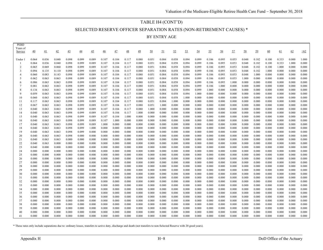#### TABLE H4 (CONT'D)

SELECTED RESERVE OFFICER SEPARATION RATES (NON-RETIREMENT CAUSES) \*

BY ENTRY AGE

| <b>LEBD</b><br>Years of<br>Service | 40             | 41             | 42             | 43             | 44             | 45             | $\frac{46}{5}$ | 47             | 48             | 49             | 50             | 51             | 52             | 53             | 54             | 55             | 56             | 57             | 58             | 59             | 60             | 61             | 62             | >62            |
|------------------------------------|----------------|----------------|----------------|----------------|----------------|----------------|----------------|----------------|----------------|----------------|----------------|----------------|----------------|----------------|----------------|----------------|----------------|----------------|----------------|----------------|----------------|----------------|----------------|----------------|
| Under 1                            | 0.064          | 0.036          | 0.040          | 0.098          | 0.099          | 0.089          | 0.107          | 0.104          | 0.117          | 0.080          | 0.051          | 0.084          | 0.058          | 0.094          | 0.099          | 0.106          | 0.095          | 0.053          | 0.048          | 0.182          | 0.100          | 0.333          | 0.000          | 1.000          |
|                                    | 0.064          | 0.036          | 0.040          | 0.098          | 0.099          | 0.089          | 0.107          | 0.104          | 0.117          | 0.080          | 0.051          | 0.084          | 0.058          | 0.094          | 0.099          | 0.106          | 0.095          | 0.053          | 0.048          | 0.182          | 0.100          | 0.333          | 1.000          | 0.000          |
| 2                                  | 0.065          | 0.069          | 0.060          | 0.098          | 0.099          | 0.089          | 0.107          | 0.104          | 0.117          | 0.080          | 0.051          | 0.084          | 0.058          | 0.094          | 0.099          | 0.106          | 0.095          | 0.053          | 0.048          | 0.182          | 0.100          | 1.000          | 0.000          | 0.000          |
| 3                                  | 0.094          | 0.135          | 0.110          | 0.098          | 0.099          | 0.089          | 0.107          | 0.104          | 0.117          | 0.080          | 0.051          | 0.084          | 0.058          | 0.094          | 0.099          | 0.106          | 0.095          | 0.053          | 0.048          | 0.182          | 1.000          | 0.000          | 0.000          | 0.000          |
| $\overline{4}$                     | 0.060          | 0.083          | 0.143          | 0.098          | 0.099          | 0.089          | 0.107          | 0.104          | 0.117          | 0.080          | 0.051          | 0.084          | 0.058          | 0.094          | 0.099          | 0.106          | 0.095          | 0.053          | 0.048          | 1.000          | 0.000          | 0.000          | 0.000          | 0.000          |
| 5                                  | 0.062          | 0.063          | 0.063          | 0.098          | 0.099          | 0.089          | 0.107          | 0.104          | 0.117          | 0.080          | 0.051          | 0.084          | 0.058          | 0.094          | 0.099          | 0.106          | 0.095          | 0.053          | 1.000          | 0.000          | 0.000          | 0.000          | 0.000          | 0.000          |
| 6                                  | 0.086          | 0.063          | 0.063          | 0.098          | 0.099          | 0.089          | 0.107          | 0.104          | 0.117          | 0.080          | 0.051          | 0.084          | 0.058          | 0.094          | 0.099          | 0.106          | 0.095          | 1.000          | 0.000          | 0.000          | 0.000          | 0.000          | 0.000          | 0.000          |
| 7                                  | 0.081          | 0.063          | 0.063          | 0.098          | 0.099          | 0.089          | 0.107          | 0.104          | 0.117          | 0.080          | 0.051          | 0.084          | 0.058          | 0.094          | 0.099          | 0.106          | 1.000          | 0.000          | 0.000          | 0.000          | 0.000          | 0.000          | 0.000          | 0.000          |
| 8                                  | 0.134          | 0.063          | 0.063          | 0.098          | 0.099          | 0.089          | 0.107          | 0.104          | 0.117          | 0.080          | 0.051          | 0.084          | 0.058          | 0.094          | 0.099          | 1.000          | 0.000          | 0.000          | 0.000          | 0.000          | 0.000          | 0.000          | 0.000          | 0.000          |
| 9                                  | 0.059          | 0.063          | 0.063          | 0.098          | 0.099          | 0.089          | 0.107          | 0.104          | 0.117          | 0.080          | 0.051          | 0.084          | 0.058          | 0.094          | 1.000          | 0.000          | 0.000          | 0.000          | 0.000          | 0.000          | 0.000          | 0.000          | 0.000          | 0.000          |
| 10                                 | 0.060          | 0.063          | 0.063          | 0.098          | 0.099          | 0.089          | 0.107          | 0.104          | 0.117          | 0.080          | 0.051          | 0.084          | 0.058          | 1.000          | 0.000          | 0.000          | 0.000          | 0.000          | 0.000          | 0.000          | 0.000          | 0.000          | 0.000          | 0.000          |
| 11                                 | 0.117          | 0.063          | 0.063          | 0.098          | 0.099          | 0.089          | 0.107          | 0.104          | 0.117          | 0.080          | 0.051          | 0.084          | 1.000          | 0.000          | 0.000          | 0.000          | 0.000          | 0.000          | 0.000          | 0.000          | 0.000          | 0.000          | 0.000          | 0.000          |
| 12                                 | 0.067          | 0.063          | 0.063          | 0.098          | 0.099          | 0.089          | 0.107          | 0.104          | 0.117          | 0.080          | 0.051          | 1.000          | 0.000          | 0.000          | 0.000          | 0.000          | 0.000          | 0.000          | 0.000          | 0.000          | 0.000          | 0.000          | 0.000          | 0.000          |
| 13                                 | 0.040          | 0.063          | 0.063          | 0.098          | 0.099          | 0.089          | 0.107          | 0.104          | 0.117          | 0.080          | 1.000          | 0.000          | 0.000          | 0.000          | 0.000          | 0.000          | 0.000          | 0.000          | 0.000          | 0.000          | 0.000          | 0.000          | 0.000          | 0.000          |
| 14                                 | 0.040          | 0.063          | 0.063          | 0.098          | 0.099          | 0.089          | 0.107          | 0.104          | 0.117          | 1.000          | 0.000          | 0.000          | 0.000          | 0.000          | 0.000          | 0.000          | 0.000          | 0.000          | 0.000          | 0.000          | 0.000          | 0.000          | 0.000          | 0.000          |
| 15                                 | 0.040          | 0.063          | 0.063          | 0.098          | 0.099          | 0.089          | 0.107          | 0.104          | 1.000          | 0.000          | 0.000          | 0.000          | 0.000          | 0.000          | 0.000          | 0.000          | 0.000          | 0.000          | 0.000          | 0.000          | 0.000          | 0.000          | 0.000          | 0.000          |
| 16<br>17                           | 0.040<br>0.040 | 0.063<br>0.063 | 0.063<br>0.063 | 0.098          | 0.099<br>0.099 | 0.089          | 0.107<br>1.000 | 1.000<br>0.000 | 0.000          | 0.000          | 0.000<br>0.000 | 0.000<br>0.000 | 0.000<br>0.000 | 0.000<br>0.000 | 0.000<br>0.000 | 0.000<br>0.000 | 0.000<br>0.000 | 0.000<br>0.000 | 0.000<br>0.000 | 0.000<br>0.000 | 0.000<br>0.000 | 0.000<br>0.000 | 0.000<br>0.000 | 0.000<br>0.000 |
| 18                                 | 0.040          | 0.063          | 0.063          | 0.098<br>0.098 | 0.099          | 0.089<br>1.000 | 0.000          | 0.000          | 0.000<br>0.000 | 0.000<br>0.000 | 0.000          | 0.000          | 0.000          | 0.000          | 0.000          | 0.000          | 0.000          | 0.000          | 0.000          | 0.000          | 0.000          | 0.000          | 0.000          | 0.000          |
| 19                                 | 0.040          | 0.063          | 0.063          | 0.098          | 0.099          | 0.000          | 0.000          | 0.000          | 0.000          | 0.000          | 0.000          | 0.000          | 0.000          | 0.000          | 0.000          | 0.000          | 0.000          | 0.000          | 0.000          | 0.000          | 0.000          | 0.000          | 0.000          | 0.000          |
| 20                                 | 0.040          | 0.063          | 0.063          | 0.098          | 0.000          | 0.000          | 0.000          | 0.000          | 0.000          | 0.000          | 0.000          | 0.000          | 0.000          | 0.000          | 0.000          | 0.000          | 0.000          | 0.000          | 0.000          | 0.000          | 0.000          | 0.000          | 0.000          | 0.000          |
| 21                                 | 0.040          | 0.063          | 0.063          | 0.000          | 0.000          | 0.000          | 0.000          | 0.000          | 0.000          | 0.000          | 0.000          | 0.000          | 0.000          | 0.000          | 0.000          | 0.000          | 0.000          | 0.000          | 0.000          | 0.000          | 0.000          | 0.000          | 0.000          | 0.000          |
| 22                                 | 0.040          | 0.063          | 0.000          | 0.000          | 0.000          | 0.000          | 0.000          | 0.000          | 0.000          | 0.000          | 0.000          | 0.000          | 0.000          | 0.000          | 0.000          | 0.000          | 0.000          | 0.000          | 0.000          | 0.000          | 0.000          | 0.000          | 0.000          | 0.000          |
| 23                                 | 0.040          | 0.000          | 0.000          | 0.000          | 0.000          | 0.000          | 0.000          | 0.000          | 0.000          | 0.000          | 0.000          | 0.000          | 0.000          | 0.000          | 0.000          | 0.000          | 0.000          | 0.000          | 0.000          | 0.000          | 0.000          | 0.000          | 0.000          | 0.000          |
| 24                                 | 0.000          | 0.000          | 0.000          | 0.000          | 0.000          | 0.000          | 0.000          | 0.000          | 0.000          | 0.000          | 0.000          | 0.000          | 0.000          | 0.000          | 0.000          | 0.000          | 0.000          | 0.000          | 0.000          | 0.000          | 0.000          | 0.000          | 0.000          | 0.000          |
| 25                                 | 0.000          | 0.000          | 0.000          | 0.000          | 0.000          | 0.000          | 0.000          | 0.000          | 0.000          | 0.000          | 0.000          | 0.000          | 0.000          | 0.000          | 0.000          | 0.000          | 0.000          | 0.000          | 0.000          | 0.000          | 0.000          | 0.000          | 0.000          | 0.000          |
| 26                                 | 0.000          | 0.000          | 0.000          | 0.000          | 0.000          | 0.000          | 0.000          | 0.000          | 0.000          | 0.000          | 0.000          | 0.000          | 0.000          | 0.000          | 0.000          | 0.000          | 0.000          | 0.000          | 0.000          | 0.000          | 0.000          | 0.000          | 0.000          | 0.000          |
| 27                                 | 0.000          | 0.000          | 0.000          | 0.000          | 0.000          | 0.000          | 0.000          | 0.000          | 0.000          | 0.000          | 0.000          | 0.000          | 0.000          | 0.000          | 0.000          | 0.000          | 0.000          | 0.000          | 0.000          | 0.000          | 0.000          | 0.000          | 0.000          | 0.000          |
| 28                                 | 0.000          | 0.000          | 0.000          | 0.000          | 0.000          | 0.000          | 0.000          | 0.000          | 0.000          | 0.000          | 0.000          | 0.000          | 0.000          | 0.000          | 0.000          | 0.000          | 0.000          | 0.000          | 0.000          | 0.000          | 0.000          | 0.000          | 0.000          | 0.000          |
| 29                                 | 0.000          | 0.000          | 0.000          | 0.000          | 0.000          | 0.000          | 0.000          | 0.000          | 0.000          | 0.000          | 0.000          | 0.000          | 0.000          | 0.000          | 0.000          | 0.000          | 0.000          | 0.000          | 0.000          | 0.000          | 0.000          | 0.000          | 0.000          | 0.000          |
| 30                                 | 0.000          | 0.000          | 0.000          | 0.000          | 0.000          | 0.000          | 0.000          | 0.000          | 0.000          | 0.000          | 0.000          | 0.000          | 0.000          | 0.000          | 0.000          | 0.000          | 0.000          | 0.000          | 0.000          | 0.000          | 0.000          | 0.000          | 0.000          | 0.000          |
| 31                                 | 0.000          | 0.000          | 0.000          | 0.000          | 0.000          | 0.000          | 0.000          | 0.000          | 0.000          | 0.000          | 0.000          | 0.000          | 0.000          | 0.000          | 0.000          | 0.000          | 0.000          | 0.000          | 0.000          | 0.000          | 0.000          | 0.000          | 0.000          | 0.000          |
| 32                                 | 0.000          | 0.000          | 0.000          | 0.000          | 0.000          | 0.000          | 0.000          | 0.000          | 0.000          | 0.000          | 0.000          | 0.000          | 0.000          | 0.000          | 0.000          | 0.000          | 0.000          | 0.000          | 0.000          | 0.000          | 0.000          | 0.000          | 0.000          | 0.000          |
| 33                                 | 0.000          | 0.000          | 0.000          | 0.000          | 0.000          | 0.000          | 0.000          | 0.000          | 0.000          | 0.000          | 0.000          | 0.000          | 0.000          | 0.000          | 0.000          | 0.000          | 0.000          | 0.000          | 0.000          | 0.000          | 0.000          | 0.000          | 0.000          | 0.000          |
| 34                                 | 0.000          | 0.000          | 0.000          | 0.000          | 0.000          | 0.000          | 0.000          | 0.000          | 0.000          | 0.000          | 0.000          | 0.000          | 0.000          | 0.000          | 0.000          | 0.000          | 0.000          | 0.000          | 0.000          | 0.000          | 0.000          | 0.000          | 0.000          | 0.000          |
| 35                                 | 0.000          | 0.000          | 0.000          | 0.000          | 0.000          | 0.000          | 0.000          | 0.000          | 0.000          | 0.000          | 0.000          | 0.000          | 0.000          | 0.000          | 0.000          | 0.000          | 0.000          | 0.000          | 0.000          | 0.000          | 0.000          | 0.000          | 0.000          | 0.000          |
| 36                                 | 0.000          | 0.000          | 0.000          | 0.000          | 0.000          | 0.000          | 0.000          | 0.000          | 0.000          | 0.000          | 0.000          | 0.000          | 0.000          | 0.000          | 0.000          | 0.000          | 0.000          | 0.000          | 0.000          | 0.000          | 0.000          | 0.000          | 0.000          | 0.000          |
| 37                                 | 0.000          | 0.000          | 0.000          | 0.000          | 0.000          | 0.000          | 0.000          | 0.000          | 0.000          | 0.000          | 0.000          | 0.000          | 0.000          | 0.000          | 0.000          | 0.000          | 0.000          | 0.000          | 0.000          | 0.000          | 0.000          | 0.000          | 0.000          | 0.000          |
| 38                                 | 0.000          | 0.000          | 0.000          | 0.000          | 0.000          | 0.000          | 0.000          | 0.000          | 0.000          | 0.000          | 0.000          | 0.000          | 0.000          | 0.000          | 0.000          | 0.000          | 0.000          | 0.000          | 0.000          | 0.000          | 0.000          | 0.000          | 0.000          | 0.000          |
| 39                                 | 0.000          | 0.000          | 0.000<br>0.000 | 0.000          | 0.000          | 0.000          | 0.000          | 0.000          | 0.000          | 0.000          | 0.000          | 0.000<br>0.000 | 0.000          | 0.000<br>0.000 | 0.000<br>0.000 | 0.000<br>0.000 | 0.000          | 0.000          | 0.000          | 0.000          | 0.000          | 0.000<br>0.000 | 0.000          | 0.000          |
| 40<br>41                           | 0.000<br>0.000 | 0.000<br>0.000 | 0.000          | 0.000<br>0.000 | 0.000<br>0.000 | 0.000<br>0.000 | 0.000<br>0.000 | 0.000<br>0.000 | 0.000<br>0.000 | 0.000<br>0.000 | 0.000<br>0.000 | 0.000          | 0.000<br>0.000 | 0.000          | 0.000          | 0.000          | 0.000<br>0.000 | 0.000<br>0.000 | 0.000<br>0.000 | 0.000<br>0.000 | 0.000<br>0.000 | 0.000          | 0.000<br>0.000 | 0.000<br>0.000 |
|                                    |                |                |                |                |                |                |                |                |                |                |                |                |                |                |                |                |                |                |                |                |                |                |                |                |

\* These rates only include separations due to: ordinary losses, transfers to active duty, discharge and death (not transfers to non-Selected Reserve with 20 good years).

PEBD

 $\blacksquare$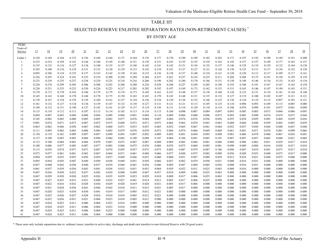# TABLE H5 SELECTED RESERVE ENLISTEE SEPARATION RATES (NON-RETIREMENT CAUSES) \*

BY ENTRY AGE

| PEBD<br>Years of<br>Service | 17             | 18             | <u>19</u>      | 20             | 21             | 22             | 23             | 24             | 25             | $\overline{26}$ | 27             | 28             | 29             | $\frac{30}{2}$ | 31             | 32             | 33             | $\overline{34}$ | 35             | $\frac{36}{5}$ | 37             | 38             | 39             |
|-----------------------------|----------------|----------------|----------------|----------------|----------------|----------------|----------------|----------------|----------------|-----------------|----------------|----------------|----------------|----------------|----------------|----------------|----------------|-----------------|----------------|----------------|----------------|----------------|----------------|
| Under:                      | 0.128          | 0.169          | 0.164          | 0.153          | 0.156          | 0.160          | 0.164          | 0.171          | 0.164          | 0.176           | 0.177          | 0.170          | 0.190          | 0.189          | 0.182          | 0.203          | 0.171          | 0.197           | 0.192          | 0.190          | 0.189          | 0.191          | 0.200          |
|                             | 0.233          | 0.214          | 0.149          | 0.141          | 0.144          | 0.148          | 0.149          | 0.148          | 0.151          | 0.159           | 0.151          | 0.165          | 0.155          | 0.155          | 0.159          | 0.162          | 0.145          | 0.157           | 0.157          | 0.149          | 0.177          | 0.162          | 0.157          |
| $\overline{2}$              | 0.155          | 0.133          | 0.116          | 0.127          | 0.134          | 0.140          | 0.135          | 0.137          | 0.148          | 0.145           | 0.141          | 0.142          | 0.151          | 0.136          | 0.132          | 0.137          | 0.146          | 0.129           | 0.119          | 0.129          | 0.132          | 0.144          | 0.128          |
| 3                           | 0.103          | 0.108          | 0.110          | 0.129          | 0.131          | 0.133          | 0.130          | 0.129          | 0.133          | 0.143           | 0.134          | 0.141          | 0.137          | 0.127          | 0.131          | 0.126          | 0.130          | 0.122           | 0.111          | 0.117          | 0.136          | 0.152          | 0.130          |
| 4                           | 0.093          | 0.106          | 0.118          | 0.135          | 0.137          | 0.143          | 0.142          | 0.138          | 0.142          | 0.133           | 0.136          | 0.138          | 0.137          | 0.140          | 0.124          | 0.121          | 0.128          | 0.120           | 0.113          | 0.117          | 0.109          | 0.117          | 0.141          |
| 5                           | 0.226          | 0.293          | 0.324          | 0.341          | 0.335          | 0.318          | 0.309          | 0.294          | 0.294          | 0.284           | 0.257          | 0.261          | 0.257          | 0.216          | 0.225          | 0.211          | 0.204          | 0.204           | 0.175          | 0.191          | 0.158          | 0.159          | 0.139          |
| 6                           | 0.233          | 0.210          | 0.235          | 0.237          | 0.238          | 0.229          | 0.225          | 0.218          | 0.216          | 0.206           | 0.196          | 0.202          | 0.180          | 0.170          | 0.186          | 0.151          | 0.150          | 0.149           | 0.146          | 0.134          | 0.133          | 0.143          | 0.134          |
|                             | 0.228          | 0.278          | 0.299          | 0.305          | 0.306          | 0.308          | 0.292          | 0.288          | 0.280          | 0.254           | 0.258          | 0.248          | 0.227          | 0.249          | 0.203          | 0.198          | 0.193          | 0.186           | 0.191          | 0.167          | 0.167          | 0.162          | 0.158          |
| 8                           | 0.238          | 0.231          | 0.233          | 0.233          | 0.230          | 0.224          | 0.223          | 0.217          | 0.205          | 0.202           | 0.192          | 0.187          | 0.169          | 0.173          | 0.162          | 0.153          | 0.151          | 0.163           | 0.146          | 0.147          | 0.149          | 0.143          | 0.151          |
| 9                           | 0.178          | 0.173          | 0.178          | 0.183          | 0.186          | 0.179          | 0.179          | 0.176          | 0.173          | 0.169           | 0.161          | 0.167          | 0.148          | 0.157          | 0.138          | 0.160          | 0.128          | 0.132           | 0.131          | 0.118          | 0.141          | 0.136          | 0.148          |
| 10                          | 0.145          | 0.143          | 0.160          | 0.170          | 0.168          | 0.170          | 0.175          | 0.158          | 0.165          | 0.165           | 0.170          | 0.145          | 0.148          | 0.151          | 0.135          | 0.132          | 0.127          | 0.119           | 0.100          | 0.103          | 0.107          | 0.121          | 0.121          |
| 11                          | 0.178          | 0.167          | 0.154          | 0.159          | 0.159          | 0.160          | 0.161          | 0.157          | 0.154          | 0.156           | 0.154          | 0.130          | 0.138          | 0.132          | 0.146          | 0.125          | 0.136          | 0.124           | 0.119          | 0.115          | 0.097          | 0.101          | 0.121          |
| 12                          | 0.161          | 0.132          | 0.127          | 0.134          | 0.134          | 0.139          | 0.147          | 0.132          | 0.138          | 0.127           | 0.131          | 0.121          | 0.121          | 0.113          | 0.105          | 0.125          | 0.110          | 0.094           | 0.093          | 0.109          | 0.113          | 0.085          | 0.080          |
| 13                          | 0.148          | 0.132          | 0.131          | 0.140          | 0.137          | 0.142          | 0.141          | 0.129          | 0.137          | 0.118           | 0.136          | 0.131          | 0.110          | 0.120          | 0.110          | 0.114          | 0.106          | 0.076           | 0.098          | 0.101          | 0.075          | 0.061          | 0.098          |
| 14                          | 0.115          | 0.110          | 0.112          | 0.111          | 0.107          | 0.113          | 0.114          | 0.103          | 0.113          | 0.116           | 0.115          | 0.104          | 0.098          | 0.087          | 0.084          | 0.097          | 0.093          | 0.085           | 0.083          | 0.073          | 0.084          | 0.086          | 0.093          |
| 15<br>16                    | 0.094<br>0.105 | 0.097<br>0.082 | 0.093<br>0.085 | 0.096<br>0.088 | 0.096<br>0.085 | 0.094<br>0.085 | 0.099<br>0.082 | 0.094<br>0.077 | 0.091<br>0.076 | 0.094<br>0.084  | 0.110<br>0.087 | 0.089<br>0.084 | 0.084<br>0.074 | 0.080<br>0.076 | 0.096<br>0.056 | 0.073<br>0.056 | 0.093<br>0.055 | 0.085<br>0.054  | 0.090<br>0.059 | 0.074<br>0.085 | 0.079<br>0.069 | 0.073<br>0.059 | 0.044<br>0.056 |
| 17                          | 0.081          | 0.074          | 0.071          | 0.073          | 0.067          | 0.075          | 0.075          | 0.068          | 0.072          | 0.071           | 0.072          | 0.064          | 0.062          | 0.070          | 0.063          | 0.063          | 0.060          | 0.064           | 0.048          | 0.059          | 0.065          | 0.065          | 0.039          |
| 18                          | 0.063          | 0.062          | 0.060          | 0.058          | 0.067          | 0.062          | 0.060          | 0.071          | 0.053          | 0.055           | 0.065          | 0.052          | 0.065          | 0.067          | 0.061          | 0.064          | 0.052          | 0.037           | 0.056          | 0.044          | 0.040          | 0.047          | 0.048          |
| 19                          | 0.111          | 0.095          | 0.082          | 0.085          | 0.086          | 0.084          | 0.083          | 0.079          | 0.076          | 0.070           | 0.072          | 0.084          | 0.074          | 0.066          | 0.069          | 0.068          | 0.061          | 0.061           | 0.071          | 0.076          | 0.081          | 0.090          | 0.066          |
| 20                          | 0.150          | 0.119          | 0.101          | 0.099          | 0.097          | 0.097          | 0.099          | 0.093          | 0.097          | 0.092           | 0.089          | 0.092          | 0.091          | 0.094          | 0.093          | 0.090          | 0.081          | 0.086           | 0.078          | 0.060          | 0.067          | 0.056          | 0.041          |
| 21                          | 0.137          | 0.109          | 0.093          | 0.092          | 0.086          | 0.096          | 0.084          | 0.083          | 0.100          | 0.098           | 0.107          | 0.084          | 0.106          | 0.091          | 0.085          | 0.101          | 0.087          | 0.097           | 0.057          | 0.065          | 0.048          | 0.021          | 0.069          |
| 22                          | 0.115          | 0.100          | 0.084          | 0.081          | 0.084          | 0.070          | 0.087          | 0.073          | 0.087          | 0.087           | 0.088          | 0.089          | 0.085          | 0.084          | 0.081          | 0.086          | 0.088          | 0.096           | 0.062          | 0.051          | 0.029          | 0.017          | 0.010          |
| 23                          | 0.108          | 0.086          | 0.077          | 0.085          | 0.087          | 0.077          | 0.082          | 0.084          | 0.075          | 0.076           | 0.088          | 0.076          | 0.075          | 0.068          | 0.085          | 0.081          | 0.090          | 0.089           | 0.084          | 0.016          | 0.028          | 0.017          | 0.010          |
| 24                          | 0.113          | 0.076          | 0.074          | 0.071          | 0.071          | 0.067          | 0.074          | 0.059          | 0.057          | 0.073           | 0.073          | 0.082          | 0.087          | 0.079          | 0.087          | 0.106          | 0.096          | 0.047           | 0.019          | 0.041          | 0.075          | 0.017          | 0.010          |
| 25                          | 0.073          | 0.077          | 0.061          | 0.061          | 0.062          | 0.067          | 0.064          | 0.071          | 0.061          | 0.068           | 0.066          | 0.077          | 0.048          | 0.075          | 0.082          | 0.089          | 0.056          | 0.020           | 0.033          | 0.040          | 0.075          | 0.017          | 0.000          |
| 26                          | 0.094          | 0.059          | 0.055          | 0.055          | 0.056          | 0.059          | 0.057          | 0.049          | 0.046          | 0.052           | 0.060          | 0.060          | 0.051          | 0.087          | 0.089          | 0.059          | 0.012          | 0.016           | 0.031          | 0.040          | 0.075          | 0.000          | 0.000          |
| 27                          | 0.095          | 0.054          | 0.045          | 0.047          | 0.049          | 0.050          | 0.038          | 0.049          | 0.051          | 0.059           | 0.066          | 0.057          | 0.062          | 0.079          | 0.050          | 0.021          | 0.008          | 0.016           | 0.031          | 0.040          | 0.000          | 0.000          | 0.000          |
| 28                          | 0.057          | 0.040          | 0.042          | 0.038          | 0.040          | 0.037          | 0.039          | 0.044          | 0.041          | 0.036           | 0.046          | 0.069          | 0.047          | 0.060          | 0.005          | 0.026          | 0.008          | 0.016           | 0.031          | 0.000          | 0.000          | 0.000          | 0.000          |
| 29                          | 0.061          | 0.037          | 0.039          | 0.036          | 0.043          | 0.041          | 0.036          | 0.033          | 0.051          | 0.053           | 0.064          | 0.039          | 0.032          | 0.011          | 0.025          | 0.063          | 0.008          | 0.016           | 0.000          | 0.000          | 0.000          | 0.000          | 0.000          |
| 30                          | 0.047          | 0.036          | 0.030          | 0.032          | 0.037          | 0.042          | 0.024          | 0.040          | 0.049          | 0.047           | 0.037          | 0.010          | 0.009          | 0.006          | 0.025          | 0.063          | 0.008          | 0.000           | 0.000          | 0.000          | 0.000          | 0.000          | 0.000          |
| 31                          | 0.047          | 0.029          | 0.030          | 0.026          | 0.025          | 0.026          | 0.035          | 0.039          | 0.033          | 0.029           | 0.018          | 0.008          | 0.017          | 0.006          | 0.025          | 0.063          | 0.000          | 0.000           | 0.000          | 0.000          | 0.000          | 0.000          | 0.000          |
| 32                          | 0.047          | 0.027          | 0.023          | 0.031          | 0.031          | 0.040          | 0.032          | 0.027          | 0.041          | 0.014           | 0.013          | 0.005          | 0.017          | 0.006          | 0.025          | 0.000          | 0.000          | 0.000           | 0.000          | 0.000          | 0.000          | 0.000          | 0.000          |
| 33                          | 0.047          | 0.022          | 0.016          | 0.032          | 0.028          | 0.036          | 0.029          | 0.028          | 0.019          | 0.020           | 0.021          | 0.005          | 0.017          | 0.006          | 0.000          | 0.000          | 0.000          | 0.000           | 0.000          | 0.000          | 0.000          | 0.000          | 0.000          |
| 34                          | 0.047          | 0.021          | 0.028          | 0.036          | 0.041          | 0.046          | 0.042          | 0.018          | 0.011          | 0.012           | 0.021          | 0.005          | 0.017          | 0.000          | 0.000          | 0.000          | 0.000          | 0.000           | 0.000          | 0.000          | 0.000          | 0.000          | 0.000<br>0.000 |
| 35                          | 0.047<br>0.047 | 0.028<br>0.025 | 0.025<br>0.026 | 0.034<br>0.027 | 0.030<br>0.028 | 0.041<br>0.024 | 0.019          | 0.017<br>0.018 | 0.005<br>0.005 | 0.012<br>0.012  | 0.021<br>0.021 | 0.005<br>0.000 | 0.000<br>0.000 | 0.000<br>0.000 | 0.000<br>0.000 | 0.000<br>0.000 | 0.000<br>0.000 | 0.000<br>0.000  | 0.000<br>0.000 | 0.000<br>0.000 | 0.000<br>0.000 | 0.000<br>0.000 | 0.000          |
| 36<br>37                    | 0.047          | 0.032          | 0.026          | 0.031          | 0.021          | 0.004          | 0.010<br>0.023 | 0.018          | 0.005          | 0.012           | 0.000          | 0.000          | 0.000          | 0.000          | 0.000          | 0.000          | 0.000          | 0.000           | 0.000          | 0.000          | 0.000          | 0.000          | 0.000          |
| 38                          | 0.047          | 0.024          | 0.025          | 0.011          | 0.006          | 0.004          | 0.023          | 0.018          | 0.005          | 0.000           | 0.000          | 0.000          | 0.000          | 0.000          | 0.000          | 0.000          | 0.000          | 0.000           | 0.000          | 0.000          | 0.000          | 0.000          | 0.000          |
| 39                          | 0.047          | 0.024          | 0.025          | 0.011          | 0.006          | 0.004          | 0.023          | 0.018          | 0.000          | 0.000           | 0.000          | 0.000          | 0.000          | 0.000          | 0.000          | 0.000          | 0.000          | 0.000           | 0.000          | 0.000          | 0.000          | 0.000          | 0.000          |
| 40                          | 0.047          | 0.024          | 0.025          | 0.011          | 0.006          | 0.004          | 0.023          | 0.000          | 0.000          | 0.000           | 0.000          | 0.000          | 0.000          | 0.000          | 0.000          | 0.000          | 0.000          | 0.000           | 0.000          | 0.000          | 0.000          | 0.000          | 0.000          |
| 41                          | 0.047          | 0.024          | 0.025          | 0.011          | 0.006          | 0.004          | 0.000          | 0.000          | 0.000          | 0.000           | 0.000          | 0.000          | 0.000          | 0.000          | 0.000          | 0.000          | 0.000          | 0.000           | 0.000          | 0.000          | 0.000          | 0.000          | 0.000          |
|                             |                |                |                |                |                |                |                |                |                |                 |                |                |                |                |                |                |                |                 |                |                |                |                |                |

\* These rates only include separations due to: ordinary losses, transfers to active duty, discharge and death (not transfers to non-Selected Reserve with 20 good years).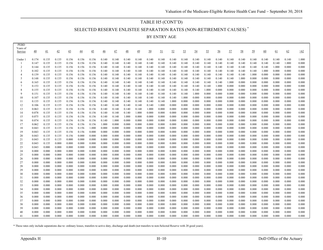### TABLE H5 (CONT'D)

SELECTED RESERVE ENLISTEE SEPARATION RATES (NON-RETIREMENT CAUSES) \*

BY ENTRY AGE

| PEBD<br>Years of<br>Service | 40             | 41             | 42             | 43             | 44             | 45             | $\overline{46}$ | 47             | 48             | 49             | 50             | 51             | 52             | 53             | 54             | 55             | 56             | 57             | 58             | 59             | 60             | 61             | 62             | >62            |
|-----------------------------|----------------|----------------|----------------|----------------|----------------|----------------|-----------------|----------------|----------------|----------------|----------------|----------------|----------------|----------------|----------------|----------------|----------------|----------------|----------------|----------------|----------------|----------------|----------------|----------------|
| Under                       | 0.174          | 0.135          | 0.135          | 0.156          | 0.156          | 0.156          | 0.140           | 0.140          | 0.140          | 0.140          | 0.140          | 0.140          | 0.140          | 0.140          | 0.140          | 0.140          | 0.140          | 0.140          | 0.140          | 0.140          | 0.140          | 0.140          | 0.140          | 1.000          |
|                             | 0.147          | 0.135          | 0.135          | 0.156          | 0.156          | 0.156          | 0.140           | 0.140          | 0.140          | 0.140          | 0.140          | 0.140          | 0.140          | 0.140          | 0.140          | 0.140          | 0.140          | 0.140          | 0.140          | 0.140          | 0.140          | 0.140          | 1.000          | 0.000          |
| $\overline{2}$              | 0.144          | 0.135          | 0.135          | 0.156          | 0.156          | 0.156          | 0.140           | 0.140          | 0.140          | 0.140          | 0.140          | 0.140          | 0.140          | 0.140          | 0.140          | 0.140          | 0.140          | 0.140          | 0.140          | 0.140          | 0.140          | 1.000          | 0.000          | 0.000          |
| 3                           | 0.102          | 0.135          | 0.135          | 0.156          | 0.156          | 0.156          | 0.140           | 0.140          | 0.140          | 0.140          | 0.140          | 0.140          | 0.140          | 0.140          | 0.140          | 0.140          | 0.140          | 0.140          | 0.140          | 0.140          | 1.000          | 0.000          | 0.000          | 0.000          |
| $\overline{4}$              | 0.139          | 0.135          | 0.135          | 0.156          | 0.156          | 0.156          | 0.140           | 0.140          | 0.140          | 0.140          | 0.140          | 0.140          | 0.140          | 0.140          | 0.140          | 0.140          | 0.140          | 0.140          | 0.140          | 1.000          | 0.000          | 0.000          | 0.000          | 0.000          |
| -5                          | 0.148          | 0.135          | 0.135          | 0.156          | 0.156          | 0.156          | 0.140           | 0.140          | 0.140          | 0.140          | 0.140          | 0.140          | 0.140          | 0.140          | 0.140          | 0.140          | 0.140          | 0.140          | 1.000          | 0.000          | 0.000          | 0.000          | 0.000          | 0.000          |
| -6                          | 0.165          | 0.135          | 0.135          | 0.156          | 0.156          | 0.156          | 0.140           | 0.140          | 0.140          | 0.140          | 0.140          | 0.140          | 0.140          | 0.140          | 0.140          | 0.140          | 0.140          | 1.000          | 0.000          | 0.000          | 0.000          | 0.000          | 0.000          | 0.000          |
|                             | 0.153          | 0.135          | 0.135          | 0.156          | 0.156          | 0.156          | 0.140           | 0.140          | 0.140          | 0.140          | 0.140          | 0.140          | 0.140          | 0.140          | 0.140          | 0.140          | 1.000          | 0.000          | 0.000          | 0.000          | 0.000          | 0.000          | 0.000          | 0.000          |
| 8                           | 0.155          | 0.135          | 0.135          | 0.156          | 0.156          | 0.156          | 0.140           | 0.140          | 0.140          | 0.140          | 0.140          | 0.140          | 0.140          | 0.140          | 0.140          | 1.000          | 0.000          | 0.000          | 0.000          | 0.000          | 0.000          | 0.000          | 0.000          | 0.000          |
|                             | 0.151          | 0.135          | 0.135          | 0.156          | 0.156          | 0.156          | 0.140           | 0.140          | 0.140          | 0.140          | 0.140          | 0.140          | 0.140          | 0.140          | 1.000          | 0.000          | 0.000          | 0.000          | 0.000          | 0.000          | 0.000          | 0.000          | 0.000          | 0.000          |
| 10                          | 0.107          | 0.135          | 0.135          | 0.156          | 0.156          | 0.156          | 0.140           | 0.140          | 0.140          | 0.140          | 0.140          | 0.140          | 0.140          | 1.000          | 0.000          | 0.000          | 0.000          | 0.000          | 0.000          | 0.000          | 0.000          | 0.000          | 0.000          | 0.000          |
| 11                          | 0.135          | 0.135          | 0.135          | 0.156          | 0.156          | 0.156          | 0.140           | 0.140          | 0.140          | 0.140<br>0.140 | 0.140<br>0.140 | 0.140<br>1.000 | 1.000          | 0.000          | 0.000          | 0.000          | 0.000          | 0.000          | 0.000          | 0.000          | 0.000          | 0.000<br>0.000 | 0.000          | 0.000          |
| 12<br>13                    | 0.106<br>0.063 | 0.135<br>0.135 | 0.135<br>0.135 | 0.156<br>0.156 | 0.156<br>0.156 | 0.156<br>0.156 | 0.140<br>0.140  | 0.140<br>0.140 | 0.140<br>0.140 | 0.140          | 1.000          | 0.000          | 0.000<br>0.000 | 0.000<br>0.000 | 0.000<br>0.000 | 0.000<br>0.000 | 0.000<br>0.000 | 0.000<br>0.000 | 0.000<br>0.000 | 0.000<br>0.000 | 0.000<br>0.000 | 0.000          | 0.000<br>0.000 | 0.000<br>0.000 |
| 14                          | 0.078          | 0.135          | 0.135          | 0.156          | 0.156          | 0.156          | 0.140           | 0.140          | 0.140          | 1.000          | 0.000          | 0.000          | 0.000          | 0.000          | 0.000          | 0.000          | 0.000          | 0.000          | 0.000          | 0.000          | 0.000          | 0.000          | 0.000          | 0.000          |
| 15                          | 0.075          | 0.135          | 0.135          | 0.156          | 0.156          | 0.156          | 0.140           | 0.140          | 1.000          | 0.000          | 0.000          | 0.000          | 0.000          | 0.000          | 0.000          | 0.000          | 0.000          | 0.000          | 0.000          | 0.000          | 0.000          | 0.000          | 0.000          | 0.000          |
| 16                          | 0.074          | 0.135          | 0.135          | 0.156          | 0.156          | 0.156          | 0.140           | 1.000          | 0.000          | 0.000          | 0.000          | 0.000          | 0.000          | 0.000          | 0.000          | 0.000          | 0.000          | 0.000          | 0.000          | 0.000          | 0.000          | 0.000          | 0.000          | 0.000          |
| 17                          | 0.062          | 0.135          | 0.135          | 0.156          | 0.156          | 0.156          | 1.000           | 0.000          | 0.000          | 0.000          | 0.000          | 0.000          | 0.000          | 0.000          | 0.000          | 0.000          | 0.000          | 0.000          | 0.000          | 0.000          | 0.000          | 0.000          | 0.000          | 0.000          |
| 18                          | 0.043          | 0.135          | 0.135          | 0.156          | 0.156          | 1.000          | 0.000           | 0.000          | 0.000          | 0.000          | 0.000          | 0.000          | 0.000          | 0.000          | 0.000          | 0.000          | 0.000          | 0.000          | 0.000          | 0.000          | 0.000          | 0.000          | 0.000          | 0.000          |
| 19                          | 0.043          | 0.135          | 0.135          | 0.156          | 0.156          | 0.000          | 0.000           | 0.000          | 0.000          | 0.000          | 0.000          | 0.000          | 0.000          | 0.000          | 0.000          | 0.000          | 0.000          | 0.000          | 0.000          | 0.000          | 0.000          | 0.000          | 0.000          | 0.000          |
| 20                          | 0.043          | 0.135          | 0.135          | 0.156          | 0.000          | 0.000          | 0.000           | 0.000          | 0.000          | 0.000          | 0.000          | 0.000          | 0.000          | 0.000          | 0.000          | 0.000          | 0.000          | 0.000          | 0.000          | 0.000          | 0.000          | 0.000          | 0.000          | 0.000          |
| 21                          | 0.043          | 0.135          | 0.135          | 0.000          | 0.000          | 0.000          | 0.000           | 0.000          | 0.000          | 0.000          | 0.000          | 0.000          | 0.000          | 0.000          | 0.000          | 0.000          | 0.000          | 0.000          | 0.000          | 0.000          | 0.000          | 0.000          | 0.000          | 0.000          |
| 22                          | 0.043          | 0.135          | 0.000          | 0.000          | 0.000          | 0.000          | 0.000           | 0.000          | 0.000          | 0.000          | 0.000          | 0.000          | 0.000          | 0.000          | 0.000          | 0.000          | 0.000          | 0.000          | 0.000          | 0.000          | 0.000          | 0.000          | 0.000          | 0.000          |
| 23                          | 0.043          | 0.000          | 0.000          | 0.000          | 0.000          | 0.000          | 0.000           | 0.000          | 0.000          | 0.000          | 0.000          | 0.000          | 0.000          | 0.000          | 0.000          | 0.000          | 0.000          | 0.000          | 0.000          | 0.000          | 0.000          | 0.000          | 0.000          | 0.000          |
| 24                          | 0.000          | 0.000          | 0.000          | 0.000          | 0.000          | 0.000          | 0.000           | 0.000          | 0.000          | 0.000          | 0.000          | 0.000          | 0.000          | 0.000          | 0.000          | 0.000          | 0.000          | 0.000          | 0.000          | 0.000          | 0.000          | 0.000          | 0.000          | 0.000          |
| 25                          | 0.000          | 0.000          | 0.000          | 0.000          | 0.000          | 0.000          | 0.000           | 0.000          | 0.000          | 0.000          | 0.000          | 0.000          | 0.000          | 0.000          | 0.000          | 0.000          | 0.000          | 0.000          | 0.000          | 0.000          | 0.000          | 0.000          | 0.000          | 0.000          |
| 26                          | 0.000          | 0.000          | 0.000          | 0.000          | 0.000          | 0.000          | 0.000           | 0.000          | 0.000          | 0.000          | 0.000          | 0.000          | 0.000          | 0.000          | 0.000          | 0.000          | 0.000          | 0.000          | 0.000          | 0.000          | 0.000          | 0.000          | 0.000          | 0.000          |
| 27                          | 0.000          | 0.000          | 0.000          | 0.000          | 0.000          | 0.000          | 0.000           | 0.000          | 0.000          | 0.000          | 0.000          | 0.000          | 0.000          | 0.000          | 0.000          | 0.000          | 0.000          | 0.000          | 0.000          | 0.000          | 0.000          | 0.000          | 0.000          | 0.000          |
| 28                          | 0.000          | 0.000          | 0.000          | 0.000          | 0.000          | 0.000          | 0.000           | 0.000          | 0.000          | 0.000          | 0.000          | 0.000          | 0.000          | 0.000          | 0.000          | 0.000          | 0.000          | 0.000          | 0.000          | 0.000          | 0.000          | 0.000          | 0.000          | 0.000          |
| 29                          | 0.000          | 0.000          | 0.000          | 0.000          | 0.000          | 0.000          | 0.000           | 0.000          | 0.000          | 0.000          | 0.000          | 0.000          | 0.000          | 0.000          | 0.000          | 0.000          | 0.000          | 0.000          | 0.000          | 0.000          | 0.000          | 0.000          | 0.000          | 0.000          |
| 30                          | 0.000          | 0.000          | 0.000          | 0.000          | 0.000          | 0.000          | 0.000           | 0.000          | 0.000          | 0.000          | 0.000          | 0.000          | 0.000          | 0.000          | 0.000          | 0.000          | 0.000          | 0.000          | 0.000          | 0.000          | 0.000          | 0.000          | 0.000          | 0.000          |
| 31                          | 0.000          | 0.000          | 0.000          | 0.000          | 0.000          | 0.000          | 0.000           | 0.000          | 0.000          | 0.000          | 0.000          | 0.000          | 0.000          | 0.000          | 0.000          | 0.000          | 0.000          | 0.000          | 0.000          | 0.000          | 0.000          | 0.000          | 0.000          | 0.000          |
| 32                          | 0.000          | 0.000          | 0.000          | 0.000          | 0.000          | 0.000          | 0.000           | 0.000          | 0.000          | 0.000          | 0.000          | 0.000          | 0.000          | 0.000          | 0.000          | 0.000          | 0.000          | 0.000          | 0.000          | 0.000          | 0.000          | 0.000          | 0.000          | 0.000          |
| 33<br>34                    | 0.000<br>0.000 | 0.000<br>0.000 | 0.000<br>0.000 | 0.000          | 0.000<br>0.000 | 0.000          | 0.000<br>0.000  | 0.000<br>0.000 | 0.000<br>0.000 | 0.000<br>0.000 | 0.000<br>0.000 | 0.000<br>0.000 | 0.000<br>0.000 | 0.000<br>0.000 | 0.000          | 0.000<br>0.000 | 0.000          | 0.000<br>0.000 | 0.000<br>0.000 | 0.000<br>0.000 | 0.000<br>0.000 | 0.000<br>0.000 | 0.000<br>0.000 | 0.000<br>0.000 |
| 35                          | 0.000          | 0.000          | 0.000          | 0.000<br>0.000 | 0.000          | 0.000<br>0.000 | 0.000           | 0.000          | 0.000          | 0.000          | 0.000          | 0.000          | 0.000          | 0.000          | 0.000<br>0.000 | 0.000          | 0.000<br>0.000 | 0.000          | 0.000          | 0.000          | 0.000          | 0.000          | 0.000          | 0.000          |
| 36                          | 0.000          | 0.000          | 0.000          | 0.000          | 0.000          | 0.000          | 0.000           | 0.000          | 0.000          | 0.000          | 0.000          | 0.000          | 0.000          | 0.000          | 0.000          | 0.000          | 0.000          | 0.000          | 0.000          | 0.000          | 0.000          | 0.000          | 0.000          | 0.000          |
| 37                          | 0.000          | 0.000          | 0.000          | 0.000          | 0.000          | 0.000          | 0.000           | 0.000          | 0.000          | 0.000          | 0.000          | 0.000          | 0.000          | 0.000          | 0.000          | 0.000          | 0.000          | 0.000          | 0.000          | 0.000          | 0.000          | 0.000          | 0.000          | 0.000          |
| 38                          | 0.000          | 0.000          | 0.000          | 0.000          | 0.000          | 0.000          | 0.000           | 0.000          | 0.000          | 0.000          | 0.000          | 0.000          | 0.000          | 0.000          | 0.000          | 0.000          | 0.000          | 0.000          | 0.000          | 0.000          | 0.000          | 0.000          | 0.000          | 0.000          |
| 39                          | 0.000          | 0.000          | 0.000          | 0.000          | 0.000          | 0.000          | 0.000           | 0.000          | 0.000          | 0.000          | 0.000          | 0.000          | 0.000          | 0.000          | 0.000          | 0.000          | 0.000          | 0.000          | 0.000          | 0.000          | 0.000          | 0.000          | 0.000          | 0.000          |
| 40                          | 0.000          | 0.000          | 0.000          | 0.000          | 0.000          | 0.000          | 0.000           | 0.000          | 0.000          | 0.000          | 0.000          | 0.000          | 0.000          | 0.000          | 0.000          | 0.000          | 0.000          | 0.000          | 0.000          | 0.000          | 0.000          | 0.000          | 0.000          | 0.000          |
| 41                          | 0.000          | 0.000          | 0.000          | 0.000          | 0.000          | 0.000          | 0.000           | 0.000          | 0.000          | 0.000          | 0.000          | 0.000          | 0.000          | 0.000          | 0.000          | 0.000          | 0.000          | 0.000          | 0.000          | 0.000          | 0.000          | 0.000          | 0.000          | 0.000          |

\* These rates only include separations due to: ordinary losses, transfers to active duty, discharge and death (not transfers to non-Selected Reserve with 20 good years).

۳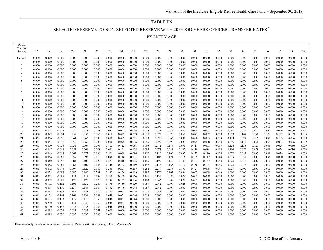# TABLE H6 SELECTED RESERVE TO NON-SELECTED RESERVE WITH 20 GOOD YEARS OFFICER TRANSFER RATES \*

| Years of<br><u>19</u><br>20<br>23<br>27<br>29<br>30<br>Service<br>17<br>18<br>21<br>$\overline{22}$<br>$\overline{24}$<br>25<br>$\overline{26}$<br>$\overline{28}$<br><u>31</u><br>32<br>33<br><u>34</u><br>35<br>$\frac{36}{5}$<br><u>37</u><br>0.000<br>0.000<br>0.000<br>0.000<br>0.000<br>0.000<br>0.000<br>0.000<br>0.000<br>0.000<br>0.000<br>0.000<br>0.000<br>0.000<br>0.000<br>0.000<br>0.000<br>0.000<br>0.000<br>0.000<br>0.000<br>Under 1<br>0.000<br>0.000<br>0.000<br>0.000<br>0.000<br>0.000<br>0.000<br>0.000<br>0.000<br>0.000<br>0.000<br>0.000<br>0.000<br>0.000<br>0.000<br>0.000<br>0.000<br>0.000<br>0.000<br>0.000<br>0.000<br>-1<br>$\overline{2}$<br>0.000<br>0.000<br>0.000<br>0.000<br>0.000<br>0.000<br>0.000<br>0.000<br>0.000<br>0.000<br>0.000<br>0.000<br>0.000<br>0.000<br>0.000<br>0.000<br>0.000<br>0.000<br>0.000<br>0.000<br>0.000<br>3<br>0.000<br>0.000<br>0.000<br>0.000<br>0.000<br>0.000<br>0.000<br>0.000<br>0.000<br>0.000<br>0.000<br>0.000<br>0.000<br>0.000<br>0.000<br>0.000<br>0.000<br>0.000<br>0.000<br>0.000<br>0.000 | $\frac{38}{5}$<br>$\frac{39}{2}$<br>0.000<br>0.000<br>0.000<br>0.000<br>0.000<br>0.000<br>0.000<br>0.000<br>0.000<br>0.000<br>0.000<br>0.000<br>0.000<br>0.000<br>0.000<br>0.000<br>0.000<br>0.000<br>0.000<br>0.000 |
|---------------------------------------------------------------------------------------------------------------------------------------------------------------------------------------------------------------------------------------------------------------------------------------------------------------------------------------------------------------------------------------------------------------------------------------------------------------------------------------------------------------------------------------------------------------------------------------------------------------------------------------------------------------------------------------------------------------------------------------------------------------------------------------------------------------------------------------------------------------------------------------------------------------------------------------------------------------------------------------------------------------------------------------------------------------------------|----------------------------------------------------------------------------------------------------------------------------------------------------------------------------------------------------------------------|
|                                                                                                                                                                                                                                                                                                                                                                                                                                                                                                                                                                                                                                                                                                                                                                                                                                                                                                                                                                                                                                                                           |                                                                                                                                                                                                                      |
|                                                                                                                                                                                                                                                                                                                                                                                                                                                                                                                                                                                                                                                                                                                                                                                                                                                                                                                                                                                                                                                                           |                                                                                                                                                                                                                      |
|                                                                                                                                                                                                                                                                                                                                                                                                                                                                                                                                                                                                                                                                                                                                                                                                                                                                                                                                                                                                                                                                           |                                                                                                                                                                                                                      |
|                                                                                                                                                                                                                                                                                                                                                                                                                                                                                                                                                                                                                                                                                                                                                                                                                                                                                                                                                                                                                                                                           |                                                                                                                                                                                                                      |
|                                                                                                                                                                                                                                                                                                                                                                                                                                                                                                                                                                                                                                                                                                                                                                                                                                                                                                                                                                                                                                                                           |                                                                                                                                                                                                                      |
| 0.000<br>0.000<br>0.000<br>0.000<br>0.000<br>0.000<br>0.000<br>0.000<br>0.000<br>4<br>0.000<br>0.000<br>0.000<br>0.000<br>0.000<br>0.000<br>0.000<br>0.000<br>0.000<br>0.000<br>0.000<br>0.000                                                                                                                                                                                                                                                                                                                                                                                                                                                                                                                                                                                                                                                                                                                                                                                                                                                                            |                                                                                                                                                                                                                      |
| 5<br>0.000<br>0.000<br>0.000<br>0.000<br>0.000<br>0.000<br>0.000<br>0.000<br>0.000<br>0.000<br>0.000<br>0.000<br>0.000<br>0.000<br>0.000<br>0.000<br>0.000<br>0.000<br>0.000<br>0.000<br>0.000                                                                                                                                                                                                                                                                                                                                                                                                                                                                                                                                                                                                                                                                                                                                                                                                                                                                            |                                                                                                                                                                                                                      |
| 0.000<br>0.000<br>0.000<br>0.000<br>0.000<br>0.000<br>0.000<br>0.000<br>0.000<br>0.000<br>0.000<br>0.000<br>0.000<br>0.000<br>0.000<br>0.000<br>0.000<br>0.000<br>0.000<br>0.000<br>0.000<br>6                                                                                                                                                                                                                                                                                                                                                                                                                                                                                                                                                                                                                                                                                                                                                                                                                                                                            |                                                                                                                                                                                                                      |
| 0.000<br>0.000<br>0.000<br>0.000<br>0.000<br>0.000<br>0.000<br>0.000<br>0.000<br>0.000<br>0.000<br>0.000<br>0.000<br>0.000<br>0.000<br>0.000<br>0.000<br>0.000<br>0.000<br>0.000<br>0.000                                                                                                                                                                                                                                                                                                                                                                                                                                                                                                                                                                                                                                                                                                                                                                                                                                                                                 |                                                                                                                                                                                                                      |
| 8<br>0.000<br>0.000<br>0.000<br>0.000<br>0.000<br>0.000<br>0.000<br>0.000<br>0.000<br>0.000<br>0.000<br>0.000<br>0.000<br>0.000<br>0.000<br>0.000<br>0.000<br>0.000<br>0.000<br>0.000<br>0.000                                                                                                                                                                                                                                                                                                                                                                                                                                                                                                                                                                                                                                                                                                                                                                                                                                                                            |                                                                                                                                                                                                                      |
| 9<br>0.000<br>0.000<br>0.000<br>0.000<br>0.000<br>0.000<br>0.000<br>0.000<br>0.000<br>0.000<br>0.000<br>0.000<br>0.000<br>0.000<br>0.000<br>0.000<br>0.000<br>0.000<br>0.000<br>0.000<br>0.000                                                                                                                                                                                                                                                                                                                                                                                                                                                                                                                                                                                                                                                                                                                                                                                                                                                                            |                                                                                                                                                                                                                      |
| 10<br>0.000<br>0.000<br>0.000<br>0.000<br>0.000<br>0.000<br>0.000<br>0.000<br>0.000<br>0.000<br>0.000<br>0.000<br>0.000<br>0.000<br>0.000<br>0.000<br>0.000<br>0.000<br>0.000<br>0.000<br>0.000                                                                                                                                                                                                                                                                                                                                                                                                                                                                                                                                                                                                                                                                                                                                                                                                                                                                           | 0.000<br>0.000                                                                                                                                                                                                       |
| 0.000<br>0.000<br>0.000<br>0.000<br>0.000<br>0.000<br>0.000<br>0.000<br>0.000<br>0.000<br>0.000<br>0.000<br>0.000<br>0.000<br>0.000<br>0.000<br>0.000<br>0.000<br>0.000<br>0.000<br>0.000<br>11<br>12<br>0.000<br>0.000<br>0.000<br>0.000<br>0.000<br>0.000<br>0.000<br>0.000<br>0.000<br>0.000<br>0.000<br>0.000<br>0.000<br>0.000<br>0.000<br>0.000<br>0.000<br>0.000<br>0.000<br>0.000<br>0.000                                                                                                                                                                                                                                                                                                                                                                                                                                                                                                                                                                                                                                                                        | 0.000<br>0.000<br>0.000<br>0.000                                                                                                                                                                                     |
| 13<br>0.000<br>0.000<br>0.000<br>0.000<br>0.000<br>0.000<br>0.000<br>0.000<br>0.000<br>0.000<br>0.000<br>0.000<br>0.000<br>0.000<br>0.000<br>0.000<br>0.000<br>0.000<br>0.000<br>0.000<br>0.000                                                                                                                                                                                                                                                                                                                                                                                                                                                                                                                                                                                                                                                                                                                                                                                                                                                                           | 0.000<br>0.000                                                                                                                                                                                                       |
| 14<br>0.000<br>0.000<br>0.000<br>0.000<br>0.000<br>0.000<br>0.000<br>0.000<br>0.000<br>0.000<br>0.000<br>0.000<br>0.000<br>0.000<br>0.000<br>0.000<br>0.000<br>0.000<br>0.000<br>0.000<br>0.000                                                                                                                                                                                                                                                                                                                                                                                                                                                                                                                                                                                                                                                                                                                                                                                                                                                                           | 0.000<br>0.000                                                                                                                                                                                                       |
| 15<br>0.000<br>0.000<br>0.000<br>0.000<br>0.000<br>0.000<br>0.000<br>0.000<br>0.000<br>0.000<br>0.000<br>0.000<br>0.000<br>0.000<br>0.000<br>0.000<br>0.000<br>0.000<br>0.000<br>0.000<br>0.000                                                                                                                                                                                                                                                                                                                                                                                                                                                                                                                                                                                                                                                                                                                                                                                                                                                                           | 0.000<br>0.000                                                                                                                                                                                                       |
| 0.000<br>0.000<br>0.000<br>0.000<br>0.000<br>0.000<br>16<br>0.000<br>0.000<br>0.000<br>0.000<br>0.000<br>0.000<br>0.000<br>0.000<br>0.000<br>0.000<br>0.000<br>0.000<br>0.000<br>0.000<br>0.000                                                                                                                                                                                                                                                                                                                                                                                                                                                                                                                                                                                                                                                                                                                                                                                                                                                                           | 0.000<br>0.000                                                                                                                                                                                                       |
| 17<br>0.000<br>0.000<br>0.000<br>0.000<br>0.000<br>0.000<br>0.000<br>0.000<br>0.000<br>0.000<br>0.000<br>0.000<br>0.000<br>0.000<br>0.000<br>0.000<br>0.000<br>0.000<br>0.000<br>0.000<br>0.000                                                                                                                                                                                                                                                                                                                                                                                                                                                                                                                                                                                                                                                                                                                                                                                                                                                                           | 0.000<br>0.000                                                                                                                                                                                                       |
| 0.000<br>0.000<br>0.000<br>0.000<br>0.000<br>0.000<br>0.000<br>0.000<br>0.000<br>0.000<br>18<br>0.000<br>0.000<br>0.000<br>0.000<br>0.000<br>0.000<br>0.000<br>0.000<br>0.000<br>0.000<br>0.000                                                                                                                                                                                                                                                                                                                                                                                                                                                                                                                                                                                                                                                                                                                                                                                                                                                                           | 0.000<br>0.000                                                                                                                                                                                                       |
| 19<br>0.022<br>0.025<br>0.029<br>0.028<br>0.038<br>0.047<br>0.048<br>0.054<br>0.044<br>0.055<br>0.047<br>0.037<br>0.074<br>0.072<br>0.074<br>0.087<br>0.076<br>0.068<br>0.054<br>0.060<br>0.071                                                                                                                                                                                                                                                                                                                                                                                                                                                                                                                                                                                                                                                                                                                                                                                                                                                                           | 0.076<br>0.101                                                                                                                                                                                                       |
| 20<br>0.049<br>0.052<br>0.077<br>0.090<br>0.077<br>0.070<br>0.066<br>0.075<br>0.082<br>0.093<br>0.151<br>0.122<br>0.068<br>0.054<br>0.059<br>0.065<br>0.068<br>0.073<br>0.070<br>0.109<br>0.132                                                                                                                                                                                                                                                                                                                                                                                                                                                                                                                                                                                                                                                                                                                                                                                                                                                                           | 0.189<br>0.085                                                                                                                                                                                                       |
| 21<br>0.089<br>0.071<br>0.083<br>0.096<br>0.062<br>0.086<br>0.098<br>0.085<br>0.093<br>0.134<br>0.116<br>0.105<br>0.035<br>0.056<br>0.056<br>0.064<br>0.063<br>0.080<br>0.080<br>0.099<br>0.070                                                                                                                                                                                                                                                                                                                                                                                                                                                                                                                                                                                                                                                                                                                                                                                                                                                                           | 0.036<br>0.009                                                                                                                                                                                                       |
| 22<br>0.098<br>0.024<br>0.037<br>0.053<br>0.047<br>0.057<br>0.085<br>0.090<br>0.075<br>0.086<br>0.085<br>0.095<br>0.083<br>0.099<br>0.088<br>0.083<br>0.095<br>0.051<br>0.074<br>0.066<br>0.111                                                                                                                                                                                                                                                                                                                                                                                                                                                                                                                                                                                                                                                                                                                                                                                                                                                                           | 0.009<br>0.036                                                                                                                                                                                                       |
| 23<br>0.144<br>0.129<br>0.024<br>0.065<br>0.050<br>0.058<br>0.051<br>0.067<br>0.095<br>0.105<br>0.112<br>0.081<br>0.095<br>0.072<br>0.053<br>0.111<br>0.098<br>0.093<br>0.126<br>0.135<br>0.048<br>24<br>0.088<br>0.084<br>0.078<br>0.024                                                                                                                                                                                                                                                                                                                                                                                                                                                                                                                                                                                                                                                                                                                                                                                                                                 | 0.009<br>0.036<br>0.000                                                                                                                                                                                              |
| 0.064<br>0.095<br>0.101<br>0.102<br>0.087<br>0.074<br>0.081<br>0.102<br>0.110<br>0.079<br>0.063<br>0.047<br>0.048<br>0.057<br>0.114<br>0.102<br>0.048<br>25<br>0.049<br>0.077<br>0.088<br>0.094<br>0.116<br>0.106<br>0.097<br>0.127<br>0.110<br>0.070<br>0.007<br>0.024<br>0.045<br>0.053<br>0.062<br>0.106<br>0.105<br>0.110<br>0.104<br>0.037<br>0.048                                                                                                                                                                                                                                                                                                                                                                                                                                                                                                                                                                                                                                                                                                                  | 0.036<br>0.000<br>0.000                                                                                                                                                                                              |
| 0.121<br>26<br>0.057<br>0.093<br>0.110<br>0.098<br>0.116<br>0.110<br>0.102<br>0.116<br>0.105<br>0.112<br>0.029<br>0.037<br>0.007<br>0.000<br>0.045<br>0.056<br>0.061<br>0.101<br>0.144<br>0.048                                                                                                                                                                                                                                                                                                                                                                                                                                                                                                                                                                                                                                                                                                                                                                                                                                                                           | 0.000<br>0.000                                                                                                                                                                                                       |
| 27<br>0.198<br>0.227<br>0.210<br>0.185<br>0.185<br>0.190<br>0.136<br>0.147<br>0.157<br>0.007<br>0.045<br>0.060<br>0.058<br>0.084<br>0.105<br>0.164<br>0.043<br>0.029<br>0.037<br>0.000<br>0.000                                                                                                                                                                                                                                                                                                                                                                                                                                                                                                                                                                                                                                                                                                                                                                                                                                                                           | 0.000<br>0.000                                                                                                                                                                                                       |
| 28<br>0.058<br>0.061<br>0.083<br>0.107<br>0.146<br>0.142<br>0.119<br>0.147<br>0.137<br>0.165<br>0.110<br>0.150<br>0.104<br>0.043<br>0.029<br>0.037<br>0.000<br>0.000<br>0.045<br>0.148<br>0.000                                                                                                                                                                                                                                                                                                                                                                                                                                                                                                                                                                                                                                                                                                                                                                                                                                                                           | 0.000<br>0.000                                                                                                                                                                                                       |
| 29<br>0.072<br>0.122<br>0.271<br>0.267<br>0.252<br>0.219<br>0.236<br>0.193<br>0.127<br>0.008<br>0.045<br>0.076<br>0.097<br>0.367<br>0.380<br>0.043<br>0.029<br>0.000<br>0.000<br>0.000<br>0.000                                                                                                                                                                                                                                                                                                                                                                                                                                                                                                                                                                                                                                                                                                                                                                                                                                                                           | 0.000<br>0.000                                                                                                                                                                                                       |
| 30<br>0.085<br>0.140<br>0.201<br>0.192<br>0.176<br>0.189<br>0.197<br>0.170<br>0.167<br>0.084<br>0.007<br>0.000<br>0.000<br>0.045<br>0.078<br>0.099<br>0.008<br>0.043<br>0.000<br>0.000<br>0.000                                                                                                                                                                                                                                                                                                                                                                                                                                                                                                                                                                                                                                                                                                                                                                                                                                                                           | 0.000<br>0.000                                                                                                                                                                                                       |
| 31<br>0.045<br>0.089<br>0.114<br>0.112<br>0.139<br>0.160<br>0.159<br>0.166<br>0.146<br>0.151<br>0.086<br>0.028<br>0.007<br>0.008<br>0.000<br>0.000<br>0.000<br>0.000<br>0.000<br>0.000<br>0.061                                                                                                                                                                                                                                                                                                                                                                                                                                                                                                                                                                                                                                                                                                                                                                                                                                                                           | 0.000<br>0.000                                                                                                                                                                                                       |
| 32<br>0.042<br>0.009<br>0.028<br>0.045<br>0.092<br>0.087<br>0.120<br>0.126<br>0.170<br>0.196<br>0.157<br>0.136<br>0.163<br>0.007<br>0.000<br>0.000<br>0.000<br>0.000<br>0.000<br>0.000<br>0.000                                                                                                                                                                                                                                                                                                                                                                                                                                                                                                                                                                                                                                                                                                                                                                                                                                                                           | 0.000<br>0.000                                                                                                                                                                                                       |
| 33<br>0.132<br>0.129<br>0.042<br>0.009<br>0.028<br>0.000<br>0.000<br>0.000<br>0.045<br>0.112<br>0.102<br>0.101<br>0.240<br>0.176<br>0.150<br>0.059<br>0.000<br>0.000<br>0.000<br>0.000<br>0.000                                                                                                                                                                                                                                                                                                                                                                                                                                                                                                                                                                                                                                                                                                                                                                                                                                                                           | 0.000<br>0.000                                                                                                                                                                                                       |
| 0.009<br>0.000<br>0.000<br>34<br>0.045<br>0.091<br>0.110<br>0.139<br>0.148<br>0.164<br>0.152<br>0.140<br>0.044<br>0.059<br>0.042<br>0.000<br>0.000<br>0.000<br>0.000<br>0.000<br>0.000<br>0.000                                                                                                                                                                                                                                                                                                                                                                                                                                                                                                                                                                                                                                                                                                                                                                                                                                                                           | 0.000<br>0.000                                                                                                                                                                                                       |
| 35<br>0.133<br>0.044<br>0.059<br>0.000<br>0.000<br>0.000<br>0.045<br>0.085<br>0.137<br>0.144<br>0.180<br>0.193<br>0.051<br>0.042<br>0.000<br>0.000<br>0.000<br>0.000<br>0.000<br>0.000<br>0.000<br>36<br>0.134<br>0.189<br>0.048<br>0.051<br>0.044<br>0.059<br>0.000<br>0.000<br>0.000<br>0.000<br>0.000<br>0.000<br>0.000<br>0.000<br>0.045<br>0.121<br>0.164<br>0.161<br>0.000<br>0.000<br>0.000                                                                                                                                                                                                                                                                                                                                                                                                                                                                                                                                                                                                                                                                        | 0.000<br>0.000<br>0.000<br>0.000                                                                                                                                                                                     |
| 37<br>0.133<br>0.123<br>0.119<br>0.115<br>0.053<br>0.048<br>0.051<br>0.044<br>0.000<br>0.000<br>0.000<br>0.000<br>0.000<br>0.000<br>0.000<br>0.000<br>0.000<br>0.000<br>0.000<br>0.000<br>0.045                                                                                                                                                                                                                                                                                                                                                                                                                                                                                                                                                                                                                                                                                                                                                                                                                                                                           | 0.000<br>0.000                                                                                                                                                                                                       |
| 38<br>0.000<br>0.000<br>0.000<br>0.045<br>0.210<br>0.148<br>0.134<br>0.035<br>0.053<br>0.048<br>0.051<br>0.000<br>0.000<br>0.000<br>0.000<br>0.000<br>0.000<br>0.000<br>0.000<br>0.000<br>0.000                                                                                                                                                                                                                                                                                                                                                                                                                                                                                                                                                                                                                                                                                                                                                                                                                                                                           | 0.000<br>0.000                                                                                                                                                                                                       |
| 39<br>0.035<br>0.035<br>0.000<br>0.000<br>0.000<br>0.000<br>0.000<br>0.000<br>0.000<br>0.000<br>0.000<br>0.045<br>0.130<br>0.147<br>0.053<br>0.048<br>0.000<br>0.000<br>0.000<br>0.000<br>0.000                                                                                                                                                                                                                                                                                                                                                                                                                                                                                                                                                                                                                                                                                                                                                                                                                                                                           | 0.000<br>0.000                                                                                                                                                                                                       |
| 40<br>0.045<br>0.095<br>0.026<br>0.035<br>0.035<br>0.053<br>0.000<br>0.000<br>0.000<br>0.000<br>0.000<br>0.000<br>0.000<br>0.000<br>0.000<br>0.000<br>0.000<br>0.000<br>0.000<br>0.000<br>0.000                                                                                                                                                                                                                                                                                                                                                                                                                                                                                                                                                                                                                                                                                                                                                                                                                                                                           | 0.000<br>0.000                                                                                                                                                                                                       |
| 0.035<br>0.000<br>0.000<br>0.000<br>0.045<br>0.095<br>0.026<br>0.035<br>0.000<br>0.000<br>0.000<br>0.000<br>0.000<br>0.000<br>0.000<br>0.000<br>0.000<br>0.000<br>0.000<br>0.000<br>0.000<br>41                                                                                                                                                                                                                                                                                                                                                                                                                                                                                                                                                                                                                                                                                                                                                                                                                                                                           | 0.000<br>0.000                                                                                                                                                                                                       |

\* These rates only include separations to non-Selected Reserve with 20 or more good years ('grey area').

٠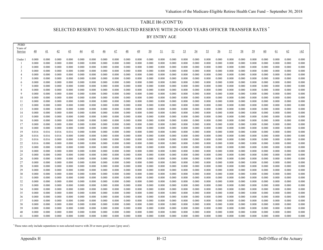#### TABLE H6 (CONT'D)

SELECTED RESERVE TO NON-SELECTED RESERVE WITH 20 GOOD YEARS OFFICER TRANSFER RATES \*

BY ENTRY AGE

| <b>PEBD</b><br>Years of |                 |                |                 |                 |                 |                 |                 |                |                 |                 |                |                |                |                |                |                |                |                |                |                |                |                |                |                |
|-------------------------|-----------------|----------------|-----------------|-----------------|-----------------|-----------------|-----------------|----------------|-----------------|-----------------|----------------|----------------|----------------|----------------|----------------|----------------|----------------|----------------|----------------|----------------|----------------|----------------|----------------|----------------|
| Service                 | $\overline{40}$ | 41             | $\overline{42}$ | $\overline{43}$ | $\overline{44}$ | $\overline{45}$ | $\overline{46}$ | 47             | $\overline{48}$ | $\overline{49}$ | <u>50</u>      | <u>51</u>      | 52             | <u>53</u>      | $\frac{54}{5}$ | <u>55</u>      | $\frac{56}{5}$ | <u>57</u>      | <u>58</u>      | 59             | 60             | <u>61</u>      | 62             | $\geq 62$      |
| Under 1                 | 0.000           | 0.000          | 0.000           | 0.000           | 0.000           | 0.000           | 0.000           | 0.000          | 0.000           | 0.000           | 0.000          | 0.000          | 0.000          | 0.000          | 0.000          | 0.000          | 0.000          | 0.000          | 0.000          | 0.000          | 0.000          | 0.000          | 0.000          | 0.000          |
| -1                      | 0.000           | 0.000          | 0.000           | 0.000           | 0.000           | 0.000           | 0.000           | 0.000          | 0.000           | 0.000           | 0.000          | 0.000          | 0.000          | 0.000          | 0.000          | 0.000          | 0.000          | 0.000          | 0.000          | 0.000          | 0.000          | 0.000          | 0.000          | 0.000          |
| $\overline{c}$          | 0.000           | 0.000          | 0.000           | 0.000           | 0.000           | 0.000           | 0.000           | 0.000          | 0.000           | 0.000           | 0.000          | 0.000          | 0.000          | 0.000          | 0.000          | 0.000          | 0.000          | 0.000          | 0.000          | 0.000          | 0.000          | 0.000          | 0.000          | 0.000          |
| $\overline{3}$          | 0.000           | 0.000          | 0.000           | 0.000           | 0.000           | 0.000           | 0.000           | 0.000          | 0.000           | 0.000           | 0.000          | 0.000          | 0.000          | 0.000          | 0.000          | 0.000          | 0.000          | 0.000          | 0.000          | 0.000          | 0.000          | 0.000          | 0.000          | 0.000          |
| $\overline{4}$          | 0.000           | 0.000          | 0.000           | 0.000           | 0.000           | 0.000           | 0.000           | 0.000          | 0.000           | 0.000           | 0.000          | 0.000          | 0.000          | 0.000          | 0.000          | 0.000          | 0.000          | 0.000          | 0.000          | 0.000          | 0.000          | 0.000          | 0.000          | 0.000          |
| 5                       | 0.000           | 0.000          | 0.000           | 0.000           | 0.000           | 0.000           | 0.000           | 0.000          | 0.000           | 0.000           | 0.000          | 0.000          | 0.000          | 0.000          | 0.000          | 0.000          | 0.000          | 0.000          | 0.000          | 0.000          | 0.000          | 0.000          | 0.000          | 0.000          |
| 6                       | 0.000           | 0.000          | 0.000           | 0.000           | 0.000           | 0.000           | 0.000           | 0.000          | 0.000           | 0.000           | 0.000          | 0.000          | 0.000          | 0.000          | 0.000          | 0.000          | 0.000          | 0.000          | 0.000          | 0.000          | 0.000          | 0.000          | 0.000          | 0.000          |
|                         | 0.000           | 0.000          | 0.000           | 0.000           | 0.000           | 0.000           | 0.000           | 0.000          | 0.000           | 0.000           | 0.000          | 0.000          | 0.000          | 0.000          | 0.000          | 0.000          | 0.000          | 0.000          | 0.000          | 0.000          | 0.000          | 0.000          | 0.000          | 0.000          |
| 8                       | 0.000           | 0.000          | 0.000           | 0.000           | 0.000           | 0.000           | 0.000           | 0.000          | 0.000           | 0.000           | 0.000          | 0.000          | 0.000          | 0.000          | 0.000          | 0.000          | 0.000          | 0.000          | 0.000          | 0.000          | 0.000          | 0.000          | 0.000          | 0.000          |
| $\mathbf{Q}$            | 0.000           | 0.000          | 0.000           | 0.000           | 0.000           | 0.000           | 0.000           | 0.000          | 0.000           | 0.000           | 0.000          | 0.000          | 0.000          | 0.000          | 0.000          | 0.000          | 0.000          | 0.000          | 0.000          | 0.000          | 0.000          | 0.000          | 0.000          | 0.000          |
| 10<br>11                | 0.000<br>0.000  | 0.000<br>0.000 | 0.000<br>0.000  | 0.000<br>0.000  | 0.000<br>0.000  | 0.000<br>0.000  | 0.000<br>0.000  | 0.000<br>0.000 | 0.000<br>0.000  | 0.000<br>0.000  | 0.000<br>0.000 | 0.000<br>0.000 | 0.000<br>0.000 | 0.000<br>0.000 | 0.000<br>0.000 | 0.000<br>0.000 | 0.000<br>0.000 | 0.000<br>0.000 | 0.000<br>0.000 | 0.000<br>0.000 | 0.000<br>0.000 | 0.000<br>0.000 | 0.000<br>0.000 | 0.000<br>0.000 |
| 12                      | 0.000           | 0.000          | 0.000           | 0.000           | 0.000           | 0.000           | 0.000           | 0.000          | 0.000           | 0.000           | 0.000          | 0.000          | 0.000          | 0.000          | 0.000          | 0.000          | 0.000          | 0.000          | 0.000          | 0.000          | 0.000          | 0.000          | 0.000          | 0.000          |
| 13                      | 0.000           | 0.000          | 0.000           | 0.000           | 0.000           | 0.000           | 0.000           | 0.000          | 0.000           | 0.000           | 0.000          | 0.000          | 0.000          | 0.000          | 0.000          | 0.000          | 0.000          | 0.000          | 0.000          | 0.000          | 0.000          | 0.000          | 0.000          | 0.000          |
| 14                      | 0.000           | 0.000          | 0.000           | 0.000           | 0.000           | 0.000           | 0.000           | 0.000          | 0.000           | 0.000           | 0.000          | 0.000          | 0.000          | 0.000          | 0.000          | 0.000          | 0.000          | 0.000          | 0.000          | 0.000          | 0.000          | 0.000          | 0.000          | 0.000          |
| 15                      | 0.000           | 0.000          | 0.000           | 0.000           | 0.000           | 0.000           | 0.000           | 0.000          | 0.000           | 0.000           | 0.000          | 0.000          | 0.000          | 0.000          | 0.000          | 0.000          | 0.000          | 0.000          | 0.000          | 0.000          | 0.000          | 0.000          | 0.000          | 0.000          |
| 16                      | 0.000           | 0.000          | 0.000           | 0.000           | 0.000           | 0.000           | 0.000           | 0.000          | 0.000           | 0.000           | 0.000          | 0.000          | 0.000          | 0.000          | 0.000          | 0.000          | 0.000          | 0.000          | 0.000          | 0.000          | 0.000          | 0.000          | 0.000          | 0.000          |
| 17                      | 0.000           | 0.000          | 0.000           | 0.000           | 0.000           | 0.000           | 0.000           | 0.000          | 0.000           | 0.000           | 0.000          | 0.000          | 0.000          | 0.000          | 0.000          | 0.000          | 0.000          | 0.000          | 0.000          | 0.000          | 0.000          | 0.000          | 0.000          | 0.000          |
| 18                      | 0.000           | 0.000          | 0.000           | 0.000           | 0.000           | 0.000           | 0.000           | 0.000          | 0.000           | 0.000           | 0.000          | 0.000          | 0.000          | 0.000          | 0.000          | 0.000          | 0.000          | 0.000          | 0.000          | 0.000          | 0.000          | 0.000          | 0.000          | 0.000          |
| 19                      | 0.016           | 0.016          | 0.016           | 0.016           | 0.000           | 0.000           | 0.000           | 0.000          | 0.000           | 0.000           | 0.000          | 0.000          | 0.000          | 0.000          | 0.000          | 0.000          | 0.000          | 0.000          | 0.000          | 0.000          | 0.000          | 0.000          | 0.000          | 0.000          |
| 20                      | 0.016           | 0.016          | 0.016           | 0.000           | 0.000           | 0.000           | 0.000           | 0.000          | 0.000           | 0.000           | 0.000          | 0.000          | 0.000          | 0.000          | 0.000          | 0.000          | 0.000          | 0.000          | 0.000          | 0.000          | 0.000          | 0.000          | 0.000          | 0.000          |
| 21                      | 0.016           | 0.016          | 0.000           | 0.000           | 0.000           | 0.000           | 0.000           | 0.000          | 0.000           | 0.000           | 0.000          | 0.000          | 0.000          | 0.000          | 0.000          | 0.000          | 0.000          | 0.000          | 0.000          | 0.000          | 0.000          | 0.000          | 0.000          | 0.000          |
| 22                      | 0.016           | 0.000          | 0.000           | 0.000           | 0.000           | 0.000           | 0.000           | 0.000          | 0.000           | 0.000           | 0.000          | 0.000          | 0.000          | 0.000          | 0.000          | 0.000          | 0.000          | 0.000          | 0.000          | 0.000          | 0.000          | 0.000          | 0.000          | 0.000          |
| 23                      | 0.000           | 0.000          | 0.000           | 0.000           | 0.000           | 0.000           | 0.000           | 0.000          | 0.000           | 0.000           | 0.000          | 0.000          | 0.000          | 0.000          | 0.000          | 0.000          | 0.000          | 0.000          | 0.000          | 0.000          | 0.000          | 0.000          | 0.000          | 0.000          |
| 24                      | 0.000           | 0.000          | 0.000           | 0.000           | 0.000           | 0.000           | 0.000           | 0.000          | 0.000           | 0.000           | 0.000          | 0.000          | 0.000          | 0.000          | 0.000          | 0.000          | 0.000          | 0.000          | 0.000          | 0.000          | 0.000          | 0.000          | 0.000          | 0.000          |
| 25                      | 0.000           | 0.000          | 0.000           | 0.000           | 0.000           | 0.000           | 0.000           | 0.000          | 0.000           | 0.000           | 0.000          | 0.000          | 0.000          | 0.000          | 0.000          | 0.000          | 0.000          | 0.000          | 0.000          | 0.000          | 0.000          | 0.000          | 0.000          | 0.000          |
| 26<br>27                | 0.000<br>0.000  | 0.000<br>0.000 | 0.000<br>0.000  | 0.000<br>0.000  | 0.000<br>0.000  | 0.000<br>0.000  | 0.000<br>0.000  | 0.000<br>0.000 | 0.000<br>0.000  | 0.000<br>0.000  | 0.000<br>0.000 | 0.000<br>0.000 | 0.000<br>0.000 | 0.000<br>0.000 | 0.000<br>0.000 | 0.000<br>0.000 | 0.000          | 0.000<br>0.000 | 0.000<br>0.000 | 0.000<br>0.000 | 0.000<br>0.000 | 0.000<br>0.000 | 0.000<br>0.000 | 0.000<br>0.000 |
| 28                      | 0.000           | 0.000          | 0.000           | 0.000           | 0.000           | 0.000           | 0.000           | 0.000          | 0.000           | 0.000           | 0.000          | 0.000          | 0.000          | 0.000          | 0.000          | 0.000          | 0.000<br>0.000 | 0.000          | 0.000          | 0.000          | 0.000          | 0.000          | 0.000          | 0.000          |
| 29                      | 0.000           | 0.000          | 0.000           | 0.000           | 0.000           | 0.000           | 0.000           | 0.000          | 0.000           | 0.000           | 0.000          | 0.000          | 0.000          | 0.000          | 0.000          | 0.000          | 0.000          | 0.000          | 0.000          | 0.000          | 0.000          | 0.000          | 0.000          | 0.000          |
| 30                      | 0.000           | 0.000          | 0.000           | 0.000           | 0.000           | 0.000           | 0.000           | 0.000          | 0.000           | 0.000           | 0.000          | 0.000          | 0.000          | 0.000          | 0.000          | 0.000          | 0.000          | 0.000          | 0.000          | 0.000          | 0.000          | 0.000          | 0.000          | 0.000          |
| 31                      | 0.000           | 0.000          | 0.000           | 0.000           | 0.000           | 0.000           | 0.000           | 0.000          | 0.000           | 0.000           | 0.000          | 0.000          | 0.000          | 0.000          | 0.000          | 0.000          | 0.000          | 0.000          | 0.000          | 0.000          | 0.000          | 0.000          | 0.000          | 0.000          |
| 32                      | 0.000           | 0.000          | 0.000           | 0.000           | 0.000           | 0.000           | 0.000           | 0.000          | 0.000           | 0.000           | 0.000          | 0.000          | 0.000          | 0.000          | 0.000          | 0.000          | 0.000          | 0.000          | 0.000          | 0.000          | 0.000          | 0.000          | 0.000          | 0.000          |
| 33                      | 0.000           | 0.000          | 0.000           | 0.000           | 0.000           | 0.000           | 0.000           | 0.000          | 0.000           | 0.000           | 0.000          | 0.000          | 0.000          | 0.000          | 0.000          | 0.000          | 0.000          | 0.000          | 0.000          | 0.000          | 0.000          | 0.000          | 0.000          | 0.000          |
| 34                      | 0.000           | 0.000          | 0.000           | 0.000           | 0.000           | 0.000           | 0.000           | 0.000          | 0.000           | 0.000           | 0.000          | 0.000          | 0.000          | 0.000          | 0.000          | 0.000          | 0.000          | 0.000          | 0.000          | 0.000          | 0.000          | 0.000          | 0.000          | 0.000          |
| 35                      | 0.000           | 0.000          | 0.000           | 0.000           | 0.000           | 0.000           | 0.000           | 0.000          | 0.000           | 0.000           | 0.000          | 0.000          | 0.000          | 0.000          | 0.000          | 0.000          | 0.000          | 0.000          | 0.000          | 0.000          | 0.000          | 0.000          | 0.000          | 0.000          |
| 36                      | 0.000           | 0.000          | 0.000           | 0.000           | 0.000           | 0.000           | 0.000           | 0.000          | 0.000           | 0.000           | 0.000          | 0.000          | 0.000          | 0.000          | 0.000          | 0.000          | 0.000          | 0.000          | 0.000          | 0.000          | 0.000          | 0.000          | 0.000          | 0.000          |
| 37                      | 0.000           | 0.000          | 0.000           | 0.000           | 0.000           | 0.000           | 0.000           | 0.000          | 0.000           | 0.000           | 0.000          | 0.000          | 0.000          | 0.000          | 0.000          | 0.000          | 0.000          | 0.000          | 0.000          | 0.000          | 0.000          | 0.000          | 0.000          | 0.000          |
| 38                      | 0.000           | 0.000          | 0.000           | 0.000           | 0.000           | 0.000           | 0.000           | 0.000          | 0.000           | 0.000           | 0.000          | 0.000          | 0.000          | 0.000          | 0.000          | 0.000          | 0.000          | 0.000          | 0.000          | 0.000          | 0.000          | 0.000          | 0.000          | 0.000          |
| 39                      | 0.000           | 0.000          | 0.000           | 0.000           | 0.000           | 0.000           | 0.000           | 0.000          | 0.000           | 0.000           | 0.000          | 0.000          | 0.000          | 0.000          | 0.000          | 0.000          | 0.000          | 0.000          | 0.000          | 0.000          | 0.000          | 0.000          | 0.000          | 0.000          |
| 40                      | 0.000           | 0.000          | 0.000           | 0.000           | 0.000           | 0.000           | 0.000           | 0.000          | 0.000           | 0.000           | 0.000          | 0.000          | 0.000          | 0.000          | 0.000          | 0.000          | 0.000          | 0.000          | 0.000          | 0.000          | 0.000          | 0.000          | 0.000          | 0.000          |
| 41                      | 0.000           | 0.000          | 0.000           | 0.000           | 0.000           | 0.000           | 0.000           | 0.000          | 0.000           | 0.000           | 0.000          | 0.000          | 0.000          | 0.000          | 0.000          | 0.000          | 0.000          | 0.000          | 0.000          | 0.000          | 0.000          | 0.000          | 0.000          | 0.000          |

\* These rates only include separations to non-selected reserve with 20 or more good years ('grey area').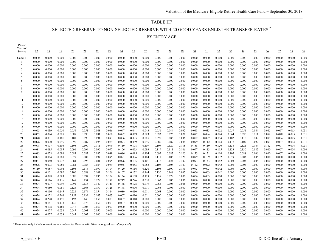# TABLE H7 SELECTED RESERVE TO NON-SELECTED RESERVE WITH 20 GOOD YEARS ENLISTEE TRANSFER RATES \* BY ENTRY AGE

| <b>PEBD</b>         |                |                |                 |                 |                |                |                |                |                |                 |                |                |                |                |                |                |                 |                 |                 |                |                |                |                |
|---------------------|----------------|----------------|-----------------|-----------------|----------------|----------------|----------------|----------------|----------------|-----------------|----------------|----------------|----------------|----------------|----------------|----------------|-----------------|-----------------|-----------------|----------------|----------------|----------------|----------------|
| Years of<br>Service | 17             | 18             | $\overline{19}$ | $\overline{20}$ | 21             | 22             | 23             | $^{24}$        | 25             | $\overline{26}$ | 27             | <u>28</u>      | 29             | 30             | 31             | $\frac{32}{2}$ | $\overline{33}$ | $\overline{34}$ | $\overline{35}$ | $\frac{36}{5}$ | $\frac{37}{2}$ | <u>38</u>      | $\frac{39}{2}$ |
|                     |                |                |                 |                 |                |                |                |                |                |                 |                |                |                |                |                |                |                 |                 |                 |                |                |                |                |
| Under               | 0.000          | 0.000          | 0.000           | 0.000           | 0.000          | 0.000          | 0.000          | 0.000          | 0.000          | 0.000           | 0.000          | 0.000          | 0.000          | 0.000          | 0.000          | 0.000          | 0.000           | 0.000           | 0.000           | 0.000          | 0.000          | 0.000          | 0.000          |
|                     | 0.000          | 0.000          | 0.000           | 0.000           | 0.000          | 0.000          | 0.000          | 0.000          | 0.000          | 0.000           | 0.000          | 0.000          | 0.000          | 0.000          | 0.000          | 0.000          | 0.000           | 0.000           | 0.000           | 0.000          | 0.000          | 0.000          | 0.000          |
| $\overline{2}$      | 0.000          | 0.000          | 0.000           | 0.000           | 0.000          | 0.000          | 0.000          | 0.000          | 0.000          | 0.000           | 0.000          | 0.000          | 0.000          | 0.000          | 0.000          | 0.000          | 0.000           | 0.000           | 0.000           | 0.000          | 0.000          | 0.000          | 0.000          |
| 3                   | 0.000          | 0.000          | 0.000           | 0.000           | 0.000          | 0.000          | 0.000          | 0.000          | 0.000          | 0.000           | 0.000          | 0.000          | 0.000          | 0.000          | 0.000          | 0.000          | 0.000           | 0.000           | 0.000           | 0.000          | 0.000          | 0.000          | 0.000          |
|                     | 0.000          | 0.000          | 0.000           | 0.000           | 0.000          | 0.000          | 0.000          | 0.000          | 0.000          | 0.000           | 0.000          | 0.000          | 0.000          | 0.000          | 0.000          | 0.000          | 0.000           | 0.000           | 0.000           | 0.000          | 0.000          | 0.000          | 0.000          |
| 5                   | 0.000          | 0.000          | 0.000           | 0.000           | 0.000          | 0.000          | 0.000          | 0.000          | 0.000          | 0.000           | 0.000          | 0.000          | 0.000          | 0.000          | 0.000          | 0.000          | 0.000           | 0.000           | 0.000           | 0.000          | 0.000          | 0.000          | 0.000          |
| 6                   | 0.000          | 0.000          | 0.000           | 0.000           | 0.000          | 0.000          | 0.000          | 0.000          | 0.000          | 0.000           | 0.000          | 0.000          | 0.000          | 0.000          | 0.000          | 0.000          | 0.000           | 0.000           | 0.000           | 0.000          | 0.000          | 0.000          | 0.000          |
| 8                   | 0.000<br>0.000 | 0.000<br>0.000 | 0.000<br>0.000  | 0.000<br>0.000  | 0.000<br>0.000 | 0.000<br>0.000 | 0.000<br>0.000 | 0.000<br>0.000 | 0.000<br>0.000 | 0.000<br>0.000  | 0.000<br>0.000 | 0.000<br>0.000 | 0.000<br>0.000 | 0.000<br>0.000 | 0.000<br>0.000 | 0.000<br>0.000 | 0.000<br>0.000  | 0.000<br>0.000  | 0.000<br>0.000  | 0.000<br>0.000 | 0.000<br>0.000 | 0.000<br>0.000 | 0.000<br>0.000 |
| 9                   | 0.000          | 0.000          | 0.000           | 0.000           | 0.000          | 0.000          | 0.000          | 0.000          | 0.000          | 0.000           | 0.000          | 0.000          | 0.000          | 0.000          | 0.000          | 0.000          | 0.000           | 0.000           | 0.000           | 0.000          | 0.000          | 0.000          | 0.000          |
| 10                  | 0.000          | 0.000          | 0.000           | 0.000           | 0.000          | 0.000          | 0.000          | 0.000          | 0.000          | 0.000           | 0.000          | 0.000          | 0.000          | 0.000          | 0.000          | 0.000          | 0.000           | 0.000           | 0.000           | 0.000          | 0.000          | 0.000          | 0.000          |
| 11                  | 0.000          | 0.000          | 0.000           | 0.000           | 0.000          | 0.000          | 0.000          | 0.000          | 0.000          | 0.000           | 0.000          | 0.000          | 0.000          | 0.000          | 0.000          | 0.000          | 0.000           | 0.000           | 0.000           | 0.000          | 0.000          | 0.000          | 0.000          |
| 12                  | 0.000          | 0.000          | 0.000           | 0.000           | 0.000          | 0.000          | 0.000          | 0.000          | 0.000          | 0.000           | 0.000          | 0.000          | 0.000          | 0.000          | 0.000          | 0.000          | 0.000           | 0.000           | 0.000           | 0.000          | 0.000          | 0.000          | 0.000          |
| 13                  | 0.000          | 0.000          | 0.000           | 0.000           | 0.000          | 0.000          | 0.000          | 0.000          | 0.000          | 0.000           | 0.000          | 0.000          | 0.000          | 0.000          | 0.000          | 0.000          | 0.000           | 0.000           | 0.000           | 0.000          | 0.000          | 0.000          | 0.000          |
| 14                  | 0.000          | 0.000          | 0.000           | 0.000           | 0.000          | 0.000          | 0.000          | 0.000          | 0.000          | 0.000           | 0.000          | 0.000          | 0.000          | 0.000          | 0.000          | 0.000          | 0.000           | 0.000           | 0.000           | 0.000          | 0.000          | 0.000          | 0.000          |
| 15                  | 0.000          | 0.000          | 0.000           | 0.000           | 0.000          | 0.000          | 0.000          | 0.000          | 0.000          | 0.000           | 0.000          | 0.000          | 0.000          | 0.000          | 0.000          | 0.000          | 0.000           | 0.000           | 0.000           | 0.000          | 0.000          | 0.000          | 0.000          |
| 16                  | 0.000          | 0.000          | 0.000           | 0.000           | 0.000          | 0.000          | 0.000          | 0.000          | 0.000          | 0.000           | 0.000          | 0.000          | 0.000          | 0.000          | 0.000          | 0.000          | 0.000           | 0.000           | 0.000           | 0.000          | 0.000          | 0.000          | 0.000          |
| 17                  | 0.000          | 0.000          | 0.000           | 0.000           | 0.000          | 0.000          | 0.000          | 0.000          | 0.000          | 0.000           | 0.000          | 0.000          | 0.000          | 0.000          | 0.000          | 0.000          | 0.000           | 0.000           | 0.000           | 0.000          | 0.000          | 0.000          | 0.000          |
| 18                  | 0.000          | 0.000          | 0.000           | 0.000           | 0.000          | 0.000          | 0.000          | 0.000          | 0.000          | 0.000           | 0.000          | 0.000          | 0.000          | 0.000          | 0.000          | 0.000          | 0.000           | 0.000           | 0.000           | 0.000          | 0.000          | 0.000          | 0.000          |
| 19                  | 0.063          | 0.039          | 0.050           | 0.056           | 0.051          | 0.048          | 0.066          | 0.047          | 0.041          | 0.043           | 0.051          | 0.044          | 0.032          | 0.048          | 0.033          | 0.052          | 0.059           | 0.051           | 0.044           | 0.065          | 0.067          | 0.063          | 0.031          |
| 20                  | 0.063          | 0.094          | 0.095           | 0.089           | 0.090          | 0.081          | 0.066          | 0.082          | 0.079          | 0.083           | 0.092          | 0.075          | 0.071          | 0.092          | 0.084          | 0.094          | 0.064           | 0.090           | 0.111           | 0.089          | 0.078          | 0.085          | 0.031          |
| 21                  | 0.070          | 0.091          | 0.101           | 0.101           | 0.090          | 0.091          | 0.093          | 0.086          | 0.095          | 0.085           | 0.098          | 0.085          | 0.096          | 0.082          | 0.097          | 0.094          | 0.102           | 0.110           | 0.109           | 0.077          | 0.084          | 0.075          | 0.031          |
| 22                  | 0.096          | 0.090          | 0.095           | 0.095           | 0.089          | 0.095          | 0.089          | 0.093          | 0.089          | 0.095           | 0.080          | 0.087          | 0.098          | 0.099          | 0.112          | 0.104          | 0.117           | 0.107           | 0.099           | 0.091          | 0.067          | 0.004          | 0.031          |
| 23                  | 0.098          | 0.107          | 0.106           | 0.105           | 0.100          | 0.111          | 0.099          | 0.110          | 0.108          | 0.109           | 0.107          | 0.120          | 0.118          | 0.138          | 0.119          | 0.120          | 0.138           | 0.121           | 0.144           | 0.112          | 0.007          | 0.004          | 0.031          |
| 24                  | 0.081          | 0.085          | 0.085           | 0.091           | 0.094          | 0.090          | 0.097          | 0.106          | 0.093          | 0.093           | 0.119          | 0.111          | 0.106          | 0.097          | 0.113          | 0.115          | 0.123           | 0.130           | 0.087           | 0.010          | 0.007          | 0.004          | 0.000          |
| 25                  | 0.083          | 0.078          | 0.086           | 0.083           | 0.087          | 0.087          | 0.089          | 0.086          | 0.095          | 0.104           | 0.092          | 0.087          | 0.125          | 0.133          | 0.131          | 0.114          | 0.107           | 0.088           | 0.006           | 0.010          | 0.007          | 0.000          | 0.000          |
| 26<br>27            | 0.093<br>0.081 | 0.084<br>0.080 | 0.080           | 0.077<br>0.084  | 0.082          | 0.094<br>0.081 | 0.095<br>0.095 | 0.091<br>0.096 | 0.096          | 0.104<br>0.101  | 0.111<br>0.118 | 0.105<br>0.124 | 0.128<br>0.107 | 0.099<br>0.093 | 0.109          | 0.132<br>0.042 | 0.079<br>0.003  | 0.003           | 0.006<br>0.006  | 0.010          | 0.000<br>0.000 | 0.000<br>0.000 | 0.000<br>0.000 |
| 28                  | 0.096          | 0.073          | 0.077<br>0.080  | 0.084           | 0.098<br>0.088 | 0.084          | 0.089          | 0.085          | 0.105<br>0.083 | 0.082           | 0.108          | 0.108          | 0.107          | 0.122          | 0.143<br>0.072 | 0.042          | 0.003           | 0.003<br>0.003  | 0.000           | 0.000<br>0.000 | 0.000          | 0.000          | 0.000          |
| 29                  | 0.110          | 0.087          | 0.094           | 0.103           | 0.116          | 0.090          | 0.104          | 0.120          | 0.116          | 0.120           | 0.105          | 0.109          | 0.131          | 0.073          | 0.003          | 0.042          | 0.003           | 0.000           | 0.000           | 0.000          | 0.000          | 0.000          | 0.000          |
| 30                  | 0.080          | 0.101          | 0.092           | 0.100           | 0.088          | 0.101          | 0.106          | 0.107          | 0.132          | 0.144           | 0.130          | 0.148          | 0.067          | 0.006          | 0.003          | 0.042          | 0.000           | 0.000           | 0.000           | 0.000          | 0.000          | 0.000          | 0.000          |
| 31                  | 0.074          | 0.088          | 0.083           | 0.086           | 0.097          | 0.095          | 0.104          | 0.136          | 0.138          | 0.129           | 0.138          | 0.078          | 0.006          | 0.006          | 0.003          | 0.000          | 0.000           | 0.000           | 0.000           | 0.000          | 0.000          | 0.000          | 0.000          |
| 32                  | 0.074          | 0.116          | 0.136           | 0.147           | 0.134          | 0.172          | 0.191          | 0.219          | 0.226          | 0.230           | 0.063          | 0.006          | 0.006          | 0.006          | 0.000          | 0.000          | 0.000           | 0.000           | 0.000           | 0.000          | 0.000          | 0.000          | 0.000          |
| 33                  | 0.074          | 0.077          | 0.099           | 0.091           | 0.136          | 0.147          | 0.141          | 0.148          | 0.128          | 0.079           | 0.063          | 0.006          | 0.006          | 0.000          | 0.000          | 0.000          | 0.000           | 0.000           | 0.000           | 0.000          | 0.000          | 0.000          | 0.000          |
| 34                  | 0.074          | 0.080          | 0.081           | 0.126           | 0.168          | 0.150          | 0.126          | 0.148          | 0.096          | 0.011           | 0.063          | 0.006          | 0.000          | 0.000          | 0.000          | 0.000          | 0.000           | 0.000           | 0.000           | 0.000          | 0.000          | 0.000          | 0.000          |
| 35                  | 0.074          | 0.116          | 0.145           | 0.226           | 0.174          | 0.154          | 0.164          | 0.080          | 0.010          | 0.011           | 0.063          | 0.000          | 0.000          | 0.000          | 0.000          | 0.000          | 0.000           | 0.000           | 0.000           | 0.000          | 0.000          | 0.000          | 0.000          |
| 36                  | 0.074          | 0.172          | 0.266           | 0.152           | 0.139          | 0.143          | 0.063          | 0.007          | 0.010          | 0.011           | 0.000          | 0.000          | 0.000          | 0.000          | 0.000          | 0.000          | 0.000           | 0.000           | 0.000           | 0.000          | 0.000          | 0.000          | 0.000          |
| 37                  | 0.074          | 0.220          | 0.191           | 0.193           | 0.140          | 0.050          | 0.003          | 0.007          | 0.010          | 0.000           | 0.000          | 0.000          | 0.000          | 0.000          | 0.000          | 0.000          | 0.000           | 0.000           | 0.000           | 0.000          | 0.000          | 0.000          | 0.000          |
| 38                  | 0.074          | 0.181          | 0.173           | 0.146           | 0.078          | 0.050          | 0.003          | 0.007          | 0.000          | 0.000           | 0.000          | 0.000          | 0.000          | 0.000          | 0.000          | 0.000          | 0.000           | 0.000           | 0.000           | 0.000          | 0.000          | 0.000          | 0.000          |
| 39                  | 0.074          | 0.138          | 0.160           | 0.047           | 0.003          | 0.050          | 0.003          | 0.000          | 0.000          | 0.000           | 0.000          | 0.000          | 0.000          | 0.000          | 0.000          | 0.000          | 0.000           | 0.000           | 0.000           | 0.000          | 0.000          | 0.000          | 0.000          |
| 40                  | 0.074          | 0.077          | 0.038           | 0.047           | 0.003          | 0.050          | 0.000          | 0.000          | 0.000          | 0.000           | 0.000          | 0.000          | 0.000          | 0.000          | 0.000          | 0.000          | 0.000           | 0.000           | 0.000           | 0.000          | 0.000          | 0.000          | 0.000          |
| 41                  | 0.074          | 0.077          | 0.038           | 0.047           | 0.003          | 0.000          | 0.000          | 0.000          | 0.000          | 0.000           | 0.000          | 0.000          | 0.000          | 0.000          | 0.000          | 0.000          | 0.000           | 0.000           | 0.000           | 0.000          | 0.000          | 0.000          | 0.000          |

\* These rates only include separations to non-Selected Reserve with 20 or more good years ('grey area').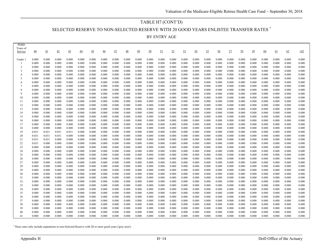#### TABLE H7 (CONT'D)

SELECTED RESERVE TO NON-SELECTED RESERVE WITH 20 GOOD YEARS ENLISTEE TRANSFER RATES \*

BY ENTRY AGE

| <b>PEBD</b><br>Years of |                 |                |                 |                 |                 |                 |                 |                |                 |                 |                |                |                |                |                |                |                |                |                |                |                |                |                |                |
|-------------------------|-----------------|----------------|-----------------|-----------------|-----------------|-----------------|-----------------|----------------|-----------------|-----------------|----------------|----------------|----------------|----------------|----------------|----------------|----------------|----------------|----------------|----------------|----------------|----------------|----------------|----------------|
| Service                 | $\overline{40}$ | 41             | $\overline{42}$ | $\overline{43}$ | $\overline{44}$ | $\overline{45}$ | $\overline{46}$ | 47             | $\overline{48}$ | $\overline{49}$ | <u>50</u>      | <u>51</u>      | 52             | <u>53</u>      | $\frac{54}{5}$ | <u>55</u>      | $\frac{56}{5}$ | <u>57</u>      | <u>58</u>      | 59             | 60             | <u>61</u>      | 62             | $\geq 62$      |
| Under 1                 | 0.000           | 0.000          | 0.000           | 0.000           | 0.000           | 0.000           | 0.000           | 0.000          | 0.000           | 0.000           | 0.000          | 0.000          | 0.000          | 0.000          | 0.000          | 0.000          | 0.000          | 0.000          | 0.000          | 0.000          | 0.000          | 0.000          | 0.000          | 0.000          |
| $\mathbf{1}$            | 0.000           | 0.000          | 0.000           | 0.000           | 0.000           | 0.000           | 0.000           | 0.000          | 0.000           | 0.000           | 0.000          | 0.000          | 0.000          | 0.000          | 0.000          | 0.000          | 0.000          | 0.000          | 0.000          | 0.000          | 0.000          | 0.000          | 0.000          | 0.000          |
| $\mathcal{D}$           | 0.000           | 0.000          | 0.000           | 0.000           | 0.000           | 0.000           | 0.000           | 0.000          | 0.000           | 0.000           | 0.000          | 0.000          | 0.000          | 0.000          | 0.000          | 0.000          | 0.000          | 0.000          | 0.000          | 0.000          | 0.000          | 0.000          | 0.000          | 0.000          |
| 3                       | 0.000           | 0.000          | 0.000           | 0.000           | 0.000           | 0.000           | 0.000           | 0.000          | 0.000           | 0.000           | 0.000          | 0.000          | 0.000          | 0.000          | 0.000          | 0.000          | 0.000          | 0.000          | 0.000          | 0.000          | 0.000          | 0.000          | 0.000          | 0.000          |
| $\overline{4}$          | 0.000           | 0.000          | 0.000           | 0.000           | 0.000           | 0.000           | 0.000           | 0.000          | 0.000           | 0.000           | 0.000          | 0.000          | 0.000          | 0.000          | 0.000          | 0.000          | 0.000          | 0.000          | 0.000          | 0.000          | 0.000          | 0.000          | 0.000          | 0.000          |
| 5                       | 0.000           | 0.000          | 0.000           | 0.000           | 0.000           | 0.000           | 0.000           | 0.000          | 0.000           | 0.000           | 0.000          | 0.000          | 0.000          | 0.000          | 0.000          | 0.000          | 0.000          | 0.000          | 0.000          | 0.000          | 0.000          | 0.000          | 0.000          | 0.000          |
| 6                       | 0.000           | 0.000          | 0.000           | 0.000           | 0.000           | 0.000           | 0.000           | 0.000          | 0.000           | 0.000           | 0.000          | 0.000          | 0.000          | 0.000          | 0.000          | 0.000          | 0.000          | 0.000          | 0.000          | 0.000          | 0.000          | 0.000          | 0.000          | 0.000          |
|                         | 0.000           | 0.000          | 0.000           | 0.000           | 0.000           | 0.000           | 0.000           | 0.000          | 0.000           | 0.000           | 0.000          | 0.000          | 0.000          | 0.000          | 0.000          | 0.000          | 0.000          | 0.000          | 0.000          | 0.000          | 0.000          | 0.000          | 0.000          | 0.000          |
| 8<br>$\mathbf{Q}$       | 0.000<br>0.000  | 0.000<br>0.000 | 0.000<br>0.000  | 0.000<br>0.000  | 0.000<br>0.000  | 0.000<br>0.000  | 0.000<br>0.000  | 0.000<br>0.000 | 0.000<br>0.000  | 0.000<br>0.000  | 0.000<br>0.000 | 0.000<br>0.000 | 0.000<br>0.000 | 0.000<br>0.000 | 0.000<br>0.000 | 0.000<br>0.000 | 0.000<br>0.000 | 0.000<br>0.000 | 0.000<br>0.000 | 0.000<br>0.000 | 0.000<br>0.000 | 0.000<br>0.000 | 0.000<br>0.000 | 0.000<br>0.000 |
| 10                      | 0.000           | 0.000          | 0.000           | 0.000           | 0.000           | 0.000           | 0.000           | 0.000          | 0.000           | 0.000           | 0.000          | 0.000          | 0.000          | 0.000          | 0.000          | 0.000          | 0.000          | 0.000          | 0.000          | 0.000          | 0.000          | 0.000          | 0.000          | 0.000          |
| 11                      | 0.000           | 0.000          | 0.000           | 0.000           | 0.000           | 0.000           | 0.000           | 0.000          | 0.000           | 0.000           | 0.000          | 0.000          | 0.000          | 0.000          | 0.000          | 0.000          | 0.000          | 0.000          | 0.000          | 0.000          | 0.000          | 0.000          | 0.000          | 0.000          |
| 12                      | 0.000           | 0.000          | 0.000           | 0.000           | 0.000           | 0.000           | 0.000           | 0.000          | 0.000           | 0.000           | 0.000          | 0.000          | 0.000          | 0.000          | 0.000          | 0.000          | 0.000          | 0.000          | 0.000          | 0.000          | 0.000          | 0.000          | 0.000          | 0.000          |
| 13                      | 0.000           | 0.000          | 0.000           | 0.000           | 0.000           | 0.000           | 0.000           | 0.000          | 0.000           | 0.000           | 0.000          | 0.000          | 0.000          | 0.000          | 0.000          | 0.000          | 0.000          | 0.000          | 0.000          | 0.000          | 0.000          | 0.000          | 0.000          | 0.000          |
| 14                      | 0.000           | 0.000          | 0.000           | 0.000           | 0.000           | 0.000           | 0.000           | 0.000          | 0.000           | 0.000           | 0.000          | 0.000          | 0.000          | 0.000          | 0.000          | 0.000          | 0.000          | 0.000          | 0.000          | 0.000          | 0.000          | 0.000          | 0.000          | 0.000          |
| 15                      | 0.000           | 0.000          | 0.000           | 0.000           | 0.000           | 0.000           | 0.000           | 0.000          | 0.000           | 0.000           | 0.000          | 0.000          | 0.000          | 0.000          | 0.000          | 0.000          | 0.000          | 0.000          | 0.000          | 0.000          | 0.000          | 0.000          | 0.000          | 0.000          |
| 16                      | 0.000           | 0.000          | 0.000           | 0.000           | 0.000           | 0.000           | 0.000           | 0.000          | 0.000           | 0.000           | 0.000          | 0.000          | 0.000          | 0.000          | 0.000          | 0.000          | 0.000          | 0.000          | 0.000          | 0.000          | 0.000          | 0.000          | 0.000          | 0.000          |
| 17                      | 0.000           | 0.000          | 0.000           | 0.000           | 0.000           | 0.000           | 0.000           | 0.000          | 0.000           | 0.000           | 0.000          | 0.000          | 0.000          | 0.000          | 0.000          | 0.000          | 0.000          | 0.000          | 0.000          | 0.000          | 0.000          | 0.000          | 0.000          | 0.000          |
| 18                      | 0.000           | 0.000          | 0.000           | 0.000           | 0.000           | 0.000           | 0.000           | 0.000          | 0.000           | 0.000           | 0.000          | 0.000          | 0.000          | 0.000          | 0.000          | 0.000          | 0.000          | 0.000          | 0.000          | 0.000          | 0.000          | 0.000          | 0.000          | 0.000          |
| 19                      | 0.031           | 0.031          | 0.031           | 0.031           | 0.000           | 0.000           | 0.000           | 0.000          | 0.000           | 0.000           | 0.000          | 0.000          | 0.000          | 0.000          | 0.000          | 0.000          | 0.000          | 0.000          | 0.000          | 0.000          | 0.000          | 0.000          | 0.000          | 0.000          |
| 20                      | 0.031           | 0.031          | 0.031           | 0.000           | 0.000           | 0.000           | 0.000           | 0.000          | 0.000           | 0.000           | 0.000          | 0.000          | 0.000          | 0.000          | 0.000          | 0.000          | 0.000          | 0.000          | 0.000          | 0.000          | 0.000          | 0.000          | 0.000          | 0.000          |
| 21                      | 0.031           | 0.031          | 0.000           | 0.000           | 0.000           | 0.000           | 0.000           | 0.000          | 0.000           | 0.000           | 0.000          | 0.000          | 0.000          | 0.000          | 0.000          | 0.000          | 0.000          | 0.000          | 0.000          | 0.000          | 0.000          | 0.000          | 0.000          | 0.000          |
| 22                      | 0.031           | 0.000          | 0.000           | 0.000           | 0.000           | 0.000           | 0.000           | 0.000          | 0.000           | 0.000           | 0.000          | 0.000          | 0.000          | 0.000          | 0.000          | 0.000          | 0.000          | 0.000          | 0.000          | 0.000          | 0.000          | 0.000          | 0.000          | 0.000          |
| 23<br>24                | 0.000<br>0.000  | 0.000<br>0.000 | 0.000<br>0.000  | 0.000<br>0.000  | 0.000<br>0.000  | 0.000<br>0.000  | 0.000<br>0.000  | 0.000<br>0.000 | 0.000<br>0.000  | 0.000<br>0.000  | 0.000<br>0.000 | 0.000<br>0.000 | 0.000<br>0.000 | 0.000<br>0.000 | 0.000<br>0.000 | 0.000<br>0.000 | 0.000<br>0.000 | 0.000<br>0.000 | 0.000<br>0.000 | 0.000<br>0.000 | 0.000<br>0.000 | 0.000<br>0.000 | 0.000<br>0.000 | 0.000<br>0.000 |
| 25                      | 0.000           | 0.000          | 0.000           | 0.000           | 0.000           | 0.000           | 0.000           | 0.000          | 0.000           | 0.000           | 0.000          | 0.000          | 0.000          | 0.000          | 0.000          | 0.000          | 0.000          | 0.000          | 0.000          | 0.000          | 0.000          | 0.000          | 0.000          | 0.000          |
| 26                      | 0.000           | 0.000          | 0.000           | 0.000           | 0.000           | 0.000           | 0.000           | 0.000          | 0.000           | 0.000           | 0.000          | 0.000          | 0.000          | 0.000          | 0.000          | 0.000          | 0.000          | 0.000          | 0.000          | 0.000          | 0.000          | 0.000          | 0.000          | 0.000          |
| 27                      | 0.000           | 0.000          | 0.000           | 0.000           | 0.000           | 0.000           | 0.000           | 0.000          | 0.000           | 0.000           | 0.000          | 0.000          | 0.000          | 0.000          | 0.000          | 0.000          | 0.000          | 0.000          | 0.000          | 0.000          | 0.000          | 0.000          | 0.000          | 0.000          |
| 28                      | 0.000           | 0.000          | 0.000           | 0.000           | 0.000           | 0.000           | 0.000           | 0.000          | 0.000           | 0.000           | 0.000          | 0.000          | 0.000          | 0.000          | 0.000          | 0.000          | 0.000          | 0.000          | 0.000          | 0.000          | 0.000          | 0.000          | 0.000          | 0.000          |
| 29                      | 0.000           | 0.000          | 0.000           | 0.000           | 0.000           | 0.000           | 0.000           | 0.000          | 0.000           | 0.000           | 0.000          | 0.000          | 0.000          | 0.000          | 0.000          | 0.000          | 0.000          | 0.000          | 0.000          | 0.000          | 0.000          | 0.000          | 0.000          | 0.000          |
| 30                      | 0.000           | 0.000          | 0.000           | 0.000           | 0.000           | 0.000           | 0.000           | 0.000          | 0.000           | 0.000           | 0.000          | 0.000          | 0.000          | 0.000          | 0.000          | 0.000          | 0.000          | 0.000          | 0.000          | 0.000          | 0.000          | 0.000          | 0.000          | 0.000          |
| 31                      | 0.000           | 0.000          | 0.000           | 0.000           | 0.000           | 0.000           | 0.000           | 0.000          | 0.000           | 0.000           | 0.000          | 0.000          | 0.000          | 0.000          | 0.000          | 0.000          | 0.000          | 0.000          | 0.000          | 0.000          | 0.000          | 0.000          | 0.000          | 0.000          |
| 32                      | 0.000           | 0.000          | 0.000           | 0.000           | 0.000           | 0.000           | 0.000           | 0.000          | 0.000           | 0.000           | 0.000          | 0.000          | 0.000          | 0.000          | 0.000          | 0.000          | 0.000          | 0.000          | 0.000          | 0.000          | 0.000          | 0.000          | 0.000          | 0.000          |
| 33                      | 0.000           | 0.000          | 0.000           | 0.000           | 0.000           | 0.000           | 0.000           | 0.000          | 0.000           | 0.000           | 0.000          | 0.000          | 0.000          | 0.000          | 0.000          | 0.000          | 0.000          | 0.000          | 0.000          | 0.000          | 0.000          | 0.000          | 0.000          | 0.000          |
| 34                      | 0.000           | 0.000          | 0.000           | 0.000           | 0.000           | 0.000           | 0.000           | 0.000          | 0.000           | 0.000           | 0.000          | 0.000          | 0.000          | 0.000          | 0.000          | 0.000          | 0.000          | 0.000          | 0.000          | 0.000          | 0.000          | 0.000          | 0.000          | 0.000          |
| 35                      | 0.000           | 0.000          | 0.000           | 0.000           | 0.000           | 0.000           | 0.000           | 0.000          | 0.000           | 0.000           | 0.000          | 0.000          | 0.000          | 0.000          | 0.000          | 0.000          | 0.000          | 0.000          | 0.000          | 0.000          | 0.000          | 0.000          | 0.000          | 0.000          |
| 36                      | 0.000           | 0.000          | 0.000           | 0.000           | 0.000           | 0.000           | 0.000           | 0.000          | 0.000           | 0.000           | 0.000          | 0.000          | 0.000          | 0.000          | 0.000          | 0.000          | 0.000          | 0.000          | 0.000          | 0.000          | 0.000          | 0.000          | 0.000          | 0.000          |
| 37                      | 0.000           | 0.000          | 0.000           | 0.000           | 0.000           | 0.000           | 0.000           | 0.000          | 0.000           | 0.000           | 0.000          | 0.000          | 0.000          | 0.000          | 0.000          | 0.000          | 0.000          | 0.000          | 0.000          | 0.000          | 0.000          | 0.000          | 0.000          | 0.000          |
| 38                      | 0.000           | 0.000          | 0.000           | 0.000           | 0.000           | 0.000           | 0.000           | 0.000          | 0.000           | 0.000           | 0.000          | 0.000          | 0.000          | 0.000          | 0.000          | 0.000          | 0.000          | 0.000          | 0.000          | 0.000          | 0.000          | 0.000          | 0.000          | 0.000          |
| 39                      | 0.000           | 0.000          | 0.000           | 0.000           | 0.000           | 0.000           | 0.000           | 0.000          | 0.000           | 0.000           | 0.000          | 0.000          | 0.000          | 0.000          | 0.000          | 0.000          | 0.000          | 0.000          | 0.000          | 0.000          | 0.000          | 0.000          | 0.000          | 0.000          |
| 40<br>41                | 0.000<br>0.000  | 0.000<br>0.000 | 0.000<br>0.000  | 0.000<br>0.000  | 0.000<br>0.000  | 0.000<br>0.000  | 0.000<br>0.000  | 0.000<br>0.000 | 0.000<br>0.000  | 0.000<br>0.000  | 0.000<br>0.000 | 0.000<br>0.000 | 0.000<br>0.000 | 0.000<br>0.000 | 0.000<br>0.000 | 0.000<br>0.000 | 0.000<br>0.000 | 0.000<br>0.000 | 0.000<br>0.000 | 0.000<br>0.000 | 0.000<br>0.000 | 0.000<br>0.000 | 0.000<br>0.000 | 0.000<br>0.000 |
|                         |                 |                |                 |                 |                 |                 |                 |                |                 |                 |                |                |                |                |                |                |                |                |                |                |                |                |                |                |

\* These rates only include separations to non-Selected Reserve with 20 or more good years ('grey area').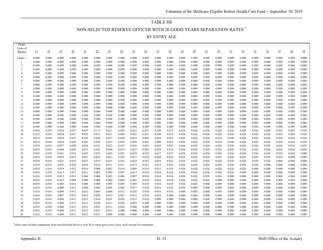# TABLE H8 NON-SELECTED RESERVE OFFICER WITH 20 GOOD YEARS SEPARATION RATES \*

| BY ENTRY AGE |  |
|--------------|--|
|--------------|--|

| 0.000<br>0.000<br>0.000<br>0.000<br>0.000<br>0.000<br>0.000<br>0.000<br>0.000<br>0.000<br>0.000<br>0.000<br>0.000<br>0.000<br>0.000<br>0.000<br>0.000<br>0.000<br>0.000<br>0.000<br>0.000<br>0.000<br>Under 1<br>0.000<br>0.000<br>0.000<br>0.000<br>0.000<br>0.000<br>0.000<br>0.000<br>0.000<br>0.000<br>0.000<br>0.000<br>0.000<br>0.000<br>0.000<br>0.000<br>0.000<br>0.000<br>0.000<br>0.000<br>0.000<br>0.000<br>0.000<br>0.000<br>-1<br>0.000<br>$\overline{2}$<br>0.000<br>0.000<br>0.000<br>0.000<br>0.000<br>0.000<br>0.000<br>0.000<br>0.000<br>0.000<br>0.000<br>0.000<br>0.000<br>0.000<br>0.000<br>0.000<br>0.000<br>0.000<br>0.000<br>0.000<br>0.000<br>0.000<br>0.000<br>0.000<br>3<br>0.000<br>0.000<br>0.000<br>0.000<br>0.000<br>0.000<br>0.000<br>0.000<br>0.000<br>0.000<br>0.000<br>0.000<br>0.000<br>0.000<br>0.000<br>0.000<br>0.000<br>0.000<br>0.000<br>0.000<br>0.000<br>0.000<br>0.000<br>0.000<br>0.000<br>0.000<br>0.000<br>0.000<br>0.000<br>0.000<br>0.000<br>0.000<br>0.000<br>0.000<br>0.000<br>0.000<br>0.000<br>0.000<br>0.000<br>0.000<br>0.000<br>0.000<br>0.000<br>0.000<br>$\overline{4}$<br>0.000<br>5<br>0.000<br>0.000<br>0.000<br>0.000<br>0.000<br>0.000<br>0.000<br>0.000<br>0.000<br>0.000<br>0.000<br>0.000<br>0.000<br>0.000<br>0.000<br>0.000<br>0.000<br>0.000<br>0.000<br>0.000<br>0.000<br>0.000<br>0.000<br>0.000<br>0.000<br>0.000<br>0.000<br>0.000<br>0.000<br>0.000<br>0.000<br>0.000<br>0.000<br>0.000<br>0.000<br>0.000<br>0.000<br>0.000<br>0.000<br>0.000<br>0.000<br>0.000<br>0.000<br>0.000<br>0.000<br>6<br>0.000<br>0.000<br>0.000<br>0.000<br>0.000<br>0.000<br>0.000<br>0.000<br>0.000<br>0.000<br>0.000<br>0.000<br>0.000<br>0.000<br>0.000<br>0.000<br>0.000<br>0.000<br>0.000<br>0.000<br>0.000<br>0.000<br>0.000<br>7<br>8<br>0.000<br>0.000<br>0.000<br>0.000<br>0.000<br>0.000<br>0.000<br>0.000<br>0.000<br>0.000<br>0.000<br>0.000<br>0.000<br>0.000<br>0.000<br>0.000<br>0.000<br>0.000<br>0.000<br>0.000<br>0.000<br>0.000<br>0.000<br>0.000<br>9<br>0.000<br>0.000<br>0.000<br>0.000<br>0.000<br>0.000<br>0.000<br>0.000<br>0.000<br>0.000<br>0.000<br>0.000<br>0.000<br>0.000<br>0.000<br>0.000<br>0.000<br>0.000<br>0.000<br>0.000<br>0.000<br>0.000<br>0.000<br>0.000<br>0.000<br>0.000<br>0.000<br>0.000<br>0.000<br>0.000<br>0.000<br>0.000<br>0.000<br>0.000<br>0.000<br>0.000<br>0.000<br>0.000<br>0.000<br>0.000<br>0.000<br>0.000<br>0.000<br>0.000<br>0.000<br>10<br>0.000<br>0.000<br>0.000<br>0.000<br>0.000<br>0.000<br>0.000<br>0.000<br>0.000<br>0.000<br>0.000<br>0.000<br>0.000<br>0.000<br>0.000<br>0.000<br>0.000<br>11<br>0.000<br>0.000<br>0.000<br>0.000<br>0.000<br>0.000<br>0.000<br>0.000<br>0.000<br>0.000<br>0.000<br>0.000<br>0.000<br>0.000<br>0.000<br>12<br>0.000<br>0.000<br>0.000<br>0.000<br>0.000<br>0.000<br>0.000<br>0.000<br>0.000<br>0.000<br>0.000<br>0.000<br>0.000<br>0.000<br>0.000<br>13<br>0.000<br>0.000<br>0.000<br>0.000<br>0.000<br>0.000<br>0.000<br>0.000<br>0.000<br>0.000<br>0.000<br>0.000<br>0.000<br>0.000<br>0.000<br>0.000<br>0.000<br>0.000<br>0.000<br>0.000<br>0.000<br>0.000<br>0.000<br>0.000<br>0.000<br>0.000<br>0.000<br>0.000<br>0.000<br>0.000<br>0.000<br>0.000<br>0.000<br>0.000<br>0.000<br>0.000<br>0.000<br>0.000<br>0.000<br>0.000<br>14<br>0.000<br>0.000<br>0.000<br>0.000<br>0.000<br>0.000<br>0.000<br>0.000<br>0.000<br>15<br>0.000<br>0.000<br>0.000<br>0.000<br>0.000<br>0.000<br>0.000<br>0.000<br>0.000<br>0.000<br>0.000<br>0.000<br>0.000<br>0.000<br>0.000<br>0.000<br>0.000<br>0.000<br>0.000<br>0.000<br>0.000<br>0.000<br>0.000<br>0.000<br>0.000<br>0.000<br>0.000<br>0.000<br>0.000<br>0.000<br>0.000<br>0.000<br>16<br>0.000<br>0.000<br>0.000<br>0.000<br>0.000<br>0.000<br>0.000<br>0.000<br>0.000<br>0.000<br>0.000<br>0.000<br>0.000<br>0.000<br>0.000<br>0.000<br>0.000<br>0.000<br>0.000<br>0.000<br>0.000<br>0.000<br>0.000<br>0.000<br>0.000<br>0.000<br>0.000<br>0.000<br>0.000<br>17<br>0.000<br>0.000<br>0.000<br>0.000<br>18<br>0.000<br>0.000<br>0.000<br>0.000<br>0.000<br>0.000<br>0.000<br>0.000<br>0.000<br>0.000<br>0.000<br>0.000<br>0.000<br>0.000<br>0.000<br>0.000<br>0.000<br>0.000<br>0.000<br>0.000<br>0.000<br>0.000<br>0.000<br>19<br>0.026<br>0.026<br>0.026<br>0.026<br>0.026<br>0.018<br>0.018<br>0.034<br>0.037<br>0.035<br>0.115<br>0.021<br>0.022<br>0.031<br>0.030<br>0.013<br>0.026<br>0.026<br>0.026<br>0.026<br>0.026<br>0.026<br>0.026<br>0.018<br>0.034<br>0.037<br>0.015<br>0.021<br>0.026<br>0.022<br>0.031<br>0.013<br>0.026<br>0.026<br>0.026<br>0.026<br>0.026<br>0.026<br>0.026<br>0.026<br>0.026<br>0.026<br>0.026<br>20<br>0.018<br>0.035<br>0.030<br>0.018<br>0.028<br>0.027<br>0.020<br>0.033<br>0.045<br>0.034<br>0.013<br>0.026<br>0.026<br>0.026<br>0.026<br>0.026<br>0.026<br>0.026<br>0.026<br>0.026<br>21<br>0.018<br>0.034<br>0.037<br>0.035<br>0.026<br>0.026<br>22<br>0.032<br>0.022<br>0.022<br>0.026<br>0.026<br>0.026<br>0.026<br>0.026<br>0.018<br>0.018<br>0.034<br>0.042<br>0.041<br>0.028<br>0.031<br>0.049<br>0.013<br>0.026<br>0.026<br>0.026<br>0.026<br>0.026<br>0.026<br>23<br>0.022<br>0.025<br>0.030<br>0.047<br>0.026<br>0.026<br>0.026<br>0.026<br>0.026<br>0.026<br>0.026<br>0.018<br>0.018<br>0.037<br>0.029<br>0.026<br>0.031<br>0.031<br>0.028<br>0.026<br>0.026<br>0.026<br>0.026<br>0.025<br>0.019<br>0.018<br>0.026<br>0.026<br>0.026<br>0.026<br>0.026<br>0.026<br>24<br>0.018<br>0.018<br>0.044<br>0.043<br>0.033<br>0.030<br>0.025<br>0.030<br>0.029<br>0.026<br>0.026<br>0.026<br>0.026<br>0.026<br>0.023<br>0.022<br>0.022<br>0.026<br>0.026<br>0.026<br>0.026<br>0.026<br>0.000<br>25<br>0.018<br>0.018<br>0.031<br>0.016<br>0.032<br>0.021<br>0.029<br>0.017<br>0.017<br>0.026<br>0.026<br>0.026<br>0.026<br>0.026<br>26<br>0.018<br>0.024<br>0.037<br>0.021<br>0.022<br>0.021<br>0.023<br>0.015<br>0.028<br>0.020<br>0.016<br>0.026<br>0.026<br>0.026<br>0.026<br>0.026<br>0.026<br>0.026<br>0.000<br>0.000<br>0.018<br>0.026<br>0.026<br>0.000<br>27<br>0.019<br>0.021<br>0.019<br>0.016<br>0.022<br>0.032<br>0.022<br>0.016<br>0.026<br>0.026<br>0.026<br>0.026<br>0.026<br>0.000<br>0.018<br>0.018<br>0.031<br>0.015<br>0.026<br>0.026<br>0.026<br>0.000<br>0.026<br>0.026<br>0.000<br>28<br>0.018<br>0.018<br>0.035<br>0.026<br>0.016<br>0.014<br>0.011<br>0.011<br>0.013<br>0.011<br>0.013<br>0.016<br>0.026<br>0.026<br>0.026<br>0.026<br>0.026<br>0.000<br>0.000<br>0.000<br>29<br>0.018<br>0.018<br>0.022<br>0.008<br>0.007<br>0.014<br>0.009<br>0.010<br>0.013<br>0.016<br>0.026<br>0.026<br>0.026<br>0.026<br>0.026<br>0.026<br>0.000<br>0.000<br>0.000<br>0.000<br>0.000<br>0.018<br>0.016<br>0.007<br>0.026<br>0.026<br>0.026<br>0.000<br>30<br>0.018<br>0.018<br>0.013<br>0.017<br>0.011<br>0.005<br>0.004<br>0.013<br>0.010<br>0.016<br>0.016<br>0.026<br>0.026<br>0.000<br>0.000<br>0.000<br>0.000<br>0.000<br>0.006<br>0.026<br>0.026<br>0.026<br>0.026<br>0.000<br>0.000<br>0.000<br>0.000<br>0.018<br>0.015<br>0.011<br>0.006<br>0.003<br>0.006<br>0.007<br>0.010<br>0.016<br>0.016<br>0.000<br>0.000<br>0.000<br>31<br>0.018<br>32<br>0.008<br>0.009<br>0.004<br>0.004<br>0.004<br>0.005<br>0.016<br>0.016<br>0.026<br>0.026<br>0.026<br>0.000<br>0.000<br>0.000<br>0.000<br>0.000<br>0.018<br>0.018<br>0.015<br>0.010<br>0.000<br>0.000<br>0.000<br>33<br>0.000<br>0.018<br>0.018<br>0.005<br>0.011<br>0.006<br>0.004<br>0.005<br>0.005<br>0.005<br>0.010<br>0.016<br>0.016<br>0.026<br>0.026<br>0.000<br>0.000<br>0.000<br>0.000<br>0.000<br>0.000<br>0.000<br>0.000<br>0.003<br>0.026<br>0.000<br>0.000<br>0.000<br>0.018<br>0.018<br>0.009<br>0.011<br>0.006<br>0.003<br>0.005<br>0.017<br>0.010<br>0.016<br>0.016<br>0.000<br>0.000<br>0.000<br>0.000<br>0.000<br>0.000<br>0.000<br>34<br>35<br>0.003<br>0.012<br>0.020<br>0.016<br>0.000<br>0.000<br>0.000<br>0.000<br>0.000<br>0.000<br>0.018<br>0.018<br>0.009<br>0.011<br>0.012<br>0.004<br>0.010<br>0.016<br>0.000<br>0.000<br>0.000<br>0.000<br>0.000<br>0.000<br>36<br>0.018<br>0.007<br>0.011<br>0.012<br>0.003<br>0.012<br>0.021<br>0.016<br>0.000<br>0.000<br>0.000<br>0.000<br>0.000<br>0.000<br>0.000<br>0.000<br>0.000<br>0.000<br>0.000<br>0.018<br>0.033<br>0.010<br>37<br>0.018<br>0.018<br>0.008<br>0.011<br>0.012<br>0.016<br>0.021<br>0.026<br>0.033<br>0.010<br>0.000<br>0.000<br>0.000<br>0.000<br>0.000<br>0.000<br>0.000<br>0.000<br>0.000<br>0.000<br>0.000<br>0.000<br>0.000<br>0.020<br>0.026<br>0.000<br>0.000<br>0.000<br>0.000<br>0.000<br>0.000<br>38<br>0.018<br>0.018<br>0.008<br>0.011<br>0.012<br>0.013<br>0.033<br>0.000<br>0.000<br>0.000<br>0.000<br>0.000<br>0.000<br>0.000<br>0.000<br>0.000<br>39<br>0.018<br>0.018<br>0.008<br>0.011<br>0.012<br>0.021<br>0.013<br>0.026<br>0.000<br>0.000<br>0.000<br>0.000<br>0.000<br>0.000<br>0.000<br>0.000<br>0.000<br>0.000<br>0.000<br>0.000<br>0.000<br>0.000<br>0.021<br>0.000<br>0.000<br>0.000<br>0.000<br>40<br>0.018<br>0.018<br>0.008<br>0.011<br>0.012<br>0.013<br>0.000<br>0.000<br>0.000<br>0.000<br>0.000<br>0.000<br>0.000<br>0.000<br>0.000<br>0.000<br>0.000<br>0.000<br>0.021<br>0.000<br>0.000<br>0.000<br>0.000<br>0.000<br>0.000<br>0.000<br>0.000<br>0.000<br>0.000<br>0.000<br>0.000<br>0.018<br>0.018<br>0.008<br>0.011<br>0.012<br>0.000<br>0.000<br>0.000<br>0.000<br>0.000<br>41 | PEBD<br>Years of<br>Service | 17 | 18 | 19 | 20 | 21 | 22 | 23 | 24 | 25 | $\frac{26}{5}$ | 27 | 28 | 29 | 30 | 31 | 32 | 33 | $\overline{34}$ | 35 | $\frac{36}{5}$ | 37 | 38 | 39 |
|---------------------------------------------------------------------------------------------------------------------------------------------------------------------------------------------------------------------------------------------------------------------------------------------------------------------------------------------------------------------------------------------------------------------------------------------------------------------------------------------------------------------------------------------------------------------------------------------------------------------------------------------------------------------------------------------------------------------------------------------------------------------------------------------------------------------------------------------------------------------------------------------------------------------------------------------------------------------------------------------------------------------------------------------------------------------------------------------------------------------------------------------------------------------------------------------------------------------------------------------------------------------------------------------------------------------------------------------------------------------------------------------------------------------------------------------------------------------------------------------------------------------------------------------------------------------------------------------------------------------------------------------------------------------------------------------------------------------------------------------------------------------------------------------------------------------------------------------------------------------------------------------------------------------------------------------------------------------------------------------------------------------------------------------------------------------------------------------------------------------------------------------------------------------------------------------------------------------------------------------------------------------------------------------------------------------------------------------------------------------------------------------------------------------------------------------------------------------------------------------------------------------------------------------------------------------------------------------------------------------------------------------------------------------------------------------------------------------------------------------------------------------------------------------------------------------------------------------------------------------------------------------------------------------------------------------------------------------------------------------------------------------------------------------------------------------------------------------------------------------------------------------------------------------------------------------------------------------------------------------------------------------------------------------------------------------------------------------------------------------------------------------------------------------------------------------------------------------------------------------------------------------------------------------------------------------------------------------------------------------------------------------------------------------------------------------------------------------------------------------------------------------------------------------------------------------------------------------------------------------------------------------------------------------------------------------------------------------------------------------------------------------------------------------------------------------------------------------------------------------------------------------------------------------------------------------------------------------------------------------------------------------------------------------------------------------------------------------------------------------------------------------------------------------------------------------------------------------------------------------------------------------------------------------------------------------------------------------------------------------------------------------------------------------------------------------------------------------------------------------------------------------------------------------------------------------------------------------------------------------------------------------------------------------------------------------------------------------------------------------------------------------------------------------------------------------------------------------------------------------------------------------------------------------------------------------------------------------------------------------------------------------------------------------------------------------------------------------------------------------------------------------------------------------------------------------------------------------------------------------------------------------------------------------------------------------------------------------------------------------------------------------------------------------------------------------------------------------------------------------------------------------------------------------------------------------------------------------------------------------------------------------------------------------------------------------------------------------------------------------------------------------------------------------------------------------------------------------------------------------------------------------------------------------------------------------------------------------------------------------------------------------------------------------------------------------------------------------------------------------------------------------------------------------------------------------------------------------------------------------------------------------------------------------------------------------------------------------------------------------------------------------------------------------------------------------------------------------------------------------------------------------------------------------------------------------------------------------------------------------------------------------------------------------------------------------------------------------------------------------------------------------------------------------------------------------------------------------------------------------------------------------------------------------------------------------------------------------------------------------------------------------------------------------------------------------------------------------------------------------------------------------------------------------------------------------------------------------------------------------------------------------------------------------------------------------------------------------------------------------------------------------------------------------------------------------------------------------------------------------------------------------------------------------------------------------------------------------------------------------------------------------------------------------------------------------------------------------------------------------------------------------------------------------------------------------------------------------------------------------------------------------------------------------------------------------------------------------------------------------------------------------------------------------------------------------------------------------------------------------------------------------------------------------------------------------------------------------------------------------------------------------------------------------------------------------------------------------------------------------------------------------------------------------------------------------------------------------------------------------------------------------------------------------------------------------------------------------------------------------------------------------------------------------------------------------------------------------------------------------------------------------------------------------------------------------------------------------------------------------------------------------------------------------------------------------------------------------------------------------------------------------------------------------------------------------------------------|-----------------------------|----|----|----|----|----|----|----|----|----|----------------|----|----|----|----|----|----|----|-----------------|----|----------------|----|----|----|
|                                                                                                                                                                                                                                                                                                                                                                                                                                                                                                                                                                                                                                                                                                                                                                                                                                                                                                                                                                                                                                                                                                                                                                                                                                                                                                                                                                                                                                                                                                                                                                                                                                                                                                                                                                                                                                                                                                                                                                                                                                                                                                                                                                                                                                                                                                                                                                                                                                                                                                                                                                                                                                                                                                                                                                                                                                                                                                                                                                                                                                                                                                                                                                                                                                                                                                                                                                                                                                                                                                                                                                                                                                                                                                                                                                                                                                                                                                                                                                                                                                                                                                                                                                                                                                                                                                                                                                                                                                                                                                                                                                                                                                                                                                                                                                                                                                                                                                                                                                                                                                                                                                                                                                                                                                                                                                                                                                                                                                                                                                                                                                                                                                                                                                                                                                                                                                                                                                                                                                                                                                                                                                                                                                                                                                                                                                                                                                                                                                                                                                                                                                                                                                                                                                                                                                                                                                                                                                                                                                                                                                                                                                                                                                                                                                                                                                                                                                                                                                                                                                                                                                                                                                                                                                                                                                                                                                                                                                                                                                                                                                                                                                                                                                                                                                                                                                                                                                                                                                                                                                                                                                                                                                                                                                                                                                                                                                                                                                                                                                                                                                                                                                                                                                                                                                                                                                                                       |                             |    |    |    |    |    |    |    |    |    |                |    |    |    |    |    |    |    |                 |    |                |    |    |    |
|                                                                                                                                                                                                                                                                                                                                                                                                                                                                                                                                                                                                                                                                                                                                                                                                                                                                                                                                                                                                                                                                                                                                                                                                                                                                                                                                                                                                                                                                                                                                                                                                                                                                                                                                                                                                                                                                                                                                                                                                                                                                                                                                                                                                                                                                                                                                                                                                                                                                                                                                                                                                                                                                                                                                                                                                                                                                                                                                                                                                                                                                                                                                                                                                                                                                                                                                                                                                                                                                                                                                                                                                                                                                                                                                                                                                                                                                                                                                                                                                                                                                                                                                                                                                                                                                                                                                                                                                                                                                                                                                                                                                                                                                                                                                                                                                                                                                                                                                                                                                                                                                                                                                                                                                                                                                                                                                                                                                                                                                                                                                                                                                                                                                                                                                                                                                                                                                                                                                                                                                                                                                                                                                                                                                                                                                                                                                                                                                                                                                                                                                                                                                                                                                                                                                                                                                                                                                                                                                                                                                                                                                                                                                                                                                                                                                                                                                                                                                                                                                                                                                                                                                                                                                                                                                                                                                                                                                                                                                                                                                                                                                                                                                                                                                                                                                                                                                                                                                                                                                                                                                                                                                                                                                                                                                                                                                                                                                                                                                                                                                                                                                                                                                                                                                                                                                                                                                       |                             |    |    |    |    |    |    |    |    |    |                |    |    |    |    |    |    |    |                 |    |                |    |    |    |
|                                                                                                                                                                                                                                                                                                                                                                                                                                                                                                                                                                                                                                                                                                                                                                                                                                                                                                                                                                                                                                                                                                                                                                                                                                                                                                                                                                                                                                                                                                                                                                                                                                                                                                                                                                                                                                                                                                                                                                                                                                                                                                                                                                                                                                                                                                                                                                                                                                                                                                                                                                                                                                                                                                                                                                                                                                                                                                                                                                                                                                                                                                                                                                                                                                                                                                                                                                                                                                                                                                                                                                                                                                                                                                                                                                                                                                                                                                                                                                                                                                                                                                                                                                                                                                                                                                                                                                                                                                                                                                                                                                                                                                                                                                                                                                                                                                                                                                                                                                                                                                                                                                                                                                                                                                                                                                                                                                                                                                                                                                                                                                                                                                                                                                                                                                                                                                                                                                                                                                                                                                                                                                                                                                                                                                                                                                                                                                                                                                                                                                                                                                                                                                                                                                                                                                                                                                                                                                                                                                                                                                                                                                                                                                                                                                                                                                                                                                                                                                                                                                                                                                                                                                                                                                                                                                                                                                                                                                                                                                                                                                                                                                                                                                                                                                                                                                                                                                                                                                                                                                                                                                                                                                                                                                                                                                                                                                                                                                                                                                                                                                                                                                                                                                                                                                                                                                                                       |                             |    |    |    |    |    |    |    |    |    |                |    |    |    |    |    |    |    |                 |    |                |    |    |    |
|                                                                                                                                                                                                                                                                                                                                                                                                                                                                                                                                                                                                                                                                                                                                                                                                                                                                                                                                                                                                                                                                                                                                                                                                                                                                                                                                                                                                                                                                                                                                                                                                                                                                                                                                                                                                                                                                                                                                                                                                                                                                                                                                                                                                                                                                                                                                                                                                                                                                                                                                                                                                                                                                                                                                                                                                                                                                                                                                                                                                                                                                                                                                                                                                                                                                                                                                                                                                                                                                                                                                                                                                                                                                                                                                                                                                                                                                                                                                                                                                                                                                                                                                                                                                                                                                                                                                                                                                                                                                                                                                                                                                                                                                                                                                                                                                                                                                                                                                                                                                                                                                                                                                                                                                                                                                                                                                                                                                                                                                                                                                                                                                                                                                                                                                                                                                                                                                                                                                                                                                                                                                                                                                                                                                                                                                                                                                                                                                                                                                                                                                                                                                                                                                                                                                                                                                                                                                                                                                                                                                                                                                                                                                                                                                                                                                                                                                                                                                                                                                                                                                                                                                                                                                                                                                                                                                                                                                                                                                                                                                                                                                                                                                                                                                                                                                                                                                                                                                                                                                                                                                                                                                                                                                                                                                                                                                                                                                                                                                                                                                                                                                                                                                                                                                                                                                                                                                       |                             |    |    |    |    |    |    |    |    |    |                |    |    |    |    |    |    |    |                 |    |                |    |    |    |
|                                                                                                                                                                                                                                                                                                                                                                                                                                                                                                                                                                                                                                                                                                                                                                                                                                                                                                                                                                                                                                                                                                                                                                                                                                                                                                                                                                                                                                                                                                                                                                                                                                                                                                                                                                                                                                                                                                                                                                                                                                                                                                                                                                                                                                                                                                                                                                                                                                                                                                                                                                                                                                                                                                                                                                                                                                                                                                                                                                                                                                                                                                                                                                                                                                                                                                                                                                                                                                                                                                                                                                                                                                                                                                                                                                                                                                                                                                                                                                                                                                                                                                                                                                                                                                                                                                                                                                                                                                                                                                                                                                                                                                                                                                                                                                                                                                                                                                                                                                                                                                                                                                                                                                                                                                                                                                                                                                                                                                                                                                                                                                                                                                                                                                                                                                                                                                                                                                                                                                                                                                                                                                                                                                                                                                                                                                                                                                                                                                                                                                                                                                                                                                                                                                                                                                                                                                                                                                                                                                                                                                                                                                                                                                                                                                                                                                                                                                                                                                                                                                                                                                                                                                                                                                                                                                                                                                                                                                                                                                                                                                                                                                                                                                                                                                                                                                                                                                                                                                                                                                                                                                                                                                                                                                                                                                                                                                                                                                                                                                                                                                                                                                                                                                                                                                                                                                                                       |                             |    |    |    |    |    |    |    |    |    |                |    |    |    |    |    |    |    |                 |    |                |    |    |    |
|                                                                                                                                                                                                                                                                                                                                                                                                                                                                                                                                                                                                                                                                                                                                                                                                                                                                                                                                                                                                                                                                                                                                                                                                                                                                                                                                                                                                                                                                                                                                                                                                                                                                                                                                                                                                                                                                                                                                                                                                                                                                                                                                                                                                                                                                                                                                                                                                                                                                                                                                                                                                                                                                                                                                                                                                                                                                                                                                                                                                                                                                                                                                                                                                                                                                                                                                                                                                                                                                                                                                                                                                                                                                                                                                                                                                                                                                                                                                                                                                                                                                                                                                                                                                                                                                                                                                                                                                                                                                                                                                                                                                                                                                                                                                                                                                                                                                                                                                                                                                                                                                                                                                                                                                                                                                                                                                                                                                                                                                                                                                                                                                                                                                                                                                                                                                                                                                                                                                                                                                                                                                                                                                                                                                                                                                                                                                                                                                                                                                                                                                                                                                                                                                                                                                                                                                                                                                                                                                                                                                                                                                                                                                                                                                                                                                                                                                                                                                                                                                                                                                                                                                                                                                                                                                                                                                                                                                                                                                                                                                                                                                                                                                                                                                                                                                                                                                                                                                                                                                                                                                                                                                                                                                                                                                                                                                                                                                                                                                                                                                                                                                                                                                                                                                                                                                                                                                       |                             |    |    |    |    |    |    |    |    |    |                |    |    |    |    |    |    |    |                 |    |                |    |    |    |
|                                                                                                                                                                                                                                                                                                                                                                                                                                                                                                                                                                                                                                                                                                                                                                                                                                                                                                                                                                                                                                                                                                                                                                                                                                                                                                                                                                                                                                                                                                                                                                                                                                                                                                                                                                                                                                                                                                                                                                                                                                                                                                                                                                                                                                                                                                                                                                                                                                                                                                                                                                                                                                                                                                                                                                                                                                                                                                                                                                                                                                                                                                                                                                                                                                                                                                                                                                                                                                                                                                                                                                                                                                                                                                                                                                                                                                                                                                                                                                                                                                                                                                                                                                                                                                                                                                                                                                                                                                                                                                                                                                                                                                                                                                                                                                                                                                                                                                                                                                                                                                                                                                                                                                                                                                                                                                                                                                                                                                                                                                                                                                                                                                                                                                                                                                                                                                                                                                                                                                                                                                                                                                                                                                                                                                                                                                                                                                                                                                                                                                                                                                                                                                                                                                                                                                                                                                                                                                                                                                                                                                                                                                                                                                                                                                                                                                                                                                                                                                                                                                                                                                                                                                                                                                                                                                                                                                                                                                                                                                                                                                                                                                                                                                                                                                                                                                                                                                                                                                                                                                                                                                                                                                                                                                                                                                                                                                                                                                                                                                                                                                                                                                                                                                                                                                                                                                                                       |                             |    |    |    |    |    |    |    |    |    |                |    |    |    |    |    |    |    |                 |    |                |    |    |    |
|                                                                                                                                                                                                                                                                                                                                                                                                                                                                                                                                                                                                                                                                                                                                                                                                                                                                                                                                                                                                                                                                                                                                                                                                                                                                                                                                                                                                                                                                                                                                                                                                                                                                                                                                                                                                                                                                                                                                                                                                                                                                                                                                                                                                                                                                                                                                                                                                                                                                                                                                                                                                                                                                                                                                                                                                                                                                                                                                                                                                                                                                                                                                                                                                                                                                                                                                                                                                                                                                                                                                                                                                                                                                                                                                                                                                                                                                                                                                                                                                                                                                                                                                                                                                                                                                                                                                                                                                                                                                                                                                                                                                                                                                                                                                                                                                                                                                                                                                                                                                                                                                                                                                                                                                                                                                                                                                                                                                                                                                                                                                                                                                                                                                                                                                                                                                                                                                                                                                                                                                                                                                                                                                                                                                                                                                                                                                                                                                                                                                                                                                                                                                                                                                                                                                                                                                                                                                                                                                                                                                                                                                                                                                                                                                                                                                                                                                                                                                                                                                                                                                                                                                                                                                                                                                                                                                                                                                                                                                                                                                                                                                                                                                                                                                                                                                                                                                                                                                                                                                                                                                                                                                                                                                                                                                                                                                                                                                                                                                                                                                                                                                                                                                                                                                                                                                                                                                       |                             |    |    |    |    |    |    |    |    |    |                |    |    |    |    |    |    |    |                 |    |                |    |    |    |
|                                                                                                                                                                                                                                                                                                                                                                                                                                                                                                                                                                                                                                                                                                                                                                                                                                                                                                                                                                                                                                                                                                                                                                                                                                                                                                                                                                                                                                                                                                                                                                                                                                                                                                                                                                                                                                                                                                                                                                                                                                                                                                                                                                                                                                                                                                                                                                                                                                                                                                                                                                                                                                                                                                                                                                                                                                                                                                                                                                                                                                                                                                                                                                                                                                                                                                                                                                                                                                                                                                                                                                                                                                                                                                                                                                                                                                                                                                                                                                                                                                                                                                                                                                                                                                                                                                                                                                                                                                                                                                                                                                                                                                                                                                                                                                                                                                                                                                                                                                                                                                                                                                                                                                                                                                                                                                                                                                                                                                                                                                                                                                                                                                                                                                                                                                                                                                                                                                                                                                                                                                                                                                                                                                                                                                                                                                                                                                                                                                                                                                                                                                                                                                                                                                                                                                                                                                                                                                                                                                                                                                                                                                                                                                                                                                                                                                                                                                                                                                                                                                                                                                                                                                                                                                                                                                                                                                                                                                                                                                                                                                                                                                                                                                                                                                                                                                                                                                                                                                                                                                                                                                                                                                                                                                                                                                                                                                                                                                                                                                                                                                                                                                                                                                                                                                                                                                                                       |                             |    |    |    |    |    |    |    |    |    |                |    |    |    |    |    |    |    |                 |    |                |    |    |    |
|                                                                                                                                                                                                                                                                                                                                                                                                                                                                                                                                                                                                                                                                                                                                                                                                                                                                                                                                                                                                                                                                                                                                                                                                                                                                                                                                                                                                                                                                                                                                                                                                                                                                                                                                                                                                                                                                                                                                                                                                                                                                                                                                                                                                                                                                                                                                                                                                                                                                                                                                                                                                                                                                                                                                                                                                                                                                                                                                                                                                                                                                                                                                                                                                                                                                                                                                                                                                                                                                                                                                                                                                                                                                                                                                                                                                                                                                                                                                                                                                                                                                                                                                                                                                                                                                                                                                                                                                                                                                                                                                                                                                                                                                                                                                                                                                                                                                                                                                                                                                                                                                                                                                                                                                                                                                                                                                                                                                                                                                                                                                                                                                                                                                                                                                                                                                                                                                                                                                                                                                                                                                                                                                                                                                                                                                                                                                                                                                                                                                                                                                                                                                                                                                                                                                                                                                                                                                                                                                                                                                                                                                                                                                                                                                                                                                                                                                                                                                                                                                                                                                                                                                                                                                                                                                                                                                                                                                                                                                                                                                                                                                                                                                                                                                                                                                                                                                                                                                                                                                                                                                                                                                                                                                                                                                                                                                                                                                                                                                                                                                                                                                                                                                                                                                                                                                                                                                       |                             |    |    |    |    |    |    |    |    |    |                |    |    |    |    |    |    |    |                 |    |                |    |    |    |
|                                                                                                                                                                                                                                                                                                                                                                                                                                                                                                                                                                                                                                                                                                                                                                                                                                                                                                                                                                                                                                                                                                                                                                                                                                                                                                                                                                                                                                                                                                                                                                                                                                                                                                                                                                                                                                                                                                                                                                                                                                                                                                                                                                                                                                                                                                                                                                                                                                                                                                                                                                                                                                                                                                                                                                                                                                                                                                                                                                                                                                                                                                                                                                                                                                                                                                                                                                                                                                                                                                                                                                                                                                                                                                                                                                                                                                                                                                                                                                                                                                                                                                                                                                                                                                                                                                                                                                                                                                                                                                                                                                                                                                                                                                                                                                                                                                                                                                                                                                                                                                                                                                                                                                                                                                                                                                                                                                                                                                                                                                                                                                                                                                                                                                                                                                                                                                                                                                                                                                                                                                                                                                                                                                                                                                                                                                                                                                                                                                                                                                                                                                                                                                                                                                                                                                                                                                                                                                                                                                                                                                                                                                                                                                                                                                                                                                                                                                                                                                                                                                                                                                                                                                                                                                                                                                                                                                                                                                                                                                                                                                                                                                                                                                                                                                                                                                                                                                                                                                                                                                                                                                                                                                                                                                                                                                                                                                                                                                                                                                                                                                                                                                                                                                                                                                                                                                                                       |                             |    |    |    |    |    |    |    |    |    |                |    |    |    |    |    |    |    |                 |    |                |    |    |    |
|                                                                                                                                                                                                                                                                                                                                                                                                                                                                                                                                                                                                                                                                                                                                                                                                                                                                                                                                                                                                                                                                                                                                                                                                                                                                                                                                                                                                                                                                                                                                                                                                                                                                                                                                                                                                                                                                                                                                                                                                                                                                                                                                                                                                                                                                                                                                                                                                                                                                                                                                                                                                                                                                                                                                                                                                                                                                                                                                                                                                                                                                                                                                                                                                                                                                                                                                                                                                                                                                                                                                                                                                                                                                                                                                                                                                                                                                                                                                                                                                                                                                                                                                                                                                                                                                                                                                                                                                                                                                                                                                                                                                                                                                                                                                                                                                                                                                                                                                                                                                                                                                                                                                                                                                                                                                                                                                                                                                                                                                                                                                                                                                                                                                                                                                                                                                                                                                                                                                                                                                                                                                                                                                                                                                                                                                                                                                                                                                                                                                                                                                                                                                                                                                                                                                                                                                                                                                                                                                                                                                                                                                                                                                                                                                                                                                                                                                                                                                                                                                                                                                                                                                                                                                                                                                                                                                                                                                                                                                                                                                                                                                                                                                                                                                                                                                                                                                                                                                                                                                                                                                                                                                                                                                                                                                                                                                                                                                                                                                                                                                                                                                                                                                                                                                                                                                                                                                       |                             |    |    |    |    |    |    |    |    |    |                |    |    |    |    |    |    |    |                 |    |                |    |    |    |
|                                                                                                                                                                                                                                                                                                                                                                                                                                                                                                                                                                                                                                                                                                                                                                                                                                                                                                                                                                                                                                                                                                                                                                                                                                                                                                                                                                                                                                                                                                                                                                                                                                                                                                                                                                                                                                                                                                                                                                                                                                                                                                                                                                                                                                                                                                                                                                                                                                                                                                                                                                                                                                                                                                                                                                                                                                                                                                                                                                                                                                                                                                                                                                                                                                                                                                                                                                                                                                                                                                                                                                                                                                                                                                                                                                                                                                                                                                                                                                                                                                                                                                                                                                                                                                                                                                                                                                                                                                                                                                                                                                                                                                                                                                                                                                                                                                                                                                                                                                                                                                                                                                                                                                                                                                                                                                                                                                                                                                                                                                                                                                                                                                                                                                                                                                                                                                                                                                                                                                                                                                                                                                                                                                                                                                                                                                                                                                                                                                                                                                                                                                                                                                                                                                                                                                                                                                                                                                                                                                                                                                                                                                                                                                                                                                                                                                                                                                                                                                                                                                                                                                                                                                                                                                                                                                                                                                                                                                                                                                                                                                                                                                                                                                                                                                                                                                                                                                                                                                                                                                                                                                                                                                                                                                                                                                                                                                                                                                                                                                                                                                                                                                                                                                                                                                                                                                                                       |                             |    |    |    |    |    |    |    |    |    |                |    |    |    |    |    |    |    |                 |    |                |    |    |    |
|                                                                                                                                                                                                                                                                                                                                                                                                                                                                                                                                                                                                                                                                                                                                                                                                                                                                                                                                                                                                                                                                                                                                                                                                                                                                                                                                                                                                                                                                                                                                                                                                                                                                                                                                                                                                                                                                                                                                                                                                                                                                                                                                                                                                                                                                                                                                                                                                                                                                                                                                                                                                                                                                                                                                                                                                                                                                                                                                                                                                                                                                                                                                                                                                                                                                                                                                                                                                                                                                                                                                                                                                                                                                                                                                                                                                                                                                                                                                                                                                                                                                                                                                                                                                                                                                                                                                                                                                                                                                                                                                                                                                                                                                                                                                                                                                                                                                                                                                                                                                                                                                                                                                                                                                                                                                                                                                                                                                                                                                                                                                                                                                                                                                                                                                                                                                                                                                                                                                                                                                                                                                                                                                                                                                                                                                                                                                                                                                                                                                                                                                                                                                                                                                                                                                                                                                                                                                                                                                                                                                                                                                                                                                                                                                                                                                                                                                                                                                                                                                                                                                                                                                                                                                                                                                                                                                                                                                                                                                                                                                                                                                                                                                                                                                                                                                                                                                                                                                                                                                                                                                                                                                                                                                                                                                                                                                                                                                                                                                                                                                                                                                                                                                                                                                                                                                                                                                       |                             |    |    |    |    |    |    |    |    |    |                |    |    |    |    |    |    |    |                 |    |                |    |    |    |
|                                                                                                                                                                                                                                                                                                                                                                                                                                                                                                                                                                                                                                                                                                                                                                                                                                                                                                                                                                                                                                                                                                                                                                                                                                                                                                                                                                                                                                                                                                                                                                                                                                                                                                                                                                                                                                                                                                                                                                                                                                                                                                                                                                                                                                                                                                                                                                                                                                                                                                                                                                                                                                                                                                                                                                                                                                                                                                                                                                                                                                                                                                                                                                                                                                                                                                                                                                                                                                                                                                                                                                                                                                                                                                                                                                                                                                                                                                                                                                                                                                                                                                                                                                                                                                                                                                                                                                                                                                                                                                                                                                                                                                                                                                                                                                                                                                                                                                                                                                                                                                                                                                                                                                                                                                                                                                                                                                                                                                                                                                                                                                                                                                                                                                                                                                                                                                                                                                                                                                                                                                                                                                                                                                                                                                                                                                                                                                                                                                                                                                                                                                                                                                                                                                                                                                                                                                                                                                                                                                                                                                                                                                                                                                                                                                                                                                                                                                                                                                                                                                                                                                                                                                                                                                                                                                                                                                                                                                                                                                                                                                                                                                                                                                                                                                                                                                                                                                                                                                                                                                                                                                                                                                                                                                                                                                                                                                                                                                                                                                                                                                                                                                                                                                                                                                                                                                                                       |                             |    |    |    |    |    |    |    |    |    |                |    |    |    |    |    |    |    |                 |    |                |    |    |    |
|                                                                                                                                                                                                                                                                                                                                                                                                                                                                                                                                                                                                                                                                                                                                                                                                                                                                                                                                                                                                                                                                                                                                                                                                                                                                                                                                                                                                                                                                                                                                                                                                                                                                                                                                                                                                                                                                                                                                                                                                                                                                                                                                                                                                                                                                                                                                                                                                                                                                                                                                                                                                                                                                                                                                                                                                                                                                                                                                                                                                                                                                                                                                                                                                                                                                                                                                                                                                                                                                                                                                                                                                                                                                                                                                                                                                                                                                                                                                                                                                                                                                                                                                                                                                                                                                                                                                                                                                                                                                                                                                                                                                                                                                                                                                                                                                                                                                                                                                                                                                                                                                                                                                                                                                                                                                                                                                                                                                                                                                                                                                                                                                                                                                                                                                                                                                                                                                                                                                                                                                                                                                                                                                                                                                                                                                                                                                                                                                                                                                                                                                                                                                                                                                                                                                                                                                                                                                                                                                                                                                                                                                                                                                                                                                                                                                                                                                                                                                                                                                                                                                                                                                                                                                                                                                                                                                                                                                                                                                                                                                                                                                                                                                                                                                                                                                                                                                                                                                                                                                                                                                                                                                                                                                                                                                                                                                                                                                                                                                                                                                                                                                                                                                                                                                                                                                                                                                       |                             |    |    |    |    |    |    |    |    |    |                |    |    |    |    |    |    |    |                 |    |                |    |    |    |
|                                                                                                                                                                                                                                                                                                                                                                                                                                                                                                                                                                                                                                                                                                                                                                                                                                                                                                                                                                                                                                                                                                                                                                                                                                                                                                                                                                                                                                                                                                                                                                                                                                                                                                                                                                                                                                                                                                                                                                                                                                                                                                                                                                                                                                                                                                                                                                                                                                                                                                                                                                                                                                                                                                                                                                                                                                                                                                                                                                                                                                                                                                                                                                                                                                                                                                                                                                                                                                                                                                                                                                                                                                                                                                                                                                                                                                                                                                                                                                                                                                                                                                                                                                                                                                                                                                                                                                                                                                                                                                                                                                                                                                                                                                                                                                                                                                                                                                                                                                                                                                                                                                                                                                                                                                                                                                                                                                                                                                                                                                                                                                                                                                                                                                                                                                                                                                                                                                                                                                                                                                                                                                                                                                                                                                                                                                                                                                                                                                                                                                                                                                                                                                                                                                                                                                                                                                                                                                                                                                                                                                                                                                                                                                                                                                                                                                                                                                                                                                                                                                                                                                                                                                                                                                                                                                                                                                                                                                                                                                                                                                                                                                                                                                                                                                                                                                                                                                                                                                                                                                                                                                                                                                                                                                                                                                                                                                                                                                                                                                                                                                                                                                                                                                                                                                                                                                                                       |                             |    |    |    |    |    |    |    |    |    |                |    |    |    |    |    |    |    |                 |    |                |    |    |    |
|                                                                                                                                                                                                                                                                                                                                                                                                                                                                                                                                                                                                                                                                                                                                                                                                                                                                                                                                                                                                                                                                                                                                                                                                                                                                                                                                                                                                                                                                                                                                                                                                                                                                                                                                                                                                                                                                                                                                                                                                                                                                                                                                                                                                                                                                                                                                                                                                                                                                                                                                                                                                                                                                                                                                                                                                                                                                                                                                                                                                                                                                                                                                                                                                                                                                                                                                                                                                                                                                                                                                                                                                                                                                                                                                                                                                                                                                                                                                                                                                                                                                                                                                                                                                                                                                                                                                                                                                                                                                                                                                                                                                                                                                                                                                                                                                                                                                                                                                                                                                                                                                                                                                                                                                                                                                                                                                                                                                                                                                                                                                                                                                                                                                                                                                                                                                                                                                                                                                                                                                                                                                                                                                                                                                                                                                                                                                                                                                                                                                                                                                                                                                                                                                                                                                                                                                                                                                                                                                                                                                                                                                                                                                                                                                                                                                                                                                                                                                                                                                                                                                                                                                                                                                                                                                                                                                                                                                                                                                                                                                                                                                                                                                                                                                                                                                                                                                                                                                                                                                                                                                                                                                                                                                                                                                                                                                                                                                                                                                                                                                                                                                                                                                                                                                                                                                                                                                       |                             |    |    |    |    |    |    |    |    |    |                |    |    |    |    |    |    |    |                 |    |                |    |    |    |
|                                                                                                                                                                                                                                                                                                                                                                                                                                                                                                                                                                                                                                                                                                                                                                                                                                                                                                                                                                                                                                                                                                                                                                                                                                                                                                                                                                                                                                                                                                                                                                                                                                                                                                                                                                                                                                                                                                                                                                                                                                                                                                                                                                                                                                                                                                                                                                                                                                                                                                                                                                                                                                                                                                                                                                                                                                                                                                                                                                                                                                                                                                                                                                                                                                                                                                                                                                                                                                                                                                                                                                                                                                                                                                                                                                                                                                                                                                                                                                                                                                                                                                                                                                                                                                                                                                                                                                                                                                                                                                                                                                                                                                                                                                                                                                                                                                                                                                                                                                                                                                                                                                                                                                                                                                                                                                                                                                                                                                                                                                                                                                                                                                                                                                                                                                                                                                                                                                                                                                                                                                                                                                                                                                                                                                                                                                                                                                                                                                                                                                                                                                                                                                                                                                                                                                                                                                                                                                                                                                                                                                                                                                                                                                                                                                                                                                                                                                                                                                                                                                                                                                                                                                                                                                                                                                                                                                                                                                                                                                                                                                                                                                                                                                                                                                                                                                                                                                                                                                                                                                                                                                                                                                                                                                                                                                                                                                                                                                                                                                                                                                                                                                                                                                                                                                                                                                                                       |                             |    |    |    |    |    |    |    |    |    |                |    |    |    |    |    |    |    |                 |    |                |    |    |    |
|                                                                                                                                                                                                                                                                                                                                                                                                                                                                                                                                                                                                                                                                                                                                                                                                                                                                                                                                                                                                                                                                                                                                                                                                                                                                                                                                                                                                                                                                                                                                                                                                                                                                                                                                                                                                                                                                                                                                                                                                                                                                                                                                                                                                                                                                                                                                                                                                                                                                                                                                                                                                                                                                                                                                                                                                                                                                                                                                                                                                                                                                                                                                                                                                                                                                                                                                                                                                                                                                                                                                                                                                                                                                                                                                                                                                                                                                                                                                                                                                                                                                                                                                                                                                                                                                                                                                                                                                                                                                                                                                                                                                                                                                                                                                                                                                                                                                                                                                                                                                                                                                                                                                                                                                                                                                                                                                                                                                                                                                                                                                                                                                                                                                                                                                                                                                                                                                                                                                                                                                                                                                                                                                                                                                                                                                                                                                                                                                                                                                                                                                                                                                                                                                                                                                                                                                                                                                                                                                                                                                                                                                                                                                                                                                                                                                                                                                                                                                                                                                                                                                                                                                                                                                                                                                                                                                                                                                                                                                                                                                                                                                                                                                                                                                                                                                                                                                                                                                                                                                                                                                                                                                                                                                                                                                                                                                                                                                                                                                                                                                                                                                                                                                                                                                                                                                                                                                       |                             |    |    |    |    |    |    |    |    |    |                |    |    |    |    |    |    |    |                 |    |                |    |    |    |
|                                                                                                                                                                                                                                                                                                                                                                                                                                                                                                                                                                                                                                                                                                                                                                                                                                                                                                                                                                                                                                                                                                                                                                                                                                                                                                                                                                                                                                                                                                                                                                                                                                                                                                                                                                                                                                                                                                                                                                                                                                                                                                                                                                                                                                                                                                                                                                                                                                                                                                                                                                                                                                                                                                                                                                                                                                                                                                                                                                                                                                                                                                                                                                                                                                                                                                                                                                                                                                                                                                                                                                                                                                                                                                                                                                                                                                                                                                                                                                                                                                                                                                                                                                                                                                                                                                                                                                                                                                                                                                                                                                                                                                                                                                                                                                                                                                                                                                                                                                                                                                                                                                                                                                                                                                                                                                                                                                                                                                                                                                                                                                                                                                                                                                                                                                                                                                                                                                                                                                                                                                                                                                                                                                                                                                                                                                                                                                                                                                                                                                                                                                                                                                                                                                                                                                                                                                                                                                                                                                                                                                                                                                                                                                                                                                                                                                                                                                                                                                                                                                                                                                                                                                                                                                                                                                                                                                                                                                                                                                                                                                                                                                                                                                                                                                                                                                                                                                                                                                                                                                                                                                                                                                                                                                                                                                                                                                                                                                                                                                                                                                                                                                                                                                                                                                                                                                                                       |                             |    |    |    |    |    |    |    |    |    |                |    |    |    |    |    |    |    |                 |    |                |    |    |    |
|                                                                                                                                                                                                                                                                                                                                                                                                                                                                                                                                                                                                                                                                                                                                                                                                                                                                                                                                                                                                                                                                                                                                                                                                                                                                                                                                                                                                                                                                                                                                                                                                                                                                                                                                                                                                                                                                                                                                                                                                                                                                                                                                                                                                                                                                                                                                                                                                                                                                                                                                                                                                                                                                                                                                                                                                                                                                                                                                                                                                                                                                                                                                                                                                                                                                                                                                                                                                                                                                                                                                                                                                                                                                                                                                                                                                                                                                                                                                                                                                                                                                                                                                                                                                                                                                                                                                                                                                                                                                                                                                                                                                                                                                                                                                                                                                                                                                                                                                                                                                                                                                                                                                                                                                                                                                                                                                                                                                                                                                                                                                                                                                                                                                                                                                                                                                                                                                                                                                                                                                                                                                                                                                                                                                                                                                                                                                                                                                                                                                                                                                                                                                                                                                                                                                                                                                                                                                                                                                                                                                                                                                                                                                                                                                                                                                                                                                                                                                                                                                                                                                                                                                                                                                                                                                                                                                                                                                                                                                                                                                                                                                                                                                                                                                                                                                                                                                                                                                                                                                                                                                                                                                                                                                                                                                                                                                                                                                                                                                                                                                                                                                                                                                                                                                                                                                                                                                       |                             |    |    |    |    |    |    |    |    |    |                |    |    |    |    |    |    |    |                 |    |                |    |    |    |
|                                                                                                                                                                                                                                                                                                                                                                                                                                                                                                                                                                                                                                                                                                                                                                                                                                                                                                                                                                                                                                                                                                                                                                                                                                                                                                                                                                                                                                                                                                                                                                                                                                                                                                                                                                                                                                                                                                                                                                                                                                                                                                                                                                                                                                                                                                                                                                                                                                                                                                                                                                                                                                                                                                                                                                                                                                                                                                                                                                                                                                                                                                                                                                                                                                                                                                                                                                                                                                                                                                                                                                                                                                                                                                                                                                                                                                                                                                                                                                                                                                                                                                                                                                                                                                                                                                                                                                                                                                                                                                                                                                                                                                                                                                                                                                                                                                                                                                                                                                                                                                                                                                                                                                                                                                                                                                                                                                                                                                                                                                                                                                                                                                                                                                                                                                                                                                                                                                                                                                                                                                                                                                                                                                                                                                                                                                                                                                                                                                                                                                                                                                                                                                                                                                                                                                                                                                                                                                                                                                                                                                                                                                                                                                                                                                                                                                                                                                                                                                                                                                                                                                                                                                                                                                                                                                                                                                                                                                                                                                                                                                                                                                                                                                                                                                                                                                                                                                                                                                                                                                                                                                                                                                                                                                                                                                                                                                                                                                                                                                                                                                                                                                                                                                                                                                                                                                                                       |                             |    |    |    |    |    |    |    |    |    |                |    |    |    |    |    |    |    |                 |    |                |    |    |    |
|                                                                                                                                                                                                                                                                                                                                                                                                                                                                                                                                                                                                                                                                                                                                                                                                                                                                                                                                                                                                                                                                                                                                                                                                                                                                                                                                                                                                                                                                                                                                                                                                                                                                                                                                                                                                                                                                                                                                                                                                                                                                                                                                                                                                                                                                                                                                                                                                                                                                                                                                                                                                                                                                                                                                                                                                                                                                                                                                                                                                                                                                                                                                                                                                                                                                                                                                                                                                                                                                                                                                                                                                                                                                                                                                                                                                                                                                                                                                                                                                                                                                                                                                                                                                                                                                                                                                                                                                                                                                                                                                                                                                                                                                                                                                                                                                                                                                                                                                                                                                                                                                                                                                                                                                                                                                                                                                                                                                                                                                                                                                                                                                                                                                                                                                                                                                                                                                                                                                                                                                                                                                                                                                                                                                                                                                                                                                                                                                                                                                                                                                                                                                                                                                                                                                                                                                                                                                                                                                                                                                                                                                                                                                                                                                                                                                                                                                                                                                                                                                                                                                                                                                                                                                                                                                                                                                                                                                                                                                                                                                                                                                                                                                                                                                                                                                                                                                                                                                                                                                                                                                                                                                                                                                                                                                                                                                                                                                                                                                                                                                                                                                                                                                                                                                                                                                                                                                       |                             |    |    |    |    |    |    |    |    |    |                |    |    |    |    |    |    |    |                 |    |                |    |    |    |
|                                                                                                                                                                                                                                                                                                                                                                                                                                                                                                                                                                                                                                                                                                                                                                                                                                                                                                                                                                                                                                                                                                                                                                                                                                                                                                                                                                                                                                                                                                                                                                                                                                                                                                                                                                                                                                                                                                                                                                                                                                                                                                                                                                                                                                                                                                                                                                                                                                                                                                                                                                                                                                                                                                                                                                                                                                                                                                                                                                                                                                                                                                                                                                                                                                                                                                                                                                                                                                                                                                                                                                                                                                                                                                                                                                                                                                                                                                                                                                                                                                                                                                                                                                                                                                                                                                                                                                                                                                                                                                                                                                                                                                                                                                                                                                                                                                                                                                                                                                                                                                                                                                                                                                                                                                                                                                                                                                                                                                                                                                                                                                                                                                                                                                                                                                                                                                                                                                                                                                                                                                                                                                                                                                                                                                                                                                                                                                                                                                                                                                                                                                                                                                                                                                                                                                                                                                                                                                                                                                                                                                                                                                                                                                                                                                                                                                                                                                                                                                                                                                                                                                                                                                                                                                                                                                                                                                                                                                                                                                                                                                                                                                                                                                                                                                                                                                                                                                                                                                                                                                                                                                                                                                                                                                                                                                                                                                                                                                                                                                                                                                                                                                                                                                                                                                                                                                                                       |                             |    |    |    |    |    |    |    |    |    |                |    |    |    |    |    |    |    |                 |    |                |    |    |    |
|                                                                                                                                                                                                                                                                                                                                                                                                                                                                                                                                                                                                                                                                                                                                                                                                                                                                                                                                                                                                                                                                                                                                                                                                                                                                                                                                                                                                                                                                                                                                                                                                                                                                                                                                                                                                                                                                                                                                                                                                                                                                                                                                                                                                                                                                                                                                                                                                                                                                                                                                                                                                                                                                                                                                                                                                                                                                                                                                                                                                                                                                                                                                                                                                                                                                                                                                                                                                                                                                                                                                                                                                                                                                                                                                                                                                                                                                                                                                                                                                                                                                                                                                                                                                                                                                                                                                                                                                                                                                                                                                                                                                                                                                                                                                                                                                                                                                                                                                                                                                                                                                                                                                                                                                                                                                                                                                                                                                                                                                                                                                                                                                                                                                                                                                                                                                                                                                                                                                                                                                                                                                                                                                                                                                                                                                                                                                                                                                                                                                                                                                                                                                                                                                                                                                                                                                                                                                                                                                                                                                                                                                                                                                                                                                                                                                                                                                                                                                                                                                                                                                                                                                                                                                                                                                                                                                                                                                                                                                                                                                                                                                                                                                                                                                                                                                                                                                                                                                                                                                                                                                                                                                                                                                                                                                                                                                                                                                                                                                                                                                                                                                                                                                                                                                                                                                                                                                       |                             |    |    |    |    |    |    |    |    |    |                |    |    |    |    |    |    |    |                 |    |                |    |    |    |
|                                                                                                                                                                                                                                                                                                                                                                                                                                                                                                                                                                                                                                                                                                                                                                                                                                                                                                                                                                                                                                                                                                                                                                                                                                                                                                                                                                                                                                                                                                                                                                                                                                                                                                                                                                                                                                                                                                                                                                                                                                                                                                                                                                                                                                                                                                                                                                                                                                                                                                                                                                                                                                                                                                                                                                                                                                                                                                                                                                                                                                                                                                                                                                                                                                                                                                                                                                                                                                                                                                                                                                                                                                                                                                                                                                                                                                                                                                                                                                                                                                                                                                                                                                                                                                                                                                                                                                                                                                                                                                                                                                                                                                                                                                                                                                                                                                                                                                                                                                                                                                                                                                                                                                                                                                                                                                                                                                                                                                                                                                                                                                                                                                                                                                                                                                                                                                                                                                                                                                                                                                                                                                                                                                                                                                                                                                                                                                                                                                                                                                                                                                                                                                                                                                                                                                                                                                                                                                                                                                                                                                                                                                                                                                                                                                                                                                                                                                                                                                                                                                                                                                                                                                                                                                                                                                                                                                                                                                                                                                                                                                                                                                                                                                                                                                                                                                                                                                                                                                                                                                                                                                                                                                                                                                                                                                                                                                                                                                                                                                                                                                                                                                                                                                                                                                                                                                                                       |                             |    |    |    |    |    |    |    |    |    |                |    |    |    |    |    |    |    |                 |    |                |    |    |    |
|                                                                                                                                                                                                                                                                                                                                                                                                                                                                                                                                                                                                                                                                                                                                                                                                                                                                                                                                                                                                                                                                                                                                                                                                                                                                                                                                                                                                                                                                                                                                                                                                                                                                                                                                                                                                                                                                                                                                                                                                                                                                                                                                                                                                                                                                                                                                                                                                                                                                                                                                                                                                                                                                                                                                                                                                                                                                                                                                                                                                                                                                                                                                                                                                                                                                                                                                                                                                                                                                                                                                                                                                                                                                                                                                                                                                                                                                                                                                                                                                                                                                                                                                                                                                                                                                                                                                                                                                                                                                                                                                                                                                                                                                                                                                                                                                                                                                                                                                                                                                                                                                                                                                                                                                                                                                                                                                                                                                                                                                                                                                                                                                                                                                                                                                                                                                                                                                                                                                                                                                                                                                                                                                                                                                                                                                                                                                                                                                                                                                                                                                                                                                                                                                                                                                                                                                                                                                                                                                                                                                                                                                                                                                                                                                                                                                                                                                                                                                                                                                                                                                                                                                                                                                                                                                                                                                                                                                                                                                                                                                                                                                                                                                                                                                                                                                                                                                                                                                                                                                                                                                                                                                                                                                                                                                                                                                                                                                                                                                                                                                                                                                                                                                                                                                                                                                                                                                       |                             |    |    |    |    |    |    |    |    |    |                |    |    |    |    |    |    |    |                 |    |                |    |    |    |
|                                                                                                                                                                                                                                                                                                                                                                                                                                                                                                                                                                                                                                                                                                                                                                                                                                                                                                                                                                                                                                                                                                                                                                                                                                                                                                                                                                                                                                                                                                                                                                                                                                                                                                                                                                                                                                                                                                                                                                                                                                                                                                                                                                                                                                                                                                                                                                                                                                                                                                                                                                                                                                                                                                                                                                                                                                                                                                                                                                                                                                                                                                                                                                                                                                                                                                                                                                                                                                                                                                                                                                                                                                                                                                                                                                                                                                                                                                                                                                                                                                                                                                                                                                                                                                                                                                                                                                                                                                                                                                                                                                                                                                                                                                                                                                                                                                                                                                                                                                                                                                                                                                                                                                                                                                                                                                                                                                                                                                                                                                                                                                                                                                                                                                                                                                                                                                                                                                                                                                                                                                                                                                                                                                                                                                                                                                                                                                                                                                                                                                                                                                                                                                                                                                                                                                                                                                                                                                                                                                                                                                                                                                                                                                                                                                                                                                                                                                                                                                                                                                                                                                                                                                                                                                                                                                                                                                                                                                                                                                                                                                                                                                                                                                                                                                                                                                                                                                                                                                                                                                                                                                                                                                                                                                                                                                                                                                                                                                                                                                                                                                                                                                                                                                                                                                                                                                                                       |                             |    |    |    |    |    |    |    |    |    |                |    |    |    |    |    |    |    |                 |    |                |    |    |    |
|                                                                                                                                                                                                                                                                                                                                                                                                                                                                                                                                                                                                                                                                                                                                                                                                                                                                                                                                                                                                                                                                                                                                                                                                                                                                                                                                                                                                                                                                                                                                                                                                                                                                                                                                                                                                                                                                                                                                                                                                                                                                                                                                                                                                                                                                                                                                                                                                                                                                                                                                                                                                                                                                                                                                                                                                                                                                                                                                                                                                                                                                                                                                                                                                                                                                                                                                                                                                                                                                                                                                                                                                                                                                                                                                                                                                                                                                                                                                                                                                                                                                                                                                                                                                                                                                                                                                                                                                                                                                                                                                                                                                                                                                                                                                                                                                                                                                                                                                                                                                                                                                                                                                                                                                                                                                                                                                                                                                                                                                                                                                                                                                                                                                                                                                                                                                                                                                                                                                                                                                                                                                                                                                                                                                                                                                                                                                                                                                                                                                                                                                                                                                                                                                                                                                                                                                                                                                                                                                                                                                                                                                                                                                                                                                                                                                                                                                                                                                                                                                                                                                                                                                                                                                                                                                                                                                                                                                                                                                                                                                                                                                                                                                                                                                                                                                                                                                                                                                                                                                                                                                                                                                                                                                                                                                                                                                                                                                                                                                                                                                                                                                                                                                                                                                                                                                                                                                       |                             |    |    |    |    |    |    |    |    |    |                |    |    |    |    |    |    |    |                 |    |                |    |    |    |
|                                                                                                                                                                                                                                                                                                                                                                                                                                                                                                                                                                                                                                                                                                                                                                                                                                                                                                                                                                                                                                                                                                                                                                                                                                                                                                                                                                                                                                                                                                                                                                                                                                                                                                                                                                                                                                                                                                                                                                                                                                                                                                                                                                                                                                                                                                                                                                                                                                                                                                                                                                                                                                                                                                                                                                                                                                                                                                                                                                                                                                                                                                                                                                                                                                                                                                                                                                                                                                                                                                                                                                                                                                                                                                                                                                                                                                                                                                                                                                                                                                                                                                                                                                                                                                                                                                                                                                                                                                                                                                                                                                                                                                                                                                                                                                                                                                                                                                                                                                                                                                                                                                                                                                                                                                                                                                                                                                                                                                                                                                                                                                                                                                                                                                                                                                                                                                                                                                                                                                                                                                                                                                                                                                                                                                                                                                                                                                                                                                                                                                                                                                                                                                                                                                                                                                                                                                                                                                                                                                                                                                                                                                                                                                                                                                                                                                                                                                                                                                                                                                                                                                                                                                                                                                                                                                                                                                                                                                                                                                                                                                                                                                                                                                                                                                                                                                                                                                                                                                                                                                                                                                                                                                                                                                                                                                                                                                                                                                                                                                                                                                                                                                                                                                                                                                                                                                                                       |                             |    |    |    |    |    |    |    |    |    |                |    |    |    |    |    |    |    |                 |    |                |    |    |    |
|                                                                                                                                                                                                                                                                                                                                                                                                                                                                                                                                                                                                                                                                                                                                                                                                                                                                                                                                                                                                                                                                                                                                                                                                                                                                                                                                                                                                                                                                                                                                                                                                                                                                                                                                                                                                                                                                                                                                                                                                                                                                                                                                                                                                                                                                                                                                                                                                                                                                                                                                                                                                                                                                                                                                                                                                                                                                                                                                                                                                                                                                                                                                                                                                                                                                                                                                                                                                                                                                                                                                                                                                                                                                                                                                                                                                                                                                                                                                                                                                                                                                                                                                                                                                                                                                                                                                                                                                                                                                                                                                                                                                                                                                                                                                                                                                                                                                                                                                                                                                                                                                                                                                                                                                                                                                                                                                                                                                                                                                                                                                                                                                                                                                                                                                                                                                                                                                                                                                                                                                                                                                                                                                                                                                                                                                                                                                                                                                                                                                                                                                                                                                                                                                                                                                                                                                                                                                                                                                                                                                                                                                                                                                                                                                                                                                                                                                                                                                                                                                                                                                                                                                                                                                                                                                                                                                                                                                                                                                                                                                                                                                                                                                                                                                                                                                                                                                                                                                                                                                                                                                                                                                                                                                                                                                                                                                                                                                                                                                                                                                                                                                                                                                                                                                                                                                                                                                       |                             |    |    |    |    |    |    |    |    |    |                |    |    |    |    |    |    |    |                 |    |                |    |    |    |
|                                                                                                                                                                                                                                                                                                                                                                                                                                                                                                                                                                                                                                                                                                                                                                                                                                                                                                                                                                                                                                                                                                                                                                                                                                                                                                                                                                                                                                                                                                                                                                                                                                                                                                                                                                                                                                                                                                                                                                                                                                                                                                                                                                                                                                                                                                                                                                                                                                                                                                                                                                                                                                                                                                                                                                                                                                                                                                                                                                                                                                                                                                                                                                                                                                                                                                                                                                                                                                                                                                                                                                                                                                                                                                                                                                                                                                                                                                                                                                                                                                                                                                                                                                                                                                                                                                                                                                                                                                                                                                                                                                                                                                                                                                                                                                                                                                                                                                                                                                                                                                                                                                                                                                                                                                                                                                                                                                                                                                                                                                                                                                                                                                                                                                                                                                                                                                                                                                                                                                                                                                                                                                                                                                                                                                                                                                                                                                                                                                                                                                                                                                                                                                                                                                                                                                                                                                                                                                                                                                                                                                                                                                                                                                                                                                                                                                                                                                                                                                                                                                                                                                                                                                                                                                                                                                                                                                                                                                                                                                                                                                                                                                                                                                                                                                                                                                                                                                                                                                                                                                                                                                                                                                                                                                                                                                                                                                                                                                                                                                                                                                                                                                                                                                                                                                                                                                                                       |                             |    |    |    |    |    |    |    |    |    |                |    |    |    |    |    |    |    |                 |    |                |    |    |    |
|                                                                                                                                                                                                                                                                                                                                                                                                                                                                                                                                                                                                                                                                                                                                                                                                                                                                                                                                                                                                                                                                                                                                                                                                                                                                                                                                                                                                                                                                                                                                                                                                                                                                                                                                                                                                                                                                                                                                                                                                                                                                                                                                                                                                                                                                                                                                                                                                                                                                                                                                                                                                                                                                                                                                                                                                                                                                                                                                                                                                                                                                                                                                                                                                                                                                                                                                                                                                                                                                                                                                                                                                                                                                                                                                                                                                                                                                                                                                                                                                                                                                                                                                                                                                                                                                                                                                                                                                                                                                                                                                                                                                                                                                                                                                                                                                                                                                                                                                                                                                                                                                                                                                                                                                                                                                                                                                                                                                                                                                                                                                                                                                                                                                                                                                                                                                                                                                                                                                                                                                                                                                                                                                                                                                                                                                                                                                                                                                                                                                                                                                                                                                                                                                                                                                                                                                                                                                                                                                                                                                                                                                                                                                                                                                                                                                                                                                                                                                                                                                                                                                                                                                                                                                                                                                                                                                                                                                                                                                                                                                                                                                                                                                                                                                                                                                                                                                                                                                                                                                                                                                                                                                                                                                                                                                                                                                                                                                                                                                                                                                                                                                                                                                                                                                                                                                                                                                       |                             |    |    |    |    |    |    |    |    |    |                |    |    |    |    |    |    |    |                 |    |                |    |    |    |
|                                                                                                                                                                                                                                                                                                                                                                                                                                                                                                                                                                                                                                                                                                                                                                                                                                                                                                                                                                                                                                                                                                                                                                                                                                                                                                                                                                                                                                                                                                                                                                                                                                                                                                                                                                                                                                                                                                                                                                                                                                                                                                                                                                                                                                                                                                                                                                                                                                                                                                                                                                                                                                                                                                                                                                                                                                                                                                                                                                                                                                                                                                                                                                                                                                                                                                                                                                                                                                                                                                                                                                                                                                                                                                                                                                                                                                                                                                                                                                                                                                                                                                                                                                                                                                                                                                                                                                                                                                                                                                                                                                                                                                                                                                                                                                                                                                                                                                                                                                                                                                                                                                                                                                                                                                                                                                                                                                                                                                                                                                                                                                                                                                                                                                                                                                                                                                                                                                                                                                                                                                                                                                                                                                                                                                                                                                                                                                                                                                                                                                                                                                                                                                                                                                                                                                                                                                                                                                                                                                                                                                                                                                                                                                                                                                                                                                                                                                                                                                                                                                                                                                                                                                                                                                                                                                                                                                                                                                                                                                                                                                                                                                                                                                                                                                                                                                                                                                                                                                                                                                                                                                                                                                                                                                                                                                                                                                                                                                                                                                                                                                                                                                                                                                                                                                                                                                                                       |                             |    |    |    |    |    |    |    |    |    |                |    |    |    |    |    |    |    |                 |    |                |    |    |    |
|                                                                                                                                                                                                                                                                                                                                                                                                                                                                                                                                                                                                                                                                                                                                                                                                                                                                                                                                                                                                                                                                                                                                                                                                                                                                                                                                                                                                                                                                                                                                                                                                                                                                                                                                                                                                                                                                                                                                                                                                                                                                                                                                                                                                                                                                                                                                                                                                                                                                                                                                                                                                                                                                                                                                                                                                                                                                                                                                                                                                                                                                                                                                                                                                                                                                                                                                                                                                                                                                                                                                                                                                                                                                                                                                                                                                                                                                                                                                                                                                                                                                                                                                                                                                                                                                                                                                                                                                                                                                                                                                                                                                                                                                                                                                                                                                                                                                                                                                                                                                                                                                                                                                                                                                                                                                                                                                                                                                                                                                                                                                                                                                                                                                                                                                                                                                                                                                                                                                                                                                                                                                                                                                                                                                                                                                                                                                                                                                                                                                                                                                                                                                                                                                                                                                                                                                                                                                                                                                                                                                                                                                                                                                                                                                                                                                                                                                                                                                                                                                                                                                                                                                                                                                                                                                                                                                                                                                                                                                                                                                                                                                                                                                                                                                                                                                                                                                                                                                                                                                                                                                                                                                                                                                                                                                                                                                                                                                                                                                                                                                                                                                                                                                                                                                                                                                                                                                       |                             |    |    |    |    |    |    |    |    |    |                |    |    |    |    |    |    |    |                 |    |                |    |    |    |
|                                                                                                                                                                                                                                                                                                                                                                                                                                                                                                                                                                                                                                                                                                                                                                                                                                                                                                                                                                                                                                                                                                                                                                                                                                                                                                                                                                                                                                                                                                                                                                                                                                                                                                                                                                                                                                                                                                                                                                                                                                                                                                                                                                                                                                                                                                                                                                                                                                                                                                                                                                                                                                                                                                                                                                                                                                                                                                                                                                                                                                                                                                                                                                                                                                                                                                                                                                                                                                                                                                                                                                                                                                                                                                                                                                                                                                                                                                                                                                                                                                                                                                                                                                                                                                                                                                                                                                                                                                                                                                                                                                                                                                                                                                                                                                                                                                                                                                                                                                                                                                                                                                                                                                                                                                                                                                                                                                                                                                                                                                                                                                                                                                                                                                                                                                                                                                                                                                                                                                                                                                                                                                                                                                                                                                                                                                                                                                                                                                                                                                                                                                                                                                                                                                                                                                                                                                                                                                                                                                                                                                                                                                                                                                                                                                                                                                                                                                                                                                                                                                                                                                                                                                                                                                                                                                                                                                                                                                                                                                                                                                                                                                                                                                                                                                                                                                                                                                                                                                                                                                                                                                                                                                                                                                                                                                                                                                                                                                                                                                                                                                                                                                                                                                                                                                                                                                                                       |                             |    |    |    |    |    |    |    |    |    |                |    |    |    |    |    |    |    |                 |    |                |    |    |    |
|                                                                                                                                                                                                                                                                                                                                                                                                                                                                                                                                                                                                                                                                                                                                                                                                                                                                                                                                                                                                                                                                                                                                                                                                                                                                                                                                                                                                                                                                                                                                                                                                                                                                                                                                                                                                                                                                                                                                                                                                                                                                                                                                                                                                                                                                                                                                                                                                                                                                                                                                                                                                                                                                                                                                                                                                                                                                                                                                                                                                                                                                                                                                                                                                                                                                                                                                                                                                                                                                                                                                                                                                                                                                                                                                                                                                                                                                                                                                                                                                                                                                                                                                                                                                                                                                                                                                                                                                                                                                                                                                                                                                                                                                                                                                                                                                                                                                                                                                                                                                                                                                                                                                                                                                                                                                                                                                                                                                                                                                                                                                                                                                                                                                                                                                                                                                                                                                                                                                                                                                                                                                                                                                                                                                                                                                                                                                                                                                                                                                                                                                                                                                                                                                                                                                                                                                                                                                                                                                                                                                                                                                                                                                                                                                                                                                                                                                                                                                                                                                                                                                                                                                                                                                                                                                                                                                                                                                                                                                                                                                                                                                                                                                                                                                                                                                                                                                                                                                                                                                                                                                                                                                                                                                                                                                                                                                                                                                                                                                                                                                                                                                                                                                                                                                                                                                                                                                       |                             |    |    |    |    |    |    |    |    |    |                |    |    |    |    |    |    |    |                 |    |                |    |    |    |
|                                                                                                                                                                                                                                                                                                                                                                                                                                                                                                                                                                                                                                                                                                                                                                                                                                                                                                                                                                                                                                                                                                                                                                                                                                                                                                                                                                                                                                                                                                                                                                                                                                                                                                                                                                                                                                                                                                                                                                                                                                                                                                                                                                                                                                                                                                                                                                                                                                                                                                                                                                                                                                                                                                                                                                                                                                                                                                                                                                                                                                                                                                                                                                                                                                                                                                                                                                                                                                                                                                                                                                                                                                                                                                                                                                                                                                                                                                                                                                                                                                                                                                                                                                                                                                                                                                                                                                                                                                                                                                                                                                                                                                                                                                                                                                                                                                                                                                                                                                                                                                                                                                                                                                                                                                                                                                                                                                                                                                                                                                                                                                                                                                                                                                                                                                                                                                                                                                                                                                                                                                                                                                                                                                                                                                                                                                                                                                                                                                                                                                                                                                                                                                                                                                                                                                                                                                                                                                                                                                                                                                                                                                                                                                                                                                                                                                                                                                                                                                                                                                                                                                                                                                                                                                                                                                                                                                                                                                                                                                                                                                                                                                                                                                                                                                                                                                                                                                                                                                                                                                                                                                                                                                                                                                                                                                                                                                                                                                                                                                                                                                                                                                                                                                                                                                                                                                                                       |                             |    |    |    |    |    |    |    |    |    |                |    |    |    |    |    |    |    |                 |    |                |    |    |    |
|                                                                                                                                                                                                                                                                                                                                                                                                                                                                                                                                                                                                                                                                                                                                                                                                                                                                                                                                                                                                                                                                                                                                                                                                                                                                                                                                                                                                                                                                                                                                                                                                                                                                                                                                                                                                                                                                                                                                                                                                                                                                                                                                                                                                                                                                                                                                                                                                                                                                                                                                                                                                                                                                                                                                                                                                                                                                                                                                                                                                                                                                                                                                                                                                                                                                                                                                                                                                                                                                                                                                                                                                                                                                                                                                                                                                                                                                                                                                                                                                                                                                                                                                                                                                                                                                                                                                                                                                                                                                                                                                                                                                                                                                                                                                                                                                                                                                                                                                                                                                                                                                                                                                                                                                                                                                                                                                                                                                                                                                                                                                                                                                                                                                                                                                                                                                                                                                                                                                                                                                                                                                                                                                                                                                                                                                                                                                                                                                                                                                                                                                                                                                                                                                                                                                                                                                                                                                                                                                                                                                                                                                                                                                                                                                                                                                                                                                                                                                                                                                                                                                                                                                                                                                                                                                                                                                                                                                                                                                                                                                                                                                                                                                                                                                                                                                                                                                                                                                                                                                                                                                                                                                                                                                                                                                                                                                                                                                                                                                                                                                                                                                                                                                                                                                                                                                                                                                       |                             |    |    |    |    |    |    |    |    |    |                |    |    |    |    |    |    |    |                 |    |                |    |    |    |

\* These rates include separations from non-Selected Reserve with 20 or more good years ('grey area') except for retirement.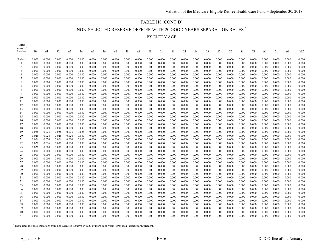#### TABLE H8 (CONT'D)

NON-SELECTED RESERVE OFFICER WITH 20 GOOD YEARS SEPARATION RATES \*

BY ENTRY AGE

| <b>FEBD</b><br>Years of<br>Service | 40             | 41             | 42             | 43             | 44             | 45             | 46             | 47             | 48             | 49             | 50             | 51             | 52             | 53             | 54             | 55             | 56             | 57             | 58             | 59             | 60             | 61             | 62             | $\geq 62$      |
|------------------------------------|----------------|----------------|----------------|----------------|----------------|----------------|----------------|----------------|----------------|----------------|----------------|----------------|----------------|----------------|----------------|----------------|----------------|----------------|----------------|----------------|----------------|----------------|----------------|----------------|
| Under                              | 0.000          | 0.000          | 0.000          | 0.000          | 0.000          | 0.000          | 0.000          | 0.000          | 0.000          | 0.000          | 0.000          | 0.000          | 0.000          | 0.000          | 0.000          | 0.000          | 0.000          | 0.000          | 0.000          | 0.000          | 0.000          | 0.000          | 0.000          | 0.000          |
| -1                                 | 0.000          | 0.000          | 0.000          | 0.000          | 0.000          | 0.000          | 0.000          | 0.000          | 0.000          | 0.000          | 0.000          | 0.000          | 0.000          | 0.000          | 0.000          | 0.000          | 0.000          | 0.000          | 0.000          | 0.000          | 0.000          | 0.000          | 0.000          | 0.000          |
| 2                                  | 0.000          | 0.000          | 0.000          | 0.000          | 0.000          | 0.000          | 0.000          | 0.000          | 0.000          | 0.000          | 0.000          | 0.000          | 0.000          | 0.000          | 0.000          | 0.000          | 0.000          | 0.000          | 0.000          | 0.000          | 0.000          | 0.000          | 0.000          | 0.000          |
| 3                                  | 0.000          | 0.000          | 0.000          | 0.000          | 0.000          | 0.000          | 0.000          | 0.000          | 0.000          | 0.000          | 0.000          | 0.000          | 0.000          | 0.000          | 0.000          | 0.000          | 0.000          | 0.000          | 0.000          | 0.000          | 0.000          | 0.000          | 0.000          | 0.000          |
| 4                                  | 0.000          | 0.000          | 0.000          | 0.000          | 0.000          | 0.000          | 0.000          | 0.000          | 0.000          | 0.000          | 0.000          | 0.000          | 0.000          | 0.000          | 0.000          | 0.000          | 0.000          | 0.000          | 0.000          | 0.000          | 0.000          | 0.000          | 0.000          | 0.000          |
| 5                                  | 0.000          | 0.000          | 0.000          | 0.000          | 0.000          | 0.000          | 0.000          | 0.000          | 0.000          | 0.000          | 0.000          | 0.000          | 0.000          | 0.000          | 0.000          | 0.000          | 0.000          | 0.000          | 0.000          | 0.000          | 0.000          | 0.000          | 0.000          | 0.000          |
| 6                                  | 0.000          | 0.000          | 0.000          | 0.000          | 0.000          | 0.000          | 0.000          | 0.000          | 0.000          | 0.000          | 0.000          | 0.000          | 0.000          | 0.000          | 0.000          | 0.000          | 0.000          | 0.000          | 0.000          | 0.000          | 0.000          | 0.000          | 0.000          | 0.000          |
| $\overline{7}$                     | 0.000          | 0.000          | 0.000          | 0.000          | 0.000          | 0.000          | 0.000          | 0.000          | 0.000          | 0.000          | 0.000          | 0.000          | 0.000          | 0.000          | 0.000          | 0.000          | 0.000          | 0.000          | 0.000          | 0.000          | 0.000          | 0.000          | 0.000          | 0.000          |
| 8                                  | 0.000          | 0.000          | 0.000          | 0.000          | 0.000          | 0.000          | 0.000          | 0.000          | 0.000          | 0.000          | 0.000          | 0.000          | 0.000          | 0.000          | 0.000          | 0.000          | 0.000          | 0.000          | 0.000          | 0.000          | 0.000          | 0.000          | 0.000          | 0.000          |
| $\mathbf Q$                        | 0.000          | 0.000          | 0.000          | 0.000          | 0.000          | 0.000          | 0.000          | 0.000          | 0.000          | 0.000          | 0.000          | 0.000          | 0.000          | 0.000          | 0.000          | 0.000          | 0.000          | 0.000          | 0.000          | 0.000          | 0.000          | 0.000          | 0.000          | 0.000          |
| 10                                 | 0.000          | 0.000          | 0.000          | 0.000          | 0.000          | 0.000          | 0.000          | 0.000          | 0.000          | 0.000          | 0.000          | 0.000          | 0.000          | 0.000          | 0.000          | 0.000          | 0.000          | 0.000          | 0.000          | 0.000          | 0.000          | 0.000          | 0.000          | 0.000          |
| 11                                 | 0.000          | 0.000          | 0.000          | 0.000          | 0.000          | 0.000          | 0.000          | 0.000          | 0.000          | 0.000          | 0.000          | 0.000          | 0.000          | 0.000          | 0.000          | 0.000          | 0.000          | 0.000          | 0.000          | 0.000          | 0.000          | 0.000          | 0.000          | 0.000          |
| 12                                 | 0.000          | 0.000          | 0.000          | 0.000          | 0.000          | 0.000          | 0.000          | 0.000          | 0.000          | 0.000          | 0.000          | 0.000          | 0.000          | 0.000          | 0.000          | 0.000          | 0.000          | 0.000          | 0.000          | 0.000          | 0.000          | 0.000          | 0.000          | 0.000          |
| 13                                 | 0.000          | 0.000          | 0.000          | 0.000          | 0.000          | 0.000          | 0.000          | 0.000          | 0.000          | 0.000          | 0.000          | 0.000          | 0.000          | 0.000          | 0.000          | 0.000          | 0.000          | 0.000          | 0.000          | 0.000          | 0.000          | 0.000          | 0.000          | 0.000          |
| 14                                 | 0.000          | 0.000          | 0.000          | 0.000          | 0.000          | 0.000          | 0.000          | 0.000          | 0.000          | 0.000          | 0.000          | 0.000          | 0.000          | 0.000          | 0.000          | 0.000          | 0.000          | 0.000          | 0.000          | 0.000          | 0.000          | 0.000          | 0.000          | 0.000          |
| 15                                 | 0.000          | 0.000          | 0.000          | 0.000          | 0.000          | 0.000          | 0.000          | 0.000          | 0.000          | 0.000          | 0.000          | 0.000          | 0.000          | 0.000          | 0.000          | 0.000          | 0.000          | 0.000          | 0.000          | 0.000          | 0.000          | 0.000          | 0.000          | 0.000          |
| 16                                 | 0.000          | 0.000          | 0.000          | 0.000          | 0.000          | 0.000          | 0.000          | 0.000          | 0.000          | 0.000          | 0.000          | 0.000          | 0.000          | 0.000          | 0.000          | 0.000          | 0.000          | 0.000          | 0.000          | 0.000          | 0.000          | 0.000          | 0.000          | 0.000          |
| 17                                 | 0.000          | 0.000          | 0.000          | 0.000          | 0.000          | 0.000          | 0.000          | 0.000          | 0.000          | 0.000          | 0.000          | 0.000          | 0.000          | 0.000          | 0.000          | 0.000          | 0.000          | 0.000          | 0.000          | 0.000          | 0.000          | 0.000          | 0.000          | 0.000          |
| 18                                 | 0.000          | 0.000          | 0.000          | 0.000          | 0.000          | 0.000          | 0.000          | 0.000          | 0.000          | 0.000          | 0.000          | 0.000          | 0.000          | 0.000          | 0.000          | 0.000          | 0.000          | 0.000          | 0.000          | 0.000          | 0.000          | 0.000          | 0.000          | 0.000          |
| 19                                 | 0.026          | 0.026          | 0.026          | 0.026          | 0.026          | 0.000          | 0.000          | 0.000          | 0.000          | 0.000          | 0.000          | 0.000          | 0.000          | 0.000          | 0.000          | 0.000          | 0.000          | 0.000          | 0.000          | 0.000          | 0.000          | 0.000          | 0.000          | 0.000          |
| 20                                 | 0.026          | 0.026          | 0.026          | 0.026          | 0.000          | 0.000          | 0.000          | 0.000          | 0.000          | 0.000          | 0.000          | 0.000          | 0.000          | 0.000          | 0.000          | 0.000          | 0.000          | 0.000          | 0.000          | 0.000          | 0.000          | 0.000          | 0.000          | 0.000          |
| 21                                 | 0.026          | 0.026          | 0.026          | 0.000          | 0.000          | 0.000          | 0.000          | 0.000          | 0.000          | 0.000          | 0.000          | 0.000          | 0.000          | 0.000          | 0.000          | 0.000          | 0.000          | 0.000          | 0.000          | 0.000          | 0.000          | 0.000          | 0.000          | 0.000          |
| 22                                 | 0.026          | 0.026          | 0.000          | 0.000          | 0.000          | 0.000          | 0.000          | 0.000          | 0.000          | 0.000          | 0.000          | 0.000          | 0.000          | 0.000          | 0.000          | 0.000          | 0.000          | 0.000          | 0.000          | 0.000          | 0.000          | 0.000          | 0.000          | 0.000          |
| 23<br>24                           | 0.026<br>0.000 | 0.000<br>0.000 | 0.000<br>0.000 | 0.000<br>0.000 | 0.000<br>0.000 | 0.000<br>0.000 | 0.000<br>0.000 | 0.000<br>0.000 | 0.000<br>0.000 | 0.000<br>0.000 | 0.000<br>0.000 | 0.000<br>0.000 | 0.000<br>0.000 | 0.000<br>0.000 | 0.000<br>0.000 | 0.000<br>0.000 | 0.000          | 0.000<br>0.000 | 0.000<br>0.000 | 0.000<br>0.000 | 0.000<br>0.000 | 0.000<br>0.000 | 0.000<br>0.000 | 0.000<br>0.000 |
| 25                                 | 0.000          | 0.000          | 0.000          | 0.000          | 0.000          | 0.000          | 0.000          | 0.000          | 0.000          | 0.000          | 0.000          | 0.000          | 0.000          | 0.000          | 0.000          | 0.000          | 0.000<br>0.000 | 0.000          | 0.000          | 0.000          | 0.000          | 0.000          | 0.000          | 0.000          |
| 26                                 | 0.000          | 0.000          | 0.000          | 0.000          | 0.000          | 0.000          | 0.000          | 0.000          | 0.000          | 0.000          | 0.000          | 0.000          | 0.000          | 0.000          | 0.000          | 0.000          | 0.000          | 0.000          | 0.000          | 0.000          | 0.000          | 0.000          | 0.000          | 0.000          |
| 27                                 | 0.000          | 0.000          | 0.000          | 0.000          | 0.000          | 0.000          | 0.000          | 0.000          | 0.000          | 0.000          | 0.000          | 0.000          | 0.000          | 0.000          | 0.000          | 0.000          | 0.000          | 0.000          | 0.000          | 0.000          | 0.000          | 0.000          | 0.000          | 0.000          |
| 28                                 | 0.000          | 0.000          | 0.000          | 0.000          | 0.000          | 0.000          | 0.000          | 0.000          | 0.000          | 0.000          | 0.000          | 0.000          | 0.000          | 0.000          | 0.000          | 0.000          | 0.000          | 0.000          | 0.000          | 0.000          | 0.000          | 0.000          | 0.000          | 0.000          |
| 29                                 | 0.000          | 0.000          | 0.000          | 0.000          | 0.000          | 0.000          | 0.000          | 0.000          | 0.000          | 0.000          | 0.000          | 0.000          | 0.000          | 0.000          | 0.000          | 0.000          | 0.000          | 0.000          | 0.000          | 0.000          | 0.000          | 0.000          | 0.000          | 0.000          |
| 30                                 | 0.000          | 0.000          | 0.000          | 0.000          | 0.000          | 0.000          | 0.000          | 0.000          | 0.000          | 0.000          | 0.000          | 0.000          | 0.000          | 0.000          | 0.000          | 0.000          | 0.000          | 0.000          | 0.000          | 0.000          | 0.000          | 0.000          | 0.000          | 0.000          |
| 31                                 | 0.000          | 0.000          | 0.000          | 0.000          | 0.000          | 0.000          | 0.000          | 0.000          | 0.000          | 0.000          | 0.000          | 0.000          | 0.000          | 0.000          | 0.000          | 0.000          | 0.000          | 0.000          | 0.000          | 0.000          | 0.000          | 0.000          | 0.000          | 0.000          |
| 32                                 | 0.000          | 0.000          | 0.000          | 0.000          | 0.000          | 0.000          | 0.000          | 0.000          | 0.000          | 0.000          | 0.000          | 0.000          | 0.000          | 0.000          | 0.000          | 0.000          | 0.000          | 0.000          | 0.000          | 0.000          | 0.000          | 0.000          | 0.000          | 0.000          |
| 33                                 | 0.000          | 0.000          | 0.000          | 0.000          | 0.000          | 0.000          | 0.000          | 0.000          | 0.000          | 0.000          | 0.000          | 0.000          | 0.000          | 0.000          | 0.000          | 0.000          | 0.000          | 0.000          | 0.000          | 0.000          | 0.000          | 0.000          | 0.000          | 0.000          |
| 34                                 | 0.000          | 0.000          | 0.000          | 0.000          | 0.000          | 0.000          | 0.000          | 0.000          | 0.000          | 0.000          | 0.000          | 0.000          | 0.000          | 0.000          | 0.000          | 0.000          | 0.000          | 0.000          | 0.000          | 0.000          | 0.000          | 0.000          | 0.000          | 0.000          |
| 35                                 | 0.000          | 0.000          | 0.000          | 0.000          | 0.000          | 0.000          | 0.000          | 0.000          | 0.000          | 0.000          | 0.000          | 0.000          | 0.000          | 0.000          | 0.000          | 0.000          | 0.000          | 0.000          | 0.000          | 0.000          | 0.000          | 0.000          | 0.000          | 0.000          |
| 36                                 | 0.000          | 0.000          | 0.000          | 0.000          | 0.000          | 0.000          | 0.000          | 0.000          | 0.000          | 0.000          | 0.000          | 0.000          | 0.000          | 0.000          | 0.000          | 0.000          | 0.000          | 0.000          | 0.000          | 0.000          | 0.000          | 0.000          | 0.000          | 0.000          |
| 37                                 | 0.000          | 0.000          | 0.000          | 0.000          | 0.000          | 0.000          | 0.000          | 0.000          | 0.000          | 0.000          | 0.000          | 0.000          | 0.000          | 0.000          | 0.000          | 0.000          | 0.000          | 0.000          | 0.000          | 0.000          | 0.000          | 0.000          | 0.000          | 0.000          |
| 38                                 | 0.000          | 0.000          | 0.000          | 0.000          | 0.000          | 0.000          | 0.000          | 0.000          | 0.000          | 0.000          | 0.000          | 0.000          | 0.000          | 0.000          | 0.000          | 0.000          | 0.000          | 0.000          | 0.000          | 0.000          | 0.000          | 0.000          | 0.000          | 0.000          |
| 39                                 | 0.000          | 0.000          | 0.000          | 0.000          | 0.000          | 0.000          | 0.000          | 0.000          | 0.000          | 0.000          | 0.000          | 0.000          | 0.000          | 0.000          | 0.000          | 0.000          | 0.000          | 0.000          | 0.000          | 0.000          | 0.000          | 0.000          | 0.000          | 0.000          |
| 40                                 | 0.000          | 0.000          | 0.000          | 0.000          | 0.000          | 0.000          | 0.000          | 0.000          | 0.000          | 0.000          | 0.000          | 0.000          | 0.000          | 0.000          | 0.000          | 0.000          | 0.000          | 0.000          | 0.000          | 0.000          | 0.000          | 0.000          | 0.000          | 0.000          |
| 41                                 | 0.000          | 0.000          | 0.000          | 0.000          | 0.000          | 0.000          | 0.000          | 0.000          | 0.000          | 0.000          | 0.000          | 0.000          | 0.000          | 0.000          | 0.000          | 0.000          | 0.000          | 0.000          | 0.000          | 0.000          | 0.000          | 0.000          | 0.000          | 0.000          |

\* These rates include separations from non-Selected Reserve with 20 or more good years ('grey area') except for retirement.

PEBD

۳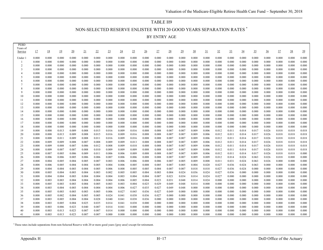# TABLE H9 NON-SELECTED RESERVE ENLISTEE WITH 20 GOOD YEARS SEPARATION RATES \*

BY ENTRY AGE

| Service              | 17             | 18             | 19             | 20             | 21             | 22             | 23             | 24             | 25             | $\overline{26}$ | 27             | 28             | 29             | 30             | 31             | 32             | 33             | 34             | 35             | $\frac{36}{5}$ | 37             | 38             | 39             |
|----------------------|----------------|----------------|----------------|----------------|----------------|----------------|----------------|----------------|----------------|-----------------|----------------|----------------|----------------|----------------|----------------|----------------|----------------|----------------|----------------|----------------|----------------|----------------|----------------|
|                      |                |                |                |                |                |                |                |                |                |                 |                |                |                |                |                |                |                |                |                |                |                |                |                |
| Under 1              | 0.000          | 0.000          | 0.000          | 0.000          | 0.000          | 0.000          | 0.000          | 0.000          | 0.000          | 0.000           | 0.000          | 0.000          | 0.000          | 0.000          | 0.000          | 0.000          | 0.000          | 0.000          | 0.000          | 0.000          | 0.000          | 0.000          | 0.000          |
| -1<br>$\overline{2}$ | 0.000          | 0.000          | 0.000          | 0.000          | 0.000          | 0.000          | 0.000          | 0.000          | 0.000          | 0.000           | 0.000          | 0.000          | 0.000          | 0.000          | 0.000          | 0.000          | 0.000          | 0.000          | 0.000          | 0.000          | 0.000          | 0.000          | 0.000<br>0.000 |
| 3                    | 0.000<br>0.000 | 0.000<br>0.000 | 0.000<br>0.000 | 0.000<br>0.000 | 0.000<br>0.000 | 0.000<br>0.000 | 0.000<br>0.000 | 0.000<br>0.000 | 0.000<br>0.000 | 0.000<br>0.000  | 0.000<br>0.000 | 0.000<br>0.000 | 0.000<br>0.000 | 0.000<br>0.000 | 0.000<br>0.000 | 0.000<br>0.000 | 0.000<br>0.000 | 0.000<br>0.000 | 0.000<br>0.000 | 0.000<br>0.000 | 0.000<br>0.000 | 0.000<br>0.000 | 0.000          |
| $\overline{4}$       | 0.000          | 0.000          | 0.000          | 0.000          | 0.000          | 0.000          | 0.000          | 0.000          | 0.000          | 0.000           | 0.000          | 0.000          | 0.000          | 0.000          | 0.000          | 0.000          | 0.000          | 0.000          | 0.000          | 0.000          | 0.000          | 0.000          | 0.000          |
| 5                    | 0.000          | 0.000          | 0.000          | 0.000          | 0.000          | 0.000          | 0.000          | 0.000          | 0.000          | 0.000           | 0.000          | 0.000          | 0.000          | 0.000          | 0.000          | 0.000          | 0.000          | 0.000          | 0.000          | 0.000          | 0.000          | 0.000          | 0.000          |
| 6                    | 0.000          | 0.000          | 0.000          | 0.000          | 0.000          | 0.000          | 0.000          | 0.000          | 0.000          | 0.000           | 0.000          | 0.000          | 0.000          | 0.000          | 0.000          | 0.000          | 0.000          | 0.000          | 0.000          | 0.000          | 0.000          | 0.000          | 0.000          |
| 7                    | 0.000          | 0.000          | 0.000          | 0.000          | 0.000          | 0.000          | 0.000          | 0.000          | 0.000          | 0.000           | 0.000          | 0.000          | 0.000          | 0.000          | 0.000          | 0.000          | 0.000          | 0.000          | 0.000          | 0.000          | 0.000          | 0.000          | 0.000          |
| 8                    | 0.000          | 0.000          | 0.000          | 0.000          | 0.000          | 0.000          | 0.000          | 0.000          | 0.000          | 0.000           | 0.000          | 0.000          | 0.000          | 0.000          | 0.000          | 0.000          | 0.000          | 0.000          | 0.000          | 0.000          | 0.000          | 0.000          | 0.000          |
| 9                    | 0.000          | 0.000          | 0.000          | 0.000          | 0.000          | 0.000          | 0.000          | 0.000          | 0.000          | 0.000           | 0.000          | 0.000          | 0.000          | 0.000          | 0.000          | 0.000          | 0.000          | 0.000          | 0.000          | 0.000          | 0.000          | 0.000          | 0.000          |
| 10                   | 0.000          | 0.000          | 0.000          | 0.000          | 0.000          | 0.000          | 0.000          | 0.000          | 0.000          | 0.000           | 0.000          | 0.000          | 0.000          | 0.000          | 0.000          | 0.000          | 0.000          | 0.000          | 0.000          | 0.000          | 0.000          | 0.000          | 0.000          |
| 11                   | 0.000          | 0.000          | 0.000          | 0.000          | 0.000          | 0.000          | 0.000          | 0.000          | 0.000          | 0.000           | 0.000          | 0.000          | 0.000          | 0.000          | 0.000          | 0.000          | 0.000          | 0.000          | 0.000          | 0.000          | 0.000          | 0.000          | 0.000          |
| 12                   | 0.000          | 0.000          | 0.000          | 0.000          | 0.000          | 0.000          | 0.000          | 0.000          | 0.000          | 0.000           | 0.000          | 0.000          | 0.000          | 0.000          | 0.000          | 0.000          | 0.000          | 0.000          | 0.000          | 0.000          | 0.000          | 0.000          | 0.000          |
| 13                   | 0.000          | 0.000          | 0.000          | 0.000          | 0.000          | 0.000          | 0.000          | 0.000          | 0.000          | 0.000           | 0.000          | 0.000          | 0.000          | 0.000          | 0.000          | 0.000          | 0.000          | 0.000          | 0.000          | 0.000          | 0.000          | 0.000          | 0.000          |
| 14                   | 0.000          | 0.000          | 0.000          | 0.000          | 0.000          | 0.000          | 0.000          | 0.000          | 0.000          | 0.000           | 0.000          | 0.000          | 0.000          | 0.000          | 0.000          | 0.000          | 0.000          | 0.000          | 0.000          | 0.000          | 0.000          | 0.000          | 0.000          |
| 15                   | 0.000          | 0.000          | 0.000          | 0.000          | 0.000          | 0.000          | 0.000          | 0.000          | 0.000          | 0.000           | 0.000          | 0.000          | 0.000          | 0.000          | 0.000          | 0.000          | 0.000          | 0.000          | 0.000          | 0.000          | 0.000          | 0.000          | 0.000          |
| 16                   | 0.000          | 0.000          | 0.000          | 0.000          | 0.000          | 0.000          | 0.000          | 0.000          | 0.000          | 0.000           | 0.000          | 0.000          | 0.000          | 0.000          | 0.000          | 0.000          | 0.000          | 0.000          | 0.000          | 0.000          | 0.000          | 0.000          | 0.000          |
| 17                   | 0.000          | 0.000          | 0.000          | 0.000          | 0.000          | 0.000          | 0.000          | 0.000          | 0.000          | 0.000           | 0.000          | 0.000          | 0.000          | 0.000          | 0.000          | 0.000          | 0.000          | 0.000          | 0.000          | 0.000          | 0.000          | 0.000          | 0.000          |
| 18                   | 0.000          | 0.000          | 0.000          | 0.000          | 0.000          | 0.000          | 0.000          | 0.000          | 0.000          | 0.000           | 0.000          | 0.000          | 0.000          | 0.000          | 0.000          | 0.000          | 0.000          | 0.000          | 0.000          | 0.000          | 0.000          | 0.000          | 0.000          |
| 19                   | 0.008          | 0.008          | 0.013          | 0.009          | 0.008          | 0.015          | 0.016          | 0.009          | 0.016          | 0.008           | 0.008          | 0.007          | 0.007          | 0.009          | 0.006          | 0.012          | 0.011          | 0.014          | 0.017          | 0.026          | 0.018          | 0.018          | 0.018          |
| 20                   | 0.008          | 0.008          | 0.013          | 0.009          | 0.008          | 0.015          | 0.016          | 0.009          | 0.016          | 0.008           | 0.008          | 0.007          | 0.007          | 0.009          | 0.006          | 0.012          | 0.011          | 0.014          | 0.017          | 0.026          | 0.018          | 0.018          | 0.018          |
| 21                   | 0.008          | 0.008          | 0.011          | 0.009          | 0.008          | 0.011          | 0.016          | 0.009          | 0.016          | 0.008           | 0.008          | 0.007          | 0.007          | 0.009          | 0.006          | 0.012          | 0.011          | 0.014          | 0.017          | 0.026          | 0.018          | 0.018          | 0.018          |
| 22                   | 0.008          | 0.009          | 0.009          | 0.008          | 0.007          | 0.008          | 0.009          | 0.009          | 0.013          | 0.008           | 0.008          | 0.007          | 0.007          | 0.009          | 0.006          | 0.012          | 0.011          | 0.014          | 0.017          | 0.026          | 0.018          | 0.018          | 0.018          |
| 23                   | 0.008          | 0.009          | 0.008          | 0.007          | 0.006          | 0.012          | 0.008          | 0.009          | 0.010          | 0.008           | 0.008          | 0.007          | 0.007          | 0.009          | 0.006          | 0.012          | 0.011          | 0.014          | 0.017          | 0.026          | 0.018          | 0.018          | 0.018          |
| 24<br>25             | 0.008<br>0.008 | 0.009<br>0.007 | 0.007<br>0.005 | 0.007<br>0.006 | 0.008<br>0.009 | 0.010<br>0.011 | 0.009<br>0.006 | 0.009<br>0.006 | 0.009<br>0.009 | 0.008<br>0.008  | 0.008<br>0.008 | 0.007<br>0.007 | 0.007<br>0.007 | 0.009<br>0.009 | 0.006<br>0.006 | 0.012<br>0.012 | 0.011<br>0.011 | 0.014<br>0.014 | 0.017<br>0.017 | 0.026<br>0.026 | 0.018<br>0.018 | 0.018<br>0.018 | 0.018<br>0.000 |
| 26                   | 0.008          | 0.006          | 0.006          | 0.005          | 0.006          | 0.006          | 0.007          | 0.006          | 0.006          | 0.008           | 0.008          | 0.007          | 0.007          | 0.009          | 0.009          | 0.012          | 0.014          | 0.024          | 0.063          | 0.026          | 0.018          | 0.000          | 0.000          |
| 27                   | 0.008          | 0.004          | 0.005          | 0.004          | 0.005          | 0.007          | 0.003          | 0.006          | 0.006          | 0.008           | 0.006          | 0.007          | 0.005          | 0.009          | 0.008          | 0.011          | 0.031          | 0.024          | 0.063          | 0.026          | 0.000          | 0.000          | 0.000          |
| 28                   | 0.008          | 0.006          | 0.005          | 0.004          | 0.004          | 0.005          | 0.004          | 0.006          | 0.005          | 0.008           | 0.005          | 0.007          | 0.005          | 0.004          | 0.020          | 0.027          | 0.036          | 0.024          | 0.063          | 0.000          | 0.000          | 0.000          | 0.000          |
| 29                   | 0.008          | 0.004          | 0.004          | 0.003          | 0.004          | 0.005          | 0.006          | 0.008          | 0.005          | 0.005           | 0.004          | 0.007          | 0.007          | 0.018          | 0.018          | 0.027          | 0.036          | 0.024          | 0.000          | 0.000          | 0.000          | 0.000          | 0.000          |
| 30                   | 0.008          | 0.005          | 0.004          | 0.003          | 0.004          | 0.003          | 0.002          | 0.005          | 0.005          | 0.004           | 0.003          | 0.004          | 0.024          | 0.036          | 0.024          | 0.027          | 0.036          | 0.000          | 0.000          | 0.000          | 0.000          | 0.000          | 0.000          |
| 31                   | 0.008          | 0.004          | 0.004          | 0.003          | 0.004          | 0.004          | 0.004          | 0.003          | 0.004          | 0.004           | 0.007          | 0.021          | 0.034          | 0.014          | 0.024          | 0.027          | 0.000          | 0.000          | 0.000          | 0.000          | 0.000          | 0.000          | 0.000          |
| 32                   | 0.008          | 0.003          | 0.003          | 0.004          | 0.004          | 0.004          | 0.004          | 0.006          | 0.005          | 0.004           | 0.023          | 0.031          | 0.048          | 0.014          | 0.024          | 0.000          | 0.000          | 0.000          | 0.000          | 0.000          | 0.000          | 0.000          | 0.000          |
| 33                   | 0.008          | 0.005          | 0.003          | 0.003          | 0.004          | 0.005          | 0.003          | 0.003          | 0.004          | 0.025           | 0.029          | 0.049          | 0.048          | 0.014          | 0.000          | 0.000          | 0.000          | 0.000          | 0.000          | 0.000          | 0.000          | 0.000          | 0.000          |
| 34                   | 0.008          | 0.003          | 0.004          | 0.003          | 0.004          | 0.004          | 0.004          | 0.006          | 0.027          | 0.035           | 0.027          | 0.049          | 0.048          | 0.000          | 0.000          | 0.000          | 0.000          | 0.000          | 0.000          | 0.000          | 0.000          | 0.000          | 0.000          |
| 35                   | 0.008          | 0.005          | 0.003          | 0.003          | 0.003          | 0.005          | 0.006          | 0.027          | 0.045          | 0.036           | 0.027          | 0.049          | 0.000          | 0.000          | 0.000          | 0.000          | 0.000          | 0.000          | 0.000          | 0.000          | 0.000          | 0.000          | 0.000          |
| 36                   | 0.008          | 0.005          | 0.002          | 0.004          | 0.005          | 0.005          | 0.024          | 0.041          | 0.038          | 0.036           | 0.027          | 0.000          | 0.000          | 0.000          | 0.000          | 0.000          | 0.000          | 0.000          | 0.000          | 0.000          | 0.000          | 0.000          | 0.000          |
| 37                   | 0.008          | 0.003          | 0.005          | 0.004          | 0.004          | 0.028          | 0.040          | 0.041          | 0.038          | 0.036           | 0.000          | 0.000          | 0.000          | 0.000          | 0.000          | 0.000          | 0.000          | 0.000          | 0.000          | 0.000          | 0.000          | 0.000          | 0.000          |
| 38                   | 0.008          | 0.003          | 0.005          | 0.004          | 0.025          | 0.035          | 0.014          | 0.041          | 0.038          | 0.000           | 0.000          | 0.000          | 0.000          | 0.000          | 0.000          | 0.000          | 0.000          | 0.000          | 0.000          | 0.000          | 0.000          | 0.000          | 0.000          |
| 39                   | 0.008          | 0.003          | 0.006          | 0.023          | 0.040          | 0.007          | 0.014          | 0.041          | 0.000          | 0.000           | 0.000          | 0.000          | 0.000          | 0.000          | 0.000          | 0.000          | 0.000          | 0.000          | 0.000          | 0.000          | 0.000          | 0.000          | 0.000          |
| 40                   | 0.008          | 0.003          | 0.013          | 0.023          | 0.007          | 0.007          | 0.014          | 0.000          | 0.000          | 0.000           | 0.000          | 0.000          | 0.000          | 0.000          | 0.000          | 0.000          | 0.000          | 0.000          | 0.000          | 0.000          | 0.000          | 0.000          | 0.000          |
| 41                   | 0.008          | 0.003          | 0.013          | 0.023          | 0.007          | 0.007          | 0.000          | 0.000          | 0.000          | 0.000           | 0.000          | 0.000          | 0.000          | 0.000          | 0.000          | 0.000          | 0.000          | 0.000          | 0.000          | 0.000          | 0.000          | 0.000          | 0.000          |

\* These rates include separations from non-Selected Reserve with 20 or more good years ('grey area') except for retirement.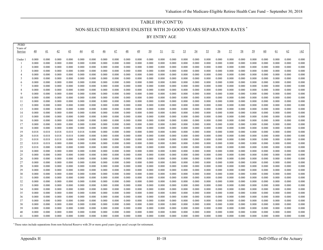#### TABLE H9 (CONT'D)

NON-SELECTED RESERVE ENLISTEE WITH 20 GOOD YEARS SEPARATION RATES \*

BY ENTRY AGE

| <b>LERD</b><br>Years of<br>Service | 40             | 41             | 42             | 43             | 44             | 45             | $\overline{46}$ | 47             | 48             | 49             | 50             | 51             | 52             | 53             | 54             | 55             | 56             | 57             | 58             | 59             | 60             | 61             | 62             | >62            |
|------------------------------------|----------------|----------------|----------------|----------------|----------------|----------------|-----------------|----------------|----------------|----------------|----------------|----------------|----------------|----------------|----------------|----------------|----------------|----------------|----------------|----------------|----------------|----------------|----------------|----------------|
| Under 1                            | 0.000          | 0.000          | 0.000          | 0.000          | 0.000          | 0.000          | 0.000           | 0.000          | 0.000          | 0.000          | 0.000          | 0.000          | 0.000          | 0.000          | 0.000          | 0.000          | 0.000          | 0.000          | 0.000          | 0.000          | 0.000          | 0.000          | 0.000          | 0.000          |
|                                    | 0.000          | 0.000          | 0.000          | 0.000          | 0.000          | 0.000          | 0.000           | 0.000          | 0.000          | 0.000          | 0.000          | 0.000          | 0.000          | 0.000          | 0.000          | 0.000          | 0.000          | 0.000          | 0.000          | 0.000          | 0.000          | 0.000          | 0.000          | 0.000          |
| 2                                  | 0.000          | 0.000          | 0.000          | 0.000          | 0.000          | 0.000          | 0.000           | 0.000          | 0.000          | 0.000          | 0.000          | 0.000          | 0.000          | 0.000          | 0.000          | 0.000          | 0.000          | 0.000          | 0.000          | 0.000          | 0.000          | 0.000          | 0.000          | 0.000          |
| 3                                  | 0.000          | 0.000          | 0.000          | 0.000          | 0.000          | 0.000          | 0.000           | 0.000          | 0.000          | 0.000          | 0.000          | 0.000          | 0.000          | 0.000          | 0.000          | 0.000          | 0.000          | 0.000          | 0.000          | 0.000          | 0.000          | 0.000          | 0.000          | 0.000          |
| 4                                  | 0.000          | 0.000          | 0.000          | 0.000          | 0.000          | 0.000          | 0.000           | 0.000          | 0.000          | 0.000          | 0.000          | 0.000          | 0.000          | 0.000          | 0.000          | 0.000          | 0.000          | 0.000          | 0.000          | 0.000          | 0.000          | 0.000          | 0.000          | 0.000          |
| .5                                 | 0.000          | 0.000          | 0.000          | 0.000          | 0.000          | 0.000          | 0.000           | 0.000          | 0.000          | 0.000          | 0.000          | 0.000          | 0.000          | 0.000          | 0.000          | 0.000          | 0.000          | 0.000          | 0.000          | 0.000          | 0.000          | 0.000          | 0.000          | 0.000          |
| 6                                  | 0.000          | 0.000          | 0.000          | 0.000          | 0.000          | 0.000          | 0.000           | 0.000          | 0.000          | 0.000          | 0.000          | 0.000          | 0.000          | 0.000          | 0.000          | 0.000          | 0.000          | 0.000          | 0.000          | 0.000          | 0.000          | 0.000          | 0.000          | 0.000          |
|                                    | 0.000          | 0.000          | 0.000          | 0.000          | 0.000          | 0.000          | 0.000           | 0.000          | 0.000          | 0.000          | 0.000          | 0.000          | 0.000          | 0.000          | 0.000          | 0.000          | 0.000          | 0.000          | 0.000          | 0.000          | 0.000          | 0.000          | 0.000          | 0.000          |
| 8                                  | 0.000          | 0.000          | 0.000          | 0.000          | 0.000          | 0.000          | 0.000           | 0.000          | 0.000          | 0.000          | 0.000          | 0.000          | 0.000          | 0.000          | 0.000          | 0.000          | 0.000          | 0.000          | 0.000          | 0.000          | 0.000          | 0.000          | 0.000          | 0.000          |
| $\mathbf Q$                        | 0.000          | 0.000          | 0.000          | 0.000          | 0.000          | 0.000          | 0.000           | 0.000          | 0.000          | 0.000          | 0.000          | 0.000          | 0.000          | 0.000          | 0.000          | 0.000          | 0.000          | 0.000          | 0.000          | 0.000          | 0.000          | 0.000          | 0.000          | 0.000          |
| 10                                 | 0.000          | 0.000          | 0.000          | 0.000          | 0.000          | 0.000          | 0.000           | 0.000          | 0.000          | 0.000<br>0.000 | 0.000          | 0.000          | 0.000          | 0.000<br>0.000 | 0.000          | 0.000          | 0.000          | 0.000          | 0.000          | 0.000          | 0.000<br>0.000 | 0.000          | 0.000          | 0.000<br>0.000 |
| 11<br>12                           | 0.000<br>0.000 | 0.000<br>0.000 | 0.000<br>0.000 | 0.000<br>0.000 | 0.000<br>0.000 | 0.000<br>0.000 | 0.000<br>0.000  | 0.000<br>0.000 | 0.000<br>0.000 | 0.000          | 0.000<br>0.000 | 0.000<br>0.000 | 0.000<br>0.000 | 0.000          | 0.000<br>0.000 | 0.000<br>0.000 | 0.000<br>0.000 | 0.000<br>0.000 | 0.000<br>0.000 | 0.000<br>0.000 | 0.000          | 0.000<br>0.000 | 0.000<br>0.000 | 0.000          |
| 13                                 | 0.000          | 0.000          | 0.000          | 0.000          | 0.000          | 0.000          | 0.000           | 0.000          | 0.000          | 0.000          | 0.000          | 0.000          | 0.000          | 0.000          | 0.000          | 0.000          | 0.000          | 0.000          | 0.000          | 0.000          | 0.000          | 0.000          | 0.000          | 0.000          |
| 14                                 | 0.000          | 0.000          | 0.000          | 0.000          | 0.000          | 0.000          | 0.000           | 0.000          | 0.000          | 0.000          | 0.000          | 0.000          | 0.000          | 0.000          | 0.000          | 0.000          | 0.000          | 0.000          | 0.000          | 0.000          | 0.000          | 0.000          | 0.000          | 0.000          |
| 15                                 | 0.000          | 0.000          | 0.000          | 0.000          | 0.000          | 0.000          | 0.000           | 0.000          | 0.000          | 0.000          | 0.000          | 0.000          | 0.000          | 0.000          | 0.000          | 0.000          | 0.000          | 0.000          | 0.000          | 0.000          | 0.000          | 0.000          | 0.000          | 0.000          |
| 16                                 | 0.000          | 0.000          | 0.000          | 0.000          | 0.000          | 0.000          | 0.000           | 0.000          | 0.000          | 0.000          | 0.000          | 0.000          | 0.000          | 0.000          | 0.000          | 0.000          | 0.000          | 0.000          | 0.000          | 0.000          | 0.000          | 0.000          | 0.000          | 0.000          |
| 17                                 | 0.000          | 0.000          | 0.000          | 0.000          | 0.000          | 0.000          | 0.000           | 0.000          | 0.000          | 0.000          | 0.000          | 0.000          | 0.000          | 0.000          | 0.000          | 0.000          | 0.000          | 0.000          | 0.000          | 0.000          | 0.000          | 0.000          | 0.000          | 0.000          |
| 18                                 | 0.000          | 0.000          | 0.000          | 0.000          | 0.000          | 0.000          | 0.000           | 0.000          | 0.000          | 0.000          | 0.000          | 0.000          | 0.000          | 0.000          | 0.000          | 0.000          | 0.000          | 0.000          | 0.000          | 0.000          | 0.000          | 0.000          | 0.000          | 0.000          |
| 19                                 | 0.018          | 0.018          | 0.018          | 0.018          | 0.018          | 0.000          | 0.000           | 0.000          | 0.000          | 0.000          | 0.000          | 0.000          | 0.000          | 0.000          | 0.000          | 0.000          | 0.000          | 0.000          | 0.000          | 0.000          | 0.000          | 0.000          | 0.000          | 0.000          |
| 20                                 | 0.018          | 0.018          | 0.018          | 0.018          | 0.000          | 0.000          | 0.000           | 0.000          | 0.000          | 0.000          | 0.000          | 0.000          | 0.000          | 0.000          | 0.000          | 0.000          | 0.000          | 0.000          | 0.000          | 0.000          | 0.000          | 0.000          | 0.000          | 0.000          |
| 21                                 | 0.018          | 0.018          | 0.018          | 0.000          | 0.000          | 0.000          | 0.000           | 0.000          | 0.000          | 0.000          | 0.000          | 0.000          | 0.000          | 0.000          | 0.000          | 0.000          | 0.000          | 0.000          | 0.000          | 0.000          | 0.000          | 0.000          | 0.000          | 0.000          |
| 22                                 | 0.018          | 0.018          | 0.000          | 0.000          | 0.000          | 0.000          | 0.000           | 0.000          | 0.000          | 0.000          | 0.000          | 0.000          | 0.000          | 0.000          | 0.000          | 0.000          | 0.000          | 0.000          | 0.000          | 0.000          | 0.000          | 0.000          | 0.000          | 0.000          |
| 23                                 | 0.018          | 0.000          | 0.000          | 0.000          | 0.000          | 0.000          | 0.000           | 0.000          | 0.000          | 0.000          | 0.000          | 0.000          | 0.000          | 0.000          | 0.000          | 0.000          | 0.000          | 0.000          | 0.000          | 0.000          | 0.000          | 0.000          | 0.000          | 0.000          |
| 24                                 | 0.000          | 0.000          | 0.000          | 0.000          | 0.000          | 0.000          | 0.000           | 0.000          | 0.000          | 0.000          | 0.000          | 0.000          | 0.000          | 0.000          | 0.000          | 0.000          | 0.000          | 0.000          | 0.000          | 0.000          | 0.000          | 0.000          | 0.000          | 0.000          |
| 25                                 | 0.000          | 0.000          | 0.000          | 0.000          | 0.000          | 0.000          | 0.000           | 0.000          | 0.000          | 0.000          | 0.000          | 0.000          | 0.000          | 0.000          | 0.000          | 0.000          | 0.000          | 0.000          | 0.000          | 0.000          | 0.000          | 0.000          | 0.000          | 0.000          |
| 26                                 | 0.000          | 0.000          | 0.000          | 0.000          | 0.000          | 0.000          | 0.000           | 0.000          | 0.000          | 0.000          | 0.000          | 0.000          | 0.000          | 0.000          | 0.000          | 0.000          | 0.000          | 0.000          | 0.000          | 0.000          | 0.000          | 0.000          | 0.000          | 0.000          |
| 27                                 | 0.000          | 0.000          | 0.000          | 0.000          | 0.000          | 0.000          | 0.000           | 0.000          | 0.000          | 0.000          | 0.000          | 0.000          | 0.000          | 0.000          | 0.000          | 0.000          | 0.000          | 0.000          | 0.000          | 0.000          | 0.000          | 0.000          | 0.000          | 0.000          |
| 28<br>29                           | 0.000<br>0.000 | 0.000<br>0.000 | 0.000<br>0.000 | 0.000<br>0.000 | 0.000<br>0.000 | 0.000<br>0.000 | 0.000<br>0.000  | 0.000<br>0.000 | 0.000<br>0.000 | 0.000<br>0.000 | 0.000<br>0.000 | 0.000<br>0.000 | 0.000<br>0.000 | 0.000<br>0.000 | 0.000<br>0.000 | 0.000<br>0.000 | 0.000<br>0.000 | 0.000<br>0.000 | 0.000<br>0.000 | 0.000<br>0.000 | 0.000<br>0.000 | 0.000<br>0.000 | 0.000<br>0.000 | 0.000<br>0.000 |
| 30                                 | 0.000          | 0.000          | 0.000          | 0.000          | 0.000          | 0.000          | 0.000           | 0.000          | 0.000          | 0.000          | 0.000          | 0.000          | 0.000          | 0.000          | 0.000          | 0.000          | 0.000          | 0.000          | 0.000          | 0.000          | 0.000          | 0.000          | 0.000          | 0.000          |
| 31                                 | 0.000          | 0.000          | 0.000          | 0.000          | 0.000          | 0.000          | 0.000           | 0.000          | 0.000          | 0.000          | 0.000          | 0.000          | 0.000          | 0.000          | 0.000          | 0.000          | 0.000          | 0.000          | 0.000          | 0.000          | 0.000          | 0.000          | 0.000          | 0.000          |
| 32                                 | 0.000          | 0.000          | 0.000          | 0.000          | 0.000          | 0.000          | 0.000           | 0.000          | 0.000          | 0.000          | 0.000          | 0.000          | 0.000          | 0.000          | 0.000          | 0.000          | 0.000          | 0.000          | 0.000          | 0.000          | 0.000          | 0.000          | 0.000          | 0.000          |
| 33                                 | 0.000          | 0.000          | 0.000          | 0.000          | 0.000          | 0.000          | 0.000           | 0.000          | 0.000          | 0.000          | 0.000          | 0.000          | 0.000          | 0.000          | 0.000          | 0.000          | 0.000          | 0.000          | 0.000          | 0.000          | 0.000          | 0.000          | 0.000          | 0.000          |
| 34                                 | 0.000          | 0.000          | 0.000          | 0.000          | 0.000          | 0.000          | 0.000           | 0.000          | 0.000          | 0.000          | 0.000          | 0.000          | 0.000          | 0.000          | 0.000          | 0.000          | 0.000          | 0.000          | 0.000          | 0.000          | 0.000          | 0.000          | 0.000          | 0.000          |
| 35                                 | 0.000          | 0.000          | 0.000          | 0.000          | 0.000          | 0.000          | 0.000           | 0.000          | 0.000          | 0.000          | 0.000          | 0.000          | 0.000          | 0.000          | 0.000          | 0.000          | 0.000          | 0.000          | 0.000          | 0.000          | 0.000          | 0.000          | 0.000          | 0.000          |
| 36                                 | 0.000          | 0.000          | 0.000          | 0.000          | 0.000          | 0.000          | 0.000           | 0.000          | 0.000          | 0.000          | 0.000          | 0.000          | 0.000          | 0.000          | 0.000          | 0.000          | 0.000          | 0.000          | 0.000          | 0.000          | 0.000          | 0.000          | 0.000          | 0.000          |
| 37                                 | 0.000          | 0.000          | 0.000          | 0.000          | 0.000          | 0.000          | 0.000           | 0.000          | 0.000          | 0.000          | 0.000          | 0.000          | 0.000          | 0.000          | 0.000          | 0.000          | 0.000          | 0.000          | 0.000          | 0.000          | 0.000          | 0.000          | 0.000          | 0.000          |
| 38                                 | 0.000          | 0.000          | 0.000          | 0.000          | 0.000          | 0.000          | 0.000           | 0.000          | 0.000          | 0.000          | 0.000          | 0.000          | 0.000          | 0.000          | 0.000          | 0.000          | 0.000          | 0.000          | 0.000          | 0.000          | 0.000          | 0.000          | 0.000          | 0.000          |
| 39                                 | 0.000          | 0.000          | 0.000          | 0.000          | 0.000          | 0.000          | 0.000           | 0.000          | 0.000          | 0.000          | 0.000          | 0.000          | 0.000          | 0.000          | 0.000          | 0.000          | 0.000          | 0.000          | 0.000          | 0.000          | 0.000          | 0.000          | 0.000          | 0.000          |
| 40                                 | 0.000          | 0.000          | 0.000          | 0.000          | 0.000          | 0.000          | 0.000           | 0.000          | 0.000          | 0.000          | 0.000          | 0.000          | 0.000          | 0.000          | 0.000          | 0.000          | 0.000          | 0.000          | 0.000          | 0.000          | 0.000          | 0.000          | 0.000          | 0.000          |
| 41                                 | 0.000          | 0.000          | 0.000          | 0.000          | 0.000          | 0.000          | 0.000           | 0.000          | 0.000          | 0.000          | 0.000          | 0.000          | 0.000          | 0.000          | 0.000          | 0.000          | 0.000          | 0.000          | 0.000          | 0.000          | 0.000          | 0.000          | 0.000          | 0.000          |

\* These rates include separations from non-Selected Reserve with 20 or more good years ('grey area') except for retirement.

PEBD

۳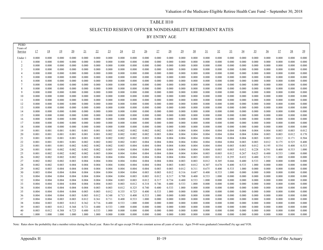# TABLE H10 SELECTED RESERVE OFFICER NONDISABILITY RETIREMENT RATES BY ENTRY AGE

| <b>PEBD</b>         |                |                |                |                 |                |                |                |                 |                |                 |                |                 |                |                |                 |                |                 |                |                |                |                |                |                |
|---------------------|----------------|----------------|----------------|-----------------|----------------|----------------|----------------|-----------------|----------------|-----------------|----------------|-----------------|----------------|----------------|-----------------|----------------|-----------------|----------------|----------------|----------------|----------------|----------------|----------------|
| Years of<br>Service | 17             | 18             | 19             | $\overline{20}$ | 21             | 22             | <u>23</u>      | $\overline{24}$ | 25             | $\overline{26}$ | 27             | $\overline{28}$ | 29             | 30             | $\overline{31}$ | 32             | $\overline{33}$ | $\frac{34}{5}$ | 35             | $\frac{36}{5}$ | $\frac{37}{2}$ | $\frac{38}{5}$ | $\frac{39}{2}$ |
|                     |                |                |                |                 |                |                |                |                 |                |                 |                |                 |                |                |                 |                |                 |                |                |                |                |                |                |
| Under 1             | 0.000          | 0.000          | 0.000          | 0.000           | 0.000          | 0.000          | 0.000          | 0.000           | 0.000          | 0.000           | 0.000          | 0.000           | 0.000          | 0.000          | 0.000           | 0.000          | 0.000           | 0.000          | 0.000          | 0.000          | 0.000          | 0.000          | 0.000          |
| -1                  | 0.000          | 0.000          | 0.000          | 0.000           | 0.000          | 0.000          | 0.000          | 0.000           | 0.000          | 0.000           | 0.000          | 0.000           | 0.000          | 0.000          | 0.000           | 0.000          | 0.000           | 0.000          | 0.000          | 0.000          | 0.000          | 0.000          | 0.000          |
| $\overline{2}$      | 0.000          | 0.000          | 0.000          | 0.000           | 0.000          | 0.000          | 0.000          | 0.000           | 0.000          | 0.000           | 0.000          | 0.000           | 0.000          | 0.000          | 0.000           | 0.000          | 0.000           | 0.000          | 0.000          | 0.000          | 0.000          | 0.000          | 0.000          |
| 3                   | 0.000          | 0.000          | 0.000          | 0.000           | 0.000          | 0.000          | 0.000          | 0.000           | 0.000          | 0.000           | 0.000          | 0.000           | 0.000          | 0.000          | 0.000           | 0.000          | 0.000           | 0.000          | 0.000          | 0.000          | 0.000          | 0.000          | 0.000          |
| 4                   | 0.000          | 0.000          | 0.000          | 0.000           | 0.000          | 0.000          | 0.000          | 0.000           | 0.000          | 0.000           | 0.000          | 0.000           | 0.000          | 0.000          | 0.000           | 0.000          | 0.000           | 0.000          | 0.000          | 0.000          | 0.000          | 0.000          | 0.000          |
| 5                   | 0.000          | 0.000          | 0.000          | 0.000           | 0.000          | 0.000          | 0.000          | 0.000           | 0.000          | 0.000           | 0.000          | 0.000           | 0.000          | 0.000          | 0.000           | 0.000          | 0.000           | 0.000          | 0.000          | 0.000          | 0.000          | 0.000          | 0.000          |
| 6                   | 0.000          | 0.000          | 0.000          | 0.000           | 0.000          | 0.000          | 0.000          | 0.000           | 0.000          | 0.000           | 0.000          | 0.000           | 0.000          | 0.000          | 0.000           | 0.000          | 0.000           | 0.000          | 0.000          | 0.000          | 0.000          | 0.000          | 0.000          |
| 7<br>8              | 0.000          | 0.000          | 0.000          | 0.000           | 0.000          | 0.000<br>0.000 | 0.000          | 0.000<br>0.000  | 0.000          | 0.000<br>0.000  | 0.000          | 0.000           | 0.000<br>0.000 | 0.000          | 0.000           | 0.000          | 0.000           | 0.000          | 0.000<br>0.000 | 0.000          | 0.000<br>0.000 | 0.000<br>0.000 | 0.000<br>0.000 |
| 9                   | 0.000<br>0.000 | 0.000<br>0.000 | 0.000<br>0.000 | 0.000<br>0.000  | 0.000<br>0.000 | 0.000          | 0.000<br>0.000 | 0.000           | 0.000<br>0.000 | 0.000           | 0.000<br>0.000 | 0.000<br>0.000  | 0.000          | 0.000<br>0.000 | 0.000<br>0.000  | 0.000<br>0.000 | 0.000<br>0.000  | 0.000<br>0.000 | 0.000          | 0.000<br>0.000 | 0.000          | 0.000          | 0.000          |
| 10                  | 0.000          | 0.000          | 0.000          | 0.000           | 0.000          | 0.000          | 0.000          | 0.000           | 0.000          | 0.000           | 0.000          | 0.000           | 0.000          | 0.000          | 0.000           | 0.000          | 0.000           | 0.000          | 0.000          | 0.000          | 0.000          | 0.000          | 0.000          |
| 11                  | 0.000          | 0.000          | 0.000          | 0.000           | 0.000          | 0.000          | 0.000          | 0.000           | 0.000          | 0.000           | 0.000          | 0.000           | 0.000          | 0.000          | 0.000           | 0.000          | 0.000           | 0.000          | 0.000          | 0.000          | 0.000          | 0.000          | 0.000          |
| 12                  | 0.000          | 0.000          | 0.000          | 0.000           | 0.000          | 0.000          | 0.000          | 0.000           | 0.000          | 0.000           | 0.000          | 0.000           | 0.000          | 0.000          | 0.000           | 0.000          | 0.000           | 0.000          | 0.000          | 0.000          | 0.000          | 0.000          | 0.000          |
| 13                  | 0.000          | 0.000          | 0.000          | 0.000           | 0.000          | 0.000          | 0.000          | 0.000           | 0.000          | 0.000           | 0.000          | 0.000           | 0.000          | 0.000          | 0.000           | 0.000          | 0.000           | 0.000          | 0.000          | 0.000          | 0.000          | 0.000          | 0.000          |
| 14                  | 0.000          | 0.000          | 0.000          | 0.000           | 0.000          | 0.000          | 0.000          | 0.000           | 0.000          | 0.000           | 0.000          | 0.000           | 0.000          | 0.000          | 0.000           | 0.000          | 0.000           | 0.000          | 0.000          | 0.000          | 0.000          | 0.000          | 0.000          |
| 15                  | 0.000          | 0.000          | 0.000          | 0.000           | 0.000          | 0.000          | 0.000          | 0.000           | 0.000          | 0.000           | 0.000          | 0.000           | 0.000          | 0.000          | 0.000           | 0.000          | 0.000           | 0.000          | 0.000          | 0.000          | 0.000          | 0.000          | 0.000          |
| 16                  | 0.000          | 0.000          | 0.000          | 0.000           | 0.000          | 0.000          | 0.000          | 0.000           | 0.000          | 0.000           | 0.000          | 0.000           | 0.000          | 0.000          | 0.000           | 0.000          | 0.000           | 0.000          | 0.000          | 0.000          | 0.000          | 0.000          | 0.000          |
| 17                  | 0.000          | 0.000          | 0.000          | 0.000           | 0.000          | 0.000          | 0.000          | 0.000           | 0.000          | 0.000           | 0.000          | 0.000           | 0.000          | 0.000          | 0.000           | 0.000          | 0.000           | 0.000          | 0.000          | 0.000          | 0.000          | 0.000          | 0.000          |
| 18                  | 0.000          | 0.000          | 0.000          | 0.000           | 0.000          | 0.000          | 0.000          | 0.000           | 0.000          | 0.000           | 0.000          | 0.000           | 0.000          | 0.000          | 0.000           | 0.000          | 0.000           | 0.000          | 0.000          | 0.000          | 0.000          | 0.000          | 0.000          |
| 19                  | 0.001          | 0.001          | 0.001          | 0.001           | 0.001          | 0.001          | 0.001          | 0.002           | 0.002          | 0.002           | 0.002          | 0.003           | 0.004          | 0.004          | 0.004           | 0.004          | 0.004           | 0.004          | 0.004          | 0.004          | 0.003          | 0.003          | 0.012          |
| 20                  | 0.001          | 0.001          | 0.001          | 0.001           | 0.001          | 0.001          | 0.002          | 0.002           | 0.002          | 0.002           | 0.003          | 0.004           | 0.004          | 0.004          | 0.004           | 0.004          | 0.004           | 0.004          | 0.004          | 0.003          | 0.003          | 0.012          | 0.170          |
| 21                  | 0.001          | 0.001          | 0.001          | 0.001           | 0.001          | 0.002          | 0.002          | 0.002           | 0.002          | 0.003           | 0.004          | 0.004           | 0.004          | 0.004          | 0.004           | 0.004          | 0.004           | 0.004          | 0.003          | 0.003          | 0.012          | 0.171          | 0.504          |
| 22                  | 0.001          | 0.001          | 0.001          | 0.001           | 0.002          | 0.002          | 0.002          | 0.002           | 0.003          | 0.004           | 0.004          | 0.004           | 0.004          | 0.004          | 0.004           | 0.004          | 0.004           | 0.003          | 0.003          | 0.012          | 0.175          | 0.525          | 0.400          |
| 23                  | 0.001          | 0.001          | 0.001          | 0.002           | 0.002          | 0.002          | 0.002          | 0.003           | 0.004          | 0.004           | 0.004          | 0.004           | 0.004          | 0.004          | 0.004           | 0.004          | 0.003           | 0.003          | 0.012          | 0.195          | 0.554          | 0.400          | 0.533          |
| 24                  | 0.001          | 0.001          | 0.002          | 0.002           | 0.002          | 0.002          | 0.003          | 0.004           | 0.004          | 0.004           | 0.004          | 0.004           | 0.004          | 0.004          | 0.004           | 0.003          | 0.003           | 0.012          | 0.228          | 0.591          | 0.400          | 0.533          | 1.000          |
| 25                  | 0.001          | 0.002          | 0.002          | 0.002           | 0.002          | 0.003          | 0.004          | 0.004           | 0.004          | 0.004           | 0.004          | 0.004           | 0.004          | 0.004          | 0.003           | 0.003          | 0.012           | 0.267          | 0.625          | 0.400          | 0.533          | 1.000          | 0.000          |
| 26                  | 0.002          | 0.002          | 0.002          | 0.002           | 0.003          | 0.004          | 0.004          | 0.004           | 0.004          | 0.004           | 0.004          | 0.004           | 0.004          | 0.003          | 0.003           | 0.012          | 0.295           | 0.652          | 0.400          | 0.533          | 1.000          | 0.000          | 0.000          |
| 27                  | 0.002          | 0.002          | 0.002          | 0.003           | 0.004          | 0.004          | 0.004          | 0.004           | 0.004          | 0.004           | 0.004          | 0.004           | 0.003          | 0.003          | 0.012           | 0.305          | 0.666           | 0.400          | 0.533          | 1.000          | 0.000          | 0.000          | 0.000          |
| 28                  | 0.002          | 0.002          | 0.003          | 0.004           | 0.004          | 0.004          | 0.004          | 0.004           | 0.004          | 0.004           | 0.004          | 0.003           | 0.003          | 0.012          | 0.307           | 0.670          | 0.400           | 0.533          | 1.000          | 0.000          | 0.000          | 0.000          | 0.000          |
| 29                  | 0.002          | 0.003          | 0.004          | 0.004           | 0.004          | 0.004          | 0.004          | 0.004           | 0.004          | 0.004           | 0.003          | 0.003           | 0.012          | 0.311          | 0.675           | 0.400          | 0.533           | 1.000          | 0.000          | 0.000          | 0.000          | 0.000          | 0.000          |
| 30                  | 0.003          | 0.004          | 0.004          | 0.004           | 0.004          | 0.004          | 0.004          | 0.004           | 0.004          | 0.003           | 0.003          | 0.012           | 0.316          | 0.687          | 0.400           | 0.533          | 1.000           | 0.000          | 0.000          | 0.000          | 0.000          | 0.000          | 0.000          |
| 31<br>32            | 0.004<br>0.004 | 0.004<br>0.004 | 0.004          | 0.004           | 0.004          | 0.004<br>0.004 | 0.004          | 0.004<br>0.003  | 0.003<br>0.003 | 0.003<br>0.012  | 0.012<br>0.317 | 0.317<br>0.734  | 0.708          | 0.400<br>0.533 | 0.533           | 1.000          | 0.000<br>0.000  | 0.000          | 0.000<br>0.000 | 0.000          | 0.000<br>0.000 | 0.000<br>0.000 | 0.000<br>0.000 |
| 33                  | 0.004          | 0.004          | 0.004<br>0.004 | 0.004<br>0.004  | 0.004<br>0.004 | 0.004          | 0.004<br>0.003 | 0.003           | 0.012          | 0.318           | 0.746          | 0.400           | 0.400<br>0.533 | 1.000          | 1.000<br>0.000  | 0.000<br>0.000 | 0.000           | 0.000<br>0.000 | 0.000          | 0.000<br>0.000 | 0.000          | 0.000          | 0.000          |
| 34                  | 0.004          | 0.004          | 0.004          | 0.004           | 0.004          | 0.003          | 0.003          | 0.012           | 0.325          | 0.740           | 0.400          | 0.533           | 1.000          | 0.000          | 0.000           | 0.000          | 0.000           | 0.000          | 0.000          | 0.000          | 0.000          | 0.000          | 0.000          |
| 35                  | 0.004          | 0.004          | 0.004          | 0.004           | 0.003          | 0.003          | 0.012          | 0.335           | 0.725          | 0.400           | 0.533          | 1.000           | 0.000          | 0.000          | 0.000           | 0.000          | 0.000           | 0.000          | 0.000          | 0.000          | 0.000          | 0.000          | 0.000          |
| 36                  | 0.004          | 0.004          | 0.004          | 0.003           | 0.003          | 0.012          | 0.348          | 0.713           | 0.400          | 0.533           | 1.000          | 0.000           | 0.000          | 0.000          | 0.000           | 0.000          | 0.000           | 0.000          | 0.000          | 0.000          | 0.000          | 0.000          | 0.000          |
| 37                  | 0.004          | 0.004          | 0.003          | 0.003           | 0.012          | 0.361          | 0.711          | 0.400           | 0.533          | 1.000           | 0.000          | 0.000           | 0.000          | 0.000          | 0.000           | 0.000          | 0.000           | 0.000          | 0.000          | 0.000          | 0.000          | 0.000          | 0.000          |
| 38                  | 0.004          | 0.003          | 0.003          | 0.012           | 0.362          | 0.716          | 0.400          | 0.533           | 1.000          | 0.000           | 0.000          | 0.000           | 0.000          | 0.000          | 0.000           | 0.000          | 0.000           | 0.000          | 0.000          | 0.000          | 0.000          | 0.000          | 0.000          |
| 39                  | 0.003          | 0.003          | 0.012          | 0.368           | 0.721          | 0.400          | 0.533          | 1.000           | 0.000          | 0.000           | 0.000          | 0.000           | 0.000          | 0.000          | 0.000           | 0.000          | 0.000           | 0.000          | 0.000          | 0.000          | 0.000          | 0.000          | 0.000          |
| 40                  | 0.003          | 0.012          | 0.388          | 0.723           | 0.400          | 0.533          | 1.000          | 0.000           | 0.000          | 0.000           | 0.000          | 0.000           | 0.000          | 0.000          | 0.000           | 0.000          | 0.000           | 0.000          | 0.000          | 0.000          | 0.000          | 0.000          | 0.000          |
| 41                  | 1.000          | 1.000          | 1.000          | 1.000           | 1.000          | 1.000          | 0.000          | 0.000           | 0.000          | 0.000           | 0.000          | 0.000           | 0.000          | 0.000          | 0.000           | 0.000          | 0.000           | 0.000          | 0.000          | 0.000          | 0.000          | 0.000          | 0.000          |
|                     |                |                |                |                 |                |                |                |                 |                |                 |                |                 |                |                |                 |                |                 |                |                |                |                |                |                |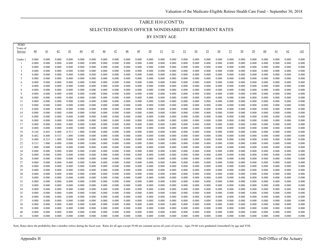# TABLE H10 (CONT'D) SELECTED RESERVE OFFICER NONDISABILITY RETIREMENT RATES

BY ENTRY AGE

| <b>PEBD</b><br>Years of |                  |                |                |                 |                |                 |                 |                |                |                |                |                |                |                |                |                |                |                |                |                |                |                |                |                |
|-------------------------|------------------|----------------|----------------|-----------------|----------------|-----------------|-----------------|----------------|----------------|----------------|----------------|----------------|----------------|----------------|----------------|----------------|----------------|----------------|----------------|----------------|----------------|----------------|----------------|----------------|
| Service                 | $\underline{40}$ | 41             | 42             | $\overline{43}$ | 44             | $\overline{45}$ | $\overline{46}$ | 47             | $\frac{48}{1}$ | 49             | 50             | <u>51</u>      | 52             | 53             | 54             | <u>55</u>      | <u>56</u>      | 57             | 58             | 59             | <u>60</u>      | 61             | 62             | $\geq 62$      |
|                         |                  |                |                |                 |                |                 |                 |                |                |                |                |                |                |                |                |                |                |                |                |                |                |                |                |                |
| Under 1                 | 0.000            | 0.000          | 0.000          | 0.000           | 0.000          | 0.000           | 0.000           | 0.000          | 0.000          | 0.000          | 0.000          | 0.000          | 0.000          | 0.000          | 0.000          | 0.000          | 0.000          | 0.000          | 0.000          | 0.000          | 0.000          | 0.000          | 0.000          | 0.000          |
| -1                      | 0.000            | 0.000          | 0.000          | 0.000           | 0.000          | 0.000           | 0.000           | 0.000          | 0.000          | 0.000          | 0.000          | 0.000          | 0.000          | 0.000          | 0.000          | 0.000          | 0.000          | 0.000          | 0.000          | 0.000          | 0.000          | 0.000          | 0.000          | 0.000          |
| 2<br>3                  | 0.000            | 0.000          | 0.000          | 0.000           | 0.000          | 0.000           | 0.000           | 0.000          | 0.000          | 0.000          | 0.000          | 0.000          | 0.000          | 0.000          | 0.000          | 0.000          | 0.000          | 0.000          | 0.000          | 0.000          | 0.000          | 0.000          | 0.000          | 0.000          |
| $\overline{4}$          | 0.000<br>0.000   | 0.000<br>0.000 | 0.000<br>0.000 | 0.000<br>0.000  | 0.000<br>0.000 | 0.000<br>0.000  | 0.000<br>0.000  | 0.000<br>0.000 | 0.000<br>0.000 | 0.000<br>0.000 | 0.000<br>0.000 | 0.000<br>0.000 | 0.000<br>0.000 | 0.000<br>0.000 | 0.000<br>0.000 | 0.000<br>0.000 | 0.000<br>0.000 | 0.000<br>0.000 | 0.000<br>0.000 | 0.000<br>0.000 | 0.000<br>0.000 | 0.000<br>0.000 | 0.000<br>0.000 | 0.000<br>0.000 |
| 5                       | 0.000            | 0.000          | 0.000          | 0.000           | 0.000          | 0.000           | 0.000           | 0.000          | 0.000          | 0.000          | 0.000          | 0.000          | 0.000          | 0.000          | 0.000          | 0.000          | 0.000          | 0.000          | 0.000          | 0.000          | 0.000          | 0.000          | 0.000          | 0.000          |
| 6                       | 0.000            | 0.000          | 0.000          | 0.000           | 0.000          | 0.000           | 0.000           | 0.000          | 0.000          | 0.000          | 0.000          | 0.000          | 0.000          | 0.000          | 0.000          | 0.000          | 0.000          | 0.000          | 0.000          | 0.000          | 0.000          | 0.000          | 0.000          | 0.000          |
| 7                       | 0.000            | 0.000          | 0.000          | 0.000           | 0.000          | 0.000           | 0.000           | 0.000          | 0.000          | 0.000          | 0.000          | 0.000          | 0.000          | 0.000          | 0.000          | 0.000          | 0.000          | 0.000          | 0.000          | 0.000          | 0.000          | 0.000          | 0.000          | 0.000          |
| 8                       | 0.000            | 0.000          | 0.000          | 0.000           | 0.000          | 0.000           | 0.000           | 0.000          | 0.000          | 0.000          | 0.000          | 0.000          | 0.000          | 0.000          | 0.000          | 0.000          | 0.000          | 0.000          | 0.000          | 0.000          | 0.000          | 0.000          | 0.000          | 0.000          |
| 9                       | 0.000            | 0.000          | 0.000          | 0.000           | 0.000          | 0.000           | 0.000           | 0.000          | 0.000          | 0.000          | 0.000          | 0.000          | 0.000          | 0.000          | 0.000          | 0.000          | 0.000          | 0.000          | 0.000          | 0.000          | 0.000          | 0.000          | 0.000          | 0.000          |
| 10                      | 0.000            | 0.000          | 0.000          | 0.000           | 0.000          | 0.000           | 0.000           | 0.000          | 0.000          | 0.000          | 0.000          | 0.000          | 0.000          | 0.000          | 0.000          | 0.000          | 0.000          | 0.000          | 0.000          | 0.000          | 0.000          | 0.000          | 0.000          | 0.000          |
| 11                      | 0.000            | 0.000          | 0.000          | 0.000           | 0.000          | 0.000           | 0.000           | 0.000          | 0.000          | 0.000          | 0.000          | 0.000          | 0.000          | 0.000          | 0.000          | 0.000          | 0.000          | 0.000          | 0.000          | 0.000          | 0.000          | 0.000          | 0.000          | 0.000          |
| 12                      | 0.000            | 0.000          | 0.000          | 0.000           | 0.000          | 0.000           | 0.000           | 0.000          | 0.000          | 0.000          | 0.000          | 0.000          | 0.000          | 0.000          | 0.000          | 0.000          | 0.000          | 0.000          | 0.000          | 0.000          | 0.000          | 0.000          | 0.000          | 0.000          |
| 13                      | 0.000            | 0.000          | 0.000          | 0.000           | 0.000          | 0.000           | 0.000           | 0.000          | 0.000          | 0.000          | 0.000          | 0.000          | 0.000          | 0.000          | 0.000          | 0.000          | 0.000          | 0.000          | 0.000          | 0.000          | 0.000          | 0.000          | 0.000          | 0.000          |
| 14<br>15                | 0.000            | 0.000          | 0.000          | 0.000           | 0.000          | 0.000           | 0.000           | 0.000          | 0.000          | 0.000          | 0.000          | 0.000          | 0.000          | 0.000          | 0.000          | 0.000          | 0.000          | 0.000          | 0.000          | 0.000          | 0.000          | 0.000          | 0.000          | 0.000<br>0.000 |
| 16                      | 0.000<br>0.000   | 0.000<br>0.000 | 0.000<br>0.000 | 0.000<br>0.000  | 0.000<br>0.000 | 0.000<br>0.000  | 0.000<br>0.000  | 0.000<br>0.000 | 0.000<br>0.000 | 0.000<br>0.000 | 0.000<br>0.000 | 0.000<br>0.000 | 0.000<br>0.000 | 0.000<br>0.000 | 0.000<br>0.000 | 0.000<br>0.000 | 0.000<br>0.000 | 0.000<br>0.000 | 0.000<br>0.000 | 0.000<br>0.000 | 0.000<br>0.000 | 0.000<br>0.000 | 0.000<br>0.000 | 0.000          |
| 17                      | 0.000            | 0.000          | 0.000          | 0.000           | 0.000          | 0.000           | 0.000           | 0.000          | 0.000          | 0.000          | 0.000          | 0.000          | 0.000          | 0.000          | 0.000          | 0.000          | 0.000          | 0.000          | 0.000          | 0.000          | 0.000          | 0.000          | 0.000          | 0.000          |
| 18                      | 0.000            | 0.000          | 0.000          | 0.000           | 0.000          | 0.000           | 0.000           | 0.000          | 0.000          | 0.000          | 0.000          | 0.000          | 0.000          | 0.000          | 0.000          | 0.000          | 0.000          | 0.000          | 0.000          | 0.000          | 0.000          | 0.000          | 0.000          | 0.000          |
| 19                      | 0.168            | 0.445          | 0.400          | 0.533           | 1.000          | 0.000           | 0.000           | 0.000          | 0.000          | 0.000          | 0.000          | 0.000          | 0.000          | 0.000          | 0.000          | 0.000          | 0.000          | 0.000          | 0.000          | 0.000          | 0.000          | 0.000          | 0.000          | 0.000          |
| 20                      | 0.482            | 0.400          | 0.533          | 1.000           | 0.000          | 0.000           | 0.000           | 0.000          | 0.000          | 0.000          | 0.000          | 0.000          | 0.000          | 0.000          | 0.000          | 0.000          | 0.000          | 0.000          | 0.000          | 0.000          | 0.000          | 0.000          | 0.000          | 0.000          |
| 21                      | 0.400            | 0.533          | 1.000          | 0.000           | 0.000          | 0.000           | 0.000           | 0.000          | 0.000          | 0.000          | 0.000          | 0.000          | 0.000          | 0.000          | 0.000          | 0.000          | 0.000          | 0.000          | 0.000          | 0.000          | 0.000          | 0.000          | 0.000          | 0.000          |
| 22                      | 0.533            | 1.000          | 0.000          | 0.000           | 0.000          | 0.000           | 0.000           | 0.000          | 0.000          | 0.000          | 0.000          | 0.000          | 0.000          | 0.000          | 0.000          | 0.000          | 0.000          | 0.000          | 0.000          | 0.000          | 0.000          | 0.000          | 0.000          | 0.000          |
| 23                      | 1.000            | 0.000          | 0.000          | 0.000           | 0.000          | 0.000           | 0.000           | 0.000          | 0.000          | 0.000          | 0.000          | 0.000          | 0.000          | 0.000          | 0.000          | 0.000          | 0.000          | 0.000          | 0.000          | 0.000          | 0.000          | 0.000          | 0.000          | 0.000          |
| 24                      | 0.000            | 0.000          | 0.000          | 0.000           | 0.000          | 0.000           | 0.000           | 0.000          | 0.000          | 0.000          | 0.000          | 0.000          | 0.000          | 0.000          | 0.000          | 0.000          | 0.000          | 0.000          | 0.000          | 0.000          | 0.000          | 0.000          | 0.000          | 0.000          |
| 25                      | 0.000            | 0.000          | 0.000          | 0.000           | 0.000          | 0.000           | 0.000           | 0.000          | 0.000          | 0.000          | 0.000          | 0.000          | 0.000          | 0.000          | 0.000          | 0.000          | 0.000          | 0.000          | 0.000          | 0.000          | 0.000          | 0.000          | 0.000          | 0.000          |
| 26                      | 0.000            | 0.000          | 0.000          | 0.000           | 0.000          | 0.000           | 0.000           | 0.000          | 0.000          | 0.000          | 0.000          | 0.000          | 0.000          | 0.000          | 0.000          | 0.000          | 0.000          | 0.000          | 0.000          | 0.000          | 0.000          | 0.000          | 0.000          | 0.000          |
| 27<br>28                | 0.000<br>0.000   | 0.000<br>0.000 | 0.000<br>0.000 | 0.000<br>0.000  | 0.000<br>0.000 | 0.000<br>0.000  | 0.000<br>0.000  | 0.000<br>0.000 | 0.000<br>0.000 | 0.000<br>0.000 | 0.000<br>0.000 | 0.000<br>0.000 | 0.000<br>0.000 | 0.000<br>0.000 | 0.000<br>0.000 | 0.000<br>0.000 | 0.000<br>0.000 | 0.000<br>0.000 | 0.000<br>0.000 | 0.000<br>0.000 | 0.000<br>0.000 | 0.000<br>0.000 | 0.000<br>0.000 | 0.000<br>0.000 |
| 29                      | 0.000            | 0.000          | 0.000          | 0.000           | 0.000          | 0.000           | 0.000           | 0.000          | 0.000          | 0.000          | 0.000          | 0.000          | 0.000          | 0.000          | 0.000          | 0.000          | 0.000          | 0.000          | 0.000          | 0.000          | 0.000          | 0.000          | 0.000          | 0.000          |
| 30                      | 0.000            | 0.000          | 0.000          | 0.000           | 0.000          | 0.000           | 0.000           | 0.000          | 0.000          | 0.000          | 0.000          | 0.000          | 0.000          | 0.000          | 0.000          | 0.000          | 0.000          | 0.000          | 0.000          | 0.000          | 0.000          | 0.000          | 0.000          | 0.000          |
| 31                      | 0.000            | 0.000          | 0.000          | 0.000           | 0.000          | 0.000           | 0.000           | 0.000          | 0.000          | 0.000          | 0.000          | 0.000          | 0.000          | 0.000          | 0.000          | 0.000          | 0.000          | 0.000          | 0.000          | 0.000          | 0.000          | 0.000          | 0.000          | 0.000          |
| 32                      | 0.000            | 0.000          | 0.000          | 0.000           | 0.000          | 0.000           | 0.000           | 0.000          | 0.000          | 0.000          | 0.000          | 0.000          | 0.000          | 0.000          | 0.000          | 0.000          | 0.000          | 0.000          | 0.000          | 0.000          | 0.000          | 0.000          | 0.000          | 0.000          |
| 33                      | 0.000            | 0.000          | 0.000          | 0.000           | 0.000          | 0.000           | 0.000           | 0.000          | 0.000          | 0.000          | 0.000          | 0.000          | 0.000          | 0.000          | 0.000          | 0.000          | 0.000          | 0.000          | 0.000          | 0.000          | 0.000          | 0.000          | 0.000          | 0.000          |
| 34                      | 0.000            | 0.000          | 0.000          | 0.000           | 0.000          | 0.000           | 0.000           | 0.000          | 0.000          | 0.000          | 0.000          | 0.000          | 0.000          | 0.000          | 0.000          | 0.000          | 0.000          | 0.000          | 0.000          | 0.000          | 0.000          | 0.000          | 0.000          | 0.000          |
| 35                      | 0.000            | 0.000          | 0.000          | 0.000           | 0.000          | 0.000           | 0.000           | 0.000          | 0.000          | 0.000          | 0.000          | 0.000          | 0.000          | 0.000          | 0.000          | 0.000          | 0.000          | 0.000          | 0.000          | 0.000          | 0.000          | 0.000          | 0.000          | 0.000          |
| 36                      | 0.000            | 0.000          | 0.000          | 0.000           | 0.000          | 0.000           | 0.000           | 0.000          | 0.000          | 0.000          | 0.000          | 0.000          | 0.000          | 0.000          | 0.000          | 0.000          | 0.000          | 0.000          | 0.000          | 0.000          | 0.000          | 0.000          | 0.000          | 0.000          |
| 37                      | 0.000            | 0.000          | 0.000          | 0.000           | 0.000          | 0.000           | 0.000           | 0.000          | 0.000          | 0.000          | 0.000          | 0.000          | 0.000          | 0.000          | 0.000          | 0.000          | 0.000          | 0.000          | 0.000          | 0.000          | 0.000          | 0.000          | 0.000          | 0.000          |
| 38                      | 0.000            | 0.000          | 0.000          | 0.000           | 0.000          | 0.000           | 0.000           | 0.000          | 0.000          | 0.000          | 0.000          | 0.000          | 0.000          | 0.000          | 0.000          | 0.000          | 0.000          | 0.000          | 0.000          | 0.000          | 0.000          | 0.000          | 0.000          | 0.000          |
| 39<br>40                | 0.000<br>0.000   | 0.000<br>0.000 | 0.000<br>0.000 | 0.000<br>0.000  | 0.000          | 0.000<br>0.000  | 0.000<br>0.000  | 0.000<br>0.000 | 0.000<br>0.000 | 0.000<br>0.000 | 0.000<br>0.000 | 0.000<br>0.000 | 0.000<br>0.000 | 0.000<br>0.000 | 0.000<br>0.000 | 0.000<br>0.000 | 0.000<br>0.000 | 0.000<br>0.000 | 0.000          | 0.000<br>0.000 | 0.000<br>0.000 | 0.000<br>0.000 | 0.000<br>0.000 | 0.000<br>0.000 |
| 41                      | 0.000            | 0.000          | 0.000          | 0.000           | 0.000<br>0.000 | 0.000           | 0.000           | 0.000          | 0.000          | 0.000          | 0.000          | 0.000          | 0.000          | 0.000          | 0.000          | 0.000          | 0.000          | 0.000          | 0.000<br>0.000 | 0.000          | 0.000          | 0.000          | 0.000          | 0.000          |
|                         |                  |                |                |                 |                |                 |                 |                |                |                |                |                |                |                |                |                |                |                |                |                |                |                |                |                |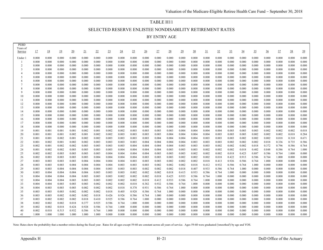# TABLE H11 SELECTED RESERVE ENLISTEE NONDISABILITY RETIREMENT RATES BY ENTRY AGE

| <b>PEBD</b>         |                |                |                |                 |                |                |                |                 |                |                 |                |                |                |                |                |                |                 |                 |                |                |                |                |                |
|---------------------|----------------|----------------|----------------|-----------------|----------------|----------------|----------------|-----------------|----------------|-----------------|----------------|----------------|----------------|----------------|----------------|----------------|-----------------|-----------------|----------------|----------------|----------------|----------------|----------------|
| Years of<br>Service | 17             | 18             | 19             | $\overline{20}$ | 21             | 22             | <u>23</u>      | $\overline{24}$ | 25             | $\overline{26}$ | 27             | <u>28</u>      | 29             | 30             | 31             | 32             | $\overline{33}$ | $\overline{34}$ | <u>35</u>      | $\frac{36}{5}$ | 37             | <u>38</u>      | 39             |
|                     |                |                |                |                 |                |                |                |                 |                |                 |                |                |                |                |                |                |                 |                 |                |                |                |                |                |
| Under 1             | 0.000          | 0.000          | 0.000          | 0.000           | 0.000          | 0.000          | 0.000          | 0.000           | 0.000          | 0.000           | 0.000          | 0.000          | 0.000          | 0.000          | 0.000          | 0.000          | 0.000           | 0.000           | 0.000          | 0.000          | 0.000          | 0.000          | 0.000          |
| -1                  | 0.000          | 0.000          | 0.000          | 0.000           | 0.000          | 0.000          | 0.000          | 0.000           | 0.000          | 0.000           | 0.000          | 0.000          | 0.000          | 0.000          | 0.000          | 0.000          | 0.000           | 0.000           | 0.000          | 0.000          | 0.000          | 0.000          | 0.000          |
| $\overline{2}$      | 0.000          | 0.000          | 0.000          | 0.000           | 0.000          | 0.000          | 0.000          | 0.000           | 0.000          | 0.000           | 0.000          | 0.000          | 0.000          | 0.000          | 0.000          | 0.000          | 0.000           | 0.000           | 0.000          | 0.000          | 0.000          | 0.000          | 0.000          |
| 3                   | 0.000          | 0.000          | 0.000          | 0.000           | 0.000          | 0.000          | 0.000          | 0.000           | 0.000          | 0.000           | 0.000          | 0.000          | 0.000          | 0.000          | 0.000          | 0.000          | 0.000           | 0.000           | 0.000          | 0.000          | 0.000          | 0.000          | 0.000          |
| 4<br>5              | 0.000<br>0.000 | 0.000          | 0.000<br>0.000 | 0.000<br>0.000  | 0.000<br>0.000 | 0.000<br>0.000 | 0.000          | 0.000<br>0.000  | 0.000<br>0.000 | 0.000<br>0.000  | 0.000<br>0.000 | 0.000<br>0.000 | 0.000<br>0.000 | 0.000<br>0.000 | 0.000<br>0.000 | 0.000<br>0.000 | 0.000           | 0.000           | 0.000<br>0.000 | 0.000          | 0.000<br>0.000 | 0.000<br>0.000 | 0.000<br>0.000 |
| 6                   | 0.000          | 0.000<br>0.000 | 0.000          | 0.000           | 0.000          | 0.000          | 0.000<br>0.000 | 0.000           | 0.000          | 0.000           | 0.000          | 0.000          | 0.000          | 0.000          | 0.000          | 0.000          | 0.000<br>0.000  | 0.000<br>0.000  | 0.000          | 0.000<br>0.000 | 0.000          | 0.000          | 0.000          |
| $\overline{7}$      | 0.000          | 0.000          | 0.000          | 0.000           | 0.000          | 0.000          | 0.000          | 0.000           | 0.000          | 0.000           | 0.000          | 0.000          | 0.000          | 0.000          | 0.000          | 0.000          | 0.000           | 0.000           | 0.000          | 0.000          | 0.000          | 0.000          | 0.000          |
| 8                   | 0.000          | 0.000          | 0.000          | 0.000           | 0.000          | 0.000          | 0.000          | 0.000           | 0.000          | 0.000           | 0.000          | 0.000          | 0.000          | 0.000          | 0.000          | 0.000          | 0.000           | 0.000           | 0.000          | 0.000          | 0.000          | 0.000          | 0.000          |
| 9                   | 0.000          | 0.000          | 0.000          | 0.000           | 0.000          | 0.000          | 0.000          | 0.000           | 0.000          | 0.000           | 0.000          | 0.000          | 0.000          | 0.000          | 0.000          | 0.000          | 0.000           | 0.000           | 0.000          | 0.000          | 0.000          | 0.000          | 0.000          |
| 10                  | 0.000          | 0.000          | 0.000          | 0.000           | 0.000          | 0.000          | 0.000          | 0.000           | 0.000          | 0.000           | 0.000          | 0.000          | 0.000          | 0.000          | 0.000          | 0.000          | 0.000           | 0.000           | 0.000          | 0.000          | 0.000          | 0.000          | 0.000          |
| 11                  | 0.000          | 0.000          | 0.000          | 0.000           | 0.000          | 0.000          | 0.000          | 0.000           | 0.000          | 0.000           | 0.000          | 0.000          | 0.000          | 0.000          | 0.000          | 0.000          | 0.000           | 0.000           | 0.000          | 0.000          | 0.000          | 0.000          | 0.000          |
| 12                  | 0.000          | 0.000          | 0.000          | 0.000           | 0.000          | 0.000          | 0.000          | 0.000           | 0.000          | 0.000           | 0.000          | 0.000          | 0.000          | 0.000          | 0.000          | 0.000          | 0.000           | 0.000           | 0.000          | 0.000          | 0.000          | 0.000          | 0.000          |
| 13                  | 0.000          | 0.000          | 0.000          | 0.000           | 0.000          | 0.000          | 0.000          | 0.000           | 0.000          | 0.000           | 0.000          | 0.000          | 0.000          | 0.000          | 0.000          | 0.000          | 0.000           | 0.000           | 0.000          | 0.000          | 0.000          | 0.000          | 0.000          |
| 14                  | 0.000          | 0.000          | 0.000          | 0.000           | 0.000          | 0.000          | 0.000          | 0.000           | 0.000          | 0.000           | 0.000          | 0.000          | 0.000          | 0.000          | 0.000          | 0.000          | 0.000           | 0.000           | 0.000          | 0.000          | 0.000          | 0.000          | 0.000          |
| 15                  | 0.000          | 0.000          | 0.000          | 0.000           | 0.000          | 0.000          | 0.000          | 0.000           | 0.000          | 0.000           | 0.000          | 0.000          | 0.000          | 0.000          | 0.000          | 0.000          | 0.000           | 0.000           | 0.000          | 0.000          | 0.000          | 0.000          | 0.000          |
| 16                  | 0.000          | 0.000          | 0.000          | 0.000           | 0.000          | 0.000          | 0.000          | 0.000           | 0.000          | 0.000           | 0.000          | 0.000          | 0.000          | 0.000          | 0.000          | 0.000          | 0.000           | 0.000           | 0.000          | 0.000          | 0.000          | 0.000          | 0.000          |
| 17                  | 0.000          | 0.000          | 0.000          | 0.000           | 0.000          | 0.000          | 0.000          | 0.000           | 0.000          | 0.000           | 0.000          | 0.000          | 0.000          | 0.000          | 0.000          | 0.000          | 0.000           | 0.000           | 0.000          | 0.000          | 0.000          | 0.000          | 0.000          |
| 18                  | 0.000          | 0.000          | 0.000          | 0.000           | 0.000          | 0.000          | 0.000          | 0.000           | 0.000          | 0.000           | 0.000          | 0.000          | 0.000          | 0.000          | 0.000          | 0.000          | 0.000           | 0.000           | 0.000          | 0.000          | 0.000          | 0.000          | 0.000          |
| 19                  | 0.001          | 0.001          | 0.001          | 0.001           | 0.002          | 0.001          | 0.002          | 0.002           | 0.003          | 0.003           | 0.003          | 0.003          | 0.004          | 0.004          | 0.004          | 0.004          | 0.003           | 0.003           | 0.003          | 0.002          | 0.002          | 0.002          | 0.018          |
| 20                  | 0.001          | 0.001          | 0.001          | 0.002           | 0.001          | 0.002          | 0.002          | 0.003           | 0.003          | 0.003           | 0.003          | 0.004          | 0.004          | 0.004          | 0.004          | 0.003          | 0.003           | 0.003           | 0.002          | 0.002          | 0.002          | 0.018          | 0.284          |
| 21                  | 0.001          | 0.001          | 0.002          | 0.001           | 0.002          | 0.002          | 0.003          | 0.003           | 0.003          | 0.003           | 0.004          | 0.004          | 0.004          | 0.004          | 0.003          | 0.003          | 0.003           | 0.002           | 0.002          | 0.002          | 0.018          | 0.310          | 0.671          |
| 22                  | 0.001          | 0.002          | 0.001          | 0.002           | 0.002          | 0.003          | 0.003          | 0.003           | 0.003          | 0.004           | 0.004          | 0.004          | 0.004          | 0.003          | 0.003          | 0.003          | 0.002           | 0.002           | 0.002          | 0.018          | 0.336          | 0.735          | 0.586          |
| 23<br>24            | 0.002<br>0.001 | 0.001<br>0.002 | 0.002          | 0.002<br>0.003  | 0.003          | 0.003<br>0.003 | 0.003<br>0.003 | 0.003<br>0.004  | 0.004<br>0.004 | 0.004<br>0.004  | 0.004<br>0.004 | 0.004<br>0.003 | 0.003<br>0.003 | 0.003<br>0.003 | 0.003<br>0.002 | 0.002          | 0.002<br>0.002  | 0.002           | 0.018<br>0.402 | 0.372          | 0.796<br>0.586 | 0.586          | 0.764<br>1.000 |
| 25                  | 0.002          | 0.002          | 0.002<br>0.003 | 0.003           | 0.003<br>0.003 | 0.003          | 0.004          | 0.004           | 0.004          | 0.004           | 0.003          | 0.003          | 0.003          | 0.002          | 0.002          | 0.002<br>0.002 | 0.018           | 0.018<br>0.423  | 0.887          | 0.848<br>0.586 | 0.764          | 0.764<br>1.000 | 0.000          |
| 26                  | 0.002          | 0.003          | 0.003          | 0.003           | 0.003          | 0.004          | 0.004          | 0.004           | 0.004          | 0.003           | 0.003          | 0.003          | 0.002          | 0.002          | 0.002          | 0.018          | 0.422           | 0.913           | 0.586          | 0.764          | 1.000          | 0.000          | 0.000          |
| 27                  | 0.003          | 0.003          | 0.003          | 0.003           | 0.004          | 0.004          | 0.004          | 0.004           | 0.003          | 0.003           | 0.003          | 0.002          | 0.002          | 0.002          | 0.018          | 0.413          | 0.926           | 0.586           | 0.764          | 1.000          | 0.000          | 0.000          | 0.000          |
| 28                  | 0.003          | 0.003          | 0.003          | 0.004           | 0.004          | 0.004          | 0.004          | 0.003           | 0.003          | 0.003           | 0.002          | 0.002          | 0.002          | 0.018          | 0.412          | 0.932          | 0.586           | 0.764           | 1.000          | 0.000          | 0.000          | 0.000          | 0.000          |
| 29                  | 0.003          | 0.003          | 0.004          | 0.004           | 0.004          | 0.004          | 0.003          | 0.003           | 0.003          | 0.002           | 0.002          | 0.002          | 0.018          | 0.407          | 0.933          | 0.586          | 0.764           | 1.000           | 0.000          | 0.000          | 0.000          | 0.000          | 0.000          |
| 30                  | 0.003          | 0.004          | 0.004          | 0.004           | 0.004          | 0.003          | 0.003          | 0.003           | 0.002          | 0.002           | 0.002          | 0.018          | 0.415          | 0.933          | 0.586          | 0.764          | 1.000           | 0.000           | 0.000          | 0.000          | 0.000          | 0.000          | 0.000          |
| 31                  | 0.004          | 0.004          | 0.004          | 0.004           | 0.003          | 0.003          | 0.003          | 0.002           | 0.002          | 0.002           | 0.018          | 0.425          | 0.933          | 0.586          | 0.764          | 1.000          | 0.000           | 0.000           | 0.000          | 0.000          | 0.000          | 0.000          | 0.000          |
| 32                  | 0.004          | 0.004          | 0.004          | 0.003           | 0.003          | 0.003          | 0.002          | 0.002           | 0.002          | 0.018           | 0.412          | 0.933          | 0.586          | 0.764          | 1.000          | 0.000          | 0.000           | 0.000           | 0.000          | 0.000          | 0.000          | 0.000          | 0.000          |
| 33                  | 0.004          | 0.004          | 0.003          | 0.003           | 0.003          | 0.002          | 0.002          | 0.002           | 0.018          | 0.382           | 0.932          | 0.586          | 0.764          | 1.000          | 0.000          | 0.000          | 0.000           | 0.000           | 0.000          | 0.000          | 0.000          | 0.000          | 0.000          |
| 34                  | 0.004          | 0.003          | 0.003          | 0.003           | 0.002          | 0.002          | 0.002          | 0.018           | 0.378          | 0.931           | 0.586          | 0.764          | 1.000          | 0.000          | 0.000          | 0.000          | 0.000           | 0.000           | 0.000          | 0.000          | 0.000          | 0.000          | 0.000          |
| 35                  | 0.003          | 0.003          | 0.003          | 0.002           | 0.002          | 0.002          | 0.018          | 0.405           | 0.928          | 0.586           | 0.764          | 1.000          | 0.000          | 0.000          | 0.000          | 0.000          | 0.000           | 0.000           | 0.000          | 0.000          | 0.000          | 0.000          | 0.000          |
| 36                  | 0.003          | 0.003          | 0.002          | 0.002           | 0.002          | 0.018          | 0.426          | 0.926           | 0.586          | 0.764           | 1.000          | 0.000          | 0.000          | 0.000          | 0.000          | 0.000          | 0.000           | 0.000           | 0.000          | 0.000          | 0.000          | 0.000          | 0.000          |
| 37                  | 0.003          | 0.002          | 0.002          | 0.002           | 0.018          | 0.410          | 0.925          | 0.586           | 0.764          | 1.000           | 0.000          | 0.000          | 0.000          | 0.000          | 0.000          | 0.000          | 0.000           | 0.000           | 0.000          | 0.000          | 0.000          | 0.000          | 0.000          |
| 38                  | 0.002          | 0.002          | 0.002          | 0.018           | 0.377          | 0.925          | 0.586          | 0.764           | 1.000          | 0.000           | 0.000          | 0.000          | 0.000          | 0.000          | 0.000          | 0.000          | 0.000           | 0.000           | 0.000          | 0.000          | 0.000          | 0.000          | 0.000          |
| 39                  | 0.002          | 0.002          | 0.018          | 0.424           | 0.928          | 0.586          | 0.764          | 1.000           | 0.000          | 0.000           | 0.000          | 0.000          | 0.000          | 0.000          | 0.000          | 0.000          | 0.000           | 0.000           | 0.000          | 0.000          | 0.000          | 0.000          | 0.000          |
| 40                  | 0.002          | 0.018          | 0.515          | 0.932           | 0.586          | 0.764          | 1.000          | 0.000           | 0.000          | 0.000           | 0.000          | 0.000          | 0.000          | 0.000          | 0.000          | 0.000          | 0.000           | 0.000           | 0.000          | 0.000          | 0.000          | 0.000          | 0.000          |
| 41                  | 1.000          | 1.000          | 1.000          | 1.000           | 1.000          | 1.000          | 0.000          | 0.000           | 0.000          | 0.000           | 0.000          | 0.000          | 0.000          | 0.000          | 0.000          | 0.000          | 0.000           | 0.000           | 0.000          | 0.000          | 0.000          | 0.000          | 0.000          |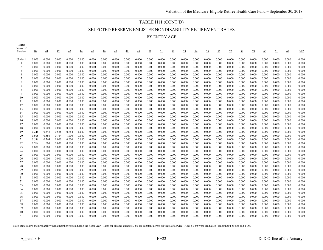## TABLE H11 (CONT'D)

SELECTED RESERVE ENLISTEE NONDISABILITY RETIREMENT RATES

BY ENTRY AGE

| <b>PEBD</b><br>Years of |                 |                |                |                |                 |                 |                 |                 |                 |                 |                |                |                |                |                |                |                |                |                |                |                |                |                |                |
|-------------------------|-----------------|----------------|----------------|----------------|-----------------|-----------------|-----------------|-----------------|-----------------|-----------------|----------------|----------------|----------------|----------------|----------------|----------------|----------------|----------------|----------------|----------------|----------------|----------------|----------------|----------------|
| Service                 | $\overline{40}$ | 41             | 42             | 43             | $\overline{44}$ | $\overline{45}$ | $\overline{46}$ | $\overline{47}$ | $\overline{48}$ | $\overline{49}$ | 50             | <u>51</u>      | 52             | 53             | 54             | <u>55</u>      | $\frac{56}{5}$ | 57             | <u>58</u>      | 59             | 60             | <u>61</u>      | 62             | $\geq 62$      |
| Under 1                 | 0.000           | 0.000          | 0.000          | 0.000          | 0.000           | 0.000           | 0.000           | 0.000           | 0.000           | 0.000           | 0.000          | 0.000          | 0.000          | 0.000          | 0.000          | 0.000          | 0.000          | 0.000          | 0.000          | 0.000          | 0.000          | 0.000          | 0.000          | 0.000          |
|                         | 0.000           | 0.000          | 0.000          | 0.000          | 0.000           | 0.000           | 0.000           | 0.000           | 0.000           | 0.000           | 0.000          | 0.000          | 0.000          | 0.000          | 0.000          | 0.000          | 0.000          | 0.000          | 0.000          | 0.000          | 0.000          | 0.000          | 0.000          | 0.000          |
| $\overline{c}$          | 0.000           | 0.000          | 0.000          | 0.000          | 0.000           | 0.000           | 0.000           | 0.000           | 0.000           | 0.000           | 0.000          | 0.000          | 0.000          | 0.000          | 0.000          | 0.000          | 0.000          | 0.000          | 0.000          | 0.000          | 0.000          | 0.000          | 0.000          | 0.000          |
| 3                       | 0.000           | 0.000          | 0.000          | 0.000          | 0.000           | 0.000           | 0.000           | 0.000           | 0.000           | 0.000           | 0.000          | 0.000          | 0.000          | 0.000          | 0.000          | 0.000          | 0.000          | 0.000          | 0.000          | 0.000          | 0.000          | 0.000          | 0.000          | 0.000          |
| $\overline{4}$          | 0.000           | 0.000          | 0.000          | 0.000          | 0.000           | 0.000           | 0.000           | 0.000           | 0.000           | 0.000           | 0.000          | 0.000          | 0.000          | 0.000          | 0.000          | 0.000          | 0.000          | 0.000          | 0.000          | 0.000          | 0.000          | 0.000          | 0.000          | 0.000          |
| 5                       | 0.000           | 0.000          | 0.000          | 0.000          | 0.000           | 0.000           | 0.000           | 0.000           | 0.000           | 0.000           | 0.000          | 0.000          | 0.000          | 0.000          | 0.000          | 0.000          | 0.000          | 0.000          | 0.000          | 0.000          | 0.000          | 0.000          | 0.000          | 0.000          |
| 6                       | 0.000           | 0.000          | 0.000          | 0.000          | 0.000           | 0.000           | 0.000           | 0.000           | 0.000           | 0.000           | 0.000          | 0.000          | 0.000          | 0.000          | 0.000          | 0.000          | 0.000          | 0.000          | 0.000          | 0.000          | 0.000          | 0.000          | 0.000          | 0.000          |
| $\overline{7}$          | 0.000           | 0.000          | 0.000          | 0.000          | 0.000           | 0.000           | 0.000           | 0.000           | 0.000           | 0.000           | 0.000          | 0.000          | 0.000          | 0.000          | 0.000          | 0.000          | 0.000          | 0.000          | 0.000          | 0.000          | 0.000          | 0.000          | 0.000          | 0.000          |
| 8                       | 0.000           | 0.000          | 0.000          | 0.000          | 0.000           | 0.000           | 0.000           | 0.000           | 0.000           | 0.000           | 0.000          | 0.000          | 0.000          | 0.000          | 0.000          | 0.000          | 0.000          | 0.000          | 0.000          | 0.000          | 0.000          | 0.000          | 0.000          | 0.000          |
| 9                       | 0.000           | 0.000          | 0.000          | 0.000          | 0.000           | 0.000           | 0.000           | 0.000           | 0.000           | 0.000           | 0.000          | 0.000          | 0.000          | 0.000          | 0.000          | 0.000          | 0.000          | 0.000          | 0.000          | 0.000          | 0.000          | 0.000          | 0.000          | 0.000          |
| 10<br>11                | 0.000           | 0.000          | 0.000          | 0.000          | 0.000<br>0.000  | 0.000           | 0.000           | 0.000           | 0.000           | 0.000<br>0.000  | 0.000          | 0.000<br>0.000 | 0.000          | 0.000          | 0.000          | 0.000          | 0.000          | 0.000          | 0.000          | 0.000          | 0.000<br>0.000 | 0.000          | 0.000<br>0.000 | 0.000<br>0.000 |
| 12                      | 0.000<br>0.000  | 0.000<br>0.000 | 0.000<br>0.000 | 0.000<br>0.000 | 0.000           | 0.000<br>0.000  | 0.000<br>0.000  | 0.000<br>0.000  | 0.000<br>0.000  | 0.000           | 0.000<br>0.000 | 0.000          | 0.000<br>0.000 | 0.000<br>0.000 | 0.000<br>0.000 | 0.000<br>0.000 | 0.000<br>0.000 | 0.000<br>0.000 | 0.000<br>0.000 | 0.000<br>0.000 | 0.000          | 0.000<br>0.000 | 0.000          | 0.000          |
| 13                      | 0.000           | 0.000          | 0.000          | 0.000          | 0.000           | 0.000           | 0.000           | 0.000           | 0.000           | 0.000           | 0.000          | 0.000          | 0.000          | 0.000          | 0.000          | 0.000          | 0.000          | 0.000          | 0.000          | 0.000          | 0.000          | 0.000          | 0.000          | 0.000          |
| 14                      | 0.000           | 0.000          | 0.000          | 0.000          | 0.000           | 0.000           | 0.000           | 0.000           | 0.000           | 0.000           | 0.000          | 0.000          | 0.000          | 0.000          | 0.000          | 0.000          | 0.000          | 0.000          | 0.000          | 0.000          | 0.000          | 0.000          | 0.000          | 0.000          |
| 15                      | 0.000           | 0.000          | 0.000          | 0.000          | 0.000           | 0.000           | 0.000           | 0.000           | 0.000           | 0.000           | 0.000          | 0.000          | 0.000          | 0.000          | 0.000          | 0.000          | 0.000          | 0.000          | 0.000          | 0.000          | 0.000          | 0.000          | 0.000          | 0.000          |
| 16                      | 0.000           | 0.000          | 0.000          | 0.000          | 0.000           | 0.000           | 0.000           | 0.000           | 0.000           | 0.000           | 0.000          | 0.000          | 0.000          | 0.000          | 0.000          | 0.000          | 0.000          | 0.000          | 0.000          | 0.000          | 0.000          | 0.000          | 0.000          | 0.000          |
| 17                      | 0.000           | 0.000          | 0.000          | 0.000          | 0.000           | 0.000           | 0.000           | 0.000           | 0.000           | 0.000           | 0.000          | 0.000          | 0.000          | 0.000          | 0.000          | 0.000          | 0.000          | 0.000          | 0.000          | 0.000          | 0.000          | 0.000          | 0.000          | 0.000          |
| 18                      | 0.000           | 0.000          | 0.000          | 0.000          | 0.000           | 0.000           | 0.000           | 0.000           | 0.000           | 0.000           | 0.000          | 0.000          | 0.000          | 0.000          | 0.000          | 0.000          | 0.000          | 0.000          | 0.000          | 0.000          | 0.000          | 0.000          | 0.000          | 0.000          |
| 19                      | 0.246           | 0.548          | 0.586          | 0.764          | 1.000           | 0.000           | 0.000           | 0.000           | 0.000           | 0.000           | 0.000          | 0.000          | 0.000          | 0.000          | 0.000          | 0.000          | 0.000          | 0.000          | 0.000          | 0.000          | 0.000          | 0.000          | 0.000          | 0.000          |
| 20                      | 0.608           | 0.586          | 0.764          | 1.000          | 0.000           | 0.000           | 0.000           | 0.000           | 0.000           | 0.000           | 0.000          | 0.000          | 0.000          | 0.000          | 0.000          | 0.000          | 0.000          | 0.000          | 0.000          | 0.000          | 0.000          | 0.000          | 0.000          | 0.000          |
| 21                      | 0.586           | 0.764          | 1.000          | 0.000          | 0.000           | 0.000           | 0.000           | 0.000           | 0.000           | 0.000           | 0.000          | 0.000          | 0.000          | 0.000          | 0.000          | 0.000          | 0.000          | 0.000          | 0.000          | 0.000          | 0.000          | 0.000          | 0.000          | 0.000          |
| 22                      | 0.764           | 1.000          | 0.000          | 0.000          | 0.000           | 0.000           | 0.000           | 0.000           | 0.000           | 0.000           | 0.000          | 0.000          | 0.000          | 0.000          | 0.000          | 0.000          | 0.000          | 0.000          | 0.000          | 0.000          | 0.000          | 0.000          | 0.000          | 0.000          |
| 23                      | 1.000           | 0.000          | 0.000          | 0.000          | 0.000           | 0.000           | 0.000           | 0.000           | 0.000           | 0.000           | 0.000          | 0.000          | 0.000          | 0.000          | 0.000          | 0.000          | 0.000          | 0.000          | 0.000          | 0.000          | 0.000          | 0.000          | 0.000          | 0.000          |
| 24                      | 0.000           | 0.000          | 0.000          | 0.000          | 0.000           | 0.000           | 0.000           | 0.000           | 0.000           | 0.000           | 0.000          | 0.000          | 0.000          | 0.000          | 0.000          | 0.000          | 0.000          | 0.000          | 0.000          | 0.000          | 0.000          | 0.000          | 0.000          | 0.000          |
| 25                      | 0.000           | 0.000          | 0.000          | 0.000          | 0.000           | 0.000           | 0.000           | 0.000           | 0.000           | 0.000           | 0.000          | 0.000          | 0.000          | 0.000          | 0.000          | 0.000          | 0.000          | 0.000          | 0.000          | 0.000          | 0.000          | 0.000          | 0.000          | 0.000          |
| 26                      | 0.000           | 0.000          | 0.000          | 0.000          | 0.000           | 0.000           | 0.000           | 0.000           | 0.000           | 0.000           | 0.000          | 0.000          | 0.000          | 0.000          | 0.000          | 0.000          | 0.000          | 0.000          | 0.000          | 0.000          | 0.000          | 0.000          | 0.000          | 0.000          |
| 27                      | 0.000           | 0.000          | 0.000          | 0.000          | 0.000           | 0.000           | 0.000           | 0.000           | 0.000           | 0.000           | 0.000          | 0.000          | 0.000          | 0.000          | 0.000          | 0.000          | 0.000          | 0.000          | 0.000          | 0.000          | 0.000          | 0.000          | 0.000          | 0.000          |
| 28                      | 0.000           | 0.000          | 0.000          | 0.000          | 0.000           | 0.000           | 0.000           | 0.000           | 0.000           | 0.000           | 0.000          | 0.000          | 0.000          | 0.000          | 0.000          | 0.000          | 0.000          | 0.000          | 0.000          | 0.000          | 0.000          | 0.000          | 0.000          | 0.000          |
| 29<br>30                | 0.000           | 0.000<br>0.000 | 0.000<br>0.000 | 0.000<br>0.000 | 0.000<br>0.000  | 0.000           | 0.000           | 0.000           | 0.000<br>0.000  | 0.000           | 0.000<br>0.000 | 0.000<br>0.000 | 0.000<br>0.000 | 0.000<br>0.000 | 0.000<br>0.000 | 0.000<br>0.000 | 0.000          | 0.000          | 0.000          | 0.000<br>0.000 | 0.000<br>0.000 | 0.000<br>0.000 | 0.000<br>0.000 | 0.000<br>0.000 |
| 31                      | 0.000<br>0.000  | 0.000          | 0.000          | 0.000          | 0.000           | 0.000<br>0.000  | 0.000<br>0.000  | 0.000<br>0.000  | 0.000           | 0.000<br>0.000  | 0.000          | 0.000          | 0.000          | 0.000          | 0.000          | 0.000          | 0.000<br>0.000 | 0.000<br>0.000 | 0.000<br>0.000 | 0.000          | 0.000          | 0.000          | 0.000          | 0.000          |
| 32                      | 0.000           | 0.000          | 0.000          | 0.000          | 0.000           | 0.000           | 0.000           | 0.000           | 0.000           | 0.000           | 0.000          | 0.000          | 0.000          | 0.000          | 0.000          | 0.000          | 0.000          | 0.000          | 0.000          | 0.000          | 0.000          | 0.000          | 0.000          | 0.000          |
| 33                      | 0.000           | 0.000          | 0.000          | 0.000          | 0.000           | 0.000           | 0.000           | 0.000           | 0.000           | 0.000           | 0.000          | 0.000          | 0.000          | 0.000          | 0.000          | 0.000          | 0.000          | 0.000          | 0.000          | 0.000          | 0.000          | 0.000          | 0.000          | 0.000          |
| 34                      | 0.000           | 0.000          | 0.000          | 0.000          | 0.000           | 0.000           | 0.000           | 0.000           | 0.000           | 0.000           | 0.000          | 0.000          | 0.000          | 0.000          | 0.000          | 0.000          | 0.000          | 0.000          | 0.000          | 0.000          | 0.000          | 0.000          | 0.000          | 0.000          |
| 35                      | 0.000           | 0.000          | 0.000          | 0.000          | 0.000           | 0.000           | 0.000           | 0.000           | 0.000           | 0.000           | 0.000          | 0.000          | 0.000          | 0.000          | 0.000          | 0.000          | 0.000          | 0.000          | 0.000          | 0.000          | 0.000          | 0.000          | 0.000          | 0.000          |
| 36                      | 0.000           | 0.000          | 0.000          | 0.000          | 0.000           | 0.000           | 0.000           | 0.000           | 0.000           | 0.000           | 0.000          | 0.000          | 0.000          | 0.000          | 0.000          | 0.000          | 0.000          | 0.000          | 0.000          | 0.000          | 0.000          | 0.000          | 0.000          | 0.000          |
| 37                      | 0.000           | 0.000          | 0.000          | 0.000          | 0.000           | 0.000           | 0.000           | 0.000           | 0.000           | 0.000           | 0.000          | 0.000          | 0.000          | 0.000          | 0.000          | 0.000          | 0.000          | 0.000          | 0.000          | 0.000          | 0.000          | 0.000          | 0.000          | 0.000          |
| 38                      | 0.000           | 0.000          | 0.000          | 0.000          | 0.000           | 0.000           | 0.000           | 0.000           | 0.000           | 0.000           | 0.000          | 0.000          | 0.000          | 0.000          | 0.000          | 0.000          | 0.000          | 0.000          | 0.000          | 0.000          | 0.000          | 0.000          | 0.000          | 0.000          |
| 39                      | 0.000           | 0.000          | 0.000          | 0.000          | 0.000           | 0.000           | 0.000           | 0.000           | 0.000           | 0.000           | 0.000          | 0.000          | 0.000          | 0.000          | 0.000          | 0.000          | 0.000          | 0.000          | 0.000          | 0.000          | 0.000          | 0.000          | 0.000          | 0.000          |
| 40                      | 0.000           | 0.000          | 0.000          | 0.000          | 0.000           | 0.000           | 0.000           | 0.000           | 0.000           | 0.000           | 0.000          | 0.000          | 0.000          | 0.000          | 0.000          | 0.000          | 0.000          | 0.000          | 0.000          | 0.000          | 0.000          | 0.000          | 0.000          | 0.000          |
| 41                      | 0.000           | 0.000          | 0.000          | 0.000          | 0.000           | 0.000           | 0.000           | 0.000           | 0.000           | 0.000           | 0.000          | 0.000          | 0.000          | 0.000          | 0.000          | 0.000          | 0.000          | 0.000          | 0.000          | 0.000          | 0.000          | 0.000          | 0.000          | 0.000          |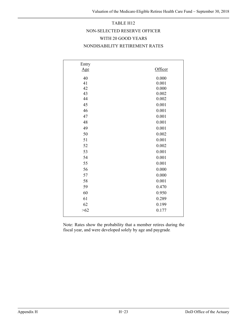# TABLE H12 NON-SELECTED RESERVE OFFICER WITH 20 GOOD YEARS NONDISABILITY RETIREMENT RATES

| Entry |         |
|-------|---------|
| Age   | Officer |
| 40    | 0.000   |
| 41    | 0.001   |
| 42    | 0.000   |
| 43    | 0.002   |
| 44    | 0.002   |
| 45    | 0.001   |
| 46    | 0.001   |
| 47    | 0.001   |
| 48    | 0.001   |
| 49    | 0.001   |
| 50    | 0.002   |
| 51    | 0.001   |
| 52    | 0.002   |
| 53    | 0.001   |
| 54    | 0.001   |
| 55    | 0.001   |
| 56    | 0.000   |
| 57    | 0.000   |
| 58    | 0.001   |
| 59    | 0.470   |
| 60    | 0.950   |
| 61    | 0.289   |
| 62    | 0.199   |
| >62   | 0.177   |

Note: Rates show the probability that a member retires during the fiscal year, and were developed solely by age and paygrade.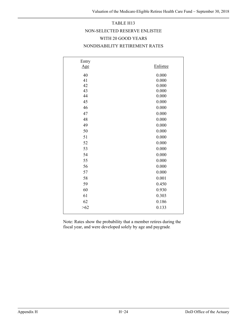# TABLE H13 NON-SELECTED RESERVE ENLISTEE WITH 20 GOOD YEARS NONDISABILITY RETIREMENT RATES

| Entry |          |
|-------|----------|
| Age   | Enlistee |
| 40    | 0.000    |
| 41    | 0.000    |
| 42    | 0.000    |
| 43    | 0.000    |
| 44    | 0.000    |
| 45    | 0.000    |
| 46    | 0.000    |
| 47    | 0.000    |
| 48    | 0.000    |
| 49    | 0.000    |
| 50    | 0.000    |
| 51    | 0.000    |
| 52    | 0.000    |
| 53    | 0.000    |
| 54    | 0.000    |
| 55    | 0.000    |
| 56    | 0.000    |
| 57    | 0.000    |
| 58    | 0.001    |
| 59    | 0.450    |
| 60    | 0.930    |
| 61    | 0.303    |
| 62    | 0.186    |
| >62   | 0.133    |
|       |          |

Note: Rates show the probability that a member retires during the fiscal year, and were developed solely by age and paygrade.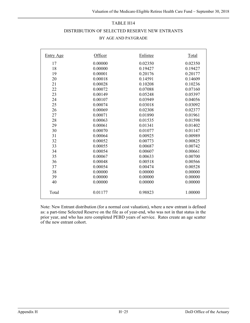#### TABLE H14

#### DISTRIBUTION OF SELECTED RESERVE NEW ENTRANTS

#### BY AGE AND PAYGRADE

| <b>Entry Age</b> | Officer | Enlistee | Total   |
|------------------|---------|----------|---------|
| 17               | 0.00000 | 0.02350  | 0.02350 |
| 18               | 0.00000 | 0.19427  | 0.19427 |
| 19               | 0.00001 | 0.20176  | 0.20177 |
| 20               | 0.00018 | 0.14591  | 0.14609 |
| 21               | 0.00028 | 0.10208  | 0.10236 |
| 22               | 0.00072 | 0.07088  | 0.07160 |
| 23               | 0.00149 | 0.05248  | 0.05397 |
| 24               | 0.00107 | 0.03949  | 0.04056 |
| 25               | 0.00074 | 0.03018  | 0.03092 |
| 26               | 0.00069 | 0.02308  | 0.02377 |
| 27               | 0.00071 | 0.01890  | 0.01961 |
| 28               | 0.00063 | 0.01535  | 0.01598 |
| 29               | 0.00061 | 0.01341  | 0.01402 |
| 30               | 0.00070 | 0.01077  | 0.01147 |
| 31               | 0.00064 | 0.00925  | 0.00989 |
| 32               | 0.00052 | 0.00773  | 0.00825 |
| 33               | 0.00055 | 0.00687  | 0.00742 |
| 34               | 0.00054 | 0.00607  | 0.00661 |
| 35               | 0.00067 | 0.00633  | 0.00700 |
| 36               | 0.00048 | 0.00518  | 0.00566 |
| 37               | 0.00054 | 0.00474  | 0.00528 |
| 38               | 0.00000 | 0.00000  | 0.00000 |
| 39               | 0.00000 | 0.00000  | 0.00000 |
| 40               | 0.00000 | 0.00000  | 0.00000 |
| Total            | 0.01177 | 0.98823  | 1.00000 |

Note: New Entrant distribution (for a normal cost valuation), where a new entrant is defined as: a part-time Selected Reserve on the file as of year-end, who was not in that status in the prior year, and who has zero completed PEBD years of service. Rates create an age scatter of the new entrant cohort.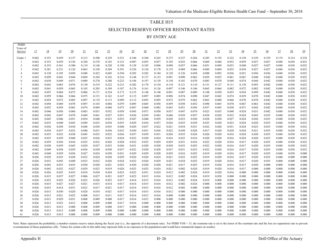# TABLE H15 SELECTED RESERVE OFFICER REENTRANT RATES BY ENTRY AGE

| <b>PEBD</b>         |                |                |                |                |                |                |                |                 |                |                |                |                |                |                |                |                |                 |                 |                |                |                |                |                |
|---------------------|----------------|----------------|----------------|----------------|----------------|----------------|----------------|-----------------|----------------|----------------|----------------|----------------|----------------|----------------|----------------|----------------|-----------------|-----------------|----------------|----------------|----------------|----------------|----------------|
| Years of<br>Service | 17             | <u>18</u>      | <u>19</u>      | 20             | 21             | 22             | 23             | $\overline{24}$ | 25             | $\frac{26}{5}$ | 27             | <u>28</u>      | 29             | 30             | 31             | 32             | $\overline{33}$ | $\overline{34}$ | <u>35</u>      | $\frac{36}{5}$ | 37             | 38             | $\frac{39}{2}$ |
|                     |                |                |                |                |                |                |                |                 |                |                |                |                |                |                |                |                |                 |                 |                |                |                |                |                |
| Under               | 0.042          | 0.353          | 0.659          | 0.157          | 0.313          | 0.580          | 0.329          | 0.351           | 0.346          | 0.368          | 0.265          | 0.275          | 0.227          | 0.264          | 0.283          | 0.192          | 0.222           | 0.150           | 0.259          | 0.339          | 0.174          | 0.214          | 0.234          |
|                     | 0.042          | 0.353          | 0.659          | 0.336          | 0.294          | 0.278          | 0.183          | 0.123           | 0.087          | 0.055          | 0.057          | 0.105          | 0.032          | 0.066          | 0.069          | 0.046          | 0.052           | 0.059           | 0.027          | 0.027          | 0.040          | 0.038          | 0.032          |
| 2<br>3              | 0.042<br>0.042 | 0.353<br>0.281 | 0.561<br>0.231 | 0.300<br>0.126 | 0.119<br>0.063 | 0.146<br>0.330 | 0.220<br>0.569 | 0.190<br>0.391  | 0.128<br>0.256 | 0.105<br>0.126 | 0.096<br>0.178 | 0.098<br>0.135 | 0.057<br>0.089 | 0.066<br>0.066 | 0.051<br>0.089 | 0.049<br>0.069 | 0.033<br>0.035  | 0.048           | 0.027<br>0.027 | 0.027<br>0.027 | 0.040<br>0.040 | 0.038<br>0.038 | 0.032<br>0.032 |
| $\overline{4}$      | 0.042          | 0.128          | 0.105          | 0.050          | 0.048          | 0.422          | 0.605          | 0.394           | 0.202          | 0.202          | 0.184          | 0.128          | 0.126          | 0.058          | 0.088          | 0.092          | 0.036           | 0.054<br>0.051  | 0.056          | 0.036          | 0.040          | 0.038          | 0.032          |
| 5                   | 0.042          | 0.050          | 0.041          | 0.044          | 0.069          | 0.269          | 0.342          | 0.216           | 0.148          | 0.137          | 0.133          | 0.091          | 0.090          | 0.063          | 0.059          | 0.053          | 0.061           | 0.067           | 0.040          | 0.042          | 0.040          | 0.038          | 0.032          |
| 6                   | 0.042          | 0.038          | 0.049          | 0.071          | 0.089          | 0.270          | 0.288          | 0.223           | 0.194          | 0.197          | 0.139          | 0.150          | 0.101          | 0.078          | 0.083          | 0.070          | 0.049           | 0.074           | 0.044          | 0.042          | 0.040          | 0.038          | 0.032          |
|                     | 0.042          | 0.043          | 0.063          | 0.076          | 0.130          | 0.219          | 0.222          | 0.215           | 0.202          | 0.178          | 0.154          | 0.134          | 0.121          | 0.110          | 0.151          | 0.127          | 0.111           | 0.130           | 0.093          | 0.042          | 0.040          | 0.038          | 0.032          |
| 8                   | 0.042          | 0.041          | 0.059          | 0.065          | 0.103          | 0.205          | 0.189          | 0.187           | 0.176          | 0.161          | 0.126          | 0.097          | 0.106          | 0.106          | 0.065          | 0.064          | 0.082           | 0.072           | 0.082          | 0.042          | 0.040          | 0.038          | 0.032          |
| 9                   | 0.042          | 0.055          | 0.064          | 0.075          | 0.086          | 0.171          | 0.224          | 0.173           | 0.135          | 0.148          | 0.148          | 0.091          | 0.087          | 0.089          | 0.108          | 0.058          | 0.055           | 0.054           | 0.099          | 0.042          | 0.040          | 0.038          | 0.032          |
| 10                  | 0.042          | 0.059          | 0.066          | 0.066          | 0.075          | 0.151          | 0.162          | 0.147           | 0.115          | 0.097          | 0.085          | 0.096          | 0.074          | 0.090          | 0.047          | 0.042          | 0.074           | 0.039           | 0.070          | 0.042          | 0.040          | 0.038          | 0.032          |
| 11                  | 0.042          | 0.054          | 0.072          | 0.085          | 0.097          | 0.119          | 0.113          | 0.099           | 0.112          | 0.093          | 0.095          | 0.072          | 0.079          | 0.062          | 0.063          | 0.080          | 0.046           | 0.078           | 0.070          | 0.042          | 0.040          | 0.038          | 0.032          |
| 12                  | 0.042          | 0.050          | 0.069          | 0.078          | 0.097          | 0.103          | 0.084          | 0.079           | 0.085          | 0.065          | 0.058          | 0.059          | 0.058          | 0.052          | 0.090          | 0.065          | 0.078           | 0.067           | 0.063          | 0.042          | 0.040          | 0.038          | 0.032          |
| 13                  | 0.042          | 0.052          | 0.059          | 0.065          | 0.074          | 0.069          | 0.068          | 0.073           | 0.067          | 0.060          | 0.082          | 0.043          | 0.051          | 0.056          | 0.037          | 0.045          | 0.038           | 0.071           | 0.042          | 0.042          | 0.040          | 0.038          | 0.032          |
| 14                  | 0.042          | 0.046          | 0.056          | 0.066          | 0.063          | 0.051          | 0.052          | 0.058           | 0.045          | 0.071          | 0.050          | 0.037          | 0.047          | 0.074          | 0.023          | 0.035          | 0.040           | 0.024           | 0.031          | 0.042          | 0.040          | 0.038          | 0.032          |
| 15                  | 0.042          | 0.042          | 0.047          | 0.070          | 0.049          | 0.041          | 0.037          | 0.051           | 0.036          | 0.039          | 0.043          | 0.046          | 0.039          | 0.057          | 0.038          | 0.028          | 0.032           | 0.024           | 0.043          | 0.035          | 0.040          | 0.038          | 0.032          |
| 16<br>17            | 0.042<br>0.042 | 0.045<br>0.033 | 0.046<br>0.040 | 0.051<br>0.043 | 0.054<br>0.049 | 0.040<br>0.033 | 0.033<br>0.034 | 0.035<br>0.035  | 0.047<br>0.029 | 0.040<br>0.034 | 0.029<br>0.037 | 0.028<br>0.026 | 0.033<br>0.035 | 0.030<br>0.039 | 0.028<br>0.035 | 0.020<br>0.020 | 0.027<br>0.023  | 0.024<br>0.024  | 0.026<br>0.028 | 0.035<br>0.035 | 0.040<br>0.040 | 0.038<br>0.038 | 0.032<br>0.032 |
| 18                  | 0.042          | 0.036          | 0.038          | 0.038          | 0.048          | 0.038          | 0.035          | 0.040           | 0.029          | 0.037          | 0.022          | 0.021          | 0.034          | 0.031          | 0.022          | 0.020          | 0.031           | 0.024           | 0.025          | 0.035          | 0.040          | 0.038          | 0.032          |
| 19                  | 0.042          | 0.034          | 0.037          | 0.032          | 0.040          | 0.031          | 0.036          | 0.032           | 0.030          | 0.031          | 0.036          | 0.022          | 0.030          | 0.028          | 0.017          | 0.020          | 0.020           | 0.024           | 0.021          | 0.035          | 0.040          | 0.038          | 0.032          |
| 20                  | 0.042          | 0.035          | 0.032          | 0.038          | 0.045          | 0.033          | 0.032          | 0.036           | 0.037          | 0.039          | 0.031          | 0.026          | 0.035          | 0.024          | 0.026          | 0.020          | 0.016           | 0.024           | 0.020          | 0.035          | 0.040          | 0.038          | 0.032          |
| 21                  | 0.042          | 0.035          | 0.039          | 0.040          | 0.035          | 0.036          | 0.033          | 0.024           | 0.032          | 0.030          | 0.024          | 0.016          | 0.025          | 0.016          | 0.020          | 0.020          | 0.016           | 0.024           | 0.020          | 0.035          | 0.040          | 0.038          | 0.032          |
| 22                  | 0.042          | 0.039          | 0.036          | 0.034          | 0.035          | 0.032          | 0.026          | 0.028           | 0.032          | 0.035          | 0.029          | 0.029          | 0.031          | 0.016          | 0.022          | 0.020          | 0.016           | 0.017           | 0.020          | 0.035          | 0.040          | 0.038          | 0.032          |
| 23                  | 0.042          | 0.030          | 0.039          | 0.045          | 0.029          | 0.037          | 0.033          | 0.026           | 0.031          | 0.020          | 0.030          | 0.030          | 0.033          | 0.025          | 0.022          | 0.020          | 0.016           | 0.017           | 0.020          | 0.035          | 0.040          | 0.038          | 0.032          |
| 24                  | 0.042          | 0.049          | 0.038          | 0.029          | 0.036          | 0.030          | 0.030          | 0.037           | 0.022          | 0.028          | 0.028          | 0.037          | 0.031          | 0.023          | 0.022          | 0.020          | 0.016           | 0.017           | 0.020          | 0.035          | 0.040          | 0.038          | 0.032          |
| 25                  | 0.042          | 0.048          | 0.039          | 0.036          | 0.027          | 0.024          | 0.030          | 0.031           | 0.029          | 0.029          | 0.020          | 0.029          | 0.016          | 0.025          | 0.019          | 0.020          | 0.016           | 0.017           | 0.020          | 0.035          | 0.040          | 0.038          | 0.000          |
| 26                  | 0.026          | 0.039          | 0.035          | 0.028          | 0.032          | 0.024          | 0.028          | 0.029           | 0.024          | 0.036          | 0.034          | 0.021          | 0.022          | 0.022          | 0.019          | 0.020          | 0.016           | 0.017           | 0.020          | 0.035          | 0.040          | 0.000          | 0.000          |
| 27                  | 0.026          | 0.033          | 0.043          | 0.040          | 0.033          | 0.032          | 0.026          | 0.024           | 0.032          | 0.026          | 0.029          | 0.021          | 0.034          | 0.025          | 0.019          | 0.020          | 0.016           | 0.017           | 0.020          | 0.035          | 0.000          | 0.000          | 0.000          |
| 28                  | 0.026          | 0.043          | 0.035          | 0.035          | 0.030          | 0.020          | 0.021          | 0.025           | 0.030          | 0.020          | 0.020          | 0.021          | 0.017          | 0.025          | 0.019          | 0.020          | 0.016           | 0.017           | 0.020          | 0.000          | 0.000          | 0.000          | 0.000          |
| 29<br>30            | 0.026<br>0.026 | 0.043<br>0.026 | 0.032<br>0.025 | 0.027<br>0.033 | 0.029<br>0.018 | 0.023<br>0.030 | 0.019<br>0.024 | 0.028<br>0.023  | 0.023<br>0.022 | 0.025<br>0.031 | 0.024<br>0.024 | 0.021<br>0.012 | 0.002<br>0.002 | 0.024<br>0.024 | 0.019<br>0.019 | 0.020<br>0.020 | 0.016<br>0.016  | 0.017<br>0.000  | 0.000<br>0.000 | 0.000<br>0.000 | 0.000<br>0.000 | 0.000<br>0.000 | 0.000<br>0.000 |
| 31                  | 0.026          | 0.015          | 0.037          | 0.027          | 0.006          | 0.027          | 0.021          | 0.027           | 0.022          | 0.015          | 0.016          | 0.012          | 0.002          | 0.024          | 0.019          | 0.020          | 0.000           | 0.000           | 0.000          | 0.000          | 0.000          | 0.000          | 0.000          |
| 32                  | 0.026          | 0.032          | 0.025          | 0.026          | 0.022          | 0.026          | 0.022          | 0.017           | 0.014          | 0.015          | 0.016          | 0.012          | 0.002          | 0.024          | 0.019          | 0.000          | 0.000           | 0.000           | 0.000          | 0.000          | 0.000          | 0.000          | 0.000          |
| 33                  | 0.026          | 0.015          | 0.027          | 0.027          | 0.021          | 0.015          | 0.014          | 0.017           | 0.014          | 0.015          | 0.016          | 0.012          | 0.002          | 0.024          | 0.000          | 0.000          | 0.000           | 0.000           | 0.000          | 0.000          | 0.000          | 0.000          | 0.000          |
| 34                  | 0.026          | 0.033          | 0.014          | 0.031          | 0.023          | 0.017          | 0.021          | 0.017           | 0.014          | 0.015          | 0.016          | 0.012          | 0.002          | 0.000          | 0.000          | 0.000          | 0.000           | 0.000           | 0.000          | 0.000          | 0.000          | 0.000          | 0.000          |
| 35                  | 0.026          | 0.013          | 0.030          | 0.020          | 0.028          | 0.018          | 0.021          | 0.017           | 0.014          | 0.015          | 0.016          | 0.012          | 0.000          | 0.000          | 0.000          | 0.000          | 0.000           | 0.000           | 0.000          | 0.000          | 0.000          | 0.000          | 0.000          |
| 36                  | 0.026          | 0.013          | 0.021          | 0.025          | 0.008          | 0.013          | 0.011          | 0.017           | 0.014          | 0.015          | 0.016          | 0.000          | 0.000          | 0.000          | 0.000          | 0.000          | 0.000           | 0.000           | 0.000          | 0.000          | 0.000          | 0.000          | 0.000          |
| 37                  | 0.026          | 0.013          | 0.029          | 0.031          | 0.008          | 0.009          | 0.008          | 0.017           | 0.014          | 0.015          | 0.000          | 0.000          | 0.000          | 0.000          | 0.000          | 0.000          | 0.000           | 0.000           | 0.000          | 0.000          | 0.000          | 0.000          | 0.000          |
| 38                  | 0.026          | 0.013          | 0.033          | 0.013          | 0.008          | 0.009          | 0.008          | 0.017           | 0.014          | 0.000          | 0.000          | 0.000          | 0.000          | 0.000          | 0.000          | 0.000          | 0.000           | 0.000           | 0.000          | 0.000          | 0.000          | 0.000          | 0.000          |
| 39                  | 0.026          | 0.013          | 0.013          | 0.008          | 0.008          | 0.009          | 0.008          | 0.017           | 0.000          | 0.000          | 0.000          | 0.000          | 0.000          | 0.000          | 0.000          | 0.000          | 0.000           | 0.000           | 0.000          | 0.000          | 0.000          | 0.000          | 0.000          |
| 40                  | 0.026          | 0.013          | 0.013          | 0.008          | 0.008          | 0.009          | 0.008          | 0.000           | 0.000          | 0.000          | 0.000          | 0.000          | 0.000          | 0.000          | 0.000          | 0.000          | 0.000           | 0.000           | 0.000          | 0.000          | 0.000          | 0.000          | 0.000          |
| 41                  | 0.026          | 0.013          | 0.013          | 0.008          | 0.008          | 0.009          | 0.000          | 0.000           | 0.000          | 0.000          | 0.000          | 0.000          | 0.000          | 0.000          | 0.000          | 0.000          | 0.000           | 0.000           | 0.000          | 0.000          | 0.000          | 0.000          | 0.000          |

Note: Rates represent the probability a member reenters reserve status during the fiscal year (i.e., the opposite of a decrement rate). For PEBD YOS > 15, the reentrant rate is set to the lessor of the reentrant rate and t overstatement of those population cells. Values for certain cells in this table may represent little to no exposure in the population (and would have immaterial impact on results).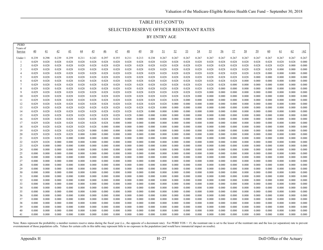# TABLE H15 (CONT'D) SELECTED RESERVE OFFICER REENTRANT RATES

BY ENTRY AGE

| <b>PEBD</b><br>Years of |                 |                 |                |                |                |                 |                 |                |                |                 |                |                |                |                |                |                |                |                |                |                |                |                |                |                |
|-------------------------|-----------------|-----------------|----------------|----------------|----------------|-----------------|-----------------|----------------|----------------|-----------------|----------------|----------------|----------------|----------------|----------------|----------------|----------------|----------------|----------------|----------------|----------------|----------------|----------------|----------------|
| Service                 | $\overline{40}$ | $\overline{41}$ | 42             | 43             | <u>44</u>      | $\overline{45}$ | $\overline{46}$ | 47             | $rac{48}{1}$   | $\overline{49}$ | <u>50</u>      | <u>51</u>      | 52             | 53             | 54             | <u>55</u>      | <u>56</u>      | 57             | 58             | 59             | <u>60</u>      | 61             | 62             | $\geq 62$      |
| Under 1                 | 0.239           | 0.298           | 0.239          | 0.259          | 0.211          | 0.243           | 0.297           | 0.355          | 0.211          | 0.213           | 0.238          | 0.267          | 0.267          | 0.267          | 0.267          | 0.267          | 0.267          | 0.267          | 0.267          | 0.267          | 0.267          | 0.267          | 0.267          | 0.267          |
| -1                      | 0.029           | 0.028           | 0.028          | 0.028          | 0.028          | 0.028           | 0.028           | 0.028          | 0.028          | 0.028           | 0.028          | 0.028          | 0.028          | 0.028          | 0.028          | 0.028          | 0.028          | 0.028          | 0.028          | 0.028          | 0.028          | 0.028          | 0.028          | 0.000          |
| $\overline{2}$          | 0.029           | 0.028           | 0.028          | 0.028          | 0.028          | 0.028           | 0.028           | 0.028          | 0.028          | 0.028           | 0.028          | 0.028          | 0.028          | 0.028          | 0.028          | 0.028          | 0.028          | 0.028          | 0.028          | 0.028          | 0.028          | 0.028          | 0.000          | 0.000          |
| 3                       | 0.029           | 0.028           | 0.028          | 0.028          | 0.028          | 0.028           | 0.028           | 0.028          | 0.028          | 0.028           | 0.028          | 0.028          | 0.028          | 0.028          | 0.028          | 0.028          | 0.028          | 0.028          | 0.028          | 0.028          | 0.028          | 0.000          | 0.000          | 0.000          |
| $\overline{4}$          | 0.029           | 0.028           | 0.028          | 0.028          | 0.028          | 0.028           | 0.028           | 0.028          | 0.028          | 0.028           | 0.028          | 0.028          | 0.028          | 0.028          | 0.028          | 0.028          | 0.028          | 0.028          | 0.028          | 0.028          | 0.000          | 0.000          | 0.000          | 0.000          |
| 5<br>6                  | 0.029<br>0.029  | 0.028<br>0.028  | 0.028<br>0.028 | 0.028<br>0.028 | 0.028<br>0.028 | 0.028<br>0.028  | 0.028<br>0.028  | 0.028<br>0.028 | 0.028<br>0.028 | 0.028<br>0.028  | 0.028<br>0.028 | 0.028<br>0.028 | 0.028<br>0.028 | 0.028<br>0.028 | 0.028<br>0.028 | 0.028<br>0.028 | 0.028<br>0.028 | 0.028<br>0.028 | 0.028<br>0.000 | 0.000<br>0.000 | 0.000<br>0.000 | 0.000<br>0.000 | 0.000<br>0.000 | 0.000<br>0.000 |
| $\overline{7}$          | 0.029           | 0.028           | 0.028          | 0.028          | 0.028          | 0.028           | 0.028           | 0.028          | 0.028          | 0.028           | 0.028          | 0.028          | 0.028          | 0.028          | 0.028          | 0.028          | 0.028          | 0.000          | 0.000          | 0.000          | 0.000          | 0.000          | 0.000          | 0.000          |
| 8                       | 0.029           | 0.028           | 0.028          | 0.028          | 0.028          | 0.028           | 0.028           | 0.028          | 0.028          | 0.028           | 0.028          | 0.028          | 0.028          | 0.028          | 0.028          | 0.028          | 0.000          | 0.000          | 0.000          | 0.000          | 0.000          | 0.000          | 0.000          | 0.000          |
| 9                       | 0.029           | 0.028           | 0.028          | 0.028          | 0.028          | 0.028           | 0.028           | 0.028          | 0.028          | 0.028           | 0.028          | 0.028          | 0.028          | 0.028          | 0.028          | 0.000          | 0.000          | 0.000          | 0.000          | 0.000          | 0.000          | 0.000          | 0.000          | 0.000          |
| 10                      | 0.029           | 0.028           | 0.028          | 0.028          | 0.028          | 0.028           | 0.028           | 0.028          | 0.028          | 0.028           | 0.028          | 0.028          | 0.028          | 0.028          | 0.000          | 0.000          | 0.000          | 0.000          | 0.000          | 0.000          | 0.000          | 0.000          | 0.000          | 0.000          |
| 11                      | 0.029           | 0.028           | 0.028          | 0.028          | 0.028          | 0.028           | 0.028           | 0.028          | 0.028          | 0.028           | 0.028          | 0.028          | 0.028          | 0.000          | 0.000          | 0.000          | 0.000          | 0.000          | 0.000          | 0.000          | 0.000          | 0.000          | 0.000          | 0.000          |
| 12                      | 0.029           | 0.028           | 0.028          | 0.028          | 0.028          | 0.028           | 0.028           | 0.028          | 0.028          | 0.028           | 0.028          | 0.028          | 0.000          | 0.000          | 0.000          | 0.000          | 0.000          | 0.000          | 0.000          | 0.000          | 0.000          | 0.000          | 0.000          | 0.000          |
| 13                      | 0.029<br>0.029  | 0.028<br>0.028  | 0.028<br>0.028 | 0.028<br>0.028 | 0.028<br>0.028 | 0.028<br>0.028  | 0.028<br>0.028  | 0.028<br>0.028 | 0.028<br>0.028 | 0.028<br>0.028  | 0.028<br>0.000 | 0.000<br>0.000 | 0.000<br>0.000 | 0.000<br>0.000 | 0.000<br>0.000 | 0.000<br>0.000 | 0.000<br>0.000 | 0.000<br>0.000 | 0.000<br>0.000 | 0.000<br>0.000 | 0.000<br>0.000 | 0.000<br>0.000 | 0.000<br>0.000 | 0.000<br>0.000 |
| 14<br>15                | 0.029           | 0.028           | 0.028          | 0.028          | 0.028          | 0.028           | 0.028           | 0.028          | 0.028          | 0.000           | 0.000          | 0.000          | 0.000          | 0.000          | 0.000          | 0.000          | 0.000          | 0.000          | 0.000          | 0.000          | 0.000          | 0.000          | 0.000          | 0.000          |
| 16                      | 0.029           | 0.028           | 0.028          | 0.028          | 0.028          | 0.028           | 0.028           | 0.028          | 0.000          | 0.000           | 0.000          | 0.000          | 0.000          | 0.000          | 0.000          | 0.000          | 0.000          | 0.000          | 0.000          | 0.000          | 0.000          | 0.000          | 0.000          | 0.000          |
| 17                      | 0.029           | 0.028           | 0.028          | 0.028          | 0.028          | 0.028           | 0.028           | 0.000          | 0.000          | 0.000           | 0.000          | 0.000          | 0.000          | 0.000          | 0.000          | 0.000          | 0.000          | 0.000          | 0.000          | 0.000          | 0.000          | 0.000          | 0.000          | 0.000          |
| 18                      | 0.029           | 0.028           | 0.028          | 0.028          | 0.028          | 0.028           | 0.000           | 0.000          | 0.000          | 0.000           | 0.000          | 0.000          | 0.000          | 0.000          | 0.000          | 0.000          | 0.000          | 0.000          | 0.000          | 0.000          | 0.000          | 0.000          | 0.000          | 0.000          |
| 19                      | 0.029           | 0.028           | 0.028          | 0.028          | 0.028          | 0.000           | 0.000           | 0.000          | 0.000          | 0.000           | 0.000          | 0.000          | 0.000          | 0.000          | 0.000          | 0.000          | 0.000          | 0.000          | 0.000          | 0.000          | 0.000          | 0.000          | 0.000          | 0.000          |
| 20                      | 0.029           | 0.028           | 0.028          | 0.028          | 0.000          | 0.000           | 0.000           | 0.000          | 0.000          | 0.000           | 0.000          | 0.000          | 0.000          | 0.000          | 0.000          | 0.000          | 0.000          | 0.000          | 0.000          | 0.000          | 0.000          | 0.000          | 0.000          | 0.000          |
| 21                      | 0.029           | 0.028           | 0.028          | 0.000          | 0.000          | 0.000           | 0.000           | 0.000          | 0.000          | 0.000           | 0.000          | 0.000          | 0.000          | 0.000          | 0.000          | 0.000          | 0.000          | 0.000          | 0.000          | 0.000          | 0.000          | 0.000          | 0.000          | 0.000          |
| 22<br>23                | 0.029<br>0.029  | 0.028<br>0.000  | 0.000<br>0.000 | 0.000<br>0.000 | 0.000<br>0.000 | 0.000<br>0.000  | 0.000<br>0.000  | 0.000<br>0.000 | 0.000<br>0.000 | 0.000<br>0.000  | 0.000<br>0.000 | 0.000<br>0.000 | 0.000<br>0.000 | 0.000<br>0.000 | 0.000<br>0.000 | 0.000<br>0.000 | 0.000<br>0.000 | 0.000<br>0.000 | 0.000<br>0.000 | 0.000<br>0.000 | 0.000<br>0.000 | 0.000<br>0.000 | 0.000<br>0.000 | 0.000<br>0.000 |
| 24                      | 0.000           | 0.000           | 0.000          | 0.000          | 0.000          | 0.000           | 0.000           | 0.000          | 0.000          | 0.000           | 0.000          | 0.000          | 0.000          | 0.000          | 0.000          | 0.000          | 0.000          | 0.000          | 0.000          | 0.000          | 0.000          | 0.000          | 0.000          | 0.000          |
| 25                      | 0.000           | 0.000           | 0.000          | 0.000          | 0.000          | 0.000           | 0.000           | 0.000          | 0.000          | 0.000           | 0.000          | 0.000          | 0.000          | 0.000          | 0.000          | 0.000          | 0.000          | 0.000          | 0.000          | 0.000          | 0.000          | 0.000          | 0.000          | 0.000          |
| 26                      | 0.000           | 0.000           | 0.000          | 0.000          | 0.000          | 0.000           | 0.000           | 0.000          | 0.000          | 0.000           | 0.000          | 0.000          | 0.000          | 0.000          | 0.000          | 0.000          | 0.000          | 0.000          | 0.000          | 0.000          | 0.000          | 0.000          | 0.000          | 0.000          |
| 27                      | 0.000           | 0.000           | 0.000          | 0.000          | 0.000          | 0.000           | 0.000           | 0.000          | 0.000          | 0.000           | 0.000          | 0.000          | 0.000          | 0.000          | 0.000          | 0.000          | 0.000          | 0.000          | 0.000          | 0.000          | 0.000          | 0.000          | 0.000          | 0.000          |
| 28                      | 0.000           | 0.000           | 0.000          | 0.000          | 0.000          | 0.000           | 0.000           | 0.000          | 0.000          | 0.000           | 0.000          | 0.000          | 0.000          | 0.000          | 0.000          | 0.000          | 0.000          | 0.000          | 0.000          | 0.000          | 0.000          | 0.000          | 0.000          | 0.000          |
| 29                      | 0.000           | 0.000           | 0.000          | 0.000          | 0.000          | 0.000           | 0.000           | 0.000          | 0.000          | 0.000           | 0.000          | 0.000          | 0.000          | 0.000          | 0.000          | 0.000          | 0.000          | 0.000          | 0.000          | 0.000          | 0.000          | 0.000          | 0.000          | 0.000          |
| 30                      | 0.000           | 0.000           | 0.000          | 0.000          | 0.000          | 0.000           | 0.000           | 0.000          | 0.000          | 0.000           | 0.000          | 0.000          | 0.000          | 0.000          | 0.000          | 0.000          | 0.000          | 0.000          | 0.000          | 0.000          | 0.000          | 0.000          | 0.000          | 0.000          |
| 31<br>32                | 0.000<br>0.000  | 0.000<br>0.000  | 0.000<br>0.000 | 0.000<br>0.000 | 0.000<br>0.000 | 0.000<br>0.000  | 0.000<br>0.000  | 0.000<br>0.000 | 0.000<br>0.000 | 0.000<br>0.000  | 0.000<br>0.000 | 0.000<br>0.000 | 0.000<br>0.000 | 0.000<br>0.000 | 0.000<br>0.000 | 0.000<br>0.000 | 0.000<br>0.000 | 0.000<br>0.000 | 0.000<br>0.000 | 0.000<br>0.000 | 0.000<br>0.000 | 0.000<br>0.000 | 0.000<br>0.000 | 0.000<br>0.000 |
| 33                      | 0.000           | 0.000           | 0.000          | 0.000          | 0.000          | 0.000           | 0.000           | 0.000          | 0.000          | 0.000           | 0.000          | 0.000          | 0.000          | 0.000          | 0.000          | 0.000          | 0.000          | 0.000          | 0.000          | 0.000          | 0.000          | 0.000          | 0.000          | 0.000          |
| 34                      | 0.000           | 0.000           | 0.000          | 0.000          | 0.000          | 0.000           | 0.000           | 0.000          | 0.000          | 0.000           | 0.000          | 0.000          | 0.000          | 0.000          | 0.000          | 0.000          | 0.000          | 0.000          | 0.000          | 0.000          | 0.000          | 0.000          | 0.000          | 0.000          |
| 35                      | 0.000           | 0.000           | 0.000          | 0.000          | 0.000          | 0.000           | 0.000           | 0.000          | 0.000          | 0.000           | 0.000          | 0.000          | 0.000          | 0.000          | 0.000          | 0.000          | 0.000          | 0.000          | 0.000          | 0.000          | 0.000          | 0.000          | 0.000          | 0.000          |
| 36                      | 0.000           | 0.000           | 0.000          | 0.000          | 0.000          | 0.000           | 0.000           | 0.000          | 0.000          | 0.000           | 0.000          | 0.000          | 0.000          | 0.000          | 0.000          | 0.000          | 0.000          | 0.000          | 0.000          | 0.000          | 0.000          | 0.000          | 0.000          | 0.000          |
| 37                      | 0.000           | 0.000           | 0.000          | 0.000          | 0.000          | 0.000           | 0.000           | 0.000          | 0.000          | 0.000           | 0.000          | 0.000          | 0.000          | 0.000          | 0.000          | 0.000          | 0.000          | 0.000          | 0.000          | 0.000          | 0.000          | 0.000          | 0.000          | 0.000          |
| 38                      | 0.000           | 0.000           | 0.000          | 0.000          | 0.000          | 0.000           | 0.000           | 0.000          | 0.000          | 0.000           | 0.000          | 0.000          | 0.000          | 0.000          | 0.000          | 0.000          | 0.000          | 0.000          | 0.000          | 0.000          | 0.000          | 0.000          | 0.000          | 0.000          |
| 39<br>40                | 0.000           | 0.000           | 0.000          | 0.000          | 0.000<br>0.000 | 0.000           | 0.000           | 0.000          | 0.000<br>0.000 | 0.000           | 0.000          | 0.000          | 0.000          | 0.000          | 0.000          | 0.000<br>0.000 | 0.000          | 0.000<br>0.000 | 0.000          | 0.000<br>0.000 | 0.000          | 0.000<br>0.000 | 0.000          | 0.000<br>0.000 |
| 41                      | 0.000<br>0.000  | 0.000<br>0.000  | 0.000<br>0.000 | 0.000<br>0.000 | 0.000          | 0.000<br>0.000  | 0.000<br>0.000  | 0.000<br>0.000 | 0.000          | 0.000<br>0.000  | 0.000<br>0.000 | 0.000<br>0.000 | 0.000<br>0.000 | 0.000<br>0.000 | 0.000<br>0.000 | 0.000          | 0.000<br>0.000 | 0.000          | 0.000<br>0.000 | 0.000          | 0.000<br>0.000 | 0.000          | 0.000<br>0.000 | 0.000          |
|                         |                 |                 |                |                |                |                 |                 |                |                |                 |                |                |                |                |                |                |                |                |                |                |                |                |                |                |

Note: Rates represent the probability a member reenters reserve status during the fiscal year (i.e., the opposite of a decrement rate). For PEBD YOS > 15, the reentrant rate is set to the lessor of the reentrant rate and t overstatement of those population cells. Values for certain cells in this table may represent little to no exposure in the population (and would have immaterial impact on results).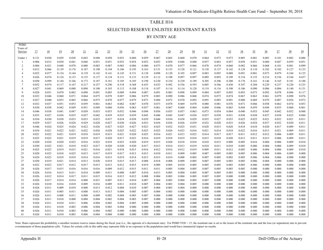# TABLE H16 SELECTED RESERVE ENLISTEE REENTRANT RATES

BY ENTRY AGE

| <b>PEBD</b>         |                |                |                |                 |                |                |                |                |                |                 |                |                |                |                |                 |                |                 |                |                |                |                |                |                |
|---------------------|----------------|----------------|----------------|-----------------|----------------|----------------|----------------|----------------|----------------|-----------------|----------------|----------------|----------------|----------------|-----------------|----------------|-----------------|----------------|----------------|----------------|----------------|----------------|----------------|
| Years of<br>Service | 17             | 18             | <u>19</u>      | $\overline{20}$ | 21             | $^{22}$        | 23             | 24             | 25             | $\overline{26}$ | 27             | <u>28</u>      | 29             | 30             | $\overline{31}$ | 32             | $\overline{33}$ | <u>34</u>      | 35             | $\frac{36}{5}$ | $\frac{37}{2}$ | <u>38</u>      | $\frac{39}{2}$ |
|                     |                |                |                |                 |                |                |                |                |                |                 |                |                |                |                |                 |                |                 |                |                |                |                |                |                |
| Under 1             | 0.121<br>0.006 | 0.030<br>0.012 | 0.029<br>0.030 | 0.038<br>0.041  | 0.043<br>0.046 | 0.048<br>0.051 | 0.050          | 0.053<br>0.052 | 0.060<br>0.054 | 0.059<br>0.052  | 0.067<br>0.052 | 0.065<br>0.058 | 0.060<br>0.046 | 0.070<br>0.048 | 0.064<br>0.057  | 0.073<br>0.063 | 0.073<br>0.057  | 0.085<br>0.058 | 0.081<br>0.051 | 0.083<br>0.060 | 0.101<br>0.047 | 0.082<br>0.059 | 0.086<br>0.051 |
| -1<br>2             | 0.004          | 0.021          | 0.048          | 0.070           | 0.080          | 0.083          | 0.051<br>0.087 | 0.083          | 0.086          | 0.080           | 0.073          | 0.070          | 0.077          | 0.066          | 0.078           | 0.074          | 0.060           | 0.082          | 0.066          | 0.068          | 0.101          | 0.081          | 0.099          |
| 3                   | 0.012          | 0.066          | 0.139          | 0.176           | 0.187          | 0.190          | 0.194          | 0.186          | 0.195          | 0.163           | 0.151          | 0.153          | 0.128          | 0.121          | 0.138           | 0.137          | 0.142           | 0.128          | 0.110          | 0.102          | 0.102          | 0.127          | 0.133          |
| $\overline{4}$      | 0.022          | 0.077          | 0.134          | 0.144           | 0.139          | 0.142          | 0.141          | 0.145          | 0.151          | 0.138           | 0.098          | 0.120          | 0.105          | 0.097          | 0.083           | 0.093          | 0.088           | 0.091          | 0.081          | 0.073          | 0.079          | 0.104          | 0.125          |
| 5                   | 0.026          | 0.074          | 0.124          | 0.133           | 0.135          | 0.137          | 0.134          | 0.131          | 0.133          | 0.129           | 0.112          | 0.108          | 0.097          | 0.097          | 0.089           | 0.093          | 0.109           | 0.154          | 0.155          | 0.216          | 0.336          | 0.544          | 0.657          |
| 6                   | 0.050          | 0.099          | 0.144          | 0.166           | 0.173          | 0.187          | 0.181          | 0.185          | 0.185          | 0.198           | 0.220          | 0.234          | 0.230          | 0.189          | 0.205           | 0.206          | 0.208           | 0.178          | 0.161          | 0.146          | 0.165          | 0.181          | 0.188          |
| $\overline{7}$      | 0.052          | 0.074          | 0.117          | 0.167           | 0.217          | 0.257          | 0.290          | 0.318          | 0.368          | 0.435           | 0.433          | 0.492          | 0.536          | 0.593          | 0.605           | 0.566          | 0.430           | 0.347          | 0.284          | 0.229          | 0.237          | 0.220          | 0.233          |
| 8                   | 0.027          | 0.041          | 0.069          | 0.088           | 0.098          | 0.100          | 0.103          | 0.115          | 0.108          | 0.118           | 0.107          | 0.114          | 0.114          | 0.128          | 0.119           | 0.116          | 0.108           | 0.106          | 0.090          | 0.086          | 0.084          | 0.140          | 0.131          |
| 9                   | 0.028          | 0.051          | 0.070          | 0.082           | 0.090          | 0.091          | 0.085          | 0.089          | 0.094          | 0.087           | 0.091          | 0.083          | 0.098          | 0.099          | 0.084           | 0.097          | 0.092           | 0.093          | 0.073          | 0.092          | 0.078          | 0.096          | 0.117          |
| 10                  | 0.032          | 0.046          | 0.060          | 0.071           | 0.064          | 0.075          | 0.078          | 0.087          | 0.086          | 0.079           | 0.083          | 0.090          | 0.086          | 0.068          | 0.074           | 0.073          | 0.074           | 0.067          | 0.063          | 0.061          | 0.079          | 0.090          | 0.076          |
| 11                  | 0.027          | 0.040          | 0.053          | 0.065           | 0.066          | 0.075          | 0.070          | 0.077          | 0.079          | 0.073           | 0.084          | 0.072          | 0.070          | 0.092          | 0.095           | 0.085          | 0.091           | 0.080          | 0.069          | 0.079          | 0.087          | 0.054          | 0.072          |
| 12<br>13            | 0.032<br>0.030 | 0.037<br>0.038 | 0.051<br>0.042 | 0.053<br>0.049  | 0.059<br>0.051 | 0.061<br>0.049 | 0.063<br>0.060 | 0.062<br>0.056 | 0.067<br>0.063 | 0.070<br>0.057  | 0.073<br>0.061 | 0.078<br>0.067 | 0.069<br>0.060 | 0.078<br>0.064 | 0.080<br>0.060  | 0.081<br>0.066 | 0.076<br>0.065  | 0.071<br>0.044 | 0.066<br>0.059 | 0.058<br>0.044 | 0.062<br>0.035 | 0.074<br>0.060 | 0.053<br>0.061 |
| 14                  | 0.046          | 0.038          | 0.041          | 0.047           | 0.050          | 0.053          | 0.053          | 0.052          | 0.046          | 0.048           | 0.056          | 0.055          | 0.057          | 0.063          | 0.073           | 0.054          | 0.064           | 0.040          | 0.053          | 0.045          | 0.042          | 0.052          | 0.048          |
| 15                  | 0.035          | 0.027          | 0.036          | 0.035           | 0.037          | 0.042          | 0.039          | 0.035          | 0.039          | 0.045           | 0.046          | 0.045          | 0.047          | 0.036          | 0.037           | 0.038          | 0.031           | 0.030          | 0.038          | 0.037          | 0.038          | 0.023          | 0.044          |
| 16                  | 0.034          | 0.030          | 0.030          | 0.033           | 0.033          | 0.032          | 0.037          | 0.034          | 0.038          | 0.039           | 0.044          | 0.034          | 0.038          | 0.029          | 0.035           | 0.027          | 0.033           | 0.025          | 0.025          | 0.021          | 0.032          | 0.021          | 0.011          |
| 17                  | 0.029          | 0.027          | 0.026          | 0.028           | 0.029          | 0.028          | 0.027          | 0.030          | 0.026          | 0.033           | 0.034          | 0.036          | 0.026          | 0.039          | 0.032           | 0.020          | 0.033           | 0.026          | 0.024          | 0.037          | 0.032          | 0.020          | 0.011          |
| 18                  | 0.046          | 0.024          | 0.025          | 0.024           | 0.022          | 0.026          | 0.027          | 0.025          | 0.027          | 0.023           | 0.025          | 0.032          | 0.025          | 0.031          | 0.028           | 0.015          | 0.028           | 0.018          | 0.010          | 0.020          | 0.017          | 0.009          | 0.011          |
| 19                  | 0.034          | 0.021          | 0.022          | 0.021           | 0.022          | 0.026          | 0.028          | 0.025          | 0.022          | 0.025           | 0.025          | 0.026          | 0.023          | 0.016          | 0.021           | 0.014          | 0.018           | 0.022          | 0.016          | 0.013          | 0.021          | 0.009          | 0.011          |
| 20                  | 0.021          | 0.022          | 0.021          | 0.019           | 0.018          | 0.019          | 0.015          | 0.021          | 0.020          | 0.025           | 0.016          | 0.021          | 0.013          | 0.023          | 0.014           | 0.017          | 0.017           | 0.011          | 0.012          | 0.012          | 0.006          | 0.009          | 0.011          |
| 21                  | 0.025          | 0.022          | 0.021          | 0.019           | 0.019          | 0.017          | 0.020          | 0.017          | 0.023          | 0.016           | 0.019          | 0.018          | 0.019          | 0.018          | 0.015           | 0.010          | 0.020           | 0.012          | 0.011          | 0.015          | 0.006          | 0.009          | 0.011          |
| 22                  | 0.020          | 0.024          | 0.020          | 0.022           | 0.016          | 0.022          | 0.018          | 0.023          | 0.020          | 0.019           | 0.015          | 0.020          | 0.018          | 0.018          | 0.010           | 0.015          | 0.009           | 0.005          | 0.016          | 0.004          | 0.006          | 0.009          | 0.010          |
| 23<br>24            | 0.030<br>0.025 | 0.022<br>0.023 | 0.021<br>0.019 | 0.018<br>0.015  | 0.022<br>0.021 | 0.017<br>0.016 | 0.020<br>0.021 | 0.020<br>0.018 | 0.020<br>0.015 | 0.017<br>0.016  | 0.013<br>0.012 | 0.014<br>0.014 | 0.013<br>0.012 | 0.019<br>0.019 | 0.010<br>0.009  | 0.011<br>0.011 | 0.010<br>0.012  | 0.005<br>0.005 | 0.006<br>0.006 | 0.004<br>0.004 | 0.006<br>0.006 | 0.009<br>0.009 | 0.010<br>0.010 |
| 25                  | 0.020          | 0.023          | 0.018          | 0.025           | 0.015          | 0.017          | 0.019          | 0.017          | 0.013          | 0.013           | 0.010          | 0.011          | 0.009          | 0.005          | 0.007           | 0.005          | 0.003           | 0.005          | 0.006          | 0.004          | 0.006          | 0.009          | 0.000          |
| 26                  | 0.024          | 0.023          | 0.018          | 0.018           | 0.014          | 0.016          | 0.015          | 0.019          | 0.014          | 0.013           | 0.015          | 0.014          | 0.008          | 0.005          | 0.007           | 0.005          | 0.003           | 0.005          | 0.006          | 0.004          | 0.006          | 0.000          | 0.000          |
| 27                  | 0.030          | 0.019          | 0.021          | 0.014           | 0.013          | 0.020          | 0.018          | 0.015          | 0.017          | 0.008           | 0.018          | 0.008          | 0.009          | 0.005          | 0.007           | 0.005          | 0.003           | 0.005          | 0.006          | 0.004          | 0.000          | 0.000          | 0.000          |
| 28                  | 0.022          | 0.023          | 0.017          | 0.012           | 0.017          | 0.015          | 0.013          | 0.012          | 0.015          | 0.019           | 0.009          | 0.005          | 0.010          | 0.005          | 0.005           | 0.005          | 0.003           | 0.005          | 0.006          | 0.000          | 0.000          | 0.000          | 0.000          |
| 29                  | 0.026          | 0.017          | 0.015          | 0.016           | 0.016          | 0.016          | 0.009          | 0.012          | 0.015          | 0.011           | 0.011          | 0.005          | 0.004          | 0.005          | 0.007           | 0.005          | 0.003           | 0.005          | 0.000          | 0.000          | 0.000          | 0.000          | 0.000          |
| 30                  | 0.026          | 0.016          | 0.013          | 0.011           | 0.018          | 0.009          | 0.011          | 0.008          | 0.007          | 0.010           | 0.013          | 0.003          | 0.004          | 0.005          | 0.007           | 0.005          | 0.003           | 0.000          | 0.000          | 0.000          | 0.000          | 0.000          | 0.000          |
| 31                  | 0.026          | 0.012          | 0.014          | 0.017           | 0.011          | 0.015          | 0.016          | 0.013          | 0.012          | 0.008           | 0.004          | 0.003          | 0.004          | 0.005          | 0.007           | 0.005          | 0.000           | 0.000          | 0.000          | 0.000          | 0.000          | 0.000          | 0.000          |
| 32                  | 0.026          | 0.017          | 0.014          | 0.014           | 0.008          | 0.021          | 0.007          | 0.011          | 0.010          | 0.007           | 0.004          | 0.003          | 0.004          | 0.005          | 0.007           | 0.000          | 0.000           | 0.000          | 0.000          | 0.000          | 0.000          | 0.000          | 0.000          |
| 33                  | 0.026          | 0.010          | 0.016          | 0.010           | 0.009          | 0.016          | 0.009          | 0.011          | 0.010          | 0.007           | 0.004          | 0.003          | 0.004          | 0.005          | 0.000           | 0.000          | 0.000           | 0.000          | 0.000          | 0.000          | 0.000          | 0.000          | 0.000          |
| 34<br>35            | 0.026<br>0.026 | 0.011<br>0.011 | 0.009<br>0.005 | 0.010<br>0.011  | 0.008<br>0.008 | 0.013<br>0.013 | 0.012<br>0.013 | 0.004<br>0.004 | 0.010<br>0.005 | 0.007<br>0.007  | 0.004<br>0.004 | 0.003<br>0.003 | 0.004<br>0.000 | 0.000<br>0.000 | 0.000<br>0.000  | 0.000<br>0.000 | 0.000<br>0.000  | 0.000<br>0.000 | 0.000<br>0.000 | 0.000<br>0.000 | 0.000<br>0.000 | 0.000<br>0.000 | 0.000<br>0.000 |
| 36                  | 0.026          | 0.011          | 0.008          | 0.011           | 0.008          | 0.009          | 0.002          | 0.004          | 0.005          | 0.007           | 0.004          | 0.000          | 0.000          | 0.000          | 0.000           | 0.000          | 0.000           | 0.000          | 0.000          | 0.000          | 0.000          | 0.000          | 0.000          |
| 37                  | 0.026          | 0.011          | 0.010          | 0.008           | 0.008          | 0.004          | 0.002          | 0.004          | 0.005          | 0.007           | 0.000          | 0.000          | 0.000          | 0.000          | 0.000           | 0.000          | 0.000           | 0.000          | 0.000          | 0.000          | 0.000          | 0.000          | 0.000          |
| 38                  | 0.026          | 0.011          | 0.010          | 0.011           | 0.006          | 0.004          | 0.002          | 0.004          | 0.005          | 0.000           | 0.000          | 0.000          | 0.000          | 0.000          | 0.000           | 0.000          | 0.000           | 0.000          | 0.000          | 0.000          | 0.000          | 0.000          | 0.000          |
| 39                  | 0.026          | 0.011          | 0.010          | 0.003           | 0.006          | 0.004          | 0.002          | 0.004          | 0.000          | 0.000           | 0.000          | 0.000          | 0.000          | 0.000          | 0.000           | 0.000          | 0.000           | 0.000          | 0.000          | 0.000          | 0.000          | 0.000          | 0.000          |
| 40                  | 0.026          | 0.011          | 0.010          | 0.003           | 0.006          | 0.004          | 0.002          | 0.000          | 0.000          | 0.000           | 0.000          | 0.000          | 0.000          | 0.000          | 0.000           | 0.000          | 0.000           | 0.000          | 0.000          | 0.000          | 0.000          | 0.000          | 0.000          |
| 41                  | 0.026          | 0.011          | 0.010          | 0.003           | 0.006          | 0.004          | 0.000          | 0.000          | 0.000          | 0.000           | 0.000          | 0.000          | 0.000          | 0.000          | 0.000           | 0.000          | 0.000           | 0.000          | 0.000          | 0.000          | 0.000          | 0.000          | 0.000          |

Note: Rates represent the probability a member reenters reserve status during the fiscal year (i.e., the opposite of a decrement rate). For PEBD YOS > 15, the reentrant rate is set to the lessor of the reentrant rate and t overstatement of those population cells. Values for certain cells in this table may represent little to no exposure in the population (and would have immaterial impact on results.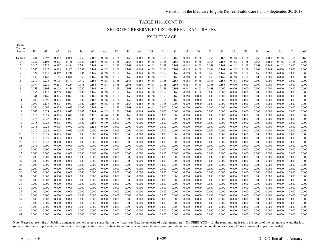## TABLE H16 (CONT'D) SELECTED RESERVE ENLISTEE REENTRANT RATES BY ENTRY AGE

| <b>PEBD</b><br>Years of |                |                |                |                 |                 |                 |                |                |                 |                |                |                 |                |                |                |                |                |                |                |                |                |                |                |                |
|-------------------------|----------------|----------------|----------------|-----------------|-----------------|-----------------|----------------|----------------|-----------------|----------------|----------------|-----------------|----------------|----------------|----------------|----------------|----------------|----------------|----------------|----------------|----------------|----------------|----------------|----------------|
| Service                 | 40             | 41             | 42             | $\overline{43}$ | $\overline{44}$ | $\overline{45}$ | $\frac{46}{5}$ | $\frac{47}{1}$ | $\overline{48}$ | 49             | 50             | $\overline{21}$ | 52             | 53             | 54             | 55             | 56             | 57             | 58             | 59             | 60             | <u>61</u>      | 62             | $\geq 62$      |
|                         | 0.081          | 0.092          | 0.084          |                 |                 |                 |                |                |                 |                |                |                 |                |                |                |                |                |                |                |                | 0.168          |                |                |                |
| Under 1                 | 0.057          | 0.105          | 0.075          | 0.088<br>0.136  | 0.169<br>0.143  | 0.168<br>0.168  | 0.168<br>0.168 | 0.168<br>0.168 | 0.168<br>0.168  | 0.168<br>0.168 | 0.168<br>0.168 | 0.168<br>0.168  | 0.168<br>0.168 | 0.168<br>0.168 | 0.168<br>0.168 | 0.168<br>0.168 | 0.168<br>0.168 | 0.168<br>0.168 | 0.168<br>0.168 | 0.168<br>0.168 | 0.168          | 0.168<br>0.168 | 0.168<br>0.168 | 0.168<br>0.000 |
| 2                       | 0.117          | 0.236          | 0.397          | 0.344           | 0.364           | 0.168           | 0.168          | 0.168          | 0.168           | 0.168          | 0.168          | 0.168           | 0.168          | 0.168          | 0.168          | 0.168          | 0.168          | 0.168          | 0.168          | 0.168          | 0.168          | 0.168          | 0.000          | 0.000          |
| 3                       | 0.207          | 0.452          | 0.603          | 0.563           | 0.267           | 0.168           | 0.168          | 0.168          | 0.168           | 0.168          | 0.168          | 0.168           | 0.168          | 0.168          | 0.168          | 0.168          | 0.168          | 0.168          | 0.168          | 0.168          | 0.168          | 0.000          | 0.000          | 0.000          |
|                         | 0.124          | 0.231          | 0.317          | 0.240           | 0.286           | 0.168           | 0.168          | 0.168          | 0.168           | 0.168          | 0.168          | 0.168           | 0.168          | 0.168          | 0.168          | 0.168          | 0.168          | 0.168          | 0.168          | 0.168          | 0.000          | 0.000          | 0.000          | 0.000          |
| .5                      | 0.880          | 1.140          | 1.155          | 0.896           | 0.960           | 0.168           | 0.168          | 0.168          | 0.168           | 0.168          | 0.168          | 0.168           | 0.168          | 0.168          | 0.168          | 0.168          | 0.168          | 0.168          | 0.168          | 0.000          | 0.000          | 0.000          | 0.000          | 0.000          |
| 6                       | 0.219          | 0.238          | 0.175          | 0.171           | 0.412           | 0.168           | 0.168          | 0.168          | 0.168           | 0.168          | 0.168          | 0.168           | 0.168          | 0.168          | 0.168          | 0.168          | 0.168          | 0.168          | 0.000          | 0.000          | 0.000          | 0.000          | 0.000          | 0.000          |
|                         | 0.194          | 0.251          | 0.258          | 0.234           | 0.171           | 0.168           | 0.168          | 0.168          | 0.168           | 0.168          | 0.168          | 0.168           | 0.168          | 0.168          | 0.168          | 0.168          | 0.168          | 0.000          | 0.000          | 0.000          | 0.000          | 0.000          | 0.000          | 0.000          |
| 8                       | 0.153          | 0.105          | 0.153          | 0.234           | 0.240           | 0.168           | 0.168          | 0.168          | 0.168           | 0.168          | 0.168          | 0.168           | 0.168          | 0.168          | 0.168          | 0.168          | 0.000          | 0.000          | 0.000          | 0.000          | 0.000          | 0.000          | 0.000          | 0.000          |
| 9                       | 0.166          | 0.110          | 0.203          | 0.073           | 0.107           | 0.168           | 0.168          | 0.168          | 0.168           | 0.168          | 0.168          | 0.168           | 0.168          | 0.168          | 0.168          | 0.000          | 0.000          | 0.000          | 0.000          | 0.000          | 0.000          | 0.000          | 0.000          | 0.000          |
| 10                      | 0.141          | 0.165          | 0.075          | 0.073           | 0.107           | 0.168           | 0.168          | 0.168          | 0.168           | 0.168          | 0.168          | 0.168           | 0.168          | 0.168          | 0.000          | 0.000          | 0.000          | 0.000          | 0.000          | 0.000          | 0.000          | 0.000          | 0.000          | 0.000          |
| 11<br>12                | 0.082<br>0.099 | 0.096<br>0.138 | 0.075<br>0.075 | 0.073<br>0.073  | 0.107<br>0.107  | 0.168<br>0.168  | 0.168<br>0.168 | 0.168<br>0.168 | 0.168<br>0.168  | 0.168<br>0.168 | 0.168<br>0.168 | 0.168<br>0.168  | 0.168<br>0.000 | 0.000<br>0.000 | 0.000<br>0.000 | 0.000<br>0.000 | 0.000<br>0.000 | 0.000<br>0.000 | 0.000<br>0.000 | 0.000<br>0.000 | 0.000<br>0.000 | 0.000<br>0.000 | 0.000<br>0.000 | 0.000<br>0.000 |
| 13                      | 0.046          | 0.099          | 0.075          | 0.073           | 0.107           | 0.168           | 0.168          | 0.168          | 0.168           | 0.168          | 0.168          | 0.000           | 0.000          | 0.000          | 0.000          | 0.000          | 0.000          | 0.000          | 0.000          | 0.000          | 0.000          | 0.000          | 0.000          | 0.000          |
| 14                      | 0.043          | 0.028          | 0.075          | 0.073           | 0.107           | 0.168           | 0.168          | 0.168          | 0.168           | 0.168          | 0.000          | 0.000           | 0.000          | 0.000          | 0.000          | 0.000          | 0.000          | 0.000          | 0.000          | 0.000          | 0.000          | 0.000          | 0.000          | 0.000          |
| 15                      | 0.015          | 0.028          | 0.075          | 0.073           | 0.107           | 0.156           | 0.140          | 0.140          | 0.140           | 0.000          | 0.000          | 0.000           | 0.000          | 0.000          | 0.000          | 0.000          | 0.000          | 0.000          | 0.000          | 0.000          | 0.000          | 0.000          | 0.000          | 0.000          |
| 16                      | 0.015          | 0.028          | 0.075          | 0.073           | 0.107           | 0.156           | 0.140          | 0.140          | 0.000           | 0.000          | 0.000          | 0.000           | 0.000          | 0.000          | 0.000          | 0.000          | 0.000          | 0.000          | 0.000          | 0.000          | 0.000          | 0.000          | 0.000          | 0.000          |
| 17                      | 0.015          | 0.028          | 0.075          | 0.073           | 0.107           | 0.156           | 0.140          | 0.000          | 0.000           | 0.000          | 0.000          | 0.000           | 0.000          | 0.000          | 0.000          | 0.000          | 0.000          | 0.000          | 0.000          | 0.000          | 0.000          | 0.000          | 0.000          | 0.000          |
| 18                      | 0.015          | 0.028          | 0.075          | 0.073           | 0.107           | 0.156           | 0.000          | 0.000          | 0.000           | 0.000          | 0.000          | 0.000           | 0.000          | 0.000          | 0.000          | 0.000          | 0.000          | 0.000          | 0.000          | 0.000          | 0.000          | 0.000          | 0.000          | 0.000          |
| 19                      | 0.015          | 0.028          | 0.075          | 0.073           | 0.107           | 0.000           | 0.000          | 0.000          | 0.000           | 0.000          | 0.000          | 0.000           | 0.000          | 0.000          | 0.000          | 0.000          | 0.000          | 0.000          | 0.000          | 0.000          | 0.000          | 0.000          | 0.000          | 0.000          |
| 20                      | 0.015          | 0.028          | 0.075          | 0.073           | 0.000           | 0.000           | 0.000          | 0.000          | 0.000           | 0.000          | 0.000          | 0.000           | 0.000          | 0.000          | 0.000          | 0.000          | 0.000          | 0.000          | 0.000          | 0.000          | 0.000          | 0.000          | 0.000          | 0.000          |
| 21                      | 0.015          | 0.028          | 0.075          | 0.000           | 0.000           | 0.000           | 0.000          | 0.000          | 0.000           | 0.000          | 0.000          | 0.000           | 0.000          | 0.000          | 0.000          | 0.000          | 0.000          | 0.000          | 0.000          | 0.000          | 0.000          | 0.000          | 0.000          | 0.000          |
| 22                      | 0.015          | 0.028          | 0.000          | 0.000           | 0.000           | 0.000           | 0.000          | 0.000          | 0.000           | 0.000          | 0.000          | 0.000           | 0.000          | 0.000          | 0.000          | 0.000          | 0.000          | 0.000          | 0.000          | 0.000          | 0.000          | 0.000          | 0.000          | 0.000          |
| 23                      | 0.015          | 0.000          | 0.000          | 0.000           | 0.000           | 0.000           | 0.000          | 0.000          | 0.000           | 0.000          | 0.000          | 0.000           | 0.000          | 0.000          | 0.000<br>0.000 | 0.000<br>0.000 | 0.000<br>0.000 | 0.000<br>0.000 | 0.000<br>0.000 | 0.000<br>0.000 | 0.000<br>0.000 | 0.000<br>0.000 | 0.000<br>0.000 | 0.000<br>0.000 |
| 24<br>25                | 0.000<br>0.000 | 0.000<br>0.000 | 0.000<br>0.000 | 0.000<br>0.000  | 0.000<br>0.000  | 0.000<br>0.000  | 0.000<br>0.000 | 0.000<br>0.000 | 0.000<br>0.000  | 0.000<br>0.000 | 0.000<br>0.000 | 0.000<br>0.000  | 0.000<br>0.000 | 0.000<br>0.000 | 0.000          | 0.000          | 0.000          | 0.000          | 0.000          | 0.000          | 0.000          | 0.000          | 0.000          | 0.000          |
| 26                      | 0.000          | 0.000          | 0.000          | 0.000           | 0.000           | 0.000           | 0.000          | 0.000          | 0.000           | 0.000          | 0.000          | 0.000           | 0.000          | 0.000          | 0.000          | 0.000          | 0.000          | 0.000          | 0.000          | 0.000          | 0.000          | 0.000          | 0.000          | 0.000          |
| 27                      | 0.000          | 0.000          | 0.000          | 0.000           | 0.000           | 0.000           | 0.000          | 0.000          | 0.000           | 0.000          | 0.000          | 0.000           | 0.000          | 0.000          | 0.000          | 0.000          | 0.000          | 0.000          | 0.000          | 0.000          | 0.000          | 0.000          | 0.000          | 0.000          |
| 28                      | 0.000          | 0.000          | 0.000          | 0.000           | 0.000           | 0.000           | 0.000          | 0.000          | 0.000           | 0.000          | 0.000          | 0.000           | 0.000          | 0.000          | 0.000          | 0.000          | 0.000          | 0.000          | 0.000          | 0.000          | 0.000          | 0.000          | 0.000          | 0.000          |
| 29                      | 0.000          | 0.000          | 0.000          | 0.000           | 0.000           | 0.000           | 0.000          | 0.000          | 0.000           | 0.000          | 0.000          | 0.000           | 0.000          | 0.000          | 0.000          | 0.000          | 0.000          | 0.000          | 0.000          | 0.000          | 0.000          | 0.000          | 0.000          | 0.000          |
| 30                      | 0.000          | 0.000          | 0.000          | 0.000           | 0.000           | 0.000           | 0.000          | 0.000          | 0.000           | 0.000          | 0.000          | 0.000           | 0.000          | 0.000          | 0.000          | 0.000          | 0.000          | 0.000          | 0.000          | 0.000          | 0.000          | 0.000          | 0.000          | 0.000          |
| 31                      | 0.000          | 0.000          | 0.000          | 0.000           | 0.000           | 0.000           | 0.000          | 0.000          | 0.000           | 0.000          | 0.000          | 0.000           | 0.000          | 0.000          | 0.000          | 0.000          | 0.000          | 0.000          | 0.000          | 0.000          | 0.000          | 0.000          | 0.000          | 0.000          |
| 32                      | 0.000          | 0.000          | 0.000          | 0.000           | 0.000           | 0.000           | 0.000          | 0.000          | 0.000           | 0.000          | 0.000          | 0.000           | 0.000          | 0.000          | 0.000          | 0.000          | 0.000          | 0.000          | 0.000          | 0.000          | 0.000          | 0.000          | 0.000          | 0.000          |
| 33                      | 0.000          | 0.000          | 0.000          | 0.000           | 0.000           | 0.000           | 0.000          | 0.000          | 0.000           | 0.000          | 0.000          | 0.000           | 0.000          | 0.000          | 0.000          | 0.000          | 0.000          | 0.000          | 0.000          | 0.000          | 0.000          | 0.000          | 0.000          | 0.000          |
| 34                      | 0.000          | 0.000          | 0.000          | 0.000           | 0.000           | 0.000           | 0.000          | 0.000          | 0.000           | 0.000          | 0.000          | 0.000           | 0.000          | 0.000          | 0.000          | 0.000          | 0.000          | 0.000          | 0.000          | 0.000          | 0.000          | 0.000          | 0.000          | 0.000          |
| 35                      | 0.000          | 0.000          | 0.000          | 0.000           | 0.000           | 0.000           | 0.000          | 0.000          | 0.000           | 0.000          | 0.000          | 0.000           | 0.000          | 0.000          | 0.000          | 0.000          | 0.000          | 0.000          | 0.000          | 0.000          | 0.000          | 0.000          | 0.000          | 0.000          |
| 36                      | 0.000          | 0.000          | 0.000          | 0.000           | 0.000           | 0.000           | 0.000          | 0.000          | 0.000           | 0.000          | 0.000          | 0.000           | 0.000          | 0.000          | 0.000          | 0.000          | 0.000<br>0.000 | 0.000          | 0.000          | 0.000<br>0.000 | 0.000          | 0.000          | 0.000          | 0.000          |
| 37<br>38                | 0.000<br>0.000 | 0.000<br>0.000 | 0.000<br>0.000 | 0.000<br>0.000  | 0.000<br>0.000  | 0.000<br>0.000  | 0.000<br>0.000 | 0.000<br>0.000 | 0.000<br>0.000  | 0.000<br>0.000 | 0.000<br>0.000 | 0.000<br>0.000  | 0.000<br>0.000 | 0.000<br>0.000 | 0.000<br>0.000 | 0.000<br>0.000 | 0.000          | 0.000<br>0.000 | 0.000<br>0.000 | 0.000          | 0.000<br>0.000 | 0.000<br>0.000 | 0.000<br>0.000 | 0.000<br>0.000 |
| 39                      | 0.000          | 0.000          | 0.000          | 0.000           | 0.000           | 0.000           | 0.000          | 0.000          | 0.000           | 0.000          | 0.000          | 0.000           | 0.000          | 0.000          | 0.000          | 0.000          | 0.000          | 0.000          | 0.000          | 0.000          | 0.000          | 0.000          | 0.000          | 0.000          |
| 40                      | 0.000          | 0.000          | 0.000          | 0.000           | 0.000           | 0.000           | 0.000          | 0.000          | 0.000           | 0.000          | 0.000          | 0.000           | 0.000          | 0.000          | 0.000          | 0.000          | 0.000          | 0.000          | 0.000          | 0.000          | 0.000          | 0.000          | 0.000          | 0.000          |
| 41                      | 0.000          | 0.000          | 0.000          | 0.000           | 0.000           | 0.000           | 0.000          | 0.000          | 0.000           | 0.000          | 0.000          | 0.000           | 0.000          | 0.000          | 0.000          | 0.000          | 0.000          | 0.000          | 0.000          | 0.000          | 0.000          | 0.000          | 0.000          | 0.000          |

Note: Rates represent the probability a member reenters reserve status during the fiscal year (i.e., the opposite of a decrement rate). For PEBD YOS > 15, the reentrant rate is set to the lessor of the reentrant rate and t (or separation) rate to prevent overstatement of those population cells. Values for certain cells in this table may represent little to no exposure in the population (and would have immaterial impact on results).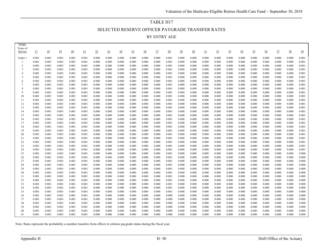# TABLE H17 SELECTED RESERVE OFFICER PAYGRADE TRANSFER RATES BY ENTRY AGE

| <b>PEBD</b>         |                |                |                |                 |                |                |                |                 |                |                 |                |                |                |                 |                 |                |                 |                 |                |                |                |                |                |
|---------------------|----------------|----------------|----------------|-----------------|----------------|----------------|----------------|-----------------|----------------|-----------------|----------------|----------------|----------------|-----------------|-----------------|----------------|-----------------|-----------------|----------------|----------------|----------------|----------------|----------------|
| Years of<br>Service | 17             | 18             | 19             | $\overline{20}$ | 21             | 22             | 23             | $\overline{24}$ | 25             | $\overline{26}$ | 27             | <u>28</u>      | 29             | $\overline{30}$ | $\overline{31}$ | 32             | $\overline{33}$ | $\overline{34}$ | 35             | $\frac{36}{5}$ | $\frac{37}{2}$ | $rac{38}{2}$   | $\frac{39}{2}$ |
|                     |                |                |                |                 |                |                |                |                 |                |                 |                |                |                |                 |                 |                |                 |                 |                |                |                |                |                |
| Under:              | 0.001          | 0.001          | 0.001          | 0.001           | 0.001          | 0.000          | 0.000          | 0.000           | 0.000          | 0.000           | 0.000          | 0.001          | 0.000          | 0.000           | 0.000           | 0.000          | 0.000           | 0.000           | 0.000          | 0.000          | 0.000          | 0.000          | 0.001          |
| -1                  | 0.001          | 0.001          | 0.001          | 0.001           | 0.001          | 0.000          | 0.000          | 0.000           | 0.000          | 0.000           | 0.000          | 0.001          | 0.000          | 0.000           | 0.000           | 0.000          | 0.000           | 0.000           | 0.000          | 0.000          | 0.000          | 0.000          | 0.001          |
| $\overline{c}$<br>3 | 0.001          | 0.001<br>0.001 | 0.001          | 0.001           | 0.001          | 0.000<br>0.000 | 0.000          | 0.000           | 0.000          | 0.000           | 0.000          | 0.001          | 0.000<br>0.000 | 0.000           | 0.000           | 0.000          | 0.000           | 0.000           | 0.000<br>0.000 | 0.000          | 0.000          | 0.000          | 0.001<br>0.001 |
| $\overline{4}$      | 0.001<br>0.001 | 0.001          | 0.001<br>0.001 | 0.001<br>0.001  | 0.001<br>0.001 | 0.000          | 0.000<br>0.000 | 0.000<br>0.000  | 0.000<br>0.000 | 0.000<br>0.000  | 0.000<br>0.000 | 0.001<br>0.001 | 0.000          | 0.000<br>0.000  | 0.000<br>0.000  | 0.000<br>0.000 | 0.000<br>0.000  | 0.000<br>0.000  | 0.000          | 0.000<br>0.000 | 0.000<br>0.000 | 0.000<br>0.000 | 0.001          |
| 5                   | 0.001          | 0.001          | 0.001          | 0.001           | 0.001          | 0.000          | 0.000          | 0.000           | 0.000          | 0.000           | 0.000          | 0.001          | 0.000          | 0.000           | 0.000           | 0.000          | 0.000           | 0.000           | 0.000          | 0.000          | 0.000          | 0.000          | 0.001          |
| 6                   | 0.001          | 0.001          | 0.001          | 0.001           | 0.001          | 0.000          | 0.000          | 0.000           | 0.000          | 0.000           | 0.000          | 0.001          | 0.000          | 0.000           | 0.000           | 0.000          | 0.000           | 0.000           | 0.000          | 0.000          | 0.000          | 0.000          | 0.001          |
| $\overline{7}$      | 0.001          | 0.001          | 0.001          | 0.001           | 0.001          | 0.000          | 0.000          | 0.000           | 0.000          | 0.000           | 0.000          | 0.001          | 0.000          | 0.000           | 0.000           | 0.000          | 0.000           | 0.000           | 0.000          | 0.000          | 0.000          | 0.000          | 0.001          |
| 8                   | 0.001          | 0.001          | 0.001          | 0.001           | 0.001          | 0.000          | 0.000          | 0.000           | 0.000          | 0.000           | 0.000          | 0.001          | 0.000          | 0.000           | 0.000           | 0.000          | 0.000           | 0.000           | 0.000          | 0.000          | 0.000          | 0.000          | 0.001          |
| 9                   | 0.001          | 0.001          | 0.001          | 0.001           | 0.001          | 0.000          | 0.000          | 0.000           | 0.000          | 0.000           | 0.000          | 0.001          | 0.000          | 0.000           | 0.000           | 0.000          | 0.000           | 0.000           | 0.000          | 0.000          | 0.000          | 0.000          | 0.001          |
| 10                  | 0.001          | 0.001          | 0.001          | 0.001           | 0.001          | 0.000          | 0.000          | 0.000           | 0.000          | 0.000           | 0.000          | 0.001          | 0.000          | 0.000           | 0.000           | 0.000          | 0.000           | 0.000           | 0.000          | 0.000          | 0.000          | 0.000          | 0.001          |
| 11                  | 0.001          | 0.001          | 0.001          | 0.001           | 0.001          | 0.000          | 0.000          | 0.000           | 0.000          | 0.000           | 0.000          | 0.001          | 0.000          | 0.000           | 0.000           | 0.000          | 0.000           | 0.000           | 0.000          | 0.000          | 0.000          | 0.000          | 0.001          |
| 12                  | 0.001          | 0.001          | 0.001          | 0.001           | 0.001          | 0.000          | 0.000          | 0.000           | 0.000          | 0.000           | 0.000          | 0.001          | 0.000          | 0.000           | 0.000           | 0.000          | 0.000           | 0.000           | 0.000          | 0.000          | 0.000          | 0.000          | 0.001          |
| 13                  | 0.001          | 0.001          | 0.001          | 0.001           | 0.001          | 0.000          | 0.000          | 0.000           | 0.000          | 0.000           | 0.000          | 0.001          | 0.000          | 0.000           | 0.000           | 0.000          | 0.000           | 0.000           | 0.000          | 0.000          | 0.000          | 0.000          | 0.001          |
| 14                  | 0.001          | 0.001          | 0.001          | 0.001           | 0.001          | 0.000          | 0.000          | 0.000           | 0.000          | 0.000           | 0.000          | 0.001          | 0.000          | 0.000           | 0.000           | 0.000          | 0.000           | 0.000           | 0.000          | 0.000          | 0.000          | 0.000          | 0.001          |
| 15                  | 0.001          | 0.001          | 0.001          | 0.001           | 0.001          | 0.000          | 0.000          | 0.000           | 0.000          | 0.000           | 0.000          | 0.001          | 0.000          | 0.000           | 0.000           | 0.000          | 0.000           | 0.000           | 0.000          | 0.000          | 0.000          | 0.000          | 0.001          |
| 16<br>17            | 0.001<br>0.001 | 0.001<br>0.001 | 0.001<br>0.001 | 0.001           | 0.001          | 0.000<br>0.000 | 0.000<br>0.000 | 0.000<br>0.000  | 0.000<br>0.000 | 0.000<br>0.000  | 0.000<br>0.000 | 0.001<br>0.001 | 0.000<br>0.000 | 0.000<br>0.000  | 0.000<br>0.000  | 0.000          | 0.000<br>0.000  | 0.000           | 0.000<br>0.000 | 0.000          | 0.000<br>0.000 | 0.000<br>0.000 | 0.001<br>0.001 |
| 18                  | 0.001          | 0.001          | 0.001          | 0.001<br>0.001  | 0.001<br>0.001 | 0.000          | 0.000          | 0.000           | 0.000          | 0.000           | 0.000          | 0.001          | 0.000          | 0.000           | 0.000           | 0.000<br>0.000 | 0.000           | 0.000<br>0.000  | 0.000          | 0.000<br>0.000 | 0.000          | 0.000          | 0.001          |
| 19                  | 0.001          | 0.001          | 0.001          | 0.001           | 0.001          | 0.000          | 0.000          | 0.000           | 0.000          | 0.000           | 0.000          | 0.001          | 0.000          | 0.000           | 0.000           | 0.000          | 0.000           | 0.000           | 0.000          | 0.000          | 0.000          | 0.000          | 0.001          |
| 20                  | 0.001          | 0.001          | 0.001          | 0.001           | 0.001          | 0.000          | 0.000          | 0.000           | 0.000          | 0.000           | 0.000          | 0.001          | 0.000          | 0.000           | 0.000           | 0.000          | 0.000           | 0.000           | 0.000          | 0.000          | 0.000          | 0.000          | 0.001          |
| 21                  | 0.001          | 0.001          | 0.001          | 0.001           | 0.001          | 0.000          | 0.000          | 0.000           | 0.000          | 0.000           | 0.000          | 0.001          | 0.000          | 0.000           | 0.000           | 0.000          | 0.000           | 0.000           | 0.000          | 0.000          | 0.000          | 0.000          | 0.001          |
| 22                  | 0.001          | 0.001          | 0.001          | 0.001           | 0.001          | 0.000          | 0.000          | 0.000           | 0.000          | 0.000           | 0.000          | 0.001          | 0.000          | 0.000           | 0.000           | 0.000          | 0.000           | 0.000           | 0.000          | 0.000          | 0.000          | 0.000          | 0.001          |
| 23                  | 0.001          | 0.001          | 0.001          | 0.001           | 0.001          | 0.000          | 0.000          | 0.000           | 0.000          | 0.000           | 0.000          | 0.001          | 0.000          | 0.000           | 0.000           | 0.000          | 0.000           | 0.000           | 0.000          | 0.000          | 0.000          | 0.000          | 0.001          |
| 24                  | 0.001          | 0.001          | 0.001          | 0.001           | 0.001          | 0.000          | 0.000          | 0.000           | 0.000          | 0.000           | 0.000          | 0.001          | 0.000          | 0.000           | 0.000           | 0.000          | 0.000           | 0.000           | 0.000          | 0.000          | 0.000          | 0.000          | 0.001          |
| 25                  | 0.001          | 0.001          | 0.001          | 0.001           | 0.001          | 0.000          | 0.000          | 0.000           | 0.000          | 0.000           | 0.000          | 0.001          | 0.000          | 0.000           | 0.000           | 0.000          | 0.000           | 0.000           | 0.000          | 0.000          | 0.000          | 0.000          | 0.000          |
| 26                  | 0.001          | 0.001          | 0.001          | 0.001           | 0.001          | 0.000          | 0.000          | 0.000           | 0.000          | 0.000           | 0.000          | 0.001          | 0.000          | 0.000           | 0.000           | 0.000          | 0.000           | 0.000           | 0.000          | 0.000          | 0.000          | 0.000          | 0.000          |
| 27                  | 0.001          | 0.001          | 0.001          | 0.001           | 0.001          | 0.000          | 0.000          | 0.000           | 0.000          | 0.000           | 0.000          | 0.001          | 0.000          | 0.000           | 0.000           | 0.000          | 0.000           | 0.000           | 0.000          | 0.000          | 0.000          | 0.000          | 0.000          |
| 28                  | 0.001          | 0.001          | 0.001          | 0.001           | 0.001          | 0.000          | 0.000          | 0.000           | 0.000          | 0.000           | 0.000          | 0.001          | 0.000          | 0.000           | 0.000           | 0.000          | 0.000           | 0.000           | 0.000          | 0.000          | 0.000          | 0.000          | 0.000          |
| 29                  | 0.001          | 0.001<br>0.001 | 0.001          | 0.001           | 0.001          | 0.000<br>0.000 | 0.000<br>0.000 | 0.000           | 0.000          | 0.000<br>0.000  | 0.000          | 0.001<br>0.001 | 0.000<br>0.000 | 0.000<br>0.000  | 0.000<br>0.000  | 0.000          | 0.000           | 0.000           | 0.000<br>0.000 | 0.000          | 0.000<br>0.000 | 0.000<br>0.000 | 0.000<br>0.000 |
| 30<br>31            | 0.001<br>0.001 | 0.001          | 0.001<br>0.001 | 0.001<br>0.001  | 0.001<br>0.001 | 0.000          | 0.000          | 0.000<br>0.000  | 0.000<br>0.000 | 0.000           | 0.000<br>0.000 | 0.001          | 0.000          | 0.000           | 0.000           | 0.000<br>0.000 | 0.000<br>0.000  | 0.000<br>0.000  | 0.000          | 0.000<br>0.000 | 0.000          | 0.000          | 0.000          |
| 32                  | 0.001          | 0.001          | 0.001          | 0.001           | 0.001          | 0.000          | 0.000          | 0.000           | 0.000          | 0.000           | 0.000          | 0.001          | 0.000          | 0.000           | 0.000           | 0.000          | 0.000           | 0.000           | 0.000          | 0.000          | 0.000          | 0.000          | 0.000          |
| 33                  | 0.001          | 0.001          | 0.001          | 0.001           | 0.001          | 0.000          | 0.000          | 0.000           | 0.000          | 0.000           | 0.000          | 0.001          | 0.000          | 0.000           | 0.000           | 0.000          | 0.000           | 0.000           | 0.000          | 0.000          | 0.000          | 0.000          | 0.000          |
| 34                  | 0.001          | 0.001          | 0.001          | 0.001           | 0.001          | 0.000          | 0.000          | 0.000           | 0.000          | 0.000           | 0.000          | 0.001          | 0.000          | 0.000           | 0.000           | 0.000          | 0.000           | 0.000           | 0.000          | 0.000          | 0.000          | 0.000          | 0.000          |
| 35                  | 0.001          | 0.001          | 0.001          | 0.001           | 0.001          | 0.000          | 0.000          | 0.000           | 0.000          | 0.000           | 0.000          | 0.001          | 0.000          | 0.000           | 0.000           | 0.000          | 0.000           | 0.000           | 0.000          | 0.000          | 0.000          | 0.000          | 0.000          |
| 36                  | 0.001          | 0.001          | 0.001          | 0.001           | 0.001          | 0.000          | 0.000          | 0.000           | 0.000          | 0.000           | 0.000          | 0.000          | 0.000          | 0.000           | 0.000           | 0.000          | 0.000           | 0.000           | 0.000          | 0.000          | 0.000          | 0.000          | 0.000          |
| 37                  | 0.001          | 0.001          | 0.001          | 0.001           | 0.001          | 0.000          | 0.000          | 0.000           | 0.000          | 0.000           | 0.000          | 0.000          | 0.000          | 0.000           | 0.000           | 0.000          | 0.000           | 0.000           | 0.000          | 0.000          | 0.000          | 0.000          | 0.000          |
| 38                  | 0.001          | 0.001          | 0.001          | 0.001           | 0.001          | 0.000          | 0.000          | 0.000           | 0.000          | 0.000           | 0.000          | 0.000          | 0.000          | 0.000           | 0.000           | 0.000          | 0.000           | 0.000           | 0.000          | 0.000          | 0.000          | 0.000          | 0.000          |
| 39                  | 0.001          | 0.001          | 0.001          | 0.001           | 0.001          | 0.000          | 0.000          | 0.000           | 0.000          | 0.000           | 0.000          | 0.000          | 0.000          | 0.000           | 0.000           | 0.000          | 0.000           | 0.000           | 0.000          | 0.000          | 0.000          | 0.000          | 0.000          |
| 40                  | 0.001          | 0.001          | 0.001          | 0.001           | 0.001          | 0.000          | 0.000          | 0.000           | 0.000          | 0.000           | 0.000          | 0.000          | 0.000          | 0.000           | 0.000           | 0.000          | 0.000           | 0.000           | 0.000          | 0.000          | 0.000          | 0.000          | 0.000          |
| 41                  | 0.001          | 0.001          | 0.001          | 0.001           | 0.001          | 0.000          | 0.000          | 0.000           | 0.000          | 0.000           | 0.000          | 0.000          | 0.000          | 0.000           | 0.000           | 0.000          | 0.000           | 0.000           | 0.000          | 0.000          | 0.000          | 0.000          | 0.000          |

Note: Rates represent the probability a member transfers from officer to enlistee paygrade status during the fiscal year.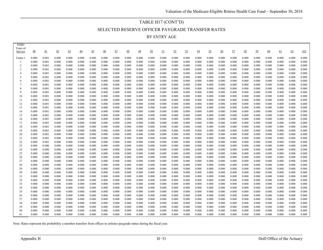# TABLE H17 (CONT'D) SELECTED RESERVE OFFICER PAYGRADE TRANSFER RATES BY ENTRY AGE

| <b>PEBD</b>         |                |                |                |                |                 |                 |                 |                |                 |                |                |                |                |                |                |                |                |                |                |                |                |                |                |                |
|---------------------|----------------|----------------|----------------|----------------|-----------------|-----------------|-----------------|----------------|-----------------|----------------|----------------|----------------|----------------|----------------|----------------|----------------|----------------|----------------|----------------|----------------|----------------|----------------|----------------|----------------|
| Years of<br>Service | 40             | 41             | 42             | 43             | $\overline{44}$ | $\overline{45}$ | $\overline{46}$ | 47             | $\overline{48}$ | 49             | 50             | <u>51</u>      | 52             | 53             | 54             | 55             | <u>56</u>      | 57             | 58             | 59             | 60             | 61             | 62             | $\geq 62$      |
|                     |                |                |                |                |                 |                 |                 |                |                 |                |                |                |                |                |                |                |                |                |                |                |                |                |                |                |
| Under 1             | 0.000          | 0.001          | 0.000          | 0.000          | 0.000           | 0.000           | 0.000           | 0.000          | 0.000           | 0.000          | 0.000          | 0.000          | 0.000          | 0.000          | 0.000          | 0.000          | 0.000          | 0.000          | 0.000          | 0.000          | 0.000          | 0.000          | 0.000          | 0.000          |
| 2                   | 0.000<br>0.000 | 0.001<br>0.001 | 0.000<br>0.000 | 0.000<br>0.000 | 0.000<br>0.000  | 0.000<br>0.000  | 0.000<br>0.000  | 0.000<br>0.000 | 0.000<br>0.000  | 0.000<br>0.000 | 0.000<br>0.000 | 0.000<br>0.000 | 0.000<br>0.000 | 0.000<br>0.000 | 0.000<br>0.000 | 0.000<br>0.000 | 0.000<br>0.000 | 0.000<br>0.000 | 0.000<br>0.000 | 0.000<br>0.000 | 0.000<br>0.000 | 0.000<br>0.000 | 0.000<br>0.000 | 0.000<br>0.000 |
| 3                   | 0.000          | 0.001          | 0.000          | 0.000          | 0.000           | 0.000           | 0.000           | 0.000          | 0.000           | 0.000          | 0.000          | 0.000          | 0.000          | 0.000          | 0.000          | 0.000          | 0.000          | 0.000          | 0.000          | 0.000          | 0.000          | 0.000          | 0.000          | 0.000          |
|                     | 0.000          | 0.001          | 0.000          | 0.000          | 0.000           | 0.000           | 0.000           | 0.000          | 0.000           | 0.000          | 0.000          | 0.000          | 0.000          | 0.000          | 0.000          | 0.000          | 0.000          | 0.000          | 0.000          | 0.000          | 0.000          | 0.000          | 0.000          | 0.000          |
| .5                  | 0.000          | 0.001          | 0.000          | 0.000          | 0.000           | 0.000           | 0.000           | 0.000          | 0.000           | 0.000          | 0.000          | 0.000          | 0.000          | 0.000          | 0.000          | 0.000          | 0.000          | 0.000          | 0.000          | 0.000          | 0.000          | 0.000          | 0.000          | 0.000          |
| 6                   | 0.000          | 0.001          | 0.000          | 0.000          | 0.000           | 0.000           | 0.000           | 0.000          | 0.000           | 0.000          | 0.000          | 0.000          | 0.000          | 0.000          | 0.000          | 0.000          | 0.000          | 0.000          | 0.000          | 0.000          | 0.000          | 0.000          | 0.000          | 0.000          |
|                     | 0.000          | 0.001          | 0.000          | 0.000          | 0.000           | 0.000           | 0.000           | 0.000          | 0.000           | 0.000          | 0.000          | 0.000          | 0.000          | 0.000          | 0.000          | 0.000          | 0.000          | 0.000          | 0.000          | 0.000          | 0.000          | 0.000          | 0.000          | 0.000          |
| 8                   | 0.000          | 0.001          | 0.000          | 0.000          | 0.000           | 0.000           | 0.000           | 0.000          | 0.000           | 0.000          | 0.000          | 0.000          | 0.000          | 0.000          | 0.000          | 0.000          | 0.000          | 0.000          | 0.000          | 0.000          | 0.000          | 0.000          | 0.000          | 0.000          |
| 9                   | 0.000          | 0.001          | 0.000          | 0.000          | 0.000           | 0.000           | 0.000           | 0.000          | 0.000           | 0.000          | 0.000          | 0.000          | 0.000          | 0.000          | 0.000          | 0.000          | 0.000          | 0.000          | 0.000          | 0.000          | 0.000          | 0.000          | 0.000          | 0.000          |
| 10                  | 0.000          | 0.001          | 0.000          | 0.000          | 0.000           | 0.000           | 0.000           | 0.000          | 0.000           | 0.000          | 0.000          | 0.000          | 0.000          | 0.000          | 0.000          | 0.000          | 0.000          | 0.000          | 0.000          | 0.000          | 0.000          | 0.000          | 0.000          | 0.000          |
| 11                  | 0.000          | 0.001          | 0.000          | 0.000          | 0.000           | 0.000           | 0.000           | 0.000          | 0.000           | 0.000          | 0.000          | 0.000          | 0.000          | 0.000          | 0.000          | 0.000          | 0.000          | 0.000          | 0.000          | 0.000          | 0.000          | 0.000          | 0.000          | 0.000          |
| 12                  | 0.000          | 0.001          | 0.000          | 0.000          | 0.000           | 0.000           | 0.000           | 0.000          | 0.000           | 0.000          | 0.000          | 0.000          | 0.000          | 0.000          | 0.000          | 0.000          | 0.000          | 0.000          | 0.000          | 0.000          | 0.000          | 0.000          | 0.000          | 0.000          |
| 13                  | 0.000          | 0.001          | 0.000          | 0.000          | 0.000           | 0.000           | 0.000           | 0.000          | 0.000           | 0.000          | 0.000          | 0.000          | 0.000          | 0.000          | 0.000          | 0.000          | 0.000          | 0.000          | 0.000          | 0.000          | 0.000          | 0.000          | 0.000          | 0.000          |
| 14                  | 0.000          | 0.001          | 0.000          | 0.000          | 0.000           | 0.000           | 0.000<br>0.000  | 0.000          | 0.000           | 0.000          | 0.000          | 0.000          | 0.000          | 0.000          | 0.000          | 0.000<br>0.000 | 0.000<br>0.000 | 0.000<br>0.000 | 0.000<br>0.000 | 0.000<br>0.000 | 0.000          | 0.000<br>0.000 | 0.000          | 0.000<br>0.000 |
| 15<br>16            | 0.000<br>0.000 | 0.001<br>0.001 | 0.000<br>0.000 | 0.000<br>0.000 | 0.000<br>0.000  | 0.000<br>0.000  | 0.000           | 0.000<br>0.000 | 0.000<br>0.000  | 0.000<br>0.000 | 0.000<br>0.000 | 0.000<br>0.000 | 0.000<br>0.000 | 0.000<br>0.000 | 0.000<br>0.000 | 0.000          | 0.000          | 0.000          | 0.000          | 0.000          | 0.000<br>0.000 | 0.000          | 0.000<br>0.000 | 0.000          |
| 17                  | 0.000          | 0.001          | 0.000          | 0.000          | 0.000           | 0.000           | 0.000           | 0.000          | 0.000           | 0.000          | 0.000          | 0.000          | 0.000          | 0.000          | 0.000          | 0.000          | 0.000          | 0.000          | 0.000          | 0.000          | 0.000          | 0.000          | 0.000          | 0.000          |
| 18                  | 0.000          | 0.001          | 0.000          | 0.000          | 0.000           | 0.000           | 0.000           | 0.000          | 0.000           | 0.000          | 0.000          | 0.000          | 0.000          | 0.000          | 0.000          | 0.000          | 0.000          | 0.000          | 0.000          | 0.000          | 0.000          | 0.000          | 0.000          | 0.000          |
| 19                  | 0.000          | 0.001          | 0.000          | 0.000          | 0.000           | 0.000           | 0.000           | 0.000          | 0.000           | 0.000          | 0.000          | 0.000          | 0.000          | 0.000          | 0.000          | 0.000          | 0.000          | 0.000          | 0.000          | 0.000          | 0.000          | 0.000          | 0.000          | 0.000          |
| 20                  | 0.000          | 0.001          | 0.000          | 0.000          | 0.000           | 0.000           | 0.000           | 0.000          | 0.000           | 0.000          | 0.000          | 0.000          | 0.000          | 0.000          | 0.000          | 0.000          | 0.000          | 0.000          | 0.000          | 0.000          | 0.000          | 0.000          | 0.000          | 0.000          |
| 21                  | 0.000          | 0.001          | 0.000          | 0.000          | 0.000           | 0.000           | 0.000           | 0.000          | 0.000           | 0.000          | 0.000          | 0.000          | 0.000          | 0.000          | 0.000          | 0.000          | 0.000          | 0.000          | 0.000          | 0.000          | 0.000          | 0.000          | 0.000          | 0.000          |
| 22                  | 0.000          | 0.001          | 0.000          | 0.000          | 0.000           | 0.000           | 0.000           | 0.000          | 0.000           | 0.000          | 0.000          | 0.000          | 0.000          | 0.000          | 0.000          | 0.000          | 0.000          | 0.000          | 0.000          | 0.000          | 0.000          | 0.000          | 0.000          | 0.000          |
| 23                  | 0.000          | 0.000          | 0.000          | 0.000          | 0.000           | 0.000           | 0.000           | 0.000          | 0.000           | 0.000          | 0.000          | 0.000          | 0.000          | 0.000          | 0.000          | 0.000          | 0.000          | 0.000          | 0.000          | 0.000          | 0.000          | 0.000          | 0.000          | 0.000          |
| 24                  | 0.000          | 0.000          | 0.000          | 0.000          | 0.000           | 0.000           | 0.000           | 0.000          | 0.000           | 0.000          | 0.000          | 0.000          | 0.000          | 0.000          | 0.000          | 0.000          | 0.000          | 0.000          | 0.000          | 0.000          | 0.000          | 0.000          | 0.000          | 0.000          |
| 25                  | 0.000          | 0.000          | 0.000          | 0.000          | 0.000           | 0.000           | 0.000           | 0.000          | 0.000           | 0.000          | 0.000          | 0.000          | 0.000          | 0.000          | 0.000          | 0.000          | 0.000          | 0.000          | 0.000          | 0.000          | 0.000          | 0.000          | 0.000          | 0.000          |
| 26                  | 0.000          | 0.000          | 0.000          | 0.000          | 0.000           | 0.000           | 0.000           | 0.000          | 0.000           | 0.000          | 0.000          | 0.000          | 0.000          | 0.000          | 0.000          | 0.000          | 0.000          | 0.000          | 0.000          | 0.000          | 0.000          | 0.000          | 0.000          | 0.000          |
| 27                  | 0.000          | 0.000          | 0.000          | 0.000          | 0.000           | 0.000           | 0.000           | 0.000          | 0.000           | 0.000          | 0.000          | 0.000          | 0.000          | 0.000          | 0.000          | 0.000          | 0.000          | 0.000          | 0.000          | 0.000          | 0.000          | 0.000          | 0.000          | 0.000          |
| 28<br>29            | 0.000<br>0.000 | 0.000<br>0.000 | 0.000<br>0.000 | 0.000<br>0.000 | 0.000<br>0.000  | 0.000<br>0.000  | 0.000<br>0.000  | 0.000<br>0.000 | 0.000<br>0.000  | 0.000<br>0.000 | 0.000<br>0.000 | 0.000<br>0.000 | 0.000<br>0.000 | 0.000<br>0.000 | 0.000<br>0.000 | 0.000<br>0.000 | 0.000<br>0.000 | 0.000<br>0.000 | 0.000<br>0.000 | 0.000<br>0.000 | 0.000<br>0.000 | 0.000<br>0.000 | 0.000<br>0.000 | 0.000<br>0.000 |
| 30                  | 0.000          | 0.000          | 0.000          | 0.000          | 0.000           | 0.000           | 0.000           | 0.000          | 0.000           | 0.000          | 0.000          | 0.000          | 0.000          | 0.000          | 0.000          | 0.000          | 0.000          | 0.000          | 0.000          | 0.000          | 0.000          | 0.000          | 0.000          | 0.000          |
| 31                  | 0.000          | 0.000          | 0.000          | 0.000          | 0.000           | 0.000           | 0.000           | 0.000          | 0.000           | 0.000          | 0.000          | 0.000          | 0.000          | 0.000          | 0.000          | 0.000          | 0.000          | 0.000          | 0.000          | 0.000          | 0.000          | 0.000          | 0.000          | 0.000          |
| 32                  | 0.000          | 0.000          | 0.000          | 0.000          | 0.000           | 0.000           | 0.000           | 0.000          | 0.000           | 0.000          | 0.000          | 0.000          | 0.000          | 0.000          | 0.000          | 0.000          | 0.000          | 0.000          | 0.000          | 0.000          | 0.000          | 0.000          | 0.000          | 0.000          |
| 33                  | 0.000          | 0.000          | 0.000          | 0.000          | 0.000           | 0.000           | 0.000           | 0.000          | 0.000           | 0.000          | 0.000          | 0.000          | 0.000          | 0.000          | 0.000          | 0.000          | 0.000          | 0.000          | 0.000          | 0.000          | 0.000          | 0.000          | 0.000          | 0.000          |
| 34                  | 0.000          | 0.000          | 0.000          | 0.000          | 0.000           | 0.000           | 0.000           | 0.000          | 0.000           | 0.000          | 0.000          | 0.000          | 0.000          | 0.000          | 0.000          | 0.000          | 0.000          | 0.000          | 0.000          | 0.000          | 0.000          | 0.000          | 0.000          | 0.000          |
| 35                  | 0.000          | 0.000          | 0.000          | 0.000          | 0.000           | 0.000           | 0.000           | 0.000          | 0.000           | 0.000          | 0.000          | 0.000          | 0.000          | 0.000          | 0.000          | 0.000          | 0.000          | 0.000          | 0.000          | 0.000          | 0.000          | 0.000          | 0.000          | 0.000          |
| 36                  | 0.000          | 0.000          | 0.000          | 0.000          | 0.000           | 0.000           | 0.000           | 0.000          | 0.000           | 0.000          | 0.000          | 0.000          | 0.000          | 0.000          | 0.000          | 0.000          | 0.000          | 0.000          | 0.000          | 0.000          | 0.000          | 0.000          | 0.000          | 0.000          |
| 37                  | 0.000          | 0.000          | 0.000          | 0.000          | 0.000           | 0.000           | 0.000           | 0.000          | 0.000           | 0.000          | 0.000          | 0.000          | 0.000          | 0.000          | 0.000          | 0.000          | 0.000          | 0.000          | 0.000          | 0.000          | 0.000          | 0.000          | 0.000          | 0.000          |
| 38                  | 0.000          | 0.000          | 0.000          | 0.000          | 0.000           | 0.000           | 0.000           | 0.000          | 0.000           | 0.000          | 0.000          | 0.000          | 0.000          | 0.000          | 0.000          | 0.000          | 0.000          | 0.000          | 0.000          | 0.000          | 0.000          | 0.000          | 0.000          | 0.000          |
| 39                  | 0.000          | 0.000          | 0.000          | 0.000          | 0.000           | 0.000           | 0.000           | 0.000          | 0.000           | 0.000          | 0.000          | 0.000          | 0.000          | 0.000          | 0.000          | 0.000          | 0.000          | 0.000          | 0.000          | 0.000          | 0.000          | 0.000          | 0.000          | 0.000          |
| 40                  | 0.000          | 0.000          | 0.000          | 0.000          | 0.000           | 0.000           | 0.000           | 0.000          | 0.000           | 0.000          | 0.000          | 0.000          | 0.000          | 0.000          | 0.000          | 0.000          | 0.000          | 0.000          | 0.000          | 0.000          | 0.000          | 0.000          | 0.000          | 0.000          |
| 41                  | 0.000          | 0.000          | 0.000          | 0.000          | 0.000           | 0.000           | 0.000           | 0.000          | 0.000           | 0.000          | 0.000          | 0.000          | 0.000          | 0.000          | 0.000          | 0.000          | 0.000          | 0.000          | 0.000          | 0.000          | 0.000          | 0.000          | 0.000          | 0.000          |

Note: Rates represent the probability a member transfers from officer to enlistee paygrade status during the fiscal year.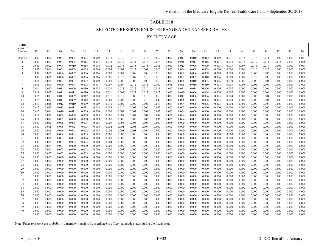## TABLE H18 SELECTED RESERVE ENLISTEE PAYGRADE TRANSFER RATES BY ENTRY AGE

| Years of<br><u>18</u><br><u>19</u><br>22<br>27<br>28<br>29<br>30<br>31<br>32<br>$\frac{36}{5}$<br>Service<br>17<br>$\overline{20}$<br>21<br>23<br>$\overline{24}$<br>25<br>33<br><u>34</u><br>35<br>$\frac{37}{2}$<br>$\overline{26}$<br>0.000<br>0.000<br>0.001<br>0.002<br>0.004<br>0.009<br>0.010<br>0.010<br>0.012<br>0.015<br>0.017<br>0.012<br>0.013<br>0.010<br>0.012<br>0.009<br>0.011<br>0.012<br>0.012<br>0.011<br>0.009<br>0.009<br>Under 1<br>0.019<br>0.000<br>0.001<br>0.001<br>0.005<br>0.013<br>0.015<br>0.012<br>0.010<br>0.011<br>0.014<br>0.014<br>0.012<br>0.018<br>0.017<br>0.018<br>0.011<br>0.018<br>0.016<br>0.016<br>0.018<br>0.014<br>2<br>0.001<br>0.002<br>0.004<br>0.015<br>0.011<br>0.013<br>0.013<br>0.009<br>0.009<br>0.013<br>0.016<br>0.006<br>0.000<br>0.010<br>0.016<br>0.014<br>0.012<br>0.013<br>0.013<br>0.015<br>0.007<br>0.014<br>0.012<br>3<br>0.002<br>0.004<br>0.005<br>0.009<br>0.008<br>0.010<br>0.009<br>0.007<br>0.013<br>0.009<br>0.013<br>0.006<br>0.008<br>0.008<br>0.006<br>0.006<br>0.006<br>0.016<br>0.013<br>0.000 | 38<br>$\overline{39}$<br>0.013<br>0.008<br>0.011<br>0.000<br>0.000<br>0.000<br>0.000<br>0.000<br>0.000<br>0.000<br>0.000 |
|---------------------------------------------------------------------------------------------------------------------------------------------------------------------------------------------------------------------------------------------------------------------------------------------------------------------------------------------------------------------------------------------------------------------------------------------------------------------------------------------------------------------------------------------------------------------------------------------------------------------------------------------------------------------------------------------------------------------------------------------------------------------------------------------------------------------------------------------------------------------------------------------------------------------------------------------------------------------------------------------------------------------------------------------------------------------------|--------------------------------------------------------------------------------------------------------------------------|
|                                                                                                                                                                                                                                                                                                                                                                                                                                                                                                                                                                                                                                                                                                                                                                                                                                                                                                                                                                                                                                                                           |                                                                                                                          |
|                                                                                                                                                                                                                                                                                                                                                                                                                                                                                                                                                                                                                                                                                                                                                                                                                                                                                                                                                                                                                                                                           |                                                                                                                          |
|                                                                                                                                                                                                                                                                                                                                                                                                                                                                                                                                                                                                                                                                                                                                                                                                                                                                                                                                                                                                                                                                           |                                                                                                                          |
|                                                                                                                                                                                                                                                                                                                                                                                                                                                                                                                                                                                                                                                                                                                                                                                                                                                                                                                                                                                                                                                                           |                                                                                                                          |
|                                                                                                                                                                                                                                                                                                                                                                                                                                                                                                                                                                                                                                                                                                                                                                                                                                                                                                                                                                                                                                                                           |                                                                                                                          |
|                                                                                                                                                                                                                                                                                                                                                                                                                                                                                                                                                                                                                                                                                                                                                                                                                                                                                                                                                                                                                                                                           |                                                                                                                          |
| 0.004<br>0.006<br>0.008<br>0.009<br>0.009<br>0.006<br>0.005<br>0.007<br>0.006<br>0.006<br>0.007<br>0.007<br>0.008<br>0.010<br>0.006<br>0.008<br>0.008<br>0.008<br>0.005<br>0.005<br>0.000<br>$\overline{4}$                                                                                                                                                                                                                                                                                                                                                                                                                                                                                                                                                                                                                                                                                                                                                                                                                                                               |                                                                                                                          |
| 0.007<br>0.006<br>0.006<br>0.008<br>0.009<br>0.009<br>0.010<br>0.000<br>5<br>0.005<br>0.006<br>0.006<br>0.006<br>0.010<br>0.007<br>0.010<br>0.010<br>0.010<br>0.006<br>0.008<br>0.008<br>0.008<br>0.008<br>0.007<br>0.008<br>0.008<br>0.011<br>0.007<br>0.007<br>0.009<br>0.008<br>0.006<br>0.008<br>0.010<br>0.010<br>0.010<br>0.005<br>0.006<br>0.010<br>0.006<br>0.006<br>0.004<br>0.000<br>6                                                                                                                                                                                                                                                                                                                                                                                                                                                                                                                                                                                                                                                                          |                                                                                                                          |
| 0.009<br>$\overline{7}$<br>0.013<br>0.009<br>0.008<br>0.008<br>0.011<br>0.007<br>0.009<br>0.012<br>0.011<br>0.007<br>0.008<br>0.008<br>0.010<br>0.010<br>0.008<br>0.007<br>0.005<br>0.006<br>0.004<br>0.000<br>0.000                                                                                                                                                                                                                                                                                                                                                                                                                                                                                                                                                                                                                                                                                                                                                                                                                                                      | 0.000                                                                                                                    |
| 0.014<br>0.008<br>0.010<br>0.010<br>0.006<br>0.006<br>0.000<br>0.000<br>8<br>0.010<br>0.011<br>0.009<br>0.010<br>0.010<br>0.012<br>0.012<br>0.011<br>0.011<br>0.014<br>0.006<br>0.007<br>0.000<br>0.004                                                                                                                                                                                                                                                                                                                                                                                                                                                                                                                                                                                                                                                                                                                                                                                                                                                                   | 0.000                                                                                                                    |
| 0.019<br>0.012<br>0.011<br>0.009<br>0.012<br>0.012<br>0.010<br>0.010<br>0.006<br>0.004<br>0.004<br>0.007<br>0.006<br>0.000<br>0.000<br>9<br>0.011<br>0.010<br>0.010<br>0.011<br>0.013<br>0.000<br>0.004                                                                                                                                                                                                                                                                                                                                                                                                                                                                                                                                                                                                                                                                                                                                                                                                                                                                   | 0.000                                                                                                                    |
| 10<br>0.016<br>0.013<br>0.011<br>0.009<br>0.012<br>0.010<br>0.011<br>0.011<br>0.008<br>0.010<br>0.010<br>0.010<br>0.011<br>0.006<br>0.006<br>0.005<br>0.004<br>0.000<br>0.006<br>0.004<br>0.000<br>0.000                                                                                                                                                                                                                                                                                                                                                                                                                                                                                                                                                                                                                                                                                                                                                                                                                                                                  | 0.000                                                                                                                    |
| 0.015<br>0.012<br>0.011<br>0.009<br>0.012<br>0.007<br>0.009<br>0.005<br>0.010<br>0.007<br>0.008<br>0.006<br>0.005<br>0.006<br>0.005<br>0.004<br>0.000<br>0.006<br>0.000<br>0.000<br>11<br>0.006<br>0.004                                                                                                                                                                                                                                                                                                                                                                                                                                                                                                                                                                                                                                                                                                                                                                                                                                                                  | 0.000                                                                                                                    |
| 12<br>0.017<br>0.016<br>0.012<br>0.010<br>0.009<br>0.009<br>0.010<br>0.009<br>0.009<br>0.007<br>0.007<br>0.004<br>0.006<br>0.006<br>0.005<br>0.004<br>0.000<br>0.000<br>0.000<br>0.013<br>0.000<br>0.000                                                                                                                                                                                                                                                                                                                                                                                                                                                                                                                                                                                                                                                                                                                                                                                                                                                                  | 0.000                                                                                                                    |
| 13<br>0.012<br>0.013<br>0.013<br>0.008<br>0.006<br>0.007<br>0.005<br>0.007<br>0.000<br>0.000<br>0.000<br>0.000<br>0.000<br>0.011<br>0.011<br>0.013<br>0.010<br>0.005<br>0.000<br>0.000<br>0.000<br>0.000                                                                                                                                                                                                                                                                                                                                                                                                                                                                                                                                                                                                                                                                                                                                                                                                                                                                  | 0.000                                                                                                                    |
| 14<br>0.017<br>0.014<br>0.010<br>0.011<br>0.009<br>0.010<br>0.006<br>0.009<br>0.007<br>0.007<br>0.007<br>0.005<br>0.004<br>0.000<br>0.000<br>0.000<br>0.000<br>0.000<br>0.000<br>0.000<br>0.000<br>0.000                                                                                                                                                                                                                                                                                                                                                                                                                                                                                                                                                                                                                                                                                                                                                                                                                                                                  | 0.000                                                                                                                    |
| 0.009<br>0.008<br>0.000<br>0.000<br>0.012<br>0.010<br>0.008<br>0.008<br>0.006<br>0.007<br>0.007<br>0.004<br>0.004<br>0.005<br>0.004<br>0.000<br>0.000<br>0.000<br>0.000<br>0.000<br>0.000<br>0.000<br>15                                                                                                                                                                                                                                                                                                                                                                                                                                                                                                                                                                                                                                                                                                                                                                                                                                                                  | 0.000                                                                                                                    |
| 0.011<br>0.012<br>0.009<br>0.005<br>0.004<br>0.007<br>0.000<br>0.000<br>16<br>0.008<br>0.008<br>0.009<br>0.007<br>0.006<br>0.005<br>0.006<br>0.006<br>0.000<br>0.000<br>0.000<br>0.000<br>0.000<br>0.000                                                                                                                                                                                                                                                                                                                                                                                                                                                                                                                                                                                                                                                                                                                                                                                                                                                                  | 0.000                                                                                                                    |
| 0.004<br>0.005<br>0.000<br>0.000<br>17<br>0.000<br>0.010<br>0.008<br>0.005<br>0.005<br>0.005<br>0.005<br>0.003<br>0.003<br>0.000<br>0.000<br>0.000<br>0.000<br>0.000<br>0.000<br>0.000<br>0.000<br>0.000                                                                                                                                                                                                                                                                                                                                                                                                                                                                                                                                                                                                                                                                                                                                                                                                                                                                  | 0.000                                                                                                                    |
| 0.006<br>0.004<br>0.000<br>0.000<br>18<br>0.000<br>0.008<br>0.005<br>0.005<br>0.006<br>0.004<br>0.004<br>0.003<br>0.000<br>0.000<br>0.000<br>0.000<br>0.000<br>0.000<br>0.000<br>0.000<br>0.000<br>0.000                                                                                                                                                                                                                                                                                                                                                                                                                                                                                                                                                                                                                                                                                                                                                                                                                                                                  | 0.000                                                                                                                    |
| 19<br>0.000<br>0.008<br>0.006<br>0.003<br>0.003<br>0.004<br>0.000<br>0.000<br>0.000<br>0.000<br>0.000<br>0.000<br>0.000<br>0.000<br>0.005<br>0.002<br>0.002<br>0.003<br>0.000<br>0.000<br>0.000<br>0.000                                                                                                                                                                                                                                                                                                                                                                                                                                                                                                                                                                                                                                                                                                                                                                                                                                                                  | 0.000                                                                                                                    |
| 0.000<br>0.005<br>0.004<br>0.003<br>0.003<br>0.003<br>0.000<br>0.000<br>0.000<br>0.000<br>0.000<br>0.000<br>0.000<br>0.000<br>0.000<br>0.000<br>0.000<br>0.000<br>0.000<br>20<br>0.000<br>0.000<br>0.000                                                                                                                                                                                                                                                                                                                                                                                                                                                                                                                                                                                                                                                                                                                                                                                                                                                                  | 0.000                                                                                                                    |
| 0.000<br>21<br>0.000<br>0.006<br>0.003<br>0.003<br>0.004<br>0.000<br>0.000<br>0.000<br>0.000<br>0.000<br>0.000<br>0.000<br>0.000<br>0.000<br>0.000<br>0.000<br>0.000<br>0.000<br>0.000<br>0.000<br>0.000                                                                                                                                                                                                                                                                                                                                                                                                                                                                                                                                                                                                                                                                                                                                                                                                                                                                  | 0.000                                                                                                                    |
| 22<br>0.000<br>0.004<br>0.003<br>0.002<br>0.003<br>0.000<br>0.004<br>0.000<br>0.000<br>0.000<br>0.000<br>0.000<br>0.000<br>0.000<br>0.000<br>0.000<br>0.000<br>0.000<br>0.000<br>0.000<br>0.000<br>0.000                                                                                                                                                                                                                                                                                                                                                                                                                                                                                                                                                                                                                                                                                                                                                                                                                                                                  | 0.000                                                                                                                    |
| 23<br>0.000<br>0.004<br>0.003<br>0.000<br>0.000<br>0.000<br>0.000<br>0.000<br>0.000<br>0.000<br>0.000<br>0.000<br>0.000<br>0.000<br>0.000<br>0.000<br>0.000<br>0.000<br>0.000<br>0.000<br>0.000<br>0.000                                                                                                                                                                                                                                                                                                                                                                                                                                                                                                                                                                                                                                                                                                                                                                                                                                                                  | 0.000                                                                                                                    |
| 24<br>0.000<br>0.005<br>0.003<br>0.003<br>0.000<br>0.000<br>0.000<br>0.000<br>0.000<br>0.000<br>0.000<br>0.000<br>0.000<br>0.000<br>0.000<br>0.000<br>0.000<br>0.005<br>0.000<br>0.000<br>0.000<br>0.000                                                                                                                                                                                                                                                                                                                                                                                                                                                                                                                                                                                                                                                                                                                                                                                                                                                                  | 0.000                                                                                                                    |
| 0.000<br>25<br>0.000<br>0.003<br>0.002<br>0.000<br>0.003<br>0.000<br>0.000<br>0.000<br>0.000<br>0.000<br>0.000<br>0.000<br>0.000<br>0.000<br>0.000<br>0.000<br>0.000<br>0.000<br>0.000<br>0.000<br>0.000                                                                                                                                                                                                                                                                                                                                                                                                                                                                                                                                                                                                                                                                                                                                                                                                                                                                  | 0.000                                                                                                                    |
| 0.000<br>0.000<br>0.000<br>0.000<br>0.000<br>0.000<br>0.000<br>0.000<br>0.000<br>0.000<br>0.000<br>0.000<br>0.000<br>0.000<br>0.000<br>0.000<br>0.000<br>0.000<br>0.000<br>0.000<br>0.000<br>0.000<br>26                                                                                                                                                                                                                                                                                                                                                                                                                                                                                                                                                                                                                                                                                                                                                                                                                                                                  | 0.000                                                                                                                    |
| 27<br>0.000<br>0.000<br>0.000<br>0.000<br>0.000<br>0.000<br>0.000<br>0.000<br>0.000<br>0.000<br>0.000<br>0.000<br>0.000<br>0.000<br>0.000<br>0.000<br>0.000<br>0.000<br>0.000<br>0.000<br>0.000<br>0.000                                                                                                                                                                                                                                                                                                                                                                                                                                                                                                                                                                                                                                                                                                                                                                                                                                                                  | 0.000                                                                                                                    |
| 0.000<br>0.000<br>28<br>0.000<br>0.000<br>0.000<br>0.000<br>0.000<br>0.000<br>0.000<br>0.000<br>0.000<br>0.000<br>0.000<br>0.000<br>0.000<br>0.000<br>0.000<br>0.000<br>0.000<br>0.000<br>0.000<br>0.000<br>0.000<br>0.000<br>0.000<br>0.000<br>0.000<br>0.000<br>0.000<br>0.000<br>29<br>0.000<br>0.000<br>0.000<br>0.000<br>0.000<br>0.000<br>0.000<br>0.000<br>0.000<br>0.000<br>0.000<br>0.000<br>0.000                                                                                                                                                                                                                                                                                                                                                                                                                                                                                                                                                                                                                                                               | 0.000<br>0.000                                                                                                           |
| 0.000<br>0.000<br>0.000<br>0.000<br>0.000<br>0.000<br>0.000<br>0.000<br>0.000<br>0.000<br>0.000<br>0.000<br>0.000<br>0.000<br>0.000<br>30<br>0.000<br>0.000<br>0.000<br>0.000<br>0.000<br>0.000<br>0.000<br>0.000                                                                                                                                                                                                                                                                                                                                                                                                                                                                                                                                                                                                                                                                                                                                                                                                                                                         | 0.000                                                                                                                    |
| 0.000<br>0.000<br>0.000<br>0.000<br>0.000<br>0.000<br>0.000<br>0.000<br>0.000<br>0.000<br>0.000<br>0.000<br>0.000<br>0.000<br>0.000<br>0.000<br>0.000<br>0.000<br>0.000<br>0.000<br>0.000<br>31<br>0.000                                                                                                                                                                                                                                                                                                                                                                                                                                                                                                                                                                                                                                                                                                                                                                                                                                                                  | 0.000                                                                                                                    |
| 32<br>0.000<br>0.000<br>0.000<br>0.000<br>0.000<br>0.000<br>0.000<br>0.000<br>0.000<br>0.000<br>0.000<br>0.000<br>0.000<br>0.000<br>0.000<br>0.000<br>0.000<br>0.000<br>0.000<br>0.000<br>0.000<br>0.000                                                                                                                                                                                                                                                                                                                                                                                                                                                                                                                                                                                                                                                                                                                                                                                                                                                                  | 0.000                                                                                                                    |
| 0.000<br>33<br>0.000<br>0.000<br>0.000<br>0.000<br>0.000<br>0.000<br>0.000<br>0.000<br>0.000<br>0.000<br>0.000<br>0.000<br>0.000<br>0.000<br>0.000<br>0.000<br>0.000<br>0.000<br>0.000<br>0.000<br>0.000                                                                                                                                                                                                                                                                                                                                                                                                                                                                                                                                                                                                                                                                                                                                                                                                                                                                  | 0.000                                                                                                                    |
| 34<br>0.000<br>0.000<br>0.000<br>0.000<br>0.000<br>0.000<br>0.000<br>0.000<br>0.000<br>0.000<br>0.000<br>0.000<br>0.000<br>0.000<br>0.000<br>0.000<br>0.000<br>0.000<br>0.000<br>0.000<br>0.000<br>0.000                                                                                                                                                                                                                                                                                                                                                                                                                                                                                                                                                                                                                                                                                                                                                                                                                                                                  | 0.000                                                                                                                    |
| 35<br>0.000<br>0.000<br>0.000<br>0.000<br>0.000<br>0.000<br>0.000<br>0.000<br>0.000<br>0.000<br>0.000<br>0.000<br>0.000<br>0.000<br>0.000<br>0.000<br>0.000<br>0.000<br>0.000<br>0.000<br>0.000<br>0.000                                                                                                                                                                                                                                                                                                                                                                                                                                                                                                                                                                                                                                                                                                                                                                                                                                                                  | 0.000                                                                                                                    |
| 0.000<br>0.000<br>0.000<br>0.000<br>0.000<br>0.000<br>36<br>0.000<br>0.000<br>0.000<br>0.000<br>0.000<br>0.000<br>0.000<br>0.000<br>0.000<br>0.000<br>0.000<br>0.000<br>0.000<br>0.000<br>0.000<br>0.000                                                                                                                                                                                                                                                                                                                                                                                                                                                                                                                                                                                                                                                                                                                                                                                                                                                                  | 0.000                                                                                                                    |
| 0.000<br>0.000<br>0.000<br>0.000<br>0.000<br>37<br>0.000<br>0.000<br>0.000<br>0.000<br>0.000<br>0.000<br>0.000<br>0.000<br>0.000<br>0.000<br>0.000<br>0.000<br>0.000<br>0.000<br>0.000<br>0.000<br>0.000                                                                                                                                                                                                                                                                                                                                                                                                                                                                                                                                                                                                                                                                                                                                                                                                                                                                  | 0.000                                                                                                                    |
| 38<br>0.000<br>0.000<br>0.000<br>0.000<br>0.000<br>0.000<br>0.000<br>0.000<br>0.000<br>0.000<br>0.000<br>0.000<br>0.000<br>0.000<br>0.000<br>0.000<br>0.000<br>0.000<br>0.000<br>0.000<br>0.000<br>0.000                                                                                                                                                                                                                                                                                                                                                                                                                                                                                                                                                                                                                                                                                                                                                                                                                                                                  | 0.000                                                                                                                    |
| 0.000<br>0.000<br>0.000<br>39<br>0.000<br>0.000<br>0.000<br>0.000<br>0.000<br>0.000<br>0.000<br>0.000<br>0.000<br>0.000<br>0.000<br>0.000<br>0.000<br>0.000<br>0.000<br>0.000<br>0.000<br>0.000<br>0.000                                                                                                                                                                                                                                                                                                                                                                                                                                                                                                                                                                                                                                                                                                                                                                                                                                                                  | 0.000                                                                                                                    |
| 0.000<br>0.000<br>0.000<br>0.000<br>0.000<br>0.000<br>0.000<br>0.000<br>0.000<br>0.000<br>0.000<br>0.000<br>0.000<br>0.000<br>0.000<br>0.000<br>0.000<br>40<br>0.000<br>0.000<br>0.000<br>0.000<br>0.000                                                                                                                                                                                                                                                                                                                                                                                                                                                                                                                                                                                                                                                                                                                                                                                                                                                                  | 0.000                                                                                                                    |
| 0.000<br>0.000<br>0.000<br>0.000<br>0.000<br>0.000<br>0.000<br>0.000<br>0.000<br>0.000<br>0.000<br>0.000<br>0.000<br>0.000<br>0.000<br>0.000<br>0.000<br>0.000<br>0.000<br>0.000<br>0.000<br>0.000<br>41                                                                                                                                                                                                                                                                                                                                                                                                                                                                                                                                                                                                                                                                                                                                                                                                                                                                  | 0.000                                                                                                                    |

Note: Rates represent the probability a member transfers from enlistee to officer paygrade status during the fiscal year.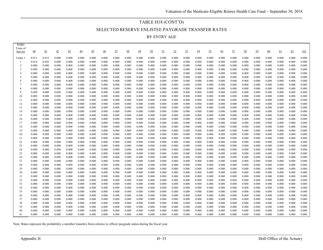# TABLE H18 (CONT'D) SELECTED RESERVE ENLISTEE PAYGRADE TRANSFER RATES BY ENTRY AGE

| PEBD                |                 |                 |                |                |                 |                 |                |                |                |                |                |                |                |                |                |                |                |                |                |                |                |                |                |                |
|---------------------|-----------------|-----------------|----------------|----------------|-----------------|-----------------|----------------|----------------|----------------|----------------|----------------|----------------|----------------|----------------|----------------|----------------|----------------|----------------|----------------|----------------|----------------|----------------|----------------|----------------|
| Years of<br>Service | $\overline{40}$ | $\overline{41}$ | 42             | <u>43</u>      | $\overline{44}$ | $\overline{45}$ | $\frac{46}{5}$ | $\frac{47}{1}$ | $\frac{48}{1}$ | 49             | 50             | <u>51</u>      | 52             | 53             | <u>54</u>      | <u>55</u>      | 56             | 57             | 58             | 59             | 60             | <u>61</u>      | 62             | $\geq 62$      |
|                     |                 |                 |                |                |                 |                 |                |                |                |                |                |                |                |                |                |                |                |                |                |                |                |                |                |                |
| Under 1             | 0.011           | 0.015           | 0.000          | 0.000          | 0.000           | 0.000           | 0.000          | 0.000          | 0.000          | 0.000          | 0.000          | 0.000          | 0.000          | 0.000          | 0.000          | 0.000          | 0.000          | 0.000          | 0.000          | 0.000          | 0.000          | 0.000          | 0.000          | 0.000          |
|                     | 0.014           | 0.020           | 0.000          | 0.000          | 0.000           | 0.000           | 0.000          | 0.000          | 0.000          | 0.000          | 0.000          | 0.000          | 0.000          | 0.000          | 0.000          | 0.000          | 0.000          | 0.000          | 0.000          | 0.000          | 0.000          | 0.000          | 0.000          | 0.000          |
| 2                   | 0.000           | 0.000           | 0.000          | 0.000          | 0.000           | 0.000           | 0.000          | 0.000          | 0.000          | 0.000          | 0.000          | 0.000          | 0.000          | 0.000          | 0.000          | 0.000          | 0.000          | 0.000          | 0.000          | 0.000          | 0.000          | 0.000          | 0.000          | 0.000          |
| 3                   | 0.000           | 0.000           | 0.000          | 0.000          | 0.000           | 0.000           | 0.000          | 0.000          | 0.000          | 0.000          | 0.000          | 0.000          | 0.000          | 0.000          | 0.000          | 0.000          | 0.000          | 0.000          | 0.000          | 0.000          | 0.000          | 0.000          | 0.000          | 0.000          |
| $\overline{4}$      | 0.000           | 0.000           | 0.000          | 0.000          | 0.000           | 0.000           | 0.000          | 0.000          | 0.000          | 0.000          | 0.000          | 0.000          | 0.000          | 0.000          | 0.000          | 0.000          | 0.000          | 0.000          | 0.000          | 0.000          | 0.000          | 0.000          | 0.000          | 0.000          |
| -5                  | 0.000           | 0.000           | 0.000          | 0.000          | 0.000           | 0.000           | 0.000          | 0.000          | 0.000          | 0.000          | 0.000          | 0.000          | 0.000          | 0.000          | 0.000          | 0.000          | 0.000          | 0.000          | 0.000          | 0.000          | 0.000          | 0.000          | 0.000          | 0.000          |
| 6                   | 0.000           | 0.000           | 0.000          | 0.000          | 0.000           | 0.000           | 0.000          | 0.000          | 0.000          | 0.000          | 0.000          | 0.000          | 0.000          | 0.000          | 0.000          | 0.000          | 0.000          | 0.000          | 0.000          | 0.000          | 0.000          | 0.000          | 0.000          | 0.000          |
|                     | 0.000           | 0.000           | 0.000          | 0.000          | 0.000           | 0.000           | 0.000          | 0.000          | 0.000          | 0.000          | 0.000          | 0.000          | 0.000          | 0.000          | 0.000          | 0.000          | 0.000          | 0.000          | 0.000          | 0.000          | 0.000          | 0.000          | 0.000          | 0.000          |
|                     | 0.000           | 0.000           | 0.000          | 0.000          | 0.000           | 0.000           | 0.000          | 0.000          | 0.000          | 0.000          | 0.000          | 0.000          | 0.000          | 0.000          | 0.000          | 0.000          | 0.000          | 0.000          | 0.000          | 0.000          | 0.000          | 0.000          | 0.000          | 0.000          |
| 9                   | 0.000           | 0.000           | 0.000          | 0.000          | 0.000           | 0.000           | 0.000          | 0.000          | 0.000          | 0.000          | 0.000          | 0.000          | 0.000          | 0.000          | 0.000          | 0.000          | 0.000          | 0.000          | 0.000          | 0.000          | 0.000          | 0.000          | 0.000          | 0.000          |
| 10                  | 0.000           | 0.000           | 0.000          | 0.000          | 0.000           | 0.000           | 0.000          | 0.000          | 0.000          | 0.000          | 0.000          | 0.000          | 0.000          | 0.000          | 0.000          | 0.000          | 0.000          | 0.000          | 0.000          | 0.000          | 0.000          | 0.000          | 0.000          | 0.000          |
| 11                  | 0.000           | 0.000           | 0.000          | 0.000          | 0.000           | 0.000           | 0.000<br>0.000 | 0.000          | 0.000          | 0.000          | 0.000          | 0.000          | 0.000          | 0.000          | 0.000          | 0.000          | 0.000          | 0.000          | 0.000          | 0.000          | 0.000          | 0.000          | 0.000          | 0.000          |
| 12<br>13            | 0.000<br>0.000  | 0.000<br>0.000  | 0.000<br>0.000 | 0.000<br>0.000 | 0.000<br>0.000  | 0.000<br>0.000  | 0.000          | 0.000<br>0.000 | 0.000<br>0.000 | 0.000<br>0.000 | 0.000<br>0.000 | 0.000<br>0.000 | 0.000<br>0.000 | 0.000<br>0.000 | 0.000<br>0.000 | 0.000<br>0.000 | 0.000<br>0.000 | 0.000<br>0.000 | 0.000<br>0.000 | 0.000<br>0.000 | 0.000<br>0.000 | 0.000<br>0.000 | 0.000<br>0.000 | 0.000<br>0.000 |
| 14                  | 0.000           | 0.000           | 0.000          | 0.000          | 0.000           | 0.000           | 0.000          | 0.000          | 0.000          | 0.000          | 0.000          | 0.000          | 0.000          | 0.000          | 0.000          | 0.000          | 0.000          | 0.000          | 0.000          | 0.000          | 0.000          | 0.000          | 0.000          | 0.000          |
| 15                  | 0.000           | 0.000           | 0.000          | 0.000          | 0.000           | 0.000           | 0.000          | 0.000          | 0.000          | 0.000          | 0.000          | 0.000          | 0.000          | 0.000          | 0.000          | 0.000          | 0.000          | 0.000          | 0.000          | 0.000          | 0.000          | 0.000          | 0.000          | 0.000          |
| 16                  | 0.000           | 0.000           | 0.000          | 0.000          | 0.000           | 0.000           | 0.000          | 0.000          | 0.000          | 0.000          | 0.000          | 0.000          | 0.000          | 0.000          | 0.000          | 0.000          | 0.000          | 0.000          | 0.000          | 0.000          | 0.000          | 0.000          | 0.000          | 0.000          |
| 17                  | 0.000           | 0.000           | 0.000          | 0.000          | 0.000           | 0.000           | 0.000          | 0.000          | 0.000          | 0.000          | 0.000          | 0.000          | 0.000          | 0.000          | 0.000          | 0.000          | 0.000          | 0.000          | 0.000          | 0.000          | 0.000          | 0.000          | 0.000          | 0.000          |
| 18                  | 0.000           | 0.000           | 0.000          | 0.000          | 0.000           | 0.000           | 0.000          | 0.000          | 0.000          | 0.000          | 0.000          | 0.000          | 0.000          | 0.000          | 0.000          | 0.000          | 0.000          | 0.000          | 0.000          | 0.000          | 0.000          | 0.000          | 0.000          | 0.000          |
| 19                  | 0.000           | 0.000           | 0.000          | 0.000          | 0.000           | 0.000           | 0.000          | 0.000          | 0.000          | 0.000          | 0.000          | 0.000          | 0.000          | 0.000          | 0.000          | 0.000          | 0.000          | 0.000          | 0.000          | 0.000          | 0.000          | 0.000          | 0.000          | 0.000          |
| 20                  | 0.000           | 0.000           | 0.000          | 0.000          | 0.000           | 0.000           | 0.000          | 0.000          | 0.000          | 0.000          | 0.000          | 0.000          | 0.000          | 0.000          | 0.000          | 0.000          | 0.000          | 0.000          | 0.000          | 0.000          | 0.000          | 0.000          | 0.000          | 0.000          |
| 21                  | 0.000           | 0.000           | 0.000          | 0.000          | 0.000           | 0.000           | 0.000          | 0.000          | 0.000          | 0.000          | 0.000          | 0.000          | 0.000          | 0.000          | 0.000          | 0.000          | 0.000          | 0.000          | 0.000          | 0.000          | 0.000          | 0.000          | 0.000          | 0.000          |
| 22                  | 0.000           | 0.000           | 0.000          | 0.000          | 0.000           | 0.000           | 0.000          | 0.000          | 0.000          | 0.000          | 0.000          | 0.000          | 0.000          | 0.000          | 0.000          | 0.000          | 0.000          | 0.000          | 0.000          | 0.000          | 0.000          | 0.000          | 0.000          | 0.000          |
| 23                  | 0.000           | 0.000           | 0.000          | 0.000          | 0.000           | 0.000           | 0.000          | 0.000          | 0.000          | 0.000          | 0.000          | 0.000          | 0.000          | 0.000          | 0.000          | 0.000          | 0.000          | 0.000          | 0.000          | 0.000          | 0.000          | 0.000          | 0.000          | 0.000          |
| 24                  | 0.000           | 0.000           | 0.000          | 0.000          | 0.000           | 0.000           | 0.000          | 0.000          | 0.000          | 0.000          | 0.000          | 0.000          | 0.000          | 0.000          | 0.000          | 0.000          | 0.000          | 0.000          | 0.000          | 0.000          | 0.000          | 0.000          | 0.000          | 0.000          |
| 25                  | 0.000           | 0.000           | 0.000          | 0.000          | 0.000           | 0.000           | 0.000          | 0.000          | 0.000          | 0.000          | 0.000          | 0.000          | 0.000          | 0.000          | 0.000          | 0.000          | 0.000          | 0.000          | 0.000          | 0.000          | 0.000          | 0.000          | 0.000          | 0.000          |
| 26                  | 0.000           | 0.000           | 0.000          | 0.000          | 0.000           | 0.000           | 0.000          | 0.000          | 0.000          | 0.000          | 0.000          | 0.000          | 0.000          | 0.000          | 0.000          | 0.000          | 0.000          | 0.000          | 0.000          | 0.000          | 0.000          | 0.000          | 0.000          | 0.000          |
| 27                  | 0.000           | 0.000           | 0.000          | 0.000          | 0.000           | 0.000           | 0.000          | 0.000          | 0.000          | 0.000          | 0.000          | 0.000          | 0.000          | 0.000          | 0.000          | 0.000          | 0.000          | 0.000          | 0.000          | 0.000          | 0.000          | 0.000          | 0.000          | 0.000          |
| 28                  | 0.000           | 0.000           | 0.000          | 0.000          | 0.000           | 0.000           | 0.000          | 0.000          | 0.000          | 0.000          | 0.000          | 0.000          | 0.000          | 0.000          | 0.000          | 0.000          | 0.000          | 0.000          | 0.000          | 0.000          | 0.000          | 0.000          | 0.000          | 0.000          |
| 29                  | 0.000           | 0.000           | 0.000          | 0.000          | 0.000           | 0.000           | 0.000          | 0.000          | 0.000          | 0.000          | 0.000          | 0.000          | 0.000          | 0.000          | 0.000          | 0.000          | 0.000          | 0.000          | 0.000          | 0.000          | 0.000          | 0.000          | 0.000          | 0.000          |
| 30                  | 0.000           | 0.000           | 0.000          | 0.000          | 0.000           | 0.000           | 0.000          | 0.000          | 0.000          | 0.000          | 0.000          | 0.000          | 0.000          | 0.000          | 0.000          | 0.000          | 0.000          | 0.000          | 0.000          | 0.000          | 0.000          | 0.000          | 0.000          | 0.000          |
| 31                  | 0.000           | 0.000           | 0.000          | 0.000          | 0.000           | 0.000           | 0.000          | 0.000          | 0.000          | 0.000          | 0.000          | 0.000          | 0.000          | 0.000          | 0.000          | 0.000          | 0.000          | 0.000          | 0.000          | 0.000          | 0.000          | 0.000          | 0.000          | 0.000          |
| 32                  | 0.000           | 0.000           | 0.000          | 0.000          | 0.000           | 0.000           | 0.000          | 0.000          | 0.000          | 0.000          | 0.000          | 0.000          | 0.000          | 0.000          | 0.000          | 0.000          | 0.000          | 0.000          | 0.000          | 0.000          | 0.000          | 0.000          | 0.000          | 0.000          |
| 33                  | 0.000           | 0.000           | 0.000          | 0.000          | 0.000           | 0.000           | 0.000          | 0.000          | 0.000          | 0.000          | 0.000          | 0.000          | 0.000          | 0.000          | 0.000          | 0.000          | 0.000          | 0.000          | 0.000          | 0.000          | 0.000          | 0.000          | 0.000          | 0.000          |
| 34                  | 0.000           | 0.000           | 0.000          | 0.000          | 0.000           | 0.000           | 0.000          | 0.000          | 0.000          | 0.000          | 0.000          | 0.000          | 0.000          | 0.000          | 0.000          | 0.000          | 0.000          | 0.000          | 0.000          | 0.000          | 0.000          | 0.000          | 0.000          | 0.000          |
| 35                  | 0.000           | 0.000           | 0.000          | 0.000          | 0.000           | 0.000           | 0.000          | 0.000          | 0.000          | 0.000          | 0.000          | 0.000          | 0.000          | 0.000          | 0.000          | 0.000          | 0.000          | 0.000          | 0.000          | 0.000          | 0.000          | 0.000          | 0.000          | 0.000          |
| 36                  | 0.000           | 0.000           | 0.000          | 0.000          | 0.000           | 0.000           | 0.000          | 0.000          | 0.000          | 0.000          | 0.000          | 0.000          | 0.000          | 0.000          | 0.000          | 0.000          | 0.000          | 0.000          | 0.000          | 0.000          | 0.000          | 0.000          | 0.000          | 0.000          |
| 37                  | 0.000           | 0.000           | 0.000          | 0.000          | 0.000           | 0.000           | 0.000          | 0.000          | 0.000          | 0.000          | 0.000          | 0.000          | 0.000          | 0.000          | 0.000          | 0.000          | 0.000          | 0.000          | 0.000          | 0.000          | 0.000          | 0.000          | 0.000          | 0.000          |
| 38                  | 0.000           | 0.000           | 0.000          | 0.000          | 0.000           | 0.000           | 0.000          | 0.000          | 0.000          | 0.000          | 0.000          | 0.000          | 0.000          | 0.000          | 0.000          | 0.000          | 0.000          | 0.000          | 0.000          | 0.000          | 0.000          | 0.000          | 0.000          | 0.000          |
| 39                  | 0.000           | 0.000           | 0.000          | 0.000          | 0.000           | 0.000           | 0.000          | 0.000          | 0.000          | 0.000          | 0.000          | 0.000          | 0.000          | 0.000          | 0.000          | 0.000          | 0.000          | 0.000          | 0.000          | 0.000          | 0.000          | 0.000          | 0.000          | 0.000          |
| 40                  | 0.000           | 0.000           | 0.000          | 0.000          | 0.000           | 0.000           | 0.000          | 0.000          | 0.000          | 0.000          | 0.000          | 0.000          | 0.000          | 0.000          | 0.000          | 0.000          | 0.000          | 0.000          | 0.000          | 0.000          | 0.000          | 0.000          | 0.000          | 0.000          |
| 41                  | 0.000           | 0.000           | 0.000          | 0.000          | 0.000           | 0.000           | 0.000          | 0.000          | 0.000          | 0.000          | 0.000          | 0.000          | 0.000          | 0.000          | 0.000          | 0.000          | 0.000          | 0.000          | 0.000          | 0.000          | 0.000          | 0.000          | 0.000          | 0.000          |

Note: Rates represent the probability a member transfers from enlistee to officer paygrade status during the fiscal year.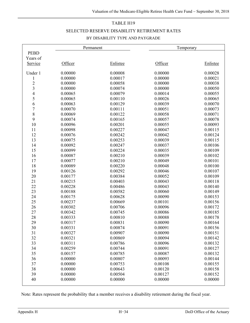#### TABLE H19

#### SELECTED RESERVE DISABILITY RETIREMENT RATES

#### BY DISABILITY TYPE AND PAYGRADE

|                |         | Permanent | Temporary |          |
|----------------|---------|-----------|-----------|----------|
| <b>PEBD</b>    |         |           |           |          |
| Years of       |         |           |           |          |
| Service        | Officer | Enlistee  | Officer   | Enlistee |
| Under 1        | 0.00000 | 0.00008   | 0.00000   | 0.00028  |
| $\mathbf{1}$   | 0.00000 | 0.00017   | 0.00000   | 0.00021  |
|                | 0.00000 | 0.00058   | 0.00000   | 0.00038  |
| $\frac{2}{3}$  | 0.00000 | 0.00074   | 0.00000   | 0.00050  |
| $\overline{4}$ | 0.00065 | 0.00079   | 0.00014   | 0.00055  |
| 5              | 0.00065 | 0.00110   | 0.00026   | 0.00065  |
| 6              | 0.00063 | 0.00129   | 0.00039   | 0.00070  |
| $\overline{7}$ | 0.00070 | 0.00111   | 0.00051   | 0.00073  |
| $\,8$          | 0.00069 | 0.00122   | 0.00058   | 0.00071  |
| 9              | 0.00074 | 0.00165   | 0.00057   | 0.00078  |
| 10             | 0.00096 | 0.00201   | 0.00055   | 0.00093  |
| 11             | 0.00098 | 0.00227   | 0.00047   | 0.00115  |
| 12             | 0.00076 | 0.00242   | 0.00042   | 0.00124  |
| 13             | 0.00075 | 0.00253   | 0.00039   | 0.00115  |
| 14             | 0.00092 | 0.00247   | 0.00037   | 0.00106  |
| 15             | 0.00099 | 0.00224   | 0.00035   | 0.00109  |
| 16             | 0.00087 | 0.00210   | 0.00039   | 0.00102  |
| 17             | 0.00077 | 0.00210   | 0.00049   | 0.00101  |
| 18             | 0.00089 | 0.00220   | 0.00048   | 0.00100  |
| 19             | 0.00126 | 0.00292   | 0.00046   | 0.00107  |
| 20             | 0.00177 | 0.00384   | 0.00052   | 0.00109  |
| 21             | 0.00215 | 0.00403   | 0.00043   | 0.00118  |
| 22             | 0.00228 | 0.00486   | 0.00043   | 0.00140  |
| 23             | 0.00188 | 0.00582   | 0.00060   | 0.00149  |
| 24             | 0.00175 | 0.00628   | 0.00090   | 0.00153  |
| 25             | 0.00237 | 0.00669   | 0.00101   | 0.00156  |
| 26             | 0.00302 | 0.00706   | 0.00096   | 0.00172  |
| 27             | 0.00342 | 0.00745   | 0.00086   | 0.00185  |
| 28             | 0.00333 | 0.00810   | 0.00088   | 0.00178  |
| 29             | 0.00317 | 0.00831   | 0.00090   | 0.00164  |
| 30             | 0.00331 | 0.00874   | 0.00091   | 0.00156  |
| 31             | 0.00327 | 0.00907   | 0.00090   | 0.00151  |
| 32             | 0.00321 | 0.00869   | 0.00094   | 0.00142  |
| 33             | 0.00311 | 0.00786   | 0.00096   | 0.00132  |
| 34             | 0.00259 | 0.00744   | 0.00091   | 0.00127  |
| 35             | 0.00157 | 0.00785   | 0.00087   | 0.00132  |
| 36             | 0.00000 | 0.00807   | 0.00093   | 0.00144  |
| 37             | 0.00000 | 0.00753   | 0.00108   | 0.00155  |
| 38             | 0.00000 | 0.00643   | 0.00120   | 0.00158  |
| 39             | 0.00000 | 0.00504   | 0.00127   | 0.00152  |
| 40             | 0.00000 | 0.00000   | 0.00000   | 0.00000  |

Note: Rates represent the probability that a member receives a disability retirement during the fiscal year.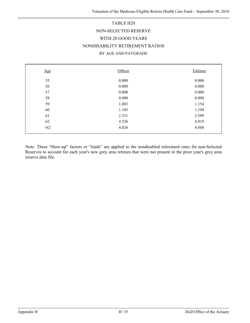# TABLE H20 NON-SELECTED RESERVE WITH 20 GOOD YEARS NONDISABILITY RETIREMENT RATIOS BY AGE AND PAYGRADE

| Age   | Officer | Enlistee |
|-------|---------|----------|
| 55    | 0.000   | 0.000    |
| 56    | 0.000   | 0.000    |
| 57    | 0.000   | 0.000    |
| 58    | 0.000   | 0.000    |
| 59    | 1.083   | 1.154    |
| 60    | 1.105   | 1.190    |
| 61    | 2.331   | 2.589    |
| 62    | 4.536   | 4.919    |
| $>62$ | 4.026   | 4.888    |

Note: These "blow-up" factors or "loads" are applied to the nondisabled retirement rates for non-Selected Reserves to account for each year's new grey area retirees that were not present in the prior year's grey area reserve data file.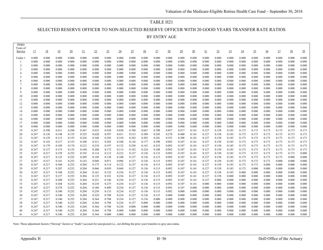## TABLE H21 SELECTED RESERVE OFFICER TO NON-SELECTED RESERVE OFFICER WITH 20 GOOD YEARS TRANSFER RATE RATIOS BY ENTRY AGE

| <b>PEBD</b><br>Years of |                |                |                |                  |                |                |                |                |                |                 |                |                |                 |                |                |                |                |                |                |                |                |                |                |
|-------------------------|----------------|----------------|----------------|------------------|----------------|----------------|----------------|----------------|----------------|-----------------|----------------|----------------|-----------------|----------------|----------------|----------------|----------------|----------------|----------------|----------------|----------------|----------------|----------------|
| Service                 | 17             | <u>18</u>      | 19             | $\underline{20}$ | 21             | 22             | 23             | $\frac{24}{5}$ | $\frac{25}{2}$ | $\overline{26}$ | 27             | 28             | $\overline{29}$ | 30             | $\frac{31}{2}$ | 32             | 33             | $\frac{34}{5}$ | $\frac{35}{2}$ | $\frac{36}{5}$ | 37             | $\frac{38}{5}$ | 39             |
| Under:                  | 0.000          | 0.000          | 0.000          | 0.000            | 0.000          | 0.000          | 0.000          | 0.000          | 0.000          | 0.000           | 0.000          | 0.000          | 0.000           | 0.000          | 0.000          | 0.000          | 0.000          | 0.000          | 0.000          | 0.000          | 0.000          | 0.000          | 0.000          |
|                         | 0.000          | 0.000          | 0.000          | 0.000            | 0.000          | 0.000          | 0.000          | 0.000          | 0.000          | 0.000           | 0.000          | 0.000          | 0.000           | 0.000          | 0.000          | 0.000          | 0.000          | 0.000          | 0.000          | 0.000          | 0.000          | 0.000          | 0.000          |
| 2                       | 0.000          | 0.000          | 0.000          | 0.000            | 0.000          | 0.000          | 0.000          | 0.000          | 0.000          | 0.000           | 0.000          | 0.000          | 0.000           | 0.000          | 0.000          | 0.000          | 0.000          | 0.000          | 0.000          | 0.000          | 0.000          | 0.000          | 0.000          |
| 3                       | 0.000          | 0.000          | 0.000          | 0.000            | 0.000          | 0.000          | 0.000          | 0.000          | 0.000          | 0.000           | 0.000          | 0.000          | 0.000           | 0.000          | 0.000          | 0.000          | 0.000          | 0.000          | 0.000          | 0.000          | 0.000          | 0.000          | 0.000          |
| $\overline{4}$          | 0.000          | 0.000          | 0.000          | 0.000            | 0.000          | 0.000          | 0.000          | 0.000          | 0.000          | 0.000           | 0.000          | 0.000          | 0.000           | 0.000          | 0.000          | 0.000          | 0.000          | 0.000          | 0.000          | 0.000          | 0.000          | 0.000          | 0.000          |
| -5                      | 0.000          | 0.000          | 0.000          | 0.000            | 0.000          | 0.000          | 0.000          | 0.000          | 0.000          | 0.000           | 0.000          | 0.000          | 0.000           | 0.000          | 0.000          | 0.000          | 0.000          | 0.000          | 0.000          | 0.000          | 0.000          | 0.000          | 0.000          |
| 6                       | 0.000          | 0.000          | 0.000          | 0.000            | 0.000          | 0.000          | 0.000          | 0.000          | 0.000          | 0.000           | 0.000          | 0.000          | 0.000           | 0.000          | 0.000          | 0.000          | 0.000          | 0.000          | 0.000          | 0.000          | 0.000          | 0.000          | 0.000          |
| $\overline{7}$          | 0.000          | 0.000          | 0.000          | 0.000            | 0.000          | 0.000          | 0.000          | 0.000          | 0.000          | 0.000           | 0.000          | 0.000          | 0.000           | 0.000          | 0.000          | 0.000          | 0.000          | 0.000          | 0.000          | 0.000          | 0.000          | 0.000          | 0.000          |
|                         | 0.000          | 0.000          | 0.000          | 0.000            | 0.000          | 0.000          | 0.000          | 0.000          | 0.000          | 0.000           | 0.000          | 0.000          | 0.000           | 0.000          | 0.000          | 0.000          | 0.000          | 0.000          | 0.000          | 0.000          | 0.000          | 0.000          | 0.000          |
| $\mathbf{Q}$            | 0.000          | 0.000          | 0.000<br>0.000 | 0.000            | 0.000          | 0.000<br>0.000 | 0.000          | 0.000          | 0.000          | 0.000<br>0.000  | 0.000          | 0.000          | 0.000           | 0.000          | 0.000          | 0.000          | 0.000<br>0.000 | 0.000          | 0.000          | 0.000          | 0.000<br>0.000 | 0.000          | 0.000          |
| 10<br>11                | 0.000<br>0.000 | 0.000<br>0.000 | 0.000          | 0.000<br>0.000   | 0.000<br>0.000 | 0.000          | 0.000<br>0.000 | 0.000<br>0.000 | 0.000<br>0.000 | 0.000           | 0.000<br>0.000 | 0.000<br>0.000 | 0.000<br>0.000  | 0.000<br>0.000 | 0.000<br>0.000 | 0.000<br>0.000 | 0.000          | 0.000<br>0.000 | 0.000<br>0.000 | 0.000<br>0.000 | 0.000          | 0.000<br>0.000 | 0.000<br>0.000 |
| 12                      | 0.000          | 0.000          | 0.000          | 0.000            | 0.000          | 0.000          | 0.000          | 0.000          | 0.000          | 0.000           | 0.000          | 0.000          | 0.000           | 0.000          | 0.000          | 0.000          | 0.000          | 0.000          | 0.000          | 0.000          | 0.000          | 0.000          | 0.000          |
| 13                      | 0.000          | 0.000          | 0.000          | 0.000            | 0.000          | 0.000          | 0.000          | 0.000          | 0.000          | 0.000           | 0.000          | 0.000          | 0.000           | 0.000          | 0.000          | 0.000          | 0.000          | 0.000          | 0.000          | 0.000          | 0.000          | 0.000          | 0.000          |
| 14                      | 0.000          | 0.000          | 0.000          | 0.000            | 0.000          | 0.000          | 0.000          | 0.000          | 0.000          | 0.000           | 0.000          | 0.000          | 0.000           | 0.000          | 0.000          | 0.000          | 0.000          | 0.000          | 0.000          | 0.000          | 0.000          | 0.000          | 0.000          |
| 15                      | 0.000          | 0.000          | 0.000          | 0.000            | 0.000          | 0.000          | 0.000          | 0.000          | 0.000          | 0.000           | 0.000          | 0.000          | 0.000           | 0.000          | 0.000          | 0.000          | 0.000          | 0.000          | 0.000          | 0.000          | 0.000          | 0.000          | 0.000          |
| 16                      | 0.000          | 0.000          | 0.000          | 0.000            | 0.000          | 0.000          | 0.000          | 0.000          | 0.000          | 0.000           | 0.000          | 0.000          | 0.000           | 0.000          | 0.000          | 0.000          | 0.000          | 0.000          | 0.000          | 0.000          | 0.000          | 0.000          | 0.000          |
| 17                      | 0.000          | 0.000          | 0.000          | 0.000            | 0.000          | 0.000          | 0.000          | 0.000          | 0.000          | 0.000           | 0.000          | 0.000          | 0.000           | 0.000          | 0.000          | 0.000          | 0.000          | 0.000          | 0.000          | 0.000          | 0.000          | 0.000          | 0.000          |
| 18                      | 0.000          | 0.000          | 0.000          | 0.000            | 0.000          | 0.000          | 0.000          | 0.000          | 0.000          | 0.000           | 0.000          | 0.000          | 0.000           | 0.000          | 0.000          | 0.000          | 0.000          | 0.000          | 0.000          | 0.000          | 0.000          | 0.000          | 0.000          |
| 19                      | 0.247          | 0.390          | 0.411          | 0.298            | 0.367          | 0.925          | 0.928          | 0.830          | 0.700          | 0.667           | 0.700          | 0.857          | 0.917           | 0.141          | 0.127          | 0.158          | 0.183          | 0.173          | 0.173          | 0.173          | 0.173          | 0.173          | 0.173          |
| 20                      | 0.247          | 0.126          | 0.148          | 0.135            | 0.325          | 0.620          | 0.597          | 0.411          | 0.513          | 0.309           | 0.245          | 0.278          | 0.400           | 0.141          | 0.127          | 0.158          | 0.183          | 0.173          | 0.173          | 0.173          | 0.173          | 0.173          | 0.173          |
| 21                      | 0.247          | 0.129          | 0.112          | 0.155            | 0.226          | 0.348          | 0.392          | 0.310          | 0.342          | 0.303           | 0.241          | 0.333          | 0.308           | 0.141          | 0.127          | 0.158          | 0.183          | 0.173          | 0.173          | 0.173          | 0.173          | 0.173          | 0.173          |
| 22                      | 0.247          | 0.143          | 0.217          | 0.153            | 0.108          | 0.211          | 0.202          | 0.248          | 0.136          | 0.177           | 0.298          | 0.092          | 0.107           | 0.141          | 0.127          | 0.158          | 0.183          | 0.173          | 0.173          | 0.173          | 0.173          | 0.173          | 0.173          |
| 23                      | 0.247          | 0.179          | 0.189          | 0.174            | 0.212          | 0.218          | 0.197          | 0.132          | 0.258          | 0.141           | 0.333          | 0.092          | 0.107           | 0.141          | 0.127          | 0.158          | 0.183          | 0.173          | 0.173          | 0.173          | 0.173          | 0.173          | 0.173          |
| 24                      | 0.247          | 0.127          | 0.153          | 0.132            | 0.104          | 0.200          | 0.172          | 0.115          | 0.182          | 0.224           | 0.188          | 0.092          | 0.107           | 0.141          | 0.127          | 0.158          | 0.183          | 0.173          | 0.173          | 0.173          | 0.173          | 0.173          | 0.173          |
| 25                      | 0.247          | 0.217          | 0.159          | 0.252            | 0.192          | 0.114          | 0.112          | 0.212          | 0.127          | 0.136           | 0.115          | 0.092          | 0.107           | 0.141          | 0.127          | 0.158          | 0.183          | 0.173          | 0.173          | 0.173          | 0.173          | 0.173          | 0.000          |
| 26<br>27                | 0.247          | 0.217          | 0.125          | 0.252            | 0.209          | 0.149          | 0.138          | 0.100          | 0.127          | 0.136           | 0.115          | 0.092          | 0.107           | 0.141          | 0.127          | 0.158          | 0.183          | 0.173          | 0.173          | 0.173          | 0.173<br>0.000 | 0.000<br>0.000 | 0.000          |
| 28                      | 0.247<br>0.247 | 0.217<br>0.217 | 0.161<br>0.360 | 0.252<br>0.252   | 0.143<br>0.204 | 0.049<br>0.175 | 0.071<br>0.114 | 0.096<br>0.122 | 0.127<br>0.127 | 0.136<br>0.136  | 0.115<br>0.115 | 0.092<br>0.092 | 0.107<br>0.107  | 0.141<br>0.141 | 0.127<br>0.127 | 0.158<br>0.158 | 0.183<br>0.183 | 0.173<br>0.173 | 0.173<br>0.173 | 0.173<br>0.000 | 0.000          | 0.000          | 0.000<br>0.000 |
| 29                      | 0.247          | 0.217          | 0.207          | 0.252            | 0.204          | 0.046          | 0.059          | 0.049          | 0.127          | 0.136           | 0.115          | 0.092          | 0.107           | 0.141          | 0.127          | 0.158          | 0.183          | 0.173          | 0.000          | 0.000          | 0.000          | 0.000          | 0.000          |
| 30                      | 0.247          | 0.217          | 0.108          | 0.252            | 0.204          | 0.161          | 0.152          | 0.234          | 0.127          | 0.136           | 0.115          | 0.092          | 0.107           | 0.141          | 0.127          | 0.158          | 0.183          | 0.000          | 0.000          | 0.000          | 0.000          | 0.000          | 0.000          |
| 31                      | 0.247          | 0.217          | 0.157          | 0.252            | 0.204          | 0.135          | 0.181          | 0.234          | 0.127          | 0.136           | 0.115          | 0.092          | 0.107           | 0.141          | 0.127          | 0.158          | 0.000          | 0.000          | 0.000          | 0.000          | 0.000          | 0.000          | 0.000          |
| 32                      | 0.247          | 0.217          | 0.200          | 0.252            | 0.204          | 0.221          | 0.146          | 0.234          | 0.127          | 0.136           | 0.115          | 0.092          | 0.107           | 0.141          | 0.127          | 0.000          | 0.000          | 0.000          | 0.000          | 0.000          | 0.000          | 0.000          | 0.000          |
| 33                      | 0.247          | 0.217          | 0.368          | 0.252            | 0.204          | 0.210          | 0.275          | 0.234          | 0.127          | 0.136           | 0.115          | 0.092          | 0.107           | 0.141          | 0.000          | 0.000          | 0.000          | 0.000          | 0.000          | 0.000          | 0.000          | 0.000          | 0.000          |
| 34                      | 0.247          | 0.217          | 0.278          | 0.252            | 0.204          | 0.186          | 0.409          | 0.234          | 0.127          | 0.136           | 0.115          | 0.092          | 0.107           | 0.000          | 0.000          | 0.000          | 0.000          | 0.000          | 0.000          | 0.000          | 0.000          | 0.000          | 0.000          |
| 35                      | 0.247          | 0.217          | 0.340          | 0.252            | 0.204          | 0.258          | 0.133          | 0.234          | 0.127          | 0.136           | 0.115          | 0.092          | 0.000           | 0.000          | 0.000          | 0.000          | 0.000          | 0.000          | 0.000          | 0.000          | 0.000          | 0.000          | 0.000          |
| 36                      | 0.247          | 0.217          | 0.340          | 0.252            | 0.204          | 0.329          | 0.788          | 0.234          | 0.127          | 0.136           | 0.115          | 0.000          | 0.000           | 0.000          | 0.000          | 0.000          | 0.000          | 0.000          | 0.000          | 0.000          | 0.000          | 0.000          | 0.000          |
| 37                      | 0.247          | 0.217          | 0.340          | 0.252            | 0.204          | 0.364          | 0.788          | 0.234          | 0.127          | 0.136           | 0.000          | 0.000          | 0.000           | 0.000          | 0.000          | 0.000          | 0.000          | 0.000          | 0.000          | 0.000          | 0.000          | 0.000          | 0.000          |
| 38                      | 0.247          | 0.217          | 0.340          | 0.252            | 0.204          | 0.364          | 0.788          | 0.234          | 0.127          | 0.000           | 0.000          | 0.000          | 0.000           | 0.000          | 0.000          | 0.000          | 0.000          | 0.000          | 0.000          | 0.000          | 0.000          | 0.000          | 0.000          |
| 39                      | 0.247          | 0.217          | 0.340          | 0.252            | 0.204          | 0.364          | 0.788          | 0.234          | 0.000          | 0.000           | 0.000          | 0.000          | 0.000           | 0.000          | 0.000          | 0.000          | 0.000          | 0.000          | 0.000          | 0.000          | 0.000          | 0.000          | 0.000          |
| 40                      | 0.247          | 0.217          | 0.340          | 0.252            | 0.204          | 0.364          | 0.788          | 0.000          | 0.000          | 0.000           | 0.000          | 0.000          | 0.000           | 0.000          | 0.000          | 0.000          | 0.000          | 0.000          | 0.000          | 0.000          | 0.000          | 0.000          | 0.000          |
| 41                      | 0.247          | 0.217          | 0.340          | 0.252            | 0.204          | 0.364          | 0.000          | 0.000          | 0.000          | 0.000           | 0.000          | 0.000          | 0.000           | 0.000          | 0.000          | 0.000          | 0.000          | 0.000          | 0.000          | 0.000          | 0.000          | 0.000          | 0.000          |

Note: These adjustment factors ("blowup" factors or "loads") account for unexpected (i.e., not drilling the prior year) transfers to grey area status.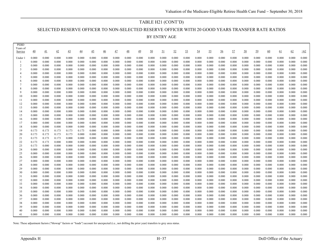#### TABLE H21 (CONT'D)

#### SELECTED RESERVE OFFICER TO NON-SELECTED RESERVE OFFICER WITH 20 GOOD YEARS TRANSFER RATE RATIOS

BY ENTRY AGE

| LERD<br>Years of |                |                |                |                |                |                |                |                |                 |                |                |                |                |                |                |                |                |                |                |                |                |                |                |                |
|------------------|----------------|----------------|----------------|----------------|----------------|----------------|----------------|----------------|-----------------|----------------|----------------|----------------|----------------|----------------|----------------|----------------|----------------|----------------|----------------|----------------|----------------|----------------|----------------|----------------|
| Service          | 40             | 41             | 42             | 43             | 44             | 45             | $\frac{46}{5}$ | 47             | $\overline{48}$ | 49             | 50             | <u>51</u>      | 52             | 53             | 54             | 55             | 56             | 57             | <u>58</u>      | 59             | 60             | 61             | 62             | >62            |
| Under 1          | 0.000          | 0.000          | 0.000          | 0.000          | 0.000          | 0.000          | 0.000          | 0.000          | 0.000           | 0.000          | 0.000          | 0.000          | 0.000          | 0.000          | 0.000          | 0.000          | 0.000          | 0.000          | 0.000          | 0.000          | 0.000          | 0.000          | 0.000          | 0.000          |
| -1               | 0.000          | 0.000          | 0.000          | 0.000          | 0.000          | 0.000          | 0.000          | 0.000          | 0.000           | 0.000          | 0.000          | 0.000          | 0.000          | 0.000          | 0.000          | 0.000          | 0.000          | 0.000          | 0.000          | 0.000          | 0.000          | 0.000          | 0.000          | 0.000          |
| 2                | 0.000          | 0.000          | 0.000          | 0.000          | 0.000          | 0.000          | 0.000          | 0.000          | 0.000           | 0.000          | 0.000          | 0.000          | 0.000          | 0.000          | 0.000          | 0.000          | 0.000          | 0.000          | 0.000          | 0.000          | 0.000          | 0.000          | 0.000          | 0.000          |
| 3                | 0.000          | 0.000          | 0.000          | 0.000          | 0.000          | 0.000          | 0.000          | 0.000          | 0.000           | 0.000          | 0.000          | 0.000          | 0.000          | 0.000          | 0.000          | 0.000          | 0.000          | 0.000          | 0.000          | 0.000          | 0.000          | 0.000          | 0.000          | 0.000          |
| $\overline{4}$   | 0.000          | 0.000          | 0.000          | 0.000          | 0.000          | 0.000          | 0.000          | 0.000          | 0.000           | 0.000          | 0.000          | 0.000          | 0.000          | 0.000          | 0.000          | 0.000          | 0.000          | 0.000          | 0.000          | 0.000          | 0.000          | 0.000          | 0.000          | 0.000          |
| 5                | 0.000          | 0.000          | 0.000          | 0.000          | 0.000          | 0.000          | 0.000          | 0.000          | 0.000           | 0.000          | 0.000          | 0.000          | 0.000          | 0.000          | 0.000          | 0.000          | 0.000          | 0.000          | 0.000          | 0.000          | 0.000          | 0.000          | 0.000          | 0.000          |
| 6                | 0.000          | 0.000          | 0.000          | 0.000          | 0.000          | 0.000          | 0.000          | 0.000          | 0.000           | 0.000          | 0.000          | 0.000          | 0.000          | 0.000          | 0.000          | 0.000          | 0.000          | 0.000          | 0.000          | 0.000          | 0.000          | 0.000          | 0.000          | 0.000          |
| 7                | 0.000          | 0.000          | 0.000          | 0.000          | 0.000          | 0.000          | 0.000          | 0.000          | 0.000           | 0.000          | 0.000          | 0.000          | 0.000          | 0.000          | 0.000          | 0.000          | 0.000          | 0.000          | 0.000          | 0.000          | 0.000          | 0.000          | 0.000          | 0.000          |
| 8                | 0.000          | 0.000          | 0.000          | 0.000          | 0.000          | 0.000          | 0.000          | 0.000          | 0.000           | 0.000          | 0.000          | 0.000          | 0.000          | 0.000          | 0.000          | 0.000          | 0.000          | 0.000          | 0.000          | 0.000          | 0.000          | 0.000          | 0.000          | 0.000          |
| 9                | 0.000          | 0.000          | 0.000          | 0.000          | 0.000          | 0.000          | 0.000          | 0.000          | 0.000           | 0.000          | 0.000          | 0.000          | 0.000          | 0.000          | 0.000          | 0.000          | 0.000          | 0.000          | 0.000          | 0.000          | 0.000          | 0.000          | 0.000          | 0.000          |
| 10               | 0.000          | 0.000          | 0.000          | 0.000          | 0.000          | 0.000          | 0.000          | 0.000          | 0.000           | 0.000          | 0.000          | 0.000          | 0.000          | 0.000          | 0.000          | 0.000          | 0.000          | 0.000          | 0.000          | 0.000          | 0.000          | 0.000          | 0.000          | 0.000          |
| 11               | 0.000          | 0.000          | 0.000          | 0.000          | 0.000          | 0.000          | 0.000          | 0.000          | 0.000           | 0.000          | 0.000          | 0.000          | 0.000          | 0.000          | 0.000          | 0.000          | 0.000          | 0.000          | 0.000          | 0.000          | 0.000          | 0.000          | 0.000          | 0.000          |
| 12               | 0.000          | 0.000          | 0.000          | 0.000          | 0.000          | 0.000          | 0.000          | 0.000          | 0.000           | 0.000          | 0.000          | 0.000          | 0.000          | 0.000          | 0.000          | 0.000          | 0.000          | 0.000          | 0.000          | 0.000          | 0.000          | 0.000          | 0.000          | 0.000          |
| 13               | 0.000          | 0.000          | 0.000          | 0.000          | 0.000          | 0.000          | 0.000          | 0.000          | 0.000           | 0.000          | 0.000          | 0.000          | 0.000          | 0.000          | 0.000          | 0.000          | 0.000          | 0.000          | 0.000          | 0.000          | 0.000          | 0.000          | 0.000          | 0.000          |
| 14               | 0.000          | 0.000          | 0.000          | 0.000          | 0.000          | 0.000          | 0.000          | 0.000          | 0.000           | 0.000          | 0.000          | 0.000          | 0.000          | 0.000          | 0.000          | 0.000          | 0.000          | 0.000          | 0.000          | 0.000          | 0.000          | 0.000          | 0.000          | 0.000          |
| 15               | 0.000          | 0.000          | 0.000          | 0.000          | 0.000          | 0.000          | 0.000          | 0.000          | 0.000           | 0.000          | 0.000          | 0.000          | 0.000          | 0.000          | 0.000          | 0.000          | 0.000          | 0.000          | 0.000          | 0.000          | 0.000          | 0.000          | 0.000          | 0.000          |
| 16               | 0.000          | 0.000          | 0.000          | 0.000          | 0.000          | 0.000          | 0.000          | 0.000          | 0.000           | 0.000          | 0.000          | 0.000          | 0.000          | 0.000          | 0.000          | 0.000          | 0.000          | 0.000          | 0.000          | 0.000          | 0.000          | 0.000          | 0.000          | 0.000          |
| 17               | 0.000          | 0.000          | 0.000          | 0.000          | 0.000          | 0.000          | 0.000          | 0.000          | 0.000           | 0.000          | 0.000          | 0.000          | 0.000          | 0.000          | 0.000          | 0.000          | 0.000          | 0.000          | 0.000          | 0.000          | 0.000          | 0.000          | 0.000          | 0.000          |
| 18               | 0.000          | 0.000          | 0.000          | 0.000          | 0.000          | 0.000          | 0.000          | 0.000          | 0.000           | 0.000          | 0.000          | 0.000<br>0.000 | 0.000          | 0.000          | 0.000          | 0.000<br>0.000 | 0.000          | 0.000<br>0.000 | 0.000          | 0.000          | 0.000          | 0.000<br>0.000 | 0.000          | 0.000<br>0.000 |
| 19               | 0.173<br>0.173 | 0.173          | 0.173          | 0.173          | 0.173          | 0.000          | 0.000          | 0.000          | 0.000           | 0.000          | 0.000          |                | 0.000<br>0.000 | 0.000          | 0.000          | 0.000          | 0.000          |                | 0.000          | 0.000          | 0.000          |                | 0.000          |                |
| 20               |                | 0.173          | 0.173<br>0.173 | 0.173          | 0.000          | 0.000          | 0.000          | 0.000          | 0.000           | 0.000          | 0.000          | 0.000          |                | 0.000<br>0.000 | 0.000<br>0.000 | 0.000          | 0.000<br>0.000 | 0.000<br>0.000 | 0.000          | 0.000<br>0.000 | 0.000          | 0.000<br>0.000 | 0.000          | 0.000<br>0.000 |
| 21<br>22         | 0.173<br>0.173 | 0.173<br>0.173 | 0.000          | 0.000<br>0.000 | 0.000<br>0.000 | 0.000<br>0.000 | 0.000<br>0.000 | 0.000<br>0.000 | 0.000<br>0.000  | 0.000<br>0.000 | 0.000<br>0.000 | 0.000<br>0.000 | 0.000<br>0.000 | 0.000          | 0.000          | 0.000          | 0.000          | 0.000          | 0.000<br>0.000 | 0.000          | 0.000<br>0.000 | 0.000          | 0.000<br>0.000 | 0.000          |
| 23               | 0.173          | 0.000          | 0.000          | 0.000          | 0.000          | 0.000          | 0.000          | 0.000          | 0.000           | 0.000          | 0.000          | 0.000          | 0.000          | 0.000          | 0.000          | 0.000          | 0.000          | 0.000          | 0.000          | 0.000          | 0.000          | 0.000          | 0.000          | 0.000          |
| 24               | 0.000          | 0.000          | 0.000          | 0.000          | 0.000          | 0.000          | 0.000          | 0.000          | 0.000           | 0.000          | 0.000          | 0.000          | 0.000          | 0.000          | 0.000          | 0.000          | 0.000          | 0.000          | 0.000          | 0.000          | 0.000          | 0.000          | 0.000          | 0.000          |
| 25               | 0.000          | 0.000          | 0.000          | 0.000          | 0.000          | 0.000          | 0.000          | 0.000          | 0.000           | 0.000          | 0.000          | 0.000          | 0.000          | 0.000          | 0.000          | 0.000          | 0.000          | 0.000          | 0.000          | 0.000          | 0.000          | 0.000          | 0.000          | 0.000          |
| 26               | 0.000          | 0.000          | 0.000          | 0.000          | 0.000          | 0.000          | 0.000          | 0.000          | 0.000           | 0.000          | 0.000          | 0.000          | 0.000          | 0.000          | 0.000          | 0.000          | 0.000          | 0.000          | 0.000          | 0.000          | 0.000          | 0.000          | 0.000          | 0.000          |
| 27               | 0.000          | 0.000          | 0.000          | 0.000          | 0.000          | 0.000          | 0.000          | 0.000          | 0.000           | 0.000          | 0.000          | 0.000          | 0.000          | 0.000          | 0.000          | 0.000          | 0.000          | 0.000          | 0.000          | 0.000          | 0.000          | 0.000          | 0.000          | 0.000          |
| 28               | 0.000          | 0.000          | 0.000          | 0.000          | 0.000          | 0.000          | 0.000          | 0.000          | 0.000           | 0.000          | 0.000          | 0.000          | 0.000          | 0.000          | 0.000          | 0.000          | 0.000          | 0.000          | 0.000          | 0.000          | 0.000          | 0.000          | 0.000          | 0.000          |
| 29               | 0.000          | 0.000          | 0.000          | 0.000          | 0.000          | 0.000          | 0.000          | 0.000          | 0.000           | 0.000          | 0.000          | 0.000          | 0.000          | 0.000          | 0.000          | 0.000          | 0.000          | 0.000          | 0.000          | 0.000          | 0.000          | 0.000          | 0.000          | 0.000          |
| 30               | 0.000          | 0.000          | 0.000          | 0.000          | 0.000          | 0.000          | 0.000          | 0.000          | 0.000           | 0.000          | 0.000          | 0.000          | 0.000          | 0.000          | 0.000          | 0.000          | 0.000          | 0.000          | 0.000          | 0.000          | 0.000          | 0.000          | 0.000          | 0.000          |
| 31               | 0.000          | 0.000          | 0.000          | 0.000          | 0.000          | 0.000          | 0.000          | 0.000          | 0.000           | 0.000          | 0.000          | 0.000          | 0.000          | 0.000          | 0.000          | 0.000          | 0.000          | 0.000          | 0.000          | 0.000          | 0.000          | 0.000          | 0.000          | 0.000          |
| 32               | 0.000          | 0.000          | 0.000          | 0.000          | 0.000          | 0.000          | 0.000          | 0.000          | 0.000           | 0.000          | 0.000          | 0.000          | 0.000          | 0.000          | 0.000          | 0.000          | 0.000          | 0.000          | 0.000          | 0.000          | 0.000          | 0.000          | 0.000          | 0.000          |
| 33               | 0.000          | 0.000          | 0.000          | 0.000          | 0.000          | 0.000          | 0.000          | 0.000          | 0.000           | 0.000          | 0.000          | 0.000          | 0.000          | 0.000          | 0.000          | 0.000          | 0.000          | 0.000          | 0.000          | 0.000          | 0.000          | 0.000          | 0.000          | 0.000          |
| 34               | 0.000          | 0.000          | 0.000          | 0.000          | 0.000          | 0.000          | 0.000          | 0.000          | 0.000           | 0.000          | 0.000          | 0.000          | 0.000          | 0.000          | 0.000          | 0.000          | 0.000          | 0.000          | 0.000          | 0.000          | 0.000          | 0.000          | 0.000          | 0.000          |
| 35               | 0.000          | 0.000          | 0.000          | 0.000          | 0.000          | 0.000          | 0.000          | 0.000          | 0.000           | 0.000          | 0.000          | 0.000          | 0.000          | 0.000          | 0.000          | 0.000          | 0.000          | 0.000          | 0.000          | 0.000          | 0.000          | 0.000          | 0.000          | 0.000          |
| 36               | 0.000          | 0.000          | 0.000          | 0.000          | 0.000          | 0.000          | 0.000          | 0.000          | 0.000           | 0.000          | 0.000          | 0.000          | 0.000          | 0.000          | 0.000          | 0.000          | 0.000          | 0.000          | 0.000          | 0.000          | 0.000          | 0.000          | 0.000          | 0.000          |
| 37               | 0.000          | 0.000          | 0.000          | 0.000          | 0.000          | 0.000          | 0.000          | 0.000          | 0.000           | 0.000          | 0.000          | 0.000          | 0.000          | 0.000          | 0.000          | 0.000          | 0.000          | 0.000          | 0.000          | 0.000          | 0.000          | 0.000          | 0.000          | 0.000          |
| 38               | 0.000          | 0.000          | 0.000          | 0.000          | 0.000          | 0.000          | 0.000          | 0.000          | 0.000           | 0.000          | 0.000          | 0.000          | 0.000          | 0.000          | 0.000          | 0.000          | 0.000          | 0.000          | 0.000          | 0.000          | 0.000          | 0.000          | 0.000          | 0.000          |
| 39               | 0.000          | 0.000          | 0.000          | 0.000          | 0.000          | 0.000          | 0.000          | 0.000          | 0.000           | 0.000          | 0.000          | 0.000          | 0.000          | 0.000          | 0.000          | 0.000          | 0.000          | 0.000          | 0.000          | 0.000          | 0.000          | 0.000          | 0.000          | 0.000          |
| 40               | 0.000          | 0.000          | 0.000          | 0.000          | 0.000          | 0.000          | 0.000          | 0.000          | 0.000           | 0.000          | 0.000          | 0.000          | 0.000          | 0.000          | 0.000          | 0.000          | 0.000          | 0.000          | 0.000          | 0.000          | 0.000          | 0.000          | 0.000          | 0.000          |
| 41               | 0.000          | 0.000          | 0.000          | 0.000          | 0.000          | 0.000          | 0.000          | 0.000          | 0.000           | 0.000          | 0.000          | 0.000          | 0.000          | 0.000          | 0.000          | 0.000          | 0.000          | 0.000          | 0.000          | 0.000          | 0.000          | 0.000          | 0.000          | 0.000          |
|                  |                |                |                |                |                |                |                |                |                 |                |                |                |                |                |                |                |                |                |                |                |                |                |                |                |

Note: These adjustment factors ("blowup" factors or "loads") account for unexpected (i.e., not drilling the prior year) transfers to grey area status.

PEBD

۳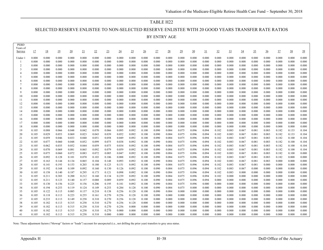## TABLE H22 SELECTED RESERVE ENLISTEE TO NON-SELECTED RESERVE ENLISTEE WITH 20 GOOD YEARS TRANSFER RATE RATIOS BY ENTRY AGE

| PEBD<br>Years of |                |                |                |                  |                |                 |                |                |                |                 |                |                 |                 |                |                |                |                |                |                |                |                |                |                |
|------------------|----------------|----------------|----------------|------------------|----------------|-----------------|----------------|----------------|----------------|-----------------|----------------|-----------------|-----------------|----------------|----------------|----------------|----------------|----------------|----------------|----------------|----------------|----------------|----------------|
| Service          | 17             | <u>18</u>      | 19             | $\underline{20}$ | 21             | $\overline{22}$ | 23             | $\frac{24}{5}$ | $\frac{25}{2}$ | $\overline{26}$ | 27             | $\overline{28}$ | $\overline{29}$ | 30             | $\frac{31}{2}$ | 32             | $\frac{33}{2}$ | $\frac{34}{5}$ | $\frac{35}{2}$ | $\frac{36}{5}$ | 37             | $\frac{38}{5}$ | 39             |
| Under :          | 0.000          | 0.000          | 0.000          | 0.000            | 0.000          | 0.000           | 0.000          | 0.000          | 0.000          | 0.000           | 0.000          | 0.000           | 0.000           | 0.000          | 0.000          | 0.000          | 0.000          | 0.000          | 0.000          | 0.000          | 0.000          | 0.000          | 0.000          |
|                  | 0.000          | 0.000          | 0.000          | 0.000            | 0.000          | 0.000           | 0.000          | 0.000          | 0.000          | 0.000           | 0.000          | 0.000           | 0.000           | 0.000          | 0.000          | 0.000          | 0.000          | 0.000          | 0.000          | 0.000          | 0.000          | 0.000          | 0.000          |
| 2                | 0.000          | 0.000          | 0.000          | 0.000            | 0.000          | 0.000           | 0.000          | 0.000          | 0.000          | 0.000           | 0.000          | 0.000           | 0.000           | 0.000          | 0.000          | 0.000          | 0.000          | 0.000          | 0.000          | 0.000          | 0.000          | 0.000          | 0.000          |
| 3                | 0.000          | 0.000          | 0.000          | 0.000            | 0.000          | 0.000           | 0.000          | 0.000          | 0.000          | 0.000           | 0.000          | 0.000           | 0.000           | 0.000          | 0.000          | 0.000          | 0.000          | 0.000          | 0.000          | 0.000          | 0.000          | 0.000          | 0.000          |
| $\overline{4}$   | 0.000          | 0.000          | 0.000          | 0.000            | 0.000          | 0.000           | 0.000          | 0.000          | 0.000          | 0.000           | 0.000          | 0.000           | 0.000           | 0.000          | 0.000          | 0.000          | 0.000          | 0.000          | 0.000          | 0.000          | 0.000          | 0.000          | 0.000          |
| .5               | 0.000          | 0.000          | 0.000          | 0.000            | 0.000          | 0.000           | 0.000          | 0.000          | 0.000          | 0.000           | 0.000          | 0.000           | 0.000           | 0.000          | 0.000          | 0.000          | 0.000          | 0.000          | 0.000          | 0.000          | 0.000          | 0.000          | 0.000          |
| 6                | 0.000          | 0.000          | 0.000          | 0.000            | 0.000          | 0.000           | 0.000          | 0.000          | 0.000          | 0.000           | 0.000          | 0.000           | 0.000           | 0.000          | 0.000          | 0.000          | 0.000          | 0.000          | 0.000          | 0.000          | 0.000          | 0.000          | 0.000          |
| $\overline{7}$   | 0.000          | 0.000          | 0.000          | 0.000            | 0.000          | 0.000           | 0.000          | 0.000          | 0.000          | 0.000           | 0.000          | 0.000           | 0.000           | 0.000          | 0.000          | 0.000          | 0.000          | 0.000          | 0.000          | 0.000          | 0.000          | 0.000          | 0.000          |
|                  | 0.000          | 0.000          | 0.000          | 0.000            | 0.000          | 0.000           | 0.000          | 0.000          | 0.000          | 0.000           | 0.000          | 0.000           | 0.000           | 0.000          | 0.000          | 0.000          | 0.000          | 0.000          | 0.000          | 0.000          | 0.000          | 0.000          | 0.000          |
| $\mathbf{Q}$     | 0.000          | 0.000          | 0.000          | 0.000            | 0.000          | 0.000           | 0.000          | 0.000          | 0.000          | 0.000           | 0.000          | 0.000           | 0.000           | 0.000          | 0.000          | 0.000          | 0.000          | 0.000          | 0.000          | 0.000          | 0.000          | 0.000          | 0.000          |
| 10               | 0.000          | 0.000          | 0.000          | 0.000            | 0.000          | 0.000           | 0.000          | 0.000          | 0.000          | 0.000           | 0.000          | 0.000           | 0.000           | 0.000          | 0.000          | 0.000          | 0.000          | 0.000          | 0.000          | 0.000          | 0.000          | 0.000          | 0.000          |
| 11               | 0.000          | 0.000          | 0.000          | 0.000            | 0.000          | 0.000           | 0.000          | 0.000          | 0.000          | 0.000           | 0.000          | 0.000           | 0.000           | 0.000          | 0.000          | 0.000          | 0.000          | 0.000          | 0.000          | 0.000          | 0.000          | 0.000          | 0.000          |
| 12               | 0.000          | 0.000          | 0.000          | 0.000            | 0.000          | 0.000           | 0.000          | 0.000          | 0.000          | 0.000           | 0.000          | 0.000           | 0.000           | 0.000          | 0.000          | 0.000          | 0.000          | 0.000          | 0.000          | 0.000          | 0.000          | 0.000          | 0.000          |
| 13               | 0.000          | 0.000          | 0.000          | 0.000            | 0.000          | 0.000           | 0.000          | 0.000          | 0.000          | 0.000           | 0.000          | 0.000           | 0.000           | 0.000          | 0.000          | 0.000          | 0.000          | 0.000          | 0.000          | 0.000          | 0.000          | 0.000          | 0.000          |
| 14               | 0.000          | 0.000          | 0.000          | 0.000            | 0.000          | 0.000           | 0.000          | 0.000          | 0.000          | 0.000           | 0.000          | 0.000           | 0.000           | 0.000          | 0.000          | 0.000          | 0.000          | 0.000          | 0.000          | 0.000          | 0.000          | 0.000          | 0.000          |
| 15               | 0.000          | 0.000          | 0.000<br>0.000 | 0.000            | 0.000          | 0.000           | 0.000          | 0.000          | 0.000          | 0.000           | 0.000          | 0.000           | 0.000           | 0.000<br>0.000 | 0.000          | 0.000          | 0.000          | 0.000          | 0.000          | 0.000          | 0.000          | 0.000          | 0.000<br>0.000 |
| 16<br>17         | 0.000<br>0.000 | 0.000<br>0.000 | 0.000          | 0.000<br>0.000   | 0.000<br>0.000 | 0.000<br>0.000  | 0.000<br>0.000 | 0.000<br>0.000 | 0.000<br>0.000 | 0.000<br>0.000  | 0.000<br>0.000 | 0.000<br>0.000  | 0.000<br>0.000  | 0.000          | 0.000<br>0.000 | 0.000<br>0.000 | 0.000<br>0.000 | 0.000<br>0.000 | 0.000<br>0.000 | 0.000<br>0.000 | 0.000<br>0.000 | 0.000<br>0.000 | 0.000          |
| 18               | 0.000          | 0.000          | 0.000          | 0.000            | 0.000          | 0.000           | 0.000          | 0.000          | 0.000          | 0.000           | 0.000          | 0.000           | 0.000           | 0.000          | 0.000          | 0.000          | 0.000          | 0.000          | 0.000          | 0.000          | 0.000          | 0.000          | 0.000          |
| 19               | 0.105          | 0.088          | 0.066          | 0.048            | 0.042          | 0.070           | 0.066          | 0.095          | 0.092          | 0.100           | 0.090          | 0.084           | 0.075           | 0.096          | 0.094          | 0.102          | 0.083          | 0.067          | 0.081          | 0.083          | 0.182          | 0.133          | 0.104          |
| 20               | 0.105          | 0.029          | 0.053          | 0.069            | 0.023          | 0.043           | 0.039          | 0.052          | 0.092          | 0.100           | 0.090          | 0.084           | 0.075           | 0.096          | 0.094          | 0.102          | 0.083          | 0.067          | 0.081          | 0.083          | 0.182          | 0.133          | 0.104          |
| 21               | 0.105          | 0.059          | 0.046          | 0.033            | 0.040          | 0.051           | 0.058          | 0.049          | 0.092          | 0.100           | 0.090          | 0.084           | 0.075           | 0.096          | 0.094          | 0.102          | 0.083          | 0.067          | 0.081          | 0.083          | 0.182          | 0.100          | 0.104          |
| 22               | 0.105          | 0.077          | 0.060          | 0.048            | 0.052          | 0.099           | 0.075          | 0.038          | 0.092          | 0.100           | 0.090          | 0.084           | 0.075           | 0.096          | 0.094          | 0.102          | 0.083          | 0.067          | 0.081          | 0.083          | 0.182          | 0.100          | 0.104          |
| 23               | 0.105          | 0.062          | 0.035          | 0.052            | 0.044          | 0.059           | 0.075          | 0.034          | 0.092          | 0.100           | 0.090          | 0.084           | 0.075           | 0.096          | 0.094          | 0.102          | 0.083          | 0.067          | 0.081          | 0.083          | 0.182          | 0.100          | 0.104          |
| 24               | 0.105          | 0.070          | 0.069          | 0.081            | 0.065          | 0.092           | 0.079          | 0.059          | 0.092          | 0.100           | 0.090          | 0.084           | 0.075           | 0.096          | 0.094          | 0.102          | 0.083          | 0.067          | 0.081          | 0.083          | 0.182          | 0.100          | 0.104          |
| 25               | 0.105          | 0.075          | 0.060          | 0.072            | 0.083          | 0.072           | 0.085          | 0.047          | 0.092          | 0.100           | 0.090          | 0.084           | 0.075           | 0.096          | 0.094          | 0.102          | 0.083          | 0.067          | 0.081          | 0.083          | 0.182          | 0.100          | 0.000          |
| 26               | 0.105          | 0.092          | 0.128          | 0.101            | 0.070          | 0.103           | 0.106          | 0.088          | 0.092          | 0.100           | 0.090          | 0.084           | 0.075           | 0.096          | 0.094          | 0.102          | 0.083          | 0.067          | 0.081          | 0.083          | 0.182          | 0.000          | 0.000          |
| 27               | 0.105          | 0.163          | 0.144          | 0.134            | 0.065          | 0.104           | 0.148          | 0.093          | 0.092          | 0.100           | 0.090          | 0.084           | 0.075           | 0.096          | 0.094          | 0.102          | 0.083          | 0.067          | 0.081          | 0.083          | 0.000          | 0.000          | 0.000          |
| 28               | 0.105          | 0.141          | 0.193          | 0.153            | 0.203          | 0.180           | 0.125          | 0.151          | 0.092          | 0.100           | 0.090          | 0.084           | 0.075           | 0.096          | 0.094          | 0.102          | 0.083          | 0.067          | 0.081          | 0.000          | 0.000          | 0.000          | 0.000          |
| 29               | 0.105          | 0.192          | 0.168          | 0.109            | 0.092          | 0.160           | 0.130          | 0.126          | 0.092          | 0.100           | 0.090          | 0.084           | 0.075           | 0.096          | 0.094          | 0.102          | 0.083          | 0.067          | 0.000          | 0.000          | 0.000          | 0.000          | 0.000          |
| 30               | 0.105          | 0.158          | 0.140          | 0.187            | 0.295          | 0.173           | 0.121          | 0.098          | 0.092          | 0.100           | 0.090          | 0.084           | 0.075           | 0.096          | 0.094          | 0.102          | 0.083          | 0.000          | 0.000          | 0.000          | 0.000          | 0.000          | 0.000          |
| 31               | 0.105          | 0.211          | 0.303          | 0.200            | 0.212          | 0.160           | 0.134          | 0.239          | 0.092          | 0.100           | 0.090          | 0.084           | 0.075           | 0.096          | 0.094          | 0.102          | 0.000          | 0.000          | 0.000          | 0.000          | 0.000          | 0.000          | 0.000          |
| 32               | 0.105          | 0.211          | 0.123          | 0.140            | 0.157          | 0.088           | 0.089          | 0.059          | 0.092          | 0.100           | 0.090          | 0.084           | 0.075           | 0.096          | 0.094          | 0.000          | 0.000          | 0.000          | 0.000          | 0.000          | 0.000          | 0.000          | 0.000          |
| 33               | 0.105          | 0.130          | 0.156          | 0.225            | 0.156          | 0.206           | 0.195          | 0.181          | 0.092          | 0.100           | 0.090          | 0.084           | 0.075           | 0.096          | 0.000          | 0.000          | 0.000          | 0.000          | 0.000          | 0.000          | 0.000          | 0.000          | 0.000          |
| 34               | 0.105          | 0.194          | 0.253          | 0.119            | 0.124          | 0.149           | 0.253          | 0.284          | 0.128          | 0.100           | 0.090          | 0.084           | 0.075           | 0.000          | 0.000          | 0.000          | 0.000          | 0.000          | 0.000          | 0.000          | 0.000          | 0.000          | 0.000          |
| 35               | 0.105          | 0.122          | 0.115          | 0.085            | 0.137          | 0.218           | 0.138          | 0.256          | 0.128          | 0.100           | 0.090          | 0.084           | 0.000           | 0.000          | 0.000          | 0.000          | 0.000          | 0.000          | 0.000          | 0.000          | 0.000          | 0.000          | 0.000          |
| 36               | 0.105          | 0.118          | 0.113          | 0.223            | 0.255          | 0.161           | 0.270          | 0.256          | 0.128          | 0.100           | 0.090          | 0.000           | 0.000           | 0.000          | 0.000          | 0.000          | 0.000          | 0.000          | 0.000          | 0.000          | 0.000          | 0.000          | 0.000          |
| 37               | 0.105          | 0.233<br>0.182 | 0.113<br>0.113 | 0.149<br>0.315   | 0.258          | 0.310           | 0.270<br>0.270 | 0.256          | 0.128          | 0.100<br>0.000  | 0.000          | 0.000<br>0.000  | 0.000           | 0.000<br>0.000 | 0.000          | 0.000          | 0.000<br>0.000 | 0.000          | 0.000<br>0.000 | 0.000          | 0.000<br>0.000 | 0.000<br>0.000 | 0.000<br>0.000 |
| 38<br>39         | 0.105<br>0.105 | 0.182          | 0.113          | 0.315            | 0.258<br>0.258 | 0.310<br>0.310  | 0.270          | 0.256<br>0.256 | 0.128<br>0.000 | 0.000           | 0.000<br>0.000 | 0.000           | 0.000<br>0.000  | 0.000          | 0.000<br>0.000 | 0.000<br>0.000 | 0.000          | 0.000          | 0.000          | 0.000          | 0.000          | 0.000          | 0.000          |
| 40               | 0.105          | 0.182          | 0.113          | 0.315            | 0.258          | 0.310           | 0.270          | 0.000          | 0.000          | 0.000           | 0.000          | 0.000           | 0.000           | 0.000          | 0.000          | 0.000          | 0.000          | 0.000<br>0.000 | 0.000          | 0.000<br>0.000 | 0.000          | 0.000          | 0.000          |
| 41               | 0.105          | 0.182          | 0.113          | 0.315            | 0.258          | 0.310           | 0.000          | 0.000          | 0.000          | 0.000           | 0.000          | 0.000           | 0.000           | 0.000          | 0.000          | 0.000          | 0.000          | 0.000          | 0.000          | 0.000          | 0.000          | 0.000          | 0.000          |
|                  |                |                |                |                  |                |                 |                |                |                |                 |                |                 |                 |                |                |                |                |                |                |                |                |                |                |

Note: These adjustment factors ("blowup" factors or "loads") account for unexpected (i.e., not drilling the prior year) transfers to grey area status.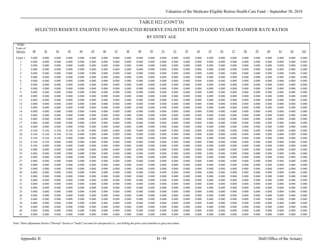#### TABLE H22 (CONT'D)

#### SELECTED RESERVE ENLISTEE TO NON-SELECTED RESERVE ENLISTEE WITH 20 GOOD YEARS TRANSFER RATE RATIOS

BY ENTRY AGE

| <b>PEBD</b><br>Years of |                 |                |                |                 |                |                |                |                |                 |                |                  |                 |                |                |                |                |                |                |                |                |                |                |                |                |
|-------------------------|-----------------|----------------|----------------|-----------------|----------------|----------------|----------------|----------------|-----------------|----------------|------------------|-----------------|----------------|----------------|----------------|----------------|----------------|----------------|----------------|----------------|----------------|----------------|----------------|----------------|
| Service                 | $\overline{40}$ | 41             | 42             | $\overline{43}$ | <u>44</u>      | 45             | $\frac{46}{5}$ | 47             | $\overline{48}$ | 49             | $\underline{50}$ | $\overline{21}$ | 52             | 53             | 54             | <u>55</u>      | 56             | 57             | 58             | 59             | 60             | 61             | 62             | >62            |
| Under                   | 0.000           | 0.000          | 0.000          | 0.000           | 0.000          | 0.000          | 0.000          | 0.000          | 0.000           | 0.000          | 0.000            | 0.000           | 0.000          | 0.000          | 0.000          | 0.000          | 0.000          | 0.000          | 0.000          | 0.000          | 0.000          | 0.000          | 0.000          | 0.000          |
| -1                      | 0.000           | 0.000          | 0.000          | 0.000           | 0.000          | 0.000          | 0.000          | 0.000          | 0.000           | 0.000          | 0.000            | 0.000           | 0.000          | 0.000          | 0.000          | 0.000          | 0.000          | 0.000          | 0.000          | 0.000          | 0.000          | 0.000          | 0.000          | 0.000          |
| $\overline{2}$          | 0.000           | 0.000          | 0.000          | 0.000           | 0.000          | 0.000          | 0.000          | 0.000          | 0.000           | 0.000          | 0.000            | 0.000           | 0.000          | 0.000          | 0.000          | 0.000          | 0.000          | 0.000          | 0.000          | 0.000          | 0.000          | 0.000          | 0.000          | 0.000          |
| 3                       | 0.000           | 0.000          | 0.000          | 0.000           | 0.000          | 0.000          | 0.000          | 0.000          | 0.000           | 0.000          | 0.000            | 0.000           | 0.000          | 0.000          | 0.000          | 0.000          | 0.000          | 0.000          | 0.000          | 0.000          | 0.000          | 0.000          | 0.000          | 0.000          |
| $\overline{4}$          | 0.000           | 0.000          | 0.000          | 0.000           | 0.000          | 0.000          | 0.000          | 0.000          | 0.000           | 0.000          | 0.000            | 0.000           | 0.000          | 0.000          | 0.000          | 0.000          | 0.000          | 0.000          | 0.000          | 0.000          | 0.000          | 0.000          | 0.000          | 0.000          |
| 5                       | 0.000           | 0.000          | 0.000          | 0.000           | 0.000          | 0.000          | 0.000          | 0.000          | 0.000           | 0.000          | 0.000            | 0.000           | 0.000          | 0.000          | 0.000          | 0.000          | 0.000          | 0.000          | 0.000          | 0.000          | 0.000          | 0.000          | 0.000          | 0.000          |
| 6                       | 0.000           | 0.000          | 0.000          | 0.000           | 0.000          | 0.000          | 0.000          | 0.000          | 0.000           | 0.000          | 0.000            | 0.000           | 0.000          | 0.000          | 0.000          | 0.000          | 0.000          | 0.000          | 0.000          | 0.000          | 0.000          | 0.000          | 0.000          | 0.000          |
| 8                       | 0.000<br>0.000  | 0.000<br>0.000 | 0.000<br>0.000 | 0.000<br>0.000  | 0.000<br>0.000 | 0.000<br>0.000 | 0.000<br>0.000 | 0.000<br>0.000 | 0.000<br>0.000  | 0.000<br>0.000 | 0.000<br>0.000   | 0.000<br>0.000  | 0.000<br>0.000 | 0.000<br>0.000 | 0.000<br>0.000 | 0.000<br>0.000 | 0.000<br>0.000 | 0.000<br>0.000 | 0.000<br>0.000 | 0.000<br>0.000 | 0.000<br>0.000 | 0.000<br>0.000 | 0.000<br>0.000 | 0.000<br>0.000 |
| 9                       | 0.000           | 0.000          | 0.000          | 0.000           | 0.000          | 0.000          | 0.000          | 0.000          | 0.000           | 0.000          | 0.000            | 0.000           | 0.000          | 0.000          | 0.000          | 0.000          | 0.000          | 0.000          | 0.000          | 0.000          | 0.000          | 0.000          | 0.000          | 0.000          |
| 10                      | 0.000           | 0.000          | 0.000          | 0.000           | 0.000          | 0.000          | 0.000          | 0.000          | 0.000           | 0.000          | 0.000            | 0.000           | 0.000          | 0.000          | 0.000          | 0.000          | 0.000          | 0.000          | 0.000          | 0.000          | 0.000          | 0.000          | 0.000          | 0.000          |
| 11                      | 0.000           | 0.000          | 0.000          | 0.000           | 0.000          | 0.000          | 0.000          | 0.000          | 0.000           | 0.000          | 0.000            | 0.000           | 0.000          | 0.000          | 0.000          | 0.000          | 0.000          | 0.000          | 0.000          | 0.000          | 0.000          | 0.000          | 0.000          | 0.000          |
| 12                      | 0.000           | 0.000          | 0.000          | 0.000           | 0.000          | 0.000          | 0.000          | 0.000          | 0.000           | 0.000          | 0.000            | 0.000           | 0.000          | 0.000          | 0.000          | 0.000          | 0.000          | 0.000          | 0.000          | 0.000          | 0.000          | 0.000          | 0.000          | 0.000          |
| 13                      | 0.000           | 0.000          | 0.000          | 0.000           | 0.000          | 0.000          | 0.000          | 0.000          | 0.000           | 0.000          | 0.000            | 0.000           | 0.000          | 0.000          | 0.000          | 0.000          | 0.000          | 0.000          | 0.000          | 0.000          | 0.000          | 0.000          | 0.000          | 0.000          |
| 14                      | 0.000           | 0.000          | 0.000          | 0.000           | 0.000          | 0.000          | 0.000          | 0.000          | 0.000           | 0.000          | 0.000            | 0.000           | 0.000          | 0.000          | 0.000          | 0.000          | 0.000          | 0.000          | 0.000          | 0.000          | 0.000          | 0.000          | 0.000          | 0.000          |
| 15                      | 0.000           | 0.000          | 0.000          | 0.000           | 0.000          | 0.000          | 0.000          | 0.000          | 0.000           | 0.000          | 0.000            | 0.000           | 0.000          | 0.000          | 0.000          | 0.000          | 0.000          | 0.000          | 0.000          | 0.000          | 0.000          | 0.000          | 0.000          | 0.000          |
| 16                      | 0.000           | 0.000          | 0.000          | 0.000           | 0.000          | 0.000          | 0.000          | 0.000          | 0.000           | 0.000          | 0.000            | 0.000           | 0.000          | 0.000          | 0.000          | 0.000          | 0.000          | 0.000          | 0.000          | 0.000          | 0.000          | 0.000          | 0.000          | 0.000          |
| 17                      | 0.000           | 0.000          | 0.000          | 0.000           | 0.000          | 0.000          | 0.000          | 0.000          | 0.000           | 0.000          | 0.000            | 0.000           | 0.000          | 0.000          | 0.000          | 0.000          | 0.000          | 0.000          | 0.000          | 0.000          | 0.000          | 0.000          | 0.000          | 0.000          |
| 18<br>19                | 0.000           | 0.000          | 0.000          | 0.000           | 0.000          | 0.000          | 0.000<br>0.000 | 0.000          | 0.000           | 0.000          | 0.000            | 0.000           | 0.000          | 0.000<br>0.000 | 0.000          | 0.000<br>0.000 | 0.000          | 0.000<br>0.000 | 0.000          | 0.000<br>0.000 | 0.000          | 0.000<br>0.000 | 0.000          | 0.000<br>0.000 |
| 20                      | 0.104<br>0.104  | 0.104<br>0.104 | 0.104<br>0.104 | 0.104<br>0.104  | 0.104<br>0.000 | 0.000<br>0.000 | 0.000          | 0.000<br>0.000 | 0.000<br>0.000  | 0.000<br>0.000 | 0.000<br>0.000   | 0.000<br>0.000  | 0.000<br>0.000 | 0.000          | 0.000<br>0.000 | 0.000          | 0.000<br>0.000 | 0.000          | 0.000<br>0.000 | 0.000          | 0.000<br>0.000 | 0.000          | 0.000<br>0.000 | 0.000          |
| 21                      | 0.104           | 0.104          | 0.104          | 0.000           | 0.000          | 0.000          | 0.000          | 0.000          | 0.000           | 0.000          | 0.000            | 0.000           | 0.000          | 0.000          | 0.000          | 0.000          | 0.000          | 0.000          | 0.000          | 0.000          | 0.000          | 0.000          | 0.000          | 0.000          |
| 22                      | 0.104           | 0.104          | 0.000          | 0.000           | 0.000          | 0.000          | 0.000          | 0.000          | 0.000           | 0.000          | 0.000            | 0.000           | 0.000          | 0.000          | 0.000          | 0.000          | 0.000          | 0.000          | 0.000          | 0.000          | 0.000          | 0.000          | 0.000          | 0.000          |
| 23                      | 0.104           | 0.000          | 0.000          | 0.000           | 0.000          | 0.000          | 0.000          | 0.000          | 0.000           | 0.000          | 0.000            | 0.000           | 0.000          | 0.000          | 0.000          | 0.000          | 0.000          | 0.000          | 0.000          | 0.000          | 0.000          | 0.000          | 0.000          | 0.000          |
| 24                      | 0.000           | 0.000          | 0.000          | 0.000           | 0.000          | 0.000          | 0.000          | 0.000          | 0.000           | 0.000          | 0.000            | 0.000           | 0.000          | 0.000          | 0.000          | 0.000          | 0.000          | 0.000          | 0.000          | 0.000          | 0.000          | 0.000          | 0.000          | 0.000          |
| 25                      | 0.000           | 0.000          | 0.000          | 0.000           | 0.000          | 0.000          | 0.000          | 0.000          | 0.000           | 0.000          | 0.000            | 0.000           | 0.000          | 0.000          | 0.000          | 0.000          | 0.000          | 0.000          | 0.000          | 0.000          | 0.000          | 0.000          | 0.000          | 0.000          |
| 26                      | 0.000           | 0.000          | 0.000          | 0.000           | 0.000          | 0.000          | 0.000          | 0.000          | 0.000           | 0.000          | 0.000            | 0.000           | 0.000          | 0.000          | 0.000          | 0.000          | 0.000          | 0.000          | 0.000          | 0.000          | 0.000          | 0.000          | 0.000          | 0.000          |
| 27                      | 0.000           | 0.000          | 0.000          | 0.000           | 0.000          | 0.000          | 0.000          | 0.000          | 0.000           | 0.000          | 0.000            | 0.000           | 0.000          | 0.000          | 0.000          | 0.000          | 0.000          | 0.000          | 0.000          | 0.000          | 0.000          | 0.000          | 0.000          | 0.000          |
| 28                      | 0.000           | 0.000          | 0.000          | 0.000           | 0.000          | 0.000          | 0.000          | 0.000          | 0.000           | 0.000          | 0.000            | 0.000           | 0.000          | 0.000          | 0.000          | 0.000          | 0.000          | 0.000          | 0.000          | 0.000          | 0.000          | 0.000          | 0.000          | 0.000          |
| 29<br>30                | 0.000<br>0.000  | 0.000<br>0.000 | 0.000<br>0.000 | 0.000<br>0.000  | 0.000<br>0.000 | 0.000<br>0.000 | 0.000<br>0.000 | 0.000<br>0.000 | 0.000<br>0.000  | 0.000<br>0.000 | 0.000<br>0.000   | 0.000<br>0.000  | 0.000<br>0.000 | 0.000<br>0.000 | 0.000<br>0.000 | 0.000<br>0.000 | 0.000<br>0.000 | 0.000<br>0.000 | 0.000<br>0.000 | 0.000<br>0.000 | 0.000<br>0.000 | 0.000<br>0.000 | 0.000<br>0.000 | 0.000<br>0.000 |
| 31                      | 0.000           | 0.000          | 0.000          | 0.000           | 0.000          | 0.000          | 0.000          | 0.000          | 0.000           | 0.000          | 0.000            | 0.000           | 0.000          | 0.000          | 0.000          | 0.000          | 0.000          | 0.000          | 0.000          | 0.000          | 0.000          | 0.000          | 0.000          | 0.000          |
| 32                      | 0.000           | 0.000          | 0.000          | 0.000           | 0.000          | 0.000          | 0.000          | 0.000          | 0.000           | 0.000          | 0.000            | 0.000           | 0.000          | 0.000          | 0.000          | 0.000          | 0.000          | 0.000          | 0.000          | 0.000          | 0.000          | 0.000          | 0.000          | 0.000          |
| 33                      | 0.000           | 0.000          | 0.000          | 0.000           | 0.000          | 0.000          | 0.000          | 0.000          | 0.000           | 0.000          | 0.000            | 0.000           | 0.000          | 0.000          | 0.000          | 0.000          | 0.000          | 0.000          | 0.000          | 0.000          | 0.000          | 0.000          | 0.000          | 0.000          |
| 34                      | 0.000           | 0.000          | 0.000          | 0.000           | 0.000          | 0.000          | 0.000          | 0.000          | 0.000           | 0.000          | 0.000            | 0.000           | 0.000          | 0.000          | 0.000          | 0.000          | 0.000          | 0.000          | 0.000          | 0.000          | 0.000          | 0.000          | 0.000          | 0.000          |
| 35                      | 0.000           | 0.000          | 0.000          | 0.000           | 0.000          | 0.000          | 0.000          | 0.000          | 0.000           | 0.000          | 0.000            | 0.000           | 0.000          | 0.000          | 0.000          | 0.000          | 0.000          | 0.000          | 0.000          | 0.000          | 0.000          | 0.000          | 0.000          | 0.000          |
| 36                      | 0.000           | 0.000          | 0.000          | 0.000           | 0.000          | 0.000          | 0.000          | 0.000          | 0.000           | 0.000          | 0.000            | 0.000           | 0.000          | 0.000          | 0.000          | 0.000          | 0.000          | 0.000          | 0.000          | 0.000          | 0.000          | 0.000          | 0.000          | 0.000          |
| 37                      | 0.000           | 0.000          | 0.000          | 0.000           | 0.000          | 0.000          | 0.000          | 0.000          | 0.000           | 0.000          | 0.000            | 0.000           | 0.000          | 0.000          | 0.000          | 0.000          | 0.000          | 0.000          | 0.000          | 0.000          | 0.000          | 0.000          | 0.000          | 0.000          |
| 38                      | 0.000           | 0.000          | 0.000          | 0.000           | 0.000          | 0.000          | 0.000          | 0.000          | 0.000           | 0.000          | 0.000            | 0.000           | 0.000          | 0.000          | 0.000          | 0.000          | 0.000          | 0.000          | 0.000          | 0.000          | 0.000          | 0.000          | 0.000          | 0.000          |
| 39                      | 0.000           | 0.000          | 0.000          | 0.000           | 0.000          | 0.000          | 0.000          | 0.000          | 0.000           | 0.000          | 0.000            | 0.000           | 0.000          | 0.000          | 0.000          | 0.000          | 0.000          | 0.000          | 0.000          | 0.000          | 0.000          | 0.000          | 0.000          | 0.000          |
| 40                      | 0.000           | 0.000          | 0.000          | 0.000           | 0.000          | 0.000          | 0.000          | 0.000          | 0.000           | 0.000          | 0.000            | 0.000           | 0.000          | 0.000          | 0.000          | 0.000          | 0.000          | 0.000          | 0.000          | 0.000          | 0.000          | 0.000          | 0.000          | 0.000          |
| 41                      | 0.000           | 0.000          | 0.000          | 0.000           | 0.000          | 0.000          | 0.000          | 0.000          | 0.000           | 0.000          | 0.000            | 0.000           | 0.000          | 0.000          | 0.000          | 0.000          | 0.000          | 0.000          | 0.000          | 0.000          | 0.000          | 0.000          | 0.000          | 0.000          |

Note: These adjustment factors ("blowup" factors or "loads") account for unexpected (i.e., not drilling the prior year) transfers to grey area status.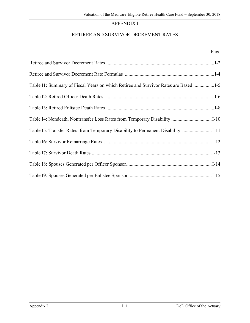## APPENDIX I

## RETIREE AND SURVIVOR DECREMENT RATES

#### Page

| Table I1: Summary of Fiscal Years on which Retiree and Survivor Rates are Based  |
|----------------------------------------------------------------------------------|
|                                                                                  |
|                                                                                  |
|                                                                                  |
| Table I5: Transfer Rates from Temporary Disability to Permanent Disability  I-11 |
|                                                                                  |
|                                                                                  |
|                                                                                  |
|                                                                                  |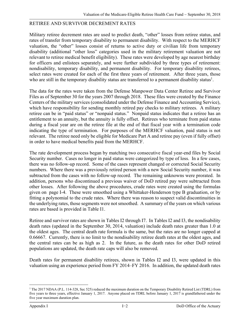#### RETIREE AND SURVIVOR DECREMENT RATES

Military retiree decrement rates are used to predict death, "other" losses from retiree status, and rates of transfer from temporary disability to permanent disability. With respect to the MERHCF valuation, the "other" losses consist of returns to active duty or civilian life from temporary disability (additional "other loss" categories used in the military retirement valuation are not relevant to retiree medical benefit eligibility). These rates were developed by age nearest birthday for officers and enlistees separately, and were further subdivided by three types of retirement: nondisability, temporary disability, and permanent disability. For temporary disability retirees, select rates were created for each of the first three years of retirement. After three years, those who are still in the temporary disability status are transferred to a permanent disability status<sup>1</sup>.

The data for the rates were taken from the Defense Manpower Data Center Retiree and Survivor Files as of September 30 for the years 2007 through 2018. These files were created by the Finance Centers of the military services (consolidated under the Defense Finance and Accounting Service), which have responsibility for sending monthly retired pay checks to military retirees. A military retiree can be in "paid status" or "nonpaid status." Nonpaid status indicates that a retiree has an entitlement to an annuity, but the annuity is fully offset. Retirees who terminate from paid status during a fiscal year are on the retiree file at the end of that fiscal year with a termination code indicating the type of termination. For purposes of the MERHCF valuation, paid status is not relevant. The retiree need only be eligible for Medicare Part A and retiree pay (even if fully offset) in order to have medical benefits paid from the MERHCF.

The rate development process began by matching two consecutive fiscal year-end files by Social Security number. Cases no longer in paid status were categorized by type of loss. In a few cases, there was no follow-up record. Some of the cases represent changed or corrected Social Security numbers. Where there was a previously retired person with a new Social Security number, it was subtracted from the cases with no follow-up record. The remaining unknowns were prorated. In addition, persons who discontinued a previous waiver of DoD retired pay were subtracted from other losses. After following the above procedures, crude rates were created using the formulas given on page I-4. These were smoothed using a Whittaker-Henderson type B graduation, or by fitting a polynomial to the crude rates. Where there was reason to suspect valid discontinuities in the underlying rates, those segments were not smoothed. A summary of the years on which various rates are based is provided in Table I1.

Retiree and survivor rates are shown in Tables I2 through I7. In Tables I2 and I3, the nondisability death rates (updated in the September 30, 2014, valuation) include death rates greater than 1.0 at the oldest ages. The central death rate formula is the same, but the rates are no longer capped at 0.66667. Currently, there is no limit to the nondisability retiree death rates at the oldest ages, and the central rates can be as high as 2. In the future, as the death rates for other DoD retired populations are updated, the death rate caps will also be removed.

Death rates for permanent disability retirees, shown in Tables I2 and I3, were updated in this valuation using an experience period from FY 2014–FY 2016. In addition, the updated death rates

 $\overline{\phantom{0}}$ 1 The 2017 NDAA (P.L. 114-328, Sec 525) reduced the maximum duration on the Temporary Disability Retired List (TDRL) from five years to three years, effective January 1, 2017. Anyone placed on TDRL before January 1, 2017 is grandfathered under the five year maximum duration plan.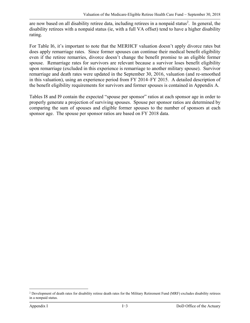are now based on all disability retiree data, including retirees in a nonpaid status<sup>2</sup>. In general, the disability retirees with a nonpaid status (ie, with a full VA offset) tend to have a higher disability rating.

For Table I6, it's important to note that the MERHCF valuation doesn't apply divorce rates but does apply remarriage rates. Since former spouses can continue their medical benefit eligibility even if the retiree remarries, divorce doesn't change the benefit promise to an eligible former spouse. Remarriage rates for survivors are relevant because a survivor loses benefit eligibility upon remarriage (excluded in this experience is remarriage to another military spouse). Survivor remarriage and death rates were updated in the September 30, 2016, valuation (and re-smoothed in this valuation), using an experience period from FY 2014–FY 2015. A detailed description of the benefit eligibility requirements for survivors and former spouses is contained in Appendix A.

Tables I8 and I9 contain the expected "spouse per sponsor" ratios at each sponsor age in order to properly generate a projection of surviving spouses. Spouse per sponsor ratios are determined by comparing the sum of spouses and eligible former spouses to the number of sponsors at each sponsor age. The spouse per sponsor ratios are based on FY 2018 data.

 $\overline{\phantom{0}}$ <sup>2</sup> Development of death rates for disability retiree death rates for the Military Retirement Fund (MRF) excludes disability retirees in a nonpaid status.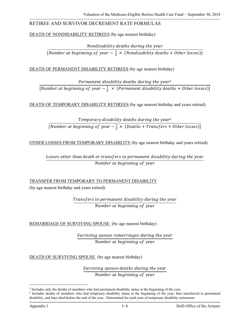## RETIREE AND SURVIVOR DECREMENT RATE FORMULAS

#### DEATH OF NONDISABILITY RETIREES (by age nearest birthday)

Nondisability deaths during the year

[Number at beginning of year  $-\frac{1}{2} \times$  (Nondisability deaths + Other losses)]

DEATH OF PERMANENT DISABILITY RETIREES (by age nearest birthday)

Permanent disability deaths during the year<sup>3</sup> [Number at beginning of year  $-\frac{1}{2} \times$  (Permanent disability deaths + Other losses)]

DEATH OF TEMPORARY DISABILITY RETIREES (by age nearest birthday and years retired)

Temporary disability deaths during the year<sup>4</sup> [Number at beginning of year  $-\frac{1}{2} \times (Deaths + Transfers + Other losses)$ ]

OTHER LOSSES FROM TEMPORARY DISABILITY (by age nearest birthday and years retired)

Losses other than death or transfers to permanent disability during the year Number at beginning of year

TRANSFER FROM TEMPORARY TO PERMANENT DISABILITY (by age nearest birthday and years retired)

> Transfers to permanent disability during the year Number at beginning of year

REMARRIAGE OF SURVIVING SPOUSE (by age nearest birthday)

Surviving spouse remarriages during the year Number at beginning of year

DEATH OF SURVIVING SPOUSE (by age nearest birthday)

Surviving spouse deaths during the year Number at beginning of year

i<br>Li

<sup>&</sup>lt;sup>3</sup> Includes only the deaths of members who had permanent disability status at the beginning of the year.<br><sup>4</sup> Includes deaths of members who had temporary disability status at the beginning of the year, then transferred to disability, and later died before the end of the year. Determined for each year of temporary disability retirement.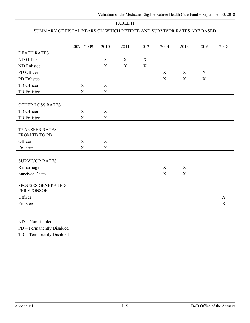## SUMMARY OF FISCAL YEARS ON WHICH RETIREE AND SURVIVOR RATES ARE BASED

|                                                                                          | 2007 - 2009 | 2010        | 2011 | 2012 | 2014        | 2015        | 2016        | 2018        |
|------------------------------------------------------------------------------------------|-------------|-------------|------|------|-------------|-------------|-------------|-------------|
| <b>DEATH RATES</b>                                                                       |             |             |      |      |             |             |             |             |
| ND Officer                                                                               |             | X           | X    | X    |             |             |             |             |
| ND Enlistee                                                                              |             | $\mathbf X$ | X    | X    |             |             |             |             |
| PD Officer                                                                               |             |             |      |      | X           | X           | X           |             |
| PD Enlistee                                                                              |             |             |      |      | $\mathbf X$ | $\mathbf X$ | $\mathbf X$ |             |
| TD Officer                                                                               | X           | X           |      |      |             |             |             |             |
| TD Enlistee                                                                              | $\mathbf X$ | $\mathbf X$ |      |      |             |             |             |             |
|                                                                                          |             |             |      |      |             |             |             |             |
| <b>OTHER LOSS RATES</b>                                                                  |             |             |      |      |             |             |             |             |
| TD Officer                                                                               | X           | $\mathbf X$ |      |      |             |             |             |             |
| TD Enlistee                                                                              | $\mathbf X$ | $\mathbf X$ |      |      |             |             |             |             |
| <b>TRANSFER RATES</b><br>FROM TD TO PD<br>Officer                                        | X           | X           |      |      |             |             |             |             |
| Enlistee                                                                                 | $\mathbf X$ | $\mathbf X$ |      |      |             |             |             |             |
| <b>SURVIVOR RATES</b><br>Remarriage<br><b>Survivor Death</b><br><b>SPOUSES GENERATED</b> |             |             |      |      | X<br>X      | X<br>X      |             |             |
| PER SPONSOR                                                                              |             |             |      |      |             |             |             |             |
| Officer                                                                                  |             |             |      |      |             |             |             | $\mathbf X$ |
| Enlistee                                                                                 |             |             |      |      |             |             |             | $\mathbf X$ |
|                                                                                          |             |             |      |      |             |             |             |             |

ND = Nondisabled

PD = Permanently Disabled

TD = Temporarily Disabled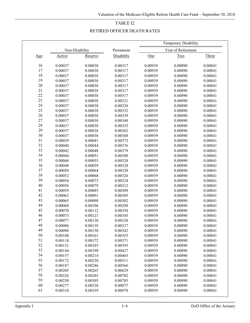#### RETIRED OFFICER DEATH RATES

|        |         |                |            |         | Temporary Disability |         |
|--------|---------|----------------|------------|---------|----------------------|---------|
|        |         | Non-Disability | Permanent  |         | Year of Retirement   |         |
| Age    | Active  | Reserve        | Disability | One     | <b>Two</b>           | Three   |
| 16     | 0.00037 | 0.00038        | 0.00317    | 0.00939 | 0.00890              | 0.00841 |
| 17     | 0.00037 | 0.00038        | 0.00317    | 0.00939 | 0.00890              | 0.00841 |
| 18     | 0.00037 | 0.00038        | 0.00317    | 0.00939 | 0.00890              | 0.00841 |
| 19     | 0.00037 | 0.00038        | 0.00317    | 0.00939 | 0.00890              | 0.00841 |
| 20     | 0.00037 | 0.00038        | 0.00317    | 0.00939 | 0.00890              | 0.00841 |
| 21     | 0.00037 | 0.00038        | 0.00317    | 0.00939 | 0.00890              | 0.00841 |
| $22\,$ | 0.00037 | 0.00038        | 0.00317    | 0.00939 | 0.00890              | 0.00841 |
| 23     | 0.00037 | 0.00038        | 0.00321    | 0.00939 | 0.00890              | 0.00841 |
| 24     | 0.00037 | 0.00038        | 0.00326    | 0.00939 | 0.00890              | 0.00841 |
| $25\,$ | 0.00037 | 0.00038        | 0.00332    | 0.00939 | 0.00890              | 0.00841 |
| 26     | 0.00037 | 0.00038        | 0.00339    | 0.00939 | 0.00890              | 0.00841 |
| 27     | 0.00037 | 0.00038        | 0.00348    | 0.00939 | 0.00890              | 0.00841 |
| 28     | 0.00037 | 0.00038        | 0.00355    | 0.00939 | 0.00890              | 0.00841 |
| 29     | 0.00037 | 0.00038        | 0.00362    | 0.00939 | 0.00890              | 0.00841 |
| 30     | 0.00037 | 0.00038        | 0.00368    | 0.00939 | 0.00890              | 0.00841 |
| 31     | 0.00039 | 0.00041        | 0.00373    | 0.00939 | 0.00890              | 0.00841 |
| 32     | 0.00040 | 0.00044        | 0.00376    | 0.00939 | 0.00890              | 0.00841 |
| 33     | 0.00042 | 0.00048        | 0.00379    | 0.00939 | 0.00890              | 0.00841 |
| 34     | 0.00044 | 0.00051        | 0.00380    | 0.00939 | 0.00890              | 0.00841 |
| 35     | 0.00046 | 0.00055        | 0.00328    | 0.00939 | 0.00890              | 0.00841 |
| 36     | 0.00048 | 0.00059        | 0.00328    | 0.00939 | 0.00890              | 0.00841 |
| 37     | 0.00050 | 0.00064        | 0.00328    | 0.00939 | 0.00890              | 0.00841 |
| 38     | 0.00052 | 0.00068        | 0.00326    | 0.00939 | 0.00890              | 0.00841 |
| 39     | 0.00054 | 0.00073        | 0.00324    | 0.00939 | 0.00890              | 0.00841 |
| $40\,$ | 0.00056 | 0.00079        | 0.00312    | 0.00939 | 0.00890              | 0.00841 |
| 41     | 0.00059 | 0.00085        | 0.00309    | 0.00939 | 0.00890              | 0.00841 |
| 42     | 0.00062 | 0.00091        | 0.00305    | 0.00939 | 0.00890              | 0.00841 |
| 43     | 0.00065 | 0.00098        | 0.00302    | 0.00939 | 0.00890              | 0.00841 |
| 44     | 0.00068 | 0.00104        | 0.00298    | 0.00939 | 0.00890              | 0.00841 |
| 45     | 0.00070 | 0.00112        | 0.00358    | 0.00939 | 0.00890              | 0.00841 |
| 46     | 0.00073 | 0.00121        | 0.00345    | 0.00939 | 0.00890              | 0.00841 |
| 47     | 0.00077 | 0.00130        | 0.00338    | 0.00939 | 0.00890              | 0.00841 |
| 48     | 0.00086 | 0.00139        | 0.00337    | 0.00939 | 0.00890              | 0.00841 |
| 49     | 0.00096 | 0.00150        | 0.00342    | 0.00939 | 0.00890              | 0.00841 |
| 50     | 0.00108 | 0.00161        | 0.00353    | 0.00939 | 0.00890              | 0.00841 |
| 51     | 0.00118 | 0.00172        | 0.00371    | 0.00939 | 0.00890              | 0.00841 |
| 52     | 0.00131 | 0.00185        | 0.00395    | 0.00939 | 0.00890              | 0.00841 |
| 53     | 0.00144 | 0.00199        | 0.00427    | 0.00939 | 0.00890              | 0.00841 |
| 54     | 0.00157 | 0.00214        | 0.00465    | 0.00939 | 0.00890              | 0.00841 |
| 55     | 0.00172 | 0.00230        | 0.00511    | 0.00939 | 0.00890              | 0.00841 |
| 56     | 0.00187 | 0.00246        | 0.00566    | 0.00939 | 0.00890              | 0.00841 |
| 57     | 0.00205 | 0.00265        | 0.00629    | 0.00939 | 0.00890              | 0.00841 |
| 58     | 0.00226 | 0.00285        | 0.00702    | 0.00939 | 0.00890              | 0.00841 |
| 59     | 0.00250 | 0.00305        | 0.00785    | 0.00939 | 0.00890              | 0.00841 |
| 60     | 0.00277 | 0.00328        | 0.00877    | 0.00939 | 0.00890              | 0.00841 |
| 61     | 0.00310 | 0.00359        | 0.00978    | 0.00939 | 0.00890              | 0.00841 |
|        |         |                |            |         |                      |         |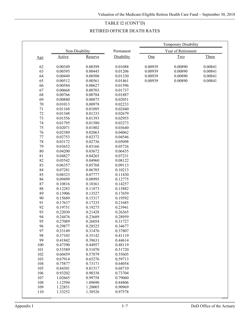## TABLE I2 (CONT'D)

## RETIRED OFFICER DEATH RATES

|        |         |                |            |         | <b>Temporary Disability</b> |         |
|--------|---------|----------------|------------|---------|-----------------------------|---------|
|        |         | Non-Disability | Permanent  |         | Year of Retirement          |         |
| Age    | Active  | Reserve        | Disability | One     | Two                         | Three   |
|        |         |                |            |         |                             |         |
| 62     | 0.00349 | 0.00399        | 0.01088    | 0.00939 | 0.00890                     | 0.00841 |
| 63     | 0.00395 | 0.00445        | 0.01206    | 0.00939 | 0.00890                     | 0.00841 |
| 64     | 0.00449 | 0.00500        | 0.01330    | 0.00939 | 0.00890                     | 0.00841 |
| 65     | 0.00512 | 0.00561        | 0.01461    | 0.00939 | 0.00890                     | 0.00841 |
| 66     | 0.00584 | 0.00627        | 0.01596    |         |                             |         |
| 67     | 0.00668 | 0.00703        | 0.01737    |         |                             |         |
| 68     | 0.00766 | 0.00784        | 0.01887    |         |                             |         |
| 69     | 0.00880 | 0.00875        | 0.02051    |         |                             |         |
| 70     | 0.01013 | 0.00978        | 0.02233    |         |                             |         |
| 71     | 0.01168 | 0.01095        | 0.02440    |         |                             |         |
| 72     | 0.01348 | 0.01233        | 0.02679    |         |                             |         |
| 73     | 0.01556 | 0.01393        | 0.02955    |         |                             |         |
| 74     | 0.01795 | 0.01580        | 0.03273    |         |                             |         |
| 75     | 0.02071 | 0.01802        | 0.03640    |         |                             |         |
| 76     | 0.02389 | 0.02063        | 0.04062    |         |                             |         |
| 77     | 0.02753 | 0.02372        | 0.04546    |         |                             |         |
| 78     | 0.03172 | 0.02736        | 0.05098    |         |                             |         |
| 79     | 0.03652 | 0.03166        | 0.05726    |         |                             |         |
| $80\,$ | 0.04200 | 0.03672        | 0.06435    |         |                             |         |
| 81     | 0.04827 | 0.04265        | 0.07231    |         |                             |         |
| 82     | 0.05542 | 0.04960        | 0.08122    |         |                             |         |
| 83     | 0.06357 | 0.05768        | 0.09113    |         |                             |         |
| 84     | 0.07281 | 0.06705        | 0.10213    |         |                             |         |
| 85     | 0.08323 | 0.07777        | 0.11430    |         |                             |         |
| 86     | 0.09499 | 0.08995        | 0.12775    |         |                             |         |
| 87     | 0.10816 | 0.10361        | 0.14257    |         |                             |         |
| 88     | 0.12283 | 0.11873        | 0.15882    |         |                             |         |
| 89     | 0.13906 | 0.13527        | 0.17659    |         |                             |         |
| 90     | 0.15689 | 0.15317        | 0.19592    |         |                             |         |
| 91     | 0.17637 | 0.17235        | 0.21685    |         |                             |         |
| 92     | 0.19751 | 0.19275        | 0.23941    |         |                             |         |
| 93     | 0.22030 | 0.21428        | 0.26365    |         |                             |         |
| 94     | 0.24476 | 0.23689        | 0.28959    |         |                             |         |
| 95     | 0.27089 | 0.26054        | 0.31727    |         |                             |         |
| 96     | 0.29877 | 0.28525        | 0.34677    |         |                             |         |
| 97     | 0.33149 | 0.31476        | 0.37807    |         |                             |         |
| 98     | 0.37103 | 0.35142        | 0.41119    |         |                             |         |
| 99     | 0.41842 | 0.39631        | 0.44614    |         |                             |         |
| 100    | 0.47390 | 0.44957        | 0.48119    |         |                             |         |
| 101    | 0.53589 | 0.51070        | 0.51720    |         |                             |         |
| 102    | 0.60459 | 0.57879        | 0.55605    |         |                             |         |
| 103    | 0.67914 | 0.65276        | 0.59713    |         |                             |         |
| 104    | 0.75877 | 0.73171        | 0.64054    |         |                             |         |
| 105    | 0.84301 | 0.81517        | 0.68710    |         |                             |         |
| 106    | 0.93202 | 0.90338        | 0.73704    |         |                             |         |
| 107    | 1.02665 | 0.99758        | 0.79060    |         |                             |         |
| 108    | 1.12594 | 1.09690        | 0.84806    |         |                             |         |
| 109    | 1.22851 | 1.20005        | 0.90969    |         |                             |         |
| 110    | 1.33252 | 1.30526        | 0.97578    |         |                             |         |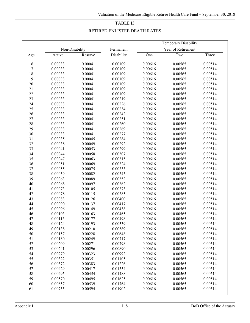#### RETIRED ENLISTEE DEATH RATES

|            |         |                |            |         | Temporary Disability |         |
|------------|---------|----------------|------------|---------|----------------------|---------|
|            |         | Non-Disability | Permanent  |         | Year of Retirement   |         |
| <u>Age</u> | Active  | Reserve        | Disability | One     | Two                  | Three   |
|            |         |                |            |         |                      |         |
| 16         | 0.00033 | 0.00041        | 0.00109    | 0.00616 | 0.00565              | 0.00514 |
| 17         | 0.00033 | 0.00041        | 0.00109    | 0.00616 | 0.00565              | 0.00514 |
| 18         | 0.00033 | 0.00041        | 0.00109    | 0.00616 | 0.00565              | 0.00514 |
| 19         | 0.00033 | 0.00041        | 0.00109    | 0.00616 | 0.00565              | 0.00514 |
| 20         | 0.00033 | 0.00041        | 0.00109    | 0.00616 | 0.00565              | 0.00514 |
| 21         | 0.00033 | 0.00041        | 0.00109    | 0.00616 | 0.00565              | 0.00514 |
| 22         | 0.00033 | 0.00041        | 0.00109    | 0.00616 | 0.00565              | 0.00514 |
| 23         | 0.00033 | 0.00041        | 0.00219    | 0.00616 | 0.00565              | 0.00514 |
| 24         | 0.00033 | 0.00041        | 0.00226    | 0.00616 | 0.00565              | 0.00514 |
| 25         | 0.00033 | 0.00041        | 0.00234    | 0.00616 | 0.00565              | 0.00514 |
| 26         | 0.00033 | 0.00041        | 0.00242    | 0.00616 | 0.00565              | 0.00514 |
| $27\,$     | 0.00033 | 0.00041        | 0.00251    | 0.00616 | 0.00565              | 0.00514 |
| 28         | 0.00033 | 0.00041        | 0.00260    | 0.00616 | 0.00565              | 0.00514 |
| 29         | 0.00033 | 0.00041        | 0.00269    | 0.00616 | 0.00565              | 0.00514 |
| $30\,$     | 0.00033 | 0.00041        | 0.00277    | 0.00616 | 0.00565              | 0.00514 |
| 31         | 0.00035 | 0.00045        | 0.00284    | 0.00616 | 0.00565              | 0.00514 |
| 32         | 0.00038 | 0.00049        | 0.00292    | 0.00616 | 0.00565              | 0.00514 |
| 33         | 0.00041 | 0.00053        | 0.00299    | 0.00616 | 0.00565              | 0.00514 |
| 34         | 0.00044 | 0.00058        | 0.00307    | 0.00616 | 0.00565              | 0.00514 |
| 35         | 0.00047 | 0.00063        | 0.00315    | 0.00616 | 0.00565              | 0.00514 |
| 36         | 0.00051 | 0.00069        | 0.00324    | 0.00616 | 0.00565              | 0.00514 |
| 37         | 0.00055 | 0.00075        | 0.00333    | 0.00616 | 0.00565              | 0.00514 |
| 38         | 0.00059 | 0.00082        | 0.00343    | 0.00616 | 0.00565              | 0.00514 |
| 39         | 0.00063 | 0.00089        | 0.00352    | 0.00616 | 0.00565              | 0.00514 |
| 40         | 0.00068 | 0.00097        | 0.00362    | 0.00616 | 0.00565              | 0.00514 |
| 41         | 0.00073 | 0.00105        | 0.00373    | 0.00616 | 0.00565              | 0.00514 |
| 42         | 0.00078 | 0.00115        | 0.00385    | 0.00616 | 0.00565              | 0.00514 |
| 43         | 0.00083 | 0.00126        | 0.00400    | 0.00616 | 0.00565              | 0.00514 |
| 44         | 0.00090 | 0.00137        | 0.00417    | 0.00616 | 0.00565              | 0.00514 |
| 45         | 0.00096 | 0.00149        | 0.00438    | 0.00616 | 0.00565              | 0.00514 |
| 46         | 0.00103 | 0.00163        | 0.00465    | 0.00616 | 0.00565              | 0.00514 |
| 47         | 0.00113 | 0.00177        | 0.00498    | 0.00616 | 0.00565              | 0.00514 |
| 48         | 0.00124 | 0.00193        | 0.00539    | 0.00616 | 0.00565              | 0.00514 |
| 49         | 0.00138 | 0.00210        | 0.00589    | 0.00616 | 0.00565              | 0.00514 |
| 50         | 0.00157 | 0.00228        | 0.00648    | 0.00616 | 0.00565              | 0.00514 |
| 51         | 0.00180 | 0.00249        | 0.00717    | 0.00616 | 0.00565              | 0.00514 |
| 52         | 0.00209 | 0.00271        | 0.00798    | 0.00616 | 0.00565              | 0.00514 |
| 53         | 0.00241 | 0.00296        | 0.00890    | 0.00616 | 0.00565              | 0.00514 |
| 54         | 0.00279 | 0.00323        | 0.00992    | 0.00616 | 0.00565              | 0.00514 |
| 55         | 0.00322 | 0.00351        | 0.01105    | 0.00616 | 0.00565              | 0.00514 |
| 56         | 0.00372 | 0.00383        | 0.01226    | 0.00616 | 0.00565              | 0.00514 |
| 57         | 0.00429 | 0.00417        | 0.01354    | 0.00616 | 0.00565              | 0.00514 |
| 58         | 0.00495 | 0.00454        | 0.01488    | 0.00616 | 0.00565              | 0.00514 |
| 59         | 0.00570 | 0.00495        | 0.01625    | 0.00616 | 0.00565              | 0.00514 |
| 60         | 0.00657 | 0.00539        | 0.01764    | 0.00616 | 0.00565              | 0.00514 |
| 61         | 0.00755 | 0.00594        | 0.01902    | 0.00616 | 0.00565              | 0.00514 |
|            |         |                |            |         |                      |         |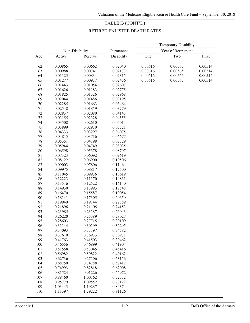## TABLE I3 (CONT'D)

## RETIRED ENLISTEE DEATH RATES

|     |         |                |            |         | Temporary Disability |         |
|-----|---------|----------------|------------|---------|----------------------|---------|
|     |         | Non-Disability | Permanent  |         | Year of Retirement   |         |
| Age | Active  | Reserve        | Disability | One     | Two                  | Three   |
|     |         |                |            |         |                      |         |
| 62  | 0.00865 | 0.00662        | 0.02040    | 0.00616 | 0.00565              | 0.00514 |
| 63  | 0.00988 | 0.00741        | 0.02177    | 0.00616 | 0.00565              | 0.00514 |
| 64  | 0.01125 | 0.00834        | 0.02315    | 0.00616 | 0.00565              | 0.00514 |
| 65  | 0.01277 | 0.00937        | 0.02456    | 0.00616 | 0.00565              | 0.00514 |
| 66  | 0.01443 | 0.01054        | 0.02607    |         |                      |         |
| 67  | 0.01626 | 0.01183        | 0.02775    |         |                      |         |
| 68  | 0.01825 | 0.01326        | 0.02968    |         |                      |         |
| 69  | 0.02044 | 0.01486        | 0.03195    |         |                      |         |
| 70  | 0.02285 | 0.01663        | 0.03464    |         |                      |         |
| 71  | 0.02548 | 0.01859        | 0.03779    |         |                      |         |
| 72  | 0.02837 | 0.02080        | 0.04143    |         |                      |         |
| 73  | 0.03155 | 0.02328        | 0.04555    |         |                      |         |
| 74  | 0.03508 | 0.02610        | 0.05014    |         |                      |         |
| 75  | 0.03899 | 0.02930        | 0.05521    |         |                      |         |
| 76  | 0.04333 | 0.03297        | 0.06075    |         |                      |         |
| 77  | 0.04815 | 0.03716        | 0.06677    |         |                      |         |
| 78  | 0.05351 | 0.04198        | 0.07329    |         |                      |         |
| 79  | 0.05944 | 0.04749        | 0.08035    |         |                      |         |
| 80  | 0.06598 | 0.05378        | 0.08797    |         |                      |         |
| 81  | 0.07323 | 0.06092        | 0.09619    |         |                      |         |
| 82  | 0.08122 | 0.06900        | 0.10506    |         |                      |         |
| 83  | 0.09003 | 0.07806        | 0.11464    |         |                      |         |
| 84  | 0.09975 | 0.08817        | 0.12500    |         |                      |         |
| 85  | 0.11045 | 0.09936        | 0.13619    |         |                      |         |
| 86  | 0.12223 | 0.11170        | 0.14831    |         |                      |         |
| 87  | 0.13516 | 0.12522        | 0.16140    |         |                      |         |
| 88  | 0.14930 | 0.13993        | 0.17548    |         |                      |         |
| 89  | 0.16470 | 0.15587        | 0.19054    |         |                      |         |
| 90  | 0.18141 | 0.17305        | 0.20659    |         |                      |         |
| 91  | 0.19949 | 0.19144        | 0.22359    |         |                      |         |
| 92  | 0.21896 | 0.21105        | 0.24153    |         |                      |         |
| 93  | 0.23985 | 0.23187        | 0.26043    |         |                      |         |
| 94  | 0.26220 | 0.25389        | 0.28027    |         |                      |         |
| 95  | 0.28603 | 0.27715        | 0.30109    |         |                      |         |
| 96  | 0.31144 | 0.30199        | 0.32295    |         |                      |         |
| 97  | 0.34093 | 0.33197        | 0.34582    |         |                      |         |
| 98  | 0.37610 | 0.36933        | 0.36971    |         |                      |         |
| 99  | 0.41763 | 0.41503        | 0.39462    |         |                      |         |
| 100 | 0.46556 | 0.46899        | 0.41904    |         |                      |         |
| 101 | 0.51558 | 0.53045        | 0.45416    |         |                      |         |
| 102 | 0.56982 | 0.59822        | 0.49162    |         |                      |         |
| 103 | 0.62736 | 0.67106        | 0.53156    |         |                      |         |
| 104 | 0.68750 | 0.74788        | 0.57412    |         |                      |         |
| 105 | 0.74993 | 0.82818        | 0.62008    |         |                      |         |
| 106 | 0.81524 | 0.91226        | 0.66972    |         |                      |         |
| 107 | 0.88460 | 1.00162        | 0.72332    |         |                      |         |
| 108 | 0.95779 | 1.09552        | 0.78122    |         |                      |         |
| 109 | 1.03443 | 1.19287        | 0.84374    |         |                      |         |
| 110 | 1.11397 | 1.29222        | 0.91126    |         |                      |         |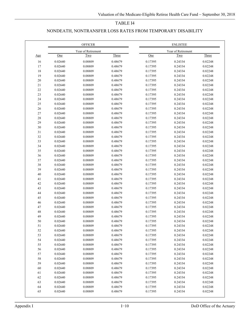## NONDEATH, NONTRANSFER LOSS RATES FROM TEMPORARY DISABILITY

|             |         | <b>OFFICER</b>     |              |         | <b>ENLISTEE</b>    |              |
|-------------|---------|--------------------|--------------|---------|--------------------|--------------|
|             |         | Year of Retirement |              |         | Year of Retirement |              |
| Age         | One     | Two                | <b>Three</b> | One     | Two                | <b>Three</b> |
| 16          | 0.02640 | 0.08809            | 0.48679      | 0.17395 | 0.24334            | 0.82248      |
| 17          | 0.02640 | 0.08809            | 0.48679      | 0.17395 | 0.24334            | 0.82248      |
| 18          | 0.02640 | 0.08809            | 0.48679      | 0.17395 | 0.24334            | 0.82248      |
| 19          | 0.02640 | 0.08809            | 0.48679      | 0.17395 | 0.24334            | 0.82248      |
| $20\,$      | 0.02640 | 0.08809            | 0.48679      | 0.17395 | 0.24334            | 0.82248      |
| 21          | 0.02640 | 0.08809            | 0.48679      | 0.17395 | 0.24334            | 0.82248      |
| $22\,$      | 0.02640 | 0.08809            | 0.48679      | 0.17395 | 0.24334            | 0.82248      |
| 23          | 0.02640 | 0.08809            | 0.48679      | 0.17395 | 0.24334            | 0.82248      |
| 24          | 0.02640 | 0.08809            | 0.48679      | 0.17395 | 0.24334            | 0.82248      |
| $25\,$      | 0.02640 | 0.08809            | 0.48679      | 0.17395 | 0.24334            | 0.82248      |
| $26\,$      | 0.02640 | 0.08809            | 0.48679      | 0.17395 | 0.24334            | 0.82248      |
| $27\,$      | 0.02640 | 0.08809            | 0.48679      | 0.17395 | 0.24334            | 0.82248      |
| $28\,$      | 0.02640 | 0.08809            | 0.48679      | 0.17395 | 0.24334            | 0.82248      |
| 29          | 0.02640 | 0.08809            | 0.48679      | 0.17395 | 0.24334            | 0.82248      |
| 30          | 0.02640 | 0.08809            | 0.48679      | 0.17395 | 0.24334            | 0.82248      |
| 31          | 0.02640 | 0.08809            | 0.48679      | 0.17395 | 0.24334            | 0.82248      |
| 32          | 0.02640 | 0.08809            | 0.48679      | 0.17395 | 0.24334            | 0.82248      |
| 33          | 0.02640 | 0.08809            | 0.48679      | 0.17395 | 0.24334            | 0.82248      |
| 34          | 0.02640 | 0.08809            | 0.48679      | 0.17395 | 0.24334            | 0.82248      |
| 35          | 0.02640 | 0.08809            | 0.48679      | 0.17395 | 0.24334            | 0.82248      |
| 36          | 0.02640 | 0.08809            | 0.48679      | 0.17395 | 0.24334            | 0.82248      |
| 37          | 0.02640 | 0.08809            | 0.48679      | 0.17395 | 0.24334            | 0.82248      |
| $38\,$      | 0.02640 | 0.08809            | 0.48679      | 0.17395 | 0.24334            | 0.82248      |
| 39          | 0.02640 | 0.08809            | 0.48679      | 0.17395 | 0.24334            | 0.82248      |
| $40\,$      | 0.02640 | 0.08809            | 0.48679      | 0.17395 | 0.24334            | 0.82248      |
| 41          | 0.02640 | 0.08809            | 0.48679      | 0.17395 | 0.24334            | 0.82248      |
| 42          | 0.02640 | 0.08809            | 0.48679      | 0.17395 | 0.24334            | 0.82248      |
| 43          | 0.02640 | 0.08809            | 0.48679      | 0.17395 | 0.24334            | 0.82248      |
| 44          | 0.02640 | 0.08809            | 0.48679      | 0.17395 | 0.24334            | 0.82248      |
| 45          | 0.02640 | 0.08809            | 0.48679      | 0.17395 | 0.24334            | 0.82248      |
| 46          | 0.02640 | 0.08809            | 0.48679      | 0.17395 | 0.24334            | 0.82248      |
| 47          | 0.02640 | 0.08809            | 0.48679      | 0.17395 | 0.24334            | 0.82248      |
| $\sqrt{48}$ | 0.02640 | 0.08809            | 0.48679      | 0.17395 | 0.24334            | 0.82248      |
| 49          | 0.02640 | 0.08809            | 0.48679      | 0.17395 | 0.24334            | 0.82248      |
| 50          | 0.02640 | 0.08809            | 0.48679      | 0.17395 | 0.24334            | 0.82248      |
| 51          | 0.02640 | 0.08809            | 0.48679      | 0.17395 | 0.24334            | 0.82248      |
| 52          | 0.02640 | 0.08809            | 0.48679      | 0.17395 | 0.24334            | 0.82248      |
| 53          | 0.02640 | 0.08809            | 0.48679      | 0.17395 | 0.24334            | 0.82248      |
| 54          | 0.02640 | 0.08809            | 0.48679      | 0.17395 | 0.24334            | 0.82248      |
| 55          | 0.02640 | 0.08809            | 0.48679      | 0.17395 | 0.24334            | 0.82248      |
| 56          | 0.02640 | 0.08809            | 0.48679      | 0.17395 | 0.24334            | 0.82248      |
| 57          | 0.02640 | 0.08809            | 0.48679      | 0.17395 | 0.24334            | 0.82248      |
| 58          | 0.02640 | 0.08809            | 0.48679      | 0.17395 | 0.24334            | 0.82248      |
| 59          | 0.02640 | 0.08809            | 0.48679      | 0.17395 | 0.24334            | 0.82248      |
| 60          | 0.02640 | 0.08809            | 0.48679      | 0.17395 | 0.24334            | 0.82248      |
| 61          | 0.02640 | 0.08809            | 0.48679      | 0.17395 | 0.24334            | 0.82248      |
| 62          | 0.02640 | 0.08809            | 0.48679      | 0.17395 | 0.24334            | 0.82248      |
| 63          | 0.02640 | 0.08809            | 0.48679      | 0.17395 | 0.24334            | 0.82248      |
| 64          | 0.02640 | 0.08809            | 0.48679      | 0.17395 | 0.24334            | 0.82248      |
| 65          | 0.02640 | 0.08809            | 0.48679      | 0.17395 | 0.24334            | 0.82248      |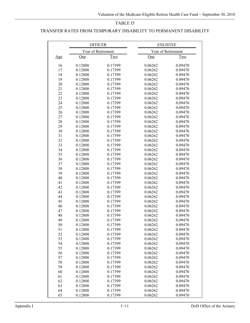#### TRANSFER RATES FROM TEMPORARY DISABILITY TO PERMANENT DISABILITY

|            | <b>OFFICER</b>     |                    | <b>ENLISTEE</b>    |                    |  |
|------------|--------------------|--------------------|--------------------|--------------------|--|
|            | Year of Retirement |                    | Year of Retirement |                    |  |
| <u>Age</u> | One                | <b>Two</b>         | One                | Two                |  |
|            |                    |                    |                    |                    |  |
| 16<br>17   | 0.12808<br>0.12808 | 0.17399            | 0.06262            | 0.09470<br>0.09470 |  |
| 18         | 0.12808            | 0.17399<br>0.17399 | 0.06262<br>0.06262 |                    |  |
|            |                    |                    |                    | 0.09470            |  |
| 19         | 0.12808            | 0.17399            | 0.06262            | 0.09470            |  |
| 20         | 0.12808            | 0.17399            | 0.06262            | 0.09470            |  |
| 21<br>22   | 0.12808            | 0.17399            | 0.06262            | 0.09470            |  |
|            | 0.12808            | 0.17399            | 0.06262            | 0.09470            |  |
| 23         | 0.12808            | 0.17399            | 0.06262            | 0.09470            |  |
| 24         | 0.12808            | 0.17399            | 0.06262            | 0.09470            |  |
| 25         | 0.12808            | 0.17399            | 0.06262            | 0.09470            |  |
| 26         | 0.12808            | 0.17399            | 0.06262            | 0.09470            |  |
| 27         | 0.12808            | 0.17399            | 0.06262            | 0.09470            |  |
| 28         | 0.12808            | 0.17399            | 0.06262            | 0.09470            |  |
| 29         | 0.12808            | 0.17399            | 0.06262            | 0.09470            |  |
| 30         | 0.12808            | 0.17399            | 0.06262            | 0.09470            |  |
| 31         | 0.12808            | 0.17399            | 0.06262            | 0.09470            |  |
| 32         | 0.12808            | 0.17399            | 0.06262            | 0.09470            |  |
| 33         | 0.12808            | 0.17399            | 0.06262            | 0.09470            |  |
| 34         | 0.12808            | 0.17399            | 0.06262            | 0.09470            |  |
| 35         | 0.12808            | 0.17399            | 0.06262            | 0.09470            |  |
| 36         | 0.12808            | 0.17399            | 0.06262            | 0.09470            |  |
| 37         | 0.12808            | 0.17399            | 0.06262            | 0.09470            |  |
| 38         | 0.12808            | 0.17399            | 0.06262            | 0.09470            |  |
| 39         | 0.12808            | 0.17399            | 0.06262            | 0.09470            |  |
| 40         | 0.12808            | 0.17399            | 0.06262            | 0.09470            |  |
| 41         | 0.12808            | 0.17399            | 0.06262            | 0.09470            |  |
| 42         | 0.12808            | 0.17399            | 0.06262            | 0.09470            |  |
| 43         | 0.12808            | 0.17399            | 0.06262            | 0.09470            |  |
| 44         | 0.12808            | 0.17399            | 0.06262            | 0.09470            |  |
| 45         | 0.12808            | 0.17399            | 0.06262            | 0.09470            |  |
| 46         | 0.12808            | 0.17399            | 0.06262            | 0.09470            |  |
| 47         | 0.12808            | 0.17399            | 0.06262            | 0.09470            |  |
| 48         | 0.12808            | 0.17399            | 0.06262            | 0.09470            |  |
| 49         | 0.12808            | 0.17399            | 0.06262            | 0.09470            |  |
| 50         | 0.12808            | 0.17399            | 0.06262            | 0.09470            |  |
| 51         | 0.12808            | 0.17399            | 0.06262            | 0.09470            |  |
| 52         | 0.12808            | 0.17399            | 0.06262            | 0.09470            |  |
| 53         | 0.12808            | 0.17399            | 0.06262            | 0.09470            |  |
| 54         | 0.12808            | 0.17399            | 0.06262            | 0.09470            |  |
| 55         | 0.12808            | 0.17399            | 0.06262            | 0.09470            |  |
| 56         | 0.12808            | 0.17399            | 0.06262            | 0.09470            |  |
| 57         | 0.12808            | 0.17399            | 0.06262            | 0.09470            |  |
| 58         | 0.12808            | 0.17399            | 0.06262            | 0.09470            |  |
| 59         | 0.12808            | 0.17399            | 0.06262            | 0.09470            |  |
| 60         | 0.12808            | 0.17399            | 0.06262            | 0.09470            |  |
| 61         | 0.12808            | 0.17399            | 0.06262            | 0.09470            |  |
| 62         | 0.12808            | 0.17399            | 0.06262            | 0.09470            |  |
| 63         | 0.12808            | 0.17399            | 0.06262            | 0.09470            |  |
| 64         | 0.12808            | 0.17399            | 0.06262            | 0.09470            |  |
| 65         | 0.12808            | 0.17399            | 0.06262            | 0.09470            |  |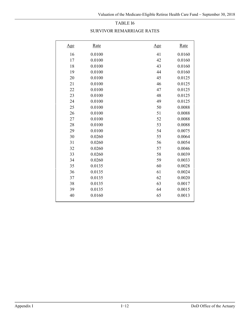|  |  |  |  | SURVIVOR REMARRIAGE RATES- |
|--|--|--|--|----------------------------|
|--|--|--|--|----------------------------|

| <u>Age</u> | <u>Rate</u> | <u>Age</u> | Rate   |
|------------|-------------|------------|--------|
| 16         | 0.0100      | 41         | 0.0160 |
| 17         | 0.0100      | 42         | 0.0160 |
| 18         | 0.0100      | 43         | 0.0160 |
| 19         | 0.0100      | 44         | 0.0160 |
| 20         | 0.0100      | 45         | 0.0125 |
| 21         | 0.0100      | 46         | 0.0125 |
| 22         | 0.0100      | 47         | 0.0125 |
| 23         | 0.0100      | 48         | 0.0125 |
| 24         | 0.0100      | 49         | 0.0125 |
| 25         | 0.0100      | 50         | 0.0088 |
| 26         | 0.0100      | 51         | 0.0088 |
| 27         | 0.0100      | 52         | 0.0088 |
| 28         | 0.0100      | 53         | 0.0088 |
| 29         | 0.0100      | 54         | 0.0075 |
| 30         | 0.0260      | 55         | 0.0064 |
| 31         | 0.0260      | 56         | 0.0054 |
| 32         | 0.0260      | 57         | 0.0046 |
| 33         | 0.0260      | 58         | 0.0039 |
| 34         | 0.0260      | 59         | 0.0033 |
| 35         | 0.0135      | 60         | 0.0028 |
| 36         | 0.0135      | 61         | 0.0024 |
| 37         | 0.0135      | 62         | 0.0020 |
| 38         | 0.0135      | 63         | 0.0017 |
| 39         | 0.0135      | 64         | 0.0015 |
| 40         | 0.0160      | 65         | 0.0013 |
|            |             |            |        |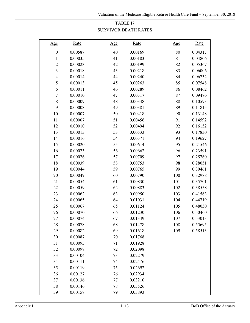## TABLE I7 SURVIVOR DEATH RATES

| <u>Age</u>              | <b>Rate</b> | Age | <u>Rate</u> | Age | <u>Rate</u> |
|-------------------------|-------------|-----|-------------|-----|-------------|
| $\boldsymbol{0}$        | 0.00587     | 40  | 0.00169     | 80  | 0.04317     |
| 1                       | 0.00035     | 41  | 0.00183     | 81  | 0.04806     |
| $\overline{c}$          | 0.00023     | 42  | 0.00199     | 82  | 0.05367     |
| $\overline{\mathbf{3}}$ | 0.00018     | 43  | 0.00218     | 83  | 0.06006     |
| $\overline{4}$          | 0.00014     | 44  | 0.00240     | 84  | 0.06732     |
| 5                       | 0.00013     | 45  | 0.00263     | 85  | 0.07548     |
| 6                       | 0.00011     | 46  | 0.00289     | 86  | 0.08462     |
| 7                       | 0.00010     | 47  | 0.00317     | 87  | 0.09476     |
| 8                       | 0.00009     | 48  | 0.00348     | 88  | 0.10593     |
| 9                       | 0.00008     | 49  | 0.00381     | 89  | 0.11815     |
| 10                      | 0.00007     | 50  | 0.00418     | 90  | 0.13148     |
| 11                      | 0.00007     | 51  | 0.00456     | 91  | 0.14592     |
| 12                      | 0.00010     | 52  | 0.00494     | 92  | 0.16152     |
| 13                      | 0.00013     | 53  | 0.00533     | 93  | 0.17830     |
| 14                      | 0.00016     | 54  | 0.00571     | 94  | 0.19627     |
| 15                      | 0.00020     | 55  | 0.00614     | 95  | 0.21546     |
| 16                      | 0.00023     | 56  | 0.00662     | 96  | 0.23591     |
| 17                      | 0.00026     | 57  | 0.00709     | 97  | 0.25760     |
| 18                      | 0.00039     | 58  | 0.00753     | 98  | 0.28051     |
| 19                      | 0.00044     | 59  | 0.00765     | 99  | 0.30461     |
| 20                      | 0.00049     | 60  | 0.00790     | 100 | 0.32988     |
| 21                      | 0.00054     | 61  | 0.00830     | 101 | 0.35701     |
| 22                      | 0.00059     | 62  | 0.00883     | 102 | 0.38558     |
| 23                      | 0.00062     | 63  | 0.00950     | 103 | 0.41563     |
| 24                      | 0.00065     | 64  | 0.01031     | 104 | 0.44719     |
| 25                      | 0.00067     | 65  | 0.01124     | 105 | 0.48030     |
| 26                      | 0.00070     | 66  | 0.01230     | 106 | 0.50460     |
| 27                      | 0.00074     | 67  | 0.01349     | 107 | 0.53013     |
| 28                      | 0.00078     | 68  | 0.01478     | 108 | 0.55695     |
| 29                      | 0.00082     | 69  | 0.01618     | 109 | 0.58513     |
| 30                      | 0.00087     | 70  | 0.01768     |     |             |
| 31                      | 0.00093     | 71  | 0.01928     |     |             |
| 32                      | 0.00098     | 72  | 0.02098     |     |             |
| 33                      | 0.00104     | 73  | 0.02279     |     |             |
| 34                      | 0.00111     | 74  | 0.02476     |     |             |
| 35                      | 0.00119     | 75  | 0.02692     |     |             |
| 36                      | 0.00127     | 76  | 0.02934     |     |             |
| 37                      | 0.00136     | 77  | 0.03210     |     |             |
| 38                      | 0.00146     | 78  | 0.03526     |     |             |
| 39                      | 0.00157     | 79  | 0.03893     |     |             |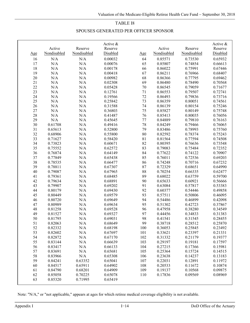### TABLE I8

### SPOUSES GENERATED PER OFFICER SPONSOR

|     |             |             | Active & |            |             |             | Active & |
|-----|-------------|-------------|----------|------------|-------------|-------------|----------|
|     | Active      | Reserve     | Reserve  |            | Active      | Reserve     | Reserve  |
| Age | Nondisabled | Nondisabled | Disabled | <u>Age</u> | Nondisabled | Nondisabled | Disabled |
| 16  | N/A         | N/A         | 0.00032  | 64         | 0.85571     | 0.73530     | 0.65932  |
| 17  | $\rm N/A$   | $\rm N/A$   | 0.00076  | 65         | 0.85807     | 0.74854     | 0.66613  |
| 18  | N/A         | $\rm N/A$   | 0.00178  | 66         | 0.86022     | 0.75991     | 0.67446  |
| 19  | $\rm N/A$   | N/A         | 0.00418  | 67         | 0.86211     | 0.76966     | 0.68407  |
| 20  | N/A         | N/A         | 0.00982  | 68         | 0.86366     | 0.77795     | 0.69462  |
| 21  | N/A         | N/A         | 0.02308  | 69         | 0.86480     | 0.78490     | 0.70568  |
| 22  | N/A         | N/A         | 0.05428  | $70\,$     | 0.86545     | 0.79059     | 0.71677  |
| 23  | N/A         | N/A         | 0.12761  | 71         | 0.86553     | 0.79507     | 0.72741  |
| 24  | N/A         | N/A         | 0.19566  | $72\,$     | 0.86493     | 0.79836     | 0.73716  |
| 25  | N/A         | N/A         | 0.25842  | 73         | 0.86359     | 0.80051     | 0.74561  |
| 26  | N/A         | N/A         | 0.31588  | 74         | 0.86139     | 0.80154     | 0.75246  |
| 27  | N/A         | N/A         | 0.36803  | $75\,$     | 0.85827     | 0.80149     | 0.75748  |
| 28  | $\rm N/A$   | N/A         | 0.41487  | 76         | 0.85413     | 0.80035     | 0.76056  |
| 29  | $\rm N/A$   | N/A         | 0.45645  | 77         | 0.84889     | 0.79810     | 0.76163  |
| 30  | 0.61708     | $\rm N/A$   | 0.49416  | $78\,$     | 0.84249     | 0.79466     | 0.76065  |
| 31  | 0.65613     | $\rm N/A$   | 0.52800  | 79         | 0.83486     | 0.78993     | 0.75760  |
| 32  | 0.68906     | N/A         | 0.55800  | 80         | 0.82592     | 0.78374     | 0.75243  |
| 33  | 0.71627     | N/A         | 0.58420  | 81         | 0.81564     | 0.77594     | 0.74508  |
| 34  | 0.73823     | N/A         | 0.60671  | 82         | 0.80395     | 0.76636     | 0.73548  |
| 35  | 0.75552     | N/A         | 0.62572  | 83         | 0.79083     | 0.75484     | 0.72352  |
| 36  | 0.76874     | N/A         | 0.64149  | 84         | 0.77622     | 0.74122     | 0.70907  |
| 37  | 0.77849     | N/A         | 0.65438  | 85         | 0.76011     | 0.72536     | 0.69203  |
| 38  | 0.78535     | N/A         | 0.66477  | 86         | 0.74248     | 0.70716     | 0.67232  |
| 39  | 0.78811     | N/A         | 0.67307  | 87         | 0.72329     | 0.68651     | 0.64990  |
| 40  | 0.79087     | $\rm N/A$   | 0.67965  | 88         | 0.70254     | 0.66335     | 0.62477  |
| 41  | 0.79361     | N/A         | 0.68485  | 89         | 0.68022     | 0.63759     | 0.59700  |
| 42  | 0.79634     | $\rm N/A$   | 0.68891  | 90         | 0.65633     | 0.60921     | 0.56666  |
| 43  | 0.79907     | N/A         | 0.69202  | 91         | 0.63084     | 0.57817     | 0.53383  |
| 44  | 0.80179     | N/A         | 0.69430  | 92         | 0.60377     | 0.54446     | 0.49858  |
| 45  | 0.80449     | N/A         | 0.69579  | 93         | 0.57511     | 0.50806     | 0.46095  |
| 46  | 0.80720     | N/A         | 0.69649  | 94         | 0.54486     | 0.46899     | 0.42098  |
| 47  | 0.80989     | N/A         | 0.69634  | 95         | 0.51302     | 0.42723     | 0.37867  |
| 48  | 0.81258     | N/A         | 0.69528  | 96         | 0.47958     | 0.38280     | 0.34549  |
| 49  | 0.81527     | N/A         | 0.69327  | 97         | 0.44456     | 0.34833     | 0.31383  |
| 50  | 0.81795     | N/A         | 0.69031  | 98         | 0.41541     | 0.31545     | 0.28455  |
| 51  | 0.82063     | $\rm N/A$   | 0.68649  | 99         | 0.38718     | 0.28512     | 0.25870  |
| 52  | 0.82332     | N/A         | 0.68198  | 100        | 0.36053     | 0.25845     | 0.23492  |
| 53  | 0.82602     | $\rm N/A$   | 0.67697  | 101        | 0.33621     | 0.23397     | 0.21331  |
| 54  | 0.82872     | $\rm N/A$   | 0.67170  | 102        | 0.31332     | 0.21179     | 0.19377  |
| 55  | 0.83144     | N/A         | 0.66639  | 103        | 0.29197     | 0.19181     | 0.17597  |
| 56  | 0.83417     | N/A         | 0.66133  | 104        | 0.27215     | 0.17366     | 0.15981  |
| 57  | 0.83691     | N/A         | 0.65681  | 105        | 0.25364     | 0.15724     | 0.14515  |
| 58  | 0.83966     | N/A         | 0.65308  | 106        | 0.23638     | 0.14237     | 0.13183  |
| 59  | 0.84241     | 0.63352     | 0.65041  | 107        | 0.22031     | 0.12891     | 0.11972  |
| 60  | 0.84517     | 0.65911     | 0.64902  | 108        | 0.20533     | 0.11672     | 0.10874  |
| 61  | 0.84790     | 0.68201     | 0.64909  | 109        | 0.19137     | 0.10568     | 0.09875  |
| 62  | 0.85058     | 0.70225     | 0.65078  | 110        | 0.17836     | 0.09569     | 0.08969  |
| 63  | 0.85320     | 0.71995     | 0.65419  |            |             |             |          |

Note: "N/A," or "not applicable," appears at ages for which retiree medical coverage eligibility is not available.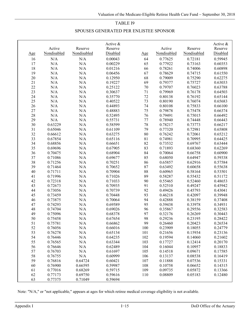### TABLE I9

### SPOUSES GENERATED PER ENLISTEE SPONSOR

|        | Active      | Reserve     | Active &<br>Reserve |             | Active      | Reserve     | Active &<br>Reserve |
|--------|-------------|-------------|---------------------|-------------|-------------|-------------|---------------------|
| Age    | Nondisabled | Nondisabled | Disabled            | <u>Age</u>  | Nondisabled | Nondisabled | Disabled            |
| 16     | $\rm N/A$   | $\rm N/A$   | 0.00043             | 64          | 0.77625     | 0.72181     | 0.59945             |
| 17     | $\rm N/A$   | $\rm N/A$   | 0.00229             | 65          | 0.77922     | 0.73163     | 0.60353             |
| 18     | $\rm N/A$   | $\rm N/A$   | 0.01216             | 66          | 0.78261     | 0.74006     | 0.60898             |
| 19     | $\rm N/A$   | $\rm N/A$   | 0.06456             | 67          | 0.78629     | 0.74715     | 0.61550             |
| 20     | $\rm N/A$   | $\rm N/A$   | 0.12950             | 68          | 0.79009     | 0.75290     | 0.62275             |
| 21     | $\rm N/A$   | $\rm N/A$   | 0.19227             | 69          | 0.79377     | 0.75727     | 0.63033             |
| 22     | $\rm N/A$   | $\rm N/A$   | 0.25122             | 70          | 0.79707     | 0.76023     | 0.63788             |
| 23     | $\rm N/A$   | $\rm N/A$   | 0.30637             | 71          | 0.79969     | 0.76178     | 0.64503             |
| 24     | $\rm N/A$   | $\rm N/A$   | 0.35770             | 72          | 0.80138     | 0.76192     | 0.65144             |
| 25     | N/A         | $\rm N/A$   | 0.40522             | 73          | 0.80190     | 0.76074     | 0.65683             |
| 26     | N/A         | N/A         | 0.44893             | 74          | 0.80108     | 0.75833     | 0.66100             |
| $27\,$ | $\rm N/A$   | $\rm N/A$   | 0.48883             | 75          | 0.79878     | 0.75478     | 0.66374             |
| 28     | $\rm N/A$   | $\rm N/A$   | 0.52495             | $76\,$      | 0.79491     | 0.75015     | 0.66492             |
| 29     | $\rm N/A$   | $\rm N/A$   | 0.55731             | 77          | 0.78940     | 0.74448     | 0.66443             |
| $30\,$ | 0.63229     | $\rm N/A$   | 0.58599             | 78          | 0.78217     | 0.73773     | 0.66217             |
| $31\,$ | 0.65046     | $\rm N/A$   | 0.61109             | 79          | 0.77320     | 0.72981     | 0.65808             |
| 32     | 0.66612     | $\rm N/A$   | 0.63275             | $80\,$      | 0.76242     | 0.72061     | 0.65212             |
| 33     | 0.67854     | $\rm N/A$   | 0.65116             | $8\sqrt{1}$ | 0.74981     | 0.70995     | 0.64425             |
| 34     | 0.68856     | $\rm N/A$   | 0.66651             | 82          | 0.73532     | 0.69767     | 0.63444             |
| 35     | 0.69696     | N/A         | 0.67905             | 83          | 0.71893     | 0.68360     | 0.62269             |
| 36     | 0.70475     | $\rm N/A$   | 0.68904             | 84          | 0.70064     | 0.66758     | 0.60900             |
| 37     | 0.71086     | $\rm N/A$   | 0.69677             | 85          | 0.68050     | 0.64947     | 0.59338             |
| 38     | 0.71256     | N/A         | 0.70251             | 86          | 0.65857     | 0.62916     | 0.57584             |
| 39     | 0.71464     | $\rm N/A$   | 0.70652             | 87          | 0.63492     | 0.60658     | 0.55638             |
| 40     | 0.71711     | $\rm N/A$   | 0.70904             | $88\,$      | 0.60965     | 0.58164     | 0.53501             |
| 41     | 0.71996     | $\rm N/A$   | 0.71026             | 89          | 0.58287     | 0.55432     | 0.51172             |
| 42     | 0.72318     | $\rm N/A$   | 0.71033             | 90          | 0.55465     | 0.52460     | 0.48653             |
| 43     | 0.72673     | $\rm N/A$   | 0.70935             | 91          | 0.52510     | 0.49247     | 0.45942             |
| 44     | 0.73056     | $\rm N/A$   | 0.70739             | 92          | 0.49426     | 0.45793     | 0.43041             |
| 45     | 0.73459     | $\rm N/A$   | 0.70448             | 93          | 0.46218     | 0.42097     | 0.39948             |
| 46     | 0.73875     | $\rm N/A$   | 0.70064             | 94          | 0.42888     | 0.38159     | 0.37408             |
| 47     | 0.74293     | $\rm N/A$   | 0.69589             | 95          | 0.39438     | 0.33978     | 0.34931             |
| 48     | 0.74704     | $\rm N/A$   | 0.69026             | 96          | 0.35867     | 0.29556     | 0.32583             |
| 49     | 0.75096     | N/A         | 0.68378             | 97          | 0.32176     | 0.26269     | 0.30443             |
| 50     | 0.75458     | N/A         | 0.67654             | 98          | 0.29236     | 0.23195     | 0.28422             |
| 51     | 0.75781     | N/A         | 0.66862             | 99          | 0.26460     | 0.20423     | 0.26534             |
| 52     | 0.76056     | N/A         | 0.66016             | 100         | 0.23909     | 0.18055     | 0.24779             |
| 53     | 0.76278     | $\rm N/A$   | 0.65134             | 101         | 0.21656     | 0.15934     | 0.23136             |
| 54     | 0.76446     | $\rm N/A$   | 0.64235             | 102         | 0.19594     | 0.14060     | 0.21602             |
| 55     | 0.76565     | N/A         | 0.63344             | 103         | 0.17727     | 0.12414     | 0.20170             |
| 56     | 0.76646     | $\rm N/A$   | 0.62489             | 104         | 0.16044     | 0.10957     | 0.18833             |
| 57     | 0.76703     | $\rm N/A$   | 0.61697             | 105         | 0.14518     | 0.09671     | 0.17585             |
| 58     | 0.76755     | $\rm N/A$   | 0.60999             | 106         | 0.13137     | 0.08538     | 0.16419             |
| 59     | 0.76816     | 0.64724     | 0.60421             | 107         | 0.11888     | 0.07536     | 0.15331             |
| 60     | 0.76900     | 0.66595     | 0.59987             | 108         | 0.10758     | 0.06652     | 0.14315             |
| 61     | 0.77016     | 0.68269     | 0.59715             | 109         | 0.09735     | 0.05872     | 0.13366             |
| 62     | 0.77173     | 0.69750     | 0.59616             | 110         | 0.08809     | 0.05183     | 0.12480             |
| 63     | 0.77375     | 0.71049     | 0.59694             |             |             |             |                     |

Note: "N/A," or "not applicable," appears at ages for which retiree medical coverage eligibility is not available.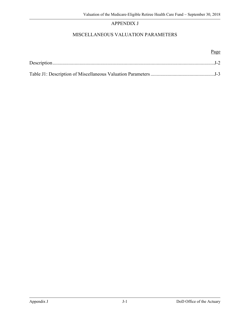# APPENDIX J

# MISCELLANEOUS VALUATION PARAMETERS

### Page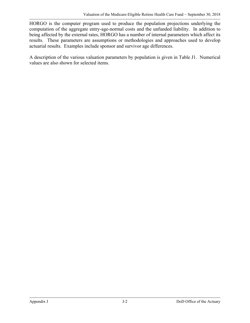HORGO is the computer program used to produce the population projections underlying the computation of the aggregate entry-age-normal costs and the unfunded liability. In addition to being affected by the external rates, HORGO has a number of internal parameters which affect its results. These parameters are assumptions or methodologies and approaches used to develop actuarial results. Examples include sponsor and survivor age differences.

A description of the various valuation parameters by population is given in Table J1. Numerical values are also shown for selected items.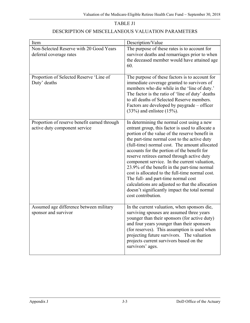| TABLE J1                                          |
|---------------------------------------------------|
| DESCRIPTION OF MISCELLANEOUS VALUATION PARAMETERS |

| Item                                                                          | Description/Value                                                                                                                                                                                                                                                                                                                                                                                                                                                                                                                                                                                                                                                    |
|-------------------------------------------------------------------------------|----------------------------------------------------------------------------------------------------------------------------------------------------------------------------------------------------------------------------------------------------------------------------------------------------------------------------------------------------------------------------------------------------------------------------------------------------------------------------------------------------------------------------------------------------------------------------------------------------------------------------------------------------------------------|
| Non-Selected Reserve with 20 Good Years<br>deferral coverage rates            | The purpose of these rates is to account for<br>survivor deaths and remarriages prior to when<br>the deceased member would have attained age<br>60.                                                                                                                                                                                                                                                                                                                                                                                                                                                                                                                  |
| Proportion of Selected Reserve 'Line of<br>Duty' deaths                       | The purpose of these factors is to account for<br>immediate coverage granted to survivors of<br>members who die while in the 'line of duty.'<br>The factor is the ratio of 'line of duty' deaths<br>to all deaths of Selected Reserve members.<br>Factors are developed by paygrade – officer<br>$(33%)$ and enlistee $(15%)$ .                                                                                                                                                                                                                                                                                                                                      |
| Proportion of reserve benefit earned through<br>active duty component service | In determining the normal cost using a new<br>entrant group, this factor is used to allocate a<br>portion of the value of the reserve benefit in<br>the part-time normal cost to the active duty<br>(full-time) normal cost. The amount allocated<br>accounts for the portion of the benefit for<br>reserve retirees earned through active duty<br>component service. In the current valuation,<br>23.9% of the benefit in the part-time normal<br>cost is allocated to the full-time normal cost.<br>The full- and part-time normal cost<br>calculations are adjusted so that the allocation<br>doesn't significantly impact the total normal<br>cost contribution. |
| Assumed age difference between military<br>sponsor and survivor               | In the current valuation, when sponsors die,<br>surviving spouses are assumed three years<br>younger than their sponsors (for active duty)<br>and four years younger than their sponsors<br>(for reserves). This assumption is used when<br>projecting future survivors. The valuation<br>projects current survivors based on the<br>survivors' ages.                                                                                                                                                                                                                                                                                                                |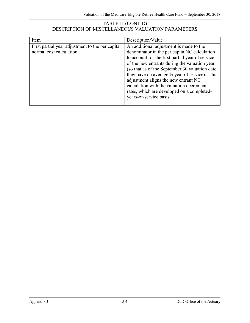### TABLE J1 (CONT'D) DESCRIPTION OF MISCELLANEOUS VALUATION PARAMETERS

| Item                                                                       | Description/Value                                                                                                                                                                                                                                                                                                                                                                                                                                                         |
|----------------------------------------------------------------------------|---------------------------------------------------------------------------------------------------------------------------------------------------------------------------------------------------------------------------------------------------------------------------------------------------------------------------------------------------------------------------------------------------------------------------------------------------------------------------|
| First partial year adjustment to the per capita<br>normal cost calculation | An additional adjustment is made to the<br>denominator in the per capita NC calculation<br>to account for the first partial year of service<br>of the new entrants during the valuation year<br>(so that as of the September 30 valuation date,<br>they have on average $\frac{1}{2}$ year of service). This<br>adjustment aligns the new entrant NC<br>calculation with the valuation decrement<br>rates, which are developed on a completed-<br>years-of-service basis. |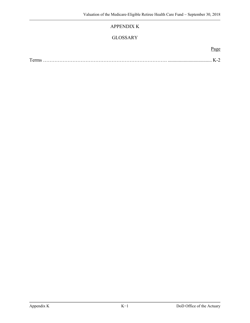## APPENDIX K

## GLOSSARY

| $\sim$ |
|--------|
|--------|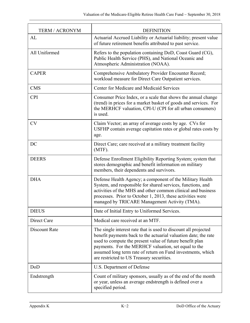| <b>TERM / ACRONYM</b> | <b>DEFINITION</b>                                                                                                                                                                                                                                                                                                                                                  |
|-----------------------|--------------------------------------------------------------------------------------------------------------------------------------------------------------------------------------------------------------------------------------------------------------------------------------------------------------------------------------------------------------------|
| AL                    | Actuarial Accrued Liability or Actuarial liability; present value<br>of future retirement benefits attributed to past service.                                                                                                                                                                                                                                     |
| All Uniformed         | Refers to the population containing DoD, Coast Guard (CG),<br>Public Health Service (PHS), and National Oceanic and<br>Atmospheric Administration (NOAA).                                                                                                                                                                                                          |
| <b>CAPER</b>          | Comprehensive Ambulatory Provider Encounter Record;<br>workload measure for Direct Care Outpatient services.                                                                                                                                                                                                                                                       |
| <b>CMS</b>            | Center for Medicare and Medicaid Services                                                                                                                                                                                                                                                                                                                          |
| <b>CPI</b>            | Consumer Price Index, or a scale that shows the annual change<br>(trend) in prices for a market basket of goods and services. For<br>the MERHCF valuation, CPI-U (CPI for all urban consumers)<br>is used.                                                                                                                                                         |
| <b>CV</b>             | Claim Vector; an array of average costs by age. CVs for<br>USFHP contain average capitation rates or global rates costs by<br>age.                                                                                                                                                                                                                                 |
| DC                    | Direct Care; care received at a military treatment facility<br>$(MTF)$ .                                                                                                                                                                                                                                                                                           |
| <b>DEERS</b>          | Defense Enrollment Eligibility Reporting System; system that<br>stores demographic and benefit information on military<br>members, their dependents and survivors.                                                                                                                                                                                                 |
| <b>DHA</b>            | Defense Health Agency; a component of the Military Health<br>System, and responsible for shared services, functions, and<br>activities of the MHS and other common clinical and business<br>processes. Prior to October 1, 2013, these activities were<br>managed by TRICARE Management Activity (TMA).                                                            |
| <b>DIEUS</b>          | Date of Initial Entry to Uniformed Services.                                                                                                                                                                                                                                                                                                                       |
| Direct Care           | Medical care received at an MTF.                                                                                                                                                                                                                                                                                                                                   |
| Discount Rate         | The single interest rate that is used to discount all projected<br>benefit payments back to the actuarial valuation date; the rate<br>used to compute the present value of future benefit plan<br>payments. For the MERHCF valuation, set equal to the<br>assumed long term rate of return on Fund investments, which<br>are restricted to US Treasury securities. |
| DoD                   | U.S. Department of Defense                                                                                                                                                                                                                                                                                                                                         |
| Endstrength           | Count of military sponsors, usually as of the end of the month<br>or year, unless an average endstrength is defined over a<br>specified period.                                                                                                                                                                                                                    |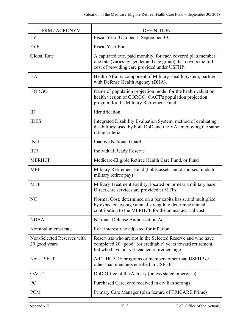| <b>TERM / ACRONYM</b>                       | <b>DEFINITION</b>                                                                                                                                                                   |
|---------------------------------------------|-------------------------------------------------------------------------------------------------------------------------------------------------------------------------------------|
| <b>FY</b>                                   | Fiscal Year; October 1-September 30.                                                                                                                                                |
| <b>FYE</b>                                  | <b>Fiscal Year End</b>                                                                                                                                                              |
| Global Rate                                 | A capitated rate, paid monthly, for each covered plan member;<br>one rate (varies by gender and age group) that covers the full<br>cost of providing care provided under USFHP.     |
| <b>HA</b>                                   | Health Affairs; component of Military Health System; partner<br>with Defense Health Agency (DHA).                                                                                   |
| <b>HORGO</b>                                | Name of population projection model for the health valuation;<br>health version of GORGO, OACT's population projection<br>program for the Military Retirement Fund.                 |
| ID                                          | Identification                                                                                                                                                                      |
| <b>IDES</b>                                 | Integrated Disability Evaluation System; method of evaluating<br>disabilities; used by both DoD and the VA, employing the same<br>rating criteria.                                  |
| <b>ING</b>                                  | <b>Inactive National Guard</b>                                                                                                                                                      |
| <b>IRR</b>                                  | <b>Individual Ready Reserve</b>                                                                                                                                                     |
| <b>MERHCF</b>                               | Medicare-Eligible Retiree Health Care Fund, or Fund                                                                                                                                 |
| <b>MRF</b>                                  | Military Retirement Fund (holds assets and disburses funds for<br>military retiree pay)                                                                                             |
| <b>MTF</b>                                  | Military Treatment Facility; located on or near a military base.<br>Direct care services are provided at MTFs.                                                                      |
| NC                                          | Normal Cost; determined on a per capita basis, and multiplied<br>by expected average annual strength to determine annual<br>contribution to the MERHCF for the annual accrual cost. |
| <b>NDAA</b>                                 | National Defense Authorization Act                                                                                                                                                  |
| Nominal interest rate                       | Real interest rate adjusted for inflation                                                                                                                                           |
| Non-Selected Reserves with<br>20 good years | Reservists who are not in the Selected Reserve and who have<br>completed 20 "good" (or creditable) years toward retirement,<br>but who have not yet reached retirement age.         |
| Non-USFHP                                   | All TRICARE programs or members other than USFHP or<br>other than members enrolled in USFHP.                                                                                        |
| <b>OACT</b>                                 | DoD Office of the Actuary (unless stated otherwise)                                                                                                                                 |
| PC                                          | Purchased Care; care received in civilian settings.                                                                                                                                 |
| <b>PCM</b>                                  | Primary Care Manager (plan feature of TRICARE Prime)                                                                                                                                |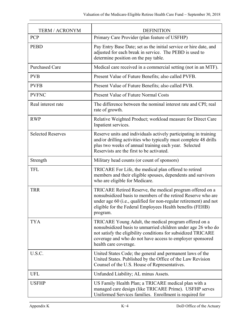| <b>TERM / ACRONYM</b>    | <b>DEFINITION</b>                                                                                                                                                                                                                                                             |
|--------------------------|-------------------------------------------------------------------------------------------------------------------------------------------------------------------------------------------------------------------------------------------------------------------------------|
| PCP                      | Primary Care Provider (plan feature of USFHP)                                                                                                                                                                                                                                 |
| <b>PEBD</b>              | Pay Entry Base Date; set as the initial service or hire date, and<br>adjusted for each break in service. The PEBD is used to<br>determine position on the pay table.                                                                                                          |
| <b>Purchased Care</b>    | Medical care received in a commercial setting (not in an MTF).                                                                                                                                                                                                                |
| <b>PVB</b>               | Present Value of Future Benefits; also called PVFB.                                                                                                                                                                                                                           |
| <b>PVFB</b>              | Present Value of Future Benefits; also called PVB.                                                                                                                                                                                                                            |
| <b>PVFNC</b>             | Present Value of Future Normal Costs                                                                                                                                                                                                                                          |
| Real interest rate       | The difference between the nominal interest rate and CPI; real<br>rate of growth.                                                                                                                                                                                             |
| <b>RWP</b>               | Relative Weighted Product; workload measure for Direct Care<br>Inpatient services.                                                                                                                                                                                            |
| <b>Selected Reserves</b> | Reserve units and individuals actively participating in training<br>and/or drilling activities who typically must complete 48 drills<br>plus two weeks of annual training each year. Selected<br>Reservists are the first to be activated.                                    |
| Strength                 | Military head counts (or count of sponsors)                                                                                                                                                                                                                                   |
| <b>TFL</b>               | TRICARE For Life, the medical plan offered to retired<br>members and their eligible spouses, dependents and survivors<br>who are eligible for Medicare.                                                                                                                       |
| <b>TRR</b>               | TRICARE Retired Reserve, the medical program offered on a<br>nonsubsidized basis to members of the retired Reserve who are<br>under age 60 (i.e., qualified for non-regular retirement) and not<br>eligible for the Federal Employees Health benefits (FEHB)<br>program.      |
| <b>TYA</b>               | TRICARE Young Adult, the medical program offered on a<br>nonsubsidized basis to unmarried children under age 26 who do<br>not satisfy the eligibility conditions for subsidized TRICARE<br>coverage and who do not have access to employer sponsored<br>health care coverage. |
| U.S.C.                   | United States Code; the general and permanent laws of the<br>United States. Published by the Office of the Law Revision<br>Counsel of the U.S. House of Representatives.                                                                                                      |
| <b>UFL</b>               | Unfunded Liability; AL minus Assets.                                                                                                                                                                                                                                          |
| <b>USFHP</b>             | US Family Health Plan; a TRICARE medical plan with a<br>managed care design (like TRICARE Prime). USFHP serves<br>Uniformed Services families. Enrollment is required for                                                                                                     |